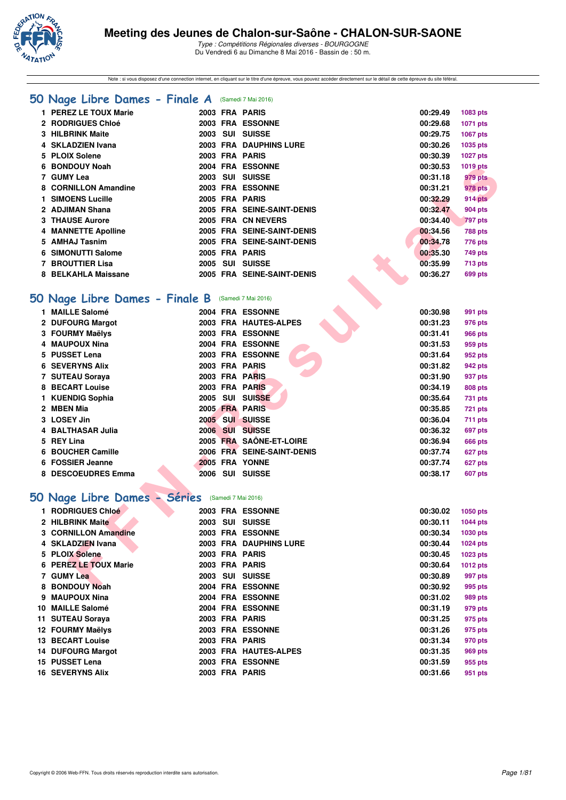

Note : si vous disposez d'une connection internet, en cliquant sur le titre d'une épreuve, vous pouvez accéder directement sur le détail de cette épreuve du site féféral.

|  |  |  |  |  |  |  |  | 50 Nage Libre Dames - Finale A (Samedi 7 Mai 2016) |
|--|--|--|--|--|--|--|--|----------------------------------------------------|
|--|--|--|--|--|--|--|--|----------------------------------------------------|

| 1 PEREZ LE TOUX Marie      |      |     | 2003 FRA PARIS             | 00:29.49 | 1083 pts        |
|----------------------------|------|-----|----------------------------|----------|-----------------|
| 2 RODRIGUES Chloé          |      |     | 2003 FRA ESSONNE           | 00:29.68 | 1071 pts        |
| 3 HILBRINK Maite           | 2003 | SUI | <b>SUISSE</b>              | 00:29.75 | 1067 pts        |
| 4 SKLADZIEN Ivana          |      |     | 2003 FRA DAUPHINS LURE     | 00:30.26 | 1035 pts        |
| 5 PLOIX Solene             |      |     | 2003 FRA PARIS             | 00:30.39 | <b>1027 pts</b> |
| 6 BONDOUY Noah             |      |     | 2004 FRA ESSONNE           | 00:30.53 | 1019 pts        |
| 7 GUMY Lea                 | 2003 |     | SUI SUISSE                 | 00:31.18 | 979 pts         |
| 8 CORNILLON Amandine       |      |     | 2003 FRA ESSONNE           | 00:31.21 | 978 pts         |
| 1 SIMOENS Lucille          |      |     | 2005 FRA PARIS             | 00:32.29 | 914 pts         |
| 2 ADJIMAN Shana            |      |     | 2005 FRA SEINE-SAINT-DENIS | 00:32.47 | <b>904 pts</b>  |
| <b>3 THAUSE Aurore</b>     |      |     | 2005 FRA CN NEVERS         | 00:34.40 | <b>797 pts</b>  |
| <b>4 MANNETTE Apolline</b> |      |     | 2005 FRA SEINE-SAINT-DENIS | 00:34.56 | <b>788 pts</b>  |
| 5 AMHAJ Tasnim             |      |     | 2005 FRA SEINE-SAINT-DENIS | 00:34.78 | 776 pts         |
| 6 SIMONUTTI Salome         |      |     | 2005 FRA PARIS             | 00:35.30 | 749 pts         |
| 7 BROUTTIER Lisa           | 2005 | SUI | <b>SUISSE</b>              | 00:35.99 | <b>713 pts</b>  |
| 8 BELKAHLA Maissane        |      |     | 2005 FRA SEINE-SAINT-DENIS | 00:36.27 | 699 pts         |

## **[50 Nage Libre Dames - Finale B](http://www.ffnatation.fr/webffn/resultats.php?idact=nat&go=epr&idcpt=38881&idepr=1)** (Samedi 7 Mai 2016)

| <b>BONDOUY Noah</b>                 |  | <b>2004 FRA ESSONNE</b>                   | 00:30.53             | 1019 pts           |
|-------------------------------------|--|-------------------------------------------|----------------------|--------------------|
| 7 GUMY Lea                          |  | 2003 SUI SUISSE                           | 00:31.18             | 979 pts            |
| 8 CORNILLON Amandine                |  | 2003 FRA ESSONNE                          | 00:31.21             | 978 pts            |
| 1 SIMOENS Lucille                   |  | 2005 FRA PARIS                            | 00:32.29             | 914 pts            |
| 2 ADJIMAN Shana                     |  | 2005 FRA SEINE-SAINT-DENIS                | 00:32.47             | <b>904 pts</b>     |
| <b>3 THAUSE Aurore</b>              |  | 2005 FRA CN NEVERS                        | 00:34.40             | <b>797 pts</b>     |
| <b>4 MANNETTE Apolline</b>          |  | 2005 FRA SEINE-SAINT-DENIS                | 00:34.56             | <b>788 pts</b>     |
| 5 AMHAJ Tasnim                      |  | 2005 FRA SEINE-SAINT-DENIS                | 00:34.78             | 776 pts            |
| 6 SIMONUTTI Salome                  |  | 2005 FRA PARIS                            | 00:35.30             | <b>749 pts</b>     |
| 7 BROUTTIER Lisa                    |  | 2005 SUI SUISSE                           | 00:35.99             | <b>713 pts</b>     |
| 8 BELKAHLA Maissane                 |  | 2005 FRA SEINE-SAINT-DENIS                | 00:36.27             | 699 pts            |
| iO Nage Libre Dames - Finale B      |  | (Samedi 7 Mai 2016)                       |                      |                    |
| 1 MAILLE Salomé<br>2 DUFOURG Margot |  | 2004 FRA ESSONNE<br>2003 FRA HAUTES-ALPES | 00:30.98<br>00:31.23 | 991 pts            |
| 3 FOURMY Maëlys                     |  | 2003 FRA ESSONNE                          | 00:31.41             | 976 pts            |
| 4 MAUPOUX Nina                      |  | 2004 FRA ESSONNE                          | 00:31.53             | <b>966 pts</b>     |
| 5 PUSSET Lena                       |  | 2003 FRA ESSONNE                          | 00:31.64             | 959 pts<br>952 pts |
| <b>6 SEVERYNS Alix</b>              |  | 2003 FRA PARIS                            | 00:31.82             | 942 pts            |
| 7 SUTEAU Soraya                     |  | 2003 FRA PARIS                            | 00:31.90             | 937 pts            |
| <b>8 BECART Louise</b>              |  | 2003 FRA PARIS                            | 00:34.19             | <b>808 pts</b>     |
| 1 KUENDIG Sophia                    |  | 2005 SUI SUISSE                           | 00:35.64             | 731 pts            |
| 2 MBEN Mia                          |  | 2005 FRA PARIS                            | 00:35.85             | <b>721 pts</b>     |
| 3 LOSEY Jin                         |  | 2005 SUI SUISSE                           | 00:36.04             | 711 pts            |
| 4 BALTHASAR Julia                   |  | 2006 SUI SUISSE                           | 00:36.32             | 697 pts            |
| 5 REY Lina                          |  | 2005 FRA SAÔNE-ET-LOIRE                   | 00:36.94             | <b>666 pts</b>     |
| 6 BOUCHER Camille                   |  | 2006 FRA SEINE-SAINT-DENIS                | 00:37.74             | 627 pts            |
| 6 FOSSIER Jeanne                    |  | 2005 FRA YONNE                            | 00:37.74             | 627 pts            |
| 8 DESCOEUDRES Emma                  |  | 2006 SUI SUISSE                           | 00:38.17             | 607 pts            |
| 0 Nage Libre Dames - Séries         |  | (Samedi 7 Mai 2016)                       |                      |                    |
| 1 RODRIGUES Chloé                   |  | 2003 FRA ESSONNE                          | 00:30.02             | 1050 pts           |
| 2 HILBRINK Maite                    |  | 2003 SUI SUISSE                           | 00:30.11             | 1044 pts           |
| <b>3 CORNILLON Amandine</b>         |  | 2003 FRA ESSONNE                          | 00:30.34             | 1030 pts           |
| 4 SKLADZIEN Ivana                   |  | 2003 FRA DAUPHINS LURE                    | 00:30.44             | 1024 pts           |
| 5 PLOIX Solene                      |  | 2003 FRA PARIS                            | 00:30.45             | <b>1023 pts</b>    |
| 6 PEREZ LE TOUX Marie               |  | 2003 FRA PARIS                            | 00:30.64             | 1012 pts           |
| 7 GUMY Lea                          |  | 2003 SUI SUISSE                           | 00:30.89             | 997 pts            |
| 8 BONDOUY Noah                      |  | 2004 FRA ESSONNE                          | 00:30.92             | 995 pts            |

# **[50 Nage Libre Dames - Séries](http://www.ffnatation.fr/webffn/resultats.php?idact=nat&go=epr&idcpt=38881&idepr=1)** (Samedi 7 Mai 2016)

|    | 1 RODRIGUES Chloé       |      |     | 2003 FRA ESSONNE       | 00:30.02 | 1050 pts |
|----|-------------------------|------|-----|------------------------|----------|----------|
|    | 2 HILBRINK Maite        | 2003 | SUI | <b>SUISSE</b>          | 00:30.11 | 1044 pts |
|    | 3 CORNILLON Amandine    |      |     | 2003 FRA ESSONNE       | 00:30.34 | 1030 pts |
|    | 4 SKLADZIEN Ivana       |      |     | 2003 FRA DAUPHINS LURE | 00:30.44 | 1024 pts |
|    | 5 PLOIX Solene          |      |     | 2003 FRA PARIS         | 00:30.45 | 1023 pts |
|    | 6 PEREZ LE TOUX Marie   |      |     | 2003 FRA PARIS         | 00:30.64 | 1012 pts |
|    | 7 GUMY Lea              | 2003 | SUI | <b>SUISSE</b>          | 00:30.89 | 997 pts  |
|    | 8 BONDOUY Noah          |      |     | 2004 FRA ESSONNE       | 00:30.92 | 995 pts  |
|    | 9 MAUPOUX Nina          |      |     | 2004 FRA ESSONNE       | 00:31.02 | 989 pts  |
| 10 | <b>MAILLE Salomé</b>    |      |     | 2004 FRA ESSONNE       | 00:31.19 | 979 pts  |
|    | 11 SUTEAU Soraya        |      |     | 2003 FRA PARIS         | 00:31.25 | 975 pts  |
|    | 12 FOURMY Maëlys        |      |     | 2003 FRA ESSONNE       | 00:31.26 | 975 pts  |
|    | <b>13 BECART Louise</b> |      |     | 2003 FRA PARIS         | 00:31.34 | 970 pts  |
|    | 14 DUFOURG Margot       |      |     | 2003 FRA HAUTES-ALPES  | 00:31.35 | 969 pts  |
|    | 15 PUSSET Lena          | 2003 |     | <b>FRA ESSONNE</b>     | 00:31.59 | 955 pts  |
|    | <b>16 SEVERYNS Alix</b> |      |     | 2003 FRA PARIS         | 00:31.66 | 951 pts  |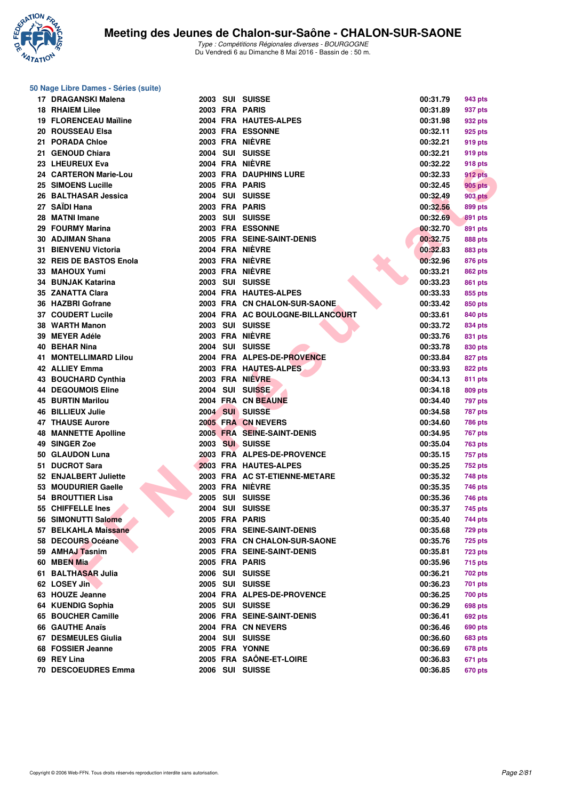

### **50 Nage Libre Dames - Séries (suite)**

|     | 17 DRAGANSKI Malena          |
|-----|------------------------------|
| 18  | <b>RHAIEM Lilee</b>          |
|     | 19 FLORENCEAU Maïline        |
|     | 20 ROUSSEAU Elsa             |
|     | 21 PORADA Chloe              |
|     | 21 GENOUD Chiara             |
|     | 23 LHEUREUX Eva              |
|     | 24 CARTERON Marie-Lou        |
|     | 25 SIMOENS Lucille           |
| 26  | <b>BALTHASAR Jessica</b>     |
|     | 27 SAIDI Hana                |
| 28  | <b>MATNI Imane</b>           |
|     | 29 FOURMY Marina             |
|     |                              |
|     | 30 ADJIMAN Shana             |
|     | 31 BIENVENU Victoria         |
|     | 32 REIS DE BASTOS Enola      |
|     | 33 MAHOUX Yumi               |
|     | 34 BUNJAK Katarina           |
|     | 35 ZANATTA Clara             |
|     | 36 HAZBRI Gofrane            |
|     | 37 COUDERT Lucile            |
|     | 38 WARTH Manon               |
|     | 39 MEYER Adéle               |
|     | 40 BEHAR Nina                |
|     | <b>41 MONTELLIMARD Lilou</b> |
|     | 42 ALLIEY Emma               |
|     | 43 BOUCHARD Cynthia          |
|     | <b>44 DEGOUMOIS Eline</b>    |
| 45  | <b>BURTIN Marilou</b>        |
|     | 46 BILLIEUX Julie            |
|     | 47 THAUSE Aurore             |
|     | <b>48 MANNETTE Apolline</b>  |
|     | 49 SINGER Zoe                |
|     | 50 GLAUDON Luna              |
|     |                              |
|     | 51 DUCROT Sara               |
|     | 52 ENJALBERT Juliette        |
|     | 53 MOUDURIER Gaelle          |
|     | 54 BROUTTIER Lisa            |
|     | 55 CHIFFELLE Ines            |
|     | 56 SIMONUTTI Salome          |
| 57  | <b>BELKAHLA Maissane</b>     |
| 58  | <b>DECOURS Océane</b>        |
| 59  | <b>AMHAJ Tasnim</b>          |
| 60  | <b>MBEN Mia</b>              |
| 61  | <b>BALTHASAR Julia</b>       |
| 62  | <b>LOSEY Jin</b>             |
| 63  | <b>HOUZE Jeanne</b>          |
| 64  | <b>KUENDIG Sophia</b>        |
| 65  | <b>BOUCHER Camille</b>       |
| 66  | <b>GAUTHE Anaïs</b>          |
| 67  | <b>DESMEULES Giulia</b>      |
|     | 68 FOSSIER Jeanne            |
|     | 69 REY Lina                  |
| 70. | DECOOLUDER EN                |

| 17 DRAGANSKI Malena          |  | 2003 SUI SUISSE                  | 00:31.79 | 943 pts        |
|------------------------------|--|----------------------------------|----------|----------------|
| <b>18 RHAIEM Lilee</b>       |  | 2003 FRA PARIS                   | 00:31.89 | 937 pts        |
| <b>19 FLORENCEAU Maïline</b> |  | 2004 FRA HAUTES-ALPES            | 00:31.98 | 932 pts        |
| 20 ROUSSEAU Elsa             |  | 2003 FRA ESSONNE                 | 00:32.11 | 925 pts        |
| 21 PORADA Chloe              |  | 2003 FRA NIÈVRE                  | 00:32.21 | 919 pts        |
| 21 GENOUD Chiara             |  | 2004 SUI SUISSE                  | 00:32.21 | 919 pts        |
| 23 LHEUREUX Eva              |  | 2004 FRA NIÈVRE                  | 00:32.22 | 918 pts        |
| 24 CARTERON Marie-Lou        |  | <b>2003 FRA DAUPHINS LURE</b>    | 00:32.33 | 912 pts        |
| 25 SIMOENS Lucille           |  | 2005 FRA PARIS                   | 00:32.45 | 905 pts        |
| 26 BALTHASAR Jessica         |  | 2004 SUI SUISSE                  | 00:32.49 | <b>903 pts</b> |
| 27   SAÏDI Hana              |  | 2003 FRA PARIS                   | 00:32.56 | 899 pts        |
| 28 MATNI Imane               |  | 2003 SUI SUISSE                  | 00:32.69 | 891 pts        |
| 29 FOURMY Marina             |  | 2003 FRA ESSONNE                 | 00:32.70 | 891 pts        |
| 30 ADJIMAN Shana             |  | 2005 FRA SEINE-SAINT-DENIS       | 00:32.75 | 888 pts        |
| 31 BIENVENU Victoria         |  | 2004 FRA NIÈVRE                  | 00:32.83 | 883 pts        |
| 32 REIS DE BASTOS Enola      |  | 2003 FRA NIÈVRE                  | 00:32.96 | 876 pts        |
| 33 MAHOUX Yumi               |  | 2003 FRA NIÈVRE                  | 00:33.21 | <b>862 pts</b> |
| 34 BUNJAK Katarina           |  | 2003 SUI SUISSE                  | 00:33.23 | 861 pts        |
| 35 ZANATTA Clara             |  | 2004 FRA HAUTES-ALPES            | 00:33.33 | 855 pts        |
| 36 HAZBRI Gofrane            |  | 2003 FRA CN CHALON-SUR-SAONE     | 00:33.42 | 850 pts        |
| 37 COUDERT Lucile            |  | 2004 FRA AC BOULOGNE-BILLANCOURT | 00:33.61 | 840 pts        |
| 38 WARTH Manon               |  | 2003 SUI SUISSE                  | 00:33.72 |                |
| 39 MEYER Adéle               |  | 2003 FRA NIÈVRE                  |          | 834 pts        |
| 40 BEHAR Nina                |  | 2004 SUI SUISSE                  | 00:33.76 | 831 pts        |
| <b>41 MONTELLIMARD Lilou</b> |  | 2004 FRA ALPES-DE-PROVENCE       | 00:33.78 | 830 pts        |
|                              |  |                                  | 00:33.84 | 827 pts        |
| 42 ALLIEY Emma               |  | 2003 FRA HAUTES-ALPES            | 00:33.93 | <b>822 pts</b> |
| 43 BOUCHARD Cynthia          |  | 2003 FRA NIEVRE                  | 00:34.13 | 811 pts        |
| <b>44 DEGOUMOIS Eline</b>    |  | 2004 SUI SUISSE                  | 00:34.18 | 809 pts        |
| 45 BURTIN Marilou            |  | 2004 FRA CN BEAUNE               | 00:34.40 | 797 pts        |
| 46 BILLIEUX Julie            |  | 2004 SUI SUISSE                  | 00:34.58 | 787 pts        |
| <b>47 THAUSE Aurore</b>      |  | 2005 FRA CN NEVERS               | 00:34.60 | <b>786 pts</b> |
| <b>48 MANNETTE Apolline</b>  |  | 2005 FRA SEINE-SAINT-DENIS       | 00:34.95 | 767 pts        |
| <b>49 SINGER Zoe</b>         |  | 2003 SUI SUISSE                  | 00:35.04 | 763 pts        |
| 50 GLAUDON Luna              |  | 2003 FRA ALPES-DE-PROVENCE       | 00:35.15 | 757 pts        |
| 51 DUCROT Sara               |  | 2003 FRA HAUTES-ALPES            | 00:35.25 | 752 pts        |
| 52 ENJALBERT Juliette        |  | 2003 FRA AC ST-ETIENNE-METARE    | 00:35.32 | 748 pts        |
| 53 MOUDURIER Gaelle          |  | 2003 FRA NIÈVRE                  | 00:35.35 | 746 pts        |
| 54 BROUTTIER Lisa            |  | 2005 SUI SUISSE                  | 00:35.36 | 746 pts        |
| 55 CHIFFELLE Ines            |  | 2004 SUI SUISSE                  | 00:35.37 | 745 pts        |
| 56 SIMONUTTI Salome          |  | <b>2005 FRA PARIS</b>            | 00:35.40 | 744 pts        |
| 57 BELKAHLA Maissane         |  | 2005 FRA SEINE-SAINT-DENIS       | 00:35.68 | <b>729 pts</b> |
| 58 DECOURS Océane            |  | 2003 FRA CN CHALON-SUR-SAONE     | 00:35.76 | <b>725 pts</b> |
| 59 AMHAJ Tasnim              |  | 2005 FRA SEINE-SAINT-DENIS       | 00:35.81 | <b>723 pts</b> |
| 60 MBEN Mia                  |  | 2005 FRA PARIS                   | 00:35.96 | 715 pts        |
| 61 BALTHASAR Julia           |  | 2006 SUI SUISSE                  | 00:36.21 | 702 pts        |
| 62 LOSEY Jin                 |  | 2005 SUI SUISSE                  | 00:36.23 | 701 pts        |
| 63 HOUZE Jeanne              |  | 2004 FRA ALPES-DE-PROVENCE       | 00:36.25 | <b>700 pts</b> |
| 64 KUENDIG Sophia            |  | 2005 SUI SUISSE                  | 00:36.29 | 698 pts        |
| 65 BOUCHER Camille           |  | 2006 FRA SEINE-SAINT-DENIS       | 00:36.41 | 692 pts        |
| 66 GAUTHE Anaïs              |  | 2004 FRA CN NEVERS               | 00:36.46 | 690 pts        |
| 67 DESMEULES Giulia          |  | 2004 SUI SUISSE                  | 00:36.60 | 683 pts        |
| 68 FOSSIER Jeanne            |  | 2005 FRA YONNE                   | 00:36.69 | 678 pts        |
| 69 REY Lina                  |  | 2005 FRA SAÔNE-ET-LOIRE          | 00:36.83 | 671 pts        |
| 70 DESCOEUDRES Emma          |  | 2006 SUI SUISSE                  | 00:36.85 | <b>670 pts</b> |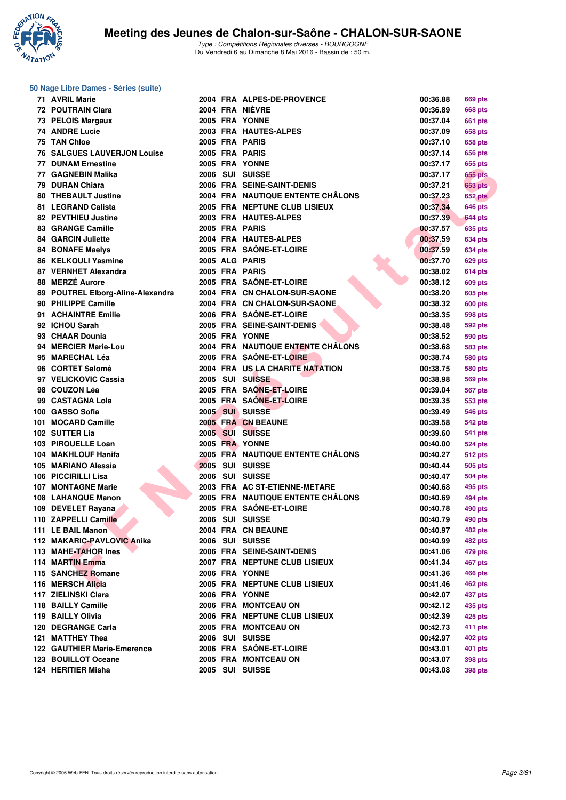

| 50 Nage Libre Dames - Séries (suite) |  |  |                                   |          |                |  |  |  |  |  |  |
|--------------------------------------|--|--|-----------------------------------|----------|----------------|--|--|--|--|--|--|
| 71 AVRIL Marie                       |  |  | 2004 FRA ALPES-DE-PROVENCE        | 00:36.88 | <b>669 pts</b> |  |  |  |  |  |  |
| <b>72 POUTRAIN Clara</b>             |  |  | 2004 FRA NIÈVRE                   | 00:36.89 | <b>668 pts</b> |  |  |  |  |  |  |
| 73 PELOIS Margaux                    |  |  | 2005 FRA YONNE                    | 00:37.04 | <b>661 pts</b> |  |  |  |  |  |  |
| 74 ANDRE Lucie                       |  |  | 2003 FRA HAUTES-ALPES             | 00:37.09 | 658 pts        |  |  |  |  |  |  |
| 75 TAN Chloe                         |  |  | 2005 FRA PARIS                    | 00:37.10 | 658 pts        |  |  |  |  |  |  |
| <b>76 SALGUES LAUVERJON Louise</b>   |  |  | 2005 FRA PARIS                    | 00:37.14 | 656 pts        |  |  |  |  |  |  |
| <b>77 DUNAM Ernestine</b>            |  |  | 2005 FRA YONNE                    | 00:37.17 | 655 pts        |  |  |  |  |  |  |
| 77 GAGNEBIN Malika                   |  |  | 2006 SUI SUISSE                   | 00:37.17 | 655 pts        |  |  |  |  |  |  |
| 79 DURAN Chiara                      |  |  | 2006 FRA SEINE-SAINT-DENIS        | 00:37.21 | <b>653 pts</b> |  |  |  |  |  |  |
| <b>80 THEBAULT Justine</b>           |  |  | 2004 FRA NAUTIQUE ENTENTE CHALONS | 00:37.23 | <b>652 pts</b> |  |  |  |  |  |  |
| 81 LEGRAND Calista                   |  |  | 2005 FRA NEPTUNE CLUB LISIEUX     | 00:37.34 | 646 pts        |  |  |  |  |  |  |
| 82 PEYTHIEU Justine                  |  |  | 2003 FRA HAUTES-ALPES             | 00:37.39 | <b>644 pts</b> |  |  |  |  |  |  |
| 83 GRANGE Camille                    |  |  | 2005 FRA PARIS                    | 00:37.57 | 635 pts        |  |  |  |  |  |  |
| <b>84 GARCIN Juliette</b>            |  |  | 2004 FRA HAUTES-ALPES             | 00:37.59 | <b>634 pts</b> |  |  |  |  |  |  |
| <b>84 BONAFE Maelys</b>              |  |  | 2005 FRA SAÔNE-ET-LOIRE           | 00:37.59 | <b>634 pts</b> |  |  |  |  |  |  |
| 86 KELKOULI Yasmine                  |  |  | 2005 ALG PARIS                    | 00:37.70 | <b>629 pts</b> |  |  |  |  |  |  |
| 87 VERNHET Alexandra                 |  |  | 2005 FRA PARIS                    | 00:38.02 | <b>614 pts</b> |  |  |  |  |  |  |
| 88 MERZÉ Aurore                      |  |  | 2005 FRA SAÖNE-ET-LOIRE           | 00:38.12 | <b>609 pts</b> |  |  |  |  |  |  |
| 89 POUTREL Elborg-Aline-Alexandra    |  |  | 2004 FRA CN CHALON-SUR-SAONE      | 00:38.20 | <b>605 pts</b> |  |  |  |  |  |  |
| 90 PHILIPPE Camille                  |  |  | 2004 FRA CN CHALON-SUR-SAONE      | 00:38.32 | <b>600 pts</b> |  |  |  |  |  |  |
| 91 ACHAINTRE Emilie                  |  |  | 2006 FRA SAÔNE-ET-LOIRE           | 00:38.35 | <b>598 pts</b> |  |  |  |  |  |  |
| 92 ICHOU Sarah                       |  |  | 2005 FRA SEINE-SAINT-DENIS        | 00:38.48 | 592 pts        |  |  |  |  |  |  |
| 93 CHAAR Dounia                      |  |  | 2005 FRA YONNE                    | 00:38.52 | 590 pts        |  |  |  |  |  |  |
| 94 MERCIER Marie-Lou                 |  |  | 2004 FRA NAUTIQUE ENTENTE CHÂLONS | 00:38.68 | 583 pts        |  |  |  |  |  |  |
| 95 MARECHAL Léa                      |  |  | 2006 FRA SAÔNE-ET-LOIRE           | 00:38.74 | <b>580 pts</b> |  |  |  |  |  |  |
| 96 CORTET Salomé                     |  |  | 2004 FRA US LA CHARITE NATATION   | 00:38.75 | <b>580 pts</b> |  |  |  |  |  |  |
| 97 VELICKOVIC Cassia                 |  |  | 2005 SUI SUISSE                   | 00:38.98 | <b>569 pts</b> |  |  |  |  |  |  |
| 98 COUZON Léa                        |  |  | 2005 FRA SAÔNE-ET-LOIRE           | 00:39.04 | <b>567 pts</b> |  |  |  |  |  |  |
| 99 CASTAGNA Lola                     |  |  | 2005 FRA SAÔNE-ET-LOIRE           | 00:39.35 | 553 pts        |  |  |  |  |  |  |
| 100 GASSO Sofia                      |  |  | 2005 SUI SUISSE                   | 00:39.49 | <b>546 pts</b> |  |  |  |  |  |  |
| 101 MOCARD Camille                   |  |  | 2005 FRA CN BEAUNE                | 00:39.58 | <b>542 pts</b> |  |  |  |  |  |  |
| 102 SUTTER Lia                       |  |  | 2005 SUI SUISSE                   | 00:39.60 | <b>541 pts</b> |  |  |  |  |  |  |
| 103 PIROUELLE Loan                   |  |  | 2005 FRA YONNE                    | 00:40.00 | <b>524 pts</b> |  |  |  |  |  |  |
| 104 MAKHLOUF Hanifa                  |  |  | 2005 FRA NAUTIQUE ENTENTE CHÂLONS | 00:40.27 | <b>512 pts</b> |  |  |  |  |  |  |
| 105 MARIANO Alessia                  |  |  | 2005 SUI SUISSE                   | 00:40.44 | <b>505 pts</b> |  |  |  |  |  |  |
| 106 PICCIRILLI Lisa                  |  |  | 2006 SUI SUISSE                   | 00:40.47 | <b>504 pts</b> |  |  |  |  |  |  |
| <b>107 MONTAGNE Marie</b>            |  |  | 2003 FRA AC ST-ETIENNE-METARE     | 00:40.68 | 495 pts        |  |  |  |  |  |  |
| 108 LAHANQUE Manon                   |  |  | 2005 FRA NAUTIQUE ENTENTE CHÂLONS | 00:40.69 | 494 pts        |  |  |  |  |  |  |
| 109 DEVELET Rayana                   |  |  | 2005 FRA SAÔNE-ET-LOIRE           | 00:40.78 | 490 pts        |  |  |  |  |  |  |
| 110 ZAPPELLI Camille                 |  |  | 2006 SUI SUISSE                   | 00:40.79 | 490 pts        |  |  |  |  |  |  |
| 111 LE BAIL Manon                    |  |  | 2004 FRA CN BEAUNE                | 00:40.97 | 482 pts        |  |  |  |  |  |  |
| 112 MAKARIC-PAVLOVIC Anika           |  |  | 2006 SUI SUISSE                   | 00:40.99 | 482 pts        |  |  |  |  |  |  |
| 113 MAHE-TAHOR Ines                  |  |  | 2006 FRA SEINE-SAINT-DENIS        | 00:41.06 | 479 pts        |  |  |  |  |  |  |
| 114 MARTIN Emma                      |  |  | 2007 FRA NEPTUNE CLUB LISIEUX     | 00:41.34 | 467 pts        |  |  |  |  |  |  |
| 115 SANCHEZ Romane                   |  |  | 2006 FRA YONNE                    | 00:41.36 | <b>466 pts</b> |  |  |  |  |  |  |
| 116 MERSCH Alicia                    |  |  | 2005 FRA NEPTUNE CLUB LISIEUX     | 00:41.46 | 462 pts        |  |  |  |  |  |  |
| 117 ZIELINSKI Clara                  |  |  | 2006 FRA YONNE                    | 00:42.07 | 437 pts        |  |  |  |  |  |  |
| 118 BAILLY Camille                   |  |  | 2006 FRA MONTCEAU ON              | 00:42.12 | 435 pts        |  |  |  |  |  |  |
| 119 BAILLY Olivia                    |  |  | 2006 FRA NEPTUNE CLUB LISIEUX     | 00:42.39 | 425 pts        |  |  |  |  |  |  |
| 120 DEGRANGE Carla                   |  |  | 2005 FRA MONTCEAU ON              | 00:42.73 | 411 pts        |  |  |  |  |  |  |
| 121 MATTHEY Thea                     |  |  | 2006 SUI SUISSE                   | 00:42.97 | <b>402 pts</b> |  |  |  |  |  |  |
| <b>122 GAUTHIER Marie-Emerence</b>   |  |  | 2006 FRA SAÔNE-ET-LOIRE           | 00:43.01 | 401 pts        |  |  |  |  |  |  |
| 123 BOUILLOT Oceane                  |  |  | 2005 FRA MONTCEAU ON              | 00:43.07 | <b>398 pts</b> |  |  |  |  |  |  |
| 124 HERITIER Misha                   |  |  | 2005 SUI SUISSE                   | 00:43.08 | <b>398 pts</b> |  |  |  |  |  |  |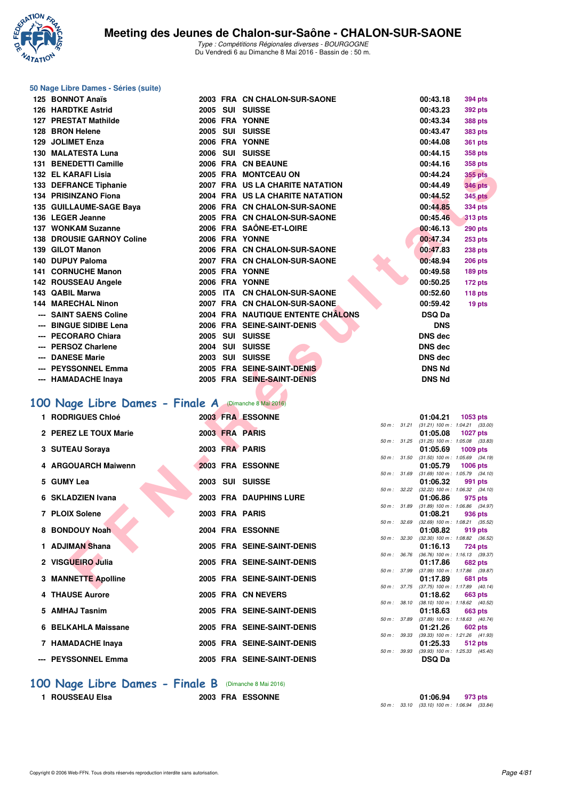

### **50 Nage Libre Dames - Séries (suite)**

| 125 BONNOT Anaïs                                      |  | 2003 FRA CN CHALON-SUR-SAONE                            |              | 00:43.18                                   | 394 pts                                                |
|-------------------------------------------------------|--|---------------------------------------------------------|--------------|--------------------------------------------|--------------------------------------------------------|
| <b>126 HARDTKE Astrid</b>                             |  | 2005 SUI SUISSE                                         |              | 00:43.23                                   | 392 pts                                                |
| 127 PRESTAT Mathilde                                  |  | 2006 FRA YONNE                                          |              | 00:43.34                                   | 388 pts                                                |
| 128 BRON Helene                                       |  | 2005 SUI SUISSE                                         |              | 00:43.47                                   | <b>383 pts</b>                                         |
| 129 JOLIMET Enza                                      |  | 2006 FRA YONNE                                          |              | 00:44.08                                   | 361 pts                                                |
| 130 MALATESTA Luna                                    |  | 2006 SUI SUISSE                                         |              | 00:44.15                                   | 358 pts                                                |
| 131 BENEDETTI Camille                                 |  | 2006 FRA CN BEAUNE                                      |              | 00:44.16                                   | 358 pts                                                |
| 132 EL KARAFI Lisia                                   |  | 2005 FRA MONTCEAU ON                                    |              | 00:44.24                                   | <b>355 pts</b>                                         |
| 133 DEFRANCE Tiphanie                                 |  | 2007 FRA US LA CHARITE NATATION                         |              | 00:44.49                                   | <b>346 pts</b>                                         |
| 134 PRISINZANO Fiona                                  |  | 2004 FRA US LA CHARITE NATATION                         |              | 00:44.52                                   | <b>345 pts</b>                                         |
| 135 GUILLAUME-SAGE Baya                               |  | 2006 FRA CN CHALON-SUR-SAONE                            |              | 00:44.85                                   | 334 pts                                                |
| 136 LEGER Jeanne<br>137 WONKAM Suzanne                |  | 2005 FRA CN CHALON-SUR-SAONE<br>2006 FRA SAÖNE-ET-LOIRE |              | 00:45.46                                   | <b>313 pts</b>                                         |
| <b>138 DROUSIE GARNOY Coline</b>                      |  | 2006 FRA YONNE                                          |              | 00:46.13<br>00:47.34                       | <b>290 pts</b>                                         |
| 139 GILOT Manon                                       |  | 2006 FRA CN CHALON-SUR-SAONE                            |              | 00:47.83                                   | 253 pts<br>238 pts                                     |
| 140 DUPUY Paloma                                      |  | 2007 FRA CN CHALON-SUR-SAONE                            |              | 00:48.94                                   | <b>206 pts</b>                                         |
| 141 CORNUCHE Manon                                    |  | 2005 FRA YONNE                                          |              | 00:49.58                                   | 189 pts                                                |
| 142 ROUSSEAU Angele                                   |  | 2006 FRA YONNE                                          |              | 00:50.25                                   | 172 pts                                                |
| 143 QABIL Marwa                                       |  | 2005 ITA CN CHALON-SUR-SAONE                            |              | 00:52.60                                   | 118 pts                                                |
| <b>144 MARECHAL Ninon</b>                             |  | 2007 FRA CN CHALON-SUR-SAONE                            |              | 00:59.42                                   | 19 pts                                                 |
| --- SAINT SAENS Coline                                |  | 2004 FRA NAUTIQUE ENTENTE CHALONS                       |              | <b>DSQ Da</b>                              |                                                        |
| --- BINGUE SIDIBE Lena                                |  | 2006 FRA SEINE-SAINT-DENIS                              |              | <b>DNS</b>                                 |                                                        |
| --- PECORARO Chiara                                   |  | 2005 SUI SUISSE                                         |              | <b>DNS</b> dec                             |                                                        |
| --- PERSOZ Charlene                                   |  | 2004 SUI SUISSE                                         |              | <b>DNS dec</b>                             |                                                        |
| --- DANESE Marie                                      |  | 2003 SUI SUISSE                                         |              | <b>DNS dec</b>                             |                                                        |
| --- PEYSSONNEL Emma                                   |  | 2005 FRA SEINE-SAINT-DENIS                              |              | <b>DNS Nd</b>                              |                                                        |
| --- HAMADACHE Inaya                                   |  | 2005 FRA SEINE-SAINT-DENIS                              |              | <b>DNS Nd</b>                              |                                                        |
|                                                       |  |                                                         |              |                                            |                                                        |
| 100 Nage Libre Dames - Finale A (Dimanche 8 Mai 2016) |  |                                                         |              |                                            |                                                        |
| 1 RODRIGUES Chloé                                     |  | 2003 FRA ESSONNE                                        |              | 01:04.21                                   | 1053 pts                                               |
| 2 PEREZ LE TOUX Marie                                 |  | 2003 FRA PARIS                                          | 50 m: 31.21  | 01:05.08                                   | $(31.21)$ 100 m : 1:04.21 $(33.00)$<br><b>1027 pts</b> |
|                                                       |  |                                                         |              | 50 m: 31.25 (31.25) 100 m: 1:05.08 (33.83) |                                                        |
| 3 SUTEAU Soraya                                       |  | 2003 FRA PARIS                                          |              | 01:05.69                                   | 1009 pts                                               |
| 4 ARGOUARCH Maiwenn                                   |  | 2003 FRA ESSONNE                                        | 50 m: 31.50  | 01:05.79                                   | $(31.50)$ 100 m : 1:05.69 $(34.19)$<br>1006 pts        |
|                                                       |  |                                                         | 50 m : 31.69 |                                            | $(31.69)$ 100 m : 1:05.79 $(34.10)$                    |
| 5 GUMY Lea                                            |  | 2003 SUI SUISSE                                         |              | 01:06.32                                   | 991 pts                                                |
| 6 SKLADZIEN Ivana                                     |  | 2003 FRA DAUPHINS LURE                                  | 50 m: 32.22  | 01:06.86                                   | $(32.22)$ 100 m : 1:06.32 $(34.10)$<br>975 pts         |
|                                                       |  |                                                         | 50 m : 31.89 |                                            | $(31.89)$ 100 m : 1:06.86 $(34.97)$                    |
| 7 PLOIX Solene                                        |  | 2003 FRA PARIS                                          | 50 m: 32.69  | 01:08.21                                   | 936 pts<br>$(32.69)$ 100 m : 1:08.21 $(35.52)$         |
| 8 BONDOUY Noah                                        |  | 2004 FRA ESSONNE                                        |              | 01:08.82                                   | 919 pts                                                |
|                                                       |  |                                                         | 50 m : 32.30 |                                            | $(32.30)$ 100 m : 1:08.82 $(36.52)$                    |
| 1 ADJIMAN Shana                                       |  | 2005 FRA SEINE-SAINT-DENIS                              | 50 m : 36.76 | 01:16.13                                   | <b>724 pts</b><br>$(36.76)$ 100 m : 1:16.13 $(39.37)$  |
| 2 VISGUEIRO Julia                                     |  | 2005 FRA SEINE-SAINT-DENIS                              |              | 01:17.86                                   | <b>682 pts</b>                                         |
| 3 MANNETTE Apolline                                   |  | 2005 FRA SEINE-SAINT-DENIS                              | 50 m : 37.99 | 01:17.89                                   | (37.99) 100 m: 1:17.86 (39.87)<br><b>681 pts</b>       |
|                                                       |  |                                                         |              | 50 m: 37.75 (37.75) 100 m: 1:17.89 (40.14) |                                                        |

## **[100 Nage Libre Dames - Finale A](http://www.ffnatation.fr/webffn/resultats.php?idact=nat&go=epr&idcpt=38881&idepr=2)** (Dimanche 8 Mai 2016)

| 1 RODRIGUES Chloé     |  | 2003 FRA ESSONNE           |              | 01:04.21                                            | 1053 pts       |  |
|-----------------------|--|----------------------------|--------------|-----------------------------------------------------|----------------|--|
|                       |  |                            |              | 50 m: 31.21 (31.21) 100 m: 1:04.21 (33.             |                |  |
| 2 PEREZ LE TOUX Marie |  | 2003 FRA PARIS             |              | 01:05.08<br>50 m: 31.25 (31.25) 100 m: 1:05.08 (33. | 1027 pts       |  |
| 3 SUTEAU Soraya       |  | 2003 FRA PARIS             |              | 01:05.69 1009 pts                                   |                |  |
|                       |  |                            |              | 50 m: 31.50 (31.50) 100 m: 1:05.69 (34.             |                |  |
| 4 ARGOUARCH Maiwenn   |  | 2003 FRA ESSONNE           |              | 01:05.79 1006 pts                                   |                |  |
|                       |  |                            | 50 m: 31.69  | $(31.69)$ 100 m : 1:05.79 (34.                      |                |  |
| 5 GUMY Lea            |  | 2003 SUI SUISSE            |              | 01:06.32                                            | 991 pts        |  |
|                       |  |                            |              | 50 m : 32.22 (32.22) 100 m : 1:06.32 (34.           |                |  |
| 6 SKLADZIEN Ivana     |  | 2003 FRA DAUPHINS LURE     |              | 01:06.86                                            | 975 pts        |  |
|                       |  |                            |              | 50 m : 31.89 (31.89) 100 m : 1:06.86 (34.           |                |  |
| 7 PLOIX Solene        |  | 2003 FRA PARIS             |              | 01:08.21                                            | 936 pts        |  |
| 8 BONDOUY Noah        |  | 2004 FRA ESSONNE           | 50 m : 32.69 | $(32.69)$ 100 m : 1:08.21 (35.<br>01:08.82          |                |  |
|                       |  |                            |              | 50 m : 32.30 (32.30) 100 m : 1:08.82 (36.           | 919 pts        |  |
| 1 ADJIMAN Shana       |  | 2005 FRA SEINE-SAINT-DENIS |              | 01:16.13 724 pts                                    |                |  |
|                       |  |                            | 50 m : 36.76 | $(36.76)$ 100 m : 1:16.13 (39.                      |                |  |
| 2 VISGUEIRO Julia     |  | 2005 FRA SEINE-SAINT-DENIS |              | 01:17.86                                            | <b>682 pts</b> |  |
|                       |  |                            |              | 50 m: 37.99 (37.99) 100 m: 1:17.86 (39.             |                |  |
| 3 MANNETTE Apolline   |  | 2005 FRA SEINE-SAINT-DENIS |              | 01:17.89                                            | 681 pts        |  |
|                       |  |                            |              | 50 m: 37.75 (37.75) 100 m: 1:17.89 (40.             |                |  |
| 4 THAUSE Aurore       |  | 2005 FRA CN NEVERS         |              | 01:18.62                                            | <b>663 pts</b> |  |
|                       |  |                            | 50 m : 38.10 | $(38.10)$ 100 m : 1:18.62 (40.                      |                |  |
| 5 AMHAJ Tasnim        |  | 2005 FRA SEINE-SAINT-DENIS | 50 m : 37.89 | 01:18.63                                            | 663 pts        |  |
| 6 BELKAHLA Maissane   |  | 2005 FRA SEINE-SAINT-DENIS |              | $(37.89)$ 100 m : 1:18.63 (40.<br>01:21.26          | 602 pts        |  |
|                       |  |                            | 50 m: 39.33  | $(39.33)$ 100 m : 1:21.26 (41.                      |                |  |
| 7 HAMADACHE Inaya     |  | 2005 FRA SEINE-SAINT-DENIS |              | 01:25.33                                            | <b>512 pts</b> |  |
|                       |  |                            | 50 m: 39.93  | (39.93) 100 m: 1:25.33 (45.                         |                |  |
| --- PEYSSONNEL Emma   |  | 2005 FRA SEINE-SAINT-DENIS |              | <b>DSQ Da</b>                                       |                |  |
|                       |  |                            |              |                                                     |                |  |

|              | 50 m: 31.21  | $(31.21)$ 100 m :              | $1:04.21$ $(33.00)$ |         |
|--------------|--------------|--------------------------------|---------------------|---------|
|              |              | 01:05.08                       | 1027 pts            |         |
|              | 50 m : 31.25 | $(31.25)$ 100 m :              | 1:05.08 (33.83)     |         |
|              |              | 01:05.69                       | $1009$ pts          |         |
| 50 m: 31.50  |              | $(31.50)$ 100 m :              | 1:05.69 (34.19)     |         |
|              |              | 01:05.79                       | 1006 pts            |         |
|              | 50 m : 31.69 | $(31.69) 100 m$ :              | $1:05.79$ $(34.10)$ |         |
|              |              | 01:06.32                       | 991 pts             |         |
| 50 m: 32.22  |              | $(32.22)$ 100 m :              | $1:06.32$ $(34.10)$ |         |
|              |              | 01:06.86                       |                     | 975 pts |
| 50 m: 31.89  |              | $(31.89) 100 m$ :              | 1:06.86 (34.97)     |         |
|              |              | 01:08.21                       | 936 pts             |         |
| 50 m : 32.69 |              | $(32.69)$ 100 m :              | 1:08.21 (35.52)     |         |
|              |              | 01:08.82                       | 919 pts             |         |
| 50 m : 32.30 |              | $(32.30)$ 100 m :              | 1:08.82 (36.52)     |         |
|              |              | 01:16.13                       | 724 pts             |         |
| 50 m : 36.76 |              | $(36.76)$ 100 m :              | $1:16.13$ (39.37)   |         |
|              |              | 01:17.86                       | 682 pts             |         |
| 50 m: 37.99  |              | $(37.99) 100 m$ :              | 1:17.86 (39.87)     |         |
|              |              | 01:17.89                       | 681 pts             |         |
|              | 50 m: 37.75  | $(37.75)$ 100 m :              | $1:17.89$ $(40.14)$ |         |
|              |              | 01:18.62                       | 663 pts             |         |
|              | 50 m: 38.10  | $(38.10) 100 m$ :              | $1:18.62$ $(40.52)$ |         |
|              |              | 01:18.63                       | 663 pts             |         |
|              | 50 m : 37.89 | $(37.89)$ 100 m :              | $1:18.63$ $(40.74)$ |         |
|              |              | 01:21.26                       |                     | 602 pts |
|              | 50 m: 39.33  | $(39.33) 100 m$ :              | 1:21.26 (41.93)     |         |
|              |              | 01:25.33                       | 512 pts             |         |
|              | 50 m : 39.93 | (39.93) 100 m: 1:25.33 (45.40) |                     |         |
|              |              |                                |                     |         |

### **[100 Nage Libre Dames - Finale B](http://www.ffnatation.fr/webffn/resultats.php?idact=nat&go=epr&idcpt=38881&idepr=2)** (Dimanche 8 Mai 2016)

**1 ROUSSEAU Elsa 2003 FRA ESSONNE 01:06.94 973 pts** 50 m : 33.10 (33.10) 100 m : 1:06.94 (33.84)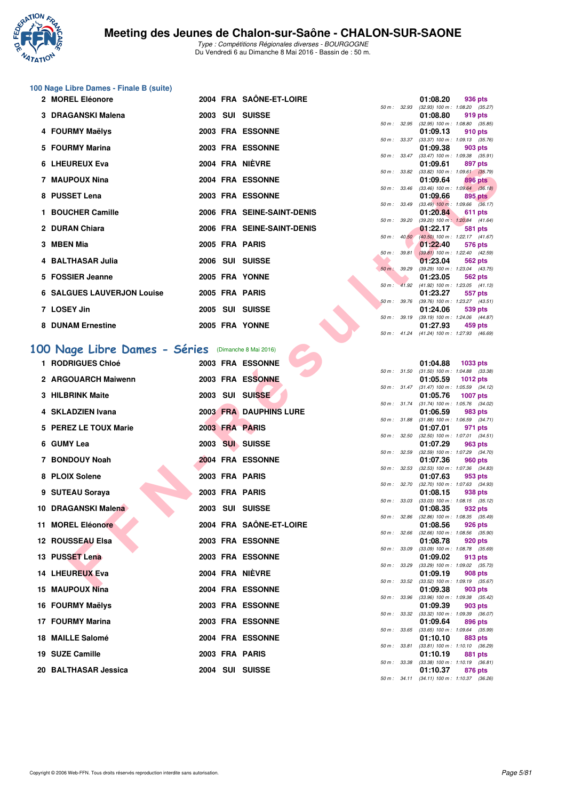

# **100 Nage Libre Dames - Finale B (suite)**

| 2 MOREL Eléonore                  |  | <b>2004 FRA SAÔNE-ET-LOIRE</b> |                        | 01:08.20<br>936 pts                                              |
|-----------------------------------|--|--------------------------------|------------------------|------------------------------------------------------------------|
|                                   |  |                                | 50 m: 32.93            | $(32.93)$ 100 m : 1:08.20 (35.                                   |
| 3 DRAGANSKI Malena                |  | 2003 SUI SUISSE                |                        | 01:08.80<br>919 pts<br>50 m : 32.95 (32.95) 100 m : 1:08.80 (35. |
| 4 FOURMY Maëlys                   |  | 2003 FRA ESSONNE               |                        | 01:09.13<br>910 pts                                              |
|                                   |  |                                |                        | 50 m: 33.37 (33.37) 100 m: 1:09.13 (35.                          |
| 5 FOURMY Marina                   |  | 2003 FRA ESSONNE               |                        | 01:09.38 903 pts                                                 |
|                                   |  |                                |                        | 50 m: 33.47 (33.47) 100 m: 1:09.38 (35.                          |
| 6 LHEUREUX Eva                    |  | 2004 FRA NIÈVRE                |                        | 01:09.61 897 pts                                                 |
|                                   |  |                                |                        | 50 m: 33.82 (33.82) 100 m: 1:09.61 (35.                          |
| 7 MAUPOUX Nina                    |  | 2004 FRA ESSONNE               |                        | 01:09.64 896 pts                                                 |
|                                   |  |                                |                        | 50 m : 33.46 (33.46) 100 m : 1:09.64 (36.                        |
| 8 PUSSET Lena                     |  | 2003 FRA ESSONNE               |                        | 01:09.66 895 pts                                                 |
|                                   |  |                                |                        | 50 m: 33.49 (33.49) 100 m: 1:09.66 (36.                          |
| 1 BOUCHER Camille                 |  | 2006 FRA SEINE-SAINT-DENIS     |                        | 01:20.84 611 pts                                                 |
|                                   |  |                                |                        | 50 m: 39.20 (39.20) 100 m: 1:20.84 (41.                          |
| 2 DURAN Chiara                    |  | 2006 FRA SEINE-SAINT-DENIS     |                        | 01:22.17<br>581 pts                                              |
|                                   |  |                                |                        | 50 m: 40.50 (40.50) 100 m: 1:22.17 (41.                          |
| 3 MBEN Mia                        |  | 2005 FRA PARIS                 |                        | 01:22.40<br>576 pts                                              |
| 4 BALTHASAR Julia                 |  | 2006 SUI SUISSE                | 50 m: 39.81            | $(39.81)$ 100 m : 1:22.40 (42.<br>01:23.04                       |
|                                   |  |                                | $50 \text{ m}$ : 39.29 | 562 pts<br>$(39.29)$ 100 m : 1:23.04 (43.                        |
| 5 FOSSIER Jeanne                  |  | 2005 FRA YONNE                 |                        | 01:23.05 562 pts                                                 |
|                                   |  |                                |                        | 50 m: 41.92 (41.92) 100 m: 1:23.05 (41.                          |
| <b>6 SALGUES LAUVERJON Louise</b> |  | <b>2005 FRA PARIS</b>          |                        | 01:23.27<br>557 pts                                              |
|                                   |  |                                | 50 m: 39.76            | $(39.76)$ 100 m : 1:23.27 (43.                                   |
| 7 LOSEY Jin                       |  | 2005 SUI SUISSE                |                        | 01:24.06<br>539 pts                                              |
|                                   |  |                                | $50 m$ : $39.19$       | $(39.19)$ 100 m : 1:24.06 $(44.1)$                               |
| 8 DUNAM Ernestine                 |  | 2005 FRA YONNE                 |                        | 01:27.93<br>459 pts                                              |
|                                   |  |                                |                        |                                                                  |

## **[100 Nage Libre Dames - Séries](http://www.ffnatation.fr/webffn/resultats.php?idact=nat&go=epr&idcpt=38881&idepr=2)** (Dimanche 8 Mai 2016)

| -IIEUNEUA EVA                                                           |  | ZUVT FRA INEVRE               |              |                  | 01. UJ. U I                                            | <b>OSI</b> PIS  |  |
|-------------------------------------------------------------------------|--|-------------------------------|--------------|------------------|--------------------------------------------------------|-----------------|--|
| 7 MAUPOUX Nina                                                          |  | <b>2004 FRA ESSONNE</b>       |              |                  | 50 m: 33.82 (33.82) 100 m: 1:09.61 (35.79)<br>01:09.64 | 896 pts         |  |
| 8 PUSSET Lena                                                           |  | <b>2003 FRA ESSONNE</b>       |              | 50 m : 33.46     | $(33.46)$ 100 m : 1:09.64 $(36.18)$<br>01:09.66        | 895 pts         |  |
| 1 BOUCHER Camille                                                       |  | 2006 FRA SEINE-SAINT-DENIS    | 50 m : 33.49 |                  | $(33.49)$ 100 m : 1:09.66 $(36.17)$<br>01:20.84        | 611 pts         |  |
|                                                                         |  |                               | 50 m : 39.20 |                  | (39.20) 100 m: 1:20.84 (41.64)                         |                 |  |
| 2 DURAN Chiara                                                          |  | 2006 FRA SEINE-SAINT-DENIS    |              | $50 m$ : $40.50$ | 01:22.17<br>$(40.50)$ 100 m : 1:22.17 $(41.67)$        | 581 pts         |  |
| 3 MBEN Mia                                                              |  | 2005 FRA PARIS                |              | 50 m: 39.81      | 01:22.40<br>$(39.81)$ 100 m : 1:22.40 $(42.59)$        | 576 pts         |  |
| 4 BALTHASAR Julia                                                       |  | 2006 SUI SUISSE               |              |                  | 01:23.04                                               | 562 pts         |  |
| 5 FOSSIER Jeanne                                                        |  | 2005 FRA YONNE                | 50 m: 39.29  |                  | (39.29) 100 m: 1:23.04 (43.75)<br>01:23.05             | 562 pts         |  |
| <b>6 SALGUES LAUVERJON Louise</b>                                       |  | 2005 FRA PARIS                |              |                  | 50 m: 41.92 (41.92) 100 m: 1:23.05 (41.13)<br>01:23.27 | 557 pts         |  |
| 7 LOSEY Jin                                                             |  | 2005 SUI SUISSE               |              |                  | 50 m: 39.76 (39.76) 100 m: 1:23.27 (43.51)<br>01:24.06 | 539 pts         |  |
|                                                                         |  |                               |              | 50 m : 39.19     | $(39.19)$ 100 m : 1:24.06 $(44.87)$                    |                 |  |
| 8 DUNAM Ernestine                                                       |  | 2005 FRA YONNE                |              | 50 m : 41.24     | 01:27.93<br>(41.24) 100 m: 1:27.93 (46.69)             | 459 pts         |  |
|                                                                         |  |                               |              |                  |                                                        |                 |  |
| 00 Nage Libre Dames - Séries (Dimanche 8 Mai 2016)<br>1 RODRIGUES Chloé |  | 2003 FRA ESSONNE              |              |                  | 01:04.88                                               |                 |  |
|                                                                         |  |                               |              |                  | 50 m: 31.50 (31.50) 100 m: 1:04.88 (33.38)             | 1033 pts        |  |
| 2 ARGOUARCH Maiwenn                                                     |  | 2003 FRA ESSONNE              |              |                  | 01:05.59<br>50 m: 31.47 (31.47) 100 m: 1:05.59 (34.12) | <b>1012 pts</b> |  |
| 3 HILBRINK Maite                                                        |  | 2003 SUI SUISSE               |              |                  | 01:05.76                                               | <b>1007 pts</b> |  |
| 4 SKLADZIEN Ivana                                                       |  | <b>2003 FRA DAUPHINS LURE</b> | 50 m: 31.74  |                  | (31.74) 100 m: 1:05.76 (34.02)<br>01:06.59             | 983 pts         |  |
| 5 PEREZ LE TOUX Marie                                                   |  | 2003 FRA PARIS                | 50 m : 31.88 |                  | $(31.88)$ 100 m : 1:06.59 $(34.71)$                    |                 |  |
|                                                                         |  |                               | 50 m : 32.50 |                  | 01:07.01<br>$(32.50)$ 100 m : 1:07.01 $(34.51)$        | 971 pts         |  |
| 6 GUMY Lea                                                              |  | 2003 SUI SUISSE               |              | 50 m : 32.59     | 01:07.29<br>(32.59) 100 m: 1:07.29 (34.70)             | 963 pts         |  |
| 7 BONDOUY Noah                                                          |  | <b>2004 FRA ESSONNE</b>       |              |                  | 01:07.36                                               | 960 pts         |  |
| 8 PLOIX Solene                                                          |  | 2003 FRA PARIS                |              | 50 m : 32.53     | $(32.53)$ 100 m : 1:07.36 $(34.83)$<br>01:07.63        | 953 pts         |  |
| 9 SUTEAU Soraya                                                         |  | 2003 FRA PARIS                | 50 m : 32.70 |                  | (32.70) 100 m : 1:07.63 (34.93)<br>01:08.15            | 938 pts         |  |
|                                                                         |  |                               |              | 50 m : 33.03     | $(33.03)$ 100 m : 1:08.15 $(35.12)$                    |                 |  |
| 10 DRAGANSKI Malena                                                     |  | 2003 SUI SUISSE               | 50 m : 32.86 |                  | 01:08.35<br>(32.86) 100 m : 1:08.35 (35.49)            | 932 pts         |  |
| 11 MOREL Eléonore                                                       |  | 2004 FRA SAÔNE-ET-LOIRE       |              |                  | 01:08.56                                               | 926 pts         |  |
| 12 ROUSSEAU Elsa                                                        |  | 2003 FRA ESSONNE              | 50 m : 32.66 |                  | $(32.66)$ 100 m : 1:08.56 $(35.90)$<br>01:08.78        | 920 pts         |  |
| 13 PUSSET Lena                                                          |  | 2003 FRA ESSONNE              |              |                  | 50 m: 33.09 (33.09) 100 m: 1:08.78 (35.69)<br>01:09.02 | 913 pts         |  |
|                                                                         |  |                               |              | 50 m : 33.29     | $(33.29)$ 100 m : 1:09.02 $(35.73)$                    |                 |  |
| 14 LHEUREUX Eva                                                         |  | 2004 FRA NIÈVRE               |              |                  | 01:09.19<br>50 m: 33.52 (33.52) 100 m: 1:09.19 (35.67) | 908 pts         |  |
| 15 MAUPOUX Nina                                                         |  | 2004 FRA ESSONNE              |              |                  | 01:09.38                                               | 903 pts         |  |
| 16 FOURMY Maëlys                                                        |  | 2003 FRA ESSONNE              |              |                  | 50 m: 33.96 (33.96) 100 m: 1:09.38 (35.42)<br>01:09.39 | 903 pts         |  |
| 17 FOURMY Marina                                                        |  | 2003 FRA ESSONNE              |              |                  | 50 m: 33.32 (33.32) 100 m: 1:09.39 (36.07)<br>01:09.64 | 896 pts         |  |
|                                                                         |  |                               |              |                  | 50 m : 33.65 (33.65) 100 m : 1:09.64 (35.99)           |                 |  |
| 18 MAILLE Salomé                                                        |  | 2004 FRA ESSONNE              |              |                  | 01:10.10<br>50 m: 33.81 (33.81) 100 m: 1:10.10 (36.29) | 883 pts         |  |
| 19 SUZE Camille                                                         |  | 2003 FRA PARIS                |              |                  | 01:10.19                                               | 881 pts         |  |
| 20 BALTHASAR Jessica                                                    |  | 2004 SUI SUISSE               |              |                  | 50 m: 33.38 (33.38) 100 m: 1:10.19 (36.81)<br>01:10.37 | 876 pts         |  |

|                  |       | 01:08.20          | 936 pts             |
|------------------|-------|-------------------|---------------------|
| 50 m: 32.93      |       | $(32.93)$ 100 m : | 1:08.20 (35.27)     |
|                  |       | 01:08.80          | 919 pts             |
| 50 m: 32.95      |       | $(32.95)$ 100 m : | 1:08.80 (35.85)     |
|                  |       | 01:09.13          | 910 pts             |
| 50 m :           | 33.37 | $(33.37) 100 m$ : | 1:09.13 (35.76)     |
|                  |       | 01:09.38          | <b>903 pts</b>      |
| $50 m$ :         | 33.47 | $(33.47)$ 100 m : | 1:09.38 (35.91)     |
|                  |       | 01:09.61          | 897 pts             |
| 50 m :           | 33.82 | $(33.82)$ 100 m : | $1:09.61$ $(35.79)$ |
|                  |       | 01:09.64          | <b>896 pts</b>      |
| 50 m :           | 33.46 | $(33.46)$ 100 m : | $1:09.64$ $(36.18)$ |
|                  |       | 01:09.66          | 895 pts             |
| 50 m :           | 33.49 | $(33.49)$ 100 m : | 1:09.66 (36.17)     |
|                  |       | 01:20.84          | 611 pts             |
| 50 m :           | 39.20 | $(39.20)$ 100 m:  | $1:20.84$ $(41.64)$ |
|                  |       | 01:22.17          | 581 pts             |
| $50 m$ : $40.50$ |       | $(40.50)$ 100 m : | 1:22.17 (41.67)     |
|                  |       | 01:22.40          | 576 pts             |
| 50 m :           | 39.81 | $(39.81)$ 100 m : | 1:22.40 (42.59)     |
|                  |       | 01:23.04          | <b>562 pts</b>      |
| $50 m$ :         | 39.29 | $(39.29)$ 100 m : | 1:23.04 (43.75)     |
|                  |       | 01:23.05          | 562 pts             |
| 50 m:            | 41.92 | $(41.92) 100 m$ : | $1:23.05$ $(41.13)$ |
|                  |       | 01:23.27          | <b>557 pts</b>      |
| $50 m$ :         | 39.76 | $(39.76) 100 m$ : | 1:23.27 (43.51)     |
|                  |       | 01:24.06          | 539 pts             |
| 50 m :           | 39.19 | $(39.19) 100 m$ : | 1:24.06 (44.87)     |
|                  |       | 01:27.93          | 459 pts             |
| $50 m$ : 41.24   |       | $(41.24) 100 m$ : | 1:27.93 (46.69)     |

|          |       | 01:04.88          | 1033 pts            |
|----------|-------|-------------------|---------------------|
| 50 m :   | 31.50 | $(31.50) 100 m$ : | (33.38)<br>1:04.88  |
|          |       | 01:05.59          | <b>1012 pts</b>     |
| $50 m$ : | 31.47 | $(31.47) 100 m$ : | (34.12)<br>1:05.59  |
|          |       | 01:05.76          | <b>1007 pts</b>     |
| $50 m$ : | 31.74 | $(31.74) 100 m$ : | 1:05.76 (34.02)     |
|          |       | 01:06.59          | 983 pts             |
| $50 m$ : | 31.88 | $(31.88) 100 m$ : | $1:06.59$ $(34.71)$ |
|          |       | 01:07.01          | 971 pts             |
| $50 m$ : | 32.50 | $(32.50)$ 100 m : | 1:07.01<br>(34.51)  |
|          |       | 01:07.29          | 963 pts             |
| 50 m:    | 32.59 | $(32.59)$ 100 m : | 1:07.29<br>(34.70)  |
|          |       | 01:07.36          | <b>960 pts</b>      |
| $50 m$ : | 32.53 | $(32.53)$ 100 m : | 1:07.36<br>(34.83)  |
|          |       | 01:07.63          | 953 pts             |
| $50 m$ : | 32.70 | $(32.70)$ 100 m : | 1:07.63<br>(34.93)  |
|          |       | 01:08.15          | 938 pts             |
| $50 m$ : | 33.03 | $(33.03)$ 100 m : | 1:08.15<br>(35.12)  |
|          |       | 01:08.35          | 932 pts             |
| $50 m$ : | 32.86 | $(32.86)$ 100 m : | 1:08.35 (35.49)     |
|          |       | 01:08.56          | 926 pts             |
| $50 m$ : | 32.66 | $(32.66)$ 100 m : | 1:08.56 (35.90)     |
|          |       | 01:08.78          | 920 pts             |
| $50 m$ : | 33.09 | $(33.09)$ 100 m : | 1:08.78 (35.69)     |
|          |       | 01:09.02          | 913 pts             |
| $50 m$ : | 33.29 | $(33.29)$ 100 m : | 1:09.02<br>(35.73)  |
|          |       | 01:09.19          | 908 pts             |
| $50 m$ : | 33.52 | $(33.52)$ 100 m : | 1:09.19<br>(35.67)  |
|          |       | 01:09.38          | <b>903 pts</b>      |
| $50 m$ : | 33.96 | $(33.96) 100 m$ : | 1:09.38<br>(35.42)  |
|          |       | 01:09.39          | <b>903 pts</b>      |
| $50 m$ : | 33.32 | $(33.32)$ 100 m : | 1:09.39<br>(36.07)  |
|          |       | 01:09.64          | <b>896 pts</b>      |
| $50 m$ : | 33.65 | $(33.65)$ 100 m : | (35.99)<br>1:09.64  |
|          |       | 01:10.10          | <b>883 pts</b>      |
| $50 m$ : | 33.81 | $(33.81)$ 100 m : | (36.29)<br>1:10.10  |
|          |       | 01:10.19          | 881 pts             |
| $50 m$ : | 33.38 | $(33.38) 100 m$ : | 1:10.19<br>(36.81)  |
|          |       | 01:10.37          | 876 pts             |
| $50 m$ : | 34.11 | $(34.11)$ 100 m : | (36.26)<br>1:10.37  |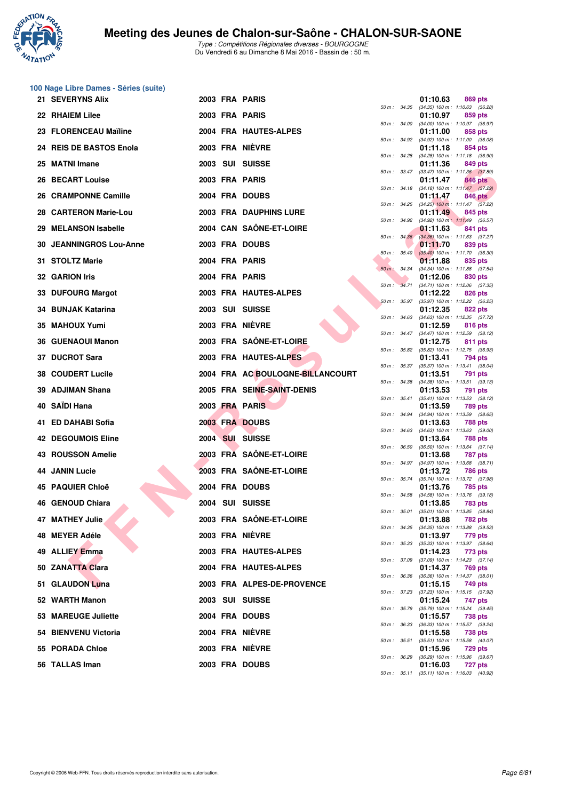

**100 Nage Libre Dames - Séries (suite)**

## **Meeting des Jeunes de Chalon-sur-Saône - CHALON-SUR-SAONE**

|     | 21 SEVERYNS Alix               |  | 2003 FRA PARIS                   |                |              | 01:10.63 | 869 pts                                               |  |
|-----|--------------------------------|--|----------------------------------|----------------|--------------|----------|-------------------------------------------------------|--|
|     | 22 RHAIEM Lilee                |  | 2003 FRA PARIS                   |                | 50 m : 34.35 | 01:10.97 | $(34.35)$ 100 m : 1:10.63 $(36.28)$<br>859 pts        |  |
|     | 23 FLORENCEAU Maïline          |  | 2004 FRA HAUTES-ALPES            | 50 m : 34.00   |              | 01:11.00 | $(34.00)$ 100 m : 1:10.97 $(36.97)$<br>858 pts        |  |
|     | 24 REIS DE BASTOS Enola        |  | 2003 FRA NIÈVRE                  | 50 m: 34.92    |              | 01:11.18 | $(34.92)$ 100 m : 1:11.00 $(36.08)$<br>854 pts        |  |
|     | 25 MATNI Imane                 |  | 2003 SUI SUISSE                  | 50 m: 34.28    |              | 01:11.36 | $(34.28)$ 100 m : 1:11.18 $(36.90)$<br>849 pts        |  |
|     | 26 BECART Louise               |  | 2003 FRA PARIS                   | 50 m : 33.47   |              | 01:11.47 | $(33.47)$ 100 m : 1:11.36 $(37.89)$<br>846 pts        |  |
| 26. | <b>CRAMPONNE Camille</b>       |  | 2004 FRA DOUBS                   |                | 50 m : 34.18 | 01:11.47 | $(34.18)$ 100 m : 1:11.47 $(37.29)$<br>846 pts        |  |
|     |                                |  | 2003 FRA DAUPHINS LURE           |                | 50 m : 34.25 |          | $(34.25)$ 100 m : 1:11.47 $(37.22)$                   |  |
|     | 28 CARTERON Marie-Lou          |  |                                  | 50 m : 34.92   |              | 01:11.49 | 845 pts<br>(34.92) 100 m: 1:11.49 (36.57)             |  |
|     | 29 MELANSON Isabelle           |  | 2004 CAN SAÖNE-ET-LOIRE          |                | 50 m: 34.36  | 01:11.63 | 841 pts<br>$(34.36)$ 100 m : 1:11.63 $(37.27)$        |  |
|     | <b>30 JEANNINGROS Lou-Anne</b> |  | 2003 FRA DOUBS                   | $50 m$ : 35.40 |              | 01:11.70 | 839 pts<br>$(35.40)$ 100 m : 1:11.70 $(36.30)$        |  |
|     | 31 STOLTZ Marie                |  | 2004 FRA PARIS                   | 50 m : 34.34   |              | 01:11.88 | 835 pts<br>(34.34) 100 m: 1:11.88 (37.54)             |  |
|     | 32 GARION Iris                 |  | 2004 FRA PARIS                   | 50 m: 34.71    |              | 01:12.06 | 830 pts<br>(34.71) 100 m: 1:12.06 (37.35)             |  |
|     | 33 DUFOURG Margot              |  | 2003 FRA HAUTES-ALPES            | 50 m: 35.97    |              | 01:12.22 | 826 pts<br>(35.97) 100 m : 1:12.22 (36.25)            |  |
|     | 34 BUNJAK Katarina             |  | 2003 SUI SUISSE                  |                |              | 01:12.35 | 822 pts                                               |  |
|     | 35 MAHOUX Yumi                 |  | 2003 FRA NIÈVRE                  |                | 50 m : 34.63 | 01:12.59 | $(34.63)$ 100 m : 1:12.35 $(37.72)$<br><b>816 pts</b> |  |
|     | <b>36 GUENAOUI Manon</b>       |  | 2003 FRA SAÖNE-ET-LOIRE          | 50 m: 34.47    |              | 01:12.75 | (34.47) 100 m: 1:12.59 (38.12)<br>811 pts             |  |
|     | 37 DUCROT Sara                 |  | 2003 FRA HAUTES-ALPES            |                | 50 m : 35.82 | 01:13.41 | $(35.82)$ 100 m : 1:12.75 $(36.93)$<br>794 pts        |  |
|     | <b>38 COUDERT Lucile</b>       |  | 2004 FRA AC BOULOGNE-BILLANCOURT | 50 m : 35.37   |              | 01:13.51 | (35.37) 100 m: 1:13.41 (38.04)<br>791 pts             |  |
| 39  | <b>ADJIMAN Shana</b>           |  | 2005 FRA SEINE-SAINT-DENIS       | 50 m: 34.38    |              | 01:13.53 | $(34.38)$ 100 m : 1:13.51 $(39.13)$<br>791 pts        |  |
|     | 40 SAIDI Hana                  |  | 2003 FRA PARIS                   | 50 m: 35.41    |              | 01:13.59 | $(35.41)$ 100 m : 1:13.53 $(38.12)$<br>789 pts        |  |
|     | 41 ED DAHABI Sofia             |  | 2003 FRA DOUBS                   | 50 m : 34.94   |              | 01:13.63 | (34.94) 100 m: 1:13.59 (38.65)<br>788 pts             |  |
|     | <b>42 DEGOUMOIS Eline</b>      |  | 2004 SUI SUISSE                  | 50 m : 34.63   |              | 01:13.64 | $(34.63)$ 100 m : 1:13.63 $(39.00)$<br>788 pts        |  |
|     |                                |  | 2003 FRA SAÖNE-ET-LOIRE          | 50 m: 36.50    |              |          | $(36.50)$ 100 m : 1:13.64 $(37.14)$                   |  |
|     | 43 ROUSSON Amelie              |  |                                  | 50 m: 34.97    |              | 01:13.68 | 787 pts<br>$(34.97)$ 100 m : 1:13.68 $(38.71)$        |  |
| 44  | <b>JANIN Lucie</b>             |  | 2003 FRA SAÔNE-ET-LOIRE          | 50 m: 35.74    |              | 01:13.72 | 786 pts<br>(35.74) 100 m: 1:13.72 (37.98)             |  |
|     | 45 PAQUIER Chloë               |  | 2004 FRA DOUBS                   |                | 50 m : 34.58 | 01:13.76 | <b>785 pts</b><br>$(34.58)$ 100 m : 1:13.76 $(39.18)$ |  |
|     | 46 GENOUD Chiara               |  | 2004 SUI SUISSE                  | 50 m: 35.01    |              | 01:13.85 | 783 pts<br>$(35.01)$ 100 m : 1:13.85 $(38.84)$        |  |
|     | 47 MATHEY Julie                |  | 2003 FRA SAÔNE-ET-LOIRE          |                |              | 01:13.88 | 782 pts                                               |  |
|     | 48 MEYER Adéle                 |  | 2003 FRA NIEVRE                  |                |              | 01:13.97 | 50 m: 34.35 (34.35) 100 m: 1:13.88 (39.53)<br>779 pts |  |
|     | 49 ALLIEY Emma                 |  | 2003 FRA HAUTES-ALPES            |                | 50 m : 35.33 | 01:14.23 | $(35.33)$ 100 m : 1:13.97 $(38.64)$<br>773 pts        |  |
|     | 50 ZANATTA Clara               |  | 2004 FRA HAUTES-ALPES            |                | 50 m : 37.09 | 01:14.37 | $(37.09)$ 100 m : 1:14.23 $(37.14)$<br>769 pts        |  |
|     | 51 GLAUDON Luna                |  | 2003 FRA ALPES-DE-PROVENCE       |                | 50 m : 36.36 | 01:15.15 | $(36.36)$ 100 m : 1:14.37 $(38.01)$<br>749 pts        |  |
|     | 52 WARTH Manon                 |  | 2003 SUI SUISSE                  |                | 50 m : 37.23 | 01:15.24 | $(37.23)$ 100 m : 1:15.15 $(37.92)$<br>747 pts        |  |
|     |                                |  |                                  |                | 50 m : 35.79 |          | (35.79) 100 m: 1:15.24 (39.45)                        |  |
|     | 53 MAREUGE Juliette            |  | 2004 FRA DOUBS                   |                | 50 m : 36.33 | 01:15.57 | 738 pts<br>(36.33) 100 m: 1:15.57 (39.24)             |  |
|     | 54 BIENVENU Victoria           |  | 2004 FRA NIÈVRE                  | 50 m : 35.51   |              | 01:15.58 | 738 pts<br>$(35.51)$ 100 m : 1:15.58 $(40.07)$        |  |
|     | 55 PORADA Chloe                |  | 2003 FRA NIEVRE                  | 50 m : 36.29   |              | 01:15.96 | 729 pts<br>$(36.29)$ 100 m : 1:15.96 $(39.67)$        |  |
|     | 56 TALLAS Iman                 |  | 2003 FRA DOUBS                   |                |              | 01:16.03 | 727 pts                                               |  |

|          |       | 01:10.97                      | 859 pts                              |
|----------|-------|-------------------------------|--------------------------------------|
| $50 m$ : | 34.00 | $(34.00)$ 100 m :             | 1:10.97<br>(36.97)                   |
| $50 m$ : | 34.92 | 01:11.00<br>$(34.92)$ 100 m : | 858 pts<br>1:11.00<br>(36.08)        |
|          |       | 01:11.18                      | <b>854 pts</b>                       |
| $50 m$ : | 34.28 | (34.28) 100 m :               | 1:11.18<br>(36.90)                   |
|          |       | 01:11.36                      | 849 pts                              |
| $50 m$ : | 33.47 | $(33.47) 100 m$ :             | 1:11.36<br>(37.89)                   |
| 50 m :   | 34.18 | 01:11.47<br>$(34.18) 100 m$ : | 846 pts<br>1:11.47<br>(37.29)        |
|          |       | 01:11.47                      | <b>846 pts</b>                       |
| $50 m$ : | 34.25 | $(34.25)$ 100 m :             | 1:11.47<br>(37.22)                   |
|          |       | 01:11.49                      | 845 pts                              |
| $50 m$ : | 34.92 | $(34.92)$ 100 m :<br>01:11.63 | 1:11.49<br>(36.57)<br>841 pts        |
| $50 m$ : | 34.36 | $(34.36)$ 100 m :             | 1:11.63<br>(37.27)                   |
|          |       | 01:11.70                      | 839 pts                              |
| $50 m$ : | 35.40 | $(35.40)$ 100 m :             | 1:11.70<br>(36.30)                   |
| $50 m$ : | 34.34 | 01:11.88<br>$(34.34) 100 m$ : | 835 pts<br>1:11.88<br>(37.54)        |
|          |       | 01:12.06                      | 830 pts                              |
| 50 m :   | 34.71 | $(34.71)$ 100 m :             | 1:12.06<br>(37.35)                   |
|          |       | 01:12.22                      | 826 pts                              |
| 50 m :   | 35.97 | $(35.97) 100 m$ :<br>01:12.35 | 1:12.22<br>(36.25)                   |
| $50 m$ : | 34.63 | $(34.63)$ 100 m :             | <b>822 pts</b><br>1:12.35<br>(37.72) |
|          |       | 01:12.59                      | 816 pts                              |
| $50 m$ : | 34.47 | $(34.47) 100 m$ :             | 1:12.59<br>(38.12)                   |
|          |       | 01:12.75                      | 811 pts                              |
| $50 m$ : | 35.82 | $(35.82) 100 m$ :<br>01:13.41 | 1:12.75<br>(36.93)<br>794 pts        |
| $50 m$ : | 35.37 | $(35.37) 100 m$ :             | 1:13.41<br>(38.04)                   |
|          |       | 01:13.51                      | 791<br>pts                           |
| $50 m$ : | 34.38 | $(34.38) 100 m$ :<br>01:13.53 | 1:13.51<br>(39.13)<br>791            |
| $50 m$ : | 35.41 | $(35.41)$ 100 m :             | pts<br>1:13.53<br>(38.12)            |
|          |       | 01:13.59                      | 789 pts                              |
| 50 m :   | 34.94 | $(34.94) 100 m$ :             | 1:13.59<br>(38.65)                   |
| $50 m$ : | 34.63 | 01:13.63<br>$(34.63)$ 100 m : | <b>788 pts</b><br>1:13.63<br>(39.00) |
|          |       | 01:13.64                      | <b>788 pts</b>                       |
| $50 m$ : | 36.50 | $(36.50)$ 100 m :             | 1:13.64<br>(37.14)                   |
|          | 34.97 | 01:13.68                      | 787<br>pts                           |
| $50 m$ : |       | (34.97) 100 m :<br>01:13.72   | 1:13.68<br>(38.71)<br><b>786 pts</b> |
| 50 m :   | 35.74 | $(35.74) 100 m$ :             | 1:13.72<br>(37.98)                   |
|          |       | 01:13.76                      | <b>785 pts</b>                       |
| $50 m$ : | 34.58 | $(34.58) 100 m$ :<br>01:13.85 | 1:13.76<br>(39.18)<br>783 pts        |
| $50 m$ : | 35.01 | $(35.01)$ 100 m :             | 1:13.85<br>(38.84)                   |
|          |       | 01:13.88                      | 782 pts                              |
| $50 m$ : | 34.35 | $(34.35)$ 100 m :             | 1:13.88<br>(39.53)                   |
| $50 m$ : | 35.33 | 01:13.97<br>(35.33) 100 m :   | 779 pts<br>1:13.97 (38.64)           |
|          |       | 01:14.23                      | 773 pts                              |
| $50 m$ : | 37.09 | $(37.09) 100 m$ :             | 1:14.23<br>(37.14)                   |
|          |       | 01:14.37                      | <b>769 pts</b><br>1:14.37            |
| $50 m$ : | 36.36 | $(36.36) 100 m$ :<br>01:15.15 | (38.01)<br><b>749 pts</b>            |
| $50 m$ : | 37.23 | $(37.23) 100 m$ :             | 1:15.15<br>(37.92)                   |
|          |       | 01:15.24                      | 747 pts                              |
| $50 m$ : | 35.79 | (35.79) 100 m :<br>01:15.57   | 1:15.24<br>(39.45)<br><b>738 pts</b> |
| $50 m$ : | 36.33 | $(36.33) 100 m$ :             | 1:15.57<br>(39.24)                   |
|          |       | 01:15.58                      | <b>738 pts</b>                       |
| $50 m$ : | 35.51 | $(35.51)$ 100 m :             | 1:15.58<br>(40.07)                   |
| $50 m$ : | 36.29 | 01:15.96<br>$(36.29)$ 100 m : | <b>729 pts</b><br>1:15.96<br>(39.67) |
|          |       | 01:16.03                      | 727 pts                              |
| $50 m$ : | 35.11 | (35.11) 100 m:                | 1:16.03<br>(40.92)                   |
|          |       |                               |                                      |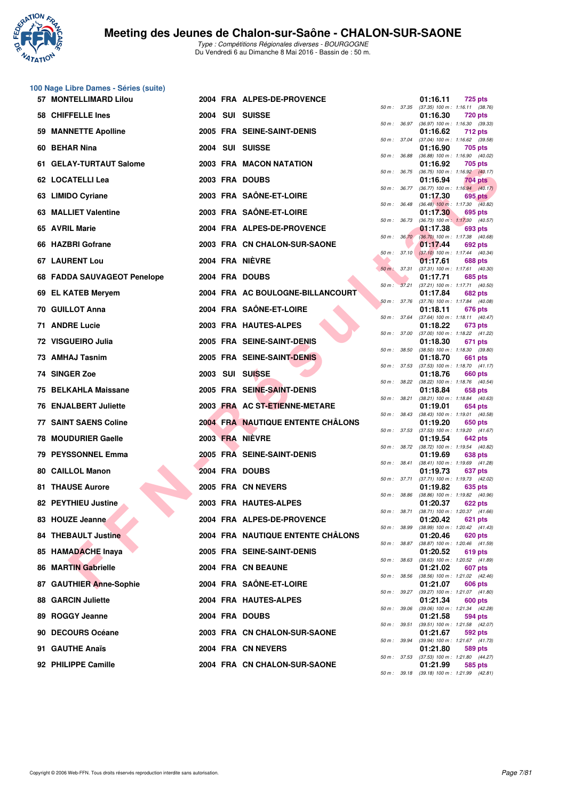

|    | 100 Nage Libre Dames - Séries (suite) |  |                                          |              |                  |                                                          |                |
|----|---------------------------------------|--|------------------------------------------|--------------|------------------|----------------------------------------------------------|----------------|
|    | 57 MONTELLIMARD Lilou                 |  | 2004 FRA ALPES-DE-PROVENCE               |              |                  | 01:16.11<br>50 m: 37.35 (37.35) 100 m: 1:16.11 (38.76)   | 725 pts        |
|    | 58 CHIFFELLE Ines                     |  | 2004 SUI SUISSE                          |              |                  | 01:16.30                                                 | <b>720 pts</b> |
| 59 | <b>MANNETTE Apolline</b>              |  | 2005 FRA SEINE-SAINT-DENIS               |              | 50 m : 36.97     | $(36.97)$ 100 m : 1:16.30 $(39.33)$<br>01:16.62          | <b>712 pts</b> |
|    | 60 BEHAR Nina                         |  | 2004 SUI SUISSE                          | 50 m : 37.04 |                  | $(37.04)$ 100 m : 1:16.62 $(39.58)$<br>01:16.90          | 705 pts        |
|    | 61 GELAY-TURTAUT Salome               |  | 2003 FRA MACON NATATION                  | 50 m : 36.88 |                  | (36.88) 100 m: 1:16.90 (40.02)<br>01:16.92               | 705 pts        |
|    | 62 LOCATELLI Lea                      |  | 2003 FRA DOUBS                           | 50 m : 36.75 |                  | $(36.75)$ 100 m : 1:16.92 $(40.17)$<br>01:16.94          | 704 pts        |
|    | 63 LIMIDO Cyriane                     |  | 2003 FRA SAÖNE-ET-LOIRE                  |              | 50 m : 36.77     | $(36.77)$ 100 m : 1:16.94 $(40.17)$<br>01:17.30          | 695 pts        |
|    | 63 MALLIET Valentine                  |  | 2003 FRA SAÖNE-ET-LOIRE                  |              | 50 m : 36.48     | $(36.48)$ 100 m : 1:17.30 $(40.82)$<br>01:17.30          | 695 pts        |
|    | 65 AVRIL Marie                        |  | 2004 FRA ALPES-DE-PROVENCE               | 50 m : 36.73 |                  | $(36.73)$ 100 m : 1:17.30 $(40.57)$<br>01:17.38          | 693 pts        |
|    | 66 HAZBRI Gofrane                     |  | 2003 FRA CN CHALON-SUR-SAONE             |              | 50 m: 36.70      | (36.70) 100 m : 1:17.38 (40.68)<br>01:17.44              | 692 pts        |
|    | <b>67 LAURENT Lou</b>                 |  | 2004 FRA NIÈVRE                          |              | $50 m$ : $37.10$ | $(37.10)$ 100 m : 1:17.44 $(40.34)$<br>01:17.61          | 688 pts        |
|    | 68 FADDA SAUVAGEOT Penelope           |  | 2004 FRA DOUBS                           | 50 m: 37.31  |                  | (37.31) 100 m: 1:17.61 (40.30)<br>01:17.71               | 685 pts        |
|    | 69 EL KATEB Meryem                    |  | 2004 FRA AC BOULOGNE-BILLANCOURT         |              | 50 m: 37.21      | $(37.21)$ 100 m : 1:17.71 $(40.50)$<br>01:17.84          | <b>682 pts</b> |
|    | 70 GUILLOT Anna                       |  | 2004 FRA SAÖNE-ET-LOIRE                  |              | 50 m : 37.76     | (37.76) 100 m: 1:17.84 (40.08)<br>01:18.11               | <b>676 pts</b> |
|    | <b>71 ANDRE Lucie</b>                 |  | 2003 FRA HAUTES-ALPES                    | 50 m : 37.64 |                  | $(37.64)$ 100 m : 1:18.11 $(40.47)$<br>01:18.22          | 673 pts        |
|    | 72 VISGUEIRO Julia                    |  | 2005 FRA SEINE-SAINT-DENIS               | 50 m : 37.00 |                  | (37.00) 100 m: 1:18.22 (41.22)<br>01:18.30               | 671 pts        |
|    | 73 AMHAJ Tasnim                       |  | 2005 FRA SEINE-SAINT-DENIS               | 50 m : 38.50 |                  | $(38.50)$ 100 m : 1:18.30 $(39.80)$<br>01:18.70          | 661 pts        |
|    | 74 SINGER Zoe                         |  | 2003 SUI SUISSE                          | 50 m: 37.53  |                  | $(37.53)$ 100 m : 1:18.70 $(41.17)$<br>01:18.76          | 660 pts        |
| 75 | <b>BELKAHLA Maissane</b>              |  | 2005 FRA SEINE-SAINT-DENIS               |              | 50 m : 38.22     | (38.22) 100 m: 1:18.76 (40.54)<br>01:18.84               | 658 pts        |
|    | <b>76 ENJALBERT Juliette</b>          |  | 2003 FRA AC ST-ETIENNE-METARE            |              | 50 m : 38.21     | (38.21) 100 m: 1:18.84 (40.63)<br>01:19.01               | 654 pts        |
|    | <b>77 SAINT SAENS Coline</b>          |  | <b>2004 FRA NAUTIQUE ENTENTE CHALONS</b> | 50 m : 38.43 |                  | $(38.43)$ 100 m : 1:19.01 $(40.58)$<br>01:19.20          | 650 pts        |
|    | 78 MOUDURIER Gaelle                   |  | 2003 FRA NIÈVRE                          |              | 50 m : 37.53     | $(37.53)$ 100 m : 1:19.20 $(41.67)$<br>01:19.54          | 642 pts        |
|    | 79 PEYSSONNEL Emma                    |  | 2005 FRA SEINE-SAINT-DENIS               |              | 50 m : 38.72     | (38.72) 100 m : 1:19.54 (40.82)<br>01:19.69              | 638 pts        |
| 80 | <b>CAILLOL Manon</b>                  |  | 2004 FRA DOUBS                           |              | 50 m : 38.41     | (38.41) 100 m: 1:19.69 (41.28)<br>01:19.73               | 637 pts        |
|    | <b>81 THAUSE Aurore</b>               |  | 2005 FRA CN NEVERS                       |              | 50 m : 37.71     | (37.71) 100 m: 1:19.73 (42.02)<br>01:19.82               | 635 pts        |
|    | 82 PEYTHIEU Justine                   |  | 2003 FRA HAUTES-ALPES                    | 50 m : 38.86 |                  | (38.86) 100 m: 1:19.82 (40.96)<br>01:20.37               | 622 pts        |
|    | 83 HOUZE Jeanne                       |  | 2004 FRA ALPES-DE-PROVENCE               |              |                  | 50 m : 38.71 (38.71) 100 m : 1:20.37 (41.66)<br>01:20.42 | 621 pts        |
|    | <b>84 THEBAULT Justine</b>            |  | 2004 FRA NAUTIQUE ENTENTE CHALONS        |              | 50 m : 38.99     | (38.99) 100 m: 1:20.42 (41.43)<br>01:20.46               | 620 pts        |
|    | 85 HAMADACHE Inaya                    |  | 2005 FRA SEINE-SAINT-DENIS               | 50 m : 38.87 |                  | (38.87) 100 m: 1:20.46 (41.59)<br>01:20.52               | 619 pts        |
|    | 86 MARTIN Gabrielle                   |  | 2004 FRA CN BEAUNE                       | 50 m : 38.63 |                  | (38.63) 100 m: 1:20.52 (41.89)<br>01:21.02               | 607 pts        |
|    | 87 GAUTHIER Anne-Sophie               |  | 2004 FRA SAÔNE-ET-LOIRE                  |              | 50 m : 38.56     | (38.56) 100 m: 1:21.02 (42.46)<br>01:21.07               | 606 pts        |
|    | <b>88 GARCIN Juliette</b>             |  | 2004 FRA HAUTES-ALPES                    |              | 50 m : 39.27     | (39.27) 100 m : 1:21.07 (41.80)<br>01:21.34              | 600 pts        |
|    | 89 ROGGY Jeanne                       |  | 2004 FRA DOUBS                           |              | 50 m : 39.06     | (39.06) 100 m: 1:21.34 (42.28)<br>01:21.58               | 594 pts        |
|    | 90 DECOURS Océane                     |  | 2003 FRA CN CHALON-SUR-SAONE             | 50 m : 39.51 |                  | (39.51) 100 m: 1:21.58 (42.07)<br>01:21.67               | 592 pts        |
|    | 91 GAUTHE Anaïs                       |  | 2004 FRA CN NEVERS                       | 50 m : 39.94 |                  | (39.94) 100 m : 1:21.67 (41.73)<br>01:21.80              | 589 pts        |
|    | 92 PHILIPPE Camille                   |  | 2004 FRA CN CHALON-SUR-SAONE             | 50 m : 37.53 |                  | (37.53) 100 m: 1:21.80 (44.27)<br>01:21.99               | 585 pts        |
|    |                                       |  |                                          |              |                  |                                                          |                |

| 50 m :   | 37.04 | (37.04) 100 m :   | 1:16.62<br>(39.58) |
|----------|-------|-------------------|--------------------|
|          |       | 01:16.90          | 705 pts            |
| $50 m$ : | 36.88 | $(36.88) 100 m$ : | 1:16.90<br>(40.02) |
|          |       | 01:16.92          | 705<br>pts         |
| $50 m$ : | 36.75 | $(36.75)$ 100 m : | 1:16.92<br>(40.17) |
|          |       | 01:16.94          | <b>704 pts</b>     |
| $50 m$ : | 36.77 | (36.77) 100 m :   | 1:16.94<br>(40.17) |
|          |       | 01:17.30          | <b>695 pts</b>     |
| 50 m :   | 36.48 | $(36.48) 100 m$ : | 1:17.30<br>(40.82) |
|          |       | 01:17.30          |                    |
|          |       |                   | 695<br>pts         |
| $50 m$ : | 36.73 | $(36.73) 100 m$ : | 1:17.30<br>(40.57) |
|          |       | 01:17.38          | 693 pts            |
| $50 m$ : | 36.70 | $(36.70)$ 100 m : | 1:17.38<br>(40.68) |
|          |       | 01:17.44          | 692 pts            |
| $50 m$ : | 37.10 | $(37.10) 100 m$ : | 1:17.44<br>(40.34) |
|          |       | 01:17.61          | 688 pts            |
| $50 m$ : | 37.31 | $(37.31) 100 m$ : | 1:17.61<br>(40.30) |
|          |       | 01:17.71          | 685 pts            |
| 50 m :   | 37.21 | $(37.21)$ 100 m : | 1:17.71<br>(40.50) |
|          |       | 01:17.84          | <b>682 pts</b>     |
| $50 m$ : | 37.76 | $(37.76)$ 100 m : | 1:17.84<br>(40.08) |
|          |       |                   |                    |
|          |       | 01:18.11          | 676 pts            |
| $50 m$ : | 37.64 | $(37.64) 100 m$ : | 1:18.11<br>(40.47) |
|          |       | 01:18.22          | 673 pts            |
| 50 m :   | 37.00 | $(37.00)$ 100 m : | 1:18.22<br>(41.22) |
|          |       | 01:18.30          | 671<br>pts         |
| $50 m$ : | 38.50 | $(38.50)$ 100 m : | 1:18.30<br>(39.80) |
|          |       | 01:18.70          | 661<br>pts         |
| $50 m$ : | 37.53 | $(37.53) 100 m$ : | 1:18.70<br>(41.17) |
|          |       | 01:18.76          | 660<br>pts         |
| $50 m$ : | 38.22 | (38.22) 100 m :   | (40.54)<br>1:18.76 |
|          |       | 01:18.84          |                    |
|          |       |                   | <b>658 pts</b>     |
| 50 m :   | 38.21 | $(38.21)$ 100 m : | 1:18.84<br>(40.63) |
|          |       | 01:19.01          | <b>654 pts</b>     |
| $50 m$ : | 38.43 | $(38.43) 100 m$ : | 1:19.01<br>(40.58) |
|          |       | 01:19.20          | 650 pts            |
| 50 m :   | 37.53 | $(37.53) 100 m$ : | 1:19.20<br>(41.67) |
|          |       | 01:19.54          | 642 pts            |
| $50 m$ : | 38.72 | (38.72) 100 m :   | 1:19.54<br>(40.82) |
|          |       | 01:19.69          | 638 pts            |
| $50 m$ : | 38.41 | $(38.41) 100 m$ : | 1:19.69<br>(41.28) |
|          |       | 01:19.73          | 637<br>pts         |
| $50 m$ : | 37.71 | (37.71) 100 m :   | (42.02)<br>1:19.73 |
|          |       |                   |                    |
|          |       | 01:19.82          | 635 pts            |
| 50 m :   | 38.86 | $(38.86) 100 m$ : | 1:19.82<br>(40.96) |
|          |       | 01:20.37          | 622 pts            |
| $50 m$ : | 38.71 | $(38.71)$ 100 m : | 1:20.37<br>(41.66) |
|          |       | 01:20.42          | 621<br>pts         |
| $50 m$ : | 38.99 | $(38.99) 100 m$ : | (41.43)<br>1:20.42 |
|          |       | 01:20.46          | <b>620 pts</b>     |
| $50 m$ : | 38.87 | (38.87) 100 m :   | 1:20.46<br>(41.59) |
|          |       | 01:20.52          | <b>619 pts</b>     |
| $50 m$ : | 38.63 | $(38.63) 100 m$ : | 1:20.52<br>(41.89) |
|          |       | 01:21.02          | 607 pts            |
|          |       |                   |                    |
| $50 m$ : | 38.56 | $(38.56) 100 m$ : | 1:21.02<br>(42.46) |
|          |       | 01:21.07          | <b>606 pts</b>     |
| $50 m$ : | 39.27 | $(39.27)$ 100 m : | 1:21.07<br>(41.80) |
|          |       | 01:21.34          | 600 pts            |
| $50 m$ : | 39.06 | (39.06) 100 m :   | 1:21.34<br>(42.28) |
|          |       | 01:21.58          | 594 pts            |
| $50 m$ : | 39.51 | $(39.51)$ 100 m : | 1:21.58<br>(42.07) |
|          |       | 01:21.67          | 592 pts            |
| $50 m$ : | 39.94 | (39.94) 100 m :   | 1:21.67<br>(41.73) |
|          |       | 01:21.80          | 589 pts            |
|          |       |                   |                    |
| $50 m$ : | 37.53 | $(37.53) 100 m$ : | 1:21.80<br>(44.27) |
|          |       | 01:21.99          | 585 pts            |
| $50 m$ : | 39.18 | $(39.18) 100 m$ : | (42.81)<br>1:21.99 |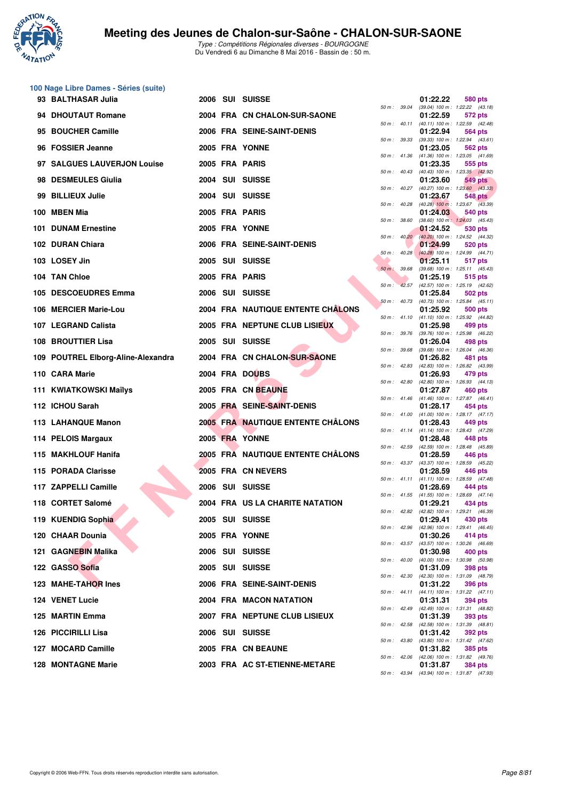

| 100 Nage Libre Dames - Séries (suite) |  |                                          |              |                  |                                                          |                |  |
|---------------------------------------|--|------------------------------------------|--------------|------------------|----------------------------------------------------------|----------------|--|
| 93 BALTHASAR Julia                    |  | 2006 SUI SUISSE                          |              | 50 m : 39.04     | 01:22.22<br>(39.04) 100 m: 1:22.22 (43.18)               | 580 pts        |  |
| 94 DHOUTAUT Romane                    |  | 2004 FRA CN CHALON-SUR-SAONE             |              | 50 m : 40.11     | 01:22.59<br>$(40.11)$ 100 m : 1:22.59 $(42.48)$          | 572 pts        |  |
| 95 BOUCHER Camille                    |  | 2006 FRA SEINE-SAINT-DENIS               | 50 m: 39.33  |                  | 01:22.94                                                 | 564 pts        |  |
| 96 FOSSIER Jeanne                     |  | 2005 FRA YONNE                           |              |                  | (39.33) 100 m: 1:22.94 (43.61)<br>01:23.05               | 562 pts        |  |
| 97 SALGUES LAUVERJON Louise           |  | 2005 FRA PARIS                           |              | 50 m : 41.36     | $(41.36)$ 100 m : 1:23.05 $(41.69)$<br>01:23.35          | 555 pts        |  |
| 98 DESMEULES Giulia                   |  | 2004 SUI SUISSE                          |              | 50 m : 40.43     | (40.43) 100 m : 1:23.35 (42.92)<br>01:23.60              | 549 pts        |  |
| 99 BILLIEUX Julie                     |  | 2004 SUI SUISSE                          |              | $50 m$ : $40.27$ | (40.27) 100 m : 1:23.60 (43.33)<br>01:23.67              | <b>548 pts</b> |  |
| 100 MBEN Mia                          |  | 2005 FRA PARIS                           |              | 50 m : 40.28     | $(40.28)$ 100 m : 1:23.67 $(43.39)$<br>01:24.03          | 540 pts        |  |
| <b>101 DUNAM Ernestine</b>            |  | 2005 FRA YONNE                           | 50 m : 38.60 |                  | $(38.60)$ 100 m : 1:24.03 $(45.43)$<br>01:24.52          | 530 pts        |  |
| 102 DURAN Chiara                      |  | 2006 FRA SEINE-SAINT-DENIS               |              | 50 m: 40.20      | (40.20) 100 m: 1:24.52 (44.32)<br>01:24.99               | 520 pts        |  |
| 103 LOSEY Jin                         |  | 2005 SUI SUISSE                          |              | $50 m$ : $40.28$ | $(40.28)$ 100 m : 1:24.99 $(44.71)$<br>01:25.11          | 517 pts        |  |
| 104 TAN Chloe                         |  | 2005 FRA PARIS                           | $50 m$ :     | 39.68            | (39.68) 100 m: 1:25.11 (45.43)<br>01:25.19               | 515 pts        |  |
| 105 DESCOEUDRES Emma                  |  | 2006 SUI SUISSE                          |              |                  | 50 m: 42.57 (42.57) 100 m: 1:25.19 (42.62)<br>01:25.84   | 502 pts        |  |
| 106 MERCIER Marie-Lou                 |  | 2004 FRA NAUTIQUE ENTENTE CHÂLONS        |              | 50 m: 40.73      | (40.73) 100 m: 1:25.84 (45.11)<br>01:25.92               | 500 pts        |  |
| 107 LEGRAND Calista                   |  | 2005 FRA NEPTUNE CLUB LISIEUX            |              |                  | 50 m: 41.10 (41.10) 100 m: 1:25.92 (44.82)<br>01:25.98   |                |  |
|                                       |  |                                          |              | 50 m : 39.76     | (39.76) 100 m: 1:25.98 (46.22)                           | 499 pts        |  |
| <b>108 BROUTTIER Lisa</b>             |  | 2005 SUI SUISSE                          |              | 50 m : 39.68     | 01:26.04<br>(39.68) 100 m: 1:26.04 (46.36)               | 498 pts        |  |
| 109 POUTREL Elborg-Aline-Alexandra    |  | 2004 FRA CN CHALON-SUR-SAONE             |              | 50 m : 42.83     | 01:26.82<br>(42.83) 100 m : 1:26.82 (43.99)              | 481 pts        |  |
| 110 CARA Marie                        |  | 2004 FRA DOUBS                           |              | 50 m : 42.80     | 01:26.93<br>(42.80) 100 m: 1:26.93 (44.13)               | 479 pts        |  |
| 111 KWIATKOWSKI Maïlys                |  | 2005 FRA CN BEAUNE                       |              |                  | 01:27.87<br>50 m: 41.46 (41.46) 100 m: 1:27.87 (46.41)   | 460 pts        |  |
| 112 ICHOU Sarah                       |  | 2005 FRA SEINE-SAINT-DENIS               |              |                  | 01:28.17<br>50 m: 41.00 (41.00) 100 m: 1:28.17 (47.17)   | 454 pts        |  |
| 113 LAHANQUE Manon                    |  | <b>2005 FRA NAUTIQUE ENTENTE CHALONS</b> |              |                  | 01:28.43<br>50 m: 41.14 (41.14) 100 m: 1:28.43 (47.29)   | 449 pts        |  |
| 114 PELOIS Margaux                    |  | 2005 FRA YONNE                           |              | 50 m: 42.59      | 01:28.48<br>(42.59) 100 m: 1:28.48 (45.89)               | 448 pts        |  |
| 115 MAKHLOUF Hanifa                   |  | 2005 FRA NAUTIQUE ENTENTE CHÂLONS        |              | 50 m : 43.37     | 01:28.59<br>(43.37) 100 m: 1:28.59 (45.22)               | 446 pts        |  |
| 115 PORADA Clarisse                   |  | 2005 FRA CN NEVERS                       |              |                  | 01:28.59<br>50 m: 41.11 (41.11) 100 m: 1:28.59 (47.48)   | 446 pts        |  |
| 117 ZAPPELLI Camille                  |  | 2006 SUI SUISSE                          |              |                  | 01:28.69                                                 | 444 pts        |  |
| 118 CORTET Salomé                     |  | 2004 FRA US LA CHARITE NATATION          |              |                  | 50 m: 41.55 (41.55) 100 m: 1:28.69 (47.14)<br>01:29.21   | 434 pts        |  |
| 119 KUENDIG Sophia                    |  | 2005 SUI SUISSE                          |              |                  | 50 m : 42.82 (42.82) 100 m : 1:29.21 (46.39)<br>01:29.41 | 430 pts        |  |
| 120 CHAAR Dounia                      |  | 2005 FRA YONNE                           |              |                  | 50 m: 42.96 (42.96) 100 m: 1:29.41 (46.45)<br>01:30.26   | 414 pts        |  |
| 121 GAGNEBIN Malika                   |  | 2006 SUI SUISSE                          |              | 50 m : 43.57     | (43.57) 100 m: 1:30.26 (46.69)<br>01:30.98               | 400 pts        |  |
| 122 GASSO Sofia                       |  | 2005 SUI SUISSE                          |              | 50 m : 40.00     | (40.00) 100 m: 1:30.98 (50.98)<br>01:31.09               | <b>398 pts</b> |  |
| 123 MAHE-TAHOR Ines                   |  | 2006 FRA SEINE-SAINT-DENIS               |              |                  | 50 m: 42.30 (42.30) 100 m: 1:31.09 (48.79)<br>01:31.22   | <b>396 pts</b> |  |
| 124 VENET Lucie                       |  | 2004 FRA MACON NATATION                  |              |                  | 50 m: 44.11 (44.11) 100 m: 1:31.22 (47.11)<br>01:31.31   | 394 pts        |  |
| 125 MARTIN Emma                       |  | 2007 FRA NEPTUNE CLUB LISIEUX            |              |                  | 50 m: 42.49 (42.49) 100 m: 1:31.31 (48.82)<br>01:31.39   | 393 pts        |  |
| 126 PICCIRILLI Lisa                   |  | 2006 SUI SUISSE                          |              | 50 m: 42.58      | (42.58) 100 m: 1:31.39 (48.81)                           |                |  |
|                                       |  |                                          |              | 50 m : 43.80     | 01:31.42<br>(43.80) 100 m: 1:31.42 (47.62)               | <b>392 pts</b> |  |
| 127 MOCARD Camille                    |  | 2005 FRA CN BEAUNE                       |              | 50 m : 42.06     | 01:31.82<br>(42.06) 100 m: 1:31.82 (49.76)               | <b>385 pts</b> |  |
| <b>128 MONTAGNE Marie</b>             |  | 2003 FRA AC ST-ETIENNE-METARE            |              |                  | 01:31.87                                                 | <b>384 pts</b> |  |

|          |       | 01:22.22                      | 580 pts                              |
|----------|-------|-------------------------------|--------------------------------------|
| $50 m$ : | 39.04 | (39.04) 100 m :<br>01:22.59   | 1:22.22<br>(43.18)<br>572 pts        |
| 50 m :   | 40.11 | $(40.11) 100 m$ :             | 1:22.59<br>(42.48)                   |
|          |       | 01:22.94                      | <b>564 pts</b>                       |
| 50 m :   | 39.33 | $(39.33) 100 m$ :<br>01:23.05 | 1:22.94<br>(43.61)<br><b>562 pts</b> |
| $50 m$ : | 41.36 | $(41.36) 100 m$ :             | (41.69)<br>1:23.05                   |
|          |       | 01:23.35                      | 555 pts                              |
| 50 m :   | 40.43 | $(40.43) 100 m$ :<br>01:23.60 | 1:23.35<br>(42.92)<br>549            |
| 50 m :   | 40.27 | $(40.27)$ 100 m :             | pts<br>1:23.60<br>(43.33)            |
|          |       | 01:23.67                      | 548<br>pts                           |
| $50 m$ : | 40.28 | $(40.28)$ 100 m :             | 1:23.67<br>(43.39)                   |
| 50 m :   | 38.60 | 01:24.03<br>$(38.60)$ 100 m : | 540 pts<br>1:24.03<br>(45.43)        |
|          |       | 01:24.52                      | 530<br>pts                           |
| 50 m :   | 40.20 | $(40.20)$ 100 m :             | 1:24.52<br>(44.32)                   |
| $50 m$ : | 40.28 | 01:24.99<br>$(40.28)$ 100 m : | <b>520 pts</b><br>(44.71)<br>1:24.99 |
|          |       | 01:25.11                      | 517<br>pts                           |
| $50 m$ : | 39.68 | $(39.68) 100 m$ :             | 1:25.11<br>(45.43)                   |
| $50 m$ : | 42.57 | 01:25.19<br>$(42.57)$ 100 m : | 515 pts<br>1:25.19<br>(42.62)        |
|          |       | 01:25.84                      | 502<br>pts                           |
| 50 m :   | 40.73 | $(40.73) 100 m$ :             | 1:25.84<br>(45.11)                   |
|          | 41.10 | 01:25.92<br>$(41.10) 100 m$ : | 500 pts<br>1:25.92<br>(44.82)        |
| 50 m :   |       | 01:25.98                      | 499<br>pts                           |
| $50 m$ : | 39.76 | $(39.76) 100 m$ :             | 1:25.98<br>(46.22)                   |
|          |       | 01:26.04                      | 498 pts                              |
| $50 m$ : | 39.68 | $(39.68) 100 m$ :<br>01:26.82 | 1:26.04<br>(46.36)<br>481<br>pts     |
| 50 m :   | 42.83 | $(42.83) 100 m$ :             | 1:26.82<br>(43.99)                   |
|          |       | 01:26.93                      | 479<br>pts                           |
| $50 m$ : | 42.80 | $(42.80)$ 100 m :<br>01:27.87 | 1:26.93<br>(44.13)<br><b>460 pts</b> |
| $50 m$ : | 41.46 | $(41.46) 100 m$ :             | 1:27.87<br>(46.41)                   |
|          |       | 01:28.17                      | 454 pts                              |
| $50 m$ : | 41.00 | $(41.00) 100 m$ :<br>01:28.43 | 1:28.17<br>(47.17)<br>449 pts        |
| $50 m$ : | 41.14 | $(41.14) 100 m$ :             | 1:28.43<br>(47.29)                   |
|          |       | 01:28.48                      | 448 pts                              |
| $50 m$ : | 42.59 | (42.59) 100 m :<br>01:28.59   | 1:28.48<br>(45.89)<br>446 pts        |
| $50 m$ : | 43.37 | (43.37) 100 m :               | 1:28.59<br>(45.22)                   |
|          |       | 01:28.59                      | 446 pts                              |
| $50 m$ : | 41.11 | $(41.11) 100 m$ :<br>01:28.69 | (47.48)<br>1:28.59<br>444 pts        |
| $50 m$ : | 41.55 | $(41.55) 100 m$ :             | 1:28.69<br>(47.14)                   |
|          |       | 01:29.21                      | 434 pts                              |
| 50 m :   | 42.82 | $(42.82)$ 100 m :             | 1:29.21<br>(46.39)                   |
| $50 m$ : | 42.96 | 01:29.41<br>(42.96) 100 m :   | <b>430 pts</b><br>1:29.41<br>(46.45) |
|          |       | 01:30.26                      | 414 pts                              |
| $50 m$ : | 43.57 | $(43.57) 100 m$ :             | 1:30.26<br>(46.69)                   |
| $50 m$ : | 40.00 | 01:30.98<br>$(40.00)$ 100 m : | <b>400 pts</b><br>1:30.98<br>(50.98) |
|          |       | 01:31.09                      | <b>398 pts</b>                       |
| $50 m$ : | 42.30 | (42.30) 100 m :               | 1:31.09<br>(48.79)                   |
| $50 m$ : | 44.11 | 01:31.22<br>$(44.11) 100 m$ : | 396 pts<br>1:31.22<br>(47.11)        |
|          |       | 01:31.31                      | 394 pts                              |
| $50 m$ : | 42.49 | $(42.49) 100 m$ :             | 1:31.31<br>(48.82)                   |
| $50 m$ : | 42.58 | 01:31.39<br>(42.58) 100 m :   | 393 pts<br>1:31.39<br>(48.81)        |
|          |       | 01:31.42                      | <b>392 pts</b>                       |
| $50 m$ : | 43.80 | $(43.80)$ 100 m :             | 1:31.42<br>(47.62)                   |
| $50 m$ : | 42.06 | 01:31.82<br>$(42.06)$ 100 m : | 385 pts<br>1:31.82<br>(49.76)        |
|          |       | 01:31.87                      | 384 pts                              |
| $50 m$ : | 43.94 | (43.94) 100 m :               | 1:31.87<br>(47.93)                   |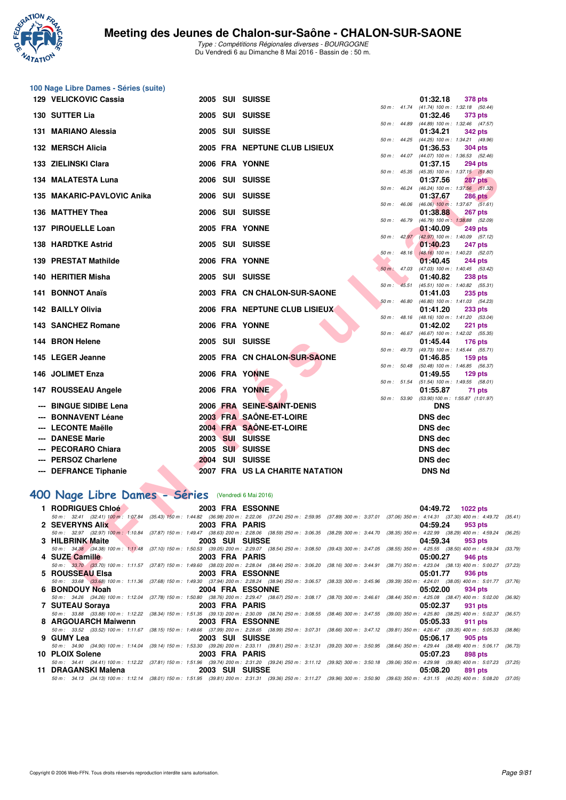

| 100 Nage Libre Dames - Séries (suite)<br>129 VELICKOVIC Cassia |  | 2005 SUI SUISSE                                                                                                                                                                                                      |       |                |                                                                            |  |
|----------------------------------------------------------------|--|----------------------------------------------------------------------------------------------------------------------------------------------------------------------------------------------------------------------|-------|----------------|----------------------------------------------------------------------------|--|
|                                                                |  |                                                                                                                                                                                                                      |       |                | 01:32.18<br><b>378 pts</b><br>50 m: 41.74 (41.74) 100 m: 1:32.18 (50.44)   |  |
| 130 SUTTER Lia                                                 |  | 2005 SUI SUISSE                                                                                                                                                                                                      |       |                | 01:32.46<br>373 pts                                                        |  |
| 131 MARIANO Alessia                                            |  | 2005 SUI SUISSE                                                                                                                                                                                                      |       | 50 m : 44.89   | (44.89) 100 m : 1:32.46 (47.57)<br>01:34.21<br><b>342 pts</b>              |  |
|                                                                |  |                                                                                                                                                                                                                      |       | 50 m : 44.25   | (44.25) 100 m: 1:34.21 (49.96)                                             |  |
| 132 MERSCH Alicia                                              |  | 2005 FRA NEPTUNE CLUB LISIEUX                                                                                                                                                                                        |       |                | 01:36.53<br><b>304 pts</b>                                                 |  |
| 133 ZIELINSKI Clara                                            |  | 2006 FRA YONNE                                                                                                                                                                                                       |       |                | 50 m: 44.07 (44.07) 100 m: 1:36.53 (52.46)<br>01:37.15<br><b>294 pts</b>   |  |
| 134 MALATESTA Luna                                             |  | 2006 SUI SUISSE                                                                                                                                                                                                      |       | 50 m : 45.35   | (45.35) 100 m: 1:37.15 (51.80)<br>01:37.56<br><b>287 pts</b>               |  |
| 135 MAKARIC-PAVLOVIC Anika                                     |  | 2006 SUI SUISSE                                                                                                                                                                                                      |       | 50 m : 46.24   | (46.24) 100 m: 1:37.56 (51.32)<br>01:37.67<br><b>286 pts</b>               |  |
|                                                                |  |                                                                                                                                                                                                                      |       | 50 m: 46.06    | $(46.06)$ 100 m : 1:37.67 $(51.61)$                                        |  |
| 136 MATTHEY Thea                                               |  | 2006 SUI SUISSE                                                                                                                                                                                                      |       | 50 m : 46.79   | 01:38.88<br>267 pts<br>(46.79) 100 m: 1:38.88 (52.09)                      |  |
| 137 PIROUELLE Loan                                             |  | 2005 FRA YONNE                                                                                                                                                                                                       |       |                | 01:40.09<br><b>249 pts</b>                                                 |  |
| <b>138 HARDTKE Astrid</b>                                      |  | 2005 SUI SUISSE                                                                                                                                                                                                      |       |                | 50 m : 42.97 (42.97) 100 m : 1:40.09 (57.12)<br>01:40.23                   |  |
|                                                                |  |                                                                                                                                                                                                                      |       | $50 m$ : 48.16 | <b>247 pts</b><br>(48.16) 100 m: 1:40.23 (52.07)                           |  |
| 139 PRESTAT Mathilde                                           |  | 2006 FRA YONNE                                                                                                                                                                                                       |       |                | 01:40.45<br><b>244 pts</b>                                                 |  |
| 140 HERITIER Misha                                             |  | 2005 SUI SUISSE                                                                                                                                                                                                      |       | 50 m: 47.03    | (47.03) 100 m: 1:40.45 (53.42)<br>01:40.82<br><b>238 pts</b>               |  |
|                                                                |  |                                                                                                                                                                                                                      | 50 m: | 45.51          | (45.51) 100 m: 1:40.82 (55.31)                                             |  |
| 141 BONNOT Anaïs                                               |  | 2003 FRA CN CHALON-SUR-SAONE                                                                                                                                                                                         |       |                | 01:41.03<br><b>235 pts</b>                                                 |  |
| 142 BAILLY Olivia                                              |  | 2006 FRA NEPTUNE CLUB LISIEUX                                                                                                                                                                                        |       | 50 m: 46.80    | (46.80) 100 m: 1:41.03 (54.23)<br>01:41.20<br><b>233 pts</b>               |  |
|                                                                |  |                                                                                                                                                                                                                      |       | 50 m : 48.16   | (48.16) 100 m: 1:41.20 (53.04)                                             |  |
| 143 SANCHEZ Romane                                             |  | 2006 FRA YONNE                                                                                                                                                                                                       |       | $50 m$ : 46.67 | 01:42.02<br><b>221 pts</b><br>(46.67) 100 m : 1:42.02 (55.35)              |  |
| 144 BRON Helene                                                |  | 2005 SUI SUISSE                                                                                                                                                                                                      |       | $50 m$ : 49.73 | 01:45.44<br><b>176 pts</b>                                                 |  |
| 145 LEGER Jeanne                                               |  | 2005 FRA CN CHALON-SUR-SAONE                                                                                                                                                                                         |       |                | (49.73) 100 m : 1:45.44 (55.71)<br>01:46.85<br>$159$ pts                   |  |
|                                                                |  |                                                                                                                                                                                                                      |       | 50 m : 50.48   | $(50.48)$ 100 m : 1:46.85 $(56.37)$                                        |  |
| 146 JOLIMET Enza                                               |  | 2006 FRA YONNE                                                                                                                                                                                                       |       | 50 m: 51.54    | 01:49.55<br>$129$ pts<br>(51.54) 100 m: 1:49.55 (58.01)                    |  |
| 147 ROUSSEAU Angele                                            |  | 2006 FRA YONNE                                                                                                                                                                                                       |       | 50 m: 53.90    | 01:55.87<br>71 pts<br>(53.90) 100 m: 1:55.87 (1:01.97)                     |  |
| <b>BINGUE SIDIBE Lena</b>                                      |  | 2006 FRA SEINE-SAINT-DENIS                                                                                                                                                                                           |       |                | <b>DNS</b>                                                                 |  |
| <b>BONNAVENT Léane</b>                                         |  | 2003 FRA SAÔNE-ET-LOIRE                                                                                                                                                                                              |       |                | <b>DNS</b> dec                                                             |  |
| <b>LECONTE Maëlle</b>                                          |  | 2004 FRA SAONE-ET-LOIRE                                                                                                                                                                                              |       |                | DNS dec                                                                    |  |
| <b>DANESE Marie</b>                                            |  | 2003 SUI SUISSE                                                                                                                                                                                                      |       |                | <b>DNS dec</b>                                                             |  |
| <b>PECORARO Chiara</b>                                         |  | 2005 SUI SUISSE                                                                                                                                                                                                      |       |                | <b>DNS dec</b>                                                             |  |
| <b>PERSOZ Charlene</b>                                         |  | 2004 SUI SUISSE                                                                                                                                                                                                      |       |                | <b>DNS dec</b>                                                             |  |
| --- DEFRANCE Tiphanie                                          |  | 2007 FRA US LA CHARITE NATATION                                                                                                                                                                                      |       |                | <b>DNS Nd</b>                                                              |  |
| 400 Nage Libre Dames - Séries (Vendredi 6 Mai 2016)            |  |                                                                                                                                                                                                                      |       |                |                                                                            |  |
|                                                                |  |                                                                                                                                                                                                                      |       |                |                                                                            |  |
| <b>RODRIGUES Chloe</b>                                         |  | 2003 FRA ESSONNE<br>50 m: 32.41 (32.41) 100 m: 1:07.84 (35.43) 150 m: 1:44.82 (36.98) 200 m: 2:22.06 (37.24) 250 m: 2:59.95 (37.89) 300 m: 3:37.01 (37.06) 350 m: 4:14.31 (37.30) 400 m: 4:49.72 (3.                 |       |                | 04:49.72<br>1022 pts                                                       |  |
| <b>2 SEVERYNS Alix</b>                                         |  | 2003 FRA PARIS                                                                                                                                                                                                       |       |                | 04:59.24<br>953 pts                                                        |  |
| 3 HILBRINK Maite                                               |  | 50 m : 32.97 (32.97) 100 m : 1:10.84 (37.87) 150 m : 1:49.47 (38.63) 200 m : 2:28.06 (38.59) 250 m : 3:06.35 (38.29) 300 m : 3:44.70<br>2003 SUI SUISSE                                                              |       |                | (38.35) 350 m : 4:22.99 (38.29) 400 m : 4:59.24 (3)<br>04:59.34<br>953 pts |  |
|                                                                |  | 50 m : 34.38 (34.38) 100 m : 1:11.48 (37.10) 150 m : 1:50.53 (39.05) 200 m : 2:29.07 (38.54) 250 m : 3:08.50 (39.43) 300 m : 3:47.05                                                                                 |       |                | (38.55) 350 m : 4:25.55 (38.50) 400 m : 4:59.34 (3:                        |  |
| 4 SUZE Camille                                                 |  | 2003 FRA PARIS<br>50 m : 33.70 (33.70) 100 m : 1:11.57 (37.87) 150 m : 1:49.60 (38.03) 200 m : 2:28.04 (38.44) 250 m : 3:06.20 (38.16) 300 m : 3:44.91                                                               |       |                | 05:00.27<br>946 pts<br>(38.71) 350 m : 4:23.04 (38.13) 400 m : 5:00.27 (3) |  |
| 5 ROUSSEAU Elsa                                                |  | 2003 FRA ESSONNE                                                                                                                                                                                                     |       |                | 05:01.77<br>936 pts                                                        |  |
| <b>DOMDOUV MAAL</b>                                            |  | 50 m : 33.68 (33.68) 100 m : 1:11.36 (37.68) 150 m : 1:49.30 (37.94) 200 m : 2:28.24 (38.94) 250 m : 3:06.57 (38.33) 300 m : 3:45.96 (39.39) 350 m : 4:24.01 (38.05) 400 m : 5:01.77 (3.<br><b>OOOL EDA ECCONNIE</b> |       |                | 0.5.000                                                                    |  |

## **[400 Nage Libre Dames - Séries](http://www.ffnatation.fr/webffn/resultats.php?idact=nat&go=epr&idcpt=38881&idepr=4)** (Vendredi 6 Mai 2016)

| 1 RODRIGUES Chloé   | <b>2003 FRA ESSONNE</b> | 04:49.72<br><b>1022 pts</b>                                                                                                                                                                     |
|---------------------|-------------------------|-------------------------------------------------------------------------------------------------------------------------------------------------------------------------------------------------|
|                     |                         | 50 m: 32.41 (32.41) 100 m: 1:07.84 (35.43) 150 m: 1:44.82 (36.98) 200 m: 2:22.06 (37.24) 250 m: 2:59.95 (37.89) 300 m: 3:37.01 (37.06) 350 m: 4:14.31 (37.30) 400 m: 4:49.72 (35.41)            |
| 2 SEVERYNS Alix     | 2003 FRA PARIS          | 04:59.24<br>953 pts                                                                                                                                                                             |
|                     |                         | 50 m : 32.97 (32.97) 100 m : 1:10.84 (37.87) 150 m : 1:49.47 (38.63) 200 m : 2:28.06 (38.59) 250 m : 3:06.35 (38.29) 300 m : 3:44.70 (38.35) 350 m : 4:22.99 (38.29) 400 m : 4:59.24<br>(36.25) |
| 3 HILBRINK Maite    | 2003 SUI SUISSE         | 04:59.34<br>953 pts                                                                                                                                                                             |
|                     |                         | 50 m: 34,38 (34.38) 100 m: 1:11.48 (37.10) 150 m: 1:50.53 (39.05) 200 m: 2:29.07 (38.54) 250 m: 3:08.50 (39.43) 300 m: 3:47.05 (38.55) 350 m: 4:25.55 (38.50) 400 m: 4:59.34<br>(33.79)         |
| 4 SUZE Camille      | 2003 FRA PARIS          | 05:00.27<br>946 pts                                                                                                                                                                             |
|                     |                         | 50 m: 33.70 (33.70) 100 m: 1:11.57 (37.87) 150 m: 1:49.60 (38.03) 200 m: 2:28.04 (38.44) 250 m: 3:06.20 (38.16) 300 m: 3:44.91 (38.71) 350 m: 4:23.04 (38.13) 400 m: 5:00.27 (37.23)            |
| 5 ROUSSEAU Elsa     | 2003 FRA ESSONNE        | 05:01.77<br>936 pts                                                                                                                                                                             |
|                     |                         | 50 m: 33.68 (33.68) 100 m: 1:11.36 (37.68) 150 m: 1:49.30 (37.94) 200 m: 2:28.24 (38.94) 250 m: 3:06.57 (38.33) 300 m: 3:45.96 (39.39) 350 m: 4:24.01 (38.05) 400 m: 5:01.77 (37.76)            |
| 6 BONDOUY Noah      | 2004 FRA ESSONNE        | 05:02.00<br>934 pts                                                                                                                                                                             |
|                     |                         | 50 m : 34.26 (34.26) 100 m : 1:12.04 (37.78) 150 m : 1:50.80 (38.76) 200 m : 2:29.47 (38.67) 250 m : 3:08.17 (38.70) 300 m : 3:46.61 (38.44) 350 m : 4:25.08 (38.47) 400 m : 5:02.00<br>(36.92) |
| 7 SUTEAU Sorava     | 2003 FRA PARIS          | 05:02.37<br>931 pts                                                                                                                                                                             |
|                     |                         | 50 m : 33.88 (33.88) 100 m : 1:12.22 (38.34) 150 m : 1:51.35 (39.13) 200 m : 2:30.09 (38.74) 250 m : 3:08.55 (38.46) 300 m : 3:47.55 (39.00) 350 m : 4:25.80 (38.25) 400 m : 5:02.37<br>(36.57) |
| 8 ARGOUARCH Maiwenn | <b>2003 FRA ESSONNE</b> | 05:05.33<br>911 pts                                                                                                                                                                             |
|                     |                         | 50 m: 33.52 (33.52) 100 m: 1:11.67 (38.15) 150 m: 1:49.66 (37.99) 200 m: 2:28.65 (38.99) 250 m: 3:07.31 (38.66) 300 m: 3:47.12 (39.81) 350 m: 4:26.47 (39.35) 400 m: 5:05.33<br>(38.86)         |
| 9 GUMY Lea          | 2003 SUI SUISSE         | 05:06.17<br>905 pts                                                                                                                                                                             |
|                     |                         | 50 m: 34.90 (34.90) 100 m: 1:14.04 (39.14) 150 m: 1:53.30 (39.26) 200 m: 2:33.11 (39.81) 250 m: 3:12.31 (39.20) 300 m: 3:50.95 (38.64) 350 m: 4:29.44 (38.49) 400 m: 5:06.17 (36.73)            |
| 10 PLOIX Solene     | 2003 FRA PARIS          | 05:07.23<br>898 pts                                                                                                                                                                             |
|                     |                         | 50 m: 34.41 (34.41) 100 m: 1:12.22 (37.81) 150 m: 1:51.96 (39.74) 200 m: 2:31.20 (39.24) 250 m: 3:11.12 (39.92) 300 m: 3:50.18 (39.06) 350 m: 4:29.98 (39.80) 400 m: 5:07.23<br>(37.25)         |
| 11 DRAGANSKI Malena | <b>2003 SUI SUISSE</b>  | 05:08.20<br>891 pts                                                                                                                                                                             |
|                     |                         | 50 m: 34.13 (34.13) 100 m: 1:12.14 (38.01) 150 m: 1:51.95 (39.81) 200 m: 2:31.31 (39.36) 250 m: 3:11.27 (39.96) 300 m: 3:50.90 (39.63) 350 m: 4:31.15 (40.25) 400 m: 5:08.20<br>(37.05)         |
|                     |                         |                                                                                                                                                                                                 |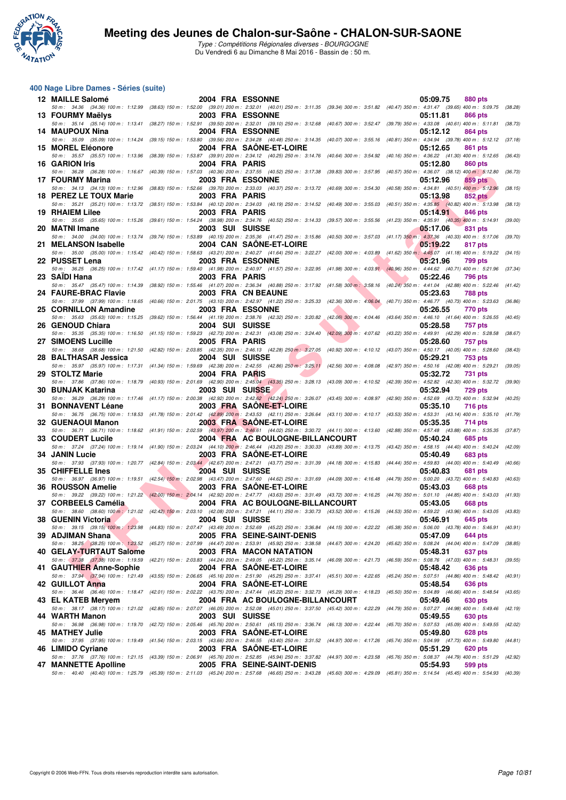

Type : Compétitions Régionales diverses - BOURGOGNE Du Vendredi 6 au Dimanche 8 Mai 2016 - Bassin de : 50 m.

### **400 Nage Libre Dames - Séries (suite)**

| 12 MAILLE Salomé                                                 |                 | 2004 FRA ESSONNE                 | 05:09.75<br>880 pts                                                                                                                                                                                                        |         |
|------------------------------------------------------------------|-----------------|----------------------------------|----------------------------------------------------------------------------------------------------------------------------------------------------------------------------------------------------------------------------|---------|
| 13 FOURMY Maëlys                                                 |                 | 2003 FRA ESSONNE                 | 50 m: 34.36 (34.36) 100 m: 1:12.99 (38.63) 150 m: 1:52.00 (39.01) 200 m: 2:32.01 (40.01) 250 m: 3:11.35 (39.34) 300 m: 3:51.82 (40.47) 350 m: 4:31.47 (39.65) 400 m: 5:09.75 (38.28)<br>05:11.81<br>866 pts                |         |
| 14 MAUPOUX Nina                                                  |                 | <b>2004 FRA ESSONNE</b>          | 50 m: 35.14 (35.14) 100 m: 1:13.41 (38.27) 150 m: 1:52.91 (39.50) 200 m: 2:32.01 (39.10) 250 m: 3:12.68 (40.67) 300 m: 3:52.47 (39.79) 350 m: 4:33.08 (40.61) 400 m: 5:11.81 (38.73)<br>05:12.12<br>864 pts                |         |
|                                                                  |                 |                                  | 50 m: 35.09 (35.09) 100 m: 1:14.24 (39.15) 150 m: 1:53.80 (39.56) 200 m: 2:34.28 (40.48) 250 m: 3:14.35 (40.07) 300 m: 3:55.16 (40.81) 350 m: 4:34.94 (39.78) 400 m: 5:12.12 (37.18)                                       |         |
| 15 MOREL Eléonore                                                |                 | 2004 FRA SAONE-ET-LOIRE          | 05:12.65<br>861 pts<br>50 m: 35.57 (35.57) 100 m: 1:13.96 (38.39) 150 m: 1:53.87 (39.91) 200 m: 2:34.12 (40.25) 250 m: 3:14.76 (40.64) 300 m: 3:54.92 (40.16) 350 m: 4:36.22 (41.30) 400 m: 5:12.65 (36.43)                |         |
| 16 GARION Iris                                                   |                 | 2004 FRA PARIS                   | 05:12.80<br>860 pts<br>50 m: 36.28 (36.28) 100 m: 1:16.67 (40.39) 150 m: 1:57.03 (40.36) 200 m: 2:37.55 (40.52) 250 m: 3:17.38 (39.83) 300 m: 3:57.95 (40.57) 350 m: 4:36.07 (38.12) 400 m: 5:12.80                        | (36.73) |
| 17 FOURMY Marina                                                 |                 | <b>2003 FRA ESSONNE</b>          | 05:12.96<br>859 pts                                                                                                                                                                                                        |         |
| 18 PEREZ LE TOUX Marie                                           |                 | 2003 FRA PARIS                   | 50 m: 34.13 (34.13) 100 m: 1:12.96 (38.83) 150 m: 1:52.66 (39.70) 200 m: 2:33.03 (40.37) 250 m: 3:13.72 (40.69) 300 m: 3:54.30 (40.58) 350 m: 4:34.81 (40.51) 400 m: 5:12.96<br>05:13.98<br>852 pts                        | (38.15) |
| <b>19 RHAIEM Lilee</b>                                           |                 | 2003 FRA PARIS                   | 50 m: 35.21 (35.21) 100 m: 1:13.72 (38.51) 150 m: 1:53.84 (40.12) 200 m: 2:34.03 (40.19) 250 m: 3:14.52 (40.49) 300 m: 3:55.03 (40.51) 350 m: 4:35.85 (40.82) 400 m: 5:13.98<br>05:14.91<br>846 pts                        | (38.13) |
| 20 MATNI Imane                                                   |                 | 2003 SUI SUISSE                  | 50 m: 35.65 (35.65) 100 m: 1:15.26 (39.61) 150 m: 1:54.24 (38.98) 200 m: 2:34.76 (40.52) 250 m: 3:14.33 (39.57) 300 m: 3:55.56 (41.23) 350 m: 4:35.91 (40.35) 400 m: 5:14.91<br>05:17.06<br>831 pts                        | (39.00) |
|                                                                  |                 |                                  | 50 m: 34.00 (34.00) 100 m: 1:13.74 (39.74) 150 m: 1:53.89 (40.15) 200 m: 2:35.36 (41.47) 250 m: 3:15.86 (40.50) 300 m: 3:57.03 (41.17) 350 m: 4:37.36 (40.33) 400 m: 5:17.06 (39.70)                                       |         |
| 21 MELANSON Isabelle                                             |                 | 2004 CAN SAONE-ET-LOIRE          | 05:19.22<br>817 pts<br>50 m: 35.00 (35.00) 100 m: 1:15.42 (40.42) 150 m: 1:58.63 (43.21) 200 m: 2:40.27 (41.64) 250 m: 3:22.27 (42.00) 300 m: 4:03.89 (41.62) 350 m: 4:45.07 (41.18) 400 m: 5:19.22                        | (34.15) |
| 22 PUSSET Lena                                                   |                 | <b>2003 FRA ESSONNE</b>          | 05:21.96<br>799 pts<br>50 m: 36.25 (36.25) 100 m: 1:17.42 (41.17) 150 m: 1:59.40 (41.98) 200 m: 2:40.97 (41.57) 250 m: 3:22.95 (41.98) 300 m: 4:03.91 (40.96) 350 m: 4:44.62 (40.71) 400 m: 5:21.96 (37.34)                |         |
| 23 SAIDI Hana                                                    |                 | 2003 FRA PARIS                   | 05:22.46<br><b>796 pts</b>                                                                                                                                                                                                 |         |
| 24 FAURE-BRAC Flavie                                             |                 | 2003 FRA CN BEAUNE               | 50 m: 35.47 (35.47) 100 m: 1:14.39 (38.92) 150 m: 1:55.46 (41.07) 200 m: 2:36.34 (40.88) 250 m: 3:17.92 (41.58) 300 m: 3:58.16 (40.24) 350 m: 4:41.04 (42.88) 400 m: 5:22.46<br>05:23.63<br><b>788 pts</b>                 | (41.42) |
| 25 CORNILLON Amandine                                            |                 | 2003 FRA ESSONNE                 | 50 m: 37.99 (37.99) 100 m: 1:18.65 (40.66) 150 m: 2:01.75 (43.10) 200 m: 2:42.97 (41.22) 250 m: 3:25.33 (42.36) 300 m: 4:06.04 (40.71) 350 m: 4:46.77 (40.73) 400 m: 5:23.63<br>05:26.55<br>770 pts                        | (36.86) |
| 26 GENOUD Chiara                                                 |                 | 2004 SUI SUISSE                  | 50 m: 35.63 (35.63) 100 m: 1:15.25 (39.62) 150 m: 1:56.44 (41.19) 200 m: 2:38.76 (42.32) 250 m: 3:20.82 (42.06) 300 m: 4:04.46 (43.64) 350 m: 4:46.10 (41.64) 400 m: 5:26.55 (40.45)<br>05:28.58<br>757 pts                |         |
|                                                                  |                 |                                  | 50 m: 35.35 (35.35) 100 m: 1:16.50 (41.15) 150 m: 1:59.23 (42.73) 200 m: 2:42.31 (43.08) 250 m: 3:24.40 (42.09) 300 m: 4:07.62 (43.22) 350 m: 4:49.91 (42.29) 400 m: 5:28.58                                               | (38.67) |
| 27 SIMOENS Lucille                                               |                 | 2005 FRA PARIS                   | 05:28.60<br><b>757 pts</b><br>50 m: 38.68 (38.68) 100 m: 1:21.50 (42.82) 150 m: 2:03.85 (42.35) 200 m: 2:46.13 (42.28) 250 m: 3:27.05 (40.92) 300 m: 4:10.12 (43.07) 350 m: 4:50.17 (40.05) 400 m: 5:28.60 (38.43)         |         |
| 28 BALTHASAR Jessica                                             |                 | 2004 SUI SUISSE                  | 05:29.21<br>753 pts<br>50 m: 35.97 (35.97) 100 m: 1:17.31 (41.34) 150 m: 1:59.69 (42.38) 200 m: 2:42.55 (42.86) 250 m: 3:25.11 (42.56) 300 m: 4:08.08 (42.97) 350 m: 4:50.16 (42.08) 400 m: 5:29.21                        | (39.05) |
| 29 STOLTZ Marie                                                  |                 | 2004 FRA PARIS                   | 05:32.72<br>731 pts                                                                                                                                                                                                        |         |
| 30 BUNJAK Katarina                                               |                 | 2003 SUI SUISSE                  | 50 m: 37.86 (37.86) 100 m: 1:18.79 (40.93) 150 m: 2:01.69 (42.90) 200 m: 2:45.04 (43.35) 250 m: 3:28.13 (43.09) 300 m: 4:10.52 (42.39) 350 m: 4:52.82 (42.30) 400 m: 5:32.72 (39.90)<br>05:32.94<br>729 pts                |         |
| 31 BONNAVENT Léane                                               |                 | 2003 FRA SAONE-ET-LOIRE          | 50 m: 36.29 (36.29) 100 m: 1:17.46 (41.17) 150 m: 2:00.38 (42.92) 200 m: 2:42.62 (42.24) 250 m: 3:26.07 (43.45) 300 m: 4:08.97 (42.90) 350 m: 4:52.69 (43.72) 400 m: 5:32.94<br>05:35.10<br><b>716 pts</b>                 | (40.25) |
| 32 GUENAOUI Manon                                                |                 | 2003 FRA SAONE-ET-LOIRE          | 50 m: 36.75 (36.75) 100 m: 1:18.53 (41.78) 150 m: 2:01.42 (42.89) 200 m: 2:43.53 (42.11) 250 m: 3:26.64 (43.11) 300 m: 4:10.17 (43.53) 350 m: 4:53.31 (43.14) 400 m: 5:35.10 (41.79)<br>05:35.35<br>714 pts                |         |
|                                                                  |                 |                                  | 50 m: 36.71 (36.71) 100 m: 1:18.62 (41.91) 150 m: 2:02.59 (43.97) 200 m: 2:46.61 (44.02) 250 m: 3:30.72 (44.11) 300 m: 4:13.60 (42.88) 350 m: 4:57.48 (43.88) 400 m: 5:35.35 (37.87)                                       |         |
| 33 COUDERT Lucile                                                |                 | 2004 FRA AC BOULOGNE-BILLANCOURT | 05:40.24<br>685 pts<br>50 m: 37.24 (37.24) 100 m: 1:19.14 (41.90) 150 m: 2:03.24 (44.10) 200 m: 2:46.44 (43.20) 250 m: 3:30.33 (43.89) 300 m: 4:13.75 (43.42) 350 m: 4:58.15 (44.40) 400 m: 5:40.24                        | (42.09) |
| 34 JANIN Lucie                                                   |                 | 2003 FRA SAONE-ET-LOIRE          | 05:40.49<br><b>683 pts</b><br>50 m : 37.93 (37.93) 100 m : 1:20.77 (42.84) 150 m : 2:03.44 (42.67) 200 m : 2:47.21 (43.77) 250 m : 3:31.39 (44.18) 300 m : 4:15.83 (44.44) 350 m : 4:59.83 (44.00) 400 m : 5:40.49 (40.66) |         |
| 35 CHIFFELLE Ines                                                |                 | 2004 SUI SUISSE                  | 05:40.83<br>681 pts<br>50 m: 36.97 (36.97) 100 m: 1:19.51 (42.54) 150 m: 2:02.98 (43.47) 200 m: 2:47.60 (44.62) 250 m: 3:31.69 (44.09) 300 m: 4:16.48 (44.79) 350 m: 5:00.20 (43.72) 400 m: 5:40.83                        | (40.63) |
| 36 ROUSSON Amelie                                                |                 | 2003 FRA SAONE-ET-LOIRE          | 05:43.03<br>668 pts                                                                                                                                                                                                        |         |
| 37 CORBEELS Camélia                                              |                 | 2004 FRA AC BOULOGNE-BILLANCOURT | 50 m: 39.22 (39.22) 100 m: 1:21.22 (42.00) 150 m: 2:04.14 (42.92) 200 m: 2:47.77 (43.63) 250 m: 3:31.49 (43.72) 300 m: 4:16.25 (44.76) 350 m: 5:01.10 (44.85) 400 m: 5:43.03 (41.93)<br>05:43.05<br>668 pts                |         |
| 38 GUENIN Victoria<br><b>Contract Contract Contract Contract</b> | 2004 SUI SUISSE |                                  | 50 m: 38.60 (38.60) 100 m: 1:21.02 (42.42) 150 m: 2:03.10 (42.08) 200 m: 2:47.21 (44.11) 250 m: 3:30.73 (43.52) 300 m: 4:15.26 (44.53) 350 m: 4:59.22 (43.96) 400 m: 5:43.05 (43.83)<br>05:46.91 645 pts                   |         |
|                                                                  |                 |                                  | 50 m : 39.15 (39.15) 100 m : 1:23.98 (44.83) 150 m : 2:07.47 (43.49) 200 m : 2:52.69 (45.22) 250 m : 3:36.84 (44.15) 300 m : 4:22.22 (45.38) 350 m : 5:06.00 (43.78) 400 m : 5:46.91 (40.91)                               |         |
| 39 ADJIMAN Shana                                                 |                 | 2005 FRA SEINE-SAINT-DENIS       | 05:47.09<br>644 pts<br>50 m: 38.25 (38.25) 100 m: 1:23.52 (45.27) 150 m: 2:07.99 (44.47) 200 m: 2:53.91 (45.92) 250 m: 3:38.58 (44.67) 300 m: 4:24.20 (45.62) 350 m: 5:08.24 (44.04) 400 m: 5:47.09 (38.85)                |         |
| 40 GELAY-TURTAUT Salome                                          |                 | 2003 FRA MACON NATATION          | 05:48.31<br>637 pts<br>50 m : 37.38 (37.38) 100 m : 1:19.59 (42.21) 150 m : 2:03.83 (44.24) 200 m : 2:49.05 (45.22) 250 m : 3:35.14 (46.09) 300 m : 4:21.73 (46.59) 350 m : 5:08.76 (47.03) 400 m : 5:48.31                | (39.55) |
| 41 GAUTHIER Anne-Sophie                                          |                 | 2004 FRA SAONE-ET-LOIRE          | 05:48.42<br>636 pts<br>50 m: 37.94 (37.94) 100 m: 1:21.49 (43.55) 150 m: 2:06.65 (45.16) 200 m: 2:51.90 (45.25) 250 m: 3:37.41 (45.51) 300 m: 4:22.65 (45.24) 350 m: 5:07.51 (44.86) 400 m: 5:48.42 (40.91)                |         |
| 42 GUILLOT Anna                                                  |                 | 2004 FRA SAONE-ET-LOIRE          | 05:48.54<br>636 pts                                                                                                                                                                                                        |         |
| 43 EL KATEB Meryem                                               |                 | 2004 FRA AC BOULOGNE-BILLANCOURT | 50 m : 36.46 (36.46) 100 m : 1:18.47 (42.01) 150 m : 2:02.22 (43.75) 200 m : 2:47.44 (45.22) 250 m : 3:32.73 (45.29) 300 m : 4:18.23 (45.50) 350 m : 5:04.89 (46.66) 400 m : 5:48.54<br>05:49.46<br>630 pts                | (43.65) |
| 44 WARTH Manon                                                   |                 | 2003 SUI SUISSE                  | 50 m : 38.17 (38.17) 100 m : 1:21.02 (42.85) 150 m : 2:07.07 (46.05) 200 m : 2:52.08 (45.01) 250 m : 3:37.50 (45.42) 300 m : 4:22.29 (44.79) 350 m : 5:07.27 (44.98) 400 m : 5:49.46 (42.19)<br>05:49.55<br>630 pts        |         |
|                                                                  |                 |                                  | 50 m: 36.98 (36.98) 100 m: 1:19.70 (42.72) 150 m: 2:05.46 (45.76) 200 m: 2:50.61 (45.15) 250 m: 3:36.74 (46.13) 300 m: 4:22.44 (45.70) 350 m: 5:07.53 (45.09) 400 m: 5:49.55 (42.02)                                       |         |
| 45 MATHEY Julie                                                  |                 | 2003 FRA SAONE-ET-LOIRE          | 05:49.80<br>628 pts<br>50 m: 37.95 (37.95) 100 m: 1:19.49 (41.54) 150 m: 2:03.15 (43.66) 200 m: 2:46.55 (43.40) 250 m: 3:31.52 (44.97) 300 m: 4:17.26 (45.74) 350 m: 5:04.99 (47.73) 400 m: 5:49.80 (44.81)                |         |
| 46 LIMIDO Cyriane                                                |                 | 2003 FRA SAONE-ET-LOIRE          | 05:51.29<br>620 pts<br>50 m : 37.76 (37.76) 100 m : 1:21.15 (43.39) 150 m : 2:06.91 (45.76) 200 m : 2:52.85 (45.94) 250 m : 3:37.82 (44.97) 300 m : 4:23.58 (45.76) 350 m : 5:08.37 (44.79) 400 m : 5:51.29 (42.92)        |         |
| 47 MANNETTE Apolline                                             |                 | 2005 FRA SEINE-SAINT-DENIS       | 599 pts<br>05:54.93<br>50 m: 40.40 (40.40) 100 m: 1:25.79 (45.39) 150 m: 2:11.03 (45.24) 200 m: 2:57.68 (46.65) 250 m: 3:43.28 (45.60) 300 m: 4:29.09 (45.81) 350 m: 5:14.54 (45.45) 400 m: 5:54.93 (40.39)                |         |
|                                                                  |                 |                                  |                                                                                                                                                                                                                            |         |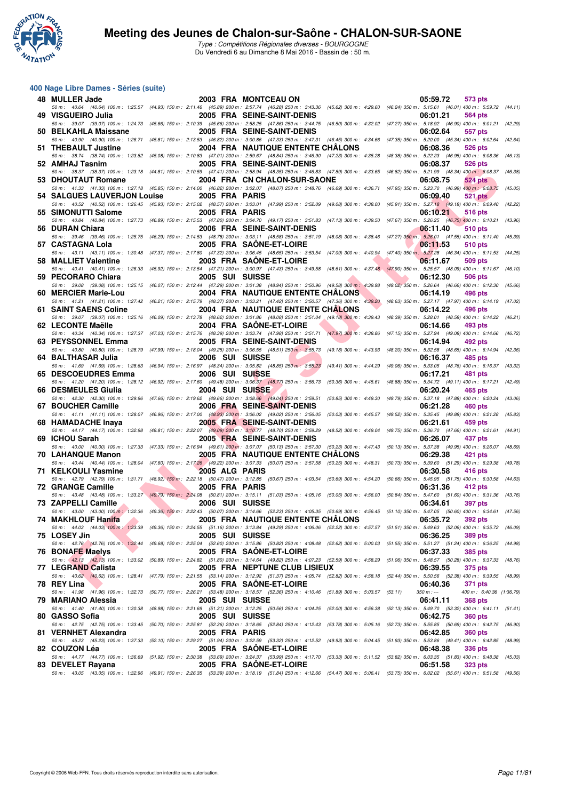

Type : Compétitions Régionales diverses - BOURGOGNE Du Vendredi 6 au Dimanche 8 Mai 2016 - Bassin de : 50 m.

### **400 Nage Libre Dames - Séries (suite)**

| 48 MULLER Jade              |                        | 2003 FRA MONTCEAU ON                                                                                                                                                                                                                     | 05:59.72<br>573 pts                                                                    |
|-----------------------------|------------------------|------------------------------------------------------------------------------------------------------------------------------------------------------------------------------------------------------------------------------------------|----------------------------------------------------------------------------------------|
| 49 VISGUEIRO Julia          |                        | 50 m: 40.64 (40.64) 100 m: 1:25.57 (44.93) 150 m: 2:11.46 (45.89) 200 m: 2:57.74 (46.28) 250 m: 3:43.36 (45.62) 300 m: 4:29.60 (46.24) 350 m: 5:15.61 (46.01) 400 m: 5:59.72<br>2005 FRA SEINE-SAINT-DENIS                               | (44.11)<br>06:01.21<br>564 pts                                                         |
| 50 BELKAHLA Maissane        |                        | 50 m : 39.07 (39.07) 100 m : 1:24.73 (45.66) 150 m : 2:10.39 (45.66) 200 m : 2:58.25 (47.86) 250 m : 3:44.75 (46.50) 300 m : 4:32.02 (47.27) 350 m : 5:18.92 (46.90) 400 m : 6:01.21 (42.29)<br>2005 FRA SEINE-SAINT-DENIS               | 06:02.64<br>557 pts                                                                    |
|                             |                        | 50 m: 40.90 (40.90) 100 m: 1:26.71 (45.81) 150 m: 2:13.53 (46.82) 200 m: 3:00.86 (47.33) 250 m: 3:47.31 (46.45) 300 m: 4:34.66 (47.35) 350 m: 5:20.00 (45.34) 400 m: 6:02.64 (42.64)                                                     |                                                                                        |
| 51 THEBAULT Justine         |                        | 2004 FRA NAUTIQUE ENTENTE CHALONS<br>50 m : 38.74 (38.74) 100 m : 1:23.82 (45.08) 150 m : 2:10.83 (47.01) 200 m : 2:59.67 (48.84) 250 m : 3:46.90 (47.23) 300 m : 4:35.28 (48.38) 350 m : 5:22.23 (46.95) 400 m : 6:08.36 (46.13)        | 06:08.36<br>526 pts                                                                    |
| 52 AMHAJ Tasnim             |                        | 2005 FRA SEINE-SAINT-DENIS                                                                                                                                                                                                               | 06:08.37<br>526 pts                                                                    |
|                             |                        | 50 m: 38.37 (38.37) 100 m: 1:23.18 (44.81) 150 m: 2:10.59 (47.41) 200 m: 2:58.94 (48.35) 250 m: 3:46.83 (47.89) 300 m: 4:33.65 (46.82) 350 m: 5:21.99 (48.34) 400 m: 6:08.37                                                             | (46.38)                                                                                |
| 53 DHOUTAUT Romane          |                        | 2004 FRA CN CHALON-SUR-SAONE<br>50 m : 41.33 (41.33) 100 m : 1:27.18 (45.85) 150 m : 2:14.00 (46.82) 200 m : 3:02.07 (48.07) 250 m : 3:48.76 (46.69) 300 m : 4:36.71                                                                     | 06:08.75<br><b>524 pts</b><br>(47.95) 350 m: 5:23.70 (46.99) 400 m: 6:08.75<br>(45.05) |
| 54 SALGUES LAUVERJON Louise | 2005 FRA PARIS         |                                                                                                                                                                                                                                          | 06:09.40<br><b>521 pts</b>                                                             |
|                             |                        | 50 m: 40.52 (40.52) 100 m: 1:26.45 (45.93) 150 m: 2:15.02 (48.57) 200 m: 3:03.01 (47.99) 250 m: 3:52.09 (49.08) 300 m: 4:38.00 (45.91) 350 m: 5:27.18 (49.18) 400 m: 6:09.40                                                             | (42.22)                                                                                |
| 55 SIMONUTTI Salome         | 2005 FRA PARIS         | 50 m: 40.84 (40.84) 100 m: 1:27.73 (46.89) 150 m: 2:15.53 (47.80) 200 m: 3:04.70 (49.17) 250 m: 3:51.83 (47.13) 300 m: 4:39.50 (47.67) 350 m: 5:26.25 (46.75) 400 m: 6:10.21 (43.96)                                                     | 06:10.21<br>516 pts                                                                    |
| 56 DURAN Chiara             |                        | 2006 FRA SEINE-SAINT-DENIS                                                                                                                                                                                                               | 06:11.40<br><b>510 pts</b>                                                             |
| 57 CASTAGNA Lola            |                        | 50 m: 39.46 (39.46) 100 m: 1:25.75 (46.29) 150 m: 2:14.53 (48.78) 200 m: 3:03.11 (48.58) 250 m: 3:51.19 (48.08) 300 m: 4:38.46 (47.27) 350 m: 5:26.01 (47.55) 400 m: 6:11.40 (45.39)<br>2005 FRA SAONE-ET-LOIRE                          | 06:11.53<br>510 pts                                                                    |
|                             |                        | 50 m: 43.11 (43.11) 100 m: 1:30.48 (47.37) 150 m: 2:17.80 (47.32) 200 m: 3:06.45 (48.65) 250 m: 3:53.54 (47.09) 300 m: 4:40.94 (47.40) 350 m: 5:27.28 (46.34) 400 m: 6:11.53 (44.25)                                                     |                                                                                        |
| 58 MALLIET Valentine        |                        | 2003 FRA SAONE-ET-LOIRE                                                                                                                                                                                                                  | 06:11.67<br>509 pts                                                                    |
| 59 PECORARO Chiara          | 2005 SUI SUISSE        | 50 m: 40.41 (40.41) 100 m: 1:26.33 (45.92) 150 m: 2:13.54 (47.21) 200 m: 3:00.97 (47.43) 250 m: 3:49.58 (48.61) 300 m: 4:37.48 (47.90) 350 m: 5:25.57 (48.09) 400 m: 6:11.67 (46.10)                                                     | 06:12.30<br>506 pts                                                                    |
|                             |                        | 50 m: 39.08 (39.08) 100 m: 1:25.15 (46.07) 150 m: 2:12.44 (47.29) 200 m: 3:01.38 (48.94) 250 m: 3:50.96 (49.58) 300 m: 4:39.98 (49.02) 350 m: 5:26.64 (46.66) 400 m: 6:12.30                                                             | (45.66)                                                                                |
| 60 MERCIER Marie-Lou        |                        | <b>2004 FRA NAUTIQUE ENTENTE CHALONS</b>                                                                                                                                                                                                 | 06:14.19<br>496 pts                                                                    |
| 61 SAINT SAENS Coline       |                        | 50 m: 41.21 (41.21) 100 m: 1:27.42 (46.21) 150 m: 2:15.79 (48.37) 200 m: 3:03.21 (47.42) 250 m: 3:50.57 (47.36) 300 m: 4:39.20 (48.63) 350 m: 5:27.17 (47.97) 400 m: 6:14.19<br><b>2004 FRA NAUTIQUE ENTENTE CHALONS</b>                 | (47.02)<br>06:14.22<br>496 pts                                                         |
|                             |                        | 50 m : 39.07 (39.07) 100 m : 1:25.16 (46.09) 150 m : 2:13.78 (48.62) 200 m : 3:01.86 (48.08) 250 m : 3:51.04 (49.18) 300 m : 4:39.43 (48.39) 350 m : 5:28.01 (48.58) 400 m : 6:14.22 (46.21)                                             |                                                                                        |
| 62 LECONTE Maëlle           |                        | 2004 FRA SAONE-ET-LOIRE                                                                                                                                                                                                                  | 06:14.66<br>493 pts                                                                    |
| 63 PEYSSONNEL Emma          |                        | 50 m: 40.34 (40.34) 100 m: 1:27.37 (47.03) 150 m: 2:15.76 (48.39) 200 m: 3:03.74 (47.98) 250 m: 3:51.71 (47.97) 300 m: 4:38.86 (47.15) 350 m: 5:27.94 (49.08) 400 m: 6:14.66<br>2005 FRA SEINE-SAINT-DENIS                               | (46.72)<br>06:14.94<br>492 pts                                                         |
|                             |                        | 50 m : 40.80 (40.80) 100 m : 1:28.79 (47.99) 150 m : 2:18.04 (49.25) 200 m : 3:06.55 (48.51) 250 m : 3:55.73 (49.18) 300 m : 4:43.93 (48.20) 350 m : 5:32.58 (48.65) 400 m : 6:14.94 (42.36)                                             |                                                                                        |
| 64 BALTHASAR Julia          | 2006 SUI SUISSE        |                                                                                                                                                                                                                                          | 06:16.37<br>485 pts                                                                    |
| 65 DESCOEUDRES Emma         | 2006 SUI SUISSE        | 50 m: 41.69 (41.69) 100 m: 1:28.63 (46.94) 150 m: 2:16.97 (48.34) 200 m: 3:05.82 (48.85) 250 m: 3:55.23 (49.41) 300 m: 4:44.29 (49.06) 350 m: 5:33.05 (48.76) 400 m: 6:16.37                                                             | (43.32)<br>06:17.21<br>481 pts                                                         |
|                             |                        | 50 m: 41.20 (41.20) 100 m: 1:28.12 (46.92) 150 m: 2:17.60 (49.48) 200 m: 3:06.37 (48.77) 250 m: 3:56.73 (50.36) 300 m: 4:45.61 (48.88) 350 m: 5:34.72 (49.11) 400 m: 6:17.21 (42.49)                                                     |                                                                                        |
| 66 DESMEULES Giulia         | <b>2004 SUI SUISSE</b> |                                                                                                                                                                                                                                          | 06:20.24<br>465 pts                                                                    |
| 67 BOUCHER Camille          |                        | 50 m: 42.30 (42.30) 100 m: 1:29.96 (47.66) 150 m: 2:19.62 (49.66) 200 m: 3:08.66 (49.04) 250 m: 3:59.51 (50.85) 300 m: 4:49.30 (49.79) 350 m: 5:37.18 (47.88) 400 m: 6:20.24<br>2006 FRA SEINE-SAINT-DENIS                               | (43.06)<br>06:21.28<br>460 pts                                                         |
|                             |                        | 50 m: 41.11 (41.11) 100 m: 1:28.07 (46.96) 150 m: 2:17.00 (48.93) 200 m: 3:06.02 (49.02) 250 m: 3:56.05 (50.03) 300 m: 4:45.57 (49.52) 350 m: 5:35.45 (49.88) 400 m: 6:21.28                                                             | (45.83)                                                                                |
| 68 HAMADACHE Inaya          |                        | 2005 FRA SEINE-SAINT-DENIS<br>50 m: 44.17 (44.17) 100 m: 1:32.98 (48.81) 150 m: 2:22.07 (49.09) 200 m: 3:10.77 (48.70) 250 m: 3:59.29 (48.52) 300 m: 4:49.04 (49.75) 350 m: 5:36.70 (47.66) 400 m: 6:21.61 (44.91)                       | 06:21.61<br>459 pts                                                                    |
| 69 ICHOU Sarah              |                        | 2005 FRA SEINE-SAINT-DENIS                                                                                                                                                                                                               | 06:26.07<br>437 pts                                                                    |
|                             |                        | 50 m: 40.00 (40.00) 100 m: 1:27.33 (47.33) 150 m: 2:16.94 (49.61) 200 m: 3:07.07 (50.13) 250 m: 3:57.30 (50.23) 300 m: 4:47.43 (50.13) 350 m: 5:37.38 (49.95) 400 m: 6:26.07                                                             | (48.69)                                                                                |
| <b>70 LAHANQUE Manon</b>    |                        | <b>2005 FRA NAUTIQUE ENTENTE CHALONS</b><br>50 m : 40.44 (40.44) 100 m : 1:28.04 (47.60) 150 m : 2:17.26 (49.22) 200 m : 3:07.33 (50.07) 250 m : 3:57.58 (50.25) 300 m : 4:48.31 (50.73) 350 m : 5:39.60 (51.29) 400 m : 6:29.38 (49.78) | 06:29.38<br>421 pts                                                                    |
| 71 KELKOULI Yasmine         | 2005 ALG PARIS         |                                                                                                                                                                                                                                          | 06:30.58<br>416 pts                                                                    |
| <b>72 GRANGE Camille</b>    |                        | 50 m : 42.79 (42.79) 100 m : 1:31.71 (48.92) 150 m : 2:22.18 (50.47) 200 m : 3:12.85 (50.67) 250 m : 4:03.54 (50.69) 300 m : 4:54.20                                                                                                     | $(50.66)$ 350 m : 5:45.95 $(51.75)$ 400 m : 6:30.58<br>(44.63)                         |
|                             | 2005 FRA PARIS         | 50 m: 43.48 (43.48) 100 m: 1:33.27 (49.79) 150 m: 2:24.08 (50.81) 200 m: 3:15.11 (51.03) 250 m: 4:05.16 (50.05) 300 m: 4:56.00 (50.84) 350 m: 5:47.60 (51.60) 400 m: 6:31.36 (43.76)                                                     | 06:31.36<br>412 pts                                                                    |
| 73 ZAPPELLI Camille         | 2006 SUI SUISSE        |                                                                                                                                                                                                                                          | 06:34.61<br><b>397 pts</b>                                                             |
| 74 MAKHLOUF Hanifa          |                        | 50 m: 43.00 (43.00) 100 m: 1:32.36 (49.36) 150 m: 2:22.43 (50.07) 200 m: 3:14.66 (52.23) 250 m: 4:05.35 (50.69) 300 m: 4:56.45 (51.10) 350 m: 5:47.05 (50.60) 400 m: 6:34.61 (47.56)<br>2005 FRA NAUTIQUE ENTENTE CHÂLONS                | 06:35.72 392 pts                                                                       |
|                             |                        | 50 m: 44.03 (44.03) 100 m: 1:33.39 (49.36) 150 m: 2:24.55 (51.16) 200 m: 3:13.84 (49.29) 250 m: 4:06.06 (52.22) 300 m: 4:57.57 (51.51) 350 m: 5:49.63 (52.06) 400 m: 6:35.72 (46.09)                                                     |                                                                                        |
| 75 LOSEY Jin                | 2005 SUI SUISSE        |                                                                                                                                                                                                                                          | 06:36.25<br><b>389 pts</b>                                                             |
| 76 BONAFE Maelys            |                        | 50 m: 42.76 (42.76) 100 m: 1:32.44 (49.68) 150 m: 2:25.04 (52.60) 200 m: 3:15.86 (50.62) 250 m: 4:08.48 (52.62) 300 m: 5:00.03 (51.55) 350 m: 5:51.27 (51.24) 400 m: 6:36.25 (44.98)<br>2005 FRA SAONE-ET-LOIRE                          | 06:37.33<br><b>385 pts</b>                                                             |
|                             |                        | 50 m: 42.13 (42.13) 100 m: 1:33.02 (50.89) 150 m: 2:24.82 (51.80) 200 m: 3:14.64 (49.82) 250 m: 4:07.23 (52.59) 300 m: 4:58.29 (51.06) 350 m: 5:48.57 (50.28) 400 m: 6:37.33 (48.76)                                                     |                                                                                        |
| 77 LEGRAND Calista          |                        | <b>2005 FRA NEPTUNE CLUB LISIEUX</b><br>50 m: 40.62 (40.62) 100 m: 1:28.41 (47.79) 150 m: 2:21.55 (53.14) 200 m: 3:12.92 (51.37) 250 m: 4:05.74 (52.82) 300 m: 4:58.18 (52.44) 350 m: 5:50.56 (52.38) 400 m: 6:39.55 (48.99)             | 06:39.55<br>375 pts                                                                    |
| 78 REY Lina                 |                        | 2005 FRA SAONE-ET-LOIRE                                                                                                                                                                                                                  | 06:40.36<br><b>371 pts</b>                                                             |
|                             |                        | 50 m: 41.96 (41.96) 100 m: 1:32.73 (50.77) 150 m: 2:26.21 (53.48) 200 m: 3:18.57 (52.36) 250 m: 4:10.46 (51.89) 300 m: 5:03.57 (53.11)                                                                                                   | 400 m: 6:40.36 (1:36.79)<br>$350 m : -$                                                |
| 79 MARIANO Alessia          | 2005 SUI SUISSE        | 50 m: 41.40 (41.40) 100 m: 1:30.38 (48.98) 150 m: 2:21.69 (51.31) 200 m: 3:12.25 (50.56) 250 m: 4:04.25 (52.00) 300 m: 4:56.38 (52.13) 350 m: 5:49.70 (53.32) 400 m: 6:41.11 (51.41)                                                     | 06:41.11<br><b>368 pts</b>                                                             |
| 80 GASSO Sofia              | 2005 SUI SUISSE        |                                                                                                                                                                                                                                          | 06:42.75<br><b>360 pts</b>                                                             |
|                             |                        | 50 m: 42.75 (42.75) 100 m: 1:33.45 (50.70) 150 m: 2:25.81 (52.36) 200 m: 3:18.65 (52.84) 250 m: 4:12.43 (53.78) 300 m: 5:05.16 (52.73) 350 m: 5:55.85 (50.69) 400 m: 6:42.75 (46.90)                                                     |                                                                                        |
| 81 VERNHET Alexandra        | 2005 FRA PARIS         | 50 m: 45.23 (45.23) 100 m: 1:37.33 (52.10) 150 m: 2:29.27 (51.94) 200 m: 3:22.59 (53.32) 250 m: 4:12.52 (49.93) 300 m: 5:04.45 (51.93) 350 m: 5:53.86 (49.41) 400 m: 6:42.85 (48.99)                                                     | 06:42.85<br><b>360 pts</b>                                                             |
| 82 COUZON Léa               |                        | 2005 FRA SAONE-ET-LOIRE                                                                                                                                                                                                                  | 06:48.38<br><b>336 pts</b>                                                             |
|                             |                        | 50 m: 44.77 (44.77) 100 m: 1:36.69 (51.92) 150 m: 2:30.38 (53.69) 200 m: 3:24.37 (53.99) 250 m: 4:17.70 (53.33) 300 m: 5:11.52 (53.82) 350 m: 6:03.35 (51.83) 400 m: 6:48.38 (45.03)                                                     |                                                                                        |
| 83 DEVELET Rayana           |                        | 2005 FRA SAONE-ET-LOIRE<br>50 m: 43.05 (43.05) 100 m: 1:32.96 (49.91) 150 m: 2:26.35 (53.39) 200 m: 3:18.19 (51.84) 250 m: 4:12.66 (54.47) 300 m: 5:06.41 (53.75) 350 m: 6:02.02 (55.61) 400 m: 6:51.58 (49.56)                          | 06:51.58<br><b>323 pts</b>                                                             |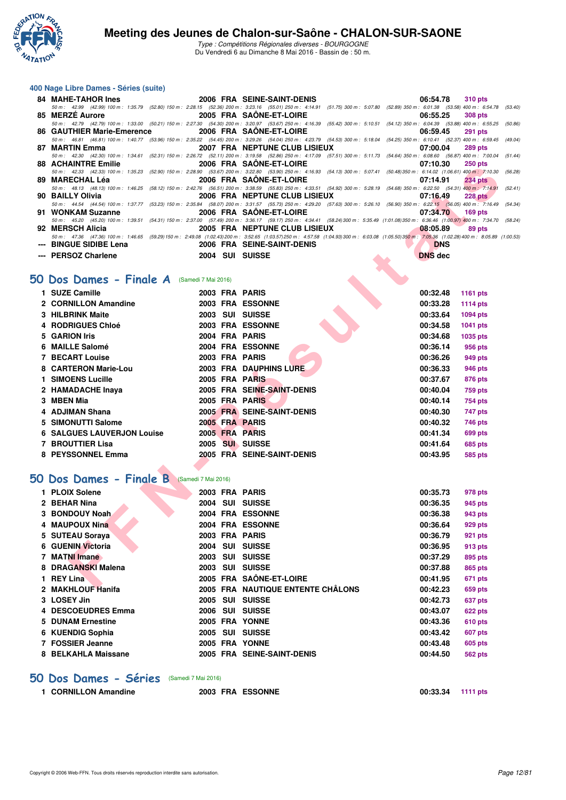

Type : Compétitions Régionales diverses - BOURGOGNE Du Vendredi 6 au Dimanche 8 Mai 2016 - Bassin de : 50 m.

### **400 Nage Libre Dames - Séries (suite)**

| 84 MAHE-TAHOR Ines         | <b>2006 FRA SEINE-SAINT-DENIS</b> |                                                                                                                                                                                                  | 06:54.78                          | 310 pts        |
|----------------------------|-----------------------------------|--------------------------------------------------------------------------------------------------------------------------------------------------------------------------------------------------|-----------------------------------|----------------|
|                            |                                   | 50 m: 42.99 (42.99) 100 m: 1:35.79 (52.80) 150 m: 2:28.15 (52.36) 200 m: 3:23.16 (55.01) 250 m: 4:14.91 (51.75) 300 m: 5:07.80 (52.89) 350 m: 6:01.38 (53.58) 400 m: 6:54.78 (53.40)             |                                   |                |
| 85 MERZE Aurore            |                                   | <b>2005 FRA SAONE-ET-LOIRE</b>                                                                                                                                                                   | 06:55.25                          | <b>308 pts</b> |
|                            |                                   | 50 m: 42.79 (42.79) 100 m: 1:33.00 (50.21) 150 m: 2:27.30 (54.30) 200 m: 3:20.97 (53.67) 250 m: 4:16.39 (55.42) 300 m: 5:10.51 (54.12) 350 m: 6:04.39 (53.88) 400 m: 6:55.25 (50.86)             |                                   |                |
|                            |                                   |                                                                                                                                                                                                  | 06:59.45                          | <b>291 pts</b> |
|                            |                                   | 50 m: 46.81 (46.81) 100 m: 1:40.77 (53.96) 150 m: 2:35.22 (54.45) 200 m: 3:29.26 (54.04) 250 m: 4:23.79 (54.53) 300 m: 5:18.04 (54.25) 350 m: 6:10.41 (52.37) 400 m: 6:59.45 (49.04)             |                                   |                |
| 87 MARTIN Emma             |                                   | 2007 FRA NEPTUNE CLUB LISIEUX                                                                                                                                                                    | 07:00.04                          | <b>289 pts</b> |
|                            |                                   | 50 m: 42.30 (42.30) 100 m: 1:34.61 (52.31) 150 m: 2:26.72 (52.11) 200 m: 3:19.58 (52.86) 250 m: 4:17.09 (57.51) 300 m: 5:11.73 (54.64) 350 m: 6:08.60 (56.87) 400 m: 7:00.04 (51.44)             |                                   |                |
| <b>88 ACHAINTRE Emilie</b> |                                   | <b>2006 FRA SAONE-ET-LOIRE</b>                                                                                                                                                                   | 07:10.30                          | $250$ pts      |
|                            |                                   | 50 m: 42.33 (42.33) 100 m: 1:35.23 (52.90) 150 m: 2:28.90 (53.67) 200 m: 3:22.80 (53.90) 250 m: 4:16.93 (54.13) 300 m: 5:07.41 (50.48) 350 m: 6:14.02 (1:06.61) 400 m: 7:10.30 (56.28)           |                                   |                |
|                            |                                   |                                                                                                                                                                                                  | 07:14.91                          | <b>234 pts</b> |
|                            |                                   | 50 m: 48.13 (48.13) 100 m: 1:46.25 (58.12) 150 m: 2:42.76 (56.51) 200 m: 3:38.59 (55.83) 250 m: 4:33.51 (54.92) 300 m: 5:28.19 (54.68) 350 m: 6:22.50 (54.31) 400 m: 7:14.91 (52.41)             |                                   |                |
| 90 BAILLY Olivia           |                                   | 2006 FRA NEPTUNE CLUB LISIEUX                                                                                                                                                                    | 07:16.49                          | <b>228 pts</b> |
|                            |                                   | 50 m: 44.54 (44.54) 100 m: 1:37.77 (53.23) 150 m: 2:35.84 (58.07) 200 m: 3:31.57 (55.73) 250 m: 4:29.20 (57.63) 300 m: 5:26.10 (56.90) 350 m: 6:22.15 (56.05) 400 m: 7:16.49 (54.34)             |                                   |                |
| 91 WONKAM Suzanne          |                                   | <b>2006 FRA SAONE-ET-LOIRE</b>                                                                                                                                                                   | 07:34.70                          | $169$ pts      |
|                            |                                   | 50 m: 45.20 (45.20) 100 m: 1:39.51 (54.31) 150 m: 2:37.00 (57.49) 200 m: 3:36.17 (59.17) 250 m: 4:34.41 (58.24) 300 m: 5:35.49 (1:01.08) 350 m: 6:36.46 (1:00.97) 400 m: 7:34.70 (58.24)         |                                   |                |
| 92 MERSCH Alicia           |                                   | 2005 FRA NEPTUNE CLUB LISIEUX 2005 8:05.89                                                                                                                                                       |                                   | $89$ pts       |
|                            |                                   | 50 m: 47.36 (47.36) 100 m: 1:46.65 (59.29) 150 m: 2:49.08 (1:02.43) 200 m: 3:52.65 (1:03.57) 250 m: 4:57.58 (1:04.93) 300 m: 6:03.08 (1:05.50) 350 m: 7:05.36 (1:02.28) 400 m: 8:05.89 (1:00.28) |                                   |                |
| --- BINGUE SIDIBE Lena     | <b>2006 FRA SEINE-SAINT-DENIS</b> |                                                                                                                                                                                                  | <b>DNS</b>                        |                |
| --- PERSOZ Charlene        | 2004 SUI SUISSE                   |                                                                                                                                                                                                  | <b>DNS</b> dec<br><b>ALCOHOL:</b> |                |

## **[50 Dos Dames - Finale A](http://www.ffnatation.fr/webffn/resultats.php?idact=nat&go=epr&idcpt=38881&idepr=11)** (Samedi 7 Mai 2016)

| 00 AVIIAININE EIIIIIIC                     |  | <b><i>LOUD FRA SAVILLETEURE</i></b>                                                                                                                                                                           | <u>vi.iv.ju</u> | <b>ZJU DIS</b>  |
|--------------------------------------------|--|---------------------------------------------------------------------------------------------------------------------------------------------------------------------------------------------------------------|-----------------|-----------------|
| 89  MARECHAL Léa                           |  | 50 m: 42.33 (42.33) 100 m: 1:35.23 (52.90) 150 m: 2:28.90 (53.67) 200 m: 3:22.80 (53.90) 250 m: 4:16.93 (54.13) 300 m: 5:07.41 (50.48) 350 m: 6:14.02 (1:06.61) 400 m: 7:10.30 (50<br>2006 FRA SAONE-ET-LOIRE | 07:14.91        | <b>234 pts</b>  |
|                                            |  | 50 m: 48.13 (48.13) 100 m: 1:46.25 (58.12) 150 m: 2:42.76 (56.51) 200 m: 3:38.59 (55.83) 250 m: 4:33.51 (54.92) 300 m: 5:28.19 (54.68) 350 m: 6:22.50 (54.31) 400 m: 7:14.91 (5.                              |                 |                 |
| 90 BAILLY Olivia                           |  | 2006 FRA NEPTUNE CLUB LISIEUX                                                                                                                                                                                 | 07:16.49        | <b>228 pts</b>  |
| 91 WONKAM Suzanne                          |  | 50 m: 44.54 (44.54) 100 m: 1:37.77 (53.23) 150 m: 2:35.84 (58.07) 200 m: 3:31.57 (55.73) 250 m: 4:29.20 (57.63) 300 m: 5:26.10 (56.90) 350 m: 6:22.15 (56.05) 400 m: 7:16.49 (5.<br>2006 FRA SAONE-ET-LOIRE   | 07:34.70        | <b>169 pts</b>  |
|                                            |  | 50 m: 45.20 (45.20) 100 m: 1:39.51 (54.31) 150 m: 2:37.00 (57.49) 200 m: 3:36.17 (59.17) 250 m: 4:34.41 (58.24) 300 m: 5:35.49 (1:01.08) 350 m: 6:36.46 (1:00.97) 400 m: 7:34.70 (50                          |                 |                 |
| 92   MERSCH Alicia                         |  | <b>2005 FRA NEPTUNE CLUB LISIEUX</b>                                                                                                                                                                          | 08:05.89        | 89 pts          |
|                                            |  | 50 m: 47.36 (47.36) 100 m: 1:46.65 (59.29) 150 m: 2:49.08 (1:02.43) 200 m: 3:52.65 (1:03.57) 250 m: 4:57.58 (1:04.93) 300 m: 6:03.08 (1:05.50) 350 m: 7:05.36 (1:02.28) 400 m: 8:05.89 (1:00                  |                 |                 |
| --- BINGUE SIDIBE Lena                     |  | 2006 FRA SEINE-SAINT-DENIS                                                                                                                                                                                    | <b>DNS</b>      |                 |
| --- PERSOZ Charlene                        |  | 2004 SUI SUISSE                                                                                                                                                                                               | <b>DNS</b> dec  |                 |
|                                            |  |                                                                                                                                                                                                               |                 |                 |
| O Dos Dames - Finale A (Samedi 7 Mai 2016) |  |                                                                                                                                                                                                               |                 |                 |
| 1 SUZE Camille                             |  | 2003 FRA PARIS                                                                                                                                                                                                | 00:32.48        | <b>1161 pts</b> |
| 2 CORNILLON Amandine                       |  | 2003 FRA ESSONNE                                                                                                                                                                                              | 00:33.28        | 1114 $pts$      |
| <b>3 HILBRINK Maite</b>                    |  | 2003 SUI SUISSE                                                                                                                                                                                               | 00:33.64        | <b>1094 pts</b> |
| 4 RODRIGUES Chloé                          |  | 2003 FRA ESSONNE                                                                                                                                                                                              | 00:34.58        | <b>1041 pts</b> |
| 5 GARION Iris                              |  | 2004 FRA PARIS                                                                                                                                                                                                | 00:34.68        | <b>1035 pts</b> |
| 6 MAILLE Salomé                            |  | 2004 FRA ESSONNE                                                                                                                                                                                              | 00:36.14        | 956 pts         |
| <b>7 BECART Louise</b>                     |  | 2003 FRA PARIS                                                                                                                                                                                                | 00:36.26        | 949 pts         |
| 8 CARTERON Marie-Lou                       |  | 2003 FRA DAUPHINS LURE                                                                                                                                                                                        | 00:36.33        | 946 pts         |
| 1 SIMOENS Lucille                          |  | 2005 FRA PARIS                                                                                                                                                                                                | 00:37.67        | 876 pts         |
| 2 HAMADACHE Inaya                          |  | 2005 FRA SEINE-SAINT-DENIS                                                                                                                                                                                    | 00:40.04        | 759 pts         |
| 3 MBEN Mia                                 |  | 2005 FRA PARIS                                                                                                                                                                                                | 00:40.14        | 754 pts         |
| 4 ADJIMAN Shana                            |  | 2005 FRA SEINE-SAINT-DENIS                                                                                                                                                                                    | 00:40.30        | 747 pts         |
| 5 SIMONUTTI Salome                         |  | 2005 FRA PARIS                                                                                                                                                                                                | 00:40.32        | 746 pts         |
| <b>6 SALGUES LAUVERJON Louise</b>          |  | 2005 FRA PARIS                                                                                                                                                                                                | 00:41.34        | 699 pts         |
| 7 BROUTTIER Lisa                           |  | 2005 SUI SUISSE                                                                                                                                                                                               | 00:41.64        | 685 pts         |
| 8 PEYSSONNEL Emma                          |  | 2005 FRA SEINE-SAINT-DENIS                                                                                                                                                                                    | 00:43.95        | 585 pts         |
|                                            |  |                                                                                                                                                                                                               |                 |                 |
| O Dos Dames - Finale B (Samedi 7 Mai 2016) |  |                                                                                                                                                                                                               |                 |                 |
| 1 PLOIX Solene                             |  | 2003 FRA PARIS                                                                                                                                                                                                | 00:35.73        | 978 pts         |
| 2 BEHAR Nina                               |  | 2004 SUI SUISSE                                                                                                                                                                                               | 00:36.35        | 945 pts         |
| 3 BONDOUY Noah                             |  | 2004 FRA ESSONNE                                                                                                                                                                                              | 00:36.38        | 943 pts         |
| 4 MAUPOUX Nina                             |  | 2004 FRA ESSONNE                                                                                                                                                                                              | 00:36.64        | 929 pts         |
| 5 SUTEAU Soraya                            |  | 2003 FRA PARIS                                                                                                                                                                                                | 00:36.79        | 921 pts         |
| 6 GUENIN Victoria                          |  | 2004 SUI SUISSE                                                                                                                                                                                               | 00:36.95        | 913 pts         |
| 7 MATNI Imane                              |  | 2003 SUI SUISSE                                                                                                                                                                                               | 00:37.29        | 895 pts         |
| 8 DRAGANSKI Malena                         |  | 2003 SUI SUISSE                                                                                                                                                                                               | 00:37.88        | 865 pts         |
| 1 REY Lina                                 |  | 2005 FRA SAÔNE-ET-LOIRE                                                                                                                                                                                       | 00:41.95        | 671 pts         |
| 0. MAVULOUT HAAIA                          |  | 2005 EDA NAUTIOUE ENTENTE OUÂL ONG                                                                                                                                                                            | 00.40.22        | CEO ---         |

## **[50 Dos Dames - Finale B](http://www.ffnatation.fr/webffn/resultats.php?idact=nat&go=epr&idcpt=38881&idepr=11)** (Samedi 7 Mai 2016)

| 1 PLOIX Solene      |      |            | 2003 FRA PARIS                    | 00:35.73 | 978 pts        |
|---------------------|------|------------|-----------------------------------|----------|----------------|
| 2 BEHAR Nina        |      | 2004 SUI   | <b>SUISSE</b>                     | 00:36.35 | 945 pts        |
| 3 BONDOUY Noah      |      |            | 2004 FRA ESSONNE                  | 00:36.38 | 943 pts        |
| 4 MAUPOUX Nina      | 2004 |            | <b>FRA ESSONNE</b>                | 00:36.64 | 929 pts        |
| 5 SUTEAU Soraya     |      |            | 2003 FRA PARIS                    | 00:36.79 | 921 pts        |
| 6 GUENIN Victoria   |      | 2004 SUI   | <b>SUISSE</b>                     | 00:36.95 | 913 pts        |
| <b>MATNI Imane</b>  | 2003 | <b>SUI</b> | <b>SUISSE</b>                     | 00:37.29 | 895 pts        |
| 8 DRAGANSKI Malena  | 2003 | <b>SUI</b> | <b>SUISSE</b>                     | 00:37.88 | 865 pts        |
| 1 REY Lina          |      |            | 2005 FRA SAÔNE-ET-LOIRE           | 00:41.95 | 671 pts        |
| 2 MAKHLOUF Hanifa   |      |            | 2005 FRA NAUTIQUE ENTENTE CHÂLONS | 00:42.23 | 659 pts        |
| 3 LOSEY Jin         | 2005 | <b>SUI</b> | <b>SUISSE</b>                     | 00:42.73 | 637 pts        |
| 4 DESCOEUDRES Emma  | 2006 | <b>SUI</b> | <b>SUISSE</b>                     | 00:43.07 | 622 pts        |
| 5 DUNAM Ernestine   |      |            | 2005 FRA YONNE                    | 00:43.36 | 610 pts        |
| 6 KUENDIG Sophia    | 2005 | <b>SUI</b> | <b>SUISSE</b>                     | 00:43.42 | <b>607 pts</b> |
| 7 FOSSIER Jeanne    | 2005 |            | <b>FRA YONNE</b>                  | 00:43.48 | <b>605 pts</b> |
| 8 BELKAHLA Maissane |      |            | 2005 FRA SEINE-SAINT-DENIS        | 00:44.50 | 562 pts        |
|                     |      |            |                                   |          |                |

### **[50 Dos Dames - Séries](http://www.ffnatation.fr/webffn/resultats.php?idact=nat&go=epr&idcpt=38881&idepr=11)** (Samedi 7 Mai 2016)

| 1 CORNILLON Amandine |  |
|----------------------|--|
|----------------------|--|

**1 CORNICLON Amazon Amazon Amazon Amazon Amazon 2003 FRA ESSONNE 00:33.34 1111 pts**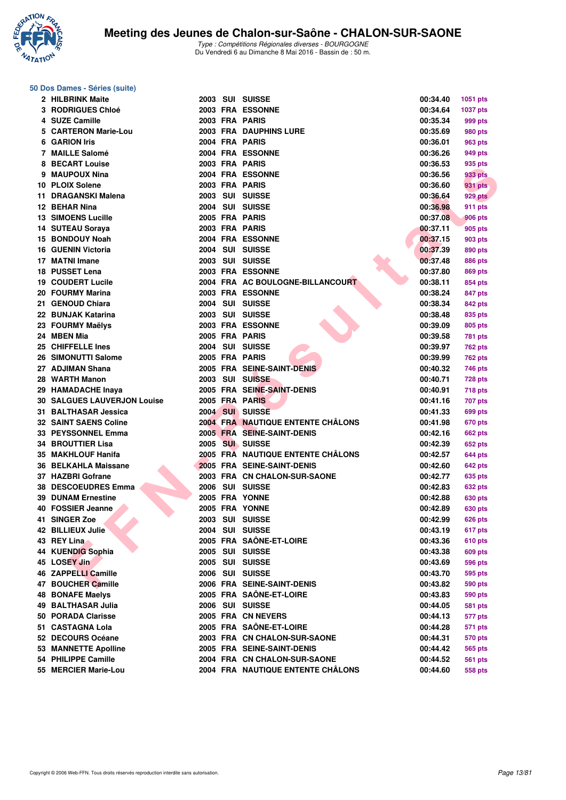

### **50 Dos Dames - Séries (suite)**

| 2 HILBRINK Maite                   |  | 2003 SUI SUISSE                          | 00:34.40 | 1051 pts       |
|------------------------------------|--|------------------------------------------|----------|----------------|
| <b>3 RODRIGUES Chloé</b>           |  | 2003 FRA ESSONNE                         | 00:34.64 | 1037 pts       |
| 4 SUZE Camille                     |  | 2003 FRA PARIS                           | 00:35.34 | 999 pts        |
| 5 CARTERON Marie-Lou               |  | <b>2003 FRA DAUPHINS LURE</b>            | 00:35.69 | 980 pts        |
| 6 GARION Iris                      |  | 2004 FRA PARIS                           | 00:36.01 | 963 pts        |
| 7 MAILLE Salomé                    |  | 2004 FRA ESSONNE                         | 00:36.26 | 949 pts        |
| 8 BECART Louise                    |  | 2003 FRA PARIS                           | 00:36.53 | 935 pts        |
| 9 MAUPOUX Nina                     |  | 2004 FRA ESSONNE                         | 00:36.56 | 933 pts        |
| 10 PLOIX Solene                    |  | 2003 FRA PARIS                           | 00:36.60 | 931 pts        |
| 11 DRAGANSKI Malena                |  | 2003 SUI SUISSE                          | 00:36.64 | 929 pts        |
| 12 BEHAR Nina                      |  | 2004 SUI SUISSE                          | 00:36.98 | 911 pts        |
| <b>13 SIMOENS Lucille</b>          |  | 2005 FRA PARIS                           | 00:37.08 | 906 pts        |
| 14 SUTEAU Soraya                   |  | 2003 FRA PARIS                           | 00:37.11 | 905 pts        |
| 15 BONDOUY Noah                    |  | 2004 FRA ESSONNE                         | 00:37.15 | 903 pts        |
| 16 GUENIN Victoria                 |  | 2004 SUI SUISSE                          | 00:37.39 | 890 pts        |
| 17 MATNI Imane                     |  | 2003 SUI SUISSE                          | 00:37.48 | 886 pts        |
| 18 PUSSET Lena                     |  | 2003 FRA ESSONNE                         | 00:37.80 | 869 pts        |
| 19 COUDERT Lucile                  |  | 2004 FRA AC BOULOGNE-BILLANCOURT         | 00:38.11 | 854 pts        |
| 20 FOURMY Marina                   |  | 2003 FRA ESSONNE                         | 00:38.24 | 847 pts        |
| 21 GENOUD Chiara                   |  | 2004 SUI SUISSE                          | 00:38.34 | 842 pts        |
| 22 BUNJAK Katarina                 |  | 2003 SUI SUISSE                          | 00:38.48 | 835 pts        |
| 23 FOURMY Maëlys                   |  | 2003 FRA ESSONNE                         | 00:39.09 | 805 pts        |
| 24 MBEN Mia                        |  | 2005 FRA PARIS                           | 00:39.58 | 781 pts        |
| <b>25 CHIFFELLE Ines</b>           |  | 2004 SUI SUISSE                          | 00:39.97 | <b>762 pts</b> |
| 26 SIMONUTTI Salome                |  | 2005 FRA PARIS                           | 00:39.99 | 762 pts        |
| 27 ADJIMAN Shana                   |  | 2005 FRA SEINE-SAINT-DENIS               | 00:40.32 |                |
| 28 WARTH Manon                     |  | 2003 SUI SUISSE                          | 00:40.71 | 746 pts        |
| 29 HAMADACHE Inaya                 |  | 2005 FRA SEINE-SAINT-DENIS               | 00:40.91 | <b>728 pts</b> |
| <b>30 SALGUES LAUVERJON Louise</b> |  | 2005 FRA PARIS                           |          | <b>718 pts</b> |
| 31   BALTHASAR Jessica             |  | 2004 SUI SUISSE                          | 00:41.16 | 707 pts        |
|                                    |  |                                          | 00:41.33 | 699 pts        |
| <b>32 SAINT SAENS Coline</b>       |  | <b>2004 FRA NAUTIQUE ENTENTE CHALONS</b> | 00:41.98 | 670 pts        |
| 33 PEYSSONNEL Emma                 |  | 2005 FRA SEINE-SAINT-DENIS               | 00:42.16 | 662 pts        |
| 34 BROUTTIER Lisa                  |  | 2005 SUI SUISSE                          | 00:42.39 | 652 pts        |
| 35 MAKHLOUF Hanifa                 |  | 2005 FRA NAUTIQUE ENTENTE CHÂLONS        | 00:42.57 | 644 pts        |
| 36 BELKAHLA Maissane               |  | 2005 FRA SEINE-SAINT-DENIS               | 00:42.60 | 642 pts        |
| 37 HAZBRI Gofrane                  |  | 2003 FRA CN CHALON-SUR-SAONE             | 00:42.77 | 635 pts        |
| <b>38 DESCOEUDRES Emma</b>         |  | 2006 SUI SUISSE                          | 00:42.83 | 632 pts        |
| <b>39 DUNAM Ernestine</b>          |  | 2005 FRA YONNE                           | 00:42.88 | 630 pts        |
| 40 FOSSIER Jeanne                  |  | 2005 FRA YONNE                           | 00:42.89 | 630 pts        |
| 41 SINGER Zoe                      |  | 2003 SUI SUISSE                          | 00:42.99 | <b>626 pts</b> |
| 42 BILLIEUX Julie                  |  | 2004 SUI SUISSE                          | 00:43.19 | 617 pts        |
| 43 REY Lina                        |  | 2005 FRA SAÔNE-ET-LOIRE                  | 00:43.36 | <b>610 pts</b> |
| 44 KUENDIG Sophia                  |  | 2005 SUI SUISSE                          | 00:43.38 | 609 pts        |
| 45 LOSEY Jin                       |  | 2005 SUI SUISSE                          | 00:43.69 | 596 pts        |
| 46 ZAPPELLI Camille                |  | 2006 SUI SUISSE                          | 00:43.70 | 595 pts        |
| 47 BOUCHER Camille                 |  | 2006 FRA SEINE-SAINT-DENIS               | 00:43.82 | 590 pts        |
| <b>48 BONAFE Maelys</b>            |  | 2005 FRA SAÔNE-ET-LOIRE                  | 00:43.83 | 590 pts        |
| 49   BALTHASAR Julia               |  | 2006 SUI SUISSE                          | 00:44.05 | 581 pts        |
| 50 PORADA Clarisse                 |  | 2005 FRA CN NEVERS                       | 00:44.13 | 577 pts        |
| 51 CASTAGNA Lola                   |  | 2005 FRA SAÔNE-ET-LOIRE                  | 00:44.28 | 571 pts        |
| 52 DECOURS Océane                  |  | 2003 FRA CN CHALON-SUR-SAONE             | 00:44.31 | 570 pts        |
| 53 MANNETTE Apolline               |  | 2005 FRA SEINE-SAINT-DENIS               | 00:44.42 | 565 pts        |
| 54 PHILIPPE Camille                |  | 2004 FRA CN CHALON-SUR-SAONE             | 00:44.52 | 561 pts        |
| 55 MERCIER Marie-Lou               |  | 2004 FRA NAUTIQUE ENTENTE CHÂLONS        | 00:44.60 | 558 pts        |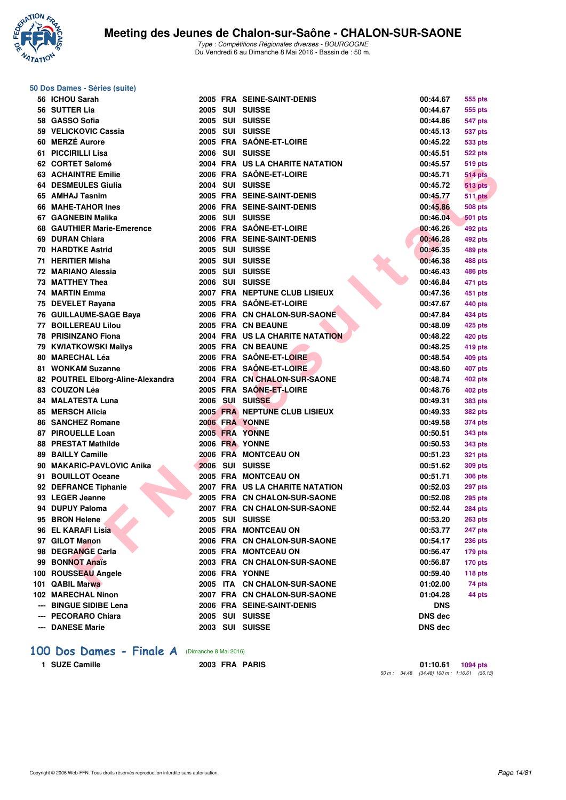

### **50 Dos Dames - Séries (suite)**

| 56 ICHOU Sarah                    |  | 2005 FRA SEINE-SAINT-DENIS             | 00:44.67       | 555 pts        |
|-----------------------------------|--|----------------------------------------|----------------|----------------|
| 56 SUTTER Lia                     |  | 2005 SUI SUISSE                        | 00:44.67       | 555 pts        |
| 58 GASSO Sofia                    |  | 2005 SUI SUISSE                        | 00:44.86       | 547 pts        |
| 59 VELICKOVIC Cassia              |  | 2005 SUI SUISSE                        | 00:45.13       | 537 pts        |
| 60 MERZÉ Aurore                   |  | 2005 FRA SAÔNE-ET-LOIRE                | 00:45.22       | 533 pts        |
| 61 PICCIRILLI Lisa                |  | 2006 SUI SUISSE                        | 00:45.51       | 522 pts        |
| 62 CORTET Salomé                  |  | 2004 FRA US LA CHARITE NATATION        | 00:45.57       | 519 pts        |
| <b>63 ACHAINTRE Emilie</b>        |  | 2006 FRA SAÔNE-ET-LOIRE                | 00:45.71       | <b>514 pts</b> |
| 64 DESMEULES Giulia               |  | 2004 SUI SUISSE                        | 00:45.72       | <b>513 pts</b> |
| 65 AMHAJ Tasnim                   |  | 2005 FRA SEINE-SAINT-DENIS             | 00:45.77       | <b>511 pts</b> |
| 66 MAHE-TAHOR Ines                |  | 2006 FRA SEINE-SAINT-DENIS             | 00:45.86       | <b>508 pts</b> |
| 67 GAGNEBIN Malika                |  | 2006 SUI SUISSE                        | 00:46.04       | 501 pts        |
| 68 GAUTHIER Marie-Emerence        |  | 2006 FRA SAÔNE-ET-LOIRE                | 00:46.26       | 492 pts        |
| 69 DURAN Chiara                   |  | 2006 FRA SEINE-SAINT-DENIS             | 00:46.28       | 492 pts        |
| 70 HARDTKE Astrid                 |  | 2005 SUI SUISSE                        | 00:46.35       | 489 pts        |
| 71 HERITIER Misha                 |  | 2005 SUI SUISSE                        | 00:46.38       | 488 pts        |
| 72 MARIANO Alessia                |  | 2005 SUI SUISSE                        | 00:46.43       | 486 pts        |
| 73 MATTHEY Thea                   |  | 2006 SUI SUISSE                        | 00:46.84       | 471 pts        |
| 74 MARTIN Emma                    |  | 2007 FRA NEPTUNE CLUB LISIEUX          | 00:47.36       | 451 pts        |
| 75 DEVELET Rayana                 |  | 2005 FRA SAÖNE-ET-LOIRE                | 00:47.67       | 440 pts        |
| 76 GUILLAUME-SAGE Baya            |  | 2006 FRA CN CHALON-SUR-SAONE           | 00:47.84       | 434 pts        |
| 77 BOILLEREAU Lilou               |  | 2005 FRA CN BEAUNE                     | 00:48.09       | 425 pts        |
| 78 PRISINZANO Fiona               |  | <b>2004 FRA US LA CHARITE NATATION</b> | 00:48.22       | 420 pts        |
| 79 KWIATKOWSKI Maïlys             |  | 2005 FRA CN BEAUNE                     | 00:48.25       | 419 pts        |
| 80 MARECHAL Léa                   |  | 2006 FRA SAÔNE-ET-LOIRE                | 00:48.54       | 409 pts        |
| 81 WONKAM Suzanne                 |  | 2006 FRA SAÔNE-ET-LOIRE                | 00:48.60       | 407 pts        |
| 82 POUTREL Elborg-Aline-Alexandra |  | 2004 FRA CN CHALON-SUR-SAONE           | 00:48.74       | 402 pts        |
| 83 COUZON Léa                     |  | 2005 FRA SAÔNE-ET-LOIRE                | 00:48.76       | 402 pts        |
| 84 MALATESTA Luna                 |  | 2006 SUI SUISSE                        | 00:49.31       | 383 pts        |
| 85 MERSCH Alicia                  |  | <b>2005 FRA NEPTUNE CLUB LISIEUX</b>   | 00:49.33       | 382 pts        |
| 86 SANCHEZ Romane                 |  | 2006 FRA YONNE                         | 00:49.58       | 374 pts        |
| 87 PIROUELLE Loan                 |  | 2005 FRA YONNE                         | 00:50.51       | 343 pts        |
| <b>88 PRESTAT Mathilde</b>        |  | 2006 FRA YONNE                         | 00:50.53       | 343 pts        |
| 89 BAILLY Camille                 |  | 2006 FRA MONTCEAU ON                   | 00:51.23       | 321 pts        |
| 90 MAKARIC-PAVLOVIC Anika         |  | 2006 SUI SUISSE                        | 00:51.62       | <b>309 pts</b> |
| 91 BOUILLOT Oceane                |  | 2005 FRA MONTCEAU ON                   | 00:51.71       | 306 pts        |
| 92 DEFRANCE Tiphanie              |  | 2007 FRA US LA CHARITE NATATION        | 00:52.03       | 297 pts        |
| 93 LEGER Jeanne                   |  | 2005 FRA CN CHALON-SUR-SAONE           | 00:52.08       | 295 pts        |
| 94 DUPUY Paloma                   |  | 2007 FRA CN CHALON-SUR-SAONE           | 00:52.44       | <b>284 pts</b> |
| 95 BRON Helene                    |  | 2005 SUI SUISSE                        | 00:53.20       | <b>263 pts</b> |
| 96 EL KARAFI Lisia                |  | 2005 FRA MONTCEAU ON                   | 00:53.77       | 247 pts        |
| 97 GILOT Manon                    |  | 2006 FRA CN CHALON-SUR-SAONE           | 00:54.17       | <b>236 pts</b> |
| 98 DEGRANGE Carla                 |  | 2005 FRA MONTCEAU ON                   | 00:56.47       | 179 pts        |
| 99 BONNOT Anaïs                   |  | 2003 FRA CN CHALON-SUR-SAONE           | 00:56.87       | $170$ pts      |
| 100 ROUSSEAU Angele               |  | 2006 FRA YONNE                         | 00:59.40       | 118 pts        |
| 101 QABIL Marwa                   |  | 2005 ITA CN CHALON-SUR-SAONE           | 01:02.00       | 74 pts         |
| 102 MARECHAL Ninon                |  | 2007 FRA CN CHALON-SUR-SAONE           | 01:04.28       | 44 pts         |
| --- BINGUE SIDIBE Lena            |  | 2006 FRA SEINE-SAINT-DENIS             | DNS            |                |
| --- PECORARO Chiara               |  | 2005 SUI SUISSE                        | <b>DNS dec</b> |                |
| --- DANESE Marie                  |  | 2003 SUI SUISSE                        | <b>DNS</b> dec |                |
|                                   |  |                                        |                |                |

### **[100 Dos Dames - Finale A](http://www.ffnatation.fr/webffn/resultats.php?idact=nat&go=epr&idcpt=38881&idepr=12)** (Dimanche 8 Mai 2016)

**1 SUZE Camille 2003 FRA PARIS 1 SUZE Camille 2003** PERA PARIS **1 Development 1:10.61 01:10.61 01:10.61 01:10.61 01:10.61 01:10.61 01:10.61 01:10.61 01:10.61 06.13**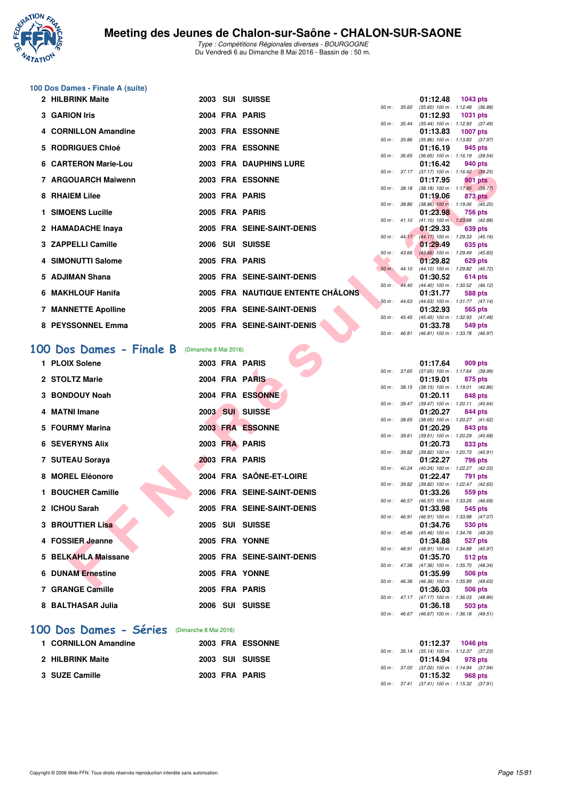

**100 Dos Dames - Finale A (suite)**

## **Meeting des Jeunes de Chalon-sur-Saône - CHALON-SUR-SAONE**

Type : Compétitions Régionales diverses - BOURGOGNE Du Vendredi 6 au Dimanche 8 Mai 2016 - Bassin de : 50 m.

| 2 HILBRINK Maite                                 |                       | 2003 SUI SUISSE                   |                  |                  | 01:12.48<br><b>1043 pts</b>                                                                    |  |
|--------------------------------------------------|-----------------------|-----------------------------------|------------------|------------------|------------------------------------------------------------------------------------------------|--|
| 3 GARION Iris                                    |                       | 2004 FRA PARIS                    | 50 m: 35.60      |                  | $(35.60)$ 100 m : 1:12.48 $(36.88)$<br>01:12.93<br><b>1031 pts</b>                             |  |
| 4 CORNILLON Amandine                             |                       | 2003 FRA ESSONNE                  |                  | 50 m: 35.44      | $(35.44)$ 100 m : 1:12.93 $(37.49)$<br>01:13.83<br><b>1007 pts</b>                             |  |
| 5 RODRIGUES Chloé                                |                       | 2003 FRA ESSONNE                  |                  | 50 m : 35.86     | $(35.86)$ 100 m : 1:13.83 $(37.97)$<br>01:16.19                                                |  |
|                                                  |                       |                                   |                  | 50 m : 36.65     | 945 pts<br>$(36.65)$ 100 m : 1:16.19 $(39.54)$                                                 |  |
| 6 CARTERON Marie-Lou                             |                       | <b>2003 FRA DAUPHINS LURE</b>     |                  | 50 m: 37.17      | 01:16.42<br>940 pts<br>$(37.17)$ 100 m : 1:16.42 $(39.25)$                                     |  |
| 7 ARGOUARCH Maiwenn                              |                       | 2003 FRA ESSONNE                  |                  |                  | 01:17.95<br>901 pts                                                                            |  |
| 8 RHAIEM Lilee                                   |                       | 2003 FRA PARIS                    | 50 m: 38.18      |                  | $(38.18)$ 100 m : 1:17.95 $(39.77)$<br>01:19.06<br>873 pts                                     |  |
| 1 SIMOENS Lucille                                |                       | 2005 FRA PARIS                    |                  | 50 m : 38.86     | $(38.86)$ 100 m : 1:19.06 $(40.20)$<br>01:23.98<br>756 pts                                     |  |
|                                                  |                       |                                   |                  |                  | 50 m: 41.10 (41.10) 100 m: 1:23.98 (42.88)                                                     |  |
| 2 HAMADACHE Inaya                                |                       | 2005 FRA SEINE-SAINT-DENIS        |                  |                  | 01:29.33<br>639 pts                                                                            |  |
| 3 ZAPPELLI Camille                               |                       | 2006 SUI SUISSE                   |                  |                  | 50 m: 44.17 (44.17) 100 m: 1:29.33 (45.16)<br>01:29.49<br>635 pts                              |  |
|                                                  |                       |                                   |                  | 50 m: 43.66      | $(43.66)$ 100 m : 1:29.49 $(45.83)$                                                            |  |
| 4 SIMONUTTI Salome                               |                       | 2005 FRA PARIS                    |                  | $50 m$ : 44.10   | 01:29.82<br>629 pts<br>(44.10) 100 m: 1:29.82 (45.72)                                          |  |
| 5 ADJIMAN Shana                                  |                       | 2005 FRA SEINE-SAINT-DENIS        |                  |                  | 01:30.52<br>614 pts                                                                            |  |
| 6 MAKHLOUF Hanifa                                |                       | 2005 FRA NAUTIQUE ENTENTE CHÂLONS |                  | 50 m: 44.40      | $(44.40)$ 100 m : 1:30.52 $(46.12)$<br>01:31.77<br>588 pts                                     |  |
|                                                  |                       |                                   |                  | 50 m: 44.63      | $(44.63)$ 100 m : 1:31.77 $(47.14)$                                                            |  |
| <b>7 MANNETTE Apolline</b>                       |                       | 2005 FRA SEINE-SAINT-DENIS        | $50 m$ : $45.45$ |                  | 01:32.93<br>565 pts<br>(45.45) 100 m: 1:32.93 (47.48)                                          |  |
| 8 PEYSSONNEL Emma                                |                       | 2005 FRA SEINE-SAINT-DENIS        |                  |                  | 01:33.78<br>549 pts                                                                            |  |
|                                                  |                       |                                   |                  | 50 m : 46.81     | (46.81) 100 m: 1:33.78 (46.97)                                                                 |  |
| 100 Dos Dames - Finale B                         | (Dimanche 8 Mai 2016) |                                   |                  |                  |                                                                                                |  |
| 1 PLOIX Solene                                   |                       | 2003 FRA PARIS                    |                  |                  | 01:17.64<br>909 pts                                                                            |  |
|                                                  |                       |                                   |                  | 50 m : 37.65     | $(37.65)$ 100 m : 1:17.64 $(39.99)$                                                            |  |
| 2 STOLTZ Marie                                   |                       | 2004 FRA PARIS                    |                  | 50 m : 38.15     | 01:19.01<br>875 pts<br>$(38.15)$ 100 m : 1:19.01 $(40.86)$                                     |  |
| 3 BONDOUY Noah                                   |                       | 2004 FRA ESSONNE                  |                  |                  | 01:20.11<br>848 pts                                                                            |  |
| 4 MATNI Imane                                    |                       | 2003 SUI SUISSE                   |                  | 50 m : 39.47     | $(39.47)$ 100 m : 1:20.11 $(40.64)$<br>01:20.27                                                |  |
|                                                  |                       |                                   |                  | 50 m : 38.65     | 844 pts<br>(38.65) 100 m: 1:20.27 (41.62)                                                      |  |
| 5 FOURMY Marina                                  |                       | 2003 FRA ESSONNE                  |                  |                  | 01:20.29<br>843 pts                                                                            |  |
| <b>6 SEVERYNS Alix</b>                           |                       | 2003 FRA PARIS                    |                  | 50 m : 39.61     | $(39.61)$ 100 m : 1:20.29 $(40.68)$<br>01:20.73<br>833 pts                                     |  |
|                                                  |                       |                                   |                  | 50 m : 39.82     | (39.82) 100 m: 1:20.73 (40.91)                                                                 |  |
| 7 SUTEAU Soraya                                  |                       | 2003 FRA PARIS                    |                  | 50 m: 40.24      | 01:22.27<br>796 pts<br>(40.24) 100 m : 1:22.27 (42.03)                                         |  |
| 8 MOREL Eléonore                                 |                       | 2004 FRA SAÔNE-ET-LOIRE           |                  |                  | 01:22.47<br>791 pts                                                                            |  |
| 1 BOUCHER Camille                                |                       | 2006 FRA SEINE-SAINT-DENIS        |                  |                  | 50 m: 39.82 (39.82) 100 m: 1:22.47 (42.65)<br>01:33.26<br>559 pts                              |  |
|                                                  |                       |                                   |                  | $50 m$ : $46.57$ | (46.57) 100 m: 1:33.26 (46.69)                                                                 |  |
| 2 ICHOU Sarah                                    |                       | 2005 FRA SEINE-SAINT-DENIS        |                  |                  | 01:33.98<br>545 pts                                                                            |  |
| 3 BROUTTIER Lisa                                 |                       | 2005 SUI SUISSE                   |                  | 50 m: 46.91      | $(46.91)$ 100 m : 1:33.98 $(47.07)$<br>01:34.76<br>530 pts                                     |  |
|                                                  |                       |                                   |                  | 50 m: 45.46      | (45.46) 100 m: 1:34.76 (49.30)                                                                 |  |
| 4 FOSSIER Jeanne                                 |                       | 2005 FRA YONNE                    |                  | 50 m : 48.91     | 01:34.88<br>527 pts<br>(48.91) 100 m: 1:34.88 (45.97)                                          |  |
| 5 BELKAHLA Maissane                              |                       | 2005 FRA SEINE-SAINT-DENIS        |                  |                  | 01:35.70<br>512 pts                                                                            |  |
|                                                  |                       |                                   |                  |                  |                                                                                                |  |
|                                                  |                       |                                   |                  |                  | 50 m : 47.36 (47.36) 100 m : 1:35.70 (48.34)                                                   |  |
| <b>6 DUNAM Ernestine</b><br>$7.00$ ANOF $0.0001$ |                       | 2005 FRA YONNE<br>COOF FRA BABIC  |                  |                  | 01:35.99<br><b>506 pts</b><br>50 m: 46.36 (46.36) 100 m: 1:35.99 (49.63)<br>0.4.0000<br>$-0.0$ |  |

| 1 PLOIX Solene           | 2003 FRA PARIS             | 01:17.64<br>909 pts                                                       |
|--------------------------|----------------------------|---------------------------------------------------------------------------|
| 2 STOLTZ Marie           |                            | $(37.65)$ 100 m : 1:17.64 (39.<br>50 m: 37.65                             |
|                          | 2004 FRA PARIS             | 01:19.01<br>875 pts<br>$(38.15)$ 100 m : 1:19.01 (40.<br>$50 m$ : $38.15$ |
| 3 BONDOUY Noah           | 2004 FRA ESSONNE           | 01:20.11<br>848 pts                                                       |
|                          |                            | $(39.47)$ 100 m : 1:20.11 (40.<br>50 m: 39.47                             |
| 4 MATNI Imane            | 2003 SUI SUISSE            | 01:20.27<br>844 pts                                                       |
|                          |                            | 50 m: 38.65 (38.65) 100 m: 1:20.27 (41.                                   |
| 5 FOURMY Marina          | 2003 FRA ESSONNE           | 01:20.29<br>843 pts                                                       |
| <b>6 SEVERYNS Alix</b>   | 2003 FRA PARIS             | $(39.61)$ 100 m : 1:20.29 (40.<br>50 m: 39.61<br>01:20.73<br>833 pts      |
|                          |                            | $(39.82)$ 100 m : 1:20.73 (40.<br>50 m: 39.82                             |
| 7 SUTEAU Soraya          | 2003 FRA PARIS             | 01:22.27<br>796 pts                                                       |
|                          |                            | 50 m: 40.24 (40.24) 100 m: 1:22.27 (42.                                   |
| 8 MOREL Eléonore         | 2004 FRA SAÔNE-ET-LOIRE    | 01:22.47<br>791 pts                                                       |
|                          |                            | $(39.82)$ 100 m : 1:22.47 (42.<br>50 m : 39.82                            |
| 1 BOUCHER Camille        | 2006 FRA SEINE-SAINT-DENIS | 01:33.26<br>559 pts                                                       |
|                          |                            | (46.57) 100 m : 1:33.26 (46.<br>$50 m$ : 46.57                            |
| 2 ICHOU Sarah            | 2005 FRA SEINE-SAINT-DENIS | 01:33.98<br>545 pts<br>$50 m$ : 46.91                                     |
| 3 BROUTTIER Lisa         | 2005 SUI SUISSE            | $(46.91)$ 100 m : 1:33.98 (47.<br>01:34.76<br>530 pts                     |
|                          |                            | 50 m: 45.46 (45.46) 100 m: 1:34.76 (49.                                   |
| 4 FOSSIER Jeanne         | 2005 FRA YONNE             | 01:34.88<br>527 pts                                                       |
|                          |                            | 50 m: 48.91 (48.91) 100 m: 1:34.88 (45.                                   |
| 5 BELKAHLA Maissane      | 2005 FRA SEINE-SAINT-DENIS | 01:35.70<br>512 pts                                                       |
|                          |                            | $(47.36)$ 100 m : 1:35.70 $(48.$<br>$50 m$ : $47.36$                      |
| <b>6 DUNAM Ernestine</b> | 2005 FRA YONNE             | 01:35.99<br><b>506 pts</b>                                                |
|                          | 2005 FRA PARIS             | (46.36) 100 m : 1:35.99 (49.<br>50 m : 46.36                              |
| 7 GRANGE Camille         |                            | 01:36.03<br>506 pts<br>50 m: 47.17 (47.17) 100 m: 1:36.03 (48.            |
| 8 BALTHASAR Julia        | 2006 SUI SUISSE            | 01:36.18<br>503 pts                                                       |
|                          |                            | $F0 \rightarrow 40.07$ (40.07) $100 \rightarrow 1.0010$ (40)              |

### **[100 Dos Dames - Séries](http://www.ffnatation.fr/webffn/resultats.php?idact=nat&go=epr&idcpt=38881&idepr=12)** (Dimanche 8 Mai 2016)

| 1 CORNILLON Amandine |  | 2003 FRA ESSONNE |  | 01:12.37 1046 pts                            |         |  |
|----------------------|--|------------------|--|----------------------------------------------|---------|--|
|                      |  |                  |  | 50 m: 35.14 (35.14) 100 m: 1:12.37 (37.23)   |         |  |
| 2 HILBRINK Maite     |  | 2003 SUI SUISSE  |  | 01:14.94 978 pts                             |         |  |
|                      |  |                  |  | 50 m: 37.00 (37.00) 100 m: 1:14.94 (37.94)   |         |  |
| 3 SUZE Camille       |  | 2003 FRA PARIS   |  | 01:15.32                                     | 968 pts |  |
|                      |  |                  |  | 50 m : 37.41 (37.41) 100 m : 1:15.32 (37.91) |         |  |

50 m : 46.36 (46.36) 100 m : 1:35.99 (49.63)<br>**01:36.03** 506 pts

50 m : 47.17 (47.17) 100 m : 1:36.03 (48.86)

50 m : 46.67 (46.67) 100 m : 1:36.18 (49.51)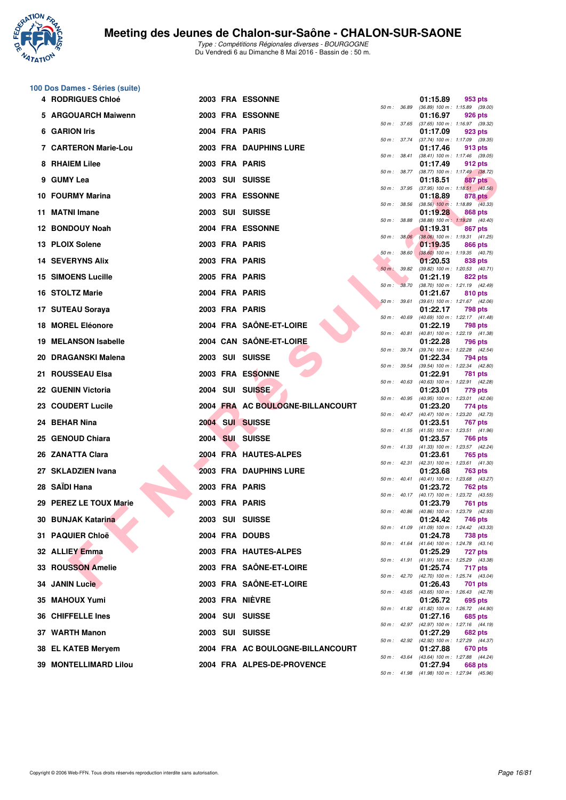

**100 Dos Dames - Séries (suite)**

| 4 RODRIGUES Chloé            | 2003 FRA ESSONNE                 |                  | 01:15.89<br>953 pts                                                 |
|------------------------------|----------------------------------|------------------|---------------------------------------------------------------------|
| 5 ARGOUARCH Maiwenn          | 2003 FRA ESSONNE                 | 50 m : 36.89     | $(36.89)$ 100 m : 1:15.89 $(39.00)$<br>01:16.97<br>926 pts          |
| 6 GARION Iris                | 2004 FRA PARIS                   |                  | 50 m: 37.65 (37.65) 100 m: 1:16.97 (39.32)<br>01:17.09<br>923 pts   |
| 7 CARTERON Marie-Lou         | 2003 FRA DAUPHINS LURE           | 50 m : 37.74     | (37.74) 100 m: 1:17.09 (39.35)<br>01:17.46<br>913 pts               |
| 8 RHAIEM Lilee               | 2003 FRA PARIS                   | $50 m$ : $38.41$ | $(38.41)$ 100 m : 1:17.46 $(39.05)$<br>01:17.49<br>912 pts          |
| 9 GUMY Lea                   | 2003 SUI SUISSE                  | 50 m : 38.77     | (38.77) 100 m : 1:17.49 (38.72)<br>01:18.51<br>887 pts              |
| 10 FOURMY Marina             | 2003 FRA ESSONNE                 | 50 m : 37.95     | $(37.95)$ 100 m : 1:18.51 $(40.56)$<br>01:18.89<br>878 pts          |
| 11 MATNI Imane               | 2003 SUI SUISSE                  | 50 m : 38.56     | $(38.56)$ 100 m : 1:18.89 $(40.33)$<br>01:19.28<br>868 pts          |
| 12 BONDOUY Noah              | 2004 FRA ESSONNE                 | 50 m : 38.88     | $(38.88)$ 100 m : 1:19.28 $(40.40)$<br>01:19.31<br>867 pts          |
| 13 PLOIX Solene              | 2003 FRA PARIS                   | 50 m: 38.06      | $(38.06)$ 100 m : 1:19.31 $(41.25)$<br>01:19.35<br>866 pts          |
| <b>14 SEVERYNS Alix</b>      | 2003 FRA PARIS                   | $50 m$ : $38.60$ | $(38.60)$ 100 m : 1:19.35 $(40.75)$<br>01:20.53<br>838 pts          |
| <b>15 SIMOENS Lucille</b>    | 2005 FRA PARIS                   | 50 m : 39.82     | $(39.82)$ 100 m : 1:20.53 $(40.71)$<br>01:21.19<br>822 pts          |
| 16 STOLTZ Marie              |                                  | 50 m : 38.70     | (38.70) 100 m: 1:21.19 (42.49)                                      |
|                              | 2004 FRA PARIS                   | 50 m: 39.61      | 01:21.67<br>810 pts<br>(39.61) 100 m: 1:21.67 (42.06)               |
| 17 SUTEAU Soraya             | 2003 FRA PARIS                   | 50 m : 40.69     | 01:22.17<br>798 pts<br>$(40.69)$ 100 m : 1:22.17 $(41.48)$          |
| 18 MOREL Eléonore            | 2004 FRA SAÔNE-ET-LOIRE          | 50 m : 40.81     | 01:22.19<br>798 pts<br>(40.81) 100 m: 1:22.19 (41.38)               |
| 19 MELANSON Isabelle         | 2004 CAN SAÔNE-ET-LOIRE          | 50 m : 39.74     | 01:22.28<br><b>796 pts</b><br>(39.74) 100 m : 1:22.28 (42.54)       |
| 20 DRAGANSKI Malena          | 2003 SUI SUISSE                  | 50 m : 39.54     | 01:22.34<br>794 pts<br>(39.54) 100 m: 1:22.34 (42.80)               |
| 21 ROUSSEAU Elsa             | 2003 FRA ESSONNE                 | 50 m : 40.63     | 01:22.91<br>781 pts<br>(40.63) 100 m: 1:22.91 (42.28)               |
| 22 GUENIN Victoria           | 2004 SUI SUISSE                  | 50 m: 40.95      | 01:23.01<br>779 pts<br>(40.95) 100 m: 1:23.01 (42.06)               |
| 23 COUDERT Lucile            | 2004 FRA AC BOULOGNE-BILLANCOURT | 50 m : 40.47     | 01:23.20<br>774 pts<br>(40.47) 100 m : 1:23.20 (42.73)              |
| 24 BEHAR Nina                | 2004 SUI SUISSE                  |                  | 01:23.51<br>767 pts                                                 |
| 25 GENOUD Chiara             | 2004 SUI SUISSE                  |                  | 50 m: 41.55 (41.55) 100 m: 1:23.51 (41.96)<br>01:23.57<br>766 pts   |
| 26 ZANATTA Clara             | 2004 FRA HAUTES-ALPES            |                  | 50 m: 41.33 (41.33) 100 m: 1:23.57 (42.24)<br>01:23.61<br>765 pts   |
| 27 SKLADZIEN Ivana           | 2003 FRA DAUPHINS LURE           |                  | 50 m: 42.31 (42.31) 100 m: 1:23.61 (41.30)<br>01:23.68<br>763 pts   |
| 28 SAÏDI Hana                | 2003 FRA PARIS                   | 50 m: 40.41      | (40.41) 100 m: 1:23.68 (43.27)<br>01:23.72<br>762 pts               |
| 29 PEREZ LE TOUX Marie       | 2003 FRA PARIS                   |                  | 50 m: 40.17 (40.17) 100 m: 1:23.72 (43.55)<br>01:23.79<br>761 pts   |
| 30 BUNJAK Katarina           | 2003 SUI SUISSE                  |                  | 50 m: 40.86 (40.86) 100 m: 1:23.79 (42.93)<br>01:24.42<br>746 pts   |
| 31 PAQUIER Chloë             | 2004 FRA DOUBS                   |                  | 50 m: 41.09 (41.09) 100 m: 1:24.42 (43.33)<br>01:24.78<br>738 pts   |
| 32 ALLIEY Emma               | 2003 FRA HAUTES-ALPES            |                  | 50 m: 41.64 (41.64) 100 m: 1:24.78 (43.14)<br>01:25.29<br>727 pts   |
| 33 ROUSSON Amelie            | 2003 FRA SAÔNE-ET-LOIRE          |                  | 50 m: 41.91 (41.91) 100 m: 1:25.29 (43.38)<br>01:25.74<br>717 pts   |
| <b>34 JANIN Lucie</b>        | 2003 FRA SAÔNE-ET-LOIRE          |                  | 50 m : 42.70 (42.70) 100 m : 1:25.74 (43.04)<br>01:26.43<br>701 pts |
| 35 MAHOUX Yumi               | 2003 FRA NIÈVRE                  |                  | 50 m: 43.65 (43.65) 100 m: 1:26.43 (42.78)<br>01:26.72<br>695 pts   |
| 36 CHIFFELLE Ines            | 2004 SUI SUISSE                  |                  | 50 m: 41.82 (41.82) 100 m: 1:26.72 (44.90)<br>01:27.16<br>685 pts   |
| 37 WARTH Manon               | 2003 SUI SUISSE                  |                  | 50 m : 42.97 (42.97) 100 m : 1:27.16 (44.19)<br>01:27.29<br>682 pts |
|                              |                                  |                  | 50 m: 42.92 (42.92) 100 m: 1:27.29 (44.37)                          |
| 38 EL KATEB Meryem           | 2004 FRA AC BOULOGNE-BILLANCOURT |                  | 01:27.88<br>670 pts<br>50 m : 43.64 (43.64) 100 m : 1:27.88 (44.24) |
| <b>39 MONTELLIMARD Lilou</b> | 2004 FRA ALPES-DE-PROVENCE       |                  | 01:27.94<br>668 pts<br>50 m: 41.98 (41.98) 100 m: 1:27.94 (45.96)   |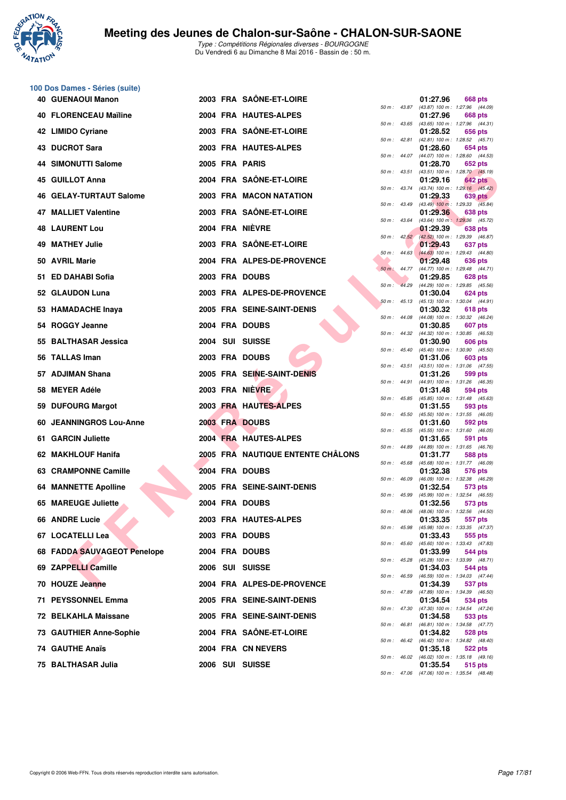

**100 Dos Dames - Séries (suite)**

|     | <b>40 GUENAOUI Manon</b>     |  | 2003 FRA SAÔNE-ET-LOIRE           |              |                  | 01:27.96 | <b>668 pts</b>                                               |
|-----|------------------------------|--|-----------------------------------|--------------|------------------|----------|--------------------------------------------------------------|
|     | <b>40 FLORENCEAU Maïline</b> |  | 2004 FRA HAUTES-ALPES             |              |                  | 01:27.96 | 50 m: 43.87 (43.87) 100 m: 1:27.96 (44.09)<br>668 pts        |
|     | 42 LIMIDO Cyriane            |  | 2003 FRA SAÔNE-ET-LOIRE           |              |                  | 01:28.52 | 50 m: 43.65 (43.65) 100 m: 1:27.96 (44.31)<br>656 pts        |
|     | 43 DUCROT Sara               |  | 2003 FRA HAUTES-ALPES             |              | 50 m: 42.81      | 01:28.60 | (42.81) 100 m: 1:28.52 (45.71)<br>654 pts                    |
|     | 44 SIMONUTTI Salome          |  | 2005 FRA PARIS                    |              | $50 m$ : 44.07   | 01:28.70 | (44.07) 100 m: 1:28.60 (44.53)<br>652 pts                    |
|     | 45 GUILLOT Anna              |  | 2004 FRA SAÔNE-ET-LOIRE           |              | 50 m: 43.51      | 01:29.16 | (43.51) 100 m : 1:28.70 (45.19)<br>642 pts                   |
|     | 46 GELAY-TURTAUT Salome      |  | 2003 FRA MACON NATATION           |              | $50 m$ : 43.74   | 01:29.33 | $(43.74)$ 100 m : 1:29.16 $(45.42)$<br>639 pts               |
|     | 47 MALLIET Valentine         |  | 2003 FRA SAÔNE-ET-LOIRE           |              | 50 m : 43.49     | 01:29.36 | $(43.49)$ 100 m : 1:29.33 $(45.84)$<br>638 pts               |
|     | <b>48 LAURENT Lou</b>        |  | 2004 FRA NIÈVRE                   |              | $50 m$ : 43.64   |          | (43.64) 100 m: 1:29.36 (45.72)                               |
|     |                              |  |                                   |              |                  | 01:29.39 | 638 pts<br>50 m : 42.52 (42.52) 100 m : 1:29.39 (46.87)      |
|     | <b>49 MATHEY Julie</b>       |  | 2003 FRA SAÖNE-ET-LOIRE           |              | $50 m$ : 44.63   | 01:29.43 | 637 pts<br>$(44.63)$ 100 m : 1:29.43 $(44.80)$               |
|     | 50 AVRIL Marie               |  | 2004 FRA ALPES-DE-PROVENCE        |              | $50 m$ : 44.77   | 01:29.48 | 636 pts<br>(44.77) 100 m : 1:29.48 (44.71)                   |
|     | 51 ED DAHABI Sofia           |  | 2003 FRA DOUBS                    | $50 m$ :     | 44.29            | 01:29.85 | 628 pts<br>(44.29) 100 m: 1:29.85 (45.56)                    |
|     | 52 GLAUDON Luna              |  | 2003 FRA ALPES-DE-PROVENCE        |              | $50 m$ : 45.13   | 01:30.04 | 624 pts<br>$(45.13)$ 100 m : 1:30.04 $(44.91)$               |
|     | 53 HAMADACHE Inaya           |  | 2005 FRA SEINE-SAINT-DENIS        |              |                  | 01:30.32 | 618 pts                                                      |
|     | 54 ROGGY Jeanne              |  | 2004 FRA DOUBS                    |              | $50 m$ : $44.08$ | 01:30.85 | (44.08) 100 m : 1:30.32 (46.24)<br><b>607 pts</b>            |
|     | 55 BALTHASAR Jessica         |  | 2004 SUI SUISSE                   |              | 50 m : 44.32     | 01:30.90 | (44.32) 100 m: 1:30.85 (46.53)<br><b>606 pts</b>             |
|     | 56 TALLAS Iman               |  | 2003 FRA DOUBS                    |              | $50 m$ : $45.40$ | 01:31.06 | (45.40) 100 m: 1:30.90 (45.50)<br>603 pts                    |
|     |                              |  |                                   | 50 m: 43.51  |                  |          | (43.51) 100 m: 1:31.06 (47.55)                               |
|     | 57 ADJIMAN Shana             |  | 2005 FRA SEINE-SAINT-DENIS        |              | 50 m : 44.91     | 01:31.26 | 599 pts<br>(44.91) 100 m: 1:31.26 (46.35)                    |
|     | 58 MEYER Adéle               |  | 2003 FRA NIEVRE                   |              | 50 m : 45.85     | 01:31.48 | 594 pts<br>(45.85) 100 m: 1:31.48 (45.63)                    |
|     | 59 DUFOURG Margot            |  | 2003 FRA HAUTES-ALPES             |              | 50 m: 45.50      | 01:31.55 | 593 pts<br>(45.50) 100 m: 1:31.55 (46.05)                    |
| 60. | <b>JEANNINGROS Lou-Anne</b>  |  | 2003 FRA DOUBS                    |              |                  | 01:31.60 | 592 pts                                                      |
|     | 61 GARCIN Juliette           |  | 2004 FRA HAUTES-ALPES             |              |                  | 01:31.65 | 50 m: 45.55 (45.55) 100 m: 1:31.60 (46.05)<br>591 pts        |
|     | 62 MAKHLOUF Hanifa           |  | 2005 FRA NAUTIQUE ENTENTE CHÂLONS | 50 m : 44.89 |                  | 01:31.77 | (44.89) 100 m: 1:31.65 (46.76)<br>588 pts                    |
|     | 63 CRAMPONNE Camille         |  | 2004 FRA DOUBS                    |              | $50 m$ : 45.68   | 01:32.38 | (45.68) 100 m: 1:31.77 (46.09)<br>576 pts                    |
|     | <b>64 MANNETTE Apolline</b>  |  | 2005 FRA SEINE-SAINT-DENIS        | 50 m: 46.09  |                  | 01:32.54 | (46.09) 100 m: 1:32.38 (46.29)<br>573 pts                    |
|     | 65 MAREUGE Juliette          |  | 2004 FRA DOUBS                    |              | 50 m : 45.99     | 01:32.56 | (45.99) 100 m: 1:32.54 (46.55)<br>573 pts                    |
|     |                              |  |                                   | 50 m: 48.06  |                  |          | (48.06) 100 m: 1:32.56 (44.50)                               |
|     | 66 ANDRE Lucie               |  | 2003 FRA HAUTES-ALPES             |              |                  | 01:33.35 | 557 pts<br>50 m: 45.98 (45.98) 100 m: 1:33.35 (47.37)        |
|     | 67 LOCATELLI Lea             |  | 2003 FRA DOUBS                    |              |                  | 01:33.43 | 555 pts<br>50 m: 45.60 (45.60) 100 m: 1:33.43 (47.83)        |
|     | 68 FADDA SAUVAGEOT Penelope  |  | 2004 FRA DOUBS                    |              |                  | 01:33.99 | <b>544 pts</b><br>50 m: 45.28 (45.28) 100 m: 1:33.99 (48.71) |
|     | 69 ZAPPELLI Camille          |  | 2006 SUI SUISSE                   |              |                  | 01:34.03 | <b>544 pts</b>                                               |
|     | 70 HOUZE Jeanne              |  | 2004 FRA ALPES-DE-PROVENCE        |              |                  | 01:34.39 | 50 m: 46.59 (46.59) 100 m: 1:34.03 (47.44)<br>537 pts        |
|     | 71 PEYSSONNEL Emma           |  | 2005 FRA SEINE-SAINT-DENIS        |              |                  | 01:34.54 | 50 m: 47.89 (47.89) 100 m: 1:34.39 (46.50)<br>534 pts        |
|     | 72 BELKAHLA Maissane         |  | 2005 FRA SEINE-SAINT-DENIS        |              |                  | 01:34.58 | 50 m: 47.30 (47.30) 100 m: 1:34.54 (47.24)<br>533 pts        |
|     | 73 GAUTHIER Anne-Sophie      |  | 2004 FRA SAÔNE-ET-LOIRE           |              |                  | 01:34.82 | 50 m: 46.81 (46.81) 100 m: 1:34.58 (47.77)<br>528 pts        |
|     |                              |  |                                   |              |                  |          | 50 m: 46.42 (46.42) 100 m: 1:34.82 (48.40)                   |
|     | 74 GAUTHE Anaïs              |  | 2004 FRA CN NEVERS                |              |                  | 01:35.18 | 522 pts<br>50 m: 46.02 (46.02) 100 m: 1:35.18 (49.16)        |
|     | 75 BALTHASAR Julia           |  | 2006 SUI SUISSE                   |              |                  | 01:35.54 | 515 pts                                                      |

|          |       | 01:27.96                      | 668 pts                              |
|----------|-------|-------------------------------|--------------------------------------|
| 50 m :   | 43.87 | $(43.87) 100 m$ :<br>01:27.96 | 1:27.96<br>(44.09)<br><b>668 pts</b> |
| $50 m$ : | 43.65 | $(43.65) 100 m$ :             | 1:27.96<br>(44.31)                   |
| $50 m$ : | 42.81 | 01:28.52<br>$(42.81)$ 100 m : | 656 pts<br>1:28.52<br>(45.71)        |
|          |       | 01:28.60                      | <b>654 pts</b>                       |
| 50 m :   | 44.07 | $(44.07)$ 100 m :             | 1:28.60<br>(44.53)                   |
| $50 m$ : | 43.51 | 01:28.70<br>$(43.51) 100 m$ : | <b>652 pts</b><br>1:28.70<br>(45.19) |
|          |       | 01:29.16                      | <b>642 pts</b>                       |
| 50 m :   | 43.74 | (43.74) 100 m :<br>01:29.33   | 1:29.16<br>(45.42)<br><b>639 pts</b> |
| 50 m :   | 43.49 | $(43.49)$ 100 m :             | 1:29.33<br>(45.84)                   |
|          |       | 01:29.36                      | 638 pts                              |
| $50 m$ : | 43.64 | $(43.64) 100 m$ :<br>01:29.39 | 1:29.36<br>(45.72)<br><b>638 pts</b> |
| 50 m :   | 42.52 | $(42.52)$ 100 m :             | 1:29.39<br>(46.87)                   |
| 50 m :   | 44.63 | 01:29.43<br>$(44.63) 100 m$ : | 637 pts<br>1:29.43<br>(44.80)        |
|          |       | 01:29.48                      | <b>636 pts</b>                       |
| $50 m$ : | 44.77 | (44.77) 100 m :               | 1:29.48<br>(44.71)                   |
| 50 m :   | 44.29 | 01:29.85<br>(44.29) 100 m :   | 628 pts<br>1:29.85<br>(45.56)        |
|          |       | 01:30.04                      | <b>624 pts</b>                       |
| 50 m :   | 45.13 | $(45.13) 100 m$ :<br>01:30.32 | 1:30.04<br>(44.91)<br>618 pts        |
| $50 m$ : | 44.08 | $(44.08) 100 m$ :             | 1:30.32<br>(46.24)                   |
|          |       | 01:30.85                      | 607<br>pts                           |
| 50 m :   | 44.32 | (44.32) 100 m :<br>01:30.90   | 1:30.85<br>(46.53)<br><b>606 pts</b> |
| 50 m :   | 45.40 | $(45.40) 100 m$ :             | 1:30.90<br>(45.50)                   |
| 50 m :   | 43.51 | 01:31.06<br>$(43.51)$ 100 m : | 603 pts<br>1:31.06<br>(47.55)        |
|          |       | 01:31.26                      | 599 pts                              |
| 50 m :   | 44.91 | $(44.91) 100 m$ :             | 1:31.26<br>(46.35)                   |
| 50 m :   | 45.85 | 01:31.48<br>$(45.85) 100 m$ : | 594 pts<br>1:31.48<br>(45.63)        |
|          |       | 01:31.55                      | 593 pts                              |
| 50 m :   | 45.50 | $(45.50)$ 100 m :<br>01:31.60 | 1:31.55<br>(46.05)<br>592 pts        |
| 50 m :   | 45.55 | $(45.55) 100 m$ :             | 1:31.60<br>(46.05)                   |
| 50 m :   | 44.89 | 01:31.65<br>(44.89) 100 m :   | 591<br>pts<br>1:31.65<br>(46.76)     |
|          |       | 01:31.77                      | <b>588 pts</b>                       |
| 50 m :   | 45.68 | $(45.68) 100 m$ :<br>01:32.38 | 1:31.77<br>(46.09)                   |
| 50 m :   | 46.09 | $(46.09) 100 m$ :             | 576 pts<br>1:32.38<br>(46.29)        |
|          |       | 01:32.54                      | 573 pts                              |
| 50 m :   | 45.99 | (45.99) 100 m :<br>01:32.56   | 1:32.54<br>(46.55)<br>573 pts        |
| $50 m$ : | 48.06 | $(48.06) 100 m$ :             | 1:32.56<br>(44.50)                   |
| $50 m$ : | 45.98 | 01:33.35<br>$(45.98) 100 m$ : | 557 pts<br>1:33.35<br>(47.37)        |
|          |       | 01:33.43                      | 555 pts                              |
| $50 m$ : | 45.60 | $(45.60)$ 100 m :             | 1:33.43<br>(47.83)                   |
| $50 m$ : | 45.28 | 01:33.99<br>(45.28) 100 m :   | 544 pts<br>1:33.99<br>(48.71)        |
|          |       | 01:34.03                      | <b>544 pts</b>                       |
| $50 m$ : | 46.59 | (46.59) 100 m :<br>01:34.39   | 1:34.03<br>(47.44)<br>537 pts        |
| $50 m$ : | 47.89 | $(47.89) 100 m$ :             | 1:34.39<br>(46.50)                   |
| $50 m$ : | 47.30 | 01:34.54<br>$(47.30)$ 100 m : | 534 pts<br>1:34.54<br>(47.24)        |
|          |       | 01:34.58                      | 533 pts                              |
| $50 m$ : | 46.81 | $(46.81) 100 m$ :             | 1:34.58<br>(47.77)                   |
| $50 m$ : | 46.42 | 01:34.82<br>$(46.42) 100 m$ : | 528 pts<br>1:34.82<br>(48.40)        |
|          |       | 01:35.18                      | 522 pts                              |
| $50 m$ : | 46.02 | $(46.02)$ 100 m :<br>01:35.54 | 1:35.18<br>(49.16)<br>515 pts        |
| 50 m :   | 47.06 | (47.06) 100 m :               | $1:35.54$ $(48.48)$                  |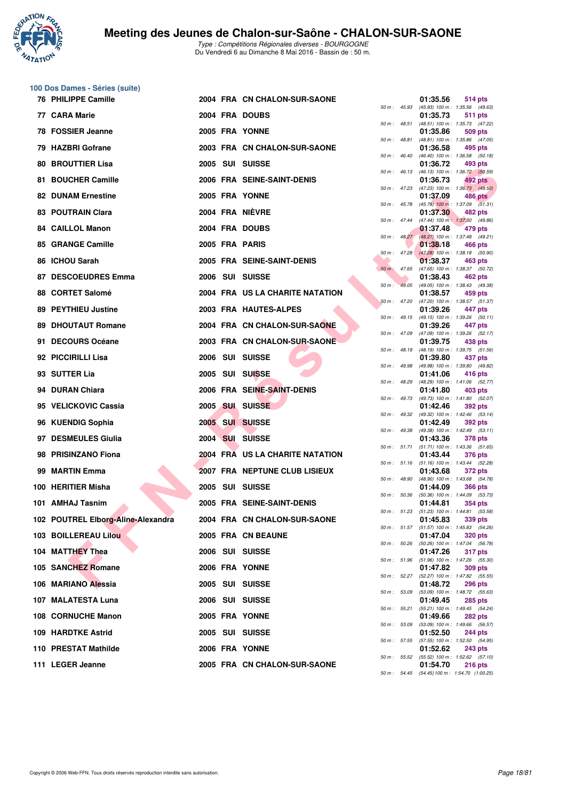

|    | 100 Dos Dames - Séries (suite)     |  |                                 |                |                  |          |                                                         |
|----|------------------------------------|--|---------------------------------|----------------|------------------|----------|---------------------------------------------------------|
|    | <b>76 PHILIPPE Camille</b>         |  | 2004 FRA CN CHALON-SUR-SAONE    | 50 m: 45.93    |                  | 01:35.56 | 514 pts<br>(45.93) 100 m: 1:35.56 (49.63)               |
|    | 77 CARA Marie                      |  | 2004 FRA DOUBS                  | 50 m : 48.51   |                  | 01:35.73 | 511 pts<br>(48.51) 100 m: 1:35.73 (47.22)               |
|    | 78 FOSSIER Jeanne                  |  | 2005 FRA YONNE                  |                |                  | 01:35.86 | <b>509 pts</b>                                          |
|    | 79 HAZBRI Gofrane                  |  | 2003 FRA CN CHALON-SUR-SAONE    | 50 m: 48.81    |                  | 01:36.58 | (48.81) 100 m: 1:35.86 (47.05)<br>495 pts               |
| 80 | <b>BROUTTIER Lisa</b>              |  | 2005 SUI SUISSE                 | 50 m: 46.40    |                  | 01:36.72 | (46.40) 100 m: 1:36.58 (50.18)<br>493 pts               |
|    | 81 BOUCHER Camille                 |  | 2006 FRA SEINE-SAINT-DENIS      | 50 m : 46.13   |                  | 01:36.73 | (46.13) 100 m : 1:36.72 (50.59)<br>492 pts              |
|    | <b>82 DUNAM Ernestine</b>          |  | 2005 FRA YONNE                  | 50 m: 47.23    |                  | 01:37.09 | (47.23) 100 m : 1:36.73 (49.50)<br>486 pts              |
|    | 83 POUTRAIN Clara                  |  | 2004 FRA NIÈVRE                 |                | 50 m : 45.78     | 01:37.30 | $(45.78)$ 100 m : 1:37.09 $(51.31)$<br>482 pts          |
|    | 84 CAILLOL Manon                   |  | 2004 FRA DOUBS                  | 50 m : 47.44   |                  | 01:37.48 | $(47.44)$ 100 m : 1:37.30 $(49.86)$<br>479 pts          |
|    | 85 GRANGE Camille                  |  | 2005 FRA PARIS                  |                | $50 m$ : $48.27$ | 01:38.18 | (48.27) 100 m: 1:37.48 (49.21)<br>466 pts               |
|    | 86 ICHOU Sarah                     |  | 2005 FRA SEINE-SAINT-DENIS      | $50 m$ : 47.28 |                  | 01:38.37 | $(47.28)$ 100 m : 1:38.18 (50.90)<br>463 pts            |
| 87 | <b>DESCOEUDRES Emma</b>            |  | 2006 SUI SUISSE                 | $50 m$ : 47.65 |                  | 01:38.43 | (47.65) 100 m: 1:38.37 (50.72)<br>462 pts               |
|    | 88 CORTET Salomé                   |  | 2004 FRA US LA CHARITE NATATION | 50 m:          | 49.05            | 01:38.57 | (49.05) 100 m: 1:38.43 (49.38)<br>459 pts               |
|    | 89 PEYTHIEU Justine                |  | 2003 FRA HAUTES-ALPES           | 50 m: 47.20    |                  | 01:39.26 | (47.20) 100 m: 1:38.57 (51.37)<br>447 pts               |
| 89 | <b>DHOUTAUT Romane</b>             |  | 2004 FRA CN CHALON-SUR-SAONE    |                |                  | 01:39.26 | 50 m : 49.15 (49.15) 100 m : 1:39.26 (50.11)<br>447 pts |
|    | 91 DECOURS Océane                  |  | 2003 FRA CN CHALON-SUR-SAONE    | 50 m : 47.09   |                  | 01:39.75 | (47.09) 100 m: 1:39.26 (52.17)<br>438 pts               |
|    | 92 PICCIRILLI Lisa                 |  | 2006 SUI SUISSE                 | 50 m : 48.19   |                  | 01:39.80 | (48.19) 100 m: 1:39.75 (51.56)<br>437 pts               |
|    | 93 SUTTER Lia                      |  | 2005 SUI SUISSE                 | 50 m : 49.98   |                  | 01:41.06 | (49.98) 100 m : 1:39.80 (49.82)<br>416 pts              |
|    | 94 DURAN Chiara                    |  | 2006 FRA SEINE-SAINT-DENIS      | 50 m : 48.29   |                  | 01:41.80 | (48.29) 100 m: 1:41.06 (52.77)<br>403 pts               |
|    | 95 VELICKOVIC Cassia               |  | 2005 SUI SUISSE                 |                | 50 m : 49.73     | 01:42.46 | (49.73) 100 m: 1:41.80 (52.07)<br><b>392 pts</b>        |
|    | 96 KUENDIG Sophia                  |  | 2005 SUI SUISSE                 | 50 m: 49.32    |                  | 01:42.49 | (49.32) 100 m: 1:42.46 (53.14)<br><b>392 pts</b>        |
|    | 97 DESMEULES Giulia                |  | 2004 SUI SUISSE                 | 50 m : 49.38   |                  | 01:43.36 | (49.38) 100 m: 1:42.49 (53.11)<br><b>378 pts</b>        |
|    | 98 PRISINZANO Fiona                |  | 2004 FRA US LA CHARITE NATATION | 50 m : 51.71   |                  | 01:43.44 | $(51.71)$ 100 m : 1:43.36 $(51.65)$<br><b>376 pts</b>   |
| 99 | <b>MARTIN Emma</b>                 |  | 2007 FRA NEPTUNE CLUB LISIEUX   |                | 50 m : 51.16     |          | $(51.16)$ 100 m : 1:43.44 $(52.28)$                     |
|    | 100 HERITIER Misha                 |  |                                 |                | 50 m : 48.90     | 01:43.68 | <b>372 pts</b><br>(48.90) 100 m: 1:43.68 (54.78)        |
|    |                                    |  | 2005 SUI SUISSE                 | 50 m: 50.36    |                  | 01:44.09 | <b>366 pts</b><br>(50.36) 100 m: 1:44.09 (53.73)        |
|    | 101 AMHAJ Tasnim                   |  | 2005 FRA SEINE-SAINT-DENIS      |                |                  | 01:44.81 | 354 pts<br>50 m: 51.23 (51.23) 100 m: 1:44.81 (53.58)   |
|    | 102 POUTREL Elborg-Aline-Alexandra |  | 2004 FRA CN CHALON-SUR-SAONE    |                |                  | 01:45.83 | 339 pts<br>50 m: 51.57 (51.57) 100 m: 1:45.83 (54.26)   |
|    | 103 BOILLEREAU Lilou               |  | 2005 FRA CN BEAUNE              | 50 m : 50.26   |                  | 01:47.04 | <b>320 pts</b><br>(50.26) 100 m : 1:47.04 (56.78)       |
|    | 104 MATTHEY Thea                   |  | 2006 SUI SUISSE                 |                | 50 m : 51.96     | 01:47.26 | 317 pts<br>$(51.96)$ 100 m : 1:47.26 $(55.30)$          |
|    | 105 SANCHEZ Romane                 |  | 2006 FRA YONNE                  |                |                  | 01:47.82 | 309 pts<br>50 m: 52.27 (52.27) 100 m: 1:47.82 (55.55)   |
|    | 106 MARIANO Alessia                |  | 2005 SUI SUISSE                 |                | 50 m : 53.09     | 01:48.72 | <b>296 pts</b><br>$(53.09)$ 100 m : 1:48.72 $(55.63)$   |
|    | 107 MALATESTA Luna                 |  | 2006 SUI SUISSE                 |                | 50 m : 55.21     | 01:49.45 | <b>285 pts</b><br>(55.21) 100 m: 1:49.45 (54.24)        |
|    | 108 CORNUCHE Manon                 |  | 2005 FRA YONNE                  |                | 50 m : 53.09     | 01:49.66 | <b>282 pts</b><br>(53.09) 100 m: 1:49.66 (56.57)        |
|    | 109 HARDTKE Astrid                 |  | 2005 SUI SUISSE                 | 50 m : 57.55   |                  | 01:52.50 | <b>244 pts</b><br>(57.55) 100 m : 1:52.50 (54.95)       |
|    | 110 PRESTAT Mathilde               |  | 2006 FRA YONNE                  | 50 m : 55.52   |                  | 01:52.62 | <b>243 pts</b><br>(55.52) 100 m: 1:52.62 (57.10)        |
|    | 111 LEGER Jeanne                   |  | 2005 FRA CN CHALON-SUR-SAONE    |                |                  | 01:54.70 | <b>216 pts</b>                                          |

| $50 m$ : | 45.93 | 01:35.56<br>(45.93) 100 m :   | 514 pts<br>1:35.56<br>(49.63)        |
|----------|-------|-------------------------------|--------------------------------------|
|          |       | 01:35.73                      | <b>511 pts</b>                       |
| 50 m :   | 48.51 | $(48.51) 100 m$ :             | 1:35.73<br>(47.22)                   |
| 50 m :   | 48.81 | 01:35.86<br>$(48.81) 100 m$ : | 509 pts<br>(47.05)<br>1:35.86        |
|          |       | 01:36.58                      | 495 pts                              |
| $50 m$ : | 46.40 | $(46.40)$ 100 m :<br>01:36.72 | 1:36.58<br>(50.18)<br>493 pts        |
| $50 m$ : | 46.13 | $(46.13) 100 m$ :             | 1:36.72 (50.59)                      |
|          | 47.23 | 01:36.73                      | 492 pts                              |
| $50 m$ : |       | (47.23) 100 m :<br>01:37.09   | 1:36.73<br>(49.50)<br><b>486 pts</b> |
| $50 m$ : | 45.78 | $(45.78)$ 100 m :             | 1:37.09<br>(51.31)                   |
| $50 m$ : | 47.44 | 01:37.30<br>$(47.44) 100 m$ : | 482 pts<br>1:37.30<br>(49.86)        |
|          |       | 01:37.48                      | 479 pts                              |
| 50 m :   | 48.27 | $(48.27) 100 m$ :<br>01:38.18 | 1:37.48<br>(49.21)<br><b>466 pts</b> |
| $50 m$ : | 47.28 | $(47.28) 100 m$ :             | 1:38.18<br>(50.90)                   |
| $50 m$ : | 47.65 | 01:38.37                      | 463 pts                              |
|          |       | $(47.65)$ 100 m :<br>01:38.43 | 1:38.37<br>(50.72)<br><b>462 pts</b> |
| 50 m :   | 49.05 | (49.05) 100 m :               | 1:38.43<br>(49.38)                   |
| $50 m$ : | 47.20 | 01:38.57<br>(47.20) 100 m :   | 459 pts<br>1:38.57<br>(51.37)        |
|          |       | 01:39.26                      | 447 pts                              |
| $50 m$ : | 49.15 | $(49.15) 100 m$ :<br>01:39.26 | 1:39.26<br>(50.11)<br>447 pts        |
| $50 m$ : | 47.09 | (47.09) 100 m :               | 1:39.26<br>(52.17)                   |
|          | 48.19 | 01:39.75<br>(48.19) 100 m :   | 438 pts<br>1:39.75                   |
| $50 m$ : |       | 01:39.80                      | (51.56)<br>437 pts                   |
| $50 m$ : | 49.98 | (49.98) 100 m :               | 1:39.80 (49.82)                      |
| $50 m$ : | 48.29 | 01:41.06<br>(48.29) 100 m :   | 416 pts<br>1:41.06<br>(52.77)        |
|          |       | 01:41.80                      | 403 pts                              |
| $50 m$ : | 49.73 | (49.73) 100 m :<br>01:42.46   | 1:41.80<br>(52.07)<br>392 pts        |
| 50 m :   | 49.32 | (49.32) 100 m :               | 1:42.46<br>(53.14)                   |
| 50 m :   | 49.38 | 01:42.49<br>(49.38) 100 m :   | 392 pts<br>1:42.49<br>(53.11)        |
|          |       | 01:43.36                      | 378 pts                              |
| $50 m$ : | 51.71 | (51.71) 100 m :<br>01:43.44   | 1:43.36<br>(51.65)<br>376 pts        |
| 50 m :   | 51.16 | $(51.16) 100 m$ :             | 1:43.44<br>(52.28)                   |
|          |       | 01:43.68                      | 372 pts                              |
| $50 m$ : | 48.90 | (48.90) 100 m :<br>01:44.09   | 1:43.68<br>(54.78)<br><b>366 pts</b> |
| $50 m$ : | 50.36 | $(50.36)$ 100 m :             | 1:44.09<br>(53.73)                   |
| 50 m :   | 51.23 | 01:44.81<br>$(51.23) 100 m$ : | 354 pts<br>1:44.81 (53.58)           |
|          |       | 01:45.83                      | 339 pts                              |
| 50 m :   | 51.57 | $(51.57) 100 m$ :<br>01:47.04 | 1:45.83<br>(54.26)<br><b>320 pts</b> |
| $50 m$ : | 50.26 | $(50.26)$ 100 m :             | 1:47.04<br>(56.78)                   |
| $50 m$ : | 51.96 | 01:47.26<br>$(51.96) 100 m$ : | <b>317 pts</b><br>1:47.26<br>(55.30) |
|          |       | 01:47.82                      | <b>309 pts</b>                       |
| $50 m$ : | 52.27 | (52.27) 100 m :               | 1:47.82<br>(55.55)                   |
| $50 m$ : | 53.09 | 01:48.72<br>$(53.09) 100 m$ : | <b>296 pts</b><br>1:48.72<br>(55.63) |
|          |       | 01:49.45                      | <b>285 pts</b>                       |
| $50 m$ : | 55.21 | $(55.21)$ 100 m :<br>01:49.66 | 1:49.45<br>(54.24)<br>282 pts        |
| $50 m$ : | 53.09 | $(53.09)$ 100 m :             | 1:49.66<br>(56.57)                   |
| $50 m$ : | 57.55 | 01:52.50<br>(57.55) 100 m :   | <b>244 pts</b><br>1:52.50<br>(54.95) |
|          |       | 01:52.62                      | 243 pts                              |
| $50 m$ : | 55.52 | $(55.52) 100 m$ :<br>01:54.70 | 1:52.62<br>(57.10)<br><b>216 pts</b> |
| 50 m :   | 54.45 | (54.45) 100 m :               | 1:54.70 (1:00.25)                    |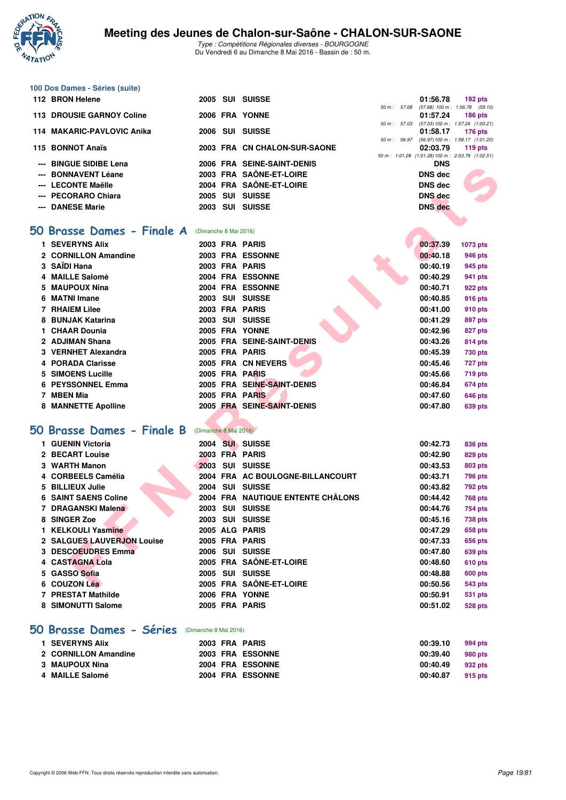

|    | 100 Dos Dames - Séries (suite) |                       |                                   |              |                |                                                                |
|----|--------------------------------|-----------------------|-----------------------------------|--------------|----------------|----------------------------------------------------------------|
|    | 112 BRON Helene                |                       | 2005 SUI SUISSE                   |              | 01:56.78       | $192$ pts                                                      |
|    | 113 DROUSIE GARNOY Coline      |                       | 2006 FRA YONNE                    | 50 m : 57.68 | 01:57.24       | $(57.68)$ 100 m : 1:56.78 $(59.10)$<br><b>186 pts</b>          |
|    |                                |                       |                                   | 50 m : 57.03 |                | (57.03) 100 m: 1:57.24 (1:00.21)                               |
|    | 114 MAKARIC-PAVLOVIC Anika     |                       | 2006 SUI SUISSE                   |              | 01:58.17       | <b>176 pts</b><br>50 m: 56.97 (56.97) 100 m: 1:58.17 (1:01.20) |
|    | 115 BONNOT Anaïs               |                       | 2003 FRA CN CHALON-SUR-SAONE      |              | 02:03.79       | 119 $pts$                                                      |
|    | <b>BINGUE SIDIBE Lena</b>      |                       | 2006 FRA SEINE-SAINT-DENIS        |              | <b>DNS</b>     | 50 m: 1:01.28 (1:01.28) 100 m: 2:03.79 (1:02.51)               |
|    | <b>BONNAVENT Léane</b>         |                       | 2003 FRA SAÔNE-ET-LOIRE           |              | <b>DNS</b> dec |                                                                |
|    | --- LECONTE Maëlle             |                       | 2004 FRA SAÔNE-ET-LOIRE           |              | <b>DNS dec</b> |                                                                |
|    | --- PECORARO Chiara            |                       | 2005 SUI SUISSE                   |              | <b>DNS</b> dec |                                                                |
|    | --- DANESE Marie               |                       | 2003 SUI SUISSE                   |              | <b>DNS</b> dec |                                                                |
|    |                                |                       |                                   |              |                |                                                                |
|    | 50 Brasse Dames - Finale A     | (Dimanche 8 Mai 2016) |                                   |              |                |                                                                |
| 1. | <b>SEVERYNS Alix</b>           |                       | 2003 FRA PARIS                    |              | 00:37.39       | 1073 pts                                                       |
|    | 2 CORNILLON Amandine           |                       | 2003 FRA ESSONNE                  |              | 00:40.18       | 946 pts                                                        |
|    | 3 SAÏDI Hana                   |                       | 2003 FRA PARIS                    |              | 00:40.19       | 945 pts                                                        |
|    | 4 MAILLE Salomé                |                       | 2004 FRA ESSONNE                  |              | 00:40.29       | 941 pts                                                        |
|    | <b>MAUPOUX Nina</b>            |                       | 2004 FRA ESSONNE                  |              | 00:40.71       | 922 pts                                                        |
| 6  | <b>MATNI Imane</b>             |                       | 2003 SUI SUISSE                   |              | 00:40.85       | 916 pts                                                        |
|    | <b>7 RHAIEM Lilee</b>          |                       | 2003 FRA PARIS                    |              | 00:41.00       | 910 pts                                                        |
|    | 8 BUNJAK Katarina              |                       | 2003 SUI SUISSE                   |              | 00:41.29       | 897 pts                                                        |
|    | 1 CHAAR Dounia                 |                       | 2005 FRA YONNE                    |              | 00:42.96       | 827 pts                                                        |
|    | 2 ADJIMAN Shana                |                       | 2005 FRA SEINE-SAINT-DENIS        |              | 00:43.26       | 814 pts                                                        |
|    | 3 VERNHET Alexandra            |                       | 2005 FRA PARIS                    |              | 00:45.39       | <b>730 pts</b>                                                 |
|    | 4 PORADA Clarisse              |                       | 2005 FRA CN NEVERS                |              | 00:45.46       | 727 pts                                                        |
|    | <b>SIMOENS Lucille</b>         |                       | 2005 FRA PARIS                    |              | 00:45.66       | <b>719 pts</b>                                                 |
|    | 6 PEYSSONNEL Emma              |                       | 2005 FRA SEINE-SAINT-DENIS        |              | 00:46.84       | <b>674 pts</b>                                                 |
|    | 7 MBEN Mia                     |                       | 2005 FRA PARIS                    |              | 00:47.60       | 646 pts                                                        |
|    | 8 MANNETTE Apolline            |                       | 2005 FRA SEINE-SAINT-DENIS        |              | 00:47.80       | 639 pts                                                        |
|    |                                |                       |                                   |              |                |                                                                |
|    | 50 Brasse Dames - Finale B     | (Dimanche 8 Mai 2016) |                                   |              |                |                                                                |
|    | 1 GUENIN Victoria              |                       | 2004 SUI SUISSE                   |              | 00:42.73       | 836 pts                                                        |
|    | 2 BECART Louise                |                       | 2003 FRA PARIS                    |              | 00:42.90       | 829 pts                                                        |
|    | 3 WARTH Manon                  |                       | 2003 SUI SUISSE                   |              | 00:43.53       | 803 pts                                                        |
|    | <b>CORBEELS Camélia</b>        |                       | 2004 FRA AC BOULOGNE-BILLANCOURT  |              | 00:43.71       | 796 pts                                                        |
|    | <b>BILLIEUX Julie</b>          |                       | 2004 SUI SUISSE                   |              | 00:43.82       | 792 pts                                                        |
|    | <b>6 SAINT SAENS Coline</b>    |                       | 2004 FRA NAUTIQUE ENTENTE CHALONS |              | 00:44.42       | <b>768 pts</b>                                                 |
|    | 7 DRAGANSKI Malena             |                       | 2003 SUI SUISSE                   |              | 00:44.76       | <b>754 pts</b>                                                 |
|    | 8 SINGER Zoe                   |                       | 2003 SUI SUISSE                   |              | 00:45.16       | <b>738 pts</b>                                                 |
|    | 1 KELKOULI Yasmine             |                       | 2005 ALG PARIS                    |              | 00:47.29       | 658 pts                                                        |
|    | 2 SALGUES LAUVERJON Louise     |                       | 2005 FRA PARIS                    |              | 00:47.33       | 656 pts                                                        |
|    | 3 DESCOEUDRES Emma             |                       | 2006 SUI SUISSE                   |              | 00:47.80       | 639 pts                                                        |
|    | 4 CASTAGNA Lola                |                       | 2005 FRA SAÔNE-ET-LOIRE           |              | 00:48.60       | <b>610 pts</b>                                                 |
|    | 5 GASSO Sofia                  |                       | 2005 SUI SUISSE                   |              | 00:48.88       | <b>600 pts</b>                                                 |
|    | 6 COUZON Léa                   |                       | 2005 FRA SAÔNE-ET-LOIRE           |              | 00:50.56       | 543 pts                                                        |
|    | <b>7 PRESTAT Mathilde</b>      |                       | 2006 FRA YONNE                    |              | 00:50.91       | <b>531 pts</b>                                                 |
|    | 8 SIMONUTTI Salome             |                       | 2005 FRA PARIS                    |              | 00:51.02       | <b>528 pts</b>                                                 |
|    |                                |                       |                                   |              |                |                                                                |
|    | 50 Brasse Dames - Séries       | (Dimanche 8 Mai 2016) |                                   |              |                |                                                                |
|    | 1 SEVERYNS Alix                |                       | 2003 FRA PARIS                    |              | 00:39.10       | 994 pts                                                        |
|    | 2 CORNILLON Amandine           |                       | 2003 FRA ESSONNE                  |              | 00:39.40       | 980 pts                                                        |
|    | 3 MAUPOUX Nina                 |                       | 2004 FRA ESSONNE                  |              | 00:40.49       | 932 pts                                                        |
|    | 4 MAILLE Salomé                |                       | 2004 FRA ESSONNE                  |              | 00:40.87       | 915 pts                                                        |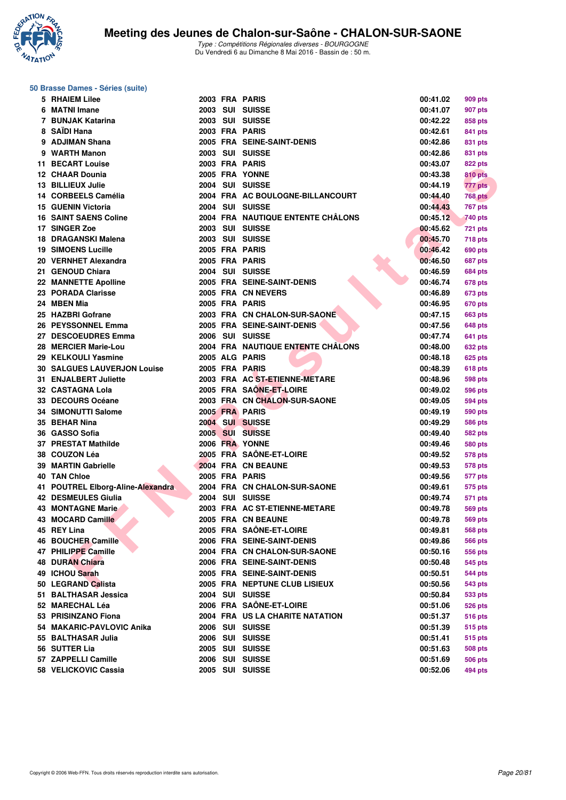

### **50 Brasse Dames - Séries (suite)**

| 5 RHAIEM Lilee                     |  | 2003 FRA PARIS                    | 00:41.02 | 909 pts        |
|------------------------------------|--|-----------------------------------|----------|----------------|
| 6 MATNI Imane                      |  | 2003 SUI SUISSE                   | 00:41.07 | 907 pts        |
| 7 BUNJAK Katarina                  |  | 2003 SUI SUISSE                   | 00:42.22 | 858 pts        |
| 8 SAÏDI Hana                       |  | 2003 FRA PARIS                    | 00:42.61 | 841 pts        |
| 9 ADJIMAN Shana                    |  | 2005 FRA SEINE-SAINT-DENIS        | 00:42.86 | 831 pts        |
| 9 WARTH Manon                      |  | 2003 SUI SUISSE                   | 00:42.86 | 831 pts        |
| 11 BECART Louise                   |  | 2003 FRA PARIS                    | 00:43.07 | 822 pts        |
| 12 CHAAR Dounia                    |  | 2005 FRA YONNE                    | 00:43.38 | <b>810 pts</b> |
| 13 BILLIEUX Julie                  |  | 2004 SUI SUISSE                   | 00:44.19 | 777 pts        |
| 14 CORBEELS Camélia                |  | 2004 FRA AC BOULOGNE-BILLANCOURT  | 00:44.40 | <b>768 pts</b> |
| <b>15 GUENIN Victoria</b>          |  | 2004 SUI SUISSE                   | 00:44.43 | <b>767 pts</b> |
| <b>16 SAINT SAENS Coline</b>       |  | 2004 FRA NAUTIQUE ENTENTE CHALONS | 00:45.12 | 740 pts        |
| 17 SINGER Zoe                      |  | 2003 SUI SUISSE                   | 00:45.62 | <b>721 pts</b> |
| 18 DRAGANSKI Malena                |  | 2003 SUI SUISSE                   | 00:45.70 | <b>718 pts</b> |
| <b>19 SIMOENS Lucille</b>          |  | 2005 FRA PARIS                    | 00:46.42 | 690 pts        |
| 20 VERNHET Alexandra               |  | 2005 FRA PARIS                    | 00:46.50 | 687 pts        |
| 21 GENOUD Chiara                   |  | 2004 SUI SUISSE                   | 00:46.59 | 684 pts        |
| 22 MANNETTE Apolline               |  | 2005 FRA SEINE-SAINT-DENIS        | 00:46.74 | 678 pts        |
| 23 PORADA Clarisse                 |  | 2005 FRA CN NEVERS                | 00:46.89 | <b>673 pts</b> |
| 24 MBEN Mia                        |  | 2005 FRA PARIS                    | 00:46.95 | <b>670 pts</b> |
| 25 HAZBRI Gofrane                  |  | 2003 FRA CN CHALON-SUR-SAONE      | 00:47.15 | <b>663 pts</b> |
| 26 PEYSSONNEL Emma                 |  | 2005 FRA SEINE-SAINT-DENIS        | 00:47.56 |                |
|                                    |  | 2006 SUI SUISSE                   |          | 648 pts        |
| 27 DESCOEUDRES Emma                |  |                                   | 00:47.74 | 641 pts        |
| 28 MERCIER Marie-Lou               |  | 2004 FRA NAUTIQUE ENTENTE CHÂLONS | 00:48.00 | <b>632 pts</b> |
| 29 KELKOULI Yasmine                |  | 2005 ALG PARIS                    | 00:48.18 | 625 pts        |
| <b>30 SALGUES LAUVERJON Louise</b> |  | 2005 FRA PARIS                    | 00:48.39 | 618 pts        |
| 31 ENJALBERT Juliette              |  | 2003 FRA AC ST-ETIENNE-METARE     | 00:48.96 | <b>598 pts</b> |
| 32 CASTAGNA Lola                   |  | 2005 FRA SAONE-ET-LOIRE           | 00:49.02 | <b>596 pts</b> |
| 33 DECOURS Océane                  |  | 2003 FRA CN CHALON-SUR-SAONE      | 00:49.05 | 594 pts        |
| <b>34 SIMONUTTI Salome</b>         |  | 2005 FRA PARIS                    | 00:49.19 | 590 pts        |
| 35 BEHAR Nina                      |  | 2004 SUI SUISSE                   | 00:49.29 | <b>586 pts</b> |
| 36 GASSO Sofia                     |  | 2005 SUI SUISSE                   | 00:49.40 | 582 pts        |
| 37 PRESTAT Mathilde                |  | 2006 FRA YONNE                    | 00:49.46 | <b>580 pts</b> |
| 38 COUZON Léa                      |  | 2005 FRA SAÖNE-ET-LOIRE           | 00:49.52 | <b>578 pts</b> |
| 39 MARTIN Gabrielle                |  | 2004 FRA CN BEAUNE                | 00:49.53 | 578 pts        |
| <b>40 TAN Chloe</b>                |  | 2005 FRA PARIS                    | 00:49.56 | 577 pts        |
| 41 POUTREL Elborg-Aline-Alexandra  |  | 2004 FRA CN CHALON-SUR-SAONE      | 00:49.61 | 575 pts        |
| <b>42 DESMEULES Giulia</b>         |  | 2004 SUI SUISSE                   | 00:49.74 | 571 pts        |
| <b>43 MONTAGNE Marie</b>           |  | 2003 FRA AC ST-ETIENNE-METARE     | 00:49.78 | <b>569 pts</b> |
| 43 MOCARD Camille                  |  | 2005 FRA CN BEAUNE                | 00:49.78 | 569 pts        |
| 45 REY Lina                        |  | 2005 FRA SAÔNE-ET-LOIRE           | 00:49.81 | 568 pts        |
| <b>46 BOUCHER Camille</b>          |  | 2006 FRA SEINE-SAINT-DENIS        | 00:49.86 | <b>566 pts</b> |
| 47 PHILIPPE Camille                |  | 2004 FRA CN CHALON-SUR-SAONE      | 00:50.16 | 556 pts        |
| <b>48 DURAN Chiara</b>             |  | 2006 FRA SEINE-SAINT-DENIS        | 00:50.48 | 545 pts        |
| 49 ICHOU Sarah                     |  | 2005 FRA SEINE-SAINT-DENIS        | 00:50.51 | 544 pts        |
| 50 LEGRAND Calista                 |  | 2005 FRA NEPTUNE CLUB LISIEUX     | 00:50.56 | 543 pts        |
| 51 BALTHASAR Jessica               |  | 2004 SUI SUISSE                   | 00:50.84 | 533 pts        |
| 52 MARECHAL Léa                    |  | 2006 FRA SAÔNE-ET-LOIRE           | 00:51.06 | 526 pts        |
| 53 PRISINZANO Fiona                |  | 2004 FRA US LA CHARITE NATATION   | 00:51.37 | <b>516 pts</b> |
| 54 MAKARIC-PAVLOVIC Anika          |  | 2006 SUI SUISSE                   | 00:51.39 | 515 pts        |
| 55 BALTHASAR Julia                 |  | 2006 SUI SUISSE                   | 00:51.41 | 515 pts        |
| 56 SUTTER Lia                      |  | 2005 SUI SUISSE                   | 00:51.63 | <b>508 pts</b> |
| 57 ZAPPELLI Camille                |  | 2006 SUI SUISSE                   | 00:51.69 | 506 pts        |
| 58 VELICKOVIC Cassia               |  | 2005 SUI SUISSE                   | 00:52.06 | 494 pts        |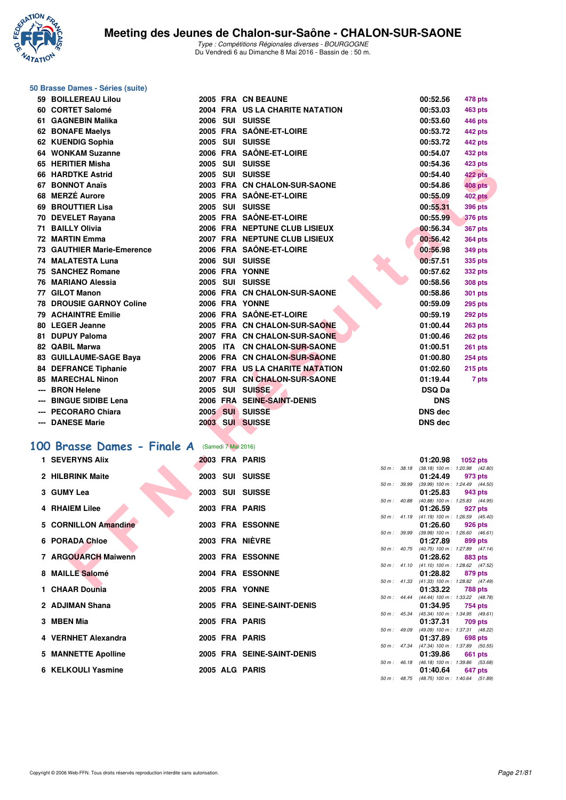

# **50 Brasse Dames - Séries (suite)**

| 59 BOILLEREAU Lilou                                     |                     | 2005 FRA CN BEAUNE                                              |              | 00:52.56                  | 478 pts                                               |  |
|---------------------------------------------------------|---------------------|-----------------------------------------------------------------|--------------|---------------------------|-------------------------------------------------------|--|
| 60 CORTET Salomé                                        |                     | 2004 FRA US LA CHARITE NATATION                                 |              | 00:53.03                  | <b>463 pts</b>                                        |  |
| 61 GAGNEBIN Malika                                      |                     | 2006 SUI SUISSE                                                 |              | 00:53.60                  | 446 pts                                               |  |
| 62 BONAFE Maelys                                        |                     | 2005 FRA SAÔNE-ET-LOIRE                                         |              | 00:53.72                  | 442 pts                                               |  |
| 62 KUENDIG Sophia                                       |                     | 2005 SUI SUISSE                                                 |              | 00:53.72                  | 442 pts                                               |  |
| 64 WONKAM Suzanne                                       |                     | 2006 FRA SAÖNE-ET-LOIRE                                         |              | 00:54.07                  | <b>432 pts</b>                                        |  |
| 65 HERITIER Misha                                       |                     | 2005 SUI SUISSE                                                 |              | 00:54.36                  | 423 pts                                               |  |
| 66 HARDTKE Astrid                                       |                     | 2005 SUI SUISSE                                                 |              | 00:54.40                  | 422 pts                                               |  |
| 67 BONNOT Anaïs                                         |                     | 2003 FRA CN CHALON-SUR-SAONE                                    |              | 00:54.86                  | 408 pts                                               |  |
| 68 MERZÉ Aurore                                         |                     | 2005 FRA SAÖNE-ET-LOIRE                                         |              | 00:55.09                  | <b>402 pts</b>                                        |  |
| 69 BROUTTIER Lisa                                       |                     | 2005 SUI SUISSE                                                 |              | 00:55.31                  | 396 pts                                               |  |
| 70 DEVELET Rayana                                       |                     | 2005 FRA SAÖNE-ET-LOIRE                                         |              | 00:55.99                  | <b>376 pts</b>                                        |  |
| 71 BAILLY Olivia                                        |                     | 2006 FRA NEPTUNE CLUB LISIEUX                                   |              | 00:56.34                  | <b>367 pts</b>                                        |  |
| 72 MARTIN Emma                                          |                     | 2007 FRA NEPTUNE CLUB LISIEUX                                   |              | 00:56.42                  | <b>364 pts</b>                                        |  |
| <b>73 GAUTHIER Marie-Emerence</b>                       |                     | 2006 FRA SAÖNE-ET-LOIRE                                         |              | 00:56.98                  | <b>349 pts</b>                                        |  |
| <b>74 MALATESTA Luna</b>                                |                     | 2006 SUI SUISSE                                                 |              | 00:57.51                  | <b>335 pts</b>                                        |  |
| 75 SANCHEZ Romane                                       |                     | 2006 FRA YONNE                                                  |              | 00:57.62                  | <b>332 pts</b>                                        |  |
| 76 MARIANO Alessia                                      |                     | 2005 SUI SUISSE                                                 |              | 00:58.56                  | <b>308 pts</b>                                        |  |
| 77 GILOT Manon                                          |                     | 2006 FRA CN CHALON-SUR-SAONE                                    |              | 00:58.86                  | 301 pts                                               |  |
| <b>78 DROUSIE GARNOY Coline</b>                         |                     | 2006 FRA YONNE                                                  |              | 00:59.09                  | <b>295 pts</b>                                        |  |
| <b>79 ACHAINTRE Emilie</b>                              |                     | 2006 FRA SAÔNE-ET-LOIRE                                         |              | 00:59.19                  | <b>292 pts</b>                                        |  |
| 80 LEGER Jeanne                                         |                     | 2005 FRA CN CHALON-SUR-SAONE                                    |              | 01:00.44                  | <b>263 pts</b>                                        |  |
| 81 DUPUY Paloma                                         |                     | 2007 FRA CN CHALON-SUR-SAONE                                    |              | 01:00.46                  | 262 pts                                               |  |
| 82 QABIL Marwa                                          |                     | 2005 ITA CN CHALON-SUR-SAONE                                    |              | 01:00.51                  | <b>261 pts</b>                                        |  |
| 83 GUILLAUME-SAGE Baya                                  |                     | 2006 FRA CN CHALON-SUR-SAONE<br>2007 FRA US LA CHARITE NATATION |              | 01:00.80<br>01:02.60      | <b>254 pts</b>                                        |  |
| <b>84 DEFRANCE Tiphanie</b><br><b>85 MARECHAL Ninon</b> |                     | 2007 FRA CN CHALON-SUR-SAONE                                    |              |                           | <b>215 pts</b>                                        |  |
| --- BRON Helene                                         |                     | 2005 SUI SUISSE                                                 |              | 01:19.44<br><b>DSQ Da</b> | 7 pts                                                 |  |
| --- BINGUE SIDIBE Lena                                  |                     | 2006 FRA SEINE-SAINT-DENIS                                      |              | <b>DNS</b>                |                                                       |  |
| --- PECORARO Chiara                                     |                     | 2005 SUI SUISSE                                                 |              | <b>DNS</b> dec            |                                                       |  |
| --- DANESE Marie                                        |                     | 2003 SUI SUISSE                                                 |              | <b>DNS dec</b>            |                                                       |  |
|                                                         |                     |                                                                 |              |                           |                                                       |  |
| 00 Brasse Dames - Finale A                              | (Samedi 7 Mai 2016) |                                                                 |              |                           |                                                       |  |
| 1 SEVERYNS Alix                                         |                     | 2003 FRA PARIS                                                  |              | 01:20.98                  | 1052 pts                                              |  |
| 2 HILBRINK Maite                                        |                     | 2003 SUI SUISSE                                                 |              | 01:24.49                  | 50 m: 38.18 (38.18) 100 m: 1:20.98 (42.80)<br>973 pts |  |
|                                                         |                     |                                                                 | 50 m : 39.99 |                           | (39.99) 100 m : 1:24.49 (44.50)                       |  |
| 3 GUMY Lea                                              |                     | 2003 SUI SUISSE                                                 |              | 01:25.83                  | 943 pts                                               |  |
| <b>4 RHAIEM Lilee</b>                                   |                     | 2003 FRA PARIS                                                  |              | 01:26.59                  | 50 m: 40.88 (40.88) 100 m: 1:25.83 (44.95)<br>927 pts |  |
|                                                         |                     |                                                                 | 50 m: 41.19  |                           | $(41.19)$ 100 m : 1:26.59 $(45.40)$                   |  |
| 5 CORNILLON Amandine                                    |                     | 2003 FRA ESSONNE                                                |              | 01:26.60                  | 926 pts                                               |  |
| 6 PORADA Chloe                                          |                     | 2003 FRA NIÈVRE                                                 | 50 m : 39.99 | 01:27.89                  | $(39.99)$ 100 m : 1:26.60 $(46.61)$<br>899 pts        |  |
|                                                         |                     |                                                                 | 50 m: 40.75  |                           | (40.75) 100 m: 1:27.89 (47.14)                        |  |
| 7 ARGOUARCH Maiwenn                                     |                     | 2003 FRA ESSONNE                                                |              | 01:28.62                  | 883 pts                                               |  |
| 8 MAILLE Salomé                                         |                     | 2004 FRA ESSONNE                                                |              | 01:28.82                  | 50 m: 41.10 (41.10) 100 m: 1:28.62 (47.52)<br>879 pts |  |
|                                                         |                     |                                                                 |              |                           | 50 m: 41.33 (41.33) 100 m: 1:28.82 (47.49)            |  |
| QIIABBD                                                 |                     | OOOF FRA VOLUT                                                  |              | 0.4.0000                  | $700 - 1$                                             |  |

## [100 Brasse Dames - Finale A](http://www.ffnatation.fr/webffn/resultats.php?idact=nat&go=epr&idcpt=38881&idepr=22) (Samedi 7 Mai 2016)

| 1 SEVERYNS Alix      |  | 2003 FRA PARIS             |                        | 01:20.98 1052 pts                                      |         |         |
|----------------------|--|----------------------------|------------------------|--------------------------------------------------------|---------|---------|
|                      |  |                            | 50 m: 38.18            | $(38.18)$ 100 m : 1:20.98 $(42.80)$                    |         |         |
| 2 HILBRINK Maite     |  | 2003 SUI SUISSE            |                        | 01:24.49                                               |         | 973 pts |
|                      |  |                            | 50 m : 39.99           | $(39.99)$ 100 m : 1:24.49 $(44.50)$                    |         |         |
| 3 GUMY Lea           |  | 2003 SUI SUISSE            |                        | 01:25.83                                               |         | 943 pts |
| 4 RHAIEM Lilee       |  | 2003 FRA PARIS             |                        | 50 m: 40.88 (40.88) 100 m: 1:25.83 (44.95)<br>01:26.59 |         |         |
|                      |  |                            | $50 m$ : 41.19         | $(41.19)$ 100 m : 1:26.59 $(45.40)$                    |         | 927 pts |
| 5 CORNILLON Amandine |  | 2003 FRA ESSONNE           |                        | 01:26.60                                               | 926 pts |         |
|                      |  |                            | 50 m: 39.99            | $(39.99)$ 100 m : 1:26.60 $(46.61)$                    |         |         |
| 6 PORADA Chloe       |  | 2003 FRA NIÈVRE            |                        | 01:27.89                                               |         | 899 pts |
|                      |  |                            |                        | 50 m: 40.75 (40.75) 100 m: 1:27.89 (47.14)             |         |         |
| 7 ARGOUARCH Maiwenn  |  | 2003 FRA ESSONNE           |                        | 01:28.62                                               |         | 883 pts |
|                      |  |                            |                        | 50 m: 41.10 (41.10) 100 m: 1:28.62 (47.52)             |         |         |
| 8 MAILLE Salomé      |  | 2004 FRA ESSONNE           |                        | 01:28.82                                               |         | 879 pts |
|                      |  |                            |                        | 50 m: 41.33 (41.33) 100 m: 1:28.82 (47.49)             |         |         |
| 1 CHAAR Dounia       |  | 2005 FRA YONNE             |                        | 01:33.22                                               |         | 788 pts |
|                      |  |                            |                        | 50 m: 44.44 (44.44) 100 m: 1:33.22 (48.78)             |         |         |
| 2 ADJIMAN Shana      |  | 2005 FRA SEINE-SAINT-DENIS |                        | 01:34.95                                               |         | 754 pts |
|                      |  |                            |                        | 50 m: 45.34 (45.34) 100 m: 1:34.95 (49.61)             |         |         |
| 3 MBEN Mia           |  | 2005 FRA PARIS             |                        | 01:37.31                                               |         | 709 pts |
| 4 VERNHET Alexandra  |  | 2005 FRA PARIS             | 50 m : 49.09           | (49.09) 100 m: 1:37.31 (48.22)<br>01:37.89             |         | 698 pts |
|                      |  |                            | $50 \text{ m}$ : 47.34 | (47.34) 100 m: 1:37.89 (50.55)                         |         |         |
| 5 MANNETTE Apolline  |  | 2005 FRA SEINE-SAINT-DENIS |                        | 01:39.86                                               |         | 661 pts |
|                      |  |                            |                        | 50 m: 46.18 (46.18) 100 m: 1:39.86 (53.68)             |         |         |
| 6 KELKOULI Yasmine   |  | 2005 ALG PARIS             |                        | 01:40.64                                               |         | 647 pts |
|                      |  |                            |                        | 50 m: 48.75 (48.75) 100 m: 1:40.64 (51.89)             |         |         |
|                      |  |                            |                        |                                                        |         |         |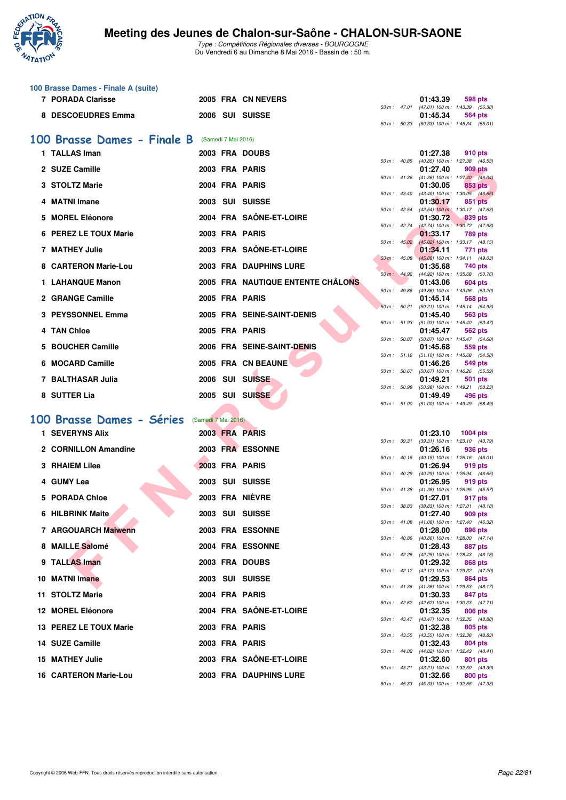

|    | 100 Brasse Dames - Finale A (suite) |                     |                     |                                          |              |              |                                                                     |
|----|-------------------------------------|---------------------|---------------------|------------------------------------------|--------------|--------------|---------------------------------------------------------------------|
|    | 7 PORADA Clarisse                   |                     |                     | 2005 FRA CN NEVERS                       |              |              | 01:43.39<br>598 pts<br>50 m: 47.01 (47.01) 100 m: 1:43.39 (56.38)   |
|    | 8 DESCOEUDRES Emma                  |                     |                     | 2006 SUI SUISSE                          |              | 50 m : 50.33 | 01:45.34<br>564 pts<br>$(50.33)$ 100 m : 1:45.34 $(55.01)$          |
|    | 100 Brasse Dames - Finale B         |                     | (Samedi 7 Mai 2016) |                                          |              |              |                                                                     |
|    | 1 TALLAS Iman                       |                     |                     | 2003 FRA DOUBS                           |              |              | 01:27.38<br>910 pts                                                 |
|    | 2 SUZE Camille                      |                     |                     | 2003 FRA PARIS                           |              | 50 m : 40.85 | (40.85) 100 m: 1:27.38 (46.53)                                      |
|    |                                     |                     |                     |                                          |              | 50 m : 41.36 | 01:27.40<br>909 pts<br>$(41.36)$ 100 m : 1:27.40 $(46.04)$          |
|    | 3 STOLTZ Marie                      |                     |                     | 2004 FRA PARIS                           |              | 50 m : 43.40 | 01:30.05<br><b>853 pts</b><br>$(43.40)$ 100 m : 1:30.05 $(46.65)$   |
|    | <b>MATNI Imane</b>                  |                     |                     | 2003 SUI SUISSE                          | 50 m : 42.54 |              | 01:30.17<br>851 pts<br>(42.54) 100 m: 1:30.17 (47.63)               |
| 5. | <b>MOREL Eléonore</b>               |                     |                     | 2004 FRA SAÖNE-ET-LOIRE                  |              | 50 m : 42.74 | 01:30.72<br>839 pts<br>$(42.74)$ 100 m : 1:30.72 $(47.98)$          |
|    | 6 PEREZ LE TOUX Marie               |                     |                     | 2003 FRA PARIS                           |              | 50 m : 45.02 | 01:33.17<br><b>789 pts</b><br>(45.02) 100 m: 1:33.17 (48.15)        |
|    | 7 MATHEY Julie                      |                     |                     | 2003 FRA SAÖNE-ET-LOIRE                  |              | 50 m : 45.08 | 01:34.11<br>771 pts                                                 |
|    | 8 CARTERON Marie-Lou                |                     |                     | <b>2003 FRA DAUPHINS LURE</b>            |              |              | $(45.08)$ 100 m : 1:34.11 (49.03)<br>01:35.68<br>740 pts            |
|    | 1 LAHANQUE Manon                    |                     |                     | <b>2005 FRA NAUTIQUE ENTENTE CHALONS</b> |              | 50 m: 44.92  | (44.92) 100 m: 1:35.68 (50.76)<br>01:43.06<br>604 pts               |
|    | 2 GRANGE Camille                    |                     |                     | 2005 FRA PARIS                           | 50 m : 49.86 |              | (49.86) 100 m: 1:43.06 (53.20)<br>01:45.14<br>568 pts               |
|    | 3 PEYSSONNEL Emma                   |                     |                     | 2005 FRA SEINE-SAINT-DENIS               |              | 50 m: 50.21  | (50.21) 100 m: 1:45.14 (54.93)<br>01:45.40<br>563 pts               |
|    | 4 TAN Chloe                         |                     |                     | 2005 FRA PARIS                           |              | 50 m : 51.93 | (51.93) 100 m: 1:45.40 (53.47)<br>562 pts<br>01:45.47               |
|    | 5 BOUCHER Camille                   |                     |                     | 2006 FRA SEINE-SAINT-DENIS               |              | 50 m : 50.87 | $(50.87)$ 100 m : 1:45.47 $(54.60)$<br>01:45.68<br>559 pts          |
|    | 6 MOCARD Camille                    |                     |                     | 2005 FRA CN BEAUNE                       |              | 50 m : 51.10 | $(51.10)$ 100 m : 1:45.68 $(54.58)$                                 |
|    |                                     |                     |                     |                                          |              | 50 m: 50.67  | 01:46.26<br>549 pts<br>(50.67) 100 m: 1:46.26 (55.59)               |
|    | 7 BALTHASAR Julia                   |                     |                     | 2006 SUI SUISSE                          | 50 m : 50.98 |              | 01:49.21<br>501 pts<br>(50.98) 100 m: 1:49.21 (58.23)               |
|    | 8 SUTTER Lia                        |                     |                     | 2005 SUI SUISSE                          |              | 50 m : 51.00 | 01:49.49<br>496 pts<br>$(51.00)$ 100 m : 1:49.49 $(58.49)$          |
|    | 100 Brasse Dames - Séries           | (Samedi 7 Mai 2016) |                     |                                          |              |              |                                                                     |
|    | 1 SEVERYNS Alix                     |                     |                     | 2003 FRA PARIS                           |              |              | 01:23.10<br><b>1004 pts</b>                                         |
|    | 2 CORNILLON Amandine                |                     |                     | 2003 FRA ESSONNE                         |              |              | 50 m: 39.31 (39.31) 100 m: 1:23.10 (43.79)<br>01:26.16<br>936 pts   |
|    | 3 RHAIEM Lilee                      |                     |                     | 2003 FRA PARIS                           |              | 50 m : 40.15 | $(40.15)$ 100 m : 1:26.16 $(46.01)$<br>01:26.94<br>919 pts          |
|    | 4 GUMY Lea                          |                     |                     | 2003 SUI SUISSE                          |              | 50 m : 40.29 | $(40.29)$ 100 m : 1:26.94 $(46.65)$<br>01:26.95<br>919 pts          |
|    | 5 PORADA Chloe                      |                     |                     | 2003 FRA NIÈVRE                          |              |              | 50 m: 41.38 (41.38) 100 m: 1:26.95 (45.57)<br>01:27.01<br>917 pts   |
|    |                                     |                     |                     |                                          |              |              | 50 m : 38.83 (38.83) 100 m : 1:27.01 (48.18)                        |
|    | 6 HILBRINK Maite                    |                     |                     | 2003 SUI SUISSE                          |              |              | 01:27.40<br>909 pts<br>50 m : 41.08 (41.08) 100 m : 1:27.40 (46.32) |
|    | 7 ARGOUARCH Maiwenn                 |                     |                     | 2003 FRA ESSONNE                         |              |              | 01:28.00<br>896 pts<br>50 m : 40.86 (40.86) 100 m : 1:28.00 (47.14) |
|    | 8 MAILLE Salomé                     |                     |                     | 2004 FRA ESSONNE                         |              |              | 01:28.43<br>887 pts<br>50 m : 42.25 (42.25) 100 m : 1:28.43 (46.18) |
|    | 9 TALLAS Iman                       |                     |                     | 2003 FRA DOUBS                           |              |              | 01:29.32<br>868 pts<br>50 m : 42.12 (42.12) 100 m : 1:29.32 (47.20) |
|    | 10 MATNI Imane                      |                     |                     | 2003 SUI SUISSE                          |              | 50 m : 41.36 | 01:29.53<br>864 pts<br>$(41.36)$ 100 m : 1:29.53 $(48.17)$          |
|    | 11 STOLTZ Marie                     |                     |                     | 2004 FRA PARIS                           |              |              | 01:30.33<br>847 pts                                                 |
|    | 12 MOREL Eléonore                   |                     |                     | 2004 FRA SAONE-ET-LOIRE                  |              |              | 50 m : 42.62 (42.62) 100 m : 1:30.33 (47.71)<br>01:32.35<br>806 pts |
|    | 13 PEREZ LE TOUX Marie              |                     |                     | 2003 FRA PARIS                           |              |              | 50 m: 43.47 (43.47) 100 m: 1:32.35 (48.88)<br>01:32.38<br>805 pts   |
|    | 14 SUZE Camille                     |                     |                     | 2003 FRA PARIS                           |              |              | 50 m : 43.55 (43.55) 100 m : 1:32.38 (48.83)<br>01:32.43<br>804 pts |
|    | 15 MATHEY Julie                     |                     |                     | 2003 FRA SAONE-ET-LOIRE                  |              |              | 50 m : 44.02 (44.02) 100 m : 1:32.43 (48.41)<br>01:32.60<br>801 pts |
|    | <b>16 CARTERON Marie-Lou</b>        |                     |                     | <b>2003 FRA DAUPHINS LURE</b>            |              | 50 m : 43.21 | (43.21) 100 m: 1:32.60 (49.39)<br>01:32.66<br>800 pts               |
|    |                                     |                     |                     |                                          |              |              | 50 m: 45.33 (45.33) 100 m: 1:32.66 (47.33)                          |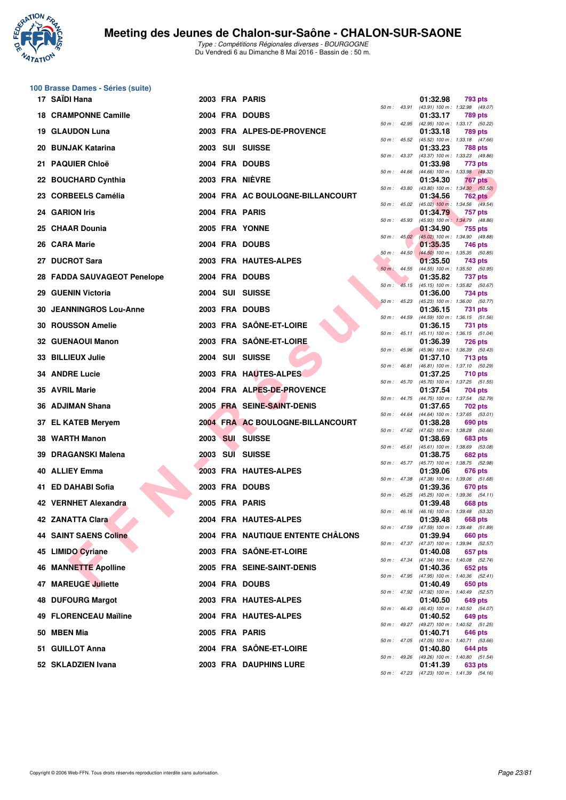

|    | 100 Brasse Dames - Séries (suite) |  |                                   |                  |                  |          |                                                         |
|----|-----------------------------------|--|-----------------------------------|------------------|------------------|----------|---------------------------------------------------------|
|    | 17 SAÏDI Hana                     |  | 2003 FRA PARIS                    |                  | 50 m : 43.91     | 01:32.98 | 793 pts<br>(43.91) 100 m: 1:32.98 (49.07)               |
|    | <b>18 CRAMPONNE Camille</b>       |  | 2004 FRA DOUBS                    |                  |                  | 01:33.17 | 789 pts                                                 |
|    | 19 GLAUDON Luna                   |  | 2003 FRA ALPES-DE-PROVENCE        | 50 m : 42.95     |                  | 01:33.18 | (42.95) 100 m: 1:33.17 (50.22)<br><b>789 pts</b>        |
|    | 20 BUNJAK Katarina                |  | 2003 SUI SUISSE                   | 50 m: 45.52      |                  | 01:33.23 | (45.52) 100 m: 1:33.18 (47.66)<br><b>788 pts</b>        |
| 21 | <b>PAQUIER Chloë</b>              |  | 2004 FRA DOUBS                    | $50 m$ : 43.37   |                  | 01:33.98 | (43.37) 100 m: 1:33.23 (49.86)<br>773 pts               |
|    | 22 BOUCHARD Cynthia               |  | 2003 FRA NIEVRE                   | 50 m : 44.66     |                  | 01:34.30 | (44.66) 100 m: 1:33.98 (49.32)<br>767 pts               |
|    | 23 CORBEELS Camélia               |  | 2004 FRA AC BOULOGNE-BILLANCOURT  | 50 m : 43.80     |                  | 01:34.56 | $(43.80)$ 100 m : 1:34.30 $(50.50)$<br><b>762 pts</b>   |
|    | 24 GARION Iris                    |  | 2004 FRA PARIS                    |                  | 50 m: 45.02      |          | $(45.02)$ 100 m : 1:34.56 $(49.54)$<br>757 pts          |
|    |                                   |  |                                   | 50 m: 45.93      |                  | 01:34.79 | (45.93) 100 m: 1:34.79 (48.86)                          |
|    | 25 CHAAR Dounia                   |  | 2005 FRA YONNE                    |                  | $50 m$ : $45.02$ | 01:34.90 | 755 pts<br>(45.02) 100 m : 1:34.90 (49.88)              |
|    | 26 CARA Marie                     |  | 2004 FRA DOUBS                    |                  | $50 m$ : 44.50   | 01:35.35 | 746 pts<br>$(44.50)$ 100 m : 1:35.35 (50.85)            |
|    | 27 DUCROT Sara                    |  | 2003 FRA HAUTES-ALPES             | $50 m$ : 44.55   |                  | 01:35.50 | 743 pts<br>(44.55) 100 m: 1:35.50 (50.95)               |
|    | 28 FADDA SAUVAGEOT Penelope       |  | 2004 FRA DOUBS                    | 50 m:            |                  | 01:35.82 | 737 pts<br>45.15 (45.15) 100 m : 1:35.82 (50.67)        |
|    | 29 GUENIN Victoria                |  | 2004 SUI SUISSE                   | $50 m$ : 45.23   |                  | 01:36.00 | 734 pts<br>(45.23) 100 m: 1:36.00 (50.77)               |
|    | 30 JEANNINGROS Lou-Anne           |  | 2003 FRA DOUBS                    |                  |                  | 01:36.15 | 731 pts                                                 |
|    | <b>30 ROUSSON Amelie</b>          |  | 2003 FRA SAÔNE-ET-LOIRE           | 50 m : 44.59     |                  | 01:36.15 | $(44.59)$ 100 m : 1:36.15 (51.56)<br>731 pts            |
|    | <b>32 GUENAOUI Manon</b>          |  | 2003 FRA SAÖNE-ET-LOIRE           | 50 m: 45.11      |                  | 01:36.39 | (45.11) 100 m: 1:36.15 (51.04)<br>726 pts               |
|    | 33 BILLIEUX Julie                 |  | 2004 SUI SUISSE                   | 50 m: 45.96      |                  | 01:37.10 | (45.96) 100 m: 1:36.39 (50.43)<br><b>713 pts</b>        |
|    | <b>34 ANDRE Lucie</b>             |  | 2003 FRA HAUTES-ALPES             | 50 m : 46.81     |                  | 01:37.25 | (46.81) 100 m : 1:37.10 (50.29)<br>710 pts              |
|    | 35 AVRIL Marie                    |  | 2004 FRA ALPES-DE-PROVENCE        |                  | 50 m : 45.70     | 01:37.54 | (45.70) 100 m: 1:37.25 (51.55)<br>704 pts               |
|    | 36 ADJIMAN Shana                  |  | 2005 FRA SEINE-SAINT-DENIS        |                  |                  | 01:37.65 | 50 m: 44.75 (44.75) 100 m: 1:37.54 (52.79)<br>702 pts   |
|    | 37 EL KATEB Meryem                |  | 2004 FRA AC BOULOGNE-BILLANCOURT  | 50 m : 44.64     |                  | 01:38.28 | (44.64) 100 m: 1:37.65 (53.01)<br>690 pts               |
|    | 38 WARTH Manon                    |  | 2003 SUI SUISSE                   |                  |                  | 01:38.69 | 50 m: 47.62 (47.62) 100 m: 1:38.28 (50.66)<br>683 pts   |
|    | 39 DRAGANSKI Malena               |  | 2003 SUI SUISSE                   | 50 m: 45.61      |                  | 01:38.75 | (45.61) 100 m: 1:38.69 (53.08)<br>682 pts               |
|    | 40 ALLIEY Emma                    |  | 2003 FRA HAUTES-ALPES             |                  | $50 m$ : $45.77$ | 01:39.06 | (45.77) 100 m : 1:38.75 (52.98)<br>676 pts              |
|    |                                   |  | 2003 FRA DOUBS                    |                  |                  |          | 50 m: 47.38 (47.38) 100 m: 1:39.06 (51.68)              |
|    | 41 ED DAHABI Sofia                |  |                                   | $50 m$ : $45.25$ |                  | 01:39.36 | 670 pts<br>$(45.25)$ 100 m : 1:39.36 $(54.11)$          |
|    | 42 VERNHET Alexandra              |  | 2005 FRA PARIS                    |                  |                  | 01:39.48 | 668 pts<br>50 m: 46.16 (46.16) 100 m: 1:39.48 (53.32)   |
|    | 42 ZANATTA Clara                  |  | 2004 FRA HAUTES-ALPES             |                  | 50 m : 47.59     | 01:39.48 | 668 pts<br>(47.59) 100 m: 1:39.48 (51.89)               |
|    | <b>44 SAINT SAENS Coline</b>      |  | 2004 FRA NAUTIQUE ENTENTE CHALONS | $50 m$ : 47.37   |                  | 01:39.94 | 660 pts<br>(47.37) 100 m : 1:39.94 (52.57)              |
|    | 45 LIMIDO Cyriane                 |  | 2003 FRA SAÔNE-ET-LOIRE           |                  | $50 m$ : 47.34   | 01:40.08 | 657 pts<br>(47.34) 100 m: 1:40.08 (52.74)               |
| 46 | <b>MANNETTE Apolline</b>          |  | 2005 FRA SEINE-SAINT-DENIS        |                  |                  | 01:40.36 | 652 pts<br>50 m: 47.95 (47.95) 100 m: 1:40.36 (52.41)   |
| 47 | <b>MAREUGE Juliette</b>           |  | 2004 FRA DOUBS                    |                  |                  | 01:40.49 | 650 pts<br>50 m: 47.92 (47.92) 100 m: 1:40.49 (52.57)   |
| 48 | <b>DUFOURG Margot</b>             |  | 2003 FRA HAUTES-ALPES             |                  |                  | 01:40.50 | 649 pts                                                 |
|    | 49 FLORENCEAU Maïline             |  | 2004 FRA HAUTES-ALPES             |                  |                  | 01:40.52 | 50 m : 46.43 (46.43) 100 m : 1:40.50 (54.07)<br>649 pts |
|    | 50 MBEN Mia                       |  | 2005 FRA PARIS                    |                  | $50 m$ : 49.27   | 01:40.71 | (49.27) 100 m: 1:40.52 (51.25)<br>646 pts               |
|    | 51 GUILLOT Anna                   |  | 2004 FRA SAÔNE-ET-LOIRE           |                  | 50 m : 47.05     | 01:40.80 | (47.05) 100 m: 1:40.71 (53.66)<br>644 pts               |
|    | 52 SKLADZIEN Ivana                |  | 2003 FRA DAUPHINS LURE            |                  | 50 m : 49.26     | 01:41.39 | (49.26) 100 m: 1:40.80 (51.54)<br>633 pts               |

|          |       | 01:33.18                      | 789 pts                              |
|----------|-------|-------------------------------|--------------------------------------|
| $50 m$ : | 45.52 | (45.52) 100 m :<br>01:33.23   | 1:33.18<br>(47.66)<br>788 pts        |
| 50 m :   | 43.37 | $(43.37) 100 m$ :             | 1:33.23<br>(49.86)                   |
|          |       | 01:33.98                      | 773 pts                              |
| 50 m :   | 44.66 | $(44.66) 100 m$ :             | 1:33.98<br>(49.32)                   |
|          |       | 01:34.30                      | <b>767 pts</b>                       |
| $50 m$ : | 43.80 | $(43.80)$ 100 m :             | 1:34.30<br>(50.50)                   |
| 50 m :   | 45.02 | 01:34.56<br>$(45.02)$ 100 m : | 762<br>pts<br>1:34.56<br>(49.54)     |
|          |       | 01:34.79                      | 757<br>pts                           |
| $50 m$ : | 45.93 | $(45.93) 100 m$ :             | 1:34.79<br>(48.86)                   |
|          |       | 01:34.90                      | 755<br>pts                           |
| $50 m$ : | 45.02 | $(45.02)$ 100 m :             | 1:34.90<br>(49.88)                   |
| $50 m$ : | 44.50 | 01:35.35<br>$(44.50)$ 100 m : | 746<br>pts<br>1:35.35<br>(50.85)     |
|          |       | 01:35.50                      | 743<br>pts                           |
| $50 m$ : | 44.55 | $(44.55)$ 100 m :             | (50.95)<br>1:35.50                   |
|          |       | 01:35.82                      | 737<br>pts                           |
| $50 m$ : | 45.15 | $(45.15) 100 m$ :             | 1:35.82<br>(50.67)                   |
|          | 45.23 | 01:36.00<br>$(45.23) 100 m$ : | 734<br>pts<br>1:36.00                |
| $50 m$ : |       | 01:36.15                      | (50.77)<br>731<br>pts                |
| $50 m$ : | 44.59 | $(44.59) 100 m$ :             | 1:36.15<br>(51.56)                   |
|          |       | 01:36.15                      | 731<br>pts                           |
| $50 m$ : | 45.11 | $(45.11) 100 m$ :             | 1:36.15<br>(51.04)                   |
|          |       | 01:36.39                      | 726<br>pts                           |
| 50 m :   | 45.96 | $(45.96) 100 m$ :<br>01:37.10 | 1:36.39<br>(50.43)<br>713<br>pts     |
| $50 m$ : | 46.81 | $(46.81) 100 m$ :             | 1:37.10<br>(50.29)                   |
|          |       | 01:37.25                      | <b>710 pts</b>                       |
| $50 m$ : | 45.70 | $(45.70)$ 100 m :             | 1:37.25<br>(51.55)                   |
|          |       | 01:37.54                      | 704<br>pts                           |
| 50 m :   | 44.75 | (44.75) 100 m :<br>01:37.65   | 1:37.54<br>(52.79)<br>702 pts        |
| $50 m$ : | 44.64 | $(44.64) 100 m$ :             | 1:37.65<br>(53.01)                   |
|          |       | 01:38.28                      | 690 pts                              |
| $50 m$ : | 47.62 | $(47.62)$ 100 m :             | 1:38.28<br>(50.66)                   |
|          | 45.61 | 01:38.69<br>$(45.61) 100 m$ : | 683<br>pts                           |
| 50 m :   |       | 01:38.75                      | 1:38.69<br>(53.08)<br><b>682 pts</b> |
| $50 m$ : | 45.77 | (45.77) 100 m :               | 1:38.75<br>(52.98)                   |
|          |       | 01:39.06                      | 676 pts                              |
| $50 m$ : | 47.38 | (47.38) 100 m :               | 1:39.06<br>(51.68)                   |
| $50 m$ : | 45.25 | 01:39.36<br>$(45.25)$ 100 m : | 670 pts<br>(54.11)<br>1:39.36        |
|          |       | 01:39.48                      | 668 pts                              |
| $50 m$ : | 46.16 | $(46.16) 100 m$ :             | 1:39.48<br>(53.32)                   |
|          |       | 01:39.48                      | <b>668 pts</b>                       |
| $50 m$ : | 47.59 | (47.59) 100 m :<br>01:39.94   | 1:39.48<br>(51.89)                   |
| $50 m$ : | 47.37 | (47.37) 100 m :               | <b>660 pts</b><br>1:39.94<br>(52.57) |
|          |       | 01:40.08                      | 657 pts                              |
| 50 m :   | 47.34 | $(47.34) 100 m$ :             | 1:40.08<br>(52.74)                   |
|          |       | 01:40.36                      | 652 pts                              |
| $50 m$ : | 47.95 | (47.95) 100 m :<br>01:40.49   | 1:40.36<br>(52.41)<br><b>650 pts</b> |
| $50 m$ : | 47.92 | $(47.92)$ 100 m :             | 1:40.49<br>(52.57)                   |
|          |       | 01:40.50                      | <b>649 pts</b>                       |
| $50 m$ : | 46.43 | $(46.43) 100 m$ :             | 1:40.50<br>(54.07)                   |
|          |       | 01:40.52                      | 649 pts                              |
| $50 m$ : | 49.27 | (49.27) 100 m :<br>01:40.71   | 1:40.52<br>(51.25)<br>646 pts        |
| $50 m$ : | 47.05 | $(47.05)$ 100 m :             | 1:40.71<br>(53.66)                   |
|          |       | 01:40.80                      | 644 pts                              |
| $50 m$ : | 49.26 | $(49.26) 100 m$ :             | 1:40.80<br>(51.54)                   |
|          | 47.23 | 01:41.39                      | <b>633 pts</b>                       |
| $50 m$ : |       | $(47.23) 100 m$ :             | 1:41.39<br>(54.16)                   |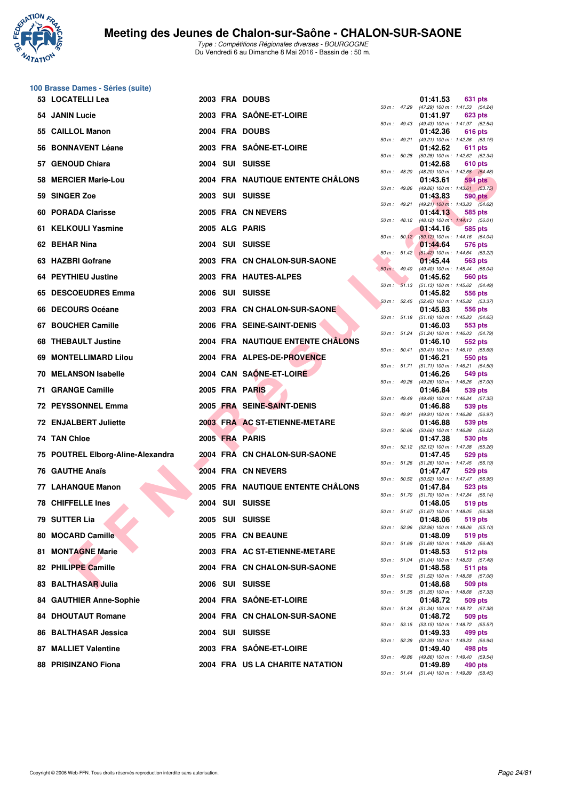

|    | 100 Brasse Dames - Séries (suite) |  |                                   |                |                  |                                                                     |
|----|-----------------------------------|--|-----------------------------------|----------------|------------------|---------------------------------------------------------------------|
|    | 53 LOCATELLI Lea                  |  | 2003 FRA DOUBS                    |                |                  | 01:41.53<br>631 pts<br>50 m: 47.29 (47.29) 100 m: 1:41.53 (54.24)   |
|    | 54 JANIN Lucie                    |  | 2003 FRA SAÖNE-ET-LOIRE           |                |                  | 01:41.97<br>623 pts                                                 |
|    | 55 CAILLOL Manon                  |  | 2004 FRA DOUBS                    |                |                  | 50 m: 49.43 (49.43) 100 m: 1:41.97 (52.54)<br>01:42.36<br>616 pts   |
|    | 56 BONNAVENT Léane                |  | 2003 FRA SAÔNE-ET-LOIRE           | 50 m: 49.21    |                  | (49.21) 100 m: 1:42.36 (53.15)<br>01:42.62<br>611 pts               |
|    | 57 GENOUD Chiara                  |  | 2004 SUI SUISSE                   | 50 m: 50.28    |                  | (50.28) 100 m: 1:42.62 (52.34)<br>01:42.68<br>610 pts               |
|    | 58 MERCIER Marie-Lou              |  | 2004 FRA NAUTIQUE ENTENTE CHÂLONS | 50 m : 48.20   |                  | (48.20) 100 m: 1:42.68 (54.48)<br>01:43.61<br>594 pts               |
|    | 59 SINGER Zoe                     |  | 2003 SUI SUISSE                   | 50 m : 49.86   |                  | (49.86) 100 m: 1:43.61 (53.75)<br>01:43.83<br><b>590 pts</b>        |
|    | 60 PORADA Clarisse                |  | 2005 FRA CN NEVERS                |                | 50 m : 49.21     | $(49.21)$ 100 m : 1:43.83 $(54.62)$<br>01:44.13<br>585 pts          |
|    | 61 KELKOULI Yasmine               |  | 2005 ALG PARIS                    | 50 m: 48.12    |                  | (48.12) 100 m: 1:44.13 (56.01)<br>01:44.16<br>585 pts               |
|    | 62 BEHAR Nina                     |  | 2004 SUI SUISSE                   |                |                  | 50 m : 50.12 (50.12) 100 m : 1:44.16 (54.04)<br>01:44.64<br>576 pts |
|    | 63 HAZBRI Gofrane                 |  |                                   |                | $50 m$ : $51.42$ | $(51.42)$ 100 m : 1:44.64 (53.22)                                   |
|    |                                   |  | 2003 FRA CN CHALON-SUR-SAONE      | $50 m$ : 49.40 |                  | 01:45.44<br>563 pts<br>(49.40) 100 m: 1:45.44 (56.04)               |
|    | 64 PEYTHIEU Justine               |  | 2003 FRA HAUTES-ALPES             |                |                  | 01:45.62<br>560 pts<br>50 m: 51.13 (51.13) 100 m: 1:45.62 (54.49)   |
|    | 65 DESCOEUDRES Emma               |  | 2006 SUI SUISSE                   |                | 50 m: 52.45      | 01:45.82<br>556 pts<br>(52.45) 100 m: 1:45.82 (53.37)               |
|    | 66 DECOURS Océane                 |  | 2003 FRA CN CHALON-SUR-SAONE      |                |                  | 01:45.83<br>556 pts<br>50 m: 51.18 (51.18) 100 m: 1:45.83 (54.65)   |
|    | 67 BOUCHER Camille                |  | 2006 FRA SEINE-SAINT-DENIS        |                | 50 m: 51.24      | 01:46.03<br>553 pts<br>$(51.24)$ 100 m : 1:46.03 $(54.79)$          |
|    | 68 THEBAULT Justine               |  | 2004 FRA NAUTIQUE ENTENTE CHALONS |                | 50 m : 50.41     | 01:46.10<br>552 pts<br>$(50.41)$ 100 m : 1:46.10 $(55.69)$          |
| 69 | <b>MONTELLIMARD Lilou</b>         |  | 2004 FRA ALPES-DE-PROVENCE        |                | 50 m : 51.71     | 01:46.21<br>550 pts<br>$(51.71)$ 100 m : 1:46.21 $(54.50)$          |
|    | <b>70 MELANSON Isabelle</b>       |  | 2004 CAN SAÔNE-ET-LOIRE           |                | 50 m : 49.26     | 01:46.26<br>549 pts<br>(49.26) 100 m: 1:46.26 (57.00)               |
|    | 71 GRANGE Camille                 |  | 2005 FRA PARIS                    |                | 50 m : 49.49     | 01:46.84<br>539 pts                                                 |
|    | <b>72 PEYSSONNEL Emma</b>         |  | 2005 FRA SEINE-SAINT-DENIS        |                |                  | (49.49) 100 m: 1:46.84 (57.35)<br>01:46.88<br>539 pts               |
|    | <b>72 ENJALBERT Juliette</b>      |  | 2003 FRA AC ST-ETIENNE-METARE     | 50 m : 49.91   |                  | (49.91) 100 m: 1:46.88 (56.97)<br>01:46.88<br>539 pts               |
|    | 74 TAN Chloe                      |  | 2005 FRA PARIS                    |                | 50 m : 50.66     | (50.66) 100 m: 1:46.88 (56.22)<br>01:47.38<br>530 pts               |
|    | 75 POUTREL Elborg-Aline-Alexandra |  | 2004 FRA CN CHALON-SUR-SAONE      |                | 50 m: 52.12      | (52.12) 100 m: 1:47.38 (55.26)<br>01:47.45<br>529 pts               |
|    | 76 GAUTHE Anaïs                   |  | 2004 FRA CN NEVERS                |                |                  | 50 m: 51.26 (51.26) 100 m: 1:47.45 (56.19)<br>01:47.47<br>529 pts   |
|    | 77 LAHANQUE Manon                 |  | 2005 FRA NAUTIQUE ENTENTE CHÂLONS |                |                  | 50 m: 50.52 (50.52) 100 m: 1:47.47 (56.95)<br>01:47.84<br>523 pts   |
|    | <b>78 CHIFFELLE Ines</b>          |  | 2004 SUI SUISSE                   |                | 50 m : 51.70     | $(51.70)$ 100 m : 1:47.84 $(56.14)$<br>01:48.05<br>519 pts          |
|    | 79 SUTTER Lia                     |  | 2005 SUI SUISSE                   |                |                  | 50 m : 51.67 (51.67) 100 m : 1:48.05 (56.38)<br>01:48.06<br>519 pts |
|    | 80 MOCARD Camille                 |  | 2005 FRA CN BEAUNE                |                | 50 m: 52.96      | (52.96) 100 m: 1:48.06 (55.10)<br>01:48.09<br>519 pts               |
|    | 81 MONTAGNE Marie                 |  | 2003 FRA AC ST-ETIENNE-METARE     | 50 m : 51.69   |                  | $(51.69)$ 100 m : 1:48.09 $(56.40)$<br>01:48.53<br>512 pts          |
|    | 82 PHILIPPE Camille               |  | 2004 FRA CN CHALON-SUR-SAONE      |                | 50 m : 51.04     | (51.04) 100 m: 1:48.53 (57.49)<br>01:48.58<br>511 pts               |
|    | 83 BALTHASAR Julia                |  | 2006 SUI SUISSE                   |                |                  | 50 m: 51.52 (51.52) 100 m: 1:48.58 (57.06)<br>01:48.68<br>509 pts   |
|    | 84 GAUTHIER Anne-Sophie           |  | 2004 FRA SAÔNE-ET-LOIRE           |                |                  | 50 m : 51.35 (51.35) 100 m : 1:48.68 (57.33)<br>01:48.72<br>509 pts |
|    | <b>84 DHOUTAUT Romane</b>         |  | 2004 FRA CN CHALON-SUR-SAONE      |                |                  | 50 m: 51.34 (51.34) 100 m: 1:48.72 (57.38)<br>01:48.72<br>509 pts   |
|    | 86 BALTHASAR Jessica              |  | 2004 SUI SUISSE                   |                |                  | 50 m: 53.15 (53.15) 100 m: 1:48.72 (55.57)<br>01:49.33<br>499 pts   |
|    |                                   |  | 2003 FRA SAÔNE-ET-LOIRE           | 50 m : 52.39   |                  | (52.39) 100 m : 1:49.33 (56.94)                                     |
|    | 87 MALLIET Valentine              |  |                                   | 50 m : 49.86   |                  | 01:49.40<br>498 pts<br>(49.86) 100 m: 1:49.40 (59.54)               |
|    | 88 PRISINZANO Fiona               |  | 2004 FRA US LA CHARITE NATATION   |                |                  | 01:49.89<br>490 pts                                                 |

|          |       | 01:41.97                      | 623 pts                          |
|----------|-------|-------------------------------|----------------------------------|
| 50 m :   | 49.43 | (49.43) 100 m :               | 1:41.97<br>(52.54)               |
|          |       | 01:42.36                      | 616<br>pts                       |
| $50 m$ : | 49.21 | (49.21) 100 m :               | 1:42.36<br>(53.15)               |
| 50 m :   | 50.28 | 01:42.62<br>$(50.28)$ 100 m : | 611<br>pts<br>1:42.62<br>(52.34) |
|          |       | 01:42.68                      | <b>610 pts</b>                   |
| $50 m$ : | 48.20 | $(48.20)$ 100 m :             | 1:42.68<br>(54.48)               |
|          |       | 01:43.61                      | <b>594 pts</b>                   |
| $50 m$ : | 49.86 | (49.86) 100 m :               | 1:43.61<br>(53.75)               |
|          |       | 01:43.83                      | <b>590 pts</b>                   |
| $50 m$ : | 49.21 | $(49.21)$ 100 m :             | 1:43.83<br>(54.62)               |
|          |       | 01:44.13                      | 585<br>pts                       |
| $50 m$ : | 48.12 | $(48.12) 100 m$ :             | 1:44.13<br>(56.01)               |
|          |       | 01:44.16                      | 585 pts                          |
| $50 m$ : | 50.12 | $(50.12) 100 m$ :             | 1:44.16<br>(54.04)               |
| 50 m :   | 51.42 | 01:44.64<br>$(51.42) 100 m$ : | 576 pts<br>1:44.64<br>(53.22)    |
|          |       | 01:45.44                      | 563 pts                          |
| $50 m$ : | 49.40 | $(49.40)$ 100 m :             | 1:45.44<br>(56.04)               |
|          |       | 01:45.62                      | <b>560 pts</b>                   |
| $50 m$ : | 51.13 | $(51.13) 100 m$ :             | 1:45.62<br>(54.49)               |
|          |       | 01:45.82                      | 556 pts                          |
| $50 m$ : | 52.45 | $(52.45)$ 100 m :             | 1:45.82<br>(53.37)               |
|          |       | 01:45.83                      | 556 pts                          |
| $50 m$ : | 51.18 | $(51.18) 100 m$ :             | 1:45.83<br>(54.65)               |
|          |       | 01:46.03                      | 553 pts                          |
| $50 m$ : | 51.24 | $(51.24) 100 m$ :             | 1:46.03<br>(54.79)               |
| $50 m$ : | 50.41 | 01:46.10<br>$(50.41)$ 100 m : | 552 pts<br>1:46.10<br>(55.69)    |
|          |       | 01:46.21                      | 550 pts                          |
| $50 m$ : | 51.71 | $(51.71) 100 m$ :             | 1:46.21<br>(54.50)               |
|          |       | 01:46.26                      | <b>549 pts</b>                   |
| $50 m$ : | 49.26 | (49.26) 100 m :               | 1:46.26<br>(57.00)               |
|          |       | 01:46.84                      | 539 pts                          |
| $50 m$ : | 49.49 | (49.49) 100 m :               | 1:46.84<br>(57.35)               |
|          |       | 01:46.88                      | 539 pts                          |
| $50 m$ : | 49.91 | (49.91) 100 m :               | 1:46.88<br>(56.97)               |
| $50 m$ : | 50.66 | 01:46.88                      | 539 pts<br>1:46.88               |
|          |       | $(50.66)$ 100 m :<br>01:47.38 | (56.22)<br>530 pts               |
| 50 m :   | 52.12 | $(52.12) 100 m$ :             | 1:47.38<br>(55.26)               |
|          |       | 01:47.45                      | 529 pts                          |
| $50 m$ : | 51.26 | $(51.26) 100 m$ :             | 1:47.45<br>(56.19)               |
|          |       | 01:47.47                      | 529 pts                          |
| $50 m$ : | 50.52 | $(50.52)$ 100 m :             | 1:47.47<br>(56.95)               |
|          |       | 01:47.84                      | 523 pts                          |
| $50 m$ : | 51.70 | $(51.70) 100 m$ :             | 1:47.84<br>(56.14)               |
| $50 m$ : | 51.67 | 01:48.05<br>$(51.67) 100 m$ : | 519 pts<br>1:48.05               |
|          |       | 01:48.06                      | (56.38)<br>519 pts               |
| $50 m$ : | 52.96 | $(52.96)$ 100 m :             | 1:48.06<br>(55.10)               |
|          |       | 01:48.09                      | 519 pts                          |
| 50 m :   | 51.69 | $(51.69) 100 m$ :             | 1:48.09<br>(56.40)               |
|          |       | 01:48.53                      | 512 pts                          |
| $50 m$ : | 51.04 | $(51.04) 100 m$ :             | 1:48.53<br>(57.49)               |
|          |       | 01:48.58                      | 511<br>pts                       |
| $50 m$ : | 51.52 | $(51.52) 100 m$ :             | 1:48.58<br>(57.06)               |
|          |       | 01:48.68                      | 509 pts                          |
| $50 m$ : | 51.35 | $(51.35) 100 m$ :<br>01:48.72 | 1:48.68<br>(57.33)<br>509 pts    |
| $50 m$ : | 51.34 | $(51.34) 100 m$ :             | 1:48.72<br>(57.38)               |
|          |       | 01:48.72                      | 509 pts                          |
| $50 m$ : | 53.15 | $(53.15)$ 100 m :             | 1:48.72<br>(55.57)               |
|          |       | 01:49.33                      | 499 pts                          |
| $50 m$ : | 52.39 | $(52.39)$ 100 m :             | 1:49.33<br>(56.94)               |
|          |       | 01:49.40                      | 498 pts                          |
| $50 m$ : | 49.86 | (49.86) 100 m :               | 1:49.40<br>(59.54)               |
|          |       | 01:49.89                      | 490 pts                          |
| $50 m$ : | 51.44 | $(51.44) 100 m$ :             | 1:49.89<br>(58.45)               |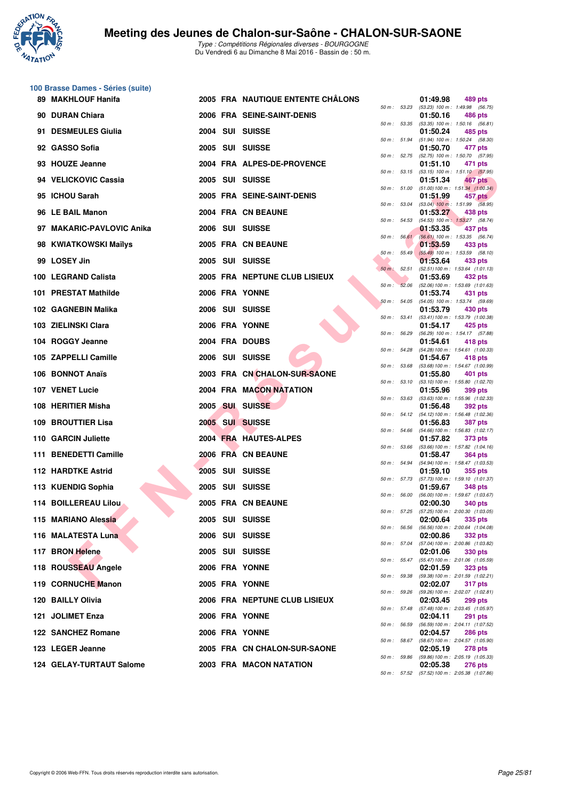

**100 Brasse Dames - Séries (suite)**

|     | 89 MAKHLOUF Hanifa        |  | 2005 FRA NAUTIQUE ENTENTE CHALONS |                  |                  | 01:49.98 | 489 pts                                                          |
|-----|---------------------------|--|-----------------------------------|------------------|------------------|----------|------------------------------------------------------------------|
|     | 90 DURAN Chiara           |  | 2006 FRA SEINE-SAINT-DENIS        |                  | 50 m : 53.23     | 01:50.16 | $(53.23)$ 100 m : 1:49.98 $(56.75)$<br>486 pts                   |
| 91. | <b>DESMEULES Giulia</b>   |  | 2004 SUI SUISSE                   | 50 m: 53.35      |                  | 01:50.24 | $(53.35)$ 100 m : 1:50.16 $(56.81)$<br>485 pts                   |
|     | 92 GASSO Sofia            |  |                                   |                  | 50 m : 51.94     |          | $(51.94)$ 100 m : 1:50.24 $(58.30)$                              |
|     |                           |  | 2005 SUI SUISSE                   | $50 m$ : $52.75$ |                  | 01:50.70 | 477 pts<br>(52.75) 100 m : 1:50.70 (57.95)                       |
|     | 93 HOUZE Jeanne           |  | 2004 FRA ALPES-DE-PROVENCE        |                  | 50 m : 53.15     | 01:51.10 | 471 pts<br>$(53.15)$ 100 m : 1:51.10 $(57.95)$                   |
|     | 94 VELICKOVIC Cassia      |  | 2005 SUI SUISSE                   |                  | 50 m : 51.00     | 01:51.34 | 467 pts<br>$(51.00) 100 m$ : 1:51.34 $(1.00.34)$                 |
|     | 95 ICHOU Sarah            |  | 2005 FRA SEINE-SAINT-DENIS        |                  |                  | 01:51.99 | $457$ pts                                                        |
|     | 96 LE BAIL Manon          |  | 2004 FRA CN BEAUNE                |                  | 50 m : 53.04     | 01:53.27 | $(53.04)$ 100 m : 1:51.99 $(58.95)$<br>438 pts                   |
|     | 97 MAKARIC-PAVLOVIC Anika |  | 2006 SUI SUISSE                   | 50 m: 54.53      |                  | 01:53.35 | (54.53) 100 m: 1:53.27 (58.74)<br>437 pts                        |
|     | 98 KWIATKOWSKI Maïlys     |  | 2005 FRA CN BEAUNE                |                  | 50 m: 56.61      | 01:53.59 | (56.61) 100 m: 1:53.35 (56.74)<br>433 pts                        |
|     |                           |  |                                   |                  | $50 m$ : $55.49$ |          | $(55.49)$ 100 m : 1:53.59 (58.10)                                |
|     | 99 LOSEY Jin              |  | 2005 SUI SUISSE                   | $50 m$ : $52.51$ |                  | 01:53.64 | 433 pts<br>(52.51) 100 m: 1:53.64 (1:01.13)                      |
|     | 100 LEGRAND Calista       |  | 2005 FRA NEPTUNE CLUB LISIEUX     |                  | 50 m: 52.06      | 01:53.69 | 432 pts<br>(52.06) 100 m: 1:53.69 (1:01.63)                      |
|     | 101 PRESTAT Mathilde      |  | 2006 FRA YONNE                    | 50 m: 54.05      |                  | 01:53.74 | 431 pts<br>(54.05) 100 m: 1:53.74 (59.69)                        |
|     | 102 GAGNEBIN Malika       |  | 2006 SUI SUISSE                   |                  |                  | 01:53.79 | 430 pts                                                          |
|     | 103 ZIELINSKI Clara       |  | 2006 FRA YONNE                    |                  | 50 m: 53.41      | 01:54.17 | (53.41) 100 m: 1:53.79 (1:00.38)<br>425 pts                      |
|     | 104 ROGGY Jeanne          |  | 2004 FRA DOUBS                    | 50 m: 56.29      |                  | 01:54.61 | (56.29) 100 m: 1:54.17 (57.88)<br>418 pts                        |
|     | 105 ZAPPELLI Camille      |  | 2006 SUI SUISSE                   | 50 m : 54.28     |                  | 01:54.67 | (54.28) 100 m: 1:54.61 (1:00.33)<br>418 pts                      |
|     |                           |  |                                   | 50 m: 53.68      |                  |          | (53.68) 100 m: 1:54.67 (1:00.99)                                 |
|     | 106 BONNOT Anaïs          |  | 2003 FRA CN CHALON-SUR-SAONE      |                  | 50 m: 53.10      | 01:55.80 | 401 pts<br>(53.10) 100 m: 1:55.80 (1:02.70)                      |
|     | 107 VENET Lucie           |  | 2004 FRA MACON NATATION           |                  | 50 m: 53.63      | 01:55.96 | 399 pts<br>(53.63) 100 m: 1:55.96 (1:02.33)                      |
|     | 108 HERITIER Misha        |  | 2005 SUI SUISSE                   |                  |                  | 01:56.48 | <b>392 pts</b><br>50 m: 54.12 (54.12) 100 m: 1:56.48 (1:02.36)   |
|     | <b>109 BROUTTIER Lisa</b> |  | 2005 SUI SUISSE                   |                  |                  | 01:56.83 | <b>387 pts</b>                                                   |
|     | 110 GARCIN Juliette       |  | 2004 FRA HAUTES-ALPES             |                  |                  | 01:57.82 | 50 m: 54.66 (54.66) 100 m: 1:56.83 (1:02.17)<br>373 pts          |
|     | 111 BENEDETTI Camille     |  | 2006 FRA CN BEAUNE                | 50 m: 53.66      |                  | 01:58.47 | (53.66) 100 m: 1:57.82 (1:04.16)<br><b>364 pts</b>               |
|     | 112 HARDTKE Astrid        |  | 2005 SUI SUISSE                   |                  | 50 m : 54.94     | 01:59.10 | (54.94) 100 m: 1:58.47 (1:03.53)<br>355 pts                      |
|     |                           |  |                                   |                  | 50 m: 57.73      |          | (57.73) 100 m: 1:59.10 (1:01.37)                                 |
|     | 113 KUENDIG Sophia        |  | 2005 SUI SUISSE                   | 50 m: 56.00      |                  | 01:59.67 | <b>348 pts</b><br>(56.00) 100 m: 1:59.67 (1:03.67)               |
|     | 114 BOILLEREAU Lilou      |  | 2005 FRA CN BEAUNE                | 50 m: 57.25      |                  | 02:00.30 | <b>340 pts</b><br>$(57.25)$ 100 m : 2:00.30 $(1:03.05)$          |
|     | 115 MARIANO Alessia       |  | 2005 SUI SUISSE                   |                  |                  | 02:00.64 | 335 pts<br>50 m: 56.56 (56.56) 100 m: 2:00.64 (1:04.08)          |
|     | 116 MALATESTA Luna        |  | 2006 SUI SUISSE                   |                  |                  | 02:00.86 | 332 pts                                                          |
|     | 117 BRON Helene           |  | 2005 SUI SUISSE                   |                  |                  | 02:01.06 | 50 m: 57.04 (57.04) 100 m: 2:00.86 (1:03.82)<br>330 pts          |
|     | 118 ROUSSEAU Angele       |  | 2006 FRA YONNE                    |                  |                  | 02:01.59 | 50 m: 55.47 (55.47) 100 m: 2:01.06 (1:05.59)<br><b>323 pts</b>   |
|     | 119 CORNUCHE Manon        |  | 2005 FRA YONNE                    |                  |                  | 02:02.07 | 50 m: 59.38 (59.38) 100 m: 2:01.59 (1:02.21)<br><b>317 pts</b>   |
|     |                           |  |                                   |                  |                  |          | 50 m: 59.26 (59.26) 100 m: 2:02.07 (1:02.81)                     |
|     | 120 BAILLY Olivia         |  | 2006 FRA NEPTUNE CLUB LISIEUX     |                  |                  | 02:03.45 | 299 pts<br>50 m: 57.48 (57.48) 100 m: 2:03.45 (1:05.97)          |
|     | 121 JOLIMET Enza          |  | 2006 FRA YONNE                    |                  |                  | 02:04.11 | <b>291 pts</b><br>50 m : 56.59 (56.59) 100 m : 2:04.11 (1:07.52) |
|     | 122 SANCHEZ Romane        |  | 2006 FRA YONNE                    |                  |                  | 02:04.57 | <b>286 pts</b><br>50 m : 58.67 (58.67) 100 m : 2:04.57 (1:05.90) |
|     | 123 LEGER Jeanne          |  | 2005 FRA CN CHALON-SUR-SAONE      |                  |                  | 02:05.19 | 278 pts                                                          |
|     | 124 GELAY-TURTAUT Salome  |  | 2003 FRA MACON NATATION           |                  |                  | 02:05.38 | 50 m: 59.86 (59.86) 100 m: 2:05.19 (1:05.33)<br><b>276 pts</b>   |

|          |       | 01:49.98                      | 489 pts                             |
|----------|-------|-------------------------------|-------------------------------------|
| $50 m$ : | 53.23 | $(53.23) 100 m$ :             | 1:49.98<br>(56.75)                  |
|          | 53.35 | 01:50.16                      | <b>486 pts</b><br>(56.81)           |
| $50 m$ : |       | $(53.35) 100 m$ :<br>01:50.24 | 1:50.16<br>485 pts                  |
| 50 m :   | 51.94 | $(51.94) 100 m$ :             | 1:50.24<br>(58.30)                  |
|          |       | 01:50.70                      | 477 pts                             |
| $50 m$ : | 52.75 | (52.75) 100 m :<br>01:51.10   | 1:50.70<br>(57.95)<br>471 pts       |
| $50 m$ : | 53.15 | $(53.15) 100 m$ :             | $1:51.10$ (57.95)                   |
|          |       | 01:51.34                      | <b>467 pts</b>                      |
| $50 m$ : | 51.00 | $(51.00) 100 m$ :<br>01:51.99 | 1:51.34 (1:00.34)                   |
| $50 m$ : | 53.04 | $(53.04)$ 100 m :             | 457 pts<br>1:51.99<br>(58.95)       |
|          |       | 01:53.27                      | <b>438 pts</b>                      |
| $50 m$ : | 54.53 | $(54.53)$ 100 m :             | 1:53.27<br>(58.74)                  |
| $50 m$ : | 56.61 | 01:53.35<br>$(56.61)$ 100 m : | 437 pts<br>(56.74)<br>1:53.35       |
|          |       | 01:53.59                      | 433 pts                             |
| $50 m$ : | 55.49 | $(55.49) 100 m$ :             | 1:53.59<br>(58.10)                  |
| $50 m$ : | 52.51 | 01:53.64<br>$(52.51) 100 m$ : | 433 pts<br>1:53.64 (1:01.13)        |
|          |       | 01:53.69                      | 432 pts                             |
| $50 m$ : | 52.06 | (52.06) 100 m :               | 1:53.69 (1:01.63)                   |
|          | 54.05 | 01:53.74<br>$(54.05)$ 100 m : | 431 pts<br>1:53.74 (59.69)          |
| $50 m$ : |       | 01:53.79                      | 430 pts                             |
| $50 m$ : | 53.41 | $(53.41) 100 m$ :             | 1:53.79 (1:00.38)                   |
|          |       | 01:54.17                      | 425 pts                             |
| $50 m$ : | 56.29 | $(56.29) 100 m$ :<br>01:54.61 | 1:54.17 (57.88)<br>418 pts          |
| $50 m$ : | 54.28 | (54.28) 100 m :               | 1:54.61 (1:00.33)                   |
|          |       | 01:54.67                      | 418 pts                             |
| $50 m$ : | 53.68 | $(53.68) 100 m$ :<br>01:55.80 | 1:54.67 (1:00.99)<br><b>401 pts</b> |
| $50 m$ : | 53.10 | $(53.10) 100 m$ :             | 1:55.80 (1:02.70)                   |
|          |       | 01:55.96                      | 399 pts                             |
| $50 m$ : | 53.63 | $(53.63) 100 m$ :<br>01:56.48 | 1:55.96 (1:02.33)<br><b>392 pts</b> |
| $50 m$ : | 54.12 | (54.12) 100 m :               | 1:56.48 (1:02.36)                   |
|          |       | 01:56.83                      | <b>387 pts</b>                      |
| $50 m$ : | 54.66 | $(54.66) 100 m$ :<br>01:57.82 | 1:56.83 (1:02.17)<br>373 pts        |
| $50 m$ : | 53.66 | $(53.66) 100 m$ :             | 1:57.82 (1:04.16)                   |
|          |       | 01:58.47                      | <b>364 pts</b>                      |
| $50 m$ : | 54.94 | (54.94) 100 m :               | 1:58.47 (1:03.53)                   |
| $50 m$ : | 57.73 | 01:59.10<br>(57.73) 100 m :   | 355 pts<br>1:59.10 (1:01.37)        |
|          |       | 01:59.67                      | <b>348 pts</b>                      |
| $50 m$ : | 56.00 | $(56.00)$ 100 m :             | 1:59.67 (1:03.67)                   |
| $50 m$ : | 57.25 | 02:00.30<br>$(57.25) 100 m$ : | <b>340 pts</b><br>2:00.30 (1:03.05) |
|          |       | 02:00.64                      | 335 pts                             |
| 50 m :   | 56.56 | (56.56) 100 m :               | 2:00.64 (1:04.08)                   |
| $50 m$ : | 57.04 | 02:00.86<br>(57.04) 100 m :   | <b>332 pts</b><br>2:00.86 (1:03.82) |
|          |       | 02:01.06                      | 330 pts                             |
| $50 m$ : | 55.47 | $(55.47) 100 m$ :             | 2:01.06 (1:05.59)                   |
| $50 m$ : | 59.38 | 02:01.59<br>(59.38) 100 m :   | 323 pts<br>2:01.59 (1:02.21)        |
|          |       | 02:02.07                      | 317 pts                             |
| $50 m$ : | 59.26 | (59.26) 100 m :               | 2:02.07 (1:02.81)                   |
| $50 m$ : | 57.48 | 02:03.45<br>$(57.48) 100 m$ : | 299 pts<br>2:03.45 (1:05.97)        |
|          |       | 02:04.11                      | <b>291 pts</b>                      |
| $50 m$ : | 56.59 | (56.59) 100 m :               | 2:04.11 (1:07.52)                   |
| $50 m$ : | 58.67 | 02:04.57<br>(58.67) 100 m :   | <b>286 pts</b><br>2:04.57 (1:05.90) |
|          |       | 02:05.19                      | 278 pts                             |
| $50 m$ : | 59.86 | (59.86) 100 m :               | 2:05.19 (1:05.33)                   |
|          |       | 02:05.38                      | 276 pts                             |
| 50 m :   | 57.52 | (57.52) 100 m:                | 2:05.38 (1:07.86)                   |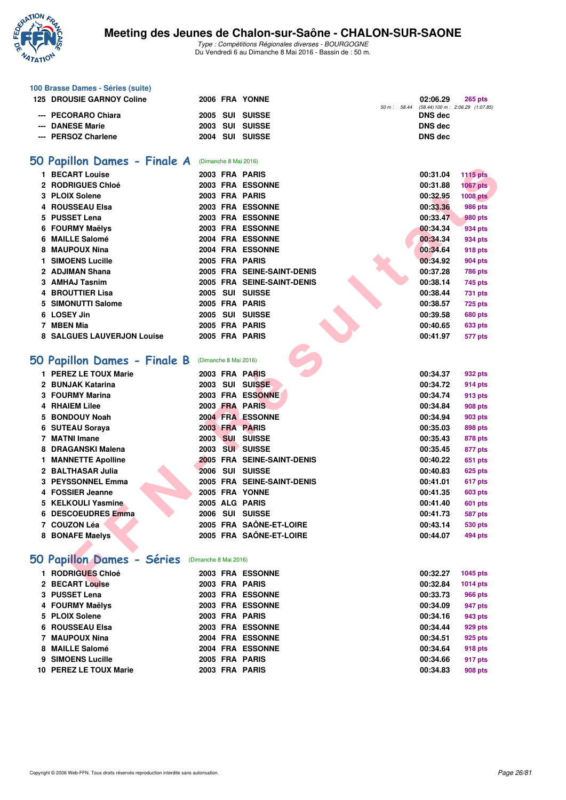

|   | 100 Brasse Dames - Séries (suite) |                       |                       |                            |             |                |                                   |
|---|-----------------------------------|-----------------------|-----------------------|----------------------------|-------------|----------------|-----------------------------------|
|   | <b>125 DROUSIE GARNOY Coline</b>  |                       |                       | 2006 FRA YONNE             |             | 02:06.29       | 265 pts                           |
|   | <b>PECORARO Chiara</b>            |                       |                       | 2005 SUI SUISSE            | 50 m: 58.44 | <b>DNS</b> dec | (58.44) 100 m : 2:06.29 (1:07.85) |
|   | <b>DANESE Marie</b>               |                       |                       | 2003 SUI SUISSE            |             | <b>DNS dec</b> |                                   |
|   | --- PERSOZ Charlene               |                       |                       | 2004 SUI SUISSE            |             | <b>DNS dec</b> |                                   |
|   |                                   |                       |                       |                            |             |                |                                   |
|   |                                   |                       |                       |                            |             |                |                                   |
|   | 50 Papillon Dames - Finale A      |                       | (Dimanche 8 Mai 2016) |                            |             |                |                                   |
|   | 1 BECART Louise                   |                       |                       | 2003 FRA PARIS             |             | 00:31.04       | <b>1115 pts</b>                   |
|   | 2 RODRIGUES Chloé                 |                       |                       | <b>2003 FRA ESSONNE</b>    |             | 00:31.88       | <b>1067 pts</b>                   |
|   | 3 PLOIX Solene                    |                       |                       | 2003 FRA PARIS             |             | 00:32.95       | <b>1008 pts</b>                   |
| 4 | <b>ROUSSEAU Elsa</b>              |                       |                       | 2003 FRA ESSONNE           |             | 00:33.36       | 986 pts                           |
| 5 | <b>PUSSET Lena</b>                |                       |                       | 2003 FRA ESSONNE           |             | 00:33.47       | 980 pts                           |
| 6 | <b>FOURMY Maëlys</b>              |                       |                       | 2003 FRA ESSONNE           |             | 00:34.34       | 934 pts                           |
| 6 | <b>MAILLE Salomé</b>              |                       |                       | 2004 FRA ESSONNE           |             | 00:34.34       | 934 pts                           |
| 8 | <b>MAUPOUX Nina</b>               |                       |                       | <b>2004 FRA ESSONNE</b>    |             | 00:34.64       | <b>918 pts</b>                    |
| 1 | <b>SIMOENS Lucille</b>            |                       |                       | 2005 FRA PARIS             |             | 00:34.92       | 904 pts                           |
|   | 2 ADJIMAN Shana                   |                       |                       | 2005 FRA SEINE-SAINT-DENIS |             | 00:37.28       | <b>786 pts</b>                    |
|   | 3 AMHAJ Tasnim                    |                       |                       | 2005 FRA SEINE-SAINT-DENIS |             | 00:38.14       | 745 pts                           |
| 4 | <b>BROUTTIER Lisa</b>             |                       |                       | 2005 SUI SUISSE            |             | 00:38.44       | 731 pts                           |
| 5 | <b>SIMONUTTI Salome</b>           |                       |                       | 2005 FRA PARIS             |             | 00:38.57       | <b>725 pts</b>                    |
| 6 | <b>LOSEY Jin</b>                  |                       |                       | 2005 SUI SUISSE            |             | 00:39.58       | <b>680 pts</b>                    |
|   | 7   MBEN Mia                      |                       |                       | 2005 FRA PARIS             |             | 00:40.65       | 633 pts                           |
|   | <b>8 SALGUES LAUVERJON Louise</b> |                       |                       | 2005 FRA PARIS             |             | 00:41.97       | 577 pts                           |
|   |                                   |                       |                       |                            |             |                |                                   |
|   | 50 Papillon Dames - Finale B      | (Dimanche 8 Mai 2016) |                       |                            |             |                |                                   |
|   | 1 PEREZ LE TOUX Marie             |                       |                       | 2003 FRA PARIS             |             | 00:34.37       | 932 pts                           |
|   | 2 BUNJAK Katarina                 |                       |                       | 2003 SUI SUISSE            |             | 00:34.72       | 914 pts                           |
|   | 3 FOURMY Marina                   |                       |                       | 2003 FRA ESSONNE           |             | 00:34.74       | 913 pts                           |
| 4 | <b>RHAIEM Lilee</b>               |                       |                       | 2003 FRA PARIS             |             | 00:34.84       | <b>908 pts</b>                    |
| 5 | <b>BONDOUY Noah</b>               |                       |                       | 2004 FRA ESSONNE           |             | 00:34.94       | 903 pts                           |
| 6 | <b>SUTEAU Soraya</b>              |                       |                       | 2003 FRA PARIS             |             | 00:35.03       | 898 pts                           |
|   | 7 MATNI Imane                     |                       |                       | 2003 SUI SUISSE            |             | 00:35.43       | 878 pts                           |
| 8 | <b>DRAGANSKI Malena</b>           |                       |                       | 2003 SUI SUISSE            |             | 00:35.45       | 877 pts                           |
|   | 1 MANNETTE Apolline               |                       |                       | 2005 FRA SEINE-SAINT-DENIS |             | 00:40.22       | 651 pts                           |
|   | 2 BALTHASAR Julia                 |                       |                       | 2006 SUI SUISSE            |             | 00:40.83       | 625 pts                           |
|   | <b>3 PEYSSONNEL Emma</b>          |                       |                       | 2005 FRA SEINE-SAINT-DENIS |             | 00:41.01       | 617 pts                           |
| 4 | <b>FOSSIER Jeanne</b>             |                       |                       | 2005 FRA YONNE             |             | 00:41.35       | 603 pts                           |
|   | 5 KELKOULI Yasmine                |                       |                       | 2005 ALG PARIS             |             | 00:41.40       | 601 pts                           |
|   | 6 DESCOEUDRES Emma                |                       |                       | 2006 SUI SUISSE            |             | 00:41.73       | <b>587 pts</b>                    |
|   | 7 COUZON Léa                      |                       |                       | 2005 FRA SAÔNE-ET-LOIRE    |             | 00:43.14       | 530 pts                           |
|   | 8 BONAFE Maelys                   |                       |                       | 2005 FRA SAÔNE-ET-LOIRE    |             | 00:44.07       | 494 pts                           |
|   |                                   |                       |                       |                            |             |                |                                   |
|   | 50 Papillon Dames - Séries        | (Dimanche 8 Mai 2016) |                       |                            |             |                |                                   |
|   | 1 RODRIGUES Chloé                 |                       |                       | 2003 FRA ESSONNE           |             | 00:32.27       | 1045 pts                          |
|   | 2 BECART Louise                   |                       |                       | 2003 FRA PARIS             |             | 00:32.84       | <b>1014 pts</b>                   |
|   | 3 PUSSET Lena                     |                       |                       | 2003 FRA ESSONNE           |             | 00:33.73       | 966 pts                           |
|   | 4 FOURMY Maëlys                   |                       |                       | 2003 FRA ESSONNE           |             | 00:34.09       | 947 pts                           |
|   | 5 PLOIX Solene                    |                       |                       | 2003 FRA PARIS             |             | 00:34.16       | 943 pts                           |
|   | 6 ROUSSEAU Elsa                   |                       |                       | 2003 FRA ESSONNE           |             | 00:34.44       | 929 pts                           |
|   | 7 MAUPOUX Nina                    |                       |                       | 2004 FRA ESSONNE           |             | 00:34.51       | 925 pts                           |
| 8 | <b>MAILLE Salomé</b>              |                       |                       | 2004 FRA ESSONNE           |             | 00:34.64       | <b>918 pts</b>                    |
| 9 | <b>SIMOENS Lucille</b>            |                       |                       | 2005 FRA PARIS             |             | 00:34.66       | 917 pts                           |
|   | 10 PEREZ LE TOUX Marie            |                       |                       | 2003 FRA PARIS             |             | 00:34.83       | <b>908 pts</b>                    |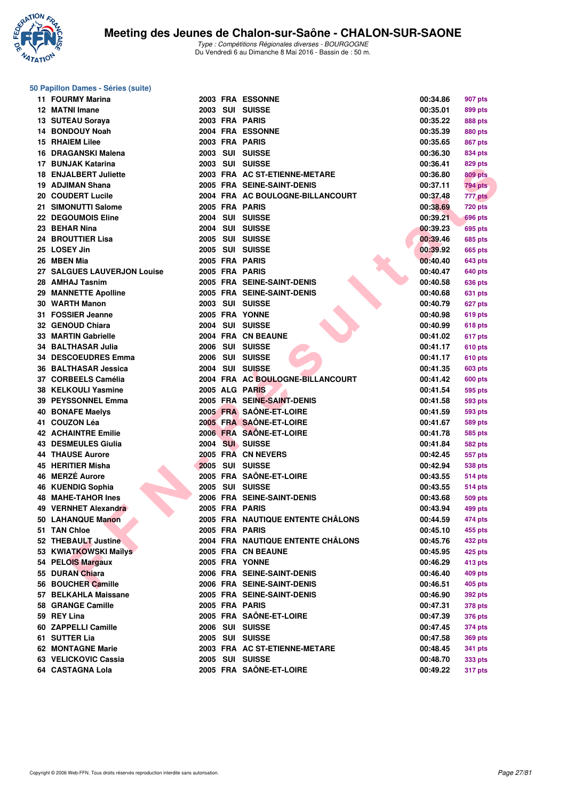

### **50 Papillon Dames - Séries (suite)**

| 11 FOURMY Marina                           |      | <b>2003 FRA ESSONNE</b>                                  | 00:34.86             | 907 pts            |
|--------------------------------------------|------|----------------------------------------------------------|----------------------|--------------------|
| 12 MATNI Imane                             |      | 2003 SUI SUISSE                                          | 00:35.01             | 899 pts            |
| 13 SUTEAU Soraya                           |      | 2003 FRA PARIS                                           | 00:35.22             | <b>888 pts</b>     |
| 14 BONDOUY Noah                            |      | 2004 FRA ESSONNE                                         | 00:35.39             | 880 pts            |
| <b>15 RHAIEM Lilee</b>                     |      | 2003 FRA PARIS                                           | 00:35.65             | <b>867 pts</b>     |
| 16 DRAGANSKI Malena                        |      | 2003 SUI SUISSE                                          | 00:36.30             | <b>834 pts</b>     |
| 17 BUNJAK Katarina                         |      | 2003 SUI SUISSE                                          | 00:36.41             | 829 pts            |
| <b>18 ENJALBERT Juliette</b>               |      | 2003 FRA AC ST-ETIENNE-METARE                            | 00:36.80             | <b>809 pts</b>     |
| 19 ADJIMAN Shana                           |      | 2005 FRA SEINE-SAINT-DENIS                               | 00:37.11             | <b>794 pts</b>     |
| 20 COUDERT Lucile                          |      | 2004 FRA AC BOULOGNE-BILLANCOURT                         | 00:37.48             | 777 pts            |
| 21 SIMONUTTI Salome                        |      | 2005 FRA PARIS                                           | 00:38.69             | <b>720 pts</b>     |
| <b>22 DEGOUMOIS Eline</b>                  |      | 2004 SUI SUISSE                                          | 00:39.21             | <b>696 pts</b>     |
| 23 BEHAR Nina                              |      | 2004 SUI SUISSE                                          | 00:39.23             | 695 pts            |
| 24 BROUTTIER Lisa                          |      | 2005 SUI SUISSE                                          | 00:39.46             | 685 pts            |
| 25 LOSEY Jin                               |      | 2005 SUI SUISSE                                          | 00:39.92             | <b>665 pts</b>     |
| 26 MBEN Mia                                |      | 2005 FRA PARIS                                           | 00:40.40             | 643 pts            |
| 27 SALGUES LAUVERJON Louise                |      | 2005 FRA PARIS                                           | 00:40.47             | 640 pts            |
| 28 AMHAJ Tasnim                            |      | 2005 FRA SEINE-SAINT-DENIS                               | 00:40.58             | <b>636 pts</b>     |
| 29 MANNETTE Apolline                       |      | 2005 FRA SEINE-SAINT-DENIS                               | 00:40.68             | 631 pts            |
| 30 WARTH Manon                             |      | 2003 SUI SUISSE                                          | 00:40.79             | 627 pts            |
| 31 FOSSIER Jeanne                          |      | 2005 FRA YONNE                                           | 00:40.98             | 619 pts            |
| 32 GENOUD Chiara                           |      | 2004 SUI SUISSE                                          | 00:40.99             | <b>618 pts</b>     |
| 33 MARTIN Gabrielle                        |      | 2004 FRA CN BEAUNE                                       | 00:41.02             | 617 pts            |
| <b>34 BALTHASAR Julia</b>                  |      | 2006 SUI SUISSE                                          | 00:41.17             | 610 pts            |
| 34 DESCOEUDRES Emma                        |      | 2006 SUI SUISSE                                          | 00:41.17             | 610 pts            |
| 36 BALTHASAR Jessica                       |      | 2004 SUI SUISSE                                          | 00:41.35             | 603 pts            |
| 37 CORBEELS Camélia                        |      | 2004 FRA AC BOULOGNE-BILLANCOURT                         | 00:41.42             | 600 pts            |
| 38 KELKOULI Yasmine                        |      | 2005 ALG PARIS                                           | 00:41.54             | 595 pts            |
| 39 PEYSSONNEL Emma                         |      | 2005 FRA SEINE-SAINT-DENIS                               | 00:41.58             | 593 pts            |
| <b>40 BONAFE Maelys</b>                    |      | 2005 FRA SAÔNE-ET-LOIRE                                  | 00:41.59             | 593 pts            |
| 41 COUZON Léa                              |      | 2005 FRA SAÔNE-ET-LOIRE                                  | 00:41.67             | 589 pts            |
| <b>42 ACHAINTRE Emilie</b>                 |      | 2006 FRA SAÔNE-ET-LOIRE                                  | 00:41.78             | 585 pts            |
| <b>43 DESMEULES Giulia</b>                 | 2004 | <b>SUI SUISSE</b>                                        | 00:41.84             | 582 pts            |
| <b>44 THAUSE Aurore</b>                    |      | 2005 FRÅ CN NEVERS                                       | 00:42.45             | 557 pts            |
| 45 HERITIER Misha                          |      | 2005 SUI SUISSE                                          | 00:42.94             | <b>538 pts</b>     |
| 46 MERZÉ Aurore                            |      | 2005 FRA SAÔNE-ET-LOIRE                                  | 00:43.55             | <b>514 pts</b>     |
| 46 KUENDIG Sophia                          |      | 2005 SUI SUISSE                                          | 00:43.55             | <b>514 pts</b>     |
| <b>48 MAHE-TAHOR Ines</b>                  |      | 2006 FRA SEINE-SAINT-DENIS                               | 00:43.68             | <b>509 pts</b>     |
| 49 VERNHET Alexandra                       |      | 2005 FRA PARIS                                           | 00:43.94             | 499 pts            |
| 50 LAHANQUE Manon                          |      | 2005 FRA NAUTIQUE ENTENTE CHÂLONS                        | 00:44.59             | <b>474 pts</b>     |
| 51 TAN Chloe                               |      | 2005 FRA PARIS                                           | 00:45.10             | 455 pts            |
| 52 THEBAULT Justine                        |      | 2004 FRA NAUTIQUE ENTENTE CHÂLONS                        | 00:45.76             | <b>432 pts</b>     |
| 53 KWIATKOWSKI Maïlys                      |      | 2005 FRA CN BEAUNE                                       | 00:45.95             | 425 pts            |
| 54 PELOIS Margaux<br>55 DURAN Chiara       |      | 2005 FRA YONNE                                           | 00:46.29             | 413 pts            |
|                                            |      | 2006 FRA SEINE-SAINT-DENIS<br>2006 FRA SEINE-SAINT-DENIS | 00:46.40             | 409 pts            |
| 56 BOUCHER Camille<br>57 BELKAHLA Maissane |      |                                                          | 00:46.51             | 405 pts            |
|                                            |      | 2005 FRA SEINE-SAINT-DENIS                               | 00:46.90             | 392 pts            |
| 58 GRANGE Camille<br>59 REY Lina           |      | 2005 FRA PARIS<br>2005 FRA SAÔNE-ET-LOIRE                | 00:47.31<br>00:47.39 | 378 pts            |
| 60 ZAPPELLI Camille                        |      | 2006 SUI SUISSE                                          | 00:47.45             | 376 pts<br>374 pts |
| 61 SUTTER Lia                              |      | 2005 SUI SUISSE                                          | 00:47.58             | <b>369 pts</b>     |
| 62 MONTAGNE Marie                          |      | 2003 FRA AC ST-ETIENNE-METARE                            | 00:48.45             | 341 pts            |
| 63 VELICKOVIC Cassia                       |      | 2005 SUI SUISSE                                          | 00:48.70             | 333 pts            |
| 64 CASTAGNA Lola                           |      | 2005 FRA SAÔNE-ET-LOIRE                                  | 00:49.22             | <b>317 pts</b>     |
|                                            |      |                                                          |                      |                    |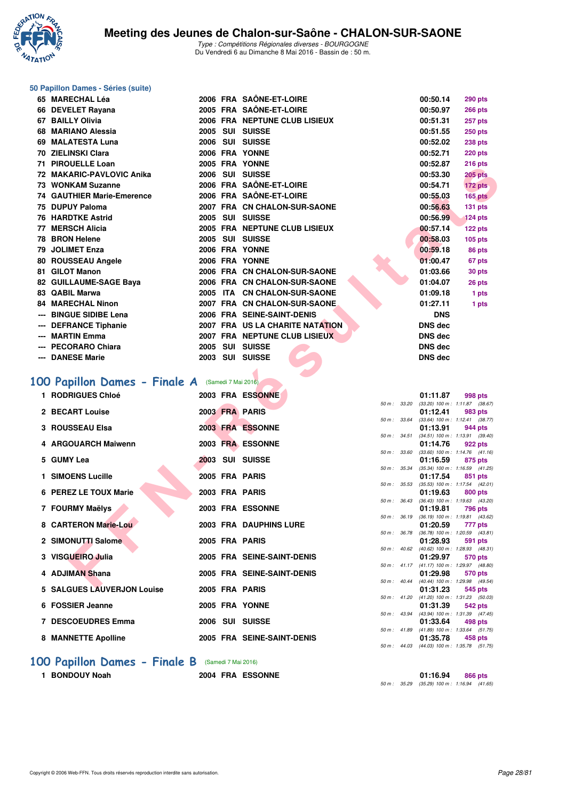

### **50 Papillon Dames - Séries (suite)**

| 65 MARECHAL Léa            |      | 2006 FRA SAÔNE-ET-LOIRE         | 00:50.14       | <b>290 pts</b> |
|----------------------------|------|---------------------------------|----------------|----------------|
| 66 DEVELET Rayana          |      | 2005 FRA SAÔNE-ET-LOIRE         | 00:50.97       | <b>266 pts</b> |
| 67 BAILLY Olivia           |      | 2006 FRA NEPTUNE CLUB LISIEUX   | 00:51.31       | 257 pts        |
| 68 MARIANO Alessia         | 2005 | SUI SUISSE                      | 00:51.55       | <b>250 pts</b> |
| 69 MALATESTA Luna          |      | 2006 SUI SUISSE                 | 00:52.02       | 238 pts        |
| 70 ZIELINSKI Clara         |      | 2006 FRA YONNE                  | 00:52.71       | 220 pts        |
| 71 PIROUELLE Loan          |      | 2005 FRA YONNE                  | 00:52.87       | <b>216 pts</b> |
| 72 MAKARIC-PAVLOVIC Anika  |      | 2006 SUI SUISSE                 | 00:53.30       | <b>205 pts</b> |
| 73 WONKAM Suzanne          |      | 2006 FRA SAÔNE-ET-LOIRE         | 00:54.71       | 172 pts        |
| 74 GAUTHIER Marie-Emerence |      | 2006 FRA SAÔNE-ET-LOIRE         | 00:55.03       | <b>165 pts</b> |
| 75 DUPUY Paloma            |      | 2007 FRA CN CHALON-SUR-SAONE    | 00:56.63       | 131 pts        |
| <b>76 HARDTKE Astrid</b>   |      | 2005 SUI SUISSE                 | 00:56.99       | <b>124 pts</b> |
| 77 MERSCH Alicia           |      | 2005 FRA NEPTUNE CLUB LISIEUX   | 00:57.14       | 122 pts        |
| 78 BRON Helene             |      | 2005 SUI SUISSE                 | 00:58.03       | <b>105 pts</b> |
| 79 JOLIMET Enza            |      | 2006 FRA YONNE                  | 00:59.18       | 86 pts         |
| 80 ROUSSEAU Angele         |      | 2006 FRA YONNE                  | 01:00.47       | 67 pts         |
| 81 GILOT Manon             |      | 2006 FRA CN CHALON-SUR-SAONE    | 01:03.66       | 30 pts         |
| 82 GUILLAUME-SAGE Baya     |      | 2006 FRA CN CHALON-SUR-SAONE    | 01:04.07       | 26 pts         |
| 83 QABIL Marwa             |      | 2005 ITA CN CHALON-SUR-SAONE    | 01:09.18       | 1 pts          |
| 84 MARECHAL Ninon          |      | 2007 FRA CN CHALON-SUR-SAONE    | 01:27.11       | 1 pts          |
| --- BINGUE SIDIBE Lena     |      | 2006 FRA SEINE-SAINT-DENIS      | <b>DNS</b>     |                |
| --- DEFRANCE Tiphanie      |      | 2007 FRA US LA CHARITE NATATION | <b>DNS</b> dec |                |
| --- MARTIN Emma            |      | 2007 FRA NEPTUNE CLUB LISIEUX   | <b>DNS dec</b> |                |
| --- PECORARO Chiara        |      | 2005 SUI SUISSE                 | <b>DNS dec</b> |                |
| --- DANESE Marie           |      | 2003 SUI SUISSE                 | <b>DNS dec</b> |                |

## [100 Papillon Dames - Finale A](http://www.ffnatation.fr/webffn/resultats.php?idact=nat&go=epr&idcpt=38881&idepr=32) (Samedi 7 Mai 2016)

| 71 - FINVUELLE LUAII                             |  | ZUUJ FRA IVINNE                 |                  |      | 00.JZ.OT       | 2 ເບ µເວ                                              |  |
|--------------------------------------------------|--|---------------------------------|------------------|------|----------------|-------------------------------------------------------|--|
| 72 MAKARIC-PAVLOVIC Anika                        |  | 2006 SUI SUISSE                 |                  |      | 00:53.30       | <b>205 pts</b>                                        |  |
| 73 WONKAM Suzanne                                |  | 2006 FRA SAÖNE-ET-LOIRE         |                  |      | 00:54.71       | 172 pts                                               |  |
| <b>74 GAUTHIER Marie-Emerence</b>                |  | 2006 FRA SAÖNE-ET-LOIRE         |                  |      | 00:55.03       | 165 pts                                               |  |
| 75 DUPUY Paloma                                  |  | 2007 FRA CN CHALON-SUR-SAONE    |                  |      | 00:56.63       | 131 pts                                               |  |
| <b>76 HARDTKE Astrid</b>                         |  | 2005 SUI SUISSE                 |                  |      | 00:56.99       | $124$ pts                                             |  |
| 77 MERSCH Alicia                                 |  | 2005 FRA NEPTUNE CLUB LISIEUX   |                  |      | 00:57.14       | 122 pts                                               |  |
| 78 BRON Helene                                   |  | 2005 SUI SUISSE                 |                  |      | 00:58.03       | $105$ pts                                             |  |
| 79 JOLIMET Enza                                  |  | 2006 FRA YONNE                  |                  |      | 00:59.18       | 86 pts                                                |  |
| 80 ROUSSEAU Angele                               |  | 2006 FRA YONNE                  |                  |      | 01:00.47       | 67 pts                                                |  |
| 81 GILOT Manon                                   |  | 2006 FRA CN CHALON-SUR-SAONE    |                  |      | 01:03.66       | 30 pts                                                |  |
| 82 GUILLAUME-SAGE Baya                           |  | 2006 FRA CN CHALON-SUR-SAONE    |                  |      | 01:04.07       | 26 pts                                                |  |
| 83 QABIL Marwa                                   |  | 2005 ITA CN CHALON-SUR-SAONE    |                  |      | 01:09.18       | 1 pts                                                 |  |
| <b>84 MARECHAL Ninon</b>                         |  | 2007 FRA CN CHALON-SUR-SAONE    |                  |      | 01:27.11       | 1 pts                                                 |  |
| --- BINGUE SIDIBE Lena                           |  | 2006 FRA SEINE-SAINT-DENIS      |                  |      | <b>DNS</b>     |                                                       |  |
| --- DEFRANCE Tiphanie                            |  | 2007 FRA US LA CHARITE NATATION |                  |      | <b>DNS dec</b> |                                                       |  |
| --- MARTIN Emma                                  |  | 2007 FRA NEPTUNE CLUB LISIEUX   |                  |      | <b>DNS dec</b> |                                                       |  |
| --- PECORARO Chiara                              |  | 2005 SUI SUISSE                 |                  |      | <b>DNS dec</b> |                                                       |  |
| --- DANESE Marie                                 |  | 2003 SUI SUISSE                 |                  |      | <b>DNS dec</b> |                                                       |  |
|                                                  |  |                                 |                  |      |                |                                                       |  |
| OO Papillon Dames - Finale A (Samedi 7 Mai 2016) |  |                                 |                  |      |                |                                                       |  |
| 1 RODRIGUES Chloé                                |  | 2003 FRA ESSONNE                |                  |      | 01:11.87       | 998 pts                                               |  |
|                                                  |  |                                 |                  |      |                | 50 m: 33.20 (33.20) 100 m: 1:11.87 (38.67)            |  |
| 2 BECART Louise                                  |  | 2003 FRA PARIS                  | 50 m : 33.64     |      | 01:12.41       | 983 pts                                               |  |
| <b>3 ROUSSEAU Elsa</b>                           |  | 2003 FRA ESSONNE                |                  |      | 01:13.91       | $(33.64)$ 100 m : 1:12.41 $(38.77)$<br>944 pts        |  |
|                                                  |  |                                 |                  |      |                | 50 m: 34.51 (34.51) 100 m: 1:13.91 (39.40)            |  |
| 4 ARGOUARCH Maiwenn                              |  | 2003 FRA ESSONNE                | 50 m : 33.60     |      | 01:14.76       | 922 pts<br>$(33.60)$ 100 m : 1:14.76 $(41.16)$        |  |
| 5 GUMY Lea                                       |  | 2003 SUI SUISSE                 |                  |      | 01:16.59       | 875 pts                                               |  |
|                                                  |  |                                 |                  |      |                | 50 m: 35.34 (35.34) 100 m: 1:16.59 (41.25)            |  |
| 1 SIMOENS Lucille                                |  | 2005 FRA PARIS                  | 50 m: 35.53      |      | 01:17.54       | 851 pts<br>$(35.53)$ 100 m : 1:17.54 $(42.01)$        |  |
| 6 PEREZ LE TOUX Marie                            |  | 2003 FRA PARIS                  |                  |      | 01:19.63       | 800 pts                                               |  |
|                                                  |  |                                 |                  |      |                | 50 m: 36.43 (36.43) 100 m: 1:19.63 (43.20)            |  |
| 7 FOURMY Maëlys                                  |  | 2003 FRA ESSONNE                | 50 m : 36.19     |      | 01:19.81       | 796 pts<br>$(36.19)$ 100 m : 1:19.81 $(43.62)$        |  |
| 8 CARTERON Marie-Lou                             |  | 2003 FRA DAUPHINS LURE          |                  |      | 01:20.59       | 777 pts                                               |  |
| 2 SIMONUTTI Salome                               |  | 2005 FRA PARIS                  |                  |      | 01:28.93       | 50 m: 36.78 (36.78) 100 m: 1:20.59 (43.81)            |  |
|                                                  |  |                                 | $50 m$ : $40.62$ |      |                | 591 pts<br>(40.62) 100 m: 1:28.93 (48.31)             |  |
| 3 VISGUEIRO Julia                                |  | 2005 FRA SEINE-SAINT-DENIS      |                  |      | 01:29.97       | 570 pts                                               |  |
| 4 ADJIMAN Shana                                  |  | 2005 FRA SEINE-SAINT-DENIS      |                  |      | 01:29.98       | 50 m: 41.17 (41.17) 100 m: 1:29.97 (48.80)<br>570 pts |  |
|                                                  |  |                                 | 50 m: 40.44      |      |                | (40.44) 100 m: 1:29.98 (49.54)                        |  |
| 5 SALGUES LAUVERJON Louise                       |  | 2005 FRA PARIS                  |                  |      | 01:31.23       | 545 pts                                               |  |
| 6 FOSSIER Jeanne                                 |  | 2005 FRA YONNE                  |                  |      | 01:31.39       | 50 m: 41.20 (41.20) 100 m: 1:31.23 (50.03)<br>542 pts |  |
|                                                  |  |                                 | 50 m : 43.94     |      |                | (43.94) 100 m: 1:31.39 (47.45)                        |  |
| 7 DESCOEUDRES Emma                               |  | 2006 SUI SUISSE                 |                  |      | 01:33.64       | 498 pts                                               |  |
| <b>8 MANNETTE Apolline</b>                       |  | 2005 FRA SEINE-SAINT-DENIS      |                  |      | 01:35.78       | 50 m: 41.89 (41.89) 100 m: 1:33.64 (51.75)<br>458 pts |  |
|                                                  |  |                                 | $\sim$           | 1100 |                |                                                       |  |

### **[100 Papillon Dames - Finale B](http://www.ffnatation.fr/webffn/resultats.php?idact=nat&go=epr&idcpt=38881&idepr=32)** (Samedi 7 Mai 2016)

**1 BONDOUY Noah 2004 FRA ESSONNE 01:16.94 866 pts**

|                  |       | 01:11.87          | 998 pts             |
|------------------|-------|-------------------|---------------------|
| $50 m$ : 33.20   |       | $(33.20)$ 100 m : | $1:11.87$ (38.67)   |
|                  |       | 01:12.41          | 983 pts             |
| $50 m$ :         | 33.64 | $(33.64)$ 100 m : | $1:12.41$ (38.77)   |
|                  |       | 01:13.91          | 944 pts             |
| $50 m$ :         | 34.51 | $(34.51)$ 100 m : | $1:13.91$ (39.40)   |
|                  |       | 01:14.76          | 922 pts             |
| $50 m$ :         | 33.60 | $(33.60)$ 100 m : | $1:14.76$ $(41.16)$ |
|                  |       | 01:16.59          | 875 pts             |
| 50 m :           | 35.34 | $(35.34) 100 m$ : | $1:16.59$ $(41.25)$ |
|                  |       | 01:17.54          | 851 pts             |
| $50 m$ : 35.53   |       | $(35.53)$ 100 m : | $1:17.54$ $(42.01)$ |
|                  |       | 01:19.63          | 800 pts             |
| $50 m$ :         | 36.43 | $(36.43) 100 m$ : | 1:19.63(43.20)      |
|                  |       | 01:19.81          | 796 pts             |
| $50 m$ :         | 36.19 | $(36.19) 100 m$ : | 1:19.81 (43.62)     |
|                  |       | 01:20.59          | 777 pts             |
| $50 m$ :         | 36.78 | $(36.78) 100 m$ : | 1:20.59 (43.81)     |
|                  |       | 01:28.93          | 591 pts             |
| $50 m$ :         | 40.62 | $(40.62)$ 100 m : | 1:28.93 (48.31)     |
|                  |       | 01:29.97          | 570 pts             |
| $50 m$ : $41.17$ |       | $(41.17) 100 m$ : | 1:29.97 (48.80)     |
|                  |       | 01:29.98          | 570 pts             |
| $50 m$ :         | 40.44 | (40.44) 100 m :   | 1:29.98 (49.54)     |
|                  |       | 01:31.23          | 545 pts             |
| $50 m$ : $41.20$ |       | $(41.20)$ 100 m : | 1:31.23 (50.03)     |
|                  |       | 01:31.39          | 542 pts             |
| $50 m$ :         | 43.94 | $(43.94) 100 m$ : | 1:31.39 (47.45)     |
|                  |       | 01:33.64          | 498 pts             |
| $50 m$ : 41.89   |       | $(41.89) 100 m$ : | $1:33.64$ $(51.75)$ |
|                  |       | 01:35.78          | 458 pts             |
| $50 m$ : 44.03   |       | $(44.03)$ 100 m : | 1:35.78 (51.75)     |

50 m : 35.29 (35.29) 100 m : 1:16.94 (41.65)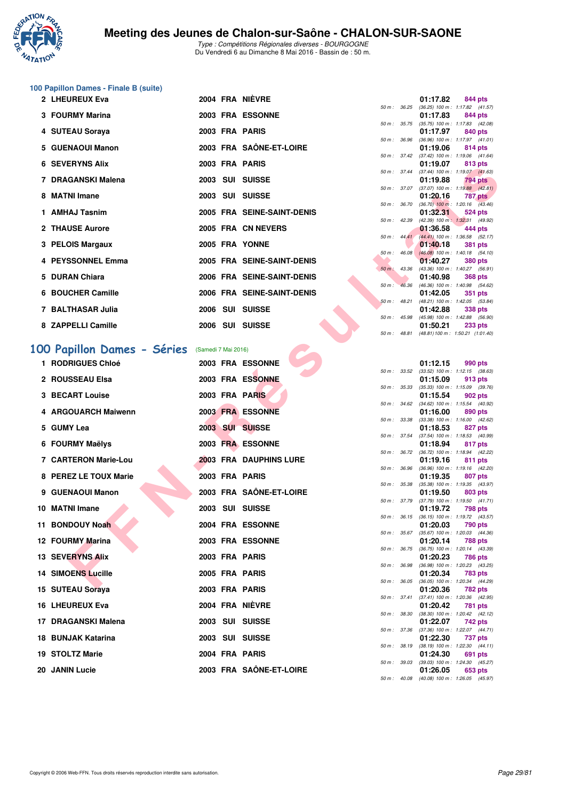

Type : Compétitions Régionales diverses - BOURGOGNE Du Vendredi 6 au Dimanche 8 Mai 2016 - Bassin de : 50 m.

### **100 Papillon Dames - Finale B (suite)**

| 2 LHEUREUX Eva           |  | 2004 FRA NIÈVRE            |                        | 01:17.82                                                    | 844 pts        |  |
|--------------------------|--|----------------------------|------------------------|-------------------------------------------------------------|----------------|--|
|                          |  |                            | $50 m$ : $36.25$       | $(36.25)$ 100 m : 1:17.82 $(41.$                            |                |  |
| 3 FOURMY Marina          |  | 2003 FRA ESSONNE           |                        | 01:17.83 844 pts                                            |                |  |
|                          |  |                            |                        | 50 m: 35.75 (35.75) 100 m: 1:17.83 (42.                     |                |  |
| 4 SUTEAU Soraya          |  | 2003 FRA PARIS             |                        | 01:17.97 840 pts<br>50 m: 36.96 (36.96) 100 m: 1:17.97 (41. |                |  |
| 5 GUENAOUI Manon         |  | 2003 FRA SAÔNE-ET-LOIRE    |                        | 01:19.06 814 pts                                            |                |  |
|                          |  |                            |                        | 50 m: 37.42 (37.42) 100 m: 1:19.06 (41.                     |                |  |
| <b>6 SEVERYNS Alix</b>   |  | 2003 FRA PARIS             |                        | 01:19.07 813 pts                                            |                |  |
|                          |  |                            |                        | 50 m: 37.44 (37.44) 100 m: 1:19.07 (41.                     |                |  |
| 7 DRAGANSKI Malena       |  | 2003 SUI SUISSE            |                        | 01:19.88 794 pts                                            |                |  |
|                          |  |                            |                        | 50 m: 37.07 (37.07) 100 m: 1:19.88 (42.                     |                |  |
| 8 MATNI Imane            |  | 2003 SUI SUISSE            |                        | 01:20.16                                                    | 787 pts        |  |
|                          |  |                            |                        | 50 m : 36.70 (36.70) 100 m : 1:20.16 (43.                   |                |  |
| 1 AMHAJ Tasnim           |  | 2005 FRA SEINE-SAINT-DENIS |                        | 01:32.31                                                    | 524 pts        |  |
|                          |  |                            | $50 \text{ m}$ : 42.39 | (42.39) 100 m: 1:32.31 (49.                                 |                |  |
| 2 THAUSE Aurore          |  | 2005 FRA CN NEVERS         | $50 m$ : $44.41$       | $01:36.58$ 444 pts                                          |                |  |
| 3 PELOIS Margaux         |  | 2005 FRA YONNE             |                        | $(44.41)$ 100 m : 1:36.58 (52.<br>01:40.18 381 pts          |                |  |
|                          |  |                            |                        | 50 m: 46.08 (46.08) 100 m: 1:40.18 (54.                     |                |  |
| <b>4 PEYSSONNEL Emma</b> |  | 2005 FRA SEINE-SAINT-DENIS |                        | 01:40.27                                                    | 380 pts        |  |
|                          |  |                            | 50 m : 43.36           | $(43.36)$ 100 m : 1:40.27 (56.                              |                |  |
| 5 DURAN Chiara           |  | 2006 FRA SEINE-SAINT-DENIS |                        | 01:40.98                                                    | 368 pts        |  |
|                          |  |                            |                        | 50 m : 46.36 (46.36) 100 m : 1:40.98 (54.                   |                |  |
| 6 BOUCHER Camille        |  | 2006 FRA SEINE-SAINT-DENIS |                        | 01:42.05                                                    | 351 pts        |  |
|                          |  |                            | $50 m$ : 48.21         | $(48.21)$ 100 m : 1:42.05 (53.                              |                |  |
| 7 BALTHASAR Julia        |  | 2006 SUI SUISSE            |                        | 01:42.88                                                    | <b>338 pts</b> |  |
|                          |  |                            | $50 m$ : $45.98$       | (45.98) 100 m : 1:42.88 (56.                                |                |  |
| 8 ZAPPELLI Camille       |  | 2006 SUI SUISSE            |                        | 01:50.21 233 pts                                            |                |  |
|                          |  |                            |                        | $50 m - 4881 (4881)100 m - 15021 (101$                      |                |  |

# **EN NI AGRIF CHE CONTRACTE CONTRACTE CONTRACTE CONTRACTE CONTRACTE CONTRACTE CONTRACTE CONTRACTE CONTRACTE CONTRACTE CONTRACTE CONTRACTE CONTRACTE CONTRACTE CONTRACTE CONTRACTE CONTRACTE CONTRACTE CONTRACTE CONTRACTE CONT [100 Papillon Dames - Séries](http://www.ffnatation.fr/webffn/resultats.php?idact=nat&go=epr&idcpt=38881&idepr=32)** (Samedi 7 Mai 2016) **1 RODRIGUES Chloé 2003 FRA ESSONNE 01:12.15 990 pts 2 ROUSSEAU Elsa 2003 FRA ESSONNE 01:15.09 913 pts 3 BECART Louise 2003 FRA PARIS 01:15.54 902 pts 4 ARGOUARCH Maiwenn 2003 FRA ESSONNE 01:16.00 890 pts 5 GUMY Lea 2003 SUI SUISSE 01:18.53 827 pts 6 FOURMY Maëlys 2003 FRA ESSONNE 01:18.94 817 pts 7 CARTERON Marie-Lou 2003 FRA DAUPHINS LURE 8 PEREZ LE TOUX Marie 2003 FRA PARIS 9 GUENAOUI Manon 2003 FRA SAÔNE-ET-LOIRE 10 MATNI Imane 2003 SUI SUISSE 11 BONDOUY Noah 2004 FRA ESSONNE 12 FOURMY Marina 2003 FRA ESSONNE 13 SEVERYNS Alix 2003 FRA PARIS 01:20.23 786 pts 14 SIMOENS Lucille 2005 FRA PARIS 15 SUTEAU Soraya 2003 FRA PARIS 01:20.36 782 pts 16 LHEUREUX Eva 2004 FRA NIÈVRE 01:20.42 781 pts 17 DRAGANSKI Malena 2003 SUI SUISSE 01:22.07 742 pts 18 BUNJAK Katarina 2003 SUI SUISSE 01:22.30 737 pts 19 STOLTZ Marie 2004 FRA PARIS 01:24.30 691 pts**

20 JANIN Lucie 2003 FRA SAÔNE-ET-LOIRE

|                |       | U I . I / .OZ     | - 044 pis           |
|----------------|-------|-------------------|---------------------|
| 50 m: 36.25    |       | $(36.25)$ 100 m : | $1:17.82$ $(41.57)$ |
|                |       | 01:17.83          | 844 pts             |
| 50 m :         | 35.75 | $(35.75)$ 100 m : | $1:17.83$ $(42.08)$ |
|                |       | 01:17.97          | 840 pts             |
| 50 m :         | 36.96 | $(36.96)$ 100 m : | $1:17.97$ $(41.01)$ |
|                |       | 01:19.06          | 814 pts             |
| $50 m$ :       | 37.42 | $(37.42) 100 m$ : | $1:19.06$ $(41.64)$ |
|                |       | 01:19.07          | 813 pts             |
| 50 m :         | 37.44 | $(37.44) 100 m$ : | $1:19.07$ $(41.63)$ |
|                |       | 01:19.88          | <b>794 pts</b>      |
| $50 m$ :       | 37.07 | $(37.07)$ 100 m : | $1:19.88$ $(42.81)$ |
|                |       | 01:20.16          | 787 pts             |
| 50 m : 36.70   |       | $(36.70)$ 100 m : | $1:20.16$ $(43.46)$ |
|                |       | 01:32.31          | 524 pts             |
| $50 m$ : 42.39 |       | $(42.39) 100 m$ : | 1:32.31 (49.92)     |
|                |       | 01:36.58          | $-444$ pts          |
| 50 m: 44.41    |       | $(44.41)$ 100 m : | $1:36.58$ $(52.17)$ |
|                |       | 01:40.18          | 381 pts             |
| $50 m$ :       | 46.08 | $(46.08)$ 100 m : | $1:40.18$ $(54.10)$ |
|                |       | 01:40.27          | <b>380 pts</b>      |
| $50 m$ :       | 43.36 | $(43.36) 100 m$ : | 1:40.27 (56.91)     |
|                |       | 01:40.98          | <b>368 pts</b>      |
| $50 m$ :       | 46.36 | $(46.36) 100 m$ : | 1:40.98 (54.62)     |
|                |       | 01:42.05          | <b>351 pts</b>      |
| 50 m: 48.21    |       | $(48.21)$ 100 m : | 1:42.05 (53.84)     |
|                |       | 01:42.88          | 338 pts             |
| $50 m$ :       | 45.98 | $(45.98) 100 m$ : | 1:42.88 (56.90)     |
|                |       | 01:50.21          | 233 pts             |
| 50 m: 48.81    |       | $(48.81) 100 m$ : | 1:50.21 (1:01.40)   |
|                |       |                   |                     |

|          |       | U1:12.15          | <b>990 pts</b>      |         |
|----------|-------|-------------------|---------------------|---------|
| $50 m$ : | 33.52 | $(33.52)$ 100 m : | $1:12.15$ (38.63)   |         |
|          |       | 01:15.09          | 913 pts             |         |
| $50 m$ : | 35.33 | $(35.33) 100 m$ : | 1:15.09             | (39.76) |
|          |       | 01:15.54          | 902 pts             |         |
| $50 m$ : | 34.62 | $(34.62)$ 100 m : | 1:15.54             | (40.92) |
|          |       | 01:16.00          | 890 pts             |         |
| $50 m$ : | 33.38 | $(33.38) 100 m$ : | $1:16.00$ $(42.62)$ |         |
|          |       | 01:18.53          | 827 pts             |         |
| $50 m$ : | 37.54 | $(37.54) 100 m$ : | 1:18.53             | (40.99) |
|          |       | 01:18.94          | 817 pts             |         |
| $50 m$ : | 36.72 | $(36.72) 100 m$ : | 1:18.94             | (42.22) |
|          |       | 01:19.16          | 811                 | pts     |
| $50 m$ : | 36.96 | $(36.96) 100 m$ : | 1:19.16             | (42.20) |
|          |       | 01:19.35          | 807                 | pts     |
| $50 m$ : | 35.38 | $(35.38) 100 m$ : | 1:19.35             | (43.97) |
|          |       | 01:19.50          | 803 pts             |         |
| $50 m$ : | 37.79 | $(37.79) 100 m$ : | 1:19.50             | (41.71) |
|          |       | 01:19.72          | 798 pts             |         |
| $50 m$ : | 36.15 | $(36.15) 100 m$ : | 1:19.72             | (43.57) |
|          |       | 01:20.03          | 790 pts             |         |
| $50 m$ : | 35.67 | $(35.67) 100 m$ : | $1:20.03$ $(44.36)$ |         |
|          |       | 01:20.14          | 788 pts             |         |
| $50 m$ : | 36.75 | $(36.75)$ 100 m : | 1:20.14             | (43.39) |
|          |       | 01:20.23          | <b>786 pts</b>      |         |
| $50 m$ : | 36.98 | $(36.98) 100 m$ : | 1:20.23             | (43.25) |
|          |       | 01:20.34          | <b>783 pts</b>      |         |
| $50 m$ : | 36.05 | $(36.05)$ 100 m : | 1:20.34             | (44.29) |
|          |       | 01:20.36          | 782 pts             |         |
| $50 m$ : | 37.41 | $(37.41)$ 100 m : | 1:20.36             | (42.95) |
|          |       | 01:20.42          | 781                 | pts     |
| $50 m$ : | 38.30 | $(38.30)$ 100 m : | 1:20.42             | (42.12) |
|          |       | 01:22.07          | 742                 | pts     |
| $50 m$ : | 37.36 | $(37.36)$ 100 m : | 1:22.07             | (44.71) |
|          |       | 01:22.30          | 737 pts             |         |
| $50 m$ : | 38.19 | $(38.19) 100 m$ : | 1:22.30             | (44.11) |
|          |       | 01:24.30          | 691 pts             |         |
| $50 m$ : | 39.03 | $(39.03) 100 m$ : | 1:24.30             | (45.27) |
|          |       | 01:26.05          | 653 pts             |         |
| $50 m$ : | 40.08 | $(40.08) 100 m$ : | 1:26.05             | (45.97) |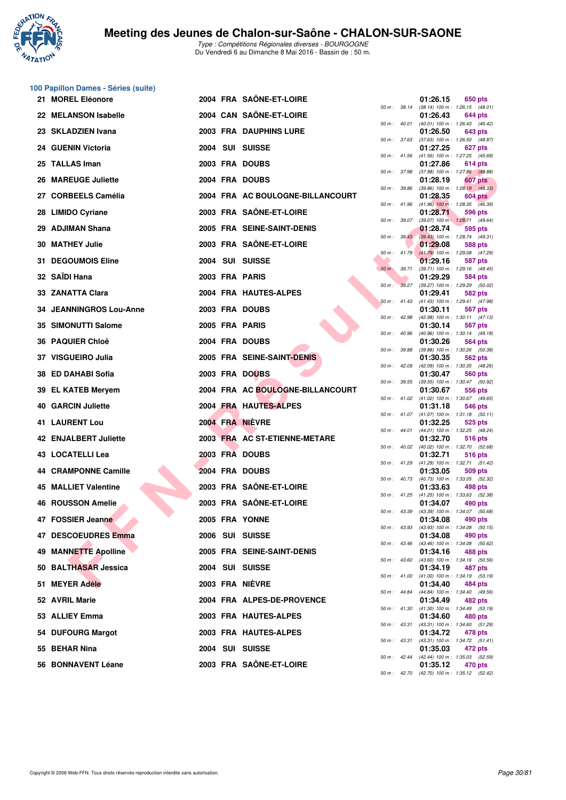

**100 Papillon Dames - Séries (suite)**

| 21 MOREL Eléonore              |  | 2004 FRA SAONE-ET-LOIRE          |                  |                | 01:26.15                                                 | 650 pts        |  |
|--------------------------------|--|----------------------------------|------------------|----------------|----------------------------------------------------------|----------------|--|
| 22 MELANSON Isabelle           |  | 2004 CAN SAÔNE-ET-LOIRE          |                  | 50 m : 38.14   | $(38.14)$ 100 m : 1:26.15 $(48.01)$<br>01:26.43          | 644 pts        |  |
| 23 SKLADZIEN Ivana             |  | 2003 FRA DAUPHINS LURE           |                  | 50 m : 40.01   | (40.01) 100 m: 1:26.43 (46.42)<br>01:26.50               | 643 pts        |  |
| 24 GUENIN Victoria             |  | 2004 SUI SUISSE                  | 50 m: 37.63      |                | $(37.63)$ 100 m : 1:26.50 $(48.87)$<br>01:27.25          | 627 pts        |  |
| 25 TALLAS Iman                 |  | 2003 FRA DOUBS                   | 50 m: 41.56      |                | (41.56) 100 m: 1:27.25 (45.69)<br>01:27.86               | 614 pts        |  |
| 26 MAREUGE Juliette            |  | 2004 FRA DOUBS                   | 50 m : 37.98     |                | (37.98) 100 m : 1:27.86 (49.88)<br>01:28.19              | 607 pts        |  |
| 27 CORBEELS Camélia            |  | 2004 FRA AC BOULOGNE-BILLANCOURT | 50 m: 39.86      |                | $(39.86)$ 100 m : 1:28.19 $(48.33)$<br>01:28.35          | <b>604 pts</b> |  |
| 28 LIMIDO Cyriane              |  | 2003 FRA SAÖNE-ET-LOIRE          |                  | 50 m : 41.96   | $(41.96)$ 100 m : 1:28.35 $(46.39)$<br>01:28.71          | 596 pts        |  |
| 29 ADJIMAN Shana               |  | 2005 FRA SEINE-SAINT-DENIS       | 50 m : 39.07     |                | $(39.07)$ 100 m : 1:28.71 $(49.64)$<br>01:28.74          |                |  |
|                                |  |                                  |                  | 50 m: 39.43    | (39.43) 100 m : 1:28.74 (49.31)                          | 595 pts        |  |
| <b>30 MATHEY Julie</b>         |  | 2003 FRA SAÖNE-ET-LOIRE          |                  | $50 m$ : 41.79 | 01:29.08<br>$(41.79)$ 100 m : 1:29.08 $(47.29)$          | 588 pts        |  |
| 31 DEGOUMOIS Eline             |  | 2004 SUI SUISSE                  | 50 m : 39.71     |                | 01:29.16<br>(39.71) 100 m: 1:29.16 (49.45)               | 587 pts        |  |
| 32 SAÏDI Hana                  |  | 2003 FRA PARIS                   |                  | 50 m: 39.27    | 01:29.29<br>(39.27) 100 m : 1:29.29 (50.02)              | 584 pts        |  |
| 33 ZANATTA Clara               |  | 2004 FRA HAUTES-ALPES            |                  | $50 m$ : 41.43 | 01:29.41<br>$(41.43)$ 100 m : 1:29.41 $(47.98)$          | 582 pts        |  |
| <b>34 JEANNINGROS Lou-Anne</b> |  | 2003 FRA DOUBS                   |                  | 50 m : 42.98   | 01:30.11<br>$(42.98)$ 100 m : 1:30.11 $(47.13)$          | 567 pts        |  |
| 35 SIMONUTTI Salome            |  | 2005 FRA PARIS                   | $50 m$ : $40.96$ |                | 01:30.14<br>(40.96) 100 m: 1:30.14 (49.18)               | 567 pts        |  |
| 36 PAQUIER Chloë               |  | 2004 FRA DOUBS                   |                  |                | 01:30.26                                                 | 564 pts        |  |
| 37 VISGUEIRO Julia             |  | 2005 FRA SEINE-SAINT-DENIS       | 50 m : 39.88     |                | (39.88) 100 m: 1:30.26 (50.38)<br>01:30.35               | 562 pts        |  |
| 38 ED DAHABI Sofia             |  | 2003 FRA DOUBS                   | 50 m: 42.09      |                | (42.09) 100 m: 1:30.35 (48.26)<br>01:30.47               | 560 pts        |  |
| 39 EL KATEB Meryem             |  | 2004 FRA AC BOULOGNE-BILLANCOURT |                  | 50 m : 39.55   | (39.55) 100 m: 1:30.47 (50.92)<br>01:30.67               | 556 pts        |  |
| <b>40 GARCIN Juliette</b>      |  | 2004 FRA HAUTES-ALPES            |                  |                | 50 m: 41.02 (41.02) 100 m: 1:30.67 (49.65)<br>01:31.18   | 546 pts        |  |
| <b>41 LAURENT Lou</b>          |  | 2004 FRA NIÈVRE                  |                  |                | 50 m: 41.07 (41.07) 100 m: 1:31.18 (50.11)<br>01:32.25   | 525 pts        |  |
| 42 ENJALBERT Juliette          |  | 2003 FRA AC ST-ETIENNE-METARE    |                  | $50 m$ : 44.01 | $(44.01)$ 100 m : 1:32.25 $(48.24)$<br>01:32.70          | 516 pts        |  |
| <b>43 LOCATELLI Lea</b>        |  | 2003 FRA DOUBS                   | $50 m$ : $40.02$ |                | (40.02) 100 m : 1:32.70 (52.68)<br>01:32.71              | 516 pts        |  |
| 44 CRAMPONNE Camille           |  | 2004 FRA DOUBS                   |                  | 50 m: 41.29    | (41.29) 100 m: 1:32.71 (51.42)<br>01:33.05               | 509 pts        |  |
| <b>45 MALLIET Valentine</b>    |  | 2003 FRA SAÔNE-ET-LOIRE          |                  |                | 50 m: 40.73 (40.73) 100 m: 1:33.05 (52.32)<br>01:33.63   |                |  |
|                                |  |                                  |                  | 50 m : 41.25   | (41.25) 100 m: 1:33.63 (52.38)                           | 498 pts        |  |
| 46 ROUSSON Amelie              |  | 2003 FRA SAÔNE-ET-LOIRE          | 50 m: 43.39      |                | 01:34.07<br>(43.39) 100 m: 1:34.07 (50.68)               | 490 pts        |  |
| 47 FOSSIER Jeanne              |  | 2005 FRA YONNE                   |                  |                | 01:34.08<br>50 m: 43.93 (43.93) 100 m: 1:34.08 (50.15)   | 490 pts        |  |
| 47 DESCOEUDRES Emma            |  | 2006 SUI SUISSE                  |                  |                | 01:34.08<br>50 m: 43.46 (43.46) 100 m: 1:34.08 (50.62)   | 490 pts        |  |
| 49 MANNETTE Apolline           |  | 2005 FRA SEINE-SAINT-DENIS       |                  |                | 01:34.16<br>50 m: 43.60 (43.60) 100 m: 1:34.16 (50.56)   | 488 pts        |  |
| 50 BALTHASAR Jessica           |  | 2004 SUI SUISSE                  |                  |                | 01:34.19<br>50 m: 41.00 (41.00) 100 m: 1:34.19 (53.19)   | 487 pts        |  |
| 51 MEYER Adéle                 |  | 2003 FRA NIEVRE                  |                  |                | 01:34.40<br>50 m : 44.84 (44.84) 100 m : 1:34.40 (49.56) | 484 pts        |  |
| 52 AVRIL Marie                 |  | 2004 FRA ALPES-DE-PROVENCE       |                  |                | 01:34.49                                                 | 482 pts        |  |
| 53 ALLIEY Emma                 |  | 2003 FRA HAUTES-ALPES            |                  |                | 50 m: 41.30 (41.30) 100 m: 1:34.49 (53.19)<br>01:34.60   | 480 pts        |  |
| 54 DUFOURG Margot              |  | 2003 FRA HAUTES-ALPES            |                  |                | 50 m: 43.31 (43.31) 100 m: 1:34.60 (51.29)<br>01:34.72   | 478 pts        |  |
| 55 BEHAR Nina                  |  | 2004 SUI SUISSE                  |                  |                | 50 m: 43.31 (43.31) 100 m: 1:34.72 (51.41)<br>01:35.03   | 472 pts        |  |
| 56 BONNAVENT Léane             |  | 2003 FRA SAÔNE-ET-LOIRE          |                  |                | 50 m: 42.44 (42.44) 100 m: 1:35.03 (52.59)<br>01:35.12   | 470 pts        |  |

|          |       | 01:26.15                      | 650 pts                       |
|----------|-------|-------------------------------|-------------------------------|
| $50 m$ : | 38.14 | $(38.14) 100 m$ :             | 1:26.15<br>(48.01)            |
|          |       | 01:26.43                      | 644 pts                       |
| $50 m$ : | 40.01 | $(40.01)$ 100 m :             | 1:26.43<br>(46.42)            |
|          |       | 01:26.50                      | 643 pts                       |
| 50 m :   | 37.63 | $(37.63) 100 m$ :             | 1:26.50<br>(48.87)            |
|          |       | 01:27.25                      | 627 pts                       |
| $50 m$ : | 41.56 | $(41.56) 100 m$ :             | 1:27.25<br>(45.69)            |
| $50 m$ : | 37.98 | 01:27.86<br>$(37.98) 100 m$ : | 614 pts<br>1:27.86 (49.88)    |
|          |       | 01:28.19                      | 607 pts                       |
| $50 m$ : | 39.86 | (39.86) 100 m :               | 1:28.19<br>(48.33)            |
|          |       | 01:28.35                      | <b>604 pts</b>                |
| $50 m$ : | 41.96 | $(41.96)$ 100 m :             | 1:28.35<br>(46.39)            |
|          |       | 01:28.71                      | <b>596 pts</b>                |
| $50 m$ : | 39.07 | $(39.07)$ 100 m :             | 1:28.71<br>(49.64)            |
|          |       | 01:28.74                      | 595 pts                       |
| 50 m :   | 39.43 | $(39.43) 100 m$ :             | 1:28.74<br>(49.31)            |
| $50 m$ : | 41.79 | 01:29.08<br>$(41.79) 100 m$ : | <b>588 pts</b><br>1:29.08     |
|          |       | 01:29.16                      | (47.29)<br><b>587 pts</b>     |
| $50 m$ : | 39.71 | $(39.71)$ 100 m :             | 1:29.16<br>(49.45)            |
|          |       | 01:29.29                      | <b>584 pts</b>                |
| 50 m :   | 39.27 | (39.27) 100 m :               | 1:29.29<br>(50.02)            |
|          |       | 01:29.41                      | 582 pts                       |
| $50 m$ : | 41.43 | $(41.43) 100 m$ :             | 1:29.41<br>(47.98)            |
|          |       | 01:30.11                      | 567 pts                       |
| $50 m$ : | 42.98 | (42.98) 100 m :               | 1:30.11<br>(47.13)            |
|          |       | 01:30.14                      | <b>567 pts</b>                |
| 50 m :   | 40.96 | (40.96) 100 m :<br>01:30.26   | 1:30.14<br>(49.18)<br>564 pts |
| $50 m$ : | 39.88 | (39.88) 100 m :               | 1:30.26<br>(50.38)            |
|          |       | 01:30.35                      | 562 pts                       |
| $50 m$ : | 42.09 | (42.09) 100 m :               | 1:30.35<br>(48.26)            |
|          |       | 01:30.47                      | <b>560 pts</b>                |
| 50 m :   | 39.55 | $(39.55)$ 100 m :             | 1:30.47<br>(50.92)            |
|          |       | 01:30.67                      | 556 pts                       |
| $50 m$ : | 41.02 | $(41.02) 100 m$ :             | 1:30.67<br>(49.65)            |
|          |       | 01:31.18                      | <b>546 pts</b>                |
| 50 m :   | 41.07 | $(41.07) 100 m$ :<br>01:32.25 | 1:31.18<br>(50.11)<br>525 pts |
| 50 m :   | 44.01 | $(44.01)$ 100 m :             | 1:32.25<br>(48.24)            |
|          |       | 01:32.70                      | 516 pts                       |
| $50 m$ : | 40.02 | (40.02) 100 m :               | 1:32.70<br>(52.68)            |
|          |       | 01:32.71                      | 516 pts                       |
| $50 m$ : | 41.29 | $(41.29) 100 m$ :             | 1:32.71<br>(51.42)            |
|          |       | 01:33.05                      | 509 pts                       |
| 50 m :   | 40.73 | $(40.73) 100 m$ :             | 1:33.05<br>(52.32)            |
| $50 m$ : | 41.25 | 01:33.63<br>$(41.25)$ 100 m : | 498 pts<br>1:33.63            |
|          |       | 01:34.07                      | (52.38)<br>490 pts            |
| 50 m :   | 43.39 | (43.39) 100 m :               | 1:34.07 (50.68)               |
|          |       | 01:34.08                      | 490 pts                       |
| $50 m$ : | 43.93 | (43.93) 100 m :               | 1:34.08<br>(50.15)            |
|          |       | 01:34.08                      | 490 pts                       |
| $50 m$ : | 43.46 | $(43.46) 100 m$ :             | 1:34.08<br>(50.62)            |
|          |       | 01:34.16                      | 488 pts                       |
| $50 m$ : | 43.60 | $(43.60)$ 100 m :             | 1:34.16<br>(50.56)            |
|          |       | 01:34.19                      | 487 pts<br>1:34.19            |
| $50 m$ : | 41.00 | $(41.00) 100 m$ :<br>01:34.40 | (53.19)<br>484 pts            |
| $50 m$ : | 44.84 | $(44.84) 100 m$ :             | 1:34.40<br>(49.56)            |
|          |       | 01:34.49                      | 482 pts                       |
| $50 m$ : | 41.30 | $(41.30) 100 m$ :             | 1:34.49<br>(53.19)            |
|          |       | 01:34.60                      | <b>480 pts</b>                |
| $50 m$ : | 43.31 | $(43.31)$ 100 m :             | 1:34.60<br>(51.29)            |
|          |       | 01:34.72                      | 478 pts                       |
| $50 m$ : | 43.31 | $(43.31)$ 100 m :             | 1:34.72<br>(51.41)            |
| $50 m$ : | 42.44 | 01:35.03<br>$(42.44) 100 m$ : | 472 pts<br>1:35.03<br>(52.59) |
|          |       | 01:35.12                      | 470 pts                       |
| $50 m$ : | 42.70 | $(42.70)$ 100 m :             | $1:35.12$ $(52.42)$           |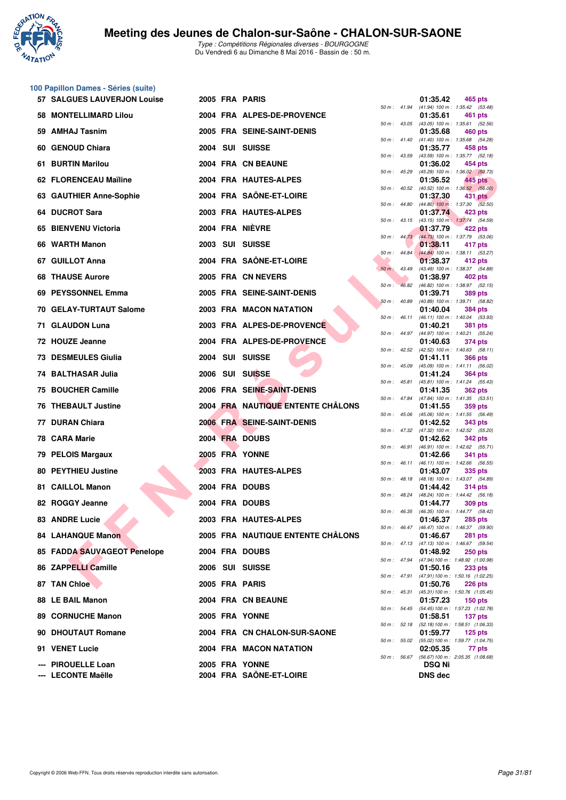

|    | 100 Papillon Dames - Séries (suite)      |  |                                           |                  |                |                                 |                                                                |
|----|------------------------------------------|--|-------------------------------------------|------------------|----------------|---------------------------------|----------------------------------------------------------------|
|    | 57 SALGUES LAUVERJON Louise              |  | 2005 FRA PARIS                            |                  |                | 01:35.42                        | 465 pts<br>50 m: 41.94 (41.94) 100 m: 1:35.42 (53.48)          |
|    | 58 MONTELLIMARD Lilou                    |  | 2004 FRA ALPES-DE-PROVENCE                |                  |                | 01:35.61                        | 461 pts<br>50 m: 43.05 (43.05) 100 m: 1:35.61 (52.56)          |
|    | 59 AMHAJ Tasnim                          |  | 2005 FRA SEINE-SAINT-DENIS                |                  |                | 01:35.68                        | 460 pts                                                        |
|    | 60 GENOUD Chiara                         |  | 2004 SUI SUISSE                           | 50 m: 41.40      |                | 01:35.77                        | (41.40) 100 m: 1:35.68 (54.28)<br>458 pts                      |
| 61 | <b>BURTIN Marilou</b>                    |  | 2004 FRA CN BEAUNE                        | $50 m$ : $43.59$ |                | 01:36.02                        | (43.59) 100 m: 1:35.77 (52.18)<br>454 pts                      |
|    | 62 FLORENCEAU Maïline                    |  | 2004 FRA HAUTES-ALPES                     | 50 m : 45.29     |                | 01:36.52                        | (45.29) 100 m : 1:36.02 (50.73)<br>445 pts                     |
|    | 63 GAUTHIER Anne-Sophie                  |  | 2004 FRA SAÔNE-ET-LOIRE                   |                  | 50 m : 40.52   | 01:37.30                        | (40.52) 100 m : 1:36.52 (56.00)<br>431 pts                     |
|    | 64 DUCROT Sara                           |  | 2003 FRA HAUTES-ALPES                     |                  | 50 m : 44.80   | 01:37.74                        | $(44.80)$ 100 m : 1:37.30 $(52.50)$<br>423 pts                 |
|    | 65 BIENVENU Victoria                     |  | 2004 FRA NIÈVRE                           |                  | 50 m: 43.15    | 01:37.79                        | (43.15) 100 m: 1:37.74 (54.59)<br>422 pts                      |
|    | 66 WARTH Manon                           |  | 2003 SUI SUISSE                           |                  | $50 m$ : 44.73 | 01:38.11                        | (44.73) 100 m : 1:37.79 (53.06)<br>417 pts                     |
|    | 67 GUILLOT Anna                          |  | 2004 FRA SAÔNE-ET-LOIRE                   | 50 m : 44.84     |                | 01:38.37                        | (44.84) 100 m: 1:38.11 (53.27)<br>412 pts                      |
|    | <b>68 THAUSE Aurore</b>                  |  | 2005 FRA CN NEVERS                        | 50 m: 43.49      |                | 01:38.97                        | (43.49) 100 m: 1:38.37 (54.88)<br>402 pts                      |
|    | 69 PEYSSONNEL Emma                       |  | 2005 FRA SEINE-SAINT-DENIS                | 50 m:            | 46.82          | 01:39.71                        | (46.82) 100 m : 1:38.97 (52.15)<br><b>389 pts</b>              |
|    | 70 GELAY-TURTAUT Salome                  |  | 2003 FRA MACON NATATION                   | 50 m: 40.89      |                | 01:40.04                        | (40.89) 100 m: 1:39.71 (58.82)<br><b>384 pts</b>               |
|    | 71 GLAUDON Luna                          |  | 2003 FRA ALPES-DE-PROVENCE                |                  | 50 m : 46.11   | 01:40.21                        | (46.11) 100 m: 1:40.04 (53.93)                                 |
|    |                                          |  |                                           |                  | 50 m : 44.97   |                                 | <b>381 pts</b><br>(44.97) 100 m: 1:40.21 (55.24)               |
|    | 72 HOUZE Jeanne                          |  | 2004 FRA ALPES-DE-PROVENCE                |                  | $50 m$ : 42.52 | 01:40.63                        | <b>374 pts</b><br>(42.52) 100 m: 1:40.63 (58.11)               |
|    | <b>73 DESMEULES Giulia</b>               |  | 2004 SUI SUISSE                           | 50 m : 45.09     |                | 01:41.11                        | <b>366 pts</b><br>$(45.09)$ 100 m : 1:41.11 $(56.02)$          |
|    | 74 BALTHASAR Julia                       |  | 2006 SUI SUISSE                           |                  | 50 m : 45.81   | 01:41.24                        | <b>364 pts</b><br>(45.81) 100 m: 1:41.24 (55.43)               |
| 75 | <b>BOUCHER Camille</b>                   |  | 2006 FRA SEINE-SAINT-DENIS                |                  |                | 01:41.35                        | <b>362 pts</b><br>50 m: 47.84 (47.84) 100 m: 1:41.35 (53.51)   |
|    | <b>76 THEBAULT Justine</b>               |  | 2004 FRA NAUTIQUE ENTENTE CHÂLONS         | 50 m: 45.06      |                | 01:41.55                        | 359 pts<br>(45.06) 100 m: 1:41.55 (56.49)                      |
|    | 77 DURAN Chiara                          |  | 2006 FRA SEINE-SAINT-DENIS                |                  |                | 01:42.52                        | <b>343 pts</b><br>50 m: 47.32 (47.32) 100 m: 1:42.52 (55.20)   |
|    | 78 CARA Marie                            |  | 2004 FRA DOUBS                            |                  |                | 01:42.62                        | <b>342 pts</b>                                                 |
|    | 79 PELOIS Margaux                        |  | 2005 FRA YONNE                            |                  | 50 m : 46.91   | 01:42.66                        | (46.91) 100 m: 1:42.62 (55.71)<br>341 pts                      |
|    | <b>80 PEYTHIEU Justine</b>               |  | 2003 FRA HAUTES-ALPES                     |                  | $50 m$ : 46.11 | 01:43.07                        | (46.11) 100 m: 1:42.66 (56.55)<br>335 pts                      |
|    | 81 CAILLOL Manon                         |  | 2004 FRA DOUBS                            |                  |                | 01:44.42                        | 50 m: 48.18 (48.18) 100 m: 1:43.07 (54.89)<br><b>314 pts</b>   |
|    | 82 ROGGY Jeanne                          |  | 2004 FRA DOUBS                            |                  | 50 m : 48.24   | 01:44.77                        | (48.24) 100 m : 1:44.42 (56.18)<br><b>309 pts</b>              |
|    | 83 ANDRE Lucie                           |  | 2003 FRA HAUTES-ALPES                     |                  |                | 01:46.37                        | 50 m : 46.35 (46.35) 100 m : 1:44.77 (58.42)<br><b>285 pts</b> |
|    | <b>84 LAHANQUE Manon</b>                 |  | 2005 FRA NAUTIQUE ENTENTE CHALONS         |                  |                | 01:46.67                        | 50 m: 46.47 (46.47) 100 m: 1:46.37 (59.90)<br><b>281 pts</b>   |
|    | 85 FADDA SAUVAGEOT Penelope              |  | 2004 FRA DOUBS                            |                  | 50 m : 47.13   | 01:48.92                        | $(47.13)$ 100 m : 1:46.67 (59.54)<br><b>250 pts</b>            |
|    | 86 ZAPPELLI Camille                      |  | 2006 SUI SUISSE                           |                  |                | 01:50.16                        | 50 m: 47.94 (47.94) 100 m: 1:48.92 (1:00.98)<br><b>233 pts</b> |
|    | 87 TAN Chloe                             |  | 2005 FRA PARIS                            |                  | 50 m : 47.91   | 01:50.76                        | (47.91) 100 m: 1:50.16 (1:02.25)<br><b>226 pts</b>             |
|    | 88 LE BAIL Manon                         |  | 2004 FRA CN BEAUNE                        |                  | 50 m : 45.31   |                                 | (45.31) 100 m: 1:50.76 (1:05.45)                               |
|    |                                          |  |                                           |                  |                | 01:57.23                        | $150$ pts<br>50 m: 54.45 (54.45) 100 m: 1:57.23 (1:02.78)      |
|    | <b>89 CORNUCHE Manon</b>                 |  | 2005 FRA YONNE                            |                  |                | 01:58.51                        | 137 pts<br>50 m: 52.18 (52.18) 100 m: 1:58.51 (1:06.33)        |
|    | 90 DHOUTAUT Romane                       |  | 2004 FRA CN CHALON-SUR-SAONE              |                  | 50 m : 55.02   | 01:59.77                        | $125$ pts<br>(55.02) 100 m: 1:59.77 (1:04.75)                  |
|    | 91 VENET Lucie                           |  | 2004 FRA MACON NATATION                   |                  |                | 02:05.35                        | 77 pts<br>50 m: 56.67 (56.67) 100 m: 2:05.35 (1:08.68)         |
|    | --- PIROUELLE Loan<br>--- LECONTE Maëlle |  | 2005 FRA YONNE<br>2004 FRA SAÔNE-ET-LOIRE |                  |                | <b>DSQ Ni</b><br><b>DNS</b> dec |                                                                |
|    |                                          |  |                                           |                  |                |                                 |                                                                |

| 1:35.42<br>$50 m$ :<br>41.94<br>01:35.61<br>461<br>pts<br>43.05<br>$(43.05)$ 100 m :<br>1:35.61<br>$50 m$ :<br>01:35.68<br><b>460 pts</b><br>41.40<br>$(41.40) 100 m$ :<br>1:35.68<br>(54.28)<br>$50 m$ :<br>01:35.77<br>458 pts<br>$(43.59) 100 m$ :<br>1:35.77<br>(52.18)<br>$50 m$ :<br>43.59<br>01:36.02<br>454 pts<br>$50 m$ :<br>45.29<br>$(45.29) 100 m$ :<br>1:36.02<br>01:36.52<br>445 pts<br>40.52<br>$(40.52)$ 100 m :<br>1:36.52<br>(56.00)<br>$50 m$ :<br>01:37.30<br>431<br>pts<br>$(44.80)$ 100 m :<br>44.80<br>1:37.30<br>50 m :<br>(52.50)<br>01:37.74<br>423 pts<br>$(43.15) 100 m$ :<br>43.15<br>1:37.74<br>(54.59)<br>$50 m$ :<br>01:37.79<br>422 pts<br>44.73<br>$(44.73) 100 m$ :<br>1:37.79<br>$50 m$ :<br>01:38.11<br>417 pts<br>44.84<br>$(44.84) 100 m$ :<br>1:38.11<br>$50 m$ :<br>01:38.37<br>412 pts<br>43.49<br>(43.49) 100 m :<br>1:38.37<br>(54.88)<br>$50 m$ :<br>01:38.97<br>402 pts<br>$(46.82) 100 m$ :<br>46.82<br>1:38.97<br>(52.15)<br>50 m :<br>01:39.71<br><b>389 pts</b><br>(40.89) 100 m :<br>1:39.71<br>$50 m$ :<br>40.89<br>01:40.04<br><b>384 pts</b><br>$(46.11) 100 m$ :<br>46.11<br>1:40.04<br>$50 m$ :<br>01:40.21<br>381 pts<br>(44.97) 100 m :<br>44.97<br>(55.24)<br>50 m :<br>1:40.21<br>01:40.63<br>374 pts<br>(42.52) 100 m :<br>42.52<br>$50 m$ :<br>1:40.63<br>01:41.11<br><b>366 pts</b><br>$50 m$ :<br>45.09<br>(45.09) 100 m :<br>1:41.11<br>01:41.24<br>364 pts<br>$(45.81) 100 m$ :<br>45.81<br>1:41.24<br>50 m :<br>01:41.35<br><b>362 pts</b><br>47.84<br>(47.84) 100 m :<br>1:41.35<br>50 m :<br>(53.51)<br>01:41.55<br>359 pts<br>$(45.06) 100 m$ :<br>45.06<br>1:41.55<br>(56.49)<br>50 m :<br>01:42.52<br>343 pts<br>47.32<br>(47.32) 100 m :<br>1:42.52<br>50 m :<br>01:42.62<br><b>342 pts</b><br>$(46.91)$ 100 m :<br>1:42.62<br>50 m :<br>46.91<br>01:42.66<br>341<br>pts<br>$(46.11) 100 m$ :<br>46.11<br>1:42.66<br>50 m :<br>01:43.07<br>335 pts<br>48.18<br>$(48.18) 100 m$ :<br>1:43.07<br>(54.89)<br>$50 m$ :<br>01:44.42<br><b>314 pts</b><br>(48.24) 100 m :<br>50 m :<br>48.24<br>1:44.42<br>01:44.77<br><b>309 pts</b><br>$(46.35) 100 m$ :<br>46.35<br>1:44.77<br>50 m :<br>01:46.37<br><b>285 pts</b><br>$(46.47) 100 m$ :<br>$50 m$ :<br>46.47<br>1:46.37<br>01:46.67<br>281 pts<br>$(47.13) 100 m$ :<br>$50 m$ :<br>47.13<br>1:46.67<br>(59.54)<br>01:48.92<br><b>250 pts</b><br>47.94<br>(47.94) 100 m :<br>1:48.92 (1:00.98)<br>$50 m$ :<br>01:50.16<br><b>233 pts</b><br>47.91<br>$(47.91) 100 m$ :<br>$50 m$ :<br>01:50.76<br><b>226 pts</b><br>$(45.31) 100 m$ :<br>$50 m$ :<br>45.31<br>01:57.23<br>$150$ pts<br>54.45<br>$(54.45) 100 m$ :<br>$50 m$ :<br>01:58.51<br>137 pts<br>52.18<br>(52.18) 100 m :<br>$50 m$ :<br>1:58.51 (1:06.33)<br>01:59.77<br>125 pts<br>(55.02) 100 m :<br>1:59.77 (1:04.75)<br>$50 m$ :<br>55.02<br>02:05.35<br>77 pts<br>56.67<br>(56.67) 100 m :<br>$50 m$ :<br>DSQ Ni |  | 01:35.42          | 465 pts           |
|------------------------------------------------------------------------------------------------------------------------------------------------------------------------------------------------------------------------------------------------------------------------------------------------------------------------------------------------------------------------------------------------------------------------------------------------------------------------------------------------------------------------------------------------------------------------------------------------------------------------------------------------------------------------------------------------------------------------------------------------------------------------------------------------------------------------------------------------------------------------------------------------------------------------------------------------------------------------------------------------------------------------------------------------------------------------------------------------------------------------------------------------------------------------------------------------------------------------------------------------------------------------------------------------------------------------------------------------------------------------------------------------------------------------------------------------------------------------------------------------------------------------------------------------------------------------------------------------------------------------------------------------------------------------------------------------------------------------------------------------------------------------------------------------------------------------------------------------------------------------------------------------------------------------------------------------------------------------------------------------------------------------------------------------------------------------------------------------------------------------------------------------------------------------------------------------------------------------------------------------------------------------------------------------------------------------------------------------------------------------------------------------------------------------------------------------------------------------------------------------------------------------------------------------------------------------------------------------------------------------------------------------------------------------------------------------------------------------------------------------------------------------------------------------------------------------------------------------------------------------------------------------------|--|-------------------|-------------------|
|                                                                                                                                                                                                                                                                                                                                                                                                                                                                                                                                                                                                                                                                                                                                                                                                                                                                                                                                                                                                                                                                                                                                                                                                                                                                                                                                                                                                                                                                                                                                                                                                                                                                                                                                                                                                                                                                                                                                                                                                                                                                                                                                                                                                                                                                                                                                                                                                                                                                                                                                                                                                                                                                                                                                                                                                                                                                                                      |  | $(41.94) 100 m$ : | (53.48)           |
|                                                                                                                                                                                                                                                                                                                                                                                                                                                                                                                                                                                                                                                                                                                                                                                                                                                                                                                                                                                                                                                                                                                                                                                                                                                                                                                                                                                                                                                                                                                                                                                                                                                                                                                                                                                                                                                                                                                                                                                                                                                                                                                                                                                                                                                                                                                                                                                                                                                                                                                                                                                                                                                                                                                                                                                                                                                                                                      |  |                   | (52.56)           |
|                                                                                                                                                                                                                                                                                                                                                                                                                                                                                                                                                                                                                                                                                                                                                                                                                                                                                                                                                                                                                                                                                                                                                                                                                                                                                                                                                                                                                                                                                                                                                                                                                                                                                                                                                                                                                                                                                                                                                                                                                                                                                                                                                                                                                                                                                                                                                                                                                                                                                                                                                                                                                                                                                                                                                                                                                                                                                                      |  |                   |                   |
|                                                                                                                                                                                                                                                                                                                                                                                                                                                                                                                                                                                                                                                                                                                                                                                                                                                                                                                                                                                                                                                                                                                                                                                                                                                                                                                                                                                                                                                                                                                                                                                                                                                                                                                                                                                                                                                                                                                                                                                                                                                                                                                                                                                                                                                                                                                                                                                                                                                                                                                                                                                                                                                                                                                                                                                                                                                                                                      |  |                   |                   |
|                                                                                                                                                                                                                                                                                                                                                                                                                                                                                                                                                                                                                                                                                                                                                                                                                                                                                                                                                                                                                                                                                                                                                                                                                                                                                                                                                                                                                                                                                                                                                                                                                                                                                                                                                                                                                                                                                                                                                                                                                                                                                                                                                                                                                                                                                                                                                                                                                                                                                                                                                                                                                                                                                                                                                                                                                                                                                                      |  |                   |                   |
|                                                                                                                                                                                                                                                                                                                                                                                                                                                                                                                                                                                                                                                                                                                                                                                                                                                                                                                                                                                                                                                                                                                                                                                                                                                                                                                                                                                                                                                                                                                                                                                                                                                                                                                                                                                                                                                                                                                                                                                                                                                                                                                                                                                                                                                                                                                                                                                                                                                                                                                                                                                                                                                                                                                                                                                                                                                                                                      |  |                   | (50.73)           |
|                                                                                                                                                                                                                                                                                                                                                                                                                                                                                                                                                                                                                                                                                                                                                                                                                                                                                                                                                                                                                                                                                                                                                                                                                                                                                                                                                                                                                                                                                                                                                                                                                                                                                                                                                                                                                                                                                                                                                                                                                                                                                                                                                                                                                                                                                                                                                                                                                                                                                                                                                                                                                                                                                                                                                                                                                                                                                                      |  |                   |                   |
|                                                                                                                                                                                                                                                                                                                                                                                                                                                                                                                                                                                                                                                                                                                                                                                                                                                                                                                                                                                                                                                                                                                                                                                                                                                                                                                                                                                                                                                                                                                                                                                                                                                                                                                                                                                                                                                                                                                                                                                                                                                                                                                                                                                                                                                                                                                                                                                                                                                                                                                                                                                                                                                                                                                                                                                                                                                                                                      |  |                   |                   |
|                                                                                                                                                                                                                                                                                                                                                                                                                                                                                                                                                                                                                                                                                                                                                                                                                                                                                                                                                                                                                                                                                                                                                                                                                                                                                                                                                                                                                                                                                                                                                                                                                                                                                                                                                                                                                                                                                                                                                                                                                                                                                                                                                                                                                                                                                                                                                                                                                                                                                                                                                                                                                                                                                                                                                                                                                                                                                                      |  |                   |                   |
|                                                                                                                                                                                                                                                                                                                                                                                                                                                                                                                                                                                                                                                                                                                                                                                                                                                                                                                                                                                                                                                                                                                                                                                                                                                                                                                                                                                                                                                                                                                                                                                                                                                                                                                                                                                                                                                                                                                                                                                                                                                                                                                                                                                                                                                                                                                                                                                                                                                                                                                                                                                                                                                                                                                                                                                                                                                                                                      |  |                   |                   |
|                                                                                                                                                                                                                                                                                                                                                                                                                                                                                                                                                                                                                                                                                                                                                                                                                                                                                                                                                                                                                                                                                                                                                                                                                                                                                                                                                                                                                                                                                                                                                                                                                                                                                                                                                                                                                                                                                                                                                                                                                                                                                                                                                                                                                                                                                                                                                                                                                                                                                                                                                                                                                                                                                                                                                                                                                                                                                                      |  |                   | (53.06)           |
|                                                                                                                                                                                                                                                                                                                                                                                                                                                                                                                                                                                                                                                                                                                                                                                                                                                                                                                                                                                                                                                                                                                                                                                                                                                                                                                                                                                                                                                                                                                                                                                                                                                                                                                                                                                                                                                                                                                                                                                                                                                                                                                                                                                                                                                                                                                                                                                                                                                                                                                                                                                                                                                                                                                                                                                                                                                                                                      |  |                   | (53.27)           |
|                                                                                                                                                                                                                                                                                                                                                                                                                                                                                                                                                                                                                                                                                                                                                                                                                                                                                                                                                                                                                                                                                                                                                                                                                                                                                                                                                                                                                                                                                                                                                                                                                                                                                                                                                                                                                                                                                                                                                                                                                                                                                                                                                                                                                                                                                                                                                                                                                                                                                                                                                                                                                                                                                                                                                                                                                                                                                                      |  |                   |                   |
|                                                                                                                                                                                                                                                                                                                                                                                                                                                                                                                                                                                                                                                                                                                                                                                                                                                                                                                                                                                                                                                                                                                                                                                                                                                                                                                                                                                                                                                                                                                                                                                                                                                                                                                                                                                                                                                                                                                                                                                                                                                                                                                                                                                                                                                                                                                                                                                                                                                                                                                                                                                                                                                                                                                                                                                                                                                                                                      |  |                   |                   |
|                                                                                                                                                                                                                                                                                                                                                                                                                                                                                                                                                                                                                                                                                                                                                                                                                                                                                                                                                                                                                                                                                                                                                                                                                                                                                                                                                                                                                                                                                                                                                                                                                                                                                                                                                                                                                                                                                                                                                                                                                                                                                                                                                                                                                                                                                                                                                                                                                                                                                                                                                                                                                                                                                                                                                                                                                                                                                                      |  |                   |                   |
|                                                                                                                                                                                                                                                                                                                                                                                                                                                                                                                                                                                                                                                                                                                                                                                                                                                                                                                                                                                                                                                                                                                                                                                                                                                                                                                                                                                                                                                                                                                                                                                                                                                                                                                                                                                                                                                                                                                                                                                                                                                                                                                                                                                                                                                                                                                                                                                                                                                                                                                                                                                                                                                                                                                                                                                                                                                                                                      |  |                   | (58.82)           |
|                                                                                                                                                                                                                                                                                                                                                                                                                                                                                                                                                                                                                                                                                                                                                                                                                                                                                                                                                                                                                                                                                                                                                                                                                                                                                                                                                                                                                                                                                                                                                                                                                                                                                                                                                                                                                                                                                                                                                                                                                                                                                                                                                                                                                                                                                                                                                                                                                                                                                                                                                                                                                                                                                                                                                                                                                                                                                                      |  |                   | (53.93)           |
|                                                                                                                                                                                                                                                                                                                                                                                                                                                                                                                                                                                                                                                                                                                                                                                                                                                                                                                                                                                                                                                                                                                                                                                                                                                                                                                                                                                                                                                                                                                                                                                                                                                                                                                                                                                                                                                                                                                                                                                                                                                                                                                                                                                                                                                                                                                                                                                                                                                                                                                                                                                                                                                                                                                                                                                                                                                                                                      |  |                   |                   |
|                                                                                                                                                                                                                                                                                                                                                                                                                                                                                                                                                                                                                                                                                                                                                                                                                                                                                                                                                                                                                                                                                                                                                                                                                                                                                                                                                                                                                                                                                                                                                                                                                                                                                                                                                                                                                                                                                                                                                                                                                                                                                                                                                                                                                                                                                                                                                                                                                                                                                                                                                                                                                                                                                                                                                                                                                                                                                                      |  |                   |                   |
|                                                                                                                                                                                                                                                                                                                                                                                                                                                                                                                                                                                                                                                                                                                                                                                                                                                                                                                                                                                                                                                                                                                                                                                                                                                                                                                                                                                                                                                                                                                                                                                                                                                                                                                                                                                                                                                                                                                                                                                                                                                                                                                                                                                                                                                                                                                                                                                                                                                                                                                                                                                                                                                                                                                                                                                                                                                                                                      |  |                   | (58.11)           |
|                                                                                                                                                                                                                                                                                                                                                                                                                                                                                                                                                                                                                                                                                                                                                                                                                                                                                                                                                                                                                                                                                                                                                                                                                                                                                                                                                                                                                                                                                                                                                                                                                                                                                                                                                                                                                                                                                                                                                                                                                                                                                                                                                                                                                                                                                                                                                                                                                                                                                                                                                                                                                                                                                                                                                                                                                                                                                                      |  |                   | (56.02)           |
|                                                                                                                                                                                                                                                                                                                                                                                                                                                                                                                                                                                                                                                                                                                                                                                                                                                                                                                                                                                                                                                                                                                                                                                                                                                                                                                                                                                                                                                                                                                                                                                                                                                                                                                                                                                                                                                                                                                                                                                                                                                                                                                                                                                                                                                                                                                                                                                                                                                                                                                                                                                                                                                                                                                                                                                                                                                                                                      |  |                   | (55.43)           |
|                                                                                                                                                                                                                                                                                                                                                                                                                                                                                                                                                                                                                                                                                                                                                                                                                                                                                                                                                                                                                                                                                                                                                                                                                                                                                                                                                                                                                                                                                                                                                                                                                                                                                                                                                                                                                                                                                                                                                                                                                                                                                                                                                                                                                                                                                                                                                                                                                                                                                                                                                                                                                                                                                                                                                                                                                                                                                                      |  |                   |                   |
|                                                                                                                                                                                                                                                                                                                                                                                                                                                                                                                                                                                                                                                                                                                                                                                                                                                                                                                                                                                                                                                                                                                                                                                                                                                                                                                                                                                                                                                                                                                                                                                                                                                                                                                                                                                                                                                                                                                                                                                                                                                                                                                                                                                                                                                                                                                                                                                                                                                                                                                                                                                                                                                                                                                                                                                                                                                                                                      |  |                   |                   |
|                                                                                                                                                                                                                                                                                                                                                                                                                                                                                                                                                                                                                                                                                                                                                                                                                                                                                                                                                                                                                                                                                                                                                                                                                                                                                                                                                                                                                                                                                                                                                                                                                                                                                                                                                                                                                                                                                                                                                                                                                                                                                                                                                                                                                                                                                                                                                                                                                                                                                                                                                                                                                                                                                                                                                                                                                                                                                                      |  |                   |                   |
|                                                                                                                                                                                                                                                                                                                                                                                                                                                                                                                                                                                                                                                                                                                                                                                                                                                                                                                                                                                                                                                                                                                                                                                                                                                                                                                                                                                                                                                                                                                                                                                                                                                                                                                                                                                                                                                                                                                                                                                                                                                                                                                                                                                                                                                                                                                                                                                                                                                                                                                                                                                                                                                                                                                                                                                                                                                                                                      |  |                   | (55.20)           |
|                                                                                                                                                                                                                                                                                                                                                                                                                                                                                                                                                                                                                                                                                                                                                                                                                                                                                                                                                                                                                                                                                                                                                                                                                                                                                                                                                                                                                                                                                                                                                                                                                                                                                                                                                                                                                                                                                                                                                                                                                                                                                                                                                                                                                                                                                                                                                                                                                                                                                                                                                                                                                                                                                                                                                                                                                                                                                                      |  |                   | (55.71)           |
|                                                                                                                                                                                                                                                                                                                                                                                                                                                                                                                                                                                                                                                                                                                                                                                                                                                                                                                                                                                                                                                                                                                                                                                                                                                                                                                                                                                                                                                                                                                                                                                                                                                                                                                                                                                                                                                                                                                                                                                                                                                                                                                                                                                                                                                                                                                                                                                                                                                                                                                                                                                                                                                                                                                                                                                                                                                                                                      |  |                   | (56.55)           |
|                                                                                                                                                                                                                                                                                                                                                                                                                                                                                                                                                                                                                                                                                                                                                                                                                                                                                                                                                                                                                                                                                                                                                                                                                                                                                                                                                                                                                                                                                                                                                                                                                                                                                                                                                                                                                                                                                                                                                                                                                                                                                                                                                                                                                                                                                                                                                                                                                                                                                                                                                                                                                                                                                                                                                                                                                                                                                                      |  |                   |                   |
|                                                                                                                                                                                                                                                                                                                                                                                                                                                                                                                                                                                                                                                                                                                                                                                                                                                                                                                                                                                                                                                                                                                                                                                                                                                                                                                                                                                                                                                                                                                                                                                                                                                                                                                                                                                                                                                                                                                                                                                                                                                                                                                                                                                                                                                                                                                                                                                                                                                                                                                                                                                                                                                                                                                                                                                                                                                                                                      |  |                   |                   |
|                                                                                                                                                                                                                                                                                                                                                                                                                                                                                                                                                                                                                                                                                                                                                                                                                                                                                                                                                                                                                                                                                                                                                                                                                                                                                                                                                                                                                                                                                                                                                                                                                                                                                                                                                                                                                                                                                                                                                                                                                                                                                                                                                                                                                                                                                                                                                                                                                                                                                                                                                                                                                                                                                                                                                                                                                                                                                                      |  |                   | (56.18)           |
|                                                                                                                                                                                                                                                                                                                                                                                                                                                                                                                                                                                                                                                                                                                                                                                                                                                                                                                                                                                                                                                                                                                                                                                                                                                                                                                                                                                                                                                                                                                                                                                                                                                                                                                                                                                                                                                                                                                                                                                                                                                                                                                                                                                                                                                                                                                                                                                                                                                                                                                                                                                                                                                                                                                                                                                                                                                                                                      |  |                   | (58.42)           |
|                                                                                                                                                                                                                                                                                                                                                                                                                                                                                                                                                                                                                                                                                                                                                                                                                                                                                                                                                                                                                                                                                                                                                                                                                                                                                                                                                                                                                                                                                                                                                                                                                                                                                                                                                                                                                                                                                                                                                                                                                                                                                                                                                                                                                                                                                                                                                                                                                                                                                                                                                                                                                                                                                                                                                                                                                                                                                                      |  |                   | (59.90)           |
|                                                                                                                                                                                                                                                                                                                                                                                                                                                                                                                                                                                                                                                                                                                                                                                                                                                                                                                                                                                                                                                                                                                                                                                                                                                                                                                                                                                                                                                                                                                                                                                                                                                                                                                                                                                                                                                                                                                                                                                                                                                                                                                                                                                                                                                                                                                                                                                                                                                                                                                                                                                                                                                                                                                                                                                                                                                                                                      |  |                   |                   |
|                                                                                                                                                                                                                                                                                                                                                                                                                                                                                                                                                                                                                                                                                                                                                                                                                                                                                                                                                                                                                                                                                                                                                                                                                                                                                                                                                                                                                                                                                                                                                                                                                                                                                                                                                                                                                                                                                                                                                                                                                                                                                                                                                                                                                                                                                                                                                                                                                                                                                                                                                                                                                                                                                                                                                                                                                                                                                                      |  |                   |                   |
|                                                                                                                                                                                                                                                                                                                                                                                                                                                                                                                                                                                                                                                                                                                                                                                                                                                                                                                                                                                                                                                                                                                                                                                                                                                                                                                                                                                                                                                                                                                                                                                                                                                                                                                                                                                                                                                                                                                                                                                                                                                                                                                                                                                                                                                                                                                                                                                                                                                                                                                                                                                                                                                                                                                                                                                                                                                                                                      |  |                   |                   |
|                                                                                                                                                                                                                                                                                                                                                                                                                                                                                                                                                                                                                                                                                                                                                                                                                                                                                                                                                                                                                                                                                                                                                                                                                                                                                                                                                                                                                                                                                                                                                                                                                                                                                                                                                                                                                                                                                                                                                                                                                                                                                                                                                                                                                                                                                                                                                                                                                                                                                                                                                                                                                                                                                                                                                                                                                                                                                                      |  |                   | 1:50.16 (1:02.25) |
|                                                                                                                                                                                                                                                                                                                                                                                                                                                                                                                                                                                                                                                                                                                                                                                                                                                                                                                                                                                                                                                                                                                                                                                                                                                                                                                                                                                                                                                                                                                                                                                                                                                                                                                                                                                                                                                                                                                                                                                                                                                                                                                                                                                                                                                                                                                                                                                                                                                                                                                                                                                                                                                                                                                                                                                                                                                                                                      |  |                   | 1:50.76 (1:05.45) |
|                                                                                                                                                                                                                                                                                                                                                                                                                                                                                                                                                                                                                                                                                                                                                                                                                                                                                                                                                                                                                                                                                                                                                                                                                                                                                                                                                                                                                                                                                                                                                                                                                                                                                                                                                                                                                                                                                                                                                                                                                                                                                                                                                                                                                                                                                                                                                                                                                                                                                                                                                                                                                                                                                                                                                                                                                                                                                                      |  |                   | 1:57.23 (1:02.78) |
|                                                                                                                                                                                                                                                                                                                                                                                                                                                                                                                                                                                                                                                                                                                                                                                                                                                                                                                                                                                                                                                                                                                                                                                                                                                                                                                                                                                                                                                                                                                                                                                                                                                                                                                                                                                                                                                                                                                                                                                                                                                                                                                                                                                                                                                                                                                                                                                                                                                                                                                                                                                                                                                                                                                                                                                                                                                                                                      |  |                   |                   |
|                                                                                                                                                                                                                                                                                                                                                                                                                                                                                                                                                                                                                                                                                                                                                                                                                                                                                                                                                                                                                                                                                                                                                                                                                                                                                                                                                                                                                                                                                                                                                                                                                                                                                                                                                                                                                                                                                                                                                                                                                                                                                                                                                                                                                                                                                                                                                                                                                                                                                                                                                                                                                                                                                                                                                                                                                                                                                                      |  |                   |                   |
|                                                                                                                                                                                                                                                                                                                                                                                                                                                                                                                                                                                                                                                                                                                                                                                                                                                                                                                                                                                                                                                                                                                                                                                                                                                                                                                                                                                                                                                                                                                                                                                                                                                                                                                                                                                                                                                                                                                                                                                                                                                                                                                                                                                                                                                                                                                                                                                                                                                                                                                                                                                                                                                                                                                                                                                                                                                                                                      |  |                   |                   |
|                                                                                                                                                                                                                                                                                                                                                                                                                                                                                                                                                                                                                                                                                                                                                                                                                                                                                                                                                                                                                                                                                                                                                                                                                                                                                                                                                                                                                                                                                                                                                                                                                                                                                                                                                                                                                                                                                                                                                                                                                                                                                                                                                                                                                                                                                                                                                                                                                                                                                                                                                                                                                                                                                                                                                                                                                                                                                                      |  |                   | 2:05.35 (1:08.68) |
| <b>DNS</b> dec                                                                                                                                                                                                                                                                                                                                                                                                                                                                                                                                                                                                                                                                                                                                                                                                                                                                                                                                                                                                                                                                                                                                                                                                                                                                                                                                                                                                                                                                                                                                                                                                                                                                                                                                                                                                                                                                                                                                                                                                                                                                                                                                                                                                                                                                                                                                                                                                                                                                                                                                                                                                                                                                                                                                                                                                                                                                                       |  |                   |                   |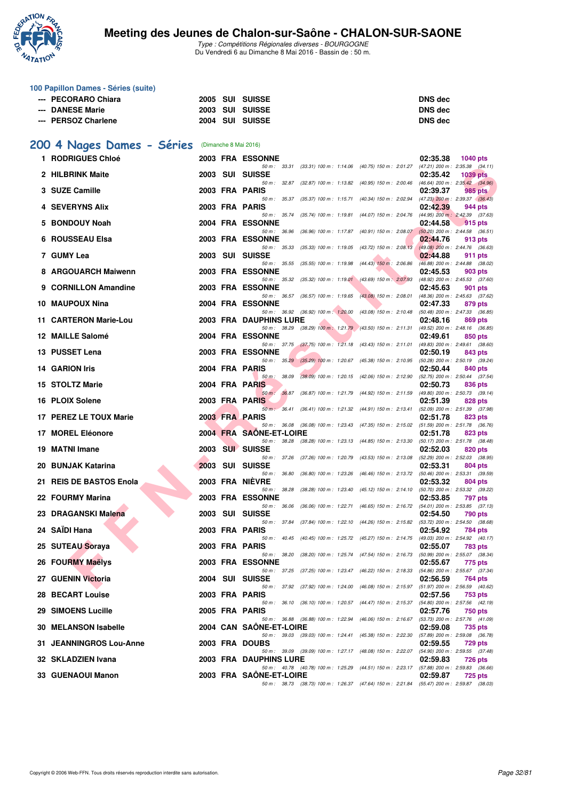

| 100 Papillon Dames - Séries (suite) |  |                                                       |
|-------------------------------------|--|-------------------------------------------------------|
| --- PECORARO Chiara                 |  | <b>DNS</b> dec                                        |
| --- DANESE Marie                    |  | <b>DNS</b> dec                                        |
| --- PERSOZ Charlene                 |  | <b>DNS</b> dec                                        |
|                                     |  | 2005 SUI SUISSE<br>2003 SUI SUISSE<br>2004 SUI SUISSE |

# **[200 4 Nages Dames - Séries](http://www.ffnatation.fr/webffn/resultats.php?idact=nat&go=epr&idcpt=38881&idepr=41)** (Dimanche 8 Mai 2016)

|    | 1 RODRIGUES Chloé       |      |                | <b>2003 FRA ESSONNE</b>                                                                                             |                           |                                                                                 | 02:35.38 | <b>1040 pts</b>                                       |
|----|-------------------------|------|----------------|---------------------------------------------------------------------------------------------------------------------|---------------------------|---------------------------------------------------------------------------------|----------|-------------------------------------------------------|
|    | 2 HILBRINK Maite        | 2003 |                | 50 m: 33.31 (33.31) 100 m: 1:14.06 (40.75) 150 m: 2:01.27 (47.21) 200 m: 2:35.38 (34.11)<br>SUI SUISSE              |                           |                                                                                 | 02:35.42 | 1039 pts                                              |
|    | 3 SUZE Camille          |      |                | 50 m: 32.87 (32.87) 100 m: 1:13.82 (40.95) 150 m: 2:00.46<br>2003 FRA PARIS                                         |                           |                                                                                 | 02:39.37 | $(46.64)$ 200 m : 2:35.42 $(34.96)$<br>985 pts        |
|    | 4 SEVERYNS Alix         |      |                | 50 m: 35.37<br>2003 FRA PARIS                                                                                       | (35.37) 100 m : 1:15.71   | $(40.34)$ 150 m : 2:02.94                                                       | 02:42.39 | $(47.23)$ 200 m : 2:39.37 $(36.43)$<br>944 pts        |
|    | 5 BONDOUY Noah          |      |                | 50 m: 35.74<br><b>2004 FRA ESSONNE</b>                                                                              |                           | (35.74) 100 m: 1:19.81 (44.07) 150 m: 2:04.76                                   | 02:44.58 | $(44.95)$ 200 m : 2:42.39 $(37.63)$<br><b>915 pts</b> |
|    | 6 ROUSSEAU Elsa         |      |                | 50 m: 36.96<br>2003 FRA ESSONNE                                                                                     |                           | (36.96) 100 m: 1:17.87 (40.91) 150 m: 2:08.07                                   | 02:44.76 | $(50.20)$ 200 m : 2:44.58 $(36.51)$<br>913 pts        |
|    | 7 GUMY Lea              |      |                | 50 m: 35.33<br>2003 SUI SUISSE                                                                                      |                           | (35.33) 100 m : 1:19.05 (43.72) 150 m : 2:08.13                                 | 02:44.88 | $(49.08)$ 200 m : 2:44.76 $(36.63)$<br>911 pts        |
|    | 8 ARGOUARCH Maiwenn     |      |                | $50 m$ : $35.55$<br><b>2003 FRA ESSONNE</b>                                                                         | $(35.55)$ 100 m : 1:19.98 | $(44.43)$ 150 m : 2:06.86                                                       | 02:45.53 | $(46.88)$ 200 m : 2:44.88 $(38.02)$<br>903 pts        |
|    | 9 CORNILLON Amandine    |      |                | 50 m: 35.32<br><b>2003 FRA ESSONNE</b>                                                                              |                           | (35.32) 100 m: 1:19.01 (43.69) 150 m: 2:07.93                                   | 02:45.63 | (48.92) 200 m : 2:45.53 (37.60)<br>901 pts            |
|    | 10 MAUPOUX Nina         |      |                | 50 m : 36.57<br>2004 FRA ESSONNE                                                                                    | $(36.57)$ 100 m : 1:19.65 | $(43.08)$ 150 m : 2:08.01                                                       | 02:47.33 | (48.36) 200 m : 2:45.63 (37.62)<br>879 pts            |
|    | 11 CARTERON Marie-Lou   |      |                | 50 m : 36.92 (36.92) 100 m : 1:20.00<br>2003 FRA DAUPHINS LURE                                                      |                           | $(43.08)$ 150 m : 2:10.48                                                       | 02:48.16 | (50.48) 200 m : 2:47.33 (36.85)<br>869 pts            |
|    | 12 MAILLE Salomé        |      |                | 50 m: 38.29<br><b>2004 FRA ESSONNE</b>                                                                              |                           | $(38.29)$ 100 m : 1:21.79 $(43.50)$ 150 m : 2:11.31                             | 02:49.61 | (49.52) 200 m : 2:48.16 (36.85)<br>850 pts            |
|    | 13 PUSSET Lena          |      |                | 50 m: 37.75<br>2003 FRA ESSONNE                                                                                     |                           | (37.75) 100 m : 1:21.18 (43.43) 150 m : 2:11.01                                 | 02:50.19 | $(49.83)$ 200 m : 2:49.61 $(38.60)$<br>843 pts        |
|    | <b>14 GARION Iris</b>   |      |                | 50 m: 35.29<br>2004 FRA PARIS                                                                                       |                           | (35.29) 100 m : 1:20.67 (45.38) 150 m : 2:10.95 (50.28) 200 m : 2:50.19 (39.24) | 02:50.44 | 840 pts                                               |
|    | 15 STOLTZ Marie         |      | 2004 FRA PARIS | 50 m: 38.09                                                                                                         | $(38.09)$ 100 m : 1:20.15 | (42.06) 150 m : 2:12.90                                                         | 02:50.73 | (52.75) 200 m : 2:50.44 (37.54)<br>836 pts            |
|    | 16 PLOIX Solene         |      |                | 36.87<br>$50 m$ :<br>2003 FRA PARIS                                                                                 | $(36.87)$ 100 m : 1:21.79 | $(44.92)$ 150 m : 2:11.59                                                       | 02:51.39 | (49.80) 200 m : 2:50.73 (39.14)<br>828 pts            |
|    |                         |      |                | 50 m: 36.41                                                                                                         | $(36.41)$ 100 m : 1:21.32 | (44.91) 150 m : 2:13.41                                                         |          | (52.09) 200 m : 2:51.39 (37.98)                       |
|    | 17 PEREZ LE TOUX Marie  |      |                | 2003 FRA PARIS<br>50 m: 36.08 (36.08) 100 m: 1:23.43 (47.35) 150 m: 2:15.02 (51.59) 200 m: 2:51.78 (36.76)          |                           |                                                                                 | 02:51.78 | 823 pts                                               |
|    | 17 MOREL Eléonore       |      |                | 2004 FRA SAONE-ET-LOIRE<br>50 m: 38.28 (38.28) 100 m: 1:23.13 (44.85) 150 m: 2:13.30                                |                           |                                                                                 | 02:51.78 | 823 pts<br>$(50.17)$ 200 m : 2:51.78 $(38.48)$        |
| 19 | <b>MATNI Imane</b>      | 2003 |                | <b>SUI SUISSE</b><br>50 m : 37.26                                                                                   | $(37.26)$ 100 m : 1:20.79 | (43.53) 150 m : 2:13.08                                                         | 02:52.03 | <b>820 pts</b><br>$(52.29)$ 200 m : 2:52.03 $(38.95)$ |
|    | 20 BUNJAK Katarina      |      |                | 2003 SUI SUISSE<br>50 m: 36.80                                                                                      | $(36.80)$ 100 m : 1:23.26 | (46.46) 150 m : 2:13.72                                                         | 02:53.31 | 804 pts<br>$(50.46)$ 200 m : 2:53.31 $(39.59)$        |
|    | 21 REIS DE BASTOS Enola |      |                | 2003 FRA NIEVRE<br>50 m : 38.28                                                                                     | $(38.28)$ 100 m : 1:23.40 | $(45.12)$ 150 m : 2:14.10                                                       | 02:53.32 | 804 pts<br>(50.70) 200 m : 2:53.32 (39.22)            |
|    | 22 FOURMY Marina        |      |                | 2003 FRA ESSONNE<br>50 m: 36.06                                                                                     | $(36.06)$ 100 m : 1:22.71 | $(46.65)$ 150 m : 2:16.72                                                       | 02:53.85 | 797 pts<br>$(54.01)$ 200 m : 2:53.85 $(37.13)$        |
|    | 23 DRAGANSKI Malena     |      |                | 2003 SUI SUISSE<br>50 m: 37.84                                                                                      | $(37.84)$ 100 m : 1:22.10 | (44.26) 150 m : 2:15.82                                                         | 02:54.50 | 790 pts<br>(53.72) 200 m : 2:54.50 (38.68)            |
|    | 24 SAÏDI Hana           |      |                | 2003 FRA PARIS<br>50 m: 40.45 (40.45) 100 m: 1:25.72                                                                |                           | (45.27) 150 m : 2:14.75                                                         | 02:54.92 | 784 pts<br>(49.03) 200 m : 2:54.92 (40.17)            |
|    | 25 SUTEAU Soraya        |      |                | 2003 FRA PARIS<br>50 m : 38.20                                                                                      |                           |                                                                                 | 02:55.07 | <b>783 pts</b>                                        |
|    | 26 FOURMY Maelys        |      |                | <b>2003 FRA ESSONNE</b>                                                                                             |                           | (38.20) 100 m: 1:25.74 (47.54) 150 m: 2:16.73 (50.99) 200 m: 2:55.07 (38.34)    | 02:55.67 | 775 pts                                               |
|    | 27 GUENIN Victoria      |      |                | 50 m: 37.25 (37.25) 100 m: 1:23.47 (46.22) 150 m: 2:18.33<br>2004 SUI SUISSE                                        |                           |                                                                                 | 02:56.59 | (54.86) 200 m : 2:55.67 (37.34)<br>764 pts            |
|    | 28 BECART Louise        |      |                | 50 m: 37.92 (37.92) 100 m: 1:24.00 (46.08) 150 m: 2:15.97 (51.97) 200 m: 2:56.59 (40.62)<br>2003 FRA PARIS          |                           |                                                                                 | 02:57.56 | 753 pts                                               |
|    | 29 SIMOENS Lucille      |      |                | 50 m: 36.10 (36.10) 100 m: 1:20.57 (44.47) 150 m: 2:15.37 (54.80) 200 m: 2:57.56 (42.19)<br>2005 FRA PARIS          |                           |                                                                                 | 02:57.76 | 750 pts                                               |
|    | 30 MELANSON Isabelle    |      |                | 50 m: 36.88 (36.88) 100 m: 1:22.94 (46.06) 150 m: 2:16.67 (53.73) 200 m: 2:57.76 (41.09)<br>2004 CAN SAONE-ET-LOIRE |                           |                                                                                 | 02:59.08 | 735 pts                                               |
|    | 31 JEANNINGROS Lou-Anne |      |                | 50 m: 39.03 (39.03) 100 m: 1:24.41 (45.38) 150 m: 2:22.30 (57.89) 200 m: 2:59.08 (36.78)<br>2003 FRA DOUBS          |                           |                                                                                 | 02:59.55 | 729 pts                                               |
|    | 32 SKLADZIEN Ivana      |      |                | 50 m: 39.09 (39.09) 100 m: 1:27.17 (48.08) 150 m: 2:22.07 (54.90) 200 m: 2:59.55 (37.48)<br>2003 FRA DAUPHINS LURE  |                           |                                                                                 | 02:59.83 | <b>726 pts</b>                                        |
|    | 33 GUENAOUI Manon       |      |                | 50 m: 40.78 (40.78) 100 m: 1:25.29 (44.51) 150 m: 2:23.17 (57.88) 200 m: 2:59.83 (36.66)<br>2003 FRA SAONE-ET-LOIRE |                           |                                                                                 | 02:59.87 | <b>725 pts</b>                                        |
|    |                         |      |                | 50 m: 38.73 (38.73) 100 m: 1:26.37 (47.64) 150 m: 2:21.84 (55.47) 200 m: 2:59.87 (38.03)                            |                           |                                                                                 |          |                                                       |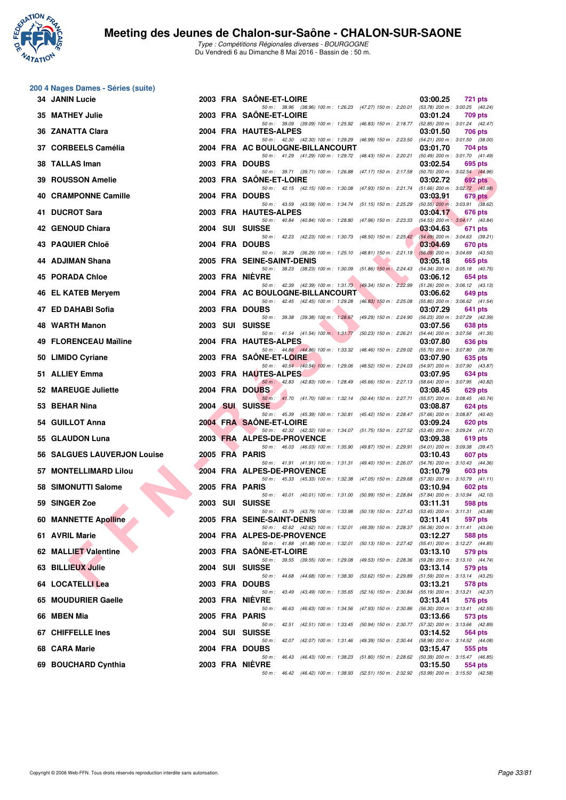

|    | 200 4 Nages Dames - Séries (suite) |  |                                                                                                                   |                                                                    |
|----|------------------------------------|--|-------------------------------------------------------------------------------------------------------------------|--------------------------------------------------------------------|
|    | <b>34 JANIN Lucie</b>              |  | 2003 FRA SAONE-ET-LOIRE<br>50 m : 38.96 (38.96) 100 m : 1:26.23 (47.27) 150 m : 2:20.01                           | 03:00.25<br><b>721 pts</b><br>(53.78) 200 m : 3:00.25 (40.24)      |
|    | 35 MATHEY Julie                    |  | 2003 FRA SAONE-ET-LOIRE                                                                                           | 03:01.24<br>709 pts                                                |
|    | 36 ZANATTA Clara                   |  | 50 m: 39.09 (39.09) 100 m: 1:25.92 (46.83) 150 m: 2:18.77 (52.85) 200 m: 3:01.24 (42.47)<br>2004 FRA HAUTES-ALPES | 03:01.50<br>706 pts                                                |
|    | 37 CORBEELS Camélia                |  | 50 m: 42.30 (42.30) 100 m: 1:29.29 (46.99) 150 m: 2:23.50<br>2004 FRA AC BOULOGNE-BILLANCOURT                     | $(54.21)$ 200 m : 3:01.50 $(38.00)$<br>03:01.70<br>704 pts         |
|    | 38 TALLAS Iman                     |  | 50 m: 41.29 (41.29) 100 m: 1:29.72 (48.43) 150 m: 2:20.21<br>2003 FRA DOUBS                                       | (50.49) 200 m : 3:01.70 (41.49)<br>03:02.54<br>695 pts             |
| 39 | <b>ROUSSON Amelie</b>              |  | 50 m: 39.71 (39.71) 100 m: 1:26.88 (47.17) 150 m: 2:17.58<br>2003 FRA SAONE-ET-LOIRE                              | (50.70) 200 m : 3:02.54 (44.96)<br>03:02.72<br>692 pts             |
| 40 | <b>CRAMPONNE Camille</b>           |  | 50 m: 42.15 (42.15) 100 m: 1:30.08 (47.93) 150 m: 2:21.74<br>2004 FRA DOUBS                                       | $(51.66)$ 200 m : 3:02.72 $(40.98)$<br>03:03.91<br><b>679 pts</b>  |
|    | 41 DUCROT Sara                     |  | 50 m: 43.59 (43.59) 100 m: 1:34.74 (51.15) 150 m: 2:25.29<br>2003 FRA HAUTES-ALPES                                | $(50.55)$ 200 m : 3:03.91 $(38.62)$<br>03:04.17<br>676 pts         |
|    | 42 GENOUD Chiara                   |  | 50 m: 40.84 (40.84) 100 m: 1:28.80 (47.96) 150 m: 2:23.33<br>2004 SUI SUISSE                                      | (54.53) 200 m: 3:04.17 (40.84)<br>03:04.63<br>671 pts              |
|    | 43 PAQUIER Chloë                   |  | 50 m: 42.23 (42.23) 100 m: 1:30.73 (48.50) 150 m: 2:25.42<br>2004 FRA DOUBS                                       | $(54.69)$ 200 m : 3:04.63 $(39.21)$<br>03:04.69<br>670 pts         |
|    | 44 ADJIMAN Shana                   |  | 50 m: 36.29 (36.29) 100 m: 1:25.10 (48.81) 150 m: 2:21.19<br>2005 FRA SEINE-SAINT-DENIS                           | $(56.09)$ 200 m : 3:04.69 (43.50)<br>03:05.18<br>665 pts           |
| 45 | <b>PORADA Chloe</b>                |  | 50 m: 38.23 (38.23) 100 m: 1:30.09 (51.86) 150 m: 2:24.43<br>2003 FRA NIEVRE                                      | (54.34) 200 m : 3:05.18 (40.75)<br>03:06.12<br>654 pts             |
|    | 46 EL KATEB Meryem                 |  | 50 m: 42.39 (42.39) 100 m: 1:31.73 (49.34) 150 m: 2:22.99<br>2004 FRA AC BOULOGNE-BILLANCOURT                     | $(51.26)$ 200 m : 3:06.12 $(43.13)$<br>03:06.62<br>649 pts         |
| 47 | <b>ED DAHABI Sofia</b>             |  | 50 m: 42.45 (42.45) 100 m: 1:29.28 (46.83) 150 m: 2:25.08<br>2003 FRA DOUBS                                       | (55.80) 200 m : 3:06.62 (41.54)<br>03:07.29<br>641 pts             |
|    | 48 WARTH Manon                     |  | 50 m: 39.38 (39.38) 100 m: 1:28.67 (49.29) 150 m: 2:24.90<br>2003 SUI SUISSE                                      | (56.23) 200 m : 3:07.29 (42.39)<br>03:07.56<br>638 pts             |
|    | 49 FLORENCEAU Maïline              |  | 50 m: 41.54 (41.54) 100 m: 1:31.77<br>(50.23) 150 m : 2:26.21<br>2004 FRA HAUTES-ALPES                            | (54.44) 200 m : 3:07.56 (41.35)<br>03:07.80<br>636 pts             |
|    | 50 LIMIDO Cyriane                  |  | 50 m: 44.86 (44.86) 100 m: 1:33.32 (48.46) 150 m: 2:29.02<br>2003 FRA SAONE-ET-LOIRE                              | (55.70) 200 m : 3:07.80 (38.78)<br>03:07.90<br>635 pts             |
|    | 51 ALLIEY Emma                     |  | 50 m: 40.54 (40.54) 100 m: 1:29.06 (48.52) 150 m: 2:24.03<br>2003 FRA HAUTES-ALPES                                | (54.97) 200 m : 3:07.90 (43.87)<br>03:07.95<br>634 pts             |
|    |                                    |  | 50 m: 42.83 (42.83) 100 m: 1:28.49 (45.66) 150 m: 2:27.13                                                         | (58.64) 200 m : 3:07.95 (40.82)                                    |
|    | 52 MAREUGE Juliette                |  | 2004 FRA DOUBS<br>50 m: 41.70 (41.70) 100 m: 1:32.14 (50.44) 150 m: 2:27.71                                       | 03:08.45<br>629 pts<br>(55.57) 200 m : 3:08.45 (40.74)             |
|    | 53 BEHAR Nina                      |  | 2004 SUI SUISSE<br>50 m: 45.39 (45.39) 100 m: 1:30.81 (45.42) 150 m: 2:28.47                                      | 03:08.87<br>624 pts<br>(57.66) 200 m : 3:08.87 (40.40)             |
|    | 54 GUILLOT Anna                    |  | 2004 FRA SAONE-ET-LOIRE<br>50 m: 42.32 (42.32) 100 m: 1:34.07 (51.75) 150 m: 2:27.52                              | 03:09.24<br>620 pts<br>$(53.45)$ 200 m : 3:09.24 $(41.72)$         |
|    | 55 GLAUDON Luna                    |  | 2003 FRA ALPES-DE-PROVENCE<br>50 m: 46.03 (46.03) 100 m: 1:35.90 (49.87) 150 m: 2:29.91                           | 03:09.38<br>619 pts<br>(54.01) 200 m : 3:09.38 (39.47)             |
|    | 56 SALGUES LAUVERJON Louise        |  | 2005 FRA PARIS<br>50 m : 41.91 (41.91) 100 m : 1:31.31 (49.40) 150 m : 2:26.07                                    | 03:10.43<br>607 pts<br>(54.76) 200 m : 3:10.43 (44.36)             |
| 57 | <b>MONTELLIMARD Lilou</b>          |  | 2004 FRA ALPES-DE-PROVENCE                                                                                        | 03:10.79<br>603 pts                                                |
|    | 58 SIMONUTTI Salome                |  | 50 m: 45.33 (45.33) 100 m: 1:32.38 (47.05) 150 m: 2:29.68<br>2005 FRA PARIS                                       | $(57.30)$ 200 m : 3:10.79 $(41.11)$<br>03:10.94<br>602 pts         |
|    | 59 SINGER Zoe                      |  | 50 m: 40.01 (40.01) 100 m: 1:31.00 (50.99) 150 m: 2:28.84<br>2003 SUI SUISSE                                      | $(57.84)$ 200 m : 3:10.94 $(42.10)$<br>03:11.31<br>598 pts         |
|    | <b>60 MANNETTE Apolline</b>        |  | 50 m: 43.79 (43.79) 100 m: 1:33.98 (50.19) 150 m: 2:27.43<br>2005 FRA SEINE-SAINT-DENIS                           | $(53.45)$ 200 m : 3:11.31 $(43.88)$<br>03:11.41<br>597 pts         |
|    | 61 AVRIL Marie                     |  | 50 m : 42.62 (42.62) 100 m : 1:32.01 (49.39) 150 m : 2:28.37<br>2004 FRA ALPES-DE-PROVENCE                        | $(56.36) 200 \text{ m}$ : 3:11.41 $(43.04)$<br>03:12.27<br>588 pts |
|    | 62 MALLIET Valentine               |  | 50 m : 41.88 (41.88) 100 m : 1:32.01 (50.13) 150 m : 2:27.42<br>2003 FRA SAONE-ET-LOIRE                           | (55.41) 200 m : 3:12.27 (44.85)<br>03:13.10<br>579 pts             |
|    | 63 BILLIEUX Julie                  |  | 50 m: 39.55 (39.55) 100 m: 1:29.08 (49.53) 150 m: 2:28.36<br>2004 SUI SUISSE                                      | (59.28) 200 m : 3:13.10 (44.74)<br>03:13.14<br>579 pts             |
|    | 64 LOCATELLI Lea                   |  | 50 m : 44.68 (44.68) 100 m : 1:38.30<br>$(53.62)$ 150 m : 2:29.89                                                 | $(51.59)$ 200 m : 3:13.14 $(43.25)$                                |
|    |                                    |  | 2003 FRA DOUBS<br>50 m: 43.49 (43.49) 100 m: 1:35.65 (52.16) 150 m: 2:30.84                                       | 03:13.21<br>578 pts<br>(55.19) 200 m: 3:13.21 (42.37)              |
|    | 65 MOUDURIER Gaelle                |  | 2003 FRA NIEVRE<br>50 m: 46.63 (46.63) 100 m: 1:34.56 (47.93) 150 m: 2:30.86                                      | 03:13.41<br>576 pts<br>(56.30) 200 m : 3:13.41 (42.55)             |
|    | 66 MBEN Mia                        |  | 2005 FRA PARIS<br>50 m : 42.51 (42.51) 100 m : 1:33.45 (50.94) 150 m : 2:30.77                                    | 03:13.66<br>573 pts<br>(57.32) 200 m : 3:13.66 (42.89)             |
|    | 67 CHIFFELLE Ines                  |  | 2004 SUI SUISSE<br>50 m: 42.07 (42.07) 100 m: 1:31.46 (49.39) 150 m: 2:30.44                                      | 03:14.52<br>564 pts<br>(58.98) 200 m : 3:14.52 (44.08)             |
|    | 68 CARA Marie                      |  | 2004 FRA DOUBS<br>50 m: 46.43 (46.43) 100 m: 1:38.23 (51.80) 150 m: 2:28.62                                       | 03:15.47<br>555 pts<br>(50.39) 200 m : 3:15.47 (46.85)             |
|    | 69 BOUCHARD Cynthia                |  | 2003 FRA NIEVRE<br>50 m: 46.42 (46.42) 100 m: 1:38.93 (52.51) 150 m: 2:32.92 (53.99) 200 m: 3:15.50 (42.58)       | 03:15.50<br>554 pts                                                |
|    |                                    |  |                                                                                                                   |                                                                    |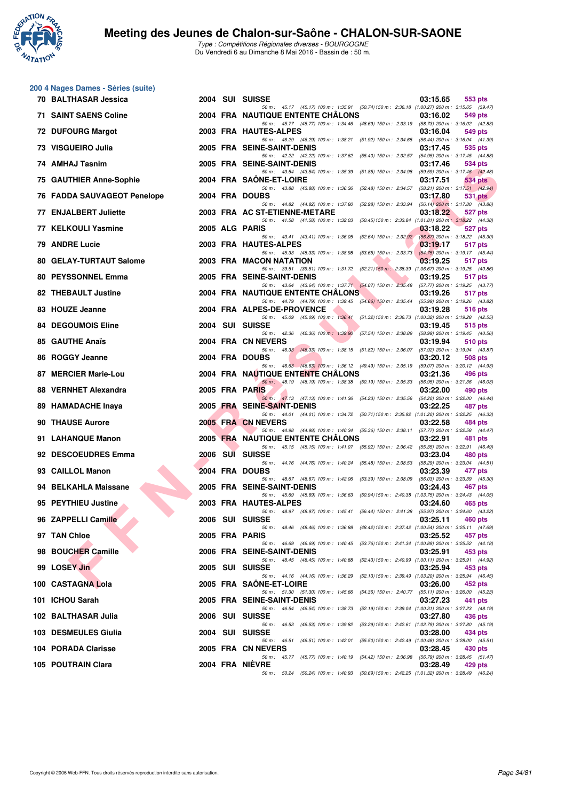

|    | 200 4 Nages Dames - Séries (suite) |  |                                                                                                                             |          |                                                |
|----|------------------------------------|--|-----------------------------------------------------------------------------------------------------------------------------|----------|------------------------------------------------|
|    | 70 BALTHASAR Jessica               |  | 2004 SUI SUISSE<br>50 m: 45.17 (45.17) 100 m: 1:35.91 (50.74) 150 m: 2:36.18 (1:00.27) 200 m: 3:15.65 (39.47)               | 03:15.65 | 553 pts                                        |
|    | <b>71 SAINT SAENS Coline</b>       |  | <b>2004 FRA NAUTIQUE ENTENTE CHALONS</b>                                                                                    | 03:16.02 | 549 pts                                        |
|    | 72 DUFOURG Margot                  |  | 50 m: 45.77 (45.77) 100 m: 1:34.46 (48.69) 150 m: 2:33.19 (58.73) 200 m: 3:16.02 (42.83)<br>2003 FRA HAUTES-ALPES           | 03:16.04 | 549 pts                                        |
|    | 73 VISGUEIRO Julia                 |  | 50 m: 46.29 (46.29) 100 m: 1:38.21 (51.92) 150 m: 2:34.65<br>2005 FRA SEINE-SAINT-DENIS                                     | 03:17.45 | (56.44) 200 m : 3:16.04 (41.39)<br>535 pts     |
|    | 74 AMHAJ Tasnim                    |  | 50 m: 42.22 (42.22) 100 m: 1:37.62 (55.40) 150 m: 2:32.57<br>2005 FRA SEINE-SAINT-DENIS                                     | 03:17.46 | (54.95) 200 m : 3:17.45 (44.88)<br>534 pts     |
|    | 75 GAUTHIER Anne-Sophie            |  | 50 m: 43.54 (43.54) 100 m: 1:35.39 (51.85) 150 m: 2:34.98<br>2004 FRA SAONE-ET-LOIRE                                        | 03:17.51 | (59.59) 200 m : 3:17.46 (42.48)<br>534 pts     |
|    | 76 FADDA SAUVAGEOT Penelope        |  | 50 m : 43.88 (43.88) 100 m : 1:36.36 (52.48) 150 m : 2:34.57<br>2004 FRA DOUBS                                              | 03:17.80 | $(58.21)$ 200 m : 3:17.51 $(42.94)$<br>531 pts |
|    | 77 ENJALBERT Juliette              |  | 50 m: 44.82 (44.82) 100 m: 1:37.80 (52.98) 150 m: 2:33.94                                                                   |          | $(56.14)$ 200 m : 3:17.80 $(43.86)$<br>527 pts |
|    |                                    |  | 2003 FRA AC ST-ETIENNE-METARE<br>50 m: 41.58 (41.58) 100 m: 1:32.03 (50.45) 150 m: 2:33.84 (1:01.81) 200 m: 3:18.22 (44.38) | 03:18.22 |                                                |
|    | 77 KELKOULI Yasmine                |  | 2005 ALG PARIS<br>50 m: 43.41 (43.41) 100 m: 1:36.05 (52.64) 150 m: 2:32.92                                                 | 03:18.22 | 527 pts<br>(56.87) 200 m : 3:18.22 (45.30)     |
|    | 79 ANDRE Lucie                     |  | 2003 FRA HAUTES-ALPES<br>50 m: 45.33 (45.33) 100 m: 1:38.98 (53.65) 150 m: 2:33.73                                          | 03:19.17 | 517 pts<br>$(54.75)$ 200 m : 3:19.17 $(45.44)$ |
|    | 80 GELAY-TURTAUT Salome            |  | 2003 FRA MACON NATATION<br>50 m: 39.51 (39.51) 100 m: 1:31.72 (52.21) 150 m: 2:38.39 (1:06.67) 200 m: 3:19.25 (40.86)       | 03:19.25 | 517 pts                                        |
|    | 80 PEYSSONNEL Emma                 |  | 2005 FRA SEINE-SAINT-DENIS<br>50 m: 43.64 (43.64) 100 m: 1:37.71 (54.07) 150 m: 2:35.48 (57.77) 200 m: 3:19.25 (43.77)      | 03:19.25 | 517 pts                                        |
|    | 82 THEBAULT Justine                |  | <b>2004 FRA NAUTIQUE ENTENTE CHALONS</b>                                                                                    | 03:19.26 | 517 pts                                        |
|    | 83 HOUZE Jeanne                    |  | 50 m: 44.79 (44.79) 100 m: 1:39.45 (54.66) 150 m: 2:35.44<br>2004 FRA ALPES-DE-PROVENCE                                     | 03:19.28 | (55.99) 200 m : 3:19.26 (43.82)<br>516 pts     |
|    | <b>84 DEGOUMOIS Eline</b>          |  | 50 m: 45.09 (45.09) 100 m: 1:36.41 (51.32) 150 m: 2:36.73 (1:00.32) 200 m: 3:19.28 (42.55)<br>2004 SUI SUISSE               | 03:19.45 | 515 pts                                        |
|    | 85 GAUTHE Anaïs                    |  | 50 m: 42.36 (42.36) 100 m: 1:39.90 (57.54) 150 m: 2:38.89<br>2004 FRA CN NEVERS                                             | 03:19.94 | (58.99) 200 m : 3:19.45 (40.56)<br>510 pts     |
|    | 86 ROGGY Jeanne                    |  | 50 m: 46.33 (46.33) 100 m: 1:38.15 (51.82) 150 m: 2:36.07<br>2004 FRA DOUBS                                                 | 03:20.12 | (57.92) 200 m : 3:19.94 (43.87)<br>508 pts     |
| 87 | <b>MERCIER Marie-Lou</b>           |  | 50 m: 46.63 (46.63) 100 m: 1:36.12 (49.49) 150 m: 2:35.19<br><b>2004 FRA NAUTIQUE ENTENTE CHALONS</b>                       | 03:21.36 | (59.07) 200 m : 3:20.12 (44.93)<br>496 pts     |
|    |                                    |  | 50 m : 48.19 (48.19) 100 m : 1:38.38 (50.19) 150 m : 2:35.33                                                                |          | (56.95) 200 m : 3:21.36 (46.03)                |
|    | 88 VERNHET Alexandra               |  | 2005 FRA PARIS<br>50 m: 47.13 (47.13) 100 m: 1:41.36 (54.23) 150 m: 2:35.56 (54.20) 200 m: 3:22.00 (46.44)                  | 03:22.00 | 490 pts                                        |
|    | 89 HAMADACHE Inaya                 |  | 2005 FRA SEINE-SAINT-DENIS<br>50 m: 44.01 (44.01) 100 m: 1:34.72 (50.71) 150 m: 2:35.92 (1:01.20) 200 m: 3:22.25 (46.33)    | 03:22.25 | 487 pts                                        |
|    | 90 THAUSE Aurore                   |  | 2005 FRA CN NEVERS<br>50 m: 44.98 (44.98) 100 m: 1:40.34 (55.36) 150 m: 2:38.11                                             | 03:22.58 | 484 pts<br>(57.77) 200 m : 3:22.58 (44.47)     |
|    | 91 LAHANQUE Manon                  |  | <b>2005 FRA NAUTIQUE ENTENTE CHALONS</b><br>50 m: 45.15 (45.15) 100 m: 1:41.07 (55.92) 150 m: 2:36.42                       | 03:22.91 | 481 pts<br>(55.35) 200 m : 3:22.91 (46.49)     |
|    | 92 DESCOEUDRES Emma                |  | 2006 SUI SUISSE                                                                                                             | 03:23.04 | 480 pts                                        |
|    | 93 CAILLOL Manon                   |  | 50 m: 44.76 (44.76) 100 m: 1:40.24 (55.48) 150 m: 2:38.53<br>2004 FRA DOUBS                                                 | 03:23.39 | (58.29) 200 m : 3:23.04 (44.51)<br>477 pts     |
|    | 94 BELKAHLA Maissane               |  | 50 m: 48.67 (48.67) 100 m: 1:42.06 (53.39) 150 m: 2:38.09<br>2005 FRA SEINE-SAINT-DENIS                                     | 03:24.43 | (56.03) 200 m : 3:23.39 (45.30)<br>467 pts     |
|    | 95 PEYTHIEU Justine                |  | 50 m: 45.69 (45.69) 100 m: 1:36.63 (50.94) 150 m: 2:40.38 (1:03.75) 200 m: 3:24.43 (44.05)<br>2003 FRA HAUTES-ALPES         | 03:24.60 | 465 pts                                        |
|    | 96 ZAPPELLI Camille                |  | 50 m: 48.97 (48.97) 100 m: 1:45.41 (56.44) 150 m: 2:41.38 (55.97) 200 m: 3:24.60 (43.22)<br>2006 SUI SUISSE                 | 03:25.11 | 460 pts                                        |
|    | 97 TAN Chloe                       |  | 50 m: 48.46 (48.46) 100 m: 1:36.88 (48.42) 150 m: 2:37.42 (1:00.54) 200 m: 3:25.11 (47.69)<br>2005 FRA PARIS                | 03:25.52 | 457 pts                                        |
|    |                                    |  | 50 m: 46.69 (46.69) 100 m: 1:40.45 (53.76) 150 m: 2:41.34 (1:00.89) 200 m: 3:25.52 (44.18)                                  |          |                                                |
|    | 98 BOUCHER Camille                 |  | 2006 FRA SEINE-SAINT-DENIS<br>50 m: 48.45 (48.45) 100 m: 1:40.88 (52.43) 150 m: 2:40.99 (1:00.11) 200 m: 3:25.91 (44.92)    | 03:25.91 | 453 pts                                        |
|    | 99 LOSEY Jin                       |  | 2005 SUI SUISSE<br>50 m: 44.16 (44.16) 100 m: 1:36.29 (52.13) 150 m: 2:39.49 (1:03.20) 200 m: 3:25.94 (46.45)               | 03:25.94 | 453 pts                                        |
|    | 100 CASTAGNA Lola                  |  | 2005 FRA SAONE-ET-LOIRE<br>50 m: 51.30 (51.30) 100 m: 1.45.66 (54.36) 150 m: 2:40.77 (55.11) 200 m: 3:26.00 (45.23)         | 03:26.00 | 452 pts                                        |
|    | 101 ICHOU Sarah                    |  | 2005 FRA SEINE-SAINT-DENIS<br>50 m: 46.54 (46.54) 100 m: 1:38.73 (52.19) 150 m: 2:39.04 (1:00.31) 200 m: 3:27.23 (48.19)    | 03:27.23 | 441 pts                                        |
|    | 102 BALTHASAR Julia                |  | 2006 SUI SUISSE<br>50 m: 46.53 (46.53) 100 m: 1:39.82 (53.29) 150 m: 2:42.61 (1:02.79) 200 m: 3:27.80 (45.19)               | 03:27.80 | 436 pts                                        |
|    | 103 DESMEULES Giulia               |  | 2004 SUI SUISSE                                                                                                             | 03:28.00 | 434 pts                                        |
|    | 104 PORADA Clarisse                |  | 50 m : 46.51 (46.51) 100 m : 1:42.01 (55.50) 150 m : 2:42.49 (1:00.48) 200 m : 3:28.00 (45.51)<br>2005 FRA CN NEVERS        | 03:28.45 | 430 pts                                        |
|    | 105 POUTRAIN Clara                 |  | 50 m: 45.77 (45.77) 100 m: 1.40.19 (54.42) 150 m: 2:36.98 (56.79) 200 m: 3:28.45 (51.47)<br>2004 FRA NIEVRE                 | 03:28.49 | 429 pts                                        |
|    |                                    |  | 50 m: 50.24 (50.24) 100 m: 1:40.93 (50.69) 150 m: 2:42.25 (1:01.32) 200 m: 3:28.49 (46.24)                                  |          |                                                |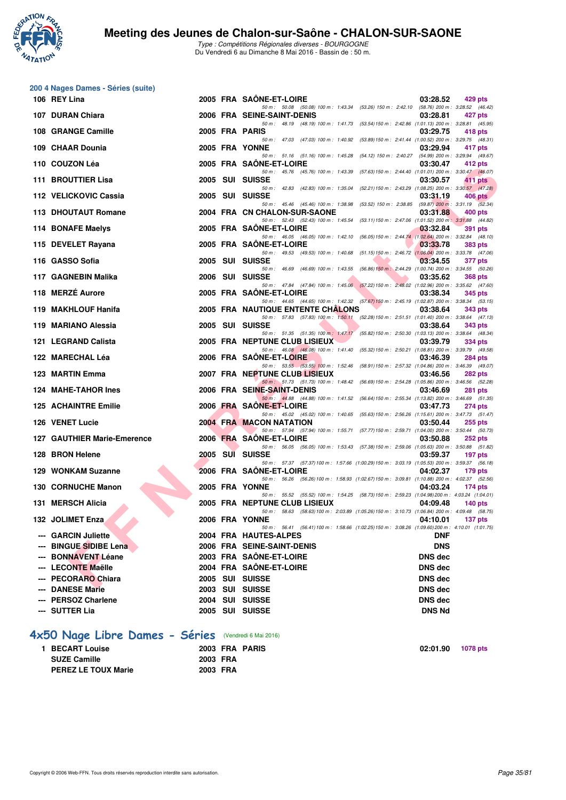

| 200 4 Nages Dames - Séries (suite)                     |                      |                                                                                                                                        |                                  |                 |
|--------------------------------------------------------|----------------------|----------------------------------------------------------------------------------------------------------------------------------------|----------------------------------|-----------------|
| 106 REY Lina                                           |                      | 2005 FRA SAONE-ET-LOIRE                                                                                                                | 03:28.52                         | 429 pts         |
| 107 DURAN Chiara                                       |                      | 50 m: 50.08 (50.08) 100 m: 1:43.34 (53.26) 150 m: 2:42.10 (58.76) 200 m: 3:28.52 (46.42)<br>2006 FRA SEINE-SAINT-DENIS                 | 03:28.81                         | 427 pts         |
| 108 GRANGE Camille                                     |                      | 50 m: 48.19 (48.19) 100 m: 1:41.73 (53.54) 150 m: 2:42.86 (1:01.13) 200 m: 3:28.81 (45.95)<br>2005 FRA PARIS                           | 03:29.75                         | 418 pts         |
| 109 CHAAR Dounia                                       |                      | 50 m: 47.03 (47.03) 100 m: 1:40.92 (53.89) 150 m: 2:41.44 (1:00.52) 200 m: 3:29.75 (48.31)<br>2005 FRA YONNE                           | 03:29.94                         | 417 pts         |
| 110 COUZON Léa                                         |                      | 50 m: 51.16 (51.16) 100 m: 1:45.28 (54.12) 150 m: 2:40.27 (54.99) 200 m: 3:29.94 (49.67)<br>2005 FRA SAONE-ET-LOIRE                    | 03:30.47                         |                 |
|                                                        |                      | 50 m: 45.76 (45.76) 100 m: 1:43.39 (57.63) 150 m: 2:44.40 (1:01.01) 200 m: 3:30.47 (46.07)                                             |                                  | 412 pts         |
| <b>111 BROUTTIER Lisa</b>                              |                      | 2005 SUI SUISSE<br>50 m: 42.83 (42.83) 100 m: 1:35.04 (52.21) 150 m: 2:43.29 (1:08.25) 200 m: 3:30.57 (47.28)                          | 03:30.57                         | 411 pts         |
| 112 VELICKOVIC Cassia                                  |                      | 2005 SUI SUISSE<br>50 m: 45.46 (45.46) 100 m: 1:38.98 (53.52) 150 m: 2:38.85 (59.87) 200 m: 3:31.19 (52.34)                            | 03:31.19                         | 406 pts         |
| 113 DHOUTAUT Romane                                    |                      | 2004 FRA CN CHALON-SUR-SAONE<br>50 m: 52.43 (52.43) 100 m: 1:45.54 (53.11) 150 m: 2:47.06 (1:01.52) 200 m: 3:31.88 (44.82)             | 03:31.88                         | 400 pts         |
| 114 BONAFE Maelys                                      |                      | 2005 FRA SAONE-ET-LOIRE                                                                                                                | 03:32.84                         | <b>391 pts</b>  |
| 115 DEVELET Rayana                                     |                      | 50 m: 46.05 (46.05) 100 m: 1:42.10 (56.05) 150 m: 2:44.74 (1:02.64) 200 m: 3:32.84 (48.10)<br>2005 FRA SAONE-ET-LOIRE                  | 03:33.78                         | <b>383 pts</b>  |
| 116 GASSO Sofia                                        |                      | 50 m: 49.53 (49.53) 100 m: 1:40.68 (51.15) 150 m: 2:46.72 (1:06.04) 200 m: 3:33.78 (47.06)<br>2005 SUI SUISSE                          | 03:34.55                         | <b>377 pts</b>  |
| 117 GAGNEBIN Malika                                    | 2006                 | 50 m: 46.69 (46.69) 100 m: 1:43.55 (56.86) 150 m: 2:44.29 (1:00.74) 200 m: 3:34.55 (50.26)<br>SUI SUISSE                               | 03:35.62                         | <b>368 pts</b>  |
| 118 MERZÉ Aurore                                       |                      | 50 m: 47.84 (47.84) 100 m: 1:45.06 (57.22) 150 m: 2:48.02 (1:02.96) 200 m: 3:35.62 (47.60)<br>2005 FRA SAONE-ET-LOIRE                  | 03:38.34                         | 345 pts         |
|                                                        |                      | 50 m: 44.65 (44.65) 100 m: 1:42.32 (57.67) 150 m: 2:45.19 (1:02.87) 200 m: 3:38.34 (53.15)                                             |                                  |                 |
| 119 MAKHLOUF Hanifa                                    |                      | <b>2005 FRA NAUTIQUE ENTENTE CHALONS</b><br>50 m: 57.83 (57.83) 100 m: 1:50.11 (52.28) 150 m: 2:51.51 (1:01.40) 200 m: 3:38.64 (47.13) | 03:38.64                         | 343 pts         |
| 119 MARIANO Alessia                                    | 2005                 | SUI SUISSE<br>50 m: 51.35 (51.35) 100 m: 1:47.17 (55.82) 150 m: 2:50.30 (1:03.13) 200 m: 3:38.64 (48.34)                               | 03:38.64                         | 343 pts         |
| 121 LEGRAND Calista                                    |                      | 2005 FRA NEPTUNE CLUB LISIEUX<br>50 m: 46.08 (46.08) 100 m: 1:41.40 (55.32) 150 m: 2:50.21 (1:08.81) 200 m: 3:39.79 (49.58)            | 03:39.79                         | 334 pts         |
| 122 MARECHAL Léa                                       |                      | 2006 FRA SAONE-ET-LOIRE                                                                                                                | 03:46.39                         | <b>284 pts</b>  |
| 123 MARTIN Emma                                        |                      | 50 m: 53.55 (53.55) 100 m: 1:52.46 (58.91) 150 m: 2:57.32 (1:04.86) 200 m: 3:46.39 (49.07)<br><b>2007 FRA NEPTUNE CLUB LISIEUX</b>     | 03:46.56                         | <b>282 pts</b>  |
| 124 MAHE-TAHOR Ines                                    |                      | 50 m: 51.73 (51.73) 100 m: 1:48.42 (56.69) 150 m: 2:54.28 (1:05.86) 200 m: 3:46.56 (52.28)<br>2006 FRA SEINE-SAINT-DENIS               | 03:46.69                         | <b>281 pts</b>  |
| <b>125 ACHAINTRE Emilie</b>                            |                      | 50 m: 44.88 (44.88) 100 m: 1:41.52 (56.64) 150 m: 2:55.34 (1:13.82) 200 m: 3:46.69 (51.35)<br>2006 FRA SAONE-ET-LOIRE                  | 03:47.73                         | 274 pts         |
| 126 VENET Lucie                                        |                      | 50 m: 45.02 (45.02) 100 m: 1:40.65 (55.63) 150 m: 2:56.26 (1:15.61) 200 m: 3:47.73 (51.47)<br>2004 FRA MACON NATATION                  | 03:50.44                         | 255 pts         |
|                                                        |                      | 50 m: 57.94 (57.94) 100 m: 1:55.71 (57.77) 150 m: 2:59.71 (1:04.00) 200 m: 3:50.44 (50.73)                                             |                                  |                 |
| <b>127 GAUTHIER Marie-Emerence</b>                     |                      | 2006 FRA SAONE-ET-LOIRE<br>50 m: 56.05 (56.05) 100 m: 1:53.43 (57.38) 150 m: 2:59.06 (1:05.63) 200 m: 3:50.88 (51.82)                  | 03:50.88                         | <b>252 pts</b>  |
| 128 BRON Helene                                        |                      | 2005 SUI SUISSE<br>50 m: 57.37 (57.37) 100 m: 1:57.66 (1:00.29) 150 m: 3:03.19 (1:05.53) 200 m: 3:59.37 (56.18)                        | 03:59.37                         | 197 pts         |
| 129 WONKAM Suzanne                                     |                      | 2006 FRA SAONE-ET-LOIRE<br>50 m: 56.26 (56.26) 100 m: 1:58.93 (1:02.67) 150 m: 3:09.81 (1:10.88) 200 m: 4:02.37 (52.56)                | 04:02.37                         | $179$ pts       |
| 130 CORNUCHE Manon                                     |                      | <b>2005 FRA YONNE</b>                                                                                                                  | 04:03.24                         | 174 $pts$       |
| 131 MERSCH Alicia<br><b>Contract Contract Contract</b> |                      | 50 m: 55.52 (55.52) 100 m: 1:54.25 (58.73) 150 m: 2:59.23 (1:04.98) 200 m: 4:03.24 (1:04.01)<br>2005 FRA NEPTUNE CLUB LISIEUX          | 04:09.48                         | $140$ pts       |
| 132 JOLIMET Enza                                       |                      | 50 m: 58.63 (58.63) 100 m: 2:03.89 (1:05.26) 150 m: 3:10.73 (1:06.84) 200 m: 4:09.48 (58.75)<br>2006 FRA YONNE                         | 04:10.01                         | 137 pts         |
| --- GARCIN Juliette                                    |                      | 50 m: 56.41 (56.41) 100 m: 1:58.66 (1:02.25) 150 m: 3:08.26 (1:09.60) 200 m: 4:10.01 (1:01.75)<br>2004 FRA HAUTES-ALPES                | <b>DNF</b>                       |                 |
| --- BINGUE SIDIBE Lena                                 |                      | 2006 FRA SEINE-SAINT-DENIS                                                                                                             | <b>DNS</b>                       |                 |
| --- BONNAVENT Léane                                    |                      | 2003 FRA SAÖNE-ET-LOIRE                                                                                                                | <b>DNS dec</b>                   |                 |
| --- LECONTE Maëlle                                     |                      | 2004 FRA SAÔNE-ET-LOIRE                                                                                                                | <b>DNS</b> dec                   |                 |
| --- PECORARO Chiara<br>--- DANESE Marie                |                      | 2005 SUI SUISSE<br>2003 SUI SUISSE                                                                                                     | <b>DNS dec</b><br><b>DNS dec</b> |                 |
| --- PERSOZ Charlene                                    |                      | 2004 SUI SUISSE                                                                                                                        | <b>DNS dec</b>                   |                 |
| --- SUTTER Lia                                         |                      | 2005 SUI SUISSE                                                                                                                        | <b>DNS Nd</b>                    |                 |
|                                                        |                      |                                                                                                                                        |                                  |                 |
| 4x50 Nage Libre Dames - Séries (Vendredi 6 Mai 2016)   |                      |                                                                                                                                        |                                  |                 |
| 1 BECART Louise                                        |                      | 2003 FRA PARIS                                                                                                                         | 02:01.90                         | <b>1078 pts</b> |
| <b>SUZE Camille</b><br><b>PEREZ LE TOUX Marie</b>      | 2003 FRA<br>2003 FRA |                                                                                                                                        |                                  |                 |
|                                                        |                      |                                                                                                                                        |                                  |                 |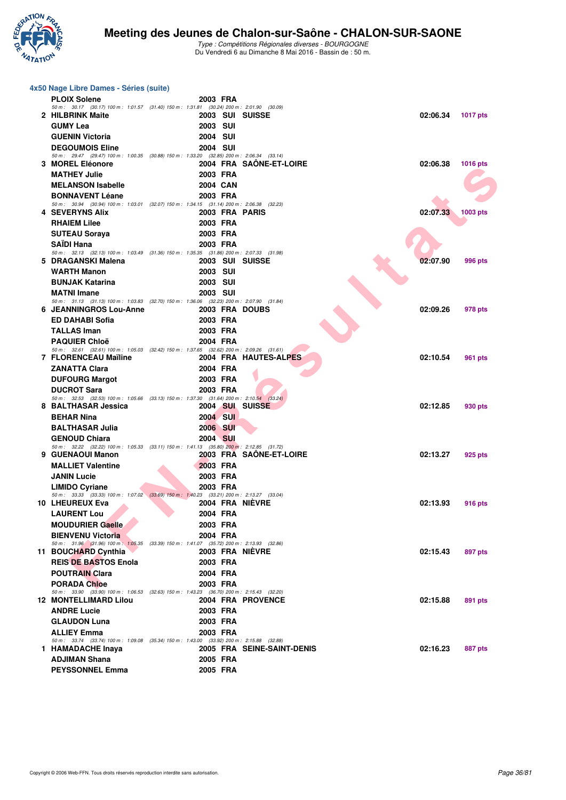

| 4x50 Nage Libre Dames - Séries (suite)                                                                                   |                                    |                            |          |                |  |  |  |
|--------------------------------------------------------------------------------------------------------------------------|------------------------------------|----------------------------|----------|----------------|--|--|--|
| <b>PLOIX Solene</b>                                                                                                      | 2003 FRA                           |                            |          |                |  |  |  |
| 50 m: 30.17 (30.17) 100 m: 1:01.57 (31.40) 150 m: 1:31.81 (30.24) 200 m: 2:01.90 (30.09)<br>2 HILBRINK Maite             | 2003 SUI SUISSE                    |                            | 02:06.34 | 1017 pts       |  |  |  |
| <b>GUMY Lea</b>                                                                                                          | <b>2003 SUI</b>                    |                            |          |                |  |  |  |
| <b>GUENIN Victoria</b>                                                                                                   | <b>2004 SUI</b>                    |                            |          |                |  |  |  |
| <b>DEGOUMOIS Eline</b>                                                                                                   | 2004 SUI                           |                            |          |                |  |  |  |
| 50 m: 29.47 (29.47) 100 m: 1:00.35 (30.88) 150 m: 1:33.20 (32.85) 200 m: 2:06.34 (33.14)                                 |                                    |                            |          |                |  |  |  |
| 3 MOREL Eléonore                                                                                                         |                                    | 2004 FRA SAÖNE-ET-LOIRE    | 02:06.38 | 1016 pts       |  |  |  |
| <b>MATHEY Julie</b>                                                                                                      | 2003 FRA                           |                            |          |                |  |  |  |
| <b>MELANSON Isabelle</b>                                                                                                 | 2004 CAN                           |                            |          |                |  |  |  |
| <b>BONNAVENT Léane</b><br>50 m: 30.94 (30.94) 100 m: 1:03.01 (32.07) 150 m: 1:34.15 (31.14) 200 m: 2:06.38 (32.23)       | 2003 FRA                           |                            |          |                |  |  |  |
| <b>4 SEVERYNS Alix</b>                                                                                                   | 2003 FRA PARIS                     |                            | 02:07.33 | 1003 pts       |  |  |  |
| <b>RHAIEM Lilee</b>                                                                                                      | 2003 FRA                           |                            |          |                |  |  |  |
| <b>SUTEAU Soraya</b>                                                                                                     | 2003 FRA                           |                            |          |                |  |  |  |
| <b>SAIDI Hana</b>                                                                                                        | 2003 FRA                           |                            |          |                |  |  |  |
| 50 m: 32.13 (32.13) 100 m: 1.03.49 (31.36) 150 m: 1.35.35 (31.86) 200 m: 2.07.33 (31.98)                                 |                                    |                            |          |                |  |  |  |
| 5 DRAGANSKI Malena<br><b>WARTH Manon</b>                                                                                 | 2003 SUI SUISSE                    |                            | 02:07.90 | <b>996 pts</b> |  |  |  |
| <b>BUNJAK Katarina</b>                                                                                                   | <b>2003 SUI</b><br><b>2003 SUI</b> |                            |          |                |  |  |  |
| <b>MATNI Imane</b>                                                                                                       | <b>2003 SUI</b>                    |                            |          |                |  |  |  |
| 50 m: 31.13 (31.13) 100 m: 1:03.83 (32.70) 150 m: 1:36.06 (32.23) 200 m: 2:07.90 (31.84)                                 |                                    |                            |          |                |  |  |  |
| <b>6 JEANNINGROS Lou-Anne</b>                                                                                            | 2003 FRA DOUBS                     |                            | 02:09.26 | 978 pts        |  |  |  |
| <b>ED DAHABI Sofia</b>                                                                                                   | 2003 FRA                           |                            |          |                |  |  |  |
| <b>TALLAS Iman</b>                                                                                                       | 2003 FRA                           |                            |          |                |  |  |  |
| <b>PAQUIER Chloë</b>                                                                                                     | 2004 FRA                           |                            |          |                |  |  |  |
| 50 m: 32.61 (32.61) 100 m: 1:05.03 (32.42) 150 m: 1:37.65 (32.62) 200 m: 2:09.26 (31.61)<br><b>7 FLORENCEAU Maïline</b>  |                                    | 2004 FRA HAUTES-ALPES      | 02:10.54 | 961 pts        |  |  |  |
| <b>ZANATTA Clara</b>                                                                                                     | 2004 FRA                           |                            |          |                |  |  |  |
| <b>DUFOURG Margot</b>                                                                                                    | 2003 FRA                           |                            |          |                |  |  |  |
| <b>DUCROT Sara</b>                                                                                                       | 2003 FRA                           |                            |          |                |  |  |  |
| 50 m: 32.53 (32.53) 100 m: 1:05.66 (33.13) 150 m: 1:37.30 (31.64) 200 m: 2:10.54 (33.24)                                 |                                    |                            |          |                |  |  |  |
| 8 BALTHASAR Jessica                                                                                                      | 2004 SUI SUISSE                    |                            | 02:12.85 | 930 pts        |  |  |  |
| <b>BEHAR Nina</b>                                                                                                        | 2004 SUI                           |                            |          |                |  |  |  |
| <b>BALTHASAR Julia</b>                                                                                                   | 2006 SUI                           |                            |          |                |  |  |  |
| <b>GENOUD Chiara</b><br>50 m: 32.22 (32.22) 100 m: 1.05.33 (33.11) 150 m: 1.41.13 (35.80) 200 m: 2.12.85 (31.72)         | 2004 SUI                           |                            |          |                |  |  |  |
| 9 GUENAOUI Manon                                                                                                         |                                    | 2003 FRA SAONE-ET-LOIRE    | 02:13.27 | 925 pts        |  |  |  |
| <b>MALLIET Valentine</b>                                                                                                 | 2003 FRA                           |                            |          |                |  |  |  |
| <b>JANIN Lucie</b>                                                                                                       | 2003 FRA                           |                            |          |                |  |  |  |
| <b>LIMIDO Cyriane</b>                                                                                                    | 2003 FRA                           |                            |          |                |  |  |  |
| 50 m: 33.33 (33.33) 100 m: 1.07.02 (33.69) 150 m: 1.40.23 (33.21) 200 m: 2.13.27 (33.04)<br>10 LHEUREUX Eva              | 2004 FRA NIEVRE                    |                            | 02:13.93 |                |  |  |  |
| <b>LAURENT Lou</b>                                                                                                       | 2004 FRA                           |                            |          | 916 pts        |  |  |  |
| <b>MOUDURIER Gaelle</b>                                                                                                  | 2003 FRA                           |                            |          |                |  |  |  |
| <b>BIENVENU Victoria</b>                                                                                                 | 2004 FRA                           |                            |          |                |  |  |  |
| 50 m: 31.96 (31.96) 100 m: 1:05.35 (33.39) 150 m: 1:41.07 (35.72) 200 m: 2:13.93 (32.86)                                 |                                    |                            |          |                |  |  |  |
| 11 BOUCHARD Cynthia                                                                                                      | 2003 FRA NIÈVRE                    |                            | 02:15.43 | 897 pts        |  |  |  |
| <b>REIS DE BASTOS Enola</b>                                                                                              | 2003 FRA                           |                            |          |                |  |  |  |
| <b>POUTRAIN Clara</b>                                                                                                    | 2004 FRA                           |                            |          |                |  |  |  |
| <b>PORADA Chloe</b>                                                                                                      | 2003 FRA                           |                            |          |                |  |  |  |
| 50 m: 33.90 (33.90) 100 m: 1:06.53 (32.63) 150 m: 1:43.23 (36.70) 200 m: 2:15.43 (32.20)<br><b>12 MONTELLIMARD Lilou</b> |                                    | 2004 FRA PROVENCE          | 02:15.88 | 891 pts        |  |  |  |
| <b>ANDRE Lucie</b>                                                                                                       | 2003 FRA                           |                            |          |                |  |  |  |
| <b>GLAUDON Luna</b>                                                                                                      | 2003 FRA                           |                            |          |                |  |  |  |
| <b>ALLIEY Emma</b>                                                                                                       | 2003 FRA                           |                            |          |                |  |  |  |
| 50 m: 33.74 (33.74) 100 m: 1:09.08 (35.34) 150 m: 1:43.00 (33.92) 200 m: 2:15.88 (32.88)                                 |                                    |                            |          |                |  |  |  |
| 1 HAMADACHE Inaya                                                                                                        |                                    | 2005 FRA SEINE-SAINT-DENIS | 02:16.23 | 887 pts        |  |  |  |
| <b>ADJIMAN Shana</b>                                                                                                     | 2005 FRA                           |                            |          |                |  |  |  |
| <b>PEYSSONNEL Emma</b>                                                                                                   | 2005 FRA                           |                            |          |                |  |  |  |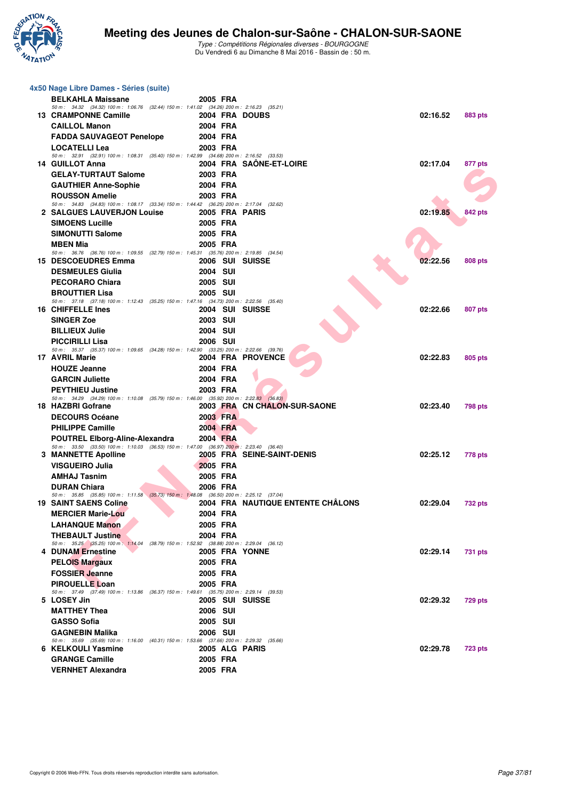

| 4x50 Nage Libre Dames - Séries (suite)                                                                             |                            |                                   |          |                |
|--------------------------------------------------------------------------------------------------------------------|----------------------------|-----------------------------------|----------|----------------|
| <b>BELKAHLA Maissane</b>                                                                                           | 2005 FRA                   |                                   |          |                |
| 50 m: 34.32 (34.32) 100 m: 1:06.76 (32.44) 150 m: 1:41.02 (34.26) 200 m: 2:16.23 (35.21)                           |                            |                                   |          |                |
| 13 CRAMPONNE Camille                                                                                               | 2004 FRA DOUBS             |                                   | 02:16.52 | 883 pts        |
| <b>CAILLOL Manon</b>                                                                                               | 2004 FRA<br>2004 FRA       |                                   |          |                |
| <b>FADDA SAUVAGEOT Penelope</b><br><b>LOCATELLI Lea</b>                                                            | 2003 FRA                   |                                   |          |                |
| 50 m: 32.91 (32.91) 100 m: 1.08.31 (35.40) 150 m: 1.42.99 (34.68) 200 m: 2.16.52 (33.53)                           |                            |                                   |          |                |
| 14 GUILLOT Anna                                                                                                    |                            | 2004 FRA SAONE-ET-LOIRE           | 02:17.04 | 877 pts        |
| <b>GELAY-TURTAUT Salome</b>                                                                                        | 2003 FRA                   |                                   |          |                |
| <b>GAUTHIER Anne-Sophie</b>                                                                                        | 2004 FRA                   |                                   |          |                |
| <b>ROUSSON Amelie</b><br>50 m: 34.83 (34.83) 100 m: 1:08.17 (33.34) 150 m: 1:44.42 (36.25) 200 m: 2:17.04 (32.62)  | 2003 FRA                   |                                   |          |                |
| 2 SALGUES LAUVERJON Louise                                                                                         | 2005 FRA PARIS             |                                   | 02:19.85 | 842 pts        |
| <b>SIMOENS Lucille</b>                                                                                             | 2005 FRA                   |                                   |          |                |
| <b>SIMONUTTI Salome</b>                                                                                            | 2005 FRA                   |                                   |          |                |
| <b>MBEN Mia</b>                                                                                                    | 2005 FRA                   |                                   |          |                |
| 50 m: 36.76 (36.76) 100 m: 1:09.55 (32.79) 150 m: 1:45.31 (35.76) 200 m: 2:19.85 (34.54)<br>15 DESCOEUDRES Emma    | 2006 SUI SUISSE            |                                   | 02:22.56 | <b>808 pts</b> |
| <b>DESMEULES Giulia</b>                                                                                            | <b>2004 SUI</b>            |                                   |          |                |
| <b>PECORARO Chiara</b>                                                                                             | 2005 SUI                   |                                   |          |                |
| <b>BROUTTIER Lisa</b>                                                                                              | 2005 SUI                   |                                   |          |                |
| 50 m: 37.18 (37.18) 100 m: 1:12.43 (35.25) 150 m: 1:47.16 (34.73) 200 m: 2:22.56 (35.40)                           |                            |                                   |          |                |
| 16 CHIFFELLE Ines                                                                                                  | 2004 SUI SUISSE            |                                   | 02:22.66 | 807 pts        |
| <b>SINGER Zoe</b>                                                                                                  | <b>2003 SUI</b>            |                                   |          |                |
| <b>BILLIEUX Julie</b>                                                                                              | 2004 SUI                   |                                   |          |                |
| <b>PICCIRILLI Lisa</b><br>50 m: 35.37 (35.37) 100 m: 1.09.65 (34.28) 150 m: 1.42.90 (33.25) 200 m: 2.22.66 (39.76) | <b>2006 SUI</b>            |                                   |          |                |
| 17 AVRIL Marie                                                                                                     |                            | 2004 FRA PROVENCE                 | 02:22.83 | 805 pts        |
| <b>HOUZE Jeanne</b>                                                                                                | 2004 FRA                   |                                   |          |                |
| <b>GARCIN Juliette</b>                                                                                             | 2004 FRA                   |                                   |          |                |
| <b>PEYTHIEU Justine</b>                                                                                            | 2003 FRA                   |                                   |          |                |
| 50 m: 34.29 (34.29) 100 m: 1:10.08 (35.79) 150 m: 1:46.00 (35.92) 200 m: 2:22.83 (36.83)<br>18 HAZBRI Gofrane      |                            | 2003 FRA CN CHALON-SUR-SAONE      | 02:23.40 | <b>798 pts</b> |
| <b>DECOURS Océane</b>                                                                                              | 2003 FRA                   |                                   |          |                |
| <b>PHILIPPE Camille</b>                                                                                            | 2004 FRA                   |                                   |          |                |
| <b>POUTREL Elborg-Aline-Alexandra</b>                                                                              | 2004 FRA                   |                                   |          |                |
| 50 m: 33.50 (33.50) 100 m: 1:10.03 (36.53) 150 m: 1:47.00 (36.97) 200 m: 2:23.40 (36.40)<br>3 MANNETTE Apolline    |                            | 2005 FRA SEINE-SAINT-DENIS        | 02:25.12 |                |
| <b>VISGUEIRO Julia</b>                                                                                             | 2005 FRA                   |                                   |          | <b>778 pts</b> |
| <b>AMHAJ Tasnim</b>                                                                                                | 2005 FRA                   |                                   |          |                |
| <b>DURAN Chiara</b>                                                                                                | 2006 FRA                   |                                   |          |                |
| 50 m: 35.85 (35.85) 100 m: 1:11.58 (35.73) 150 m: 1:48.08 (36.50) 200 m: 2:25.12 (37.04)                           |                            |                                   |          |                |
| <b>19 SAINT SAENS Coline</b>                                                                                       |                            | 2004 FRA NAUTIQUE ENTENTE CHÂLONS | 02:29.04 | <b>732 pts</b> |
| <b>MERCIER Marie-Lou</b><br><b>LAHANQUE Manon</b>                                                                  | 2004 FRA                   |                                   |          |                |
| <b>THEBAULT Justine</b>                                                                                            | 2005 FRA<br>2004 FRA       |                                   |          |                |
| 50 m: 35.25 (35.25) 100 m: 1:14.04 (38.79) 150 m: 1:52.92 (38.88) 200 m: 2:29.04 (36.12)                           |                            |                                   |          |                |
| 4 DUNAM Ernestine                                                                                                  | 2005 FRA YONNE             |                                   | 02:29.14 | 731 pts        |
| <b>PELOIS Margaux</b>                                                                                              | 2005 FRA                   |                                   |          |                |
| <b>FOSSIER Jeanne</b>                                                                                              | 2005 FRA                   |                                   |          |                |
| <b>PIROUELLE Loan</b>                                                                                              | 2005 FRA                   |                                   |          |                |
| 50 m: 37.49 (37.49) 100 m: 1:13.86 (36.37) 150 m: 1:49.61 (35.75) 200 m: 2:29.14 (39.53)<br>5 LOSEY Jin            | 2005 SUI SUISSE            |                                   | 02:29.32 | <b>729 pts</b> |
| <b>MATTHEY Thea</b>                                                                                                | 2006 SUI                   |                                   |          |                |
| <b>GASSO Sofia</b>                                                                                                 | 2005 SUI                   |                                   |          |                |
| <b>GAGNEBIN Malika</b>                                                                                             | <b>2006 SUI</b>            |                                   |          |                |
| 50 m: 35.69 (35.69) 100 m: 1:16.00 (40.31) 150 m: 1:53.66 (37.66) 200 m: 2:29.32 (35.66)<br>6 KELKOULI Yasmine     |                            |                                   | 02:29.78 |                |
| <b>GRANGE Camille</b>                                                                                              | 2005 ALG PARIS<br>2005 FRA |                                   |          | <b>723 pts</b> |
| <b>VERNHET Alexandra</b>                                                                                           | 2005 FRA                   |                                   |          |                |
|                                                                                                                    |                            |                                   |          |                |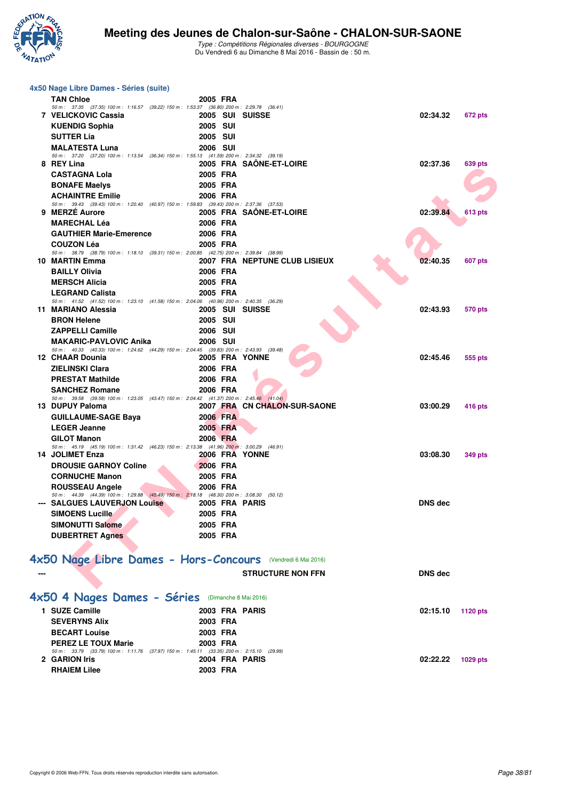

| 4x50 Nage Libre Dames - Séries (suite)                                                                                    |                      |                               |                |                |
|---------------------------------------------------------------------------------------------------------------------------|----------------------|-------------------------------|----------------|----------------|
| <b>TAN Chloe</b>                                                                                                          | 2005 FRA             |                               |                |                |
| 50 m: 37.35 (37.35) 100 m: 1:16.57 (39.22) 150 m: 1:53.37 (36.80) 200 m: 2:29.78 (36.41)<br>7 VELICKOVIC Cassia           | 2005 SUI SUISSE      |                               | 02:34.32       | 672 pts        |
| <b>KUENDIG Sophia</b>                                                                                                     | <b>2005 SUI</b>      |                               |                |                |
| <b>SUTTER Lia</b>                                                                                                         | 2005 SUI             |                               |                |                |
| <b>MALATESTA Luna</b>                                                                                                     | <b>2006 SUI</b>      |                               |                |                |
| 50 m: 37.20 (37.20) 100 m: 1:13.54 (36.34) 150 m: 1:55.13 (41.59) 200 m: 2:34.32 (39.19)<br>8 REY Lina                    |                      | 2005 FRA SAÖNE-ET-LOIRE       | 02:37.36       | <b>639 pts</b> |
| <b>CASTAGNA Lola</b>                                                                                                      | 2005 FRA             |                               |                |                |
| <b>BONAFE Maelys</b>                                                                                                      | 2005 FRA             |                               |                |                |
| <b>ACHAINTRE Emilie</b>                                                                                                   | 2006 FRA             |                               |                |                |
| 50 m: 39.43 (39.43) 100 m: 1:20.40 (40.97) 150 m: 1:59.83 (39.43) 200 m: 2:37.36 (37.53)                                  |                      |                               |                |                |
| 9 MERZE Aurore<br><b>MARECHAL Léa</b>                                                                                     | 2006 FRA             | 2005 FRA SAÖNE-ET-LOIRE       | 02:39.84       | <b>613 pts</b> |
| <b>GAUTHIER Marie-Emerence</b>                                                                                            | 2006 FRA             |                               |                |                |
| <b>COUZON Léa</b>                                                                                                         | 2005 FRA             |                               |                |                |
| 50 m: 38.79 (38.79) 100 m: 1:18.10 (39.31) 150 m: 2:00.85 (42.75) 200 m: 2:39.84 (38.99)                                  |                      |                               |                |                |
| 10 MARTIN Emma                                                                                                            |                      | 2007 FRA NEPTUNE CLUB LISIEUX | 02:40.35       | <b>607 pts</b> |
| <b>BAILLY Olivia</b>                                                                                                      | 2006 FRA             |                               |                |                |
| <b>MERSCH Alicia</b>                                                                                                      | 2005 FRA             |                               |                |                |
| <b>LEGRAND Calista</b><br>50 m: 41.52 (41.52) 100 m: 1:23.10 (41.58) 150 m: 2:04.06 (40.96) 200 m: 2:40.35 (36.29)        | 2005 FRA             |                               |                |                |
| 11 MARIANO Alessia                                                                                                        | 2005 SUI SUISSE      |                               | 02:43.93       | 570 pts        |
| <b>BRON Helene</b>                                                                                                        | <b>2005 SUI</b>      |                               |                |                |
| <b>ZAPPELLI Camille</b>                                                                                                   | 2006 SUI             |                               |                |                |
| <b>MAKARIC-PAVLOVIC Anika</b><br>50 m: 40.33 (40.33) 100 m: 1:24.62 (44.29) 150 m: 2:04.45 (39.83) 200 m: 2:43.93 (39.48) | <b>2006 SUI</b>      |                               |                |                |
| 12 CHAAR Dounia                                                                                                           | 2005 FRA YONNE       |                               | 02:45.46       | 555 pts        |
| <b>ZIELINSKI Clara</b>                                                                                                    | 2006 FRA             |                               |                |                |
| <b>PRESTAT Mathilde</b>                                                                                                   | 2006 FRA             |                               |                |                |
| <b>SANCHEZ Romane</b>                                                                                                     | 2006 FRA             |                               |                |                |
| 50 m: 39.58 (39.58) 100 m: 1:23.05 (43.47) 150 m: 2:04.42 (41.37) 200 m: 2:45.46 (41.04)<br>13 DUPUY Paloma               |                      | 2007 FRA CN CHALON-SUR-SAONE  | 03:00.29       | 416 pts        |
| <b>GUILLAUME-SAGE Baya</b>                                                                                                | 2006 FRA             |                               |                |                |
| <b>LEGER Jeanne</b>                                                                                                       | 2005 FRA             |                               |                |                |
| <b>GILOT Manon</b>                                                                                                        | 2006 FRA             |                               |                |                |
| 50 m: 45.19 (45.19) 100 m: 1:31.42 (46.23) 150 m: 2:13.38 (41.96) 200 m: 3:00.29 (46.91)<br>14 JOLIMET Enza               | 2006 FRA YONNE       |                               | 03:08.30       |                |
| <b>DROUSIE GARNOY Coline</b>                                                                                              | <b>2006 FRA</b>      |                               |                | 349 pts        |
| <b>CORNUCHE Manon</b>                                                                                                     | 2005 FRA             |                               |                |                |
| <b>ROUSSEAU Angele</b>                                                                                                    | 2006 FRA             |                               |                |                |
| 50 m: 44.39 (44.39) 100 m: 1:29.88 (45.49) 150 m: 2:18.18 (48.30) 200 m: 3:08.30 (50.12)                                  |                      |                               |                |                |
| --- SALGUES LAUVERJON Louise                                                                                              | 2005 FRA PARIS       |                               | <b>DNS</b> dec |                |
| <b>SIMOENS Lucille</b><br><b>SIMONUTTI Salome</b>                                                                         | 2005 FRA<br>2005 FRA |                               |                |                |
| <b>DUBERTRET Agnes</b>                                                                                                    | 2005 FRA             |                               |                |                |
|                                                                                                                           |                      |                               |                |                |
|                                                                                                                           |                      |                               |                |                |
| 4x50 Nage Libre Dames - Hors-Concours (Vendredi 6 Mai 2016)                                                               |                      |                               |                |                |
|                                                                                                                           |                      | <b>STRUCTURE NON FFN</b>      | <b>DNS</b> dec |                |
|                                                                                                                           |                      |                               |                |                |
| 4x50 4 Nages Dames - Séries (Dimanche 8 Mai 2016)                                                                         |                      |                               |                |                |
| 1 SUZE Camille                                                                                                            | 2003 FRA PARIS       |                               | 02:15.10       | 1120 pts       |
| <b>SEVERYNS Alix</b>                                                                                                      | 2003 FRA             |                               |                |                |
| <b>BECART Louise</b>                                                                                                      | 2003 FRA             |                               |                |                |
| <b>PEREZ LE TOUX Marie</b><br>50 m: 33.79 (33.79) 100 m: 1:11.76 (37.97) 150 m: 1:45.11 (33.35) 200 m: 2:15.10 (29.99)    | 2003 FRA             |                               |                |                |
| 2 GARION Iris                                                                                                             | 2004 FRA PARIS       |                               | 02:22.22       | 1029 pts       |
| <b>RHAIEM Lilee</b>                                                                                                       | 2003 FRA             |                               |                |                |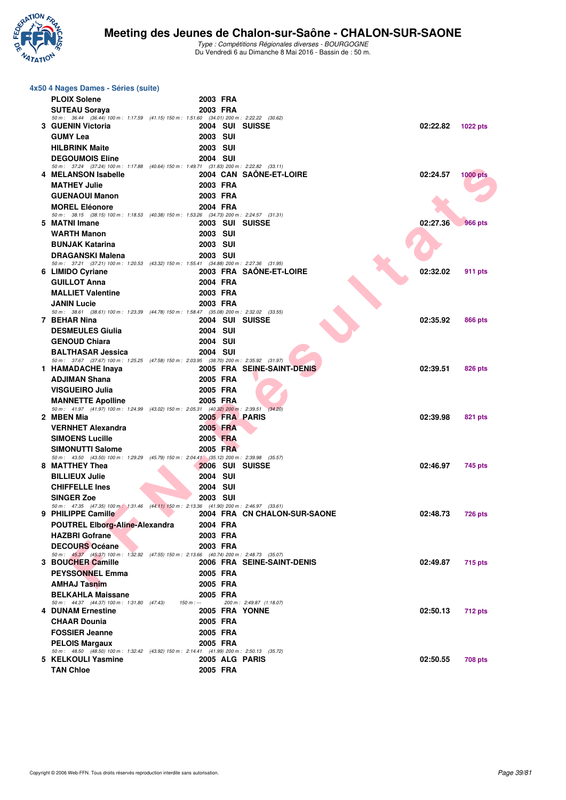

| 4x50 4 Nages Dames - Séries (suite)                                                                                |                      |                              |          |                 |
|--------------------------------------------------------------------------------------------------------------------|----------------------|------------------------------|----------|-----------------|
| <b>PLOIX Solene</b>                                                                                                | 2003 FRA             |                              |          |                 |
| <b>SUTEAU Sorava</b>                                                                                               | 2003 FRA             |                              |          |                 |
| 50 m: 36.44 (36.44) 100 m: 1:17.59 (41.15) 150 m: 1:51.60 (34.01) 200 m: 2:22.22 (30.62)                           |                      |                              |          |                 |
| 3 GUENIN Victoria                                                                                                  |                      | 2004 SUI SUISSE              | 02:22.82 | <b>1022 pts</b> |
| <b>GUMY Lea</b>                                                                                                    | <b>2003 SUI</b>      |                              |          |                 |
| <b>HILBRINK Maite</b>                                                                                              | <b>2003 SUI</b>      |                              |          |                 |
| <b>DEGOUMOIS Eline</b><br>50 m: 37.24 (37.24) 100 m: 1:17.88 (40.64) 150 m: 1:49.71 (31.83) 200 m: 2:22.82 (33.11) | <b>2004 SUI</b>      |                              |          |                 |
| 4 MELANSON Isabelle                                                                                                |                      | 2004 CAN SAONE-ET-LOIRE      | 02:24.57 | <b>1000 pts</b> |
| <b>MATHEY Julie</b>                                                                                                | 2003 FRA             |                              |          |                 |
| <b>GUENAOUI Manon</b>                                                                                              | 2003 FRA             |                              |          |                 |
| <b>MOREL Eléonore</b>                                                                                              | 2004 FRA             |                              |          |                 |
| 50 m: 38.15 (38.15) 100 m: 1:18.53 (40.38) 150 m: 1:53.26 (34.73) 200 m: 2:24.57 (31.31)<br>5 MATNI Imane          |                      | 2003 SUI SUISSE              | 02:27.36 | <b>966 pts</b>  |
| <b>WARTH Manon</b>                                                                                                 | <b>2003 SUI</b>      |                              |          |                 |
| <b>BUNJAK Katarina</b>                                                                                             | <b>2003 SUI</b>      |                              |          |                 |
| <b>DRAGANSKI Malena</b>                                                                                            | <b>2003 SUI</b>      |                              |          |                 |
| 50 m: 37.21 (37.21) 100 m: 1:20.53 (43.32) 150 m: 1:55.41 (34.88) 200 m: 2:27.36 (31.95)                           |                      |                              |          |                 |
| 6 LIMIDO Cyriane                                                                                                   |                      | 2003 FRA SAONE-ET-LOIRE      | 02:32.02 | 911 pts         |
| <b>GUILLOT Anna</b>                                                                                                | 2004 FRA             |                              |          |                 |
| <b>MALLIET Valentine</b>                                                                                           | 2003 FRA             |                              |          |                 |
| <b>JANIN Lucie</b><br>50 m: 38.61 (38.61) 100 m: 1:23.39 (44.78) 150 m: 1:58.47 (35.08) 200 m: 2:32.02 (33.55)     | 2003 FRA             |                              |          |                 |
| 7 BEHAR Nina                                                                                                       |                      | 2004 SUI SUISSE              | 02:35.92 | 866 pts         |
| <b>DESMEULES Giulia</b>                                                                                            | 2004 SUI             |                              |          |                 |
| <b>GENOUD Chiara</b>                                                                                               | 2004 SUI             |                              |          |                 |
| <b>BALTHASAR Jessica</b>                                                                                           | <b>2004 SUI</b>      |                              |          |                 |
| 50 m: 37.67 (37.67) 100 m: 1:25.25 (47.58) 150 m: 2:03.95 (38.70) 200 m: 2:35.92 (31.97)<br>1 HAMADACHE Inaya      |                      | 2005 FRA SEINE-SAINT-DENIS   | 02:39.51 | 826 pts         |
| <b>ADJIMAN Shana</b>                                                                                               | 2005 FRA             |                              |          |                 |
| <b>VISGUEIRO Julia</b>                                                                                             | 2005 FRA             |                              |          |                 |
| <b>MANNETTE Apolline</b>                                                                                           | 2005 FRA             |                              |          |                 |
| 50 m: 41.97 (41.97) 100 m: 1:24.99 (43.02) 150 m: 2:05.31 (40.32) 200 m: 2:39.51                                   |                      | (34.20)                      |          |                 |
| 2 MBEN Mia                                                                                                         |                      | 2005 FRA PARIS               | 02:39.98 | 821 pts         |
| <b>VERNHET Alexandra</b>                                                                                           | 2005 FRA             |                              |          |                 |
| <b>SIMOENS Lucille</b><br><b>SIMONUTTI Salome</b>                                                                  | 2005 FRA<br>2005 FRA |                              |          |                 |
| 50 m: 43.50 (43.50) 100 m: 1:29.29 (45.79) 150 m: 2:04.41 (35.12) 200 m: 2:39.98 (35.57)                           |                      |                              |          |                 |
| 8 MATTHEY Thea                                                                                                     |                      | 2006 SUI SUISSE              | 02:46.97 | 745 pts         |
| <b>BILLIEUX Julie</b>                                                                                              | 2004 SUI             |                              |          |                 |
| <b>CHIFFELLE Ines</b>                                                                                              | 2004 SUI             |                              |          |                 |
| <b>SINGER Zoe</b>                                                                                                  | 2003 SUI             |                              |          |                 |
| 50 m : 47.35 (47.35) 100 m : 1:31.46 (44.11) 150 m : 2:13.36 (41.90) 200 m : 2:46.97 (33.61)<br>9 PHILIPPE Camille |                      | 2004 FRA CN CHALON-SUR-SAONE | 02:48.73 | <b>726 pts</b>  |
| <b>POUTREL Elborg-Aline-Alexandra</b>                                                                              | 2004 FRA             |                              |          |                 |
| <b>HAZBRI Gofrane</b>                                                                                              | 2003 FRA             |                              |          |                 |
| <b>DECOURS Océane</b>                                                                                              | 2003 FRA             |                              |          |                 |
| 50 m: 45.37 (45.37) 100 m: 1:32.92 (47.55) 150 m: 2:13.66 (40.74) 200 m: 2:48.73 (35.07)<br>3 BOUCHER Camille      |                      | 2006 FRA SEINE-SAINT-DENIS   | 02:49.87 |                 |
| <b>PEYSSONNEL Emma</b>                                                                                             | 2005 FRA             |                              |          | 715 pts         |
| <b>AMHAJ Tasnim</b>                                                                                                | 2005 FRA             |                              |          |                 |
| <b>BELKAHLA Maissane</b>                                                                                           | 2005 FRA             |                              |          |                 |
| 50 m: 44.37 (44.37) 100 m: 1:31.80 (47.43)                                                                         | $150 m : -$          | 200 m: 2:49.87 (1:18.07)     |          |                 |
| <b>4 DUNAM Ernestine</b>                                                                                           |                      | 2005 FRA YONNE               | 02:50.13 | <b>712 pts</b>  |
| <b>CHAAR Dounia</b>                                                                                                | 2005 FRA             |                              |          |                 |
| <b>FOSSIER Jeanne</b>                                                                                              | 2005 FRA             |                              |          |                 |
| <b>PELOIS Margaux</b><br>50 m: 48.50 (48.50) 100 m: 1:32.42 (43.92) 150 m: 2:14.41 (41.99) 200 m: 2:50.13 (35.72)  | 2005 FRA             |                              |          |                 |
| 5 KELKOULI Yasmine                                                                                                 |                      | 2005 ALG PARIS               | 02:50.55 | 708 pts         |
| <b>TAN Chloe</b>                                                                                                   | 2005 FRA             |                              |          |                 |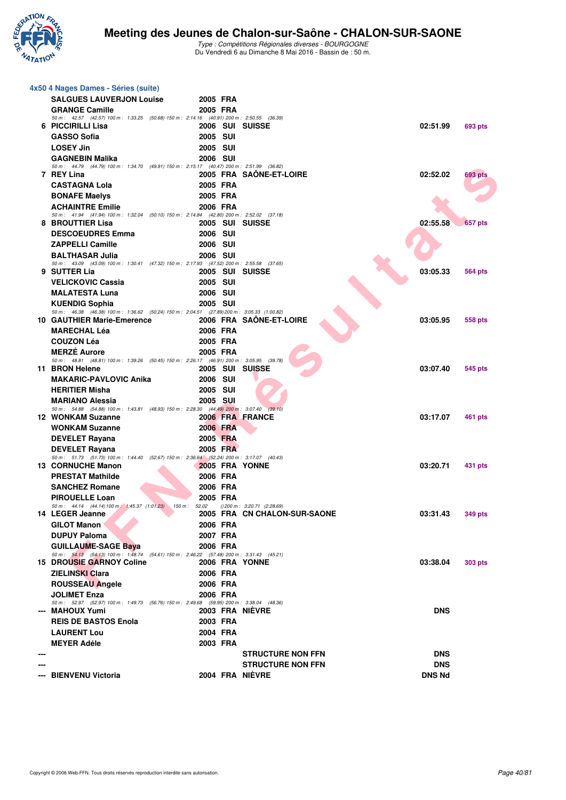

|     | 4x50 4 Nages Dames - Séries (suite)                                                                                    |                             |                              |               |                |
|-----|------------------------------------------------------------------------------------------------------------------------|-----------------------------|------------------------------|---------------|----------------|
|     | <b>SALGUES LAUVERJON Louise</b>                                                                                        | 2005 FRA                    |                              |               |                |
|     | <b>GRANGE Camille</b>                                                                                                  | 2005 FRA                    |                              |               |                |
|     | 50 m: 42.57 (42.57) 100 m: 1:33.25 (50.68) 150 m: 2:14.16 (40.91) 200 m: 2:50.55 (36.39)<br>6 PICCIRILLI Lisa          | 2006 SUI SUISSE             |                              | 02:51.99      | 693 pts        |
|     | <b>GASSO Sofia</b>                                                                                                     | <b>2005 SUI</b>             |                              |               |                |
|     | <b>LOSEY Jin</b>                                                                                                       | <b>2005 SUI</b>             |                              |               |                |
|     | <b>GAGNEBIN Malika</b>                                                                                                 | 2006 SUI                    |                              |               |                |
|     | 50 m: 44.79 (44.79) 100 m: 1:34.70 (49.91) 150 m: 2:15.17 (40.47) 200 m: 2:51.99 (36.82)                               |                             |                              |               |                |
|     | 7 REY Lina<br><b>CASTAGNA Lola</b>                                                                                     | 2005 FRA                    | 2005 FRA SAÖNE-ET-LOIRE      | 02:52.02      | <b>693 pts</b> |
|     | <b>BONAFE Maelys</b>                                                                                                   | 2005 FRA                    |                              |               |                |
|     | <b>ACHAINTRE Emilie</b>                                                                                                | 2006 FRA                    |                              |               |                |
|     | 50 m: 41.94 (41.94) 100 m: 1:32.04 (50.10) 150 m: 2:14.84 (42.80) 200 m: 2:52.02 (37.18)                               |                             |                              |               |                |
|     | 8 BROUTTIER Lisa                                                                                                       | 2005 SUI SUISSE             |                              | 02:55.58      | <b>657 pts</b> |
|     | <b>DESCOEUDRES Emma</b>                                                                                                | 2006 SUI                    |                              |               |                |
|     | <b>ZAPPELLI Camille</b>                                                                                                | <b>2006 SUI</b>             |                              |               |                |
|     | <b>BALTHASAR Julia</b><br>50 m: 43.09 (43.09) 100 m: 1:30.41 (47.32) 150 m: 2:17.93 (47.52) 200 m: 2:55.58 (37.65)     | <b>2006 SUI</b>             |                              |               |                |
|     | 9 SUTTER Lia                                                                                                           | 2005 SUI SUISSE             |                              | 03:05.33      | <b>564 pts</b> |
|     | <b>VELICKOVIC Cassia</b>                                                                                               | 2005 SUI                    |                              |               |                |
|     | <b>MALATESTA Luna</b>                                                                                                  | <b>2006 SUI</b>             |                              |               |                |
|     | <b>KUENDIG Sophia</b><br>50 m: 46.38 (46.38) 100 m: 1:36.62 (50.24) 150 m: 2:04.51 (27.89) 200 m: 3:05.33 (1:00.82)    | <b>2005 SUI</b>             |                              |               |                |
|     | <b>10 GAUTHIER Marie-Emerence</b>                                                                                      |                             | 2006 FRA SAÖNE-ET-LOIRE      | 03:05.95      | 558 pts        |
|     | <b>MARECHAL Léa</b>                                                                                                    | 2006 FRA                    |                              |               |                |
|     | <b>COUZON Léa</b>                                                                                                      | 2005 FRA                    |                              |               |                |
|     | <b>MERZE Aurore</b>                                                                                                    | 2005 FRA                    |                              |               |                |
|     | 50 m: 48.81 (48.81) 100 m: 1:39.26 (50.45) 150 m: 2:26.17 (46.91) 200 m: 3:05.95 (39.78)<br>11 BRON Helene             | 2005 SUI SUISSE             |                              | 03:07.40      | 545 pts        |
|     | <b>MAKARIC-PAVLOVIC Anika</b>                                                                                          | <b>2006 SUI</b>             |                              |               |                |
|     | <b>HERITIER Misha</b>                                                                                                  | <b>2005 SUI</b>             |                              |               |                |
|     | <b>MARIANO Alessia</b>                                                                                                 | 2005 SUI                    |                              |               |                |
|     | 50 m: 54.88 (54.88) 100 m: 1:43.81 (48.93) 150 m: 2:28.30 (44.49) 200 m: 3:07.40                                       |                             | (39.10)                      |               |                |
|     | <b>12 WONKAM Suzanne</b><br><b>WONKAM Suzanne</b>                                                                      | 2006 FRA FRANCE<br>2006 FRA |                              | 03:17.07      | 461 pts        |
|     | <b>DEVELET Rayana</b>                                                                                                  | 2005 FRA                    |                              |               |                |
|     | <b>DEVELET Rayana</b>                                                                                                  | 2005 FRA                    |                              |               |                |
|     | 50 m: 51.73 (51.73) 100 m: 1:44.40 (52.67) 150 m: 2:36.64 (52.24) 200 m: 3:17.07 (40.43)                               |                             |                              |               |                |
|     | <b>13 CORNUCHE Manon</b>                                                                                               | 2005 FRA YONNE              |                              | 03:20.71      | 431 pts        |
|     | <b>PRESTAT Mathilde</b><br><b>SANCHEZ Romane</b>                                                                       | 2006 FRA<br>2006 FRA        |                              |               |                |
|     | <b>PIROUELLE Loan</b>                                                                                                  | 2005 FRA                    |                              |               |                |
|     | 50 m: 44.14 (44.14) 100 m: 1:45.37 (1:01.23) 150 m: 52.02 () 200 m: 3:20.71 (2:28.69)                                  |                             |                              |               |                |
|     | 14 LEGER Jeanne                                                                                                        |                             | 2005 FRA CN CHALON-SUR-SAONE | 03:31.43      | 349 pts        |
|     | <b>GILOT Manon</b>                                                                                                     | 2006 FRA                    |                              |               |                |
|     | <b>DUPUY Paloma</b>                                                                                                    | 2007 FRA                    |                              |               |                |
|     | <b>GUILLAUME-SAGE Baya</b><br>50 m: 54.13 (54.13) 100 m: 1:48.74 (54.61) 150 m: 2:46.22 (57.48) 200 m: 3:31.43 (45.21) | 2006 FRA                    |                              |               |                |
|     | <b>15 DROUSIE GARNOY Coline</b>                                                                                        | 2006 FRA YONNE              |                              | 03:38.04      | <b>303 pts</b> |
|     | <b>ZIELINSKI Clara</b>                                                                                                 | 2006 FRA                    |                              |               |                |
|     | <b>ROUSSEAU Angele</b>                                                                                                 | 2006 FRA                    |                              |               |                |
|     | <b>JOLIMET Enza</b>                                                                                                    | 2006 FRA                    |                              |               |                |
|     | 50 m: 52.97 (52.97) 100 m: 1:49.73 (56.76) 150 m: 2:49.68 (59.95) 200 m: 3:38.04 (48.36)<br>--- MAHOUX Yumi            | 2003 FRA NIEVRE             |                              | <b>DNS</b>    |                |
|     | <b>REIS DE BASTOS Enola</b>                                                                                            | 2003 FRA                    |                              |               |                |
|     | <b>LAURENT Lou</b>                                                                                                     | 2004 FRA                    |                              |               |                |
|     | <b>MEYER Adéle</b>                                                                                                     | 2003 FRA                    |                              |               |                |
| --- |                                                                                                                        |                             | <b>STRUCTURE NON FFN</b>     | <b>DNS</b>    |                |
|     |                                                                                                                        |                             | <b>STRUCTURE NON FFN</b>     | <b>DNS</b>    |                |
|     | --- BIENVENU Victoria                                                                                                  | 2004 FRA NIÈVRE             |                              | <b>DNS Nd</b> |                |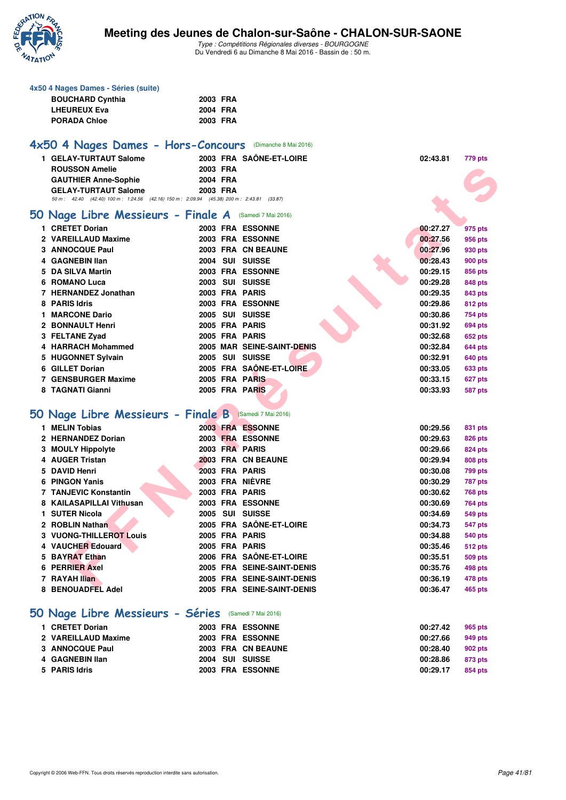

**4x50 4 Nages Dames - Séries (suite)**

#### **Meeting des Jeunes de Chalon-sur-Saône - CHALON-SUR-SAONE**

| <b>BOUCHARD Cynthia</b>                                                                  | 2003 FRA |          |                            |          |                |
|------------------------------------------------------------------------------------------|----------|----------|----------------------------|----------|----------------|
| <b>LHEUREUX Eva</b>                                                                      | 2004 FRA |          |                            |          |                |
| <b>PORADA Chloe</b>                                                                      |          | 2003 FRA |                            |          |                |
|                                                                                          |          |          |                            |          |                |
| 4x50 4 Nages Dames - Hors-Concours (Dimanche 8 Mai 2016)                                 |          |          |                            |          |                |
| 1 GELAY-TURTAUT Salome                                                                   |          |          | 2003 FRA SAÔNE-ET-LOIRE    | 02:43.81 | 779 pts        |
| <b>ROUSSON Amelie</b>                                                                    | 2003 FRA |          |                            |          |                |
| <b>GAUTHIER Anne-Sophie</b>                                                              | 2004 FRA |          |                            |          |                |
| <b>GELAY-TURTAUT Salome</b>                                                              | 2003 FRA |          |                            |          |                |
| 50 m: 42.40 (42.40) 100 m: 1:24.56 (42.16) 150 m: 2:09.94 (45.38) 200 m: 2:43.81 (33.87) |          |          |                            |          |                |
| 50 Nage Libre Messieurs - Finale A                                                       |          |          | (Samedi 7 Mai 2016)        |          |                |
| 1 CRETET Dorian                                                                          |          |          | 2003 FRA ESSONNE           | 00:27.27 | 975 pts        |
| 2 VAREILLAUD Maxime                                                                      |          |          | 2003 FRA ESSONNE           | 00:27.56 | 956 pts        |
| <b>3 ANNOCQUE Paul</b>                                                                   |          |          | 2003 FRA CN BEAUNE         | 00:27.96 | 930 pts        |
| 4 GAGNEBIN IIan                                                                          |          |          | 2004 SUI SUISSE            | 00:28.43 | <b>900 pts</b> |
| 5 DA SILVA Martin                                                                        |          |          | 2003 FRA ESSONNE           | 00:29.15 | 856 pts        |
| 6 ROMANO Luca                                                                            |          |          | 2003 SUI SUISSE            | 00:29.28 | 848 pts        |
| 7 HERNANDEZ Jonathan                                                                     |          |          | 2003 FRA PARIS             | 00:29.35 | 843 pts        |
| 8 PARIS Idris                                                                            |          |          | 2003 FRA ESSONNE           | 00:29.86 | 812 pts        |
| 1 MARCONE Dario                                                                          |          |          | 2005 SUI SUISSE            | 00:30.86 | 754 pts        |
| 2 BONNAULT Henri                                                                         |          |          | 2005 FRA PARIS             | 00:31.92 | <b>694 pts</b> |
| 3 FELTANE Zyad                                                                           |          |          | 2005 FRA PARIS             | 00:32.68 | 652 pts        |
| 4 HARRACH Mohammed                                                                       |          |          | 2005 MAR SEINE-SAINT-DENIS | 00:32.84 | <b>644 pts</b> |
| 5 HUGONNET Sylvain                                                                       |          |          | 2005 SUI SUISSE            | 00:32.91 | 640 pts        |
| 6 GILLET Dorian                                                                          |          |          | 2005 FRA SAÔNE-ET-LOIRE    | 00:33.05 | 633 pts        |
| 7 GENSBURGER Maxime                                                                      |          |          | 2005 FRA PARIS             | 00:33.15 | 627 pts        |
| 8 TAGNATI Gianni                                                                         |          |          | 2005 FRA PARIS             | 00:33.93 | <b>587 pts</b> |
|                                                                                          |          |          |                            |          |                |
| 50 Nage Libre Messieurs - Finale B                                                       |          |          | (Samedi 7 Mai 2016)        |          |                |
| 1 MELIN Tobias                                                                           |          |          | 2003 FRA ESSONNE           | 00:29.56 | 831 pts        |
| 2 HERNANDEZ Dorian                                                                       |          |          | 2003 FRA ESSONNE           | 00:29.63 | 826 pts        |
| 3 MOULY Hippolyte                                                                        |          |          | 2003 FRA PARIS             | 00:29.66 | 824 pts        |
| 4 AUGER Tristan                                                                          |          |          | 2003 FRA CN BEAUNE         | 00:29.94 | 808 pts        |
| 5 DAVID Henri                                                                            |          |          | 2003 FRA PARIS             | 00:30.08 | 799 pts        |
| 6 PINGON Yanis                                                                           |          |          | <b>2003 FRA NIÈVRE</b>     | 00:30.29 | <b>787 pts</b> |
| <b>7 TANJEVIC Konstantin</b>                                                             |          |          | 2003 FRA PARIS             | 00:30.62 | <b>768 pts</b> |
| 8 KAILASAPILLAI Vithusan                                                                 |          |          | 2003 FRA ESSONNE           | 00:30.69 | 764 pts        |
| 1 SUTER Nicola                                                                           |          |          | 2005 SUI SUISSE            | 00:34.69 | 549 pts        |
| 2 ROBLIN Nathan                                                                          |          |          | 2005 FRA SAONE-ET-LOIRE    | 00:34.73 | 547 pts        |
| <b>3 VUONG-THILLEROT Louis</b>                                                           |          |          | 2005 FRA PARIS             | 00:34.88 | <b>540 pts</b> |
| 4 VAUCHER Edouard                                                                        |          |          | 2005 FRA PARIS             | 00:35.46 | <b>512 pts</b> |
| 5 BAYRAT Ethan                                                                           |          |          | 2006 FRA SAÔNE-ET-LOIRE    | 00:35.51 | <b>509 pts</b> |
| 6 PERRIER Axel                                                                           |          |          | 2005 FRA SEINE-SAINT-DENIS | 00:35.76 | 498 pts        |
| 7 RAYAH Ilian                                                                            |          |          | 2005 FRA SEINE-SAINT-DENIS | 00:36.19 | 478 pts        |
| 8 BENOUADFEL Adel                                                                        |          |          | 2005 FRA SEINE-SAINT-DENIS | 00:36.47 | 465 pts        |
|                                                                                          |          |          |                            |          |                |
| 50 Nage Libre Messieurs - Séries (Samedi 7 Mai 2016)                                     |          |          |                            |          |                |
| 1 CRETET Dorian                                                                          |          |          | 2003 FRA ESSONNE           | 00:27.42 | 965 pts        |
| 2 VAREILLAUD Maxime                                                                      |          |          | 2003 FRA ESSONNE           | 00:27.66 | 949 pts        |
| 3 ANNOCQUE Paul                                                                          |          |          | 2003 FRA CN BEAUNE         | 00:28.40 | 902 pts        |
| 4 GAGNEBIN Ilan                                                                          |          |          | 2004 SUI SUISSE            | 00:28.86 | 873 pts        |
| 5 PARIS Idris                                                                            |          |          | 2003 FRA ESSONNE           | 00:29.17 | 854 pts        |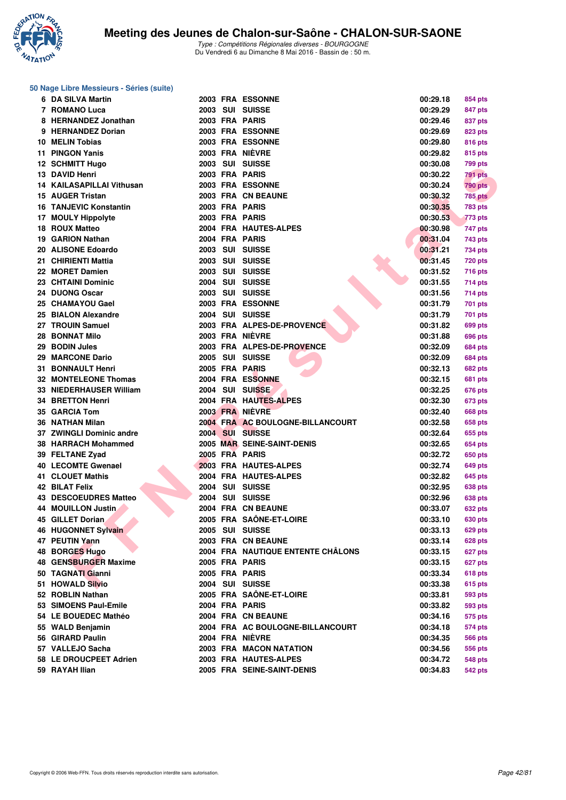

#### **50 Nage Libre Messieurs - Séries (suite)**

| 6   | <b>DA SILVA Martin</b>           |  | 2003 FRA ESSONNE                                    | 00:29.18 | 854 pts        |
|-----|----------------------------------|--|-----------------------------------------------------|----------|----------------|
|     | 7 ROMANO Luca                    |  | 2003 SUI SUISSE                                     | 00:29.29 | 847 pts        |
|     | 8 HERNANDEZ Jonathan             |  | 2003 FRA PARIS                                      | 00:29.46 | 837 pts        |
|     | 9 HERNANDEZ Dorian               |  | <b>2003 FRA ESSONNE</b>                             | 00:29.69 | 823 pts        |
|     | 10 MELIN Tobias                  |  | 2003 FRA ESSONNE                                    | 00:29.80 | 816 pts        |
| 11. | <b>PINGON Yanis</b>              |  | 2003 FRA NIÈVRE                                     | 00:29.82 | 815 pts        |
|     | <b>12 SCHMITT Hugo</b>           |  | 2003 SUI SUISSE                                     | 00:30.08 | 799 pts        |
|     | 13 DAVID Henri                   |  | 2003 FRA PARIS                                      | 00:30.22 | 791 pts        |
|     | <b>14 KAILASAPILLAI Vithusan</b> |  | <b>2003 FRA ESSONNE</b>                             | 00:30.24 | <b>790 pts</b> |
|     | 15 AUGER Tristan                 |  | 2003 FRA CN BEAUNE                                  | 00:30.32 | <b>785 pts</b> |
|     | 16 TANJEVIC Konstantin           |  | 2003 FRA PARIS                                      | 00:30.35 | <b>783 pts</b> |
|     | 17 MOULY Hippolyte               |  | 2003 FRA PARIS                                      | 00:30.53 | <b>773 pts</b> |
|     | 18 ROUX Matteo                   |  | 2004 FRA HAUTES-ALPES                               | 00:30.98 | 747 pts        |
|     | 19 GARION Nathan                 |  | 2004 FRA PARIS                                      | 00:31.04 | 743 pts        |
|     | 20 ALISONE Edoardo               |  | 2003 SUI SUISSE                                     | 00:31.21 | 734 pts        |
|     | 21 CHIRIENTI Mattia              |  | 2003 SUI SUISSE                                     | 00:31.45 | <b>720 pts</b> |
|     | 22 MORET Damien                  |  | 2003 SUI SUISSE                                     | 00:31.52 | <b>716 pts</b> |
|     | 23 CHTAINI Dominic               |  | 2004 SUI SUISSE                                     | 00:31.55 | 714 pts        |
|     | 24 DUONG Oscar                   |  | 2003 SUI SUISSE                                     | 00:31.56 | 714 pts        |
|     | 25 CHAMAYOU Gael                 |  | 2003 FRA ESSONNE                                    | 00:31.79 | 701 pts        |
|     | 25 BIALON Alexandre              |  | 2004 SUI SUISSE                                     | 00:31.79 | 701 pts        |
|     | 27 TROUIN Samuel                 |  | 2003 FRA ALPES-DE-PROVENCE                          | 00:31.82 | 699 pts        |
|     | 28 BONNAT Milo                   |  | 2003 FRA NIÈVRE                                     | 00:31.88 | 696 pts        |
|     | 29 BODIN Jules                   |  | 2003 FRA ALPES-DE-PROVENCE                          | 00:32.09 | 684 pts        |
|     | 29 MARCONE Dario                 |  | 2005 SUI SUISSE                                     | 00:32.09 | 684 pts        |
|     | 31 BONNAULT Henri                |  | 2005 FRA PARIS                                      | 00:32.13 | <b>682 pts</b> |
|     | <b>32 MONTELEONE Thomas</b>      |  | 2004 FRA ESSONNE                                    | 00:32.15 |                |
|     | 33 NIEDERHAUSER William          |  | 2004 SUI SUI <b>SSE</b>                             | 00:32.25 | 681 pts        |
|     | 34 BRETTON Henri                 |  | 2004 FRA HAUTES-ALPES                               | 00:32.30 | 676 pts        |
|     | 35 GARCIA Tom                    |  | 2003 FRA NIÈVRE                                     | 00:32.40 | 673 pts        |
|     |                                  |  | 2004 FRA AC BOULOGNE-BILLANCOURT                    |          | 668 pts        |
|     | 36 NATHAN Milan                  |  | 2004 SUI SUISSE                                     | 00:32.58 | 658 pts        |
|     | 37 ZWINGLI Dominic andre         |  |                                                     | 00:32.64 | 655 pts        |
|     | 38 HARRACH Mohammed              |  | <b>2005 MAR SEINE-SAINT-DENIS</b><br>2005 FRA PARIS | 00:32.65 | 654 pts        |
|     | 39 FELTANE Zyad                  |  |                                                     | 00:32.72 | 650 pts        |
|     | 40 LECOMTE Gwenael               |  | 2003 FRA HAUTES-ALPES                               | 00:32.74 | 649 pts        |
|     | <b>41 CLOUET Mathis</b>          |  | 2004 FRA HAUTES-ALPES                               | 00:32.82 | 645 pts        |
|     | 42 BILAT Felix                   |  | 2004 SUI SUISSE                                     | 00:32.95 | 638 pts        |
|     | <b>43 DESCOEUDRES Matteo</b>     |  | 2004 SUI SUISSE                                     | 00:32.96 | 638 pts        |
|     | <b>44 MOUILLON Justin</b>        |  | 2004 FRA CN BEAUNE                                  | 00:33.07 | <b>632 pts</b> |
|     | 45 GILLET Dorian                 |  | 2005 FRA SAÔNE-ET-LOIRE                             | 00:33.10 | <b>630 pts</b> |
|     | <b>46 HUGONNET Sylvain</b>       |  | 2005 SUI SUISSE                                     | 00:33.13 | 629 pts        |
|     | 47 PEUTIN Yann                   |  | 2003 FRA CN BEAUNE                                  | 00:33.14 | 628 pts        |
|     | 48 BORGES Hugo                   |  | 2004 FRA NAUTIQUE ENTENTE CHÂLONS                   | 00:33.15 | 627 pts        |
|     | 48 GENSBURGER Maxime             |  | 2005 FRA PARIS                                      | 00:33.15 | 627 pts        |
|     | 50 TAGNATI Gianni                |  | 2005 FRA PARIS                                      | 00:33.34 | <b>618 pts</b> |
|     | 51 HOWALD Silvio                 |  | 2004 SUI SUISSE                                     | 00:33.38 | <b>615 pts</b> |
|     | 52 ROBLIN Nathan                 |  | 2005 FRA SAÔNE-ET-LOIRE                             | 00:33.81 | 593 pts        |
|     | 53 SIMOENS Paul-Emile            |  | 2004 FRA PARIS                                      | 00:33.82 | 593 pts        |
|     | 54 LE BOUEDEC Mathéo             |  | 2004 FRA CN BEAUNE                                  | 00:34.16 | 575 pts        |
|     | 55 WALD Benjamin                 |  | 2004 FRA AC BOULOGNE-BILLANCOURT                    | 00:34.18 | 574 pts        |
|     | 56 GIRARD Paulin                 |  | 2004 FRA NIÈVRE                                     | 00:34.35 | <b>566 pts</b> |
|     | 57 VALLEJO Sacha                 |  | 2003 FRA MACON NATATION                             | 00:34.56 | 556 pts        |
|     | 58 LE DROUCPEET Adrien           |  | 2003 FRA HAUTES-ALPES                               | 00:34.72 | 548 pts        |
|     | 59 RAYAH Ilian                   |  | 2005 FRA SEINE-SAINT-DENIS                          | 00:34.83 | 542 pts        |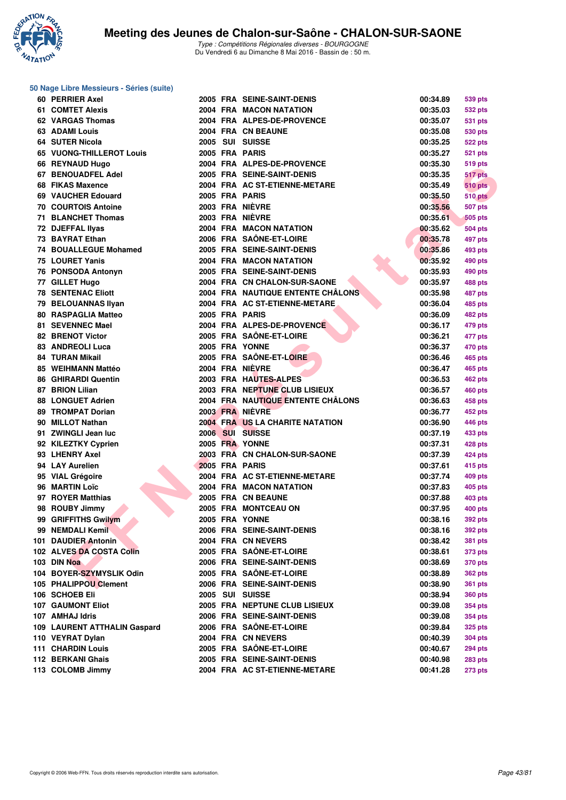

**50 Nage Libre Messieurs - Séries (suite)**

| 60 PERRIER Axel                         |  | 2005 FRA SEINE-SAINT-DENIS        | 00:34.89             | 539 pts        |
|-----------------------------------------|--|-----------------------------------|----------------------|----------------|
| 61 COMTET Alexis                        |  | 2004 FRA MACON NATATION           | 00:35.03             | <b>532 pts</b> |
| 62 VARGAS Thomas                        |  | 2004 FRA ALPES-DE-PROVENCE        | 00:35.07             | 531 pts        |
| <b>63 ADAMI Louis</b>                   |  | 2004 FRA CN BEAUNE                | 00:35.08             | 530 pts        |
| 64 SUTER Nicola                         |  | 2005 SUI SUISSE                   | 00:35.25             | <b>522 pts</b> |
| 65 VUONG-THILLEROT Louis                |  | 2005 FRA PARIS                    | 00:35.27             | <b>521 pts</b> |
| 66 REYNAUD Hugo                         |  | 2004 FRA ALPES-DE-PROVENCE        | 00:35.30             | <b>519 pts</b> |
| 67 BENOUADFEL Adel                      |  | 2005 FRA SEINE-SAINT-DENIS        | 00:35.35             | 517 pts        |
| 68 FIKAS Maxence                        |  | 2004 FRA AC ST-ETIENNE-METARE     | 00:35.49             | <b>510 pts</b> |
| 69 VAUCHER Edouard                      |  | 2005 FRA PARIS                    | 00:35.50             | <b>510 pts</b> |
| <b>70 COURTOIS Antoine</b>              |  | 2003 FRA NIÈVRE                   | 00:35.56             | 507 pts        |
| 71 BLANCHET Thomas                      |  | 2003 FRA NIÈVRE                   | 00:35.61             | <b>505 pts</b> |
| 72 DJEFFAL IIyas                        |  | 2004 FRA MACON NATATION           | 00:35.62             | 504 pts        |
| 73 BAYRAT Ethan                         |  | 2006 FRA SAÖNE-ET-LOIRE           | 00:35.78             | 497 pts        |
| <b>74 BOUALLEGUE Mohamed</b>            |  | 2005 FRA SEINE-SAINT-DENIS        | 00:35.86             | 493 pts        |
| 75 LOURET Yanis                         |  | 2004 FRA MACON NATATION           | 00:35.92             | 490 pts        |
| 76 PONSODA Antonyn                      |  | 2005 FRA SEINE-SAINT-DENIS        | 00:35.93             | 490 pts        |
| 77 GILLET Hugo                          |  | 2004 FRA CN CHALON-SUR-SAONE      | 00:35.97             | 488 pts        |
| <b>78 SENTENAC Eliott</b>               |  | 2004 FRA NAUTIQUE ENTENTE CHÂLONS | 00:35.98             | 487 pts        |
| 79 BELOUANNAS Ilyan                     |  | 2004 FRA AC ST-ETIENNE-METARE     | 00:36.04             | 485 pts        |
| <b>80 RASPAGLIA Matteo</b>              |  | 2005 FRA PARIS                    | 00:36.09             | <b>482 pts</b> |
| 81 SEVENNEC Mael                        |  | 2004 FRA ALPES-DE-PROVENCE        | 00:36.17             | 479 pts        |
| 82 BRENOT Victor                        |  | 2005 FRA SAÔNE-ET-LOIRE           | 00:36.21             | 477 pts        |
| 83 ANDREOLI Luca                        |  | 2005 FRA YONNE                    | 00:36.37             | 470 pts        |
| <b>84 TURAN Mikail</b>                  |  | 2005 FRA SAÔNE-ET-LOIRE           | 00:36.46             | 465 pts        |
| 85 WEIHMANN Mattéo                      |  | 2004 FRA NIÈVRE                   | 00:36.47             | 465 pts        |
| <b>86 GHIRARDI Quentin</b>              |  | 2003 FRA HAUTES-ALPES             | 00:36.53             | <b>462 pts</b> |
| 87 BRION Lilian                         |  | 2003 FRA NEPTUNE CLUB LISIEUX     | 00:36.57             | <b>460 pts</b> |
| <b>88 LONGUET Adrien</b>                |  | 2004 FRA NAUTIQUE ENTENTE CHÂLONS | 00:36.63             | 458 pts        |
| 89 TROMPAT Dorian                       |  | 2003 FRA NIÈVRE                   | 00:36.77             |                |
| 90 MILLOT Nathan                        |  | 2004 FRA US LA CHARITE NATATION   | 00:36.90             | 452 pts        |
| 91 ZWINGLI Jean luc                     |  | 2006 SUI SUISSE                   | 00:37.19             | 446 pts        |
| 92 KILEZTKY Cyprien                     |  | 2005 FRA YONNE                    | 00:37.31             | 433 pts        |
| 93 LHENRY Axel                          |  | 2003 FRA CN CHALON-SUR-SAONE      | 00:37.39             | 428 pts        |
| 94 LAY Aurelien                         |  | 2005 FRA PARIS                    | 00:37.61             | 424 pts        |
| 95 VIAL Grégoire                        |  | 2004 FRA AC ST-ETIENNE-METARE     | 00:37.74             | <b>415 pts</b> |
| 96 MARTIN Loïc                          |  | <b>2004 FRA MACON NATATION</b>    | 00:37.83             | 409 pts        |
| 97 ROYER Matthias                       |  | 2005 FRA CN BEAUNE                | 00:37.88             | 405 pts        |
| 98 ROUBY Jimmy                          |  | 2005 FRA MONTCEAU ON              | 00:37.95             | 403 pts        |
|                                         |  | 2005 FRA YONNE                    |                      | <b>400 pts</b> |
| 99 GRIFFITHS Gwilym<br>99 NEMDALI Kemil |  | 2006 FRA SEINE-SAINT-DENIS        | 00:38.16<br>00:38.16 | 392 pts        |
| 101 DAUDIER Antonin                     |  | 2004 FRA CN NEVERS                | 00:38.42             | <b>392 pts</b> |
|                                         |  | 2005 FRA SAÔNE-ET-LOIRE           | 00:38.61             | <b>381 pts</b> |
| 102 ALVES DA COSTA Colin<br>103 DIN Noa |  | 2006 FRA SEINE-SAINT-DENIS        |                      | 373 pts        |
| 104 BOYER-SZYMYSLIK Odin                |  | 2005 FRA SAÔNE-ET-LOIRE           | 00:38.69             | 370 pts        |
|                                         |  |                                   | 00:38.89             | <b>362 pts</b> |
| 105 PHALIPPOU Clement                   |  | 2006 FRA SEINE-SAINT-DENIS        | 00:38.90             | <b>361 pts</b> |
| 106 SCHOEB Eli                          |  | 2005 SUI SUISSE                   | 00:38.94             | <b>360 pts</b> |
| <b>107 GAUMONT Eliot</b>                |  | 2005 FRA NEPTUNE CLUB LISIEUX     | 00:39.08             | <b>354 pts</b> |
| 107 AMHAJ Idris                         |  | 2006 FRA SEINE-SAINT-DENIS        | 00:39.08             | 354 pts        |
| 109 LAURENT ATTHALIN Gaspard            |  | 2006 FRA SAÔNE-ET-LOIRE           | 00:39.84             | <b>325 pts</b> |
| 110 VEYRAT Dylan                        |  | 2004 FRA CN NEVERS                | 00:40.39             | <b>304 pts</b> |
| <b>111 CHARDIN Louis</b>                |  | 2005 FRA SAÔNE-ET-LOIRE           | 00:40.67             | <b>294 pts</b> |
| 112 BERKANI Ghais                       |  | 2005 FRA SEINE-SAINT-DENIS        | 00:40.98             | <b>283 pts</b> |
| 113 COLOMB Jimmy                        |  | 2004 FRA AC ST-ETIENNE-METARE     | 00:41.28             | <b>273 pts</b> |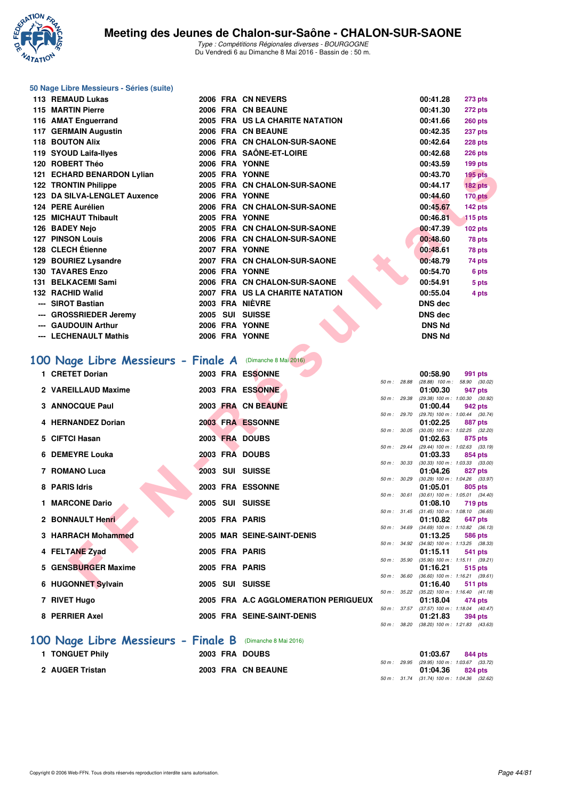

|  |  | 50 Nage Libre Messieurs - Séries (suite) |  |  |
|--|--|------------------------------------------|--|--|
|--|--|------------------------------------------|--|--|

| 113 REMAUD Lukas                                          |                | 2006 FRA CN NEVERS                                 |              | 00:41.28                         | <b>273 pts</b>                                        |
|-----------------------------------------------------------|----------------|----------------------------------------------------|--------------|----------------------------------|-------------------------------------------------------|
| 115 MARTIN Pierre                                         |                | 2006 FRA CN BEAUNE                                 |              | 00:41.30                         | 272 pts                                               |
| 116 AMAT Enguerrand                                       |                | 2005 FRA US LA CHARITE NATATION                    |              | 00:41.66                         | <b>260 pts</b>                                        |
| 117 GERMAIN Augustin                                      |                | 2006 FRA CN BEAUNE                                 |              | 00:42.35                         | <b>237 pts</b>                                        |
| <b>118 BOUTON Alix</b>                                    |                | 2006 FRA CN CHALON-SUR-SAONE                       |              | 00:42.64                         | 228 pts                                               |
| 119 SYOUD Laifa-Ilyes                                     |                | 2006 FRA SAÖNE-ET-LOIRE                            |              | 00:42.68                         | 226 pts                                               |
| 120 ROBERT Théo                                           |                | 2006 FRA YONNE                                     |              | 00:43.59                         | 199 pts                                               |
| 121 ECHARD BENARDON Lylian                                |                | 2005 FRA YONNE                                     |              | 00:43.70                         | <b>195 pts</b>                                        |
| 122 TRONTIN Philippe                                      |                | 2005 FRA CN CHALON-SUR-SAONE                       |              | 00:44.17                         | 182 pts                                               |
| 123 DA SILVA-LENGLET Auxence                              |                | 2006 FRA YONNE                                     |              | 00:44.60                         | 170 pts                                               |
| 124 PERE Aurélien                                         |                | 2006 FRA CN CHALON-SUR-SAONE                       |              | 00:45.67                         | 142 pts                                               |
| <b>125 MICHAUT Thibault</b>                               |                | 2005 FRA YONNE                                     |              | 00:46.81                         | $115$ pts                                             |
| 126 BADEY Nejo                                            |                | 2005 FRA CN CHALON-SUR-SAONE                       |              | 00:47.39                         | <b>102 pts</b>                                        |
| <b>127 PINSON Louis</b>                                   |                | 2006 FRA CN CHALON-SUR-SAONE                       |              | 00:48.60                         | 78 pts                                                |
| 128 CLECH Etienne                                         |                | 2007 FRA YONNE                                     |              | 00:48.61                         | 78 pts                                                |
| 129 BOURIEZ Lysandre                                      |                | 2007 FRA CN CHALON-SUR-SAONE                       |              | 00:48.79                         | 74 pts                                                |
| <b>130 TAVARES Enzo</b>                                   |                | 2006 FRA YONNE                                     |              | 00:54.70                         | 6 pts                                                 |
| 131 BELKACEMI Sami                                        |                | 2006 FRA CN CHALON-SUR-SAONE                       |              | 00:54.91                         | 5 pts                                                 |
| 132 RACHID Walid                                          |                | 2007 FRA US LA CHARITE NATATION<br>2003 FRA NIÈVRE |              | 00:55.04                         | 4 pts                                                 |
| --- SIROT Bastian                                         |                |                                                    |              | <b>DNS</b> dec<br><b>DNS</b> dec |                                                       |
| --- GROSSRIEDER Jeremy<br>--- GAUDOUIN Arthur             |                | 2005 SUI SUISSE<br>2006 FRA YONNE                  |              | <b>DNS Nd</b>                    |                                                       |
| --- LECHENAULT Mathis                                     |                | 2006 FRA YONNE                                     |              | <b>DNS Nd</b>                    |                                                       |
|                                                           |                |                                                    |              |                                  |                                                       |
| 100 Nage Libre Messieurs - Finale A (Dimanche 8 Mai 2016) |                |                                                    |              |                                  |                                                       |
| 1 CRETET Dorian                                           |                | 2003 FRA ESSONNE                                   |              | 00:58.90                         | 991 pts<br>50 m: 28.88 (28.88) 100 m: 58.90 (30.02)   |
| 2 VAREILLAUD Maxime                                       |                | 2003 FRA ESSONNE                                   |              | 01:00.30                         | 947 pts                                               |
|                                                           |                |                                                    | 50 m : 29.38 |                                  | (29.38) 100 m: 1:00.30 (30.92)                        |
| 3 ANNOCQUE Paul                                           |                | 2003 FRA CN BEAUNE                                 |              | 01:00.44                         | 942 pts<br>50 m: 29.70 (29.70) 100 m: 1:00.44 (30.74) |
| 4 HERNANDEZ Dorian                                        |                | 2003 FRA ESSONNE                                   |              | 01:02.25                         | 887 pts                                               |
| 5 CIFTCI Hasan                                            |                | 2003 FRA DOUBS                                     | 50 m : 30.05 | 01:02.63                         | $(30.05)$ 100 m : 1:02.25 $(32.20)$<br>875 pts        |
|                                                           |                |                                                    |              |                                  | 50 m: 29.44 (29.44) 100 m: 1:02.63 (33.19)            |
| 6 DEMEYRE Louka                                           |                | 2003 FRA DOUBS                                     | 50 m: 30.33  | 01:03.33                         | 854 pts                                               |
| 7 ROMANO Luca                                             |                | 2003 SUI SUISSE                                    |              | 01:04.26                         | $(30.33)$ 100 m : 1:03.33 $(33.00)$<br>827 pts        |
|                                                           |                |                                                    |              |                                  | 50 m : 30.29 (30.29) 100 m : 1:04.26 (33.97)          |
| 8 PARIS Idris                                             |                | 2003 FRA ESSONNE                                   | 50 m: 30.61  | 01:05.01                         | 805 pts<br>$(30.61)$ 100 m : 1:05.01 $(34.40)$        |
| 1 MARCONE Dario                                           |                | 2005 SUI SUISSE                                    |              | 01:08.10                         | <b>719 pts</b>                                        |
|                                                           |                |                                                    |              |                                  | 50 m: 31.45 (31.45) 100 m: 1:08.10 (36.65)            |
| 2 BONNAULT Henri                                          | 2005 FRA PARIS |                                                    |              | 01:10.82                         | 647 pts<br>50 m: 34.69 (34.69) 100 m: 1:10.82 (36.13) |
| 3 HARRACH Mohammed                                        |                | 2005 MAR SEINE-SAINT-DENIS                         |              | 01:13.25                         | 586 pts                                               |
| 4 FELTANE Zyad                                            | 2005 FRA PARIS |                                                    |              | 01:15.11                         | 50 m: 34.92 (34.92) 100 m: 1:13.25 (38.33)<br>541 pts |
|                                                           |                |                                                    |              |                                  | 50 m: 35.90 (35.90) 100 m: 1:15.11 (39.21)            |
| 5 GENSBURGER Maxime                                       | 2005 FRA PARIS |                                                    | 50 m : 36.60 | 01:16.21                         | 515 pts<br>$(36.60)$ 100 m : 1:16.21 $(39.61)$        |

# **[100 Nage Libre Messieurs - Finale A](http://www.ffnatation.fr/webffn/resultats.php?idact=nat&go=epr&idcpt=38881&idepr=52)** (Dimanche 8 Mai 2016)

| 1 CRETET Dorian                                                                                                                                                                                                                                                                                                                    |                 | 2003 FRA ESSONNE                     |              | 00:58.90                                            | 991 pts        |  |
|------------------------------------------------------------------------------------------------------------------------------------------------------------------------------------------------------------------------------------------------------------------------------------------------------------------------------------|-----------------|--------------------------------------|--------------|-----------------------------------------------------|----------------|--|
| 2 VAREILLAUD Maxime                                                                                                                                                                                                                                                                                                                |                 | 2003 FRA ESSONNE                     | 50 m : 28.88 | $(28.88)$ 100 m : 58.90 (30.<br>01:00.30            | 947 pts        |  |
|                                                                                                                                                                                                                                                                                                                                    |                 |                                      | 50 m : 29.38 | $(29.38)$ 100 m : 1:00.30 (30.                      |                |  |
| 3 ANNOCQUE Paul                                                                                                                                                                                                                                                                                                                    |                 | 2003 FRA CN BEAUNE                   |              | 01:00.44                                            | 942 pts        |  |
|                                                                                                                                                                                                                                                                                                                                    |                 |                                      | 50 m : 29.70 | $(29.70)$ 100 m : 1:00.44 (30.                      |                |  |
| 4 HERNANDEZ Dorian                                                                                                                                                                                                                                                                                                                 |                 | 2003 FRA ESSONNE                     |              | 01:02.25                                            | 887 pts        |  |
|                                                                                                                                                                                                                                                                                                                                    |                 |                                      |              | 50 m: 30.05 (30.05) 100 m: 1:02.25 (32.             |                |  |
| 5 CIFTCI Hasan                                                                                                                                                                                                                                                                                                                     |                 | 2003 FRA DOUBS                       |              | 01:02.63<br>50 m: 29.44 (29.44) 100 m: 1:02.63 (33. | 875 pts        |  |
| 6 DEMEYRE Louka                                                                                                                                                                                                                                                                                                                    |                 | 2003 FRA DOUBS                       |              | 01:03.33                                            | 854 pts        |  |
|                                                                                                                                                                                                                                                                                                                                    |                 |                                      |              | 50 m: 30.33 (30.33) 100 m: 1:03.33 (33.             |                |  |
| 7 ROMANO Luca                                                                                                                                                                                                                                                                                                                      |                 | 2003 SUI SUISSE                      |              | 01:04.26                                            | 827 pts        |  |
|                                                                                                                                                                                                                                                                                                                                    |                 |                                      | 50 m : 30.29 | $(30.29)$ 100 m : 1:04.26 (33.                      |                |  |
| 8 PARIS Idris                                                                                                                                                                                                                                                                                                                      |                 | 2003 FRA ESSONNE                     |              | 01:05.01                                            | 805 pts        |  |
|                                                                                                                                                                                                                                                                                                                                    |                 |                                      |              | 50 m: 30.61 (30.61) 100 m: 1:05.01 (34.             |                |  |
| 1 MARCONE Dario                                                                                                                                                                                                                                                                                                                    |                 | 2005 SUI SUISSE                      |              | 01:08.10                                            | 719 pts        |  |
|                                                                                                                                                                                                                                                                                                                                    |                 |                                      |              | 50 m: 31.45 (31.45) 100 m: 1:08.10 (36.             |                |  |
| 2 BONNAULT Henri                                                                                                                                                                                                                                                                                                                   |                 | 2005 FRA PARIS                       |              | 01:10.82                                            | 647 pts        |  |
|                                                                                                                                                                                                                                                                                                                                    |                 |                                      |              | 50 m: 34.69 (34.69) 100 m: 1:10.82 (36.             |                |  |
| 3 HARRACH Mohammed                                                                                                                                                                                                                                                                                                                 |                 | 2005 MAR SEINE-SAINT-DENIS           |              | 01:13.25                                            | <b>586 pts</b> |  |
|                                                                                                                                                                                                                                                                                                                                    |                 |                                      |              | 50 m: 34.92 (34.92) 100 m: 1:13.25 (38.             |                |  |
| 4 FELTANE Zyad                                                                                                                                                                                                                                                                                                                     |                 | 2005 FRA PARIS                       |              | 01:15.11                                            | 541 pts        |  |
|                                                                                                                                                                                                                                                                                                                                    |                 |                                      |              | 50 m: 35.90 (35.90) 100 m: 1:15.11 (39.             |                |  |
| 5 GENSBURGER Maxime                                                                                                                                                                                                                                                                                                                |                 | 2005 FRA PARIS                       |              | 01:16.21                                            | 515 pts        |  |
| 6 HUGONNET Sylvain                                                                                                                                                                                                                                                                                                                 |                 | 2005 SUI SUISSE                      | 50 m : 36.60 | $(36.60)$ 100 m : 1:16.21 (39.<br>01:16.40          |                |  |
|                                                                                                                                                                                                                                                                                                                                    |                 |                                      |              | 50 m: 35.22 (35.22) 100 m: 1:16.40 (41.             | <b>511 pts</b> |  |
| 7 RIVET Hugo                                                                                                                                                                                                                                                                                                                       |                 | 2005 FRA A.C AGGLOMERATION PERIGUEUX |              | 01:18.04                                            | 474 pts        |  |
|                                                                                                                                                                                                                                                                                                                                    |                 |                                      |              | 50 m: 37.57 (37.57) 100 m: 1:18.04 (40.             |                |  |
| 8 PERRIER Axel                                                                                                                                                                                                                                                                                                                     |                 | 2005 FRA SEINE-SAINT-DENIS           |              | 01:21.83                                            | 394 pts        |  |
|                                                                                                                                                                                                                                                                                                                                    |                 |                                      |              | 50 m: 38.20 (38.20) 100 m: 1:21.83 (43.             |                |  |
| $\overline{a}$ and $\overline{a}$ and $\overline{a}$ and $\overline{a}$ and $\overline{a}$ and $\overline{a}$ and $\overline{a}$ and $\overline{a}$ and $\overline{a}$ and $\overline{a}$ and $\overline{a}$ and $\overline{a}$ and $\overline{a}$ and $\overline{a}$ and $\overline{a}$ and $\overline{a}$ and $\overline{a}$ and | <b>P.</b> I. D. |                                      |              |                                                     |                |  |

|             |       | 00:58.90                          | 991 pts             |         |
|-------------|-------|-----------------------------------|---------------------|---------|
| 50 m: 28.88 |       | $(28.88)$ 100 m : 58.90 $(30.02)$ |                     |         |
|             |       | 01:00.30                          | 947 pts             |         |
| $50 m$ :    | 29.38 | $(29.38) 100 m$ :                 | 1:00.30 (30.92)     |         |
|             |       | 01:00.44                          | 942 pts             |         |
| $50 m$ :    | 29.70 | $(29.70)$ 100 m :                 | $1:00.44$ (30.74)   |         |
|             |       | 01:02.25                          | <b>887 pts</b>      |         |
| $50 m$ :    | 30.05 | $(30.05)$ 100 m :                 | 1:02.25 (32.20)     |         |
|             |       | 01:02.63                          | 875 pts             |         |
| $50 m$ :    | 29.44 | $(29.44)$ 100 m :                 | 1:02.63             | (33.19) |
|             |       | 01:03.33                          | 854 pts             |         |
| $50 m$ :    | 30.33 | $(30.33)$ 100 m :                 | 1:03.33 (33.00)     |         |
|             |       | 01:04.26                          | <b>827 pts</b>      |         |
| $50 m$ :    | 30.29 | $(30.29)$ 100 m :                 | 1:04.26 (33.97)     |         |
|             |       | 01:05.01                          | <b>805 pts</b>      |         |
| 50 m:       | 30.61 | $(30.61)$ 100 m :                 | $1:05.01$ $(34.40)$ |         |
|             |       | 01:08.10                          | <b>719 pts</b>      |         |
| 50 m:       | 31.45 | $(31.45) 100 m$ :                 | 1:08.10             | (36.65) |
|             |       | 01:10.82                          | 647 pts             |         |
| $50 m$ :    | 34.69 | $(34.69) 100 m$ :                 | $1:10.82$ $(36.13)$ |         |
|             |       | 01:13.25                          | 586 pts             |         |
| $50 m$ :    | 34.92 | $(34.92)$ 100 m :                 | $1:13.25$ (38.33)   |         |
|             |       | 01:15.11                          | 541 pts             |         |
| $50 m$ :    | 35.90 | $(35.90)$ 100 m :                 | $1:15.11$ (39.21)   |         |
|             |       | 01:16.21                          | 515 pts             |         |
| $50 m$ :    | 36.60 | $(36.60)$ 100 m :                 | $1:16.21$ (39.61)   |         |
|             |       | 01:16.40                          | 511 pts             |         |
| $50 m$ :    | 35.22 | $(35.22)$ 100 m :                 | 1:16.40             | (41.18) |
|             |       | 01:18.04                          | 474 pts             |         |
| $50 m$ :    | 37.57 | $(37.57)$ 100 m :                 | 1:18.04             | (40.47) |
|             |       | 01:21.83                          | 394 pts             |         |
| $50 m$ :    | 38.20 | $(38.20)$ 100 m :                 | 1:21.83             | (43.63) |
|             |       |                                   |                     |         |

|                 | 100 Nage Libre Messieurs - Finale B (Dimanche 8 Mai 2016) |          |         |
|-----------------|-----------------------------------------------------------|----------|---------|
| 1 TONGUET Phily | 2003 FRA DOUBS                                            | 01:03.67 | 844 pts |

|                 |  | ---- --- --- ---   |  |                                              |  |
|-----------------|--|--------------------|--|----------------------------------------------|--|
|                 |  |                    |  | 50 m : 29.95 (29.95) 100 m : 1:03.67 (33.72) |  |
| 2 AUGER Tristan |  | 2003 FRA CN BEAUNE |  | $01:04.36$ 824 pts                           |  |
|                 |  |                    |  | 50 m: 31.74 (31.74) 100 m: 1:04.36 (32.62)   |  |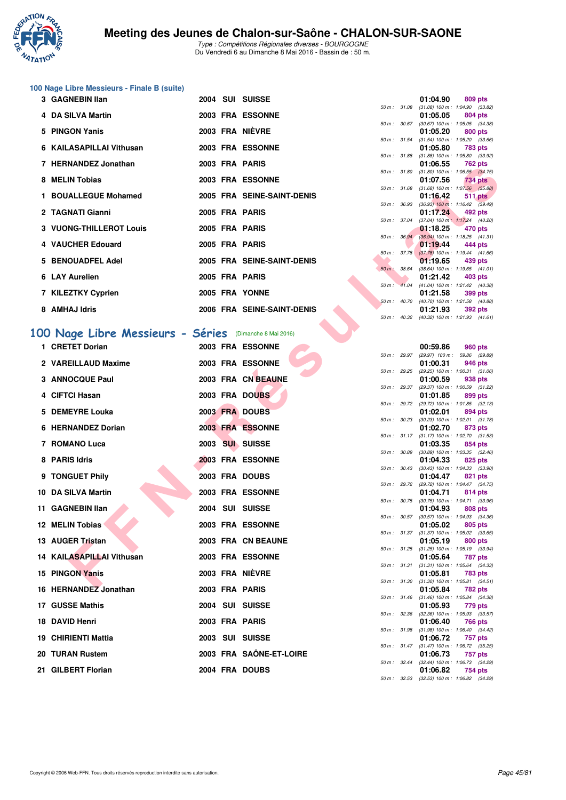

Type : Compétitions Régionales diverses - BOURGOGNE Du Vendredi 6 au Dimanche 8 Mai 2016 - Bassin de : 50 m.

# **100 Nage Libre Messieurs - Finale B (suite)**

| 3 GAGNEBIN IIan          |  | 2004 SUI SUISSE            |                  | 01:04.90                                                    |                | 809 pts |
|--------------------------|--|----------------------------|------------------|-------------------------------------------------------------|----------------|---------|
|                          |  |                            | 50 m: 31.08      | $(31.08)$ 100 m : 1:04.90 (33.                              |                |         |
| 4 DA SILVA Martin        |  | 2003 FRA ESSONNE           | 50 m: 30.67      | 01:05.05<br>$(30.67)$ 100 m : 1:05.05 (34.                  | 804 pts        |         |
| 5 PINGON Yanis           |  | 2003 FRA NIÈVRE            |                  | 01:05.20                                                    | 800 pts        |         |
|                          |  |                            |                  | 50 m: 31.54 (31.54) 100 m: 1:05.20 (33.                     |                |         |
| 6 KAILASAPILLAI Vithusan |  | 2003 FRA ESSONNE           |                  | 01:05.80                                                    | 783 pts        |         |
|                          |  |                            | 50 m : 31.88     | $(31.88)$ 100 m : 1:05.80 (33.                              |                |         |
| 7 HERNANDEZ Jonathan     |  | 2003 FRA PARIS             |                  | 01:06.55 762 pts                                            |                |         |
| 8 MELIN Tobias           |  | 2003 FRA ESSONNE           |                  | 50 m: 31.80 (31.80) 100 m: 1:06.55 (34.<br>01:07.56         | <b>734 pts</b> |         |
|                          |  |                            | 50 m: 31.68      | $(31.68)$ 100 m : 1:07.56 (35.                              |                |         |
| 1 BOUALLEGUE Mohamed     |  | 2005 FRA SEINE-SAINT-DENIS |                  | 01:16.42                                                    | <b>511 pts</b> |         |
|                          |  |                            |                  | 50 m : 36.93 (36.93) 100 m : 1:16.42 (39.                   |                |         |
| 2 TAGNATI Gianni         |  | 2005 FRA PARIS             |                  | 01:17.24                                                    | 492 pts        |         |
| 3 VUONG-THILLEROT Louis  |  | 2005 FRA PARIS             | 50 m : 37.04     | $(37.04)$ 100 m : 1:17.24 (40.<br>01:18.25 470 pts          |                |         |
|                          |  |                            |                  | 50 m: 36.94 (36.94) 100 m: 1:18.25 (41.                     |                |         |
| 4 VAUCHER Edouard        |  | 2005 FRA PARIS             |                  | 01:19.44                                                    | 444 pts        |         |
|                          |  |                            |                  | 50 m: 37.78 (37.78) 100 m: 1:19.44 (41.                     |                |         |
| 5 BENOUADFEL Adel        |  | 2005 FRA SEINE-SAINT-DENIS |                  | 01:19.65                                                    | 439 pts        |         |
| 6 LAY Aurelien           |  | 2005 FRA PARIS             | 50 m : 38.64     | $(38.64)$ 100 m : 1:19.65 (41.<br>01:21.42                  |                |         |
|                          |  |                            |                  | 50 m: 41.04 (41.04) 100 m: 1:21.42 (40.                     | 403 pts        |         |
| 7 KILEZTKY Cyprien       |  | 2005 FRA YONNE             |                  | 01:21.58                                                    | 399 pts        |         |
|                          |  |                            | $50 m$ : $40.70$ | $(40.70)$ 100 m : 1:21.58 (40.                              |                |         |
| 8 AMHAJ Idris            |  | 2006 FRA SEINE-SAINT-DENIS |                  | 01:21.93                                                    | 392 pts        |         |
|                          |  |                            |                  | $F0 \text{ m}$ $(40.22)(40.22)(400 \text{ m} + 1.2102)(41)$ |                |         |

|  |  |  | 100 Nage Libre Messieurs - Séries (Dimanche 8 Mai 2016) |
|--|--|--|---------------------------------------------------------|
|  |  |  |                                                         |

| <b>ILL RIVAIVULL JUILQUIAII</b>                        |  | ZUVJ FNM FMNIJ             |              |                  | 01.00.JJ                                               | <b>TUZ PIS</b> |  |
|--------------------------------------------------------|--|----------------------------|--------------|------------------|--------------------------------------------------------|----------------|--|
| 8 MELIN Tobias                                         |  | <b>2003 FRA ESSONNE</b>    |              |                  | 50 m: 31.80 (31.80) 100 m: 1:06.55 (34.75)<br>01:07.56 | 734 pts        |  |
| 1 BOUALLEGUE Mohamed                                   |  | 2005 FRA SEINE-SAINT-DENIS |              |                  | 50 m: 31.68 (31.68) 100 m: 1:07.56 (35.88)<br>01:16.42 | 511 pts        |  |
|                                                        |  | 2005 FRA PARIS             | 50 m : 36.93 |                  | $(36.93)$ 100 m : 1:16.42 $(39.49)$                    |                |  |
| 2 TAGNATI Gianni                                       |  |                            | 50 m : 37.04 |                  | 01:17.24<br>$(37.04)$ 100 m : 1:17.24 $(40.20)$        | 492 pts        |  |
| 3 VUONG-THILLEROT Louis                                |  | 2005 FRA PARIS             |              | $50 m$ : $36.94$ | 01:18.25<br>$(36.94)$ 100 m : 1:18.25 $(41.31)$        | 470 pts        |  |
| 4 VAUCHER Edouard                                      |  | 2005 FRA PARIS             |              |                  | 01:19.44                                               | 444 pts        |  |
| 5 BENOUADFEL Adel                                      |  | 2005 FRA SEINE-SAINT-DENIS |              |                  | 50 m: 37.78 (37.78) 100 m: 1:19.44 (41.66)<br>01:19.65 | 439 pts        |  |
|                                                        |  |                            | 50 m: 38.64  |                  | $(38.64)$ 100 m : 1:19.65 $(41.01)$                    |                |  |
| 6 LAY Aurelien                                         |  | 2005 FRA PARIS             |              |                  | 01:21.42<br>50 m: 41.04 (41.04) 100 m: 1:21.42 (40.38) | 403 pts        |  |
| 7 KILEZTKY Cyprien                                     |  | 2005 FRA YONNE             |              |                  | 01:21.58<br>50 m: 40.70 (40.70) 100 m: 1:21.58 (40.88) | 399 pts        |  |
| 8 AMHAJ Idris                                          |  | 2006 FRA SEINE-SAINT-DENIS |              |                  | 01:21.93                                               | <b>392 pts</b> |  |
|                                                        |  |                            |              |                  | 50 m: 40.32 (40.32) 100 m: 1:21.93 (41.61)             |                |  |
| 00 Nage Libre Messieurs - Séries (Dimanche 8 Mai 2016) |  |                            |              |                  |                                                        |                |  |
| 1 CRETET Dorian                                        |  | 2003 FRA ESSONNE           |              |                  | 00:59.86                                               | 960 pts        |  |
| 2 VAREILLAUD Maxime                                    |  | 2003 FRA ESSONNE           |              | 50 m : 29.97     | (29.97) 100 m : 59.86 (29.89)<br>01:00.31              | 946 pts        |  |
|                                                        |  |                            |              | 50 m : 29.25     | $(29.25)$ 100 m : 1:00.31 $(31.06)$                    |                |  |
| 3 ANNOCQUE Paul                                        |  | 2003 FRA CN BEAUNE         |              |                  | 01:00.59<br>50 m: 29.37 (29.37) 100 m: 1:00.59 (31.22) | 938 pts        |  |
| 4 CIFTCI Hasan                                         |  | 2003 FRA DOUBS             | 50 m : 29.72 |                  | 01:01.85<br>(29.72) 100 m : 1:01.85 (32.13)            | 899 pts        |  |
| 5 DEMEYRE Louka                                        |  | 2003 FRA DOUBS             |              |                  | 01:02.01                                               | 894 pts        |  |
| 6 HERNANDEZ Dorian                                     |  | 2003 FRA ESSONNE           | 50 m : 30.23 |                  | $(30.23)$ 100 m : 1:02.01 $(31.78)$<br>01:02.70        | 873 pts        |  |
|                                                        |  |                            |              |                  | 50 m: 31.17 (31.17) 100 m: 1:02.70 (31.53)             |                |  |
| 7 ROMANO Luca                                          |  | 2003 SUI SUISSE            |              | 50 m : 30.89     | 01:03.35<br>$(30.89)$ 100 m : 1:03.35 $(32.46)$        | 854 pts        |  |
| 8 PARIS Idris                                          |  | <b>2003 FRA ESSONNE</b>    |              |                  | 01:04.33<br>50 m: 30.43 (30.43) 100 m: 1:04.33 (33.90) | 825 pts        |  |
| 9 TONGUET Phily                                        |  | 2003 FRA DOUBS             |              |                  | 01:04.47                                               | 821 pts        |  |
| 10 DA SILVA Martin                                     |  | 2003 FRA ESSONNE           |              |                  | 50 m: 29.72 (29.72) 100 m: 1:04.47 (34.75)<br>01:04.71 | 814 pts        |  |
|                                                        |  |                            |              |                  | 50 m: 30.75 (30.75) 100 m: 1:04.71 (33.96)             |                |  |
| 11 GAGNEBIN Ilan                                       |  | 2004 SUI SUISSE            | 50 m: 30.57  |                  | 01:04.93<br>$(30.57)$ 100 m : 1:04.93 $(34.36)$        | 808 pts        |  |
| 12 MELIN Tobias                                        |  | 2003 FRA ESSONNE           |              |                  | 01:05.02<br>50 m: 31.37 (31.37) 100 m: 1:05.02 (33.65) | 805 pts        |  |
| 13 AUGER Tristan                                       |  | 2003 FRA CN BEAUNE         |              |                  | 01:05.19                                               | 800 pts        |  |
| 14 KAILASAPILLAI Vithusan                              |  | 2003 FRA ESSONNE           |              |                  | 50 m: 31.25 (31.25) 100 m: 1:05.19 (33.94)<br>01:05.64 | 787 pts        |  |
|                                                        |  |                            |              |                  | 50 m: 31.31 (31.31) 100 m: 1:05.64 (34.33)             |                |  |
| 15 PINGON Yanis                                        |  | 2003 FRA NIÈVRE            |              |                  | 01:05.81<br>50 m: 31.30 (31.30) 100 m: 1:05.81 (34.51) | 783 pts        |  |
| 16 HERNANDEZ Jonathan                                  |  | 2003 FRA PARIS             |              |                  | 01:05.84                                               | <b>782 pts</b> |  |
| 17 GUSSE Mathis                                        |  | 2004 SUI SUISSE            |              |                  | 50 m: 31.46 (31.46) 100 m: 1:05.84 (34.38)<br>01:05.93 | 779 pts        |  |
| 18 DAVID Henri                                         |  | 2003 FRA PARIS             |              |                  | 50 m: 32.36 (32.36) 100 m: 1:05.93 (33.57)<br>01:06.40 | 766 pts        |  |
|                                                        |  |                            |              |                  | 50 m : 31.98 (31.98) 100 m : 1:06.40 (34.42)           |                |  |
| <b>19 CHIRIENTI Mattia</b>                             |  | 2003 SUI SUISSE            |              |                  | 01:06.72<br>50 m: 31.47 (31.47) 100 m: 1:06.72 (35.25) | 757 pts        |  |
| 20 TURAN Rustem                                        |  | 2003 FRA SAÔNE-ET-LOIRE    |              |                  | 01:06.73<br>50 m: 32.44 (32.44) 100 m: 1:06.73 (34.29) | 757 pts        |  |
| 21 GILBERT Florian                                     |  | 2004 FRA DOUBS             |              |                  | 01:06.82                                               | 754 pts        |  |

|                  |       | 01:04.90          | 809 pts             |
|------------------|-------|-------------------|---------------------|
| 50 m: 31.08      |       | $(31.08) 100 m$ : | 1:04.90 (33.82)     |
|                  |       | 01:05.05          | 804 pts             |
| 50 m :           | 30.67 | $(30.67)$ 100 m : | 1:05.05 (34.38)     |
|                  |       | 01:05.20          | <b>800 pts</b>      |
| 50 m: 31.54      |       | $(31.54) 100 m$ : | 1:05.20 (33.66)     |
|                  |       | 01:05.80          | 783 pts             |
| 50 m :           | 31.88 | $(31.88) 100 m$ : | 1:05.80 (33.92)     |
|                  |       | 01:06.55          | <b>762 pts</b>      |
| 50 m: 31.80      |       | $(31.80) 100 m$ : | $1:06.55$ $(34.75)$ |
|                  |       | 01:07.56          | <b>734 pts</b>      |
| 50 m :           | 31.68 | $(31.68) 100 m$ : | $1:07.56$ $(35.88)$ |
|                  |       | 01:16.42          | 511 pts             |
| 50 m :           | 36.93 | $(36.93)$ 100 m : | $1:16.42$ (39.49)   |
|                  |       |                   |                     |
|                  |       | 01:17.24          | 492 pts             |
| 50 m :           | 37.04 | $(37.04) 100 m$ : | $1:17.24$ $(40.20)$ |
|                  |       | 01:18.25          | $-470$ pts          |
| 50 m :           | 36.94 | $(36.94)$ 100 m : | $1:18.25$ $(41.31)$ |
|                  |       | 01:19.44          | 444 pts             |
| 50 m:            | 37.78 | $(37.78)$ 100 m : | $1:19.44$ $(41.66)$ |
|                  |       | 01:19.65          | <b>439 pts</b>      |
| $50 m$ :         | 38.64 | $(38.64) 100 m$ : | $1:19.65$ $(41.01)$ |
|                  |       | 01:21.42          | 403 pts             |
| $50 m$ :         | 41.04 | $(41.04) 100 m$ : | 1:21.42 (40.38)     |
|                  |       | 01:21.58          | 399 pts             |
| 50 m :           | 40.70 | $(40.70)$ 100 m : | 1:21.58 (40.88)     |
|                  |       | 01:21.93          | 392 pts             |
| $50 m$ : $40.32$ |       | $(40.32)$ 100 m : | $1:21.93$ $(41.61)$ |

|          |       | 00:59.86          | <b>960 pts</b>     |
|----------|-------|-------------------|--------------------|
| 50 m :   | 29.97 | $(29.97)$ 100 m : | 59.86<br>(29.89)   |
|          |       | 01:00.31          | 946 pts            |
| $50 m$ : | 29.25 | $(29.25)$ 100 m : | 1:00.31<br>(31.06) |
|          |       | 01:00.59          | 938 pts            |
| $50 m$ : | 29.37 | $(29.37) 100 m$ : | 1:00.59<br>(31.22) |
|          |       | 01:01.85          | 899 pts            |
| $50 m$ : | 29.72 | $(29.72)$ 100 m : | 1:01.85<br>(32.13) |
|          |       | 01:02.01          | <b>894 pts</b>     |
| $50 m$ : | 30.23 | $(30.23)$ 100 m : | 1:02.01<br>(31.78) |
|          |       | 01:02.70          | 873 pts            |
| $50 m$ : | 31.17 | $(31.17) 100 m$ : | 1:02.70<br>(31.53) |
|          |       | 01:03.35          | <b>854 pts</b>     |
| $50 m$ : | 30.89 | $(30.89)$ 100 m : | 1:03.35<br>(32.46) |
|          |       | 01:04.33          | 825 pts            |
| $50 m$ : | 30.43 | $(30.43)$ 100 m : | 1:04.33<br>(33.90) |
|          |       | 01:04.47          | 821.<br>pts        |
| $50 m$ : | 29.72 | (29.72) 100 m :   | 1:04.47<br>(34.75) |
|          |       | 01:04.71          | 814 pts            |
| $50 m$ : | 30.75 | $(30.75)$ 100 m : | (33.96)<br>1:04.71 |
|          |       | 01:04.93          | <b>808 pts</b>     |
| $50 m$ : | 30.57 | $(30.57)$ 100 m : | 1:04.93<br>(34.36) |
|          |       | 01:05.02          | 805 pts            |
| $50 m$ : | 31.37 | $(31.37) 100 m$ : | 1:05.02<br>(33.65) |
|          |       | 01:05.19          | 800 pts            |
| $50 m$ : | 31.25 | $(31.25)$ 100 m : | 1:05.19<br>(33.94) |
|          |       | 01:05.64          | 787<br>pts         |
| $50 m$ : | 31.31 | $(31.31)$ 100 m : | 1:05.64<br>(34.33) |
|          |       | 01:05.81          | <b>783 pts</b>     |
| $50 m$ : | 31.30 | $(31.30)$ 100 m : | 1:05.81<br>(34.51) |
|          |       | 01:05.84          | <b>782 pts</b>     |
| $50 m$ : | 31.46 | $(31.46) 100 m$ : | (34.38)<br>1:05.84 |
|          |       | 01:05.93          | 779 pts            |
| $50 m$ : | 32.36 | $(32.36)$ 100 m : | 1:05.93<br>(33.57) |
|          |       | 01:06.40          | 766 pts            |
| $50 m$ : | 31.98 | $(31.98) 100 m$ : | (34.42)<br>1:06.40 |
|          |       | 01:06.72          | 757 pts            |
| $50 m$ : | 31.47 | $(31.47) 100 m$ : | 1:06.72<br>(35.25) |
|          |       | 01:06.73          | 757 pts            |
| $50 m$ : | 32.44 | $(32.44)$ 100 m : | 1:06.73<br>(34.29) |
|          |       | 01:06.82          | 754 pts            |
| $50 m$ : | 32.53 | $(32.53)$ 100 m : | (34.29)<br>1:06.82 |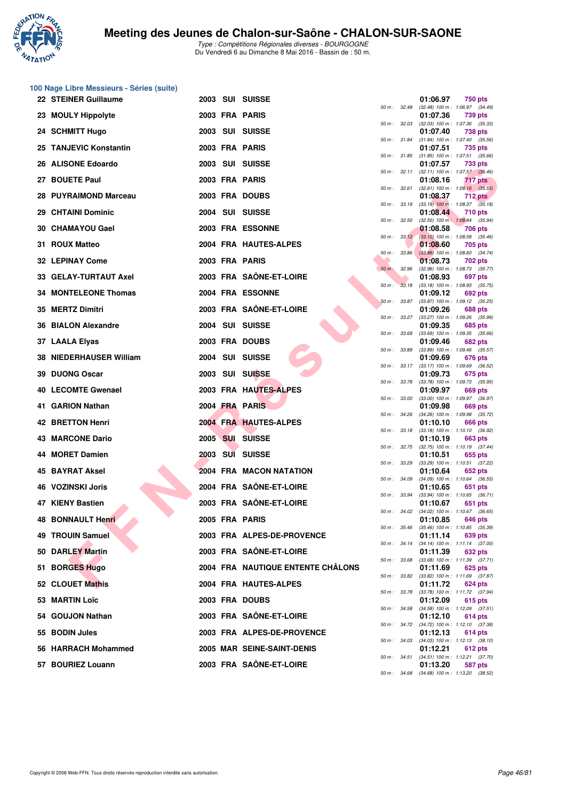

|    | 100 Nage Libre Messieurs - Séries (suite) |  |                                   |              |              |                                                                     |
|----|-------------------------------------------|--|-----------------------------------|--------------|--------------|---------------------------------------------------------------------|
|    | 22 STEINER Guillaume                      |  | 2003 SUI SUISSE                   | 50 m : 32.48 |              | 01:06.97<br>750 pts<br>(32.48) 100 m: 1:06.97 (34.49)               |
|    | 23 MOULY Hippolyte                        |  | 2003 FRA PARIS                    | 50 m : 32.03 |              | 01:07.36<br>739 pts<br>$(32.03)$ 100 m : 1:07.36 $(35.33)$          |
|    | 24 SCHMITT Hugo                           |  | 2003 SUI SUISSE                   |              |              | 01:07.40<br><b>738 pts</b>                                          |
|    | 25 TANJEVIC Konstantin                    |  | 2003 FRA PARIS                    | 50 m: 31.84  |              | (31.84) 100 m: 1:07.40 (35.56)<br>01:07.51<br>735 pts               |
|    | 26 ALISONE Edoardo                        |  | 2003 SUI SUISSE                   | 50 m : 31.85 |              | $(31.85)$ 100 m : 1:07.51 $(35.66)$<br>01:07.57<br>733 pts          |
|    | 27 BOUETE Paul                            |  | 2003 FRA PARIS                    | 50 m : 32.11 |              | $(32.11)$ 100 m : 1:07.57 $(35.46)$<br>01:08.16<br>717 pts          |
|    | 28 PUYRAIMOND Marceau                     |  | 2003 FRA DOUBS                    | 50 m: 32.61  |              | $(32.61)$ 100 m : 1:08.16 $(35.55)$<br>01:08.37<br><b>712 pts</b>   |
|    | 29 CHTAINI Dominic                        |  | 2004 SUI SUISSE                   |              | 50 m : 33.19 | $(33.19)$ 100 m : 1:08.37 $(35.18)$<br>01:08.44<br><b>710 pts</b>   |
|    | 30 CHAMAYOU Gael                          |  | 2003 FRA ESSONNE                  | 50 m: 32.50  |              | $(32.50)$ 100 m : 1:08.44 $(35.94)$<br>01:08.58<br>706 pts          |
|    | 31 ROUX Matteo                            |  | 2004 FRA HAUTES-ALPES             |              | 50 m: 33.12  | $(33.12)$ 100 m : 1:08.58 $(35.46)$<br>01:08.60<br>705 pts          |
|    |                                           |  | 2003 FRA PARIS                    | 50 m : 33.86 |              | $(33.86)$ 100 m : 1:08.60 $(34.74)$                                 |
|    | <b>32 LEPINAY Come</b>                    |  |                                   | $50 m$ :     | 32.96        | 01:08.73<br>702 pts<br>(32.96) 100 m: 1:08.73 (35.77)               |
|    | 33 GELAY-TURTAUT Axel                     |  | 2003 FRA SAÖNE-ET-LOIRE           | 50 m: 33.18  |              | 01:08.93<br>697 pts<br>$(33.18)$ 100 m : 1:08.93 $(35.75)$          |
|    | <b>34 MONTELEONE Thomas</b>               |  | 2004 FRA ESSONNE                  | 50 m: 33.87  |              | 01:09.12<br>692 pts<br>(33.87) 100 m : 1:09.12 (35.25)              |
|    | 35 MERTZ Dimitri                          |  | 2003 FRA SAÔNE-ET-LOIRE           | 50 m : 33.27 |              | 01:09.26<br><b>688 pts</b><br>(33.27) 100 m : 1:09.26 (35.99)       |
|    | 36 BIALON Alexandre                       |  | 2004 SUI SUISSE                   | 50 m : 33.69 |              | 01:09.35<br>685 pts<br>$(33.69)$ 100 m : 1:09.35 $(35.66)$          |
|    | 37 LAALA Elyas                            |  | 2003 FRA DOUBS                    | 50 m: 33.89  |              | 01:09.46<br><b>682 pts</b><br>(33.89) 100 m: 1:09.46 (35.57)        |
|    | 38 NIEDERHAUSER William                   |  | 2004 SUI SUISSE                   | 50 m: 33.17  |              | 01:09.69<br>676 pts<br>(33.17) 100 m : 1:09.69 (36.52)              |
| 39 | <b>DUONG Oscar</b>                        |  | 2003 SUI SUISSE                   | 50 m : 33.78 |              | 01:09.73<br>675 pts<br>(33.78) 100 m : 1:09.73 (35.95)              |
|    | 40 LECOMTE Gwenael                        |  | 2003 FRA HAUTES-ALPES             |              |              | 01:09.97<br>669 pts                                                 |
|    | 41 GARION Nathan                          |  | 2004 FRA PARIS                    | 50 m : 33.00 |              | (33.00) 100 m: 1:09.97 (36.97)<br>01:09.98<br>669 pts               |
|    | <b>42 BRETTON Henri</b>                   |  | 2004 FRA HAUTES-ALPES             | 50 m: 34.26  |              | (34.26) 100 m : 1:09.98 (35.72)<br>01:10.10<br>666 pts              |
|    | <b>43 MARCONE Dario</b>                   |  | 2005 SUI SUISSE                   | 50 m : 33.18 |              | $(33.18)$ 100 m : 1:10.10 $(36.92)$<br>01:10.19<br>663 pts          |
|    | 44 MORET Damien                           |  | 2003 SUI SUISSE                   | 50 m : 32.75 |              | (32.75) 100 m: 1:10.19 (37.44)<br>01:10.51<br>655 pts               |
| 45 | <b>BAYRAT Aksel</b>                       |  | 2004 FRA MACON NATATION           | 50 m : 33.29 |              | (33.29) 100 m: 1:10.51 (37.22)<br>01:10.64<br>652 pts               |
|    | <b>46 VOZINSKI Joris</b>                  |  | 2004 FRA SAÔNE-ET-LOIRE           |              | 50 m : 34.09 | $(34.09)$ 100 m : 1:10.64 $(36.55)$<br>01:10.65<br>651 pts          |
|    | 47 KIENY Bastien                          |  | 2003 FRA SAÖNE-ET-LOIRE           | 50 m : 33.94 |              | $(33.94)$ 100 m : 1:10.65 $(36.71)$<br>01:10.67<br>651 pts          |
|    | 48 BONNAULT Henri                         |  | 2005 FRA PARIS                    |              |              | 50 m : 34.02 (34.02) 100 m : 1:10.67 (36.65)<br>01:10.85<br>646 pts |
|    | <b>49 TROUIN Samuel</b>                   |  | 2003 FRA ALPES-DE-PROVENCE        |              | 50 m : 35.46 | $(35.46)$ 100 m : 1:10.85 $(35.39)$<br>01:11.14<br>639 pts          |
|    | 50 DARLEY Martin                          |  | 2003 FRA SAÔNE-ET-LOIRE           | 50 m : 34.14 |              | $(34.14)$ 100 m : 1:11.14 $(37.00)$<br>01:11.39<br>632 pts          |
|    | 51 BORGES Hugo                            |  | 2004 FRA NAUTIQUE ENTENTE CHÂLONS | 50 m : 33.68 |              | $(33.68)$ 100 m : 1:11.39 $(37.71)$<br>01:11.69<br>625 pts          |
|    | 52 CLOUET Mathis                          |  | 2004 FRA HAUTES-ALPES             |              |              | 50 m: 33.82 (33.82) 100 m: 1:11.69 (37.87)<br>01:11.72              |
|    |                                           |  |                                   | 50 m : 33.78 |              | 624 pts<br>(33.78) 100 m: 1:11.72 (37.94)                           |
|    | 53 MARTIN Loïc                            |  | 2003 FRA DOUBS                    |              |              | 01:12.09<br>615 pts<br>50 m: 34.58 (34.58) 100 m: 1:12.09 (37.51)   |
|    | 54 GOUJON Nathan                          |  | 2003 FRA SAÔNE-ET-LOIRE           |              |              | 01:12.10<br>614 pts<br>50 m: 34.72 (34.72) 100 m: 1:12.10 (37.38)   |
|    | 55 BODIN Jules                            |  | 2003 FRA ALPES-DE-PROVENCE        |              | 50 m : 34.03 | 01:12.13<br>614 pts<br>$(34.03)$ 100 m : 1:12.13 $(38.10)$          |
|    | 56 HARRACH Mohammed                       |  | 2005 MAR SEINE-SAINT-DENIS        |              | 50 m : 34.51 | 01:12.21<br>612 pts<br>(34.51) 100 m: 1:12.21 (37.70)               |
|    | 57 BOURIEZ Louann                         |  | 2003 FRA SAÖNE-ET-LOIRE           |              |              | 01:13.20<br>587 pts<br>50 m: 34.68 (34.68) 100 m: 1:13.20 (38.52)   |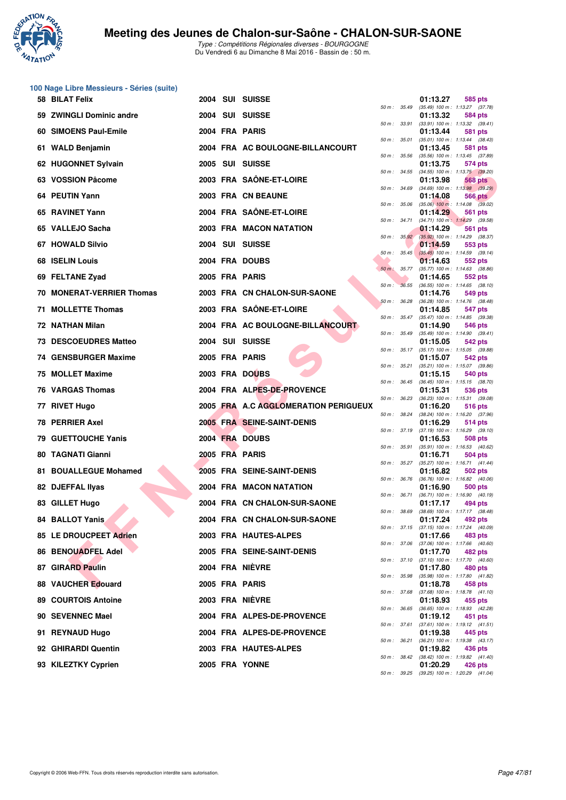

|     | 100 Nage Libre Messieurs - Séries (suite) |  |                                      |                  |                  |                                                                     |
|-----|-------------------------------------------|--|--------------------------------------|------------------|------------------|---------------------------------------------------------------------|
|     | 58 BILAT Felix                            |  | 2004 SUI SUISSE                      | 50 m : 35.49     |                  | 01:13.27<br>585 pts<br>(35.49) 100 m: 1:13.27 (37.78)               |
|     | 59 ZWINGLI Dominic andre                  |  | 2004 SUI SUISSE                      | 50 m : 33.91     |                  | 01:13.32<br>584 pts<br>$(33.91)$ 100 m : 1:13.32 $(39.41)$          |
|     | 60 SIMOENS Paul-Emile                     |  | 2004 FRA PARIS                       |                  |                  | 01:13.44<br>581 pts                                                 |
|     | 61 WALD Benjamin                          |  | 2004 FRA AC BOULOGNE-BILLANCOURT     | 50 m: 35.01      |                  | $(35.01)$ 100 m : 1:13.44 $(38.43)$<br>01:13.45<br>581 pts          |
|     | 62 HUGONNET Sylvain                       |  | 2005 SUI SUISSE                      | 50 m: 35.56      |                  | (35.56) 100 m: 1:13.45 (37.89)<br>01:13.75<br>574 pts               |
|     | 63 VOSSION Pâcome                         |  | 2003 FRA SAÔNE-ET-LOIRE              | 50 m : 34.55     |                  | $(34.55)$ 100 m : 1:13.75 $(39.20)$<br>01:13.98<br>568 pts          |
|     | 64 PEUTIN Yann                            |  | 2003 FRA CN BEAUNE                   | 50 m : 34.69     |                  | $(34.69)$ 100 m : 1:13.98 $(39.29)$<br>01:14.08<br><b>566 pts</b>   |
|     | 65 RAVINET Yann                           |  | 2004 FRA SAÔNE-ET-LOIRE              | 50 m : 35.06     |                  | $(35.06)$ 100 m : 1:14.08 $(39.02)$<br>01:14.29<br>561 pts          |
|     | 65 VALLEJO Sacha                          |  | 2003 FRA MACON NATATION              | 50 m : 34.71     |                  | $(34.71)$ 100 m : 1:14.29 $(39.58)$<br>01:14.29<br>561 pts          |
|     | <b>67 HOWALD Silvio</b>                   |  | 2004 SUI SUISSE                      |                  | 50 m: 35.92      | (35.92) 100 m: 1:14.29 (38.37)<br>01:14.59<br>553 pts               |
|     | 68 ISELIN Louis                           |  | 2004 FRA DOUBS                       | $50 m$ : $35.45$ |                  | $(35.45)$ 100 m : 1:14.59 $(39.14)$<br>01:14.63<br>552 pts          |
|     | 69 FELTANE Zyad                           |  | 2005 FRA PARIS                       | $50 m$ :         | 35.77            | (35.77) 100 m: 1:14.63 (38.86)<br>01:14.65<br>552 pts               |
|     | 70 MONERAT-VERRIER Thomas                 |  | 2003 FRA CN CHALON-SUR-SAONE         |                  | 50 m: 36.55      | $(36.55)$ 100 m : 1:14.65 $(38.10)$<br>01:14.76<br>549 pts          |
| 71. | <b>MOLLETTE Thomas</b>                    |  | 2003 FRA SAÖNE-ET-LOIRE              | 50 m: 36.28      |                  | (36.28) 100 m: 1:14.76 (38.48)<br>01:14.85<br>547 pts               |
|     | 72 NATHAN Milan                           |  | 2004 FRA AC BOULOGNE-BILLANCOURT     |                  | 50 m : 35.47     | $(35.47)$ 100 m : 1:14.85 $(39.38)$<br>01:14.90<br>546 pts          |
|     | <b>73 DESCOEUDRES Matteo</b>              |  | 2004 SUI SUISSE                      | $50 m$ : $35.49$ |                  | $(35.49)$ 100 m : 1:14.90 $(39.41)$<br>01:15.05<br>542 pts          |
|     | 74 GENSBURGER Maxime                      |  | 2005 FRA PARIS                       |                  | 50 m : 35.17     | $(35.17)$ 100 m : 1:15.05 $(39.88)$<br>01:15.07<br>542 pts          |
|     | 75 MOLLET Maxime                          |  | 2003 FRA DOUBS                       | 50 m : 35.21     |                  | $(35.21)$ 100 m : 1:15.07 $(39.86)$<br>01:15.15<br>540 pts          |
|     | 76 VARGAS Thomas                          |  | 2004 FRA ALPES-DE-PROVENCE           |                  | 50 m : 36.45     | $(36.45)$ 100 m : 1:15.15 $(38.70)$<br>01:15.31<br>536 pts          |
|     | 77 RIVET Hugo                             |  | 2005 FRA A.C AGGLOMERATION PERIGUEUX | 50 m : 36.23     |                  | $(36.23)$ 100 m : 1:15.31 $(39.08)$<br>01:16.20<br>516 pts          |
|     | <b>78 PERRIER Axel</b>                    |  | 2005 FRA SEINE-SAINT-DENIS           | 50 m : 38.24     |                  | (38.24) 100 m: 1:16.20 (37.96)<br>01:16.29<br>514 pts               |
|     | <b>79 GUETTOUCHE Yanis</b>                |  | 2004 FRA DOUBS                       |                  | 50 m : 37.19     | $(37.19)$ 100 m : 1:16.29 $(39.10)$<br>01:16.53<br>508 pts          |
|     | 80 TAGNATI Gianni                         |  | 2005 FRA PARIS                       | 50 m : 35.91     |                  | (35.91) 100 m: 1:16.53 (40.62)<br>01:16.71                          |
|     |                                           |  |                                      |                  | $50 m$ : $35.27$ | 504 pts<br>(35.27) 100 m: 1:16.71 (41.44)                           |
| 81  | <b>BOUALLEGUE Mohamed</b>                 |  | 2005 FRA SEINE-SAINT-DENIS           |                  |                  | 01:16.82<br>502 pts<br>50 m: 36.76 (36.76) 100 m: 1:16.82 (40.06)   |
|     | 82 DJEFFAL IIyas                          |  | 2004 FRA MACON NATATION              |                  | 50 m : 36.71     | 01:16.90<br>500 pts<br>$(36.71)$ 100 m : 1:16.90 $(40.19)$          |
|     | 83 GILLET Hugo                            |  | 2004 FRA CN CHALON-SUR-SAONE         |                  |                  | 01:17.17<br>494 pts<br>50 m : 38.69 (38.69) 100 m : 1:17.17 (38.48) |
|     | 84 BALLOT Yanis                           |  | 2004 FRA CN CHALON-SUR-SAONE         |                  |                  | 01:17.24<br>492 pts<br>50 m: 37.15 (37.15) 100 m: 1:17.24 (40.09)   |
|     | 85 LE DROUCPEET Adrien                    |  | 2003 FRA HAUTES-ALPES                | 50 m : 37.06     |                  | 01:17.66<br>483 pts<br>$(37.06)$ 100 m : 1:17.66 $(40.60)$          |
|     | 86 BENOUADFEL Adel                        |  | 2005 FRA SEINE-SAINT-DENIS           |                  | 50 m: 37.10      | 01:17.70<br>482 pts<br>$(37.10)$ 100 m : 1:17.70 $(40.60)$          |
|     | 87 GIRARD Paulin                          |  | 2004 FRA NIÈVRE                      |                  | 50 m : 35.98     | 01:17.80<br>480 pts<br>(35.98) 100 m: 1:17.80 (41.82)               |
|     | 88 VAUCHER Edouard                        |  | 2005 FRA PARIS                       |                  | 50 m : 37.68     | 01:18.78<br>458 pts<br>(37.68) 100 m: 1:18.78 (41.10)               |
|     | <b>89 COURTOIS Antoine</b>                |  | 2003 FRA NIEVRE                      |                  | 50 m : 36.65     | 01:18.93<br>455 pts<br>(36.65) 100 m: 1:18.93 (42.28)               |
|     | 90 SEVENNEC Mael                          |  | 2004 FRA ALPES-DE-PROVENCE           | 50 m : 37.61     |                  | 01:19.12<br>451 pts<br>$(37.61)$ 100 m : 1:19.12 $(41.51)$          |
|     | 91 REYNAUD Hugo                           |  | 2004 FRA ALPES-DE-PROVENCE           |                  |                  | 01:19.38<br>445 pts                                                 |
|     | 92 GHIRARDI Quentin                       |  | 2003 FRA HAUTES-ALPES                | 50 m : 36.21     |                  | (36.21) 100 m: 1:19.38 (43.17)<br>01:19.82<br>436 pts               |
|     | 93 KILEZTKY Cyprien                       |  | 2005 FRA YONNE                       |                  | 50 m : 38.42     | (38.42) 100 m: 1:19.82 (41.40)<br>01:20.29<br>426 pts               |

| 50 m :   | 35.49 | .<br>$(35.49) 100 m$ :        | <u>uuu</u><br>po<br>1:13.27<br>(37.78) |
|----------|-------|-------------------------------|----------------------------------------|
|          |       | 01:13.32                      | 584 pts                                |
| $50 m$ : | 33.91 | $(33.91)$ 100 m :<br>01:13.44 | 1:13.32<br>(39.41)<br>581<br>pts       |
| $50 m$ : | 35.01 | $(35.01)$ 100 m :             | 1:13.44<br>(38.43)                     |
| $50 m$ : | 35.56 | 01:13.45<br>$(35.56) 100 m$ : | 581<br>pts<br>1:13.45<br>(37.89)       |
|          |       | 01:13.75                      | 574 pts                                |
| 50 m :   | 34.55 | $(34.55) 100 m$ :<br>01:13.98 | 1:13.75<br>(39.20)<br><b>568 pts</b>   |
| $50 m$ : | 34.69 | $(34.69) 100 m$ :             | 1:13.98<br>(39.29)                     |
| $50 m$ : | 35.06 | 01:14.08<br>$(35.06)$ 100 m : | <b>566 pts</b><br>1:14.08<br>(39.02)   |
|          |       | 01:14.29                      | 561<br>pts                             |
| $50 m$ : | 34.71 | $(34.71)$ 100 m :<br>01:14.29 | 1:14.29<br>(39.58)<br>561<br>pts       |
| 50 m :   | 35.92 | $(35.92)$ 100 m :             | 1:14.29<br>(38.37)                     |
|          | 35.45 | 01:14.59                      | 553 pts                                |
| $50 m$ : |       | $(35.45)$ 100 m :<br>01:14.63 | 1:14.59<br>(39.14)<br>552 pts          |
| $50 m$ : | 35.77 | (35.77) 100 m :               | 1:14.63<br>(38.86)                     |
| $50 m$ : | 36.55 | 01:14.65<br>$(36.55) 100 m$ : | 552 pts<br>1:14.65<br>(38.10)          |
|          |       | 01:14.76                      | 549 pts                                |
| $50 m$ : | 36.28 | $(36.28) 100 m$ :<br>01:14.85 | 1:14.76<br>(38.48)<br>547 pts          |
| 50 m :   | 35.47 | $(35.47) 100 m$ :             | 1:14.85<br>(39.38)                     |
|          |       | 01:14.90                      | 546 pts                                |
| $50 m$ : | 35.49 | $(35.49) 100 m$ :<br>01:15.05 | 1:14.90<br>(39.41)<br>542 pts          |
| $50 m$ : | 35.17 | $(35.17) 100 m$ :             | 1:15.05<br>(39.88)                     |
| 50 m :   | 35.21 | 01:15.07<br>$(35.21)$ 100 m : | 542 pts<br>1:15.07<br>(39.86)          |
|          |       | 01:15.15                      | 540 pts                                |
| $50 m$ : | 36.45 | $(36.45) 100 m$ :<br>01:15.31 | 1:15.15<br>(38.70)<br>536 pts          |
| $50 m$ : | 36.23 | $(36.23)$ 100 m :             | 1:15.31<br>(39.08)                     |
|          | 38.24 | 01:16.20<br>$(38.24) 100 m$ : | 516 pts<br>1:16.20                     |
| 50 m :   |       | 01:16.29                      | (37.96)<br>514 pts                     |
| $50 m$ : | 37.19 | $(37.19) 100 m$ :             | 1:16.29<br>(39.10)                     |
| $50 m$ : | 35.91 | 01:16.53<br>$(35.91)$ 100 m : | 508 pts<br>1:16.53<br>(40.62)          |
|          |       | 01:16.71                      | 504 pts                                |
| 50 m :   | 35.27 | $(35.27)$ 100 m :<br>01:16.82 | 1:16.71<br>(41.44)<br>502 pts          |
| $50 m$ : | 36.76 | $(36.76) 100 m$ :             | 1:16.82<br>(40.06)                     |
| $50 m$ : | 36.71 | 01:16.90<br>$(36.71)$ 100 m : | <b>500 pts</b><br>1:16.90<br>(40.19)   |
|          |       | 01:17.17                      | 494 pts                                |
| 50 m :   | 38.69 | $(38.69) 100 m$ :<br>01:17.24 | 1:17.17<br>(38.48)<br>492 pts          |
| 50 m :   | 37.15 | $(37.15)$ 100 m :             | 1:17.24<br>(40.09)                     |
| $50 m$ : | 37.06 | 01:17.66<br>$(37.06)$ 100 m : | 483 pts<br>1:17.66<br>(40.60)          |
|          |       | 01:17.70                      | 482 pts                                |
| $50 m$ : | 37.10 | $(37.10) 100 m$ :             | 1:17.70<br>(40.60)                     |
| $50 m$ : | 35.98 | 01:17.80<br>$(35.98) 100 m$ : | <b>480 pts</b><br>1:17.80<br>(41.82)   |
|          |       | 01:18.78                      | 458 pts                                |
| $50 m$ : | 37.68 | $(37.68) 100 m$ :<br>01:18.93 | 1:18.78<br>(41.10)<br>455 pts          |
| $50 m$ : | 36.65 | $(36.65) 100 m$ :             | 1:18.93<br>(42.28)                     |
| $50 m$ : | 37.61 | 01:19.12<br>(37.61) 100 m :   | 451<br>pts<br>1:19.12<br>(41.51)       |
|          |       | 01:19.38                      | 445 pts                                |
| $50 m$ : | 36.21 | $(36.21)$ 100 m :<br>01:19.82 | 1:19.38<br>(43.17)<br>436 pts          |
| $50 m$ : | 38.42 | $(38.42) 100 m$ :             | 1:19.82<br>(41.40)                     |
|          |       | 01:20.29                      | 426 pts                                |
| $50 m$ : | 39.25 | $(39.25)$ 100 m :             | 1:20.29<br>(41.04)                     |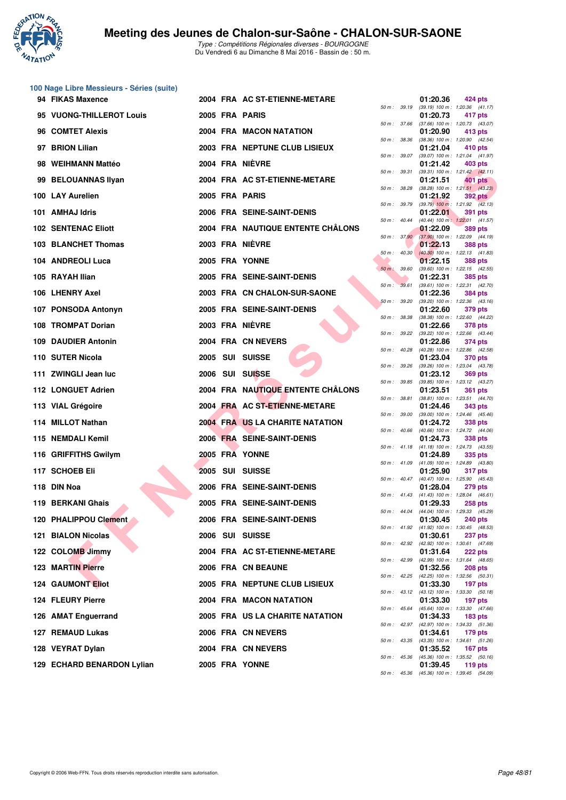

| 100 Nage Libre Messieurs - Séries (suite) |  |                                   |                  |              |                                                          |                                                       |
|-------------------------------------------|--|-----------------------------------|------------------|--------------|----------------------------------------------------------|-------------------------------------------------------|
| 94 FIKAS Maxence                          |  | 2004 FRA AC ST-ETIENNE-METARE     |                  | 50 m : 39.19 | 01:20.36<br>$(39.19)$ 100 m : 1:20.36 $(41.17)$          | 424 pts                                               |
| 95 VUONG-THILLEROT Louis                  |  | 2005 FRA PARIS                    |                  | 50 m : 37.66 | 01:20.73<br>(37.66) 100 m: 1:20.73 (43.07)               | 417 pts                                               |
| 96 COMTET Alexis                          |  | 2004 FRA MACON NATATION           |                  |              | 01:20.90                                                 | 413 pts                                               |
| 97 BRION Lilian                           |  | 2003 FRA NEPTUNE CLUB LISIEUX     | 50 m : 38.36     |              | (38.36) 100 m : 1:20.90 (42.54)<br>01:21.04              | 410 pts                                               |
| 98 WEIHMANN Mattéo                        |  | 2004 FRA NIÈVRE                   |                  | 50 m : 39.07 | (39.07) 100 m: 1:21.04 (41.97)<br>01:21.42               | 403 pts                                               |
| 99 BELOUANNAS Ilyan                       |  | 2004 FRA AC ST-ETIENNE-METARE     |                  | 50 m : 39.31 | $(39.31)$ 100 m : 1:21.42 $(42.11)$<br>01:21.51          | 401 pts                                               |
| 100 LAY Aurelien                          |  | 2005 FRA PARIS                    | 50 m : 38.28     |              | 01:21.92                                                 | $(38.28)$ 100 m : 1:21.51 $(43.23)$<br><b>392 pts</b> |
| 101 AMHAJ Idris                           |  | 2006 FRA SEINE-SAINT-DENIS        |                  | 50 m : 39.79 | $(39.79)$ 100 m : 1:21.92 $(42.13)$<br>01:22.01          | 391 pts                                               |
| <b>102 SENTENAC Eliott</b>                |  | 2004 FRA NAUTIQUE ENTENTE CHALONS | 50 m: 40.44      |              | (40.44) 100 m: 1:22.01 (41.57)<br>01:22.09               | <b>389 pts</b>                                        |
| 103 BLANCHET Thomas                       |  | 2003 FRA NIÈVRE                   |                  | 50 m : 37.90 | (37.90) 100 m : 1:22.09 (44.19)<br>01:22.13              | <b>388 pts</b>                                        |
| 104 ANDREOLI Luca                         |  | 2005 FRA YONNE                    | $50 m$ : $40.30$ |              | $(40.30)$ 100 m : 1:22.13 $(41.83)$<br>01:22.15          | <b>388 pts</b>                                        |
| 105 RAYAH Ilian                           |  | 2005 FRA SEINE-SAINT-DENIS        | $50 m$ :         | 39.60        | (39.60) 100 m: 1:22.15 (42.55)<br>01:22.31               | <b>385 pts</b>                                        |
| 106 LHENRY Axel                           |  |                                   | 50 m: 39.61      |              | $(39.61)$ 100 m : 1:22.31 $(42.70)$                      |                                                       |
|                                           |  | 2003 FRA CN CHALON-SUR-SAONE      | 50 m: 39.20      |              | 01:22.36<br>(39.20) 100 m: 1:22.36 (43.16)               | <b>384 pts</b>                                        |
| 107 PONSODA Antonyn                       |  | 2005 FRA SEINE-SAINT-DENIS        | 50 m : 38.38     |              | 01:22.60<br>(38.38) 100 m : 1:22.60 (44.22)              | 379 pts                                               |
| 108 TROMPAT Dorian                        |  | 2003 FRA NIÈVRE                   | 50 m: 39.22      |              | 01:22.66<br>(39.22) 100 m: 1:22.66 (43.44)               | 378 pts                                               |
| <b>109 DAUDIER Antonin</b>                |  | 2004 FRA CN NEVERS                | 50 m: 40.28      |              | 01:22.86<br>(40.28) 100 m: 1:22.86 (42.58)               | <b>374 pts</b>                                        |
| 110 SUTER Nicola                          |  | 2005 SUI SUISSE                   | 50 m : 39.26     |              | 01:23.04<br>(39.26) 100 m: 1:23.04 (43.78)               | <b>370 pts</b>                                        |
| 111 ZWINGLI Jean luc                      |  | 2006 SUI SUISSE                   |                  | 50 m : 39.85 | 01:23.12<br>(39.85) 100 m: 1:23.12 (43.27)               | <b>369 pts</b>                                        |
| 112 LONGUET Adrien                        |  | 2004 FRA NAUTIQUE ENTENTE CHÂLONS |                  | 50 m : 38.81 | 01:23.51<br>$(38.81)$ 100 m : 1:23.51 $(44.70)$          | <b>361 pts</b>                                        |
| 113 VIAL Grégoire                         |  | 2004 FRA AC ST-ETIENNE-METARE     | 50 m : 39.00     |              | 01:24.46                                                 | <b>343 pts</b>                                        |
| 114 MILLOT Nathan                         |  | 2004 FRA US LA CHARITE NATATION   |                  |              | $(39.00)$ 100 m : 1:24.46 $(45.46)$<br>01:24.72          | <b>338 pts</b>                                        |
| 115 NEMDALI Kemil                         |  | 2006 FRA SEINE-SAINT-DENIS        |                  | 50 m : 40.66 | $(40.66)$ 100 m : 1:24.72 $(44.06)$<br>01:24.73          | <b>338 pts</b>                                        |
| 116 GRIFFITHS Gwilym                      |  | 2005 FRA YONNE                    |                  | 50 m : 41.18 | $(41.18)$ 100 m : 1:24.73 $(43.55)$<br>01:24.89          | 335 pts                                               |
| 117 SCHOEB Eli                            |  | 2005 SUI SUISSE                   |                  | 50 m : 41.09 | (41.09) 100 m: 1:24.89 (43.80)<br>01:25.90               | <b>317 pts</b>                                        |
| 118 DIN Noa                               |  | 2006 FRA SEINE-SAINT-DENIS        |                  |              | 50 m: 40.47 (40.47) 100 m: 1:25.90 (45.43)<br>01:28.04   | <b>279 pts</b>                                        |
| 119 BERKANI Ghais                         |  | 2005 FRA SEINE-SAINT-DENIS        |                  |              | 50 m : 41.43 (41.43) 100 m : 1:28.04 (46.61)<br>01:29.33 | <b>258 pts</b>                                        |
| 120 PHALIPPOU Clement                     |  | 2006 FRA SEINE-SAINT-DENIS        |                  |              | 50 m : 44.04 (44.04) 100 m : 1:29.33 (45.29)<br>01:30.45 | <b>240 pts</b>                                        |
| <b>121 BIALON Nicolas</b>                 |  | 2006 SUI SUISSE                   |                  |              | 50 m: 41.92 (41.92) 100 m: 1:30.45 (48.53)<br>01:30.61   | <b>237 pts</b>                                        |
| 122 COLOMB Jimmy                          |  | 2004 FRA AC ST-ETIENNE-METARE     |                  | 50 m : 42.92 | (42.92) 100 m: 1:30.61 (47.69)<br>01:31.64               | 222 pts                                               |
| <b>123 MARTIN Pierre</b>                  |  | 2006 FRA CN BEAUNE                |                  | 50 m : 42.99 | (42.99) 100 m: 1:31.64 (48.65)<br>01:32.56               | <b>208 pts</b>                                        |
| <b>124 GAUMONT Eliot</b>                  |  | 2005 FRA NEPTUNE CLUB LISIEUX     |                  |              | 50 m: 42.25 (42.25) 100 m: 1:32.56 (50.31)<br>01:33.30   | 197 pts                                               |
| 124 FLEURY Pierre                         |  | 2004 FRA MACON NATATION           |                  |              | 50 m : 43.12 (43.12) 100 m : 1:33.30 (50.18)<br>01:33.30 | 197 pts                                               |
|                                           |  | 2005 FRA US LA CHARITE NATATION   |                  | 50 m : 45.64 | (45.64) 100 m: 1:33.30 (47.66)                           |                                                       |
| 126 AMAT Enguerrand                       |  |                                   |                  | 50 m : 42.97 | 01:34.33<br>(42.97) 100 m: 1:34.33 (51.36)               | <b>183 pts</b>                                        |
| 127 REMAUD Lukas                          |  | 2006 FRA CN NEVERS                |                  | 50 m : 43.35 | 01:34.61<br>(43.35) 100 m: 1:34.61 (51.26)               | <b>179 pts</b>                                        |
| 128 VEYRAT Dylan                          |  | 2004 FRA CN NEVERS                |                  | 50 m : 45.36 | 01:35.52<br>(45.36) 100 m: 1:35.52 (50.16)               | 167 pts                                               |
| 129 ECHARD BENARDON Lylian                |  | 2005 FRA YONNE                    |                  |              | 01:39.45                                                 | 119 pts                                               |

| 50 m :   | 39.19 | 01:20.36<br>(39.19) 100 m :   | 424 pts<br>1:20.36<br>(41.17)        |
|----------|-------|-------------------------------|--------------------------------------|
|          |       | 01:20.73                      | 417 pts                              |
| 50 m :   | 37.66 | $(37.66) 100 m$ :             | 1:20.73<br>(43.07)                   |
|          |       | 01:20.90                      | 413 pts                              |
| $50 m$ : | 38.36 | $(38.36)$ 100 m :<br>01:21.04 | 1:20.90<br>(42.54)<br>410 pts        |
| $50 m$ : | 39.07 | (39.07) 100 m :               | 1:21.04<br>(41.97)                   |
|          |       | 01:21.42                      | 403 pts                              |
| 50 m :   | 39.31 | $(39.31) 100 m$ :<br>01:21.51 | 1:21.42<br>(42.11)<br><b>401 pts</b> |
| $50 m$ : | 38.28 | $(38.28) 100 m$ :             | 1:21.51<br>(43.23)                   |
|          |       | 01:21.92                      | <b>392 pts</b>                       |
| $50 m$ : | 39.79 | $(39.79)$ 100 m :             | 1:21.92<br>(42.13)                   |
| $50 m$ : | 40.44 | 01:22.01<br>$(40.44) 100 m$ : | 391 pts<br>1:22.01<br>(41.57)        |
|          |       | 01:22.09                      | 389 pts                              |
| $50 m$ : | 37.90 | $(37.90)$ 100 m :             | 1:22.09<br>(44.19)                   |
| 50 m :   | 40.30 | 01:22.13<br>$(40.30)$ 100 m : | <b>388 pts</b><br>1:22.13<br>(41.83) |
|          |       | 01:22.15                      | 388 pts                              |
| $50 m$ : | 39.60 | $(39.60)$ 100 m :             | 1:22.15<br>(42.55)                   |
| $50 m$ : | 39.61 | 01:22.31<br>$(39.61)$ 100 m : | 385 pts<br>1:22.31<br>(42.70)        |
|          |       | 01:22.36                      | 384 pts                              |
| $50 m$ : | 39.20 | (39.20) 100 m :               | 1:22.36<br>(43.16)                   |
| 50 m :   | 38.38 | 01:22.60<br>$(38.38) 100 m$ : | 379 pts<br>1:22.60<br>(44.22)        |
|          |       | 01:22.66                      | <b>378 pts</b>                       |
| $50 m$ : | 39.22 | $(39.22)$ 100 m :             | 1:22.66<br>(43.44)                   |
|          | 40.28 | 01:22.86                      | 374 pts                              |
| 50 m :   |       | $(40.28) 100 m$ :<br>01:23.04 | 1:22.86<br>(42.58)<br>370 pts        |
| 50 m :   | 39.26 | (39.26) 100 m :               | 1:23.04<br>(43.78)                   |
|          |       | 01:23.12                      | 369 pts                              |
| $50 m$ : | 39.85 | $(39.85) 100 m$ :<br>01:23.51 | 1:23.12<br>(43.27)<br>361 pts        |
| 50 m :   | 38.81 | $(38.81) 100 m$ :             | 1:23.51<br>(44.70)                   |
|          |       | 01:24.46                      | 343 pts                              |
| $50 m$ : | 39.00 | (39.00) 100 m :<br>01:24.72   | 1:24.46<br>(45.46)<br>338 pts        |
| $50 m$ : | 40.66 | $(40.66)$ 100 m :             | 1:24.72<br>(44.06)                   |
|          |       | 01:24.73                      | 338 pts                              |
| $50 m$ : | 41.18 | $(41.18) 100 m$ :<br>01:24.89 | 1:24.73<br>(43.55)<br>335 pts        |
| $50 m$ : | 41.09 | $(41.09) 100 m$ :             | 1:24.89<br>(43.80)                   |
|          |       | 01:25.90                      | 317 pts                              |
| $50 m$ : | 40.47 | $(40.47) 100 m$ :<br>01:28.04 | 1:25.90<br>(45.43)<br>279 pts        |
| $50 m$ : | 41.43 | $(41.43) 100 m$ :             | 1:28.04<br>(46.61)                   |
|          |       | 01:29.33                      | <b>258 pts</b>                       |
| $50 m$ : | 44.04 | $(44.04) 100 m$ :<br>01:30.45 | 1:29.33<br>(45.29)<br><b>240 pts</b> |
| $50 m$ : | 41.92 | $(41.92) 100 m$ :             | 1:30.45<br>(48.53)                   |
|          |       | 01:30.61                      | <b>237 pts</b>                       |
| $50 m$ : | 42.92 | $(42.92)$ 100 m :<br>01:31.64 | 1:30.61<br>(47.69)<br>222 pts        |
| $50 m$ : | 42.99 | $(42.99) 100 m$ :             | 1:31.64<br>(48.65)                   |
|          |       | 01:32.56                      | <b>208 pts</b>                       |
| $50 m$ : | 42.25 | $(42.25)$ 100 m :<br>01:33.30 | 1:32.56<br>(50.31)<br>197 pts        |
| 50 m :   | 43.12 | $(43.12) 100 m$ :             | 1:33.30<br>(50.18)                   |
|          |       | 01:33.30                      | 197 pts                              |
| $50 m$ : | 45.64 | $(45.64) 100 m$ :<br>01:34.33 | 1:33.30<br>(47.66)<br>183 pts        |
| $50 m$ : | 42.97 | $(42.97) 100 m$ :             | 1:34.33<br>(51.36)                   |
|          |       | 01:34.61                      | 179 pts                              |
| $50 m$ : | 43.35 | (43.35) 100 m :<br>01:35.52   | 1:34.61<br>(51.26)<br>167 pts        |
| $50 m$ : | 45.36 | $(45.36) 100 m$ :             | 1:35.52<br>(50.16)                   |
|          |       | 01:39.45                      | 119 pts                              |
| $50 m$ : | 45.36 | $(45.36) 100 m$ :             | $1:39.45$ $(54.09)$                  |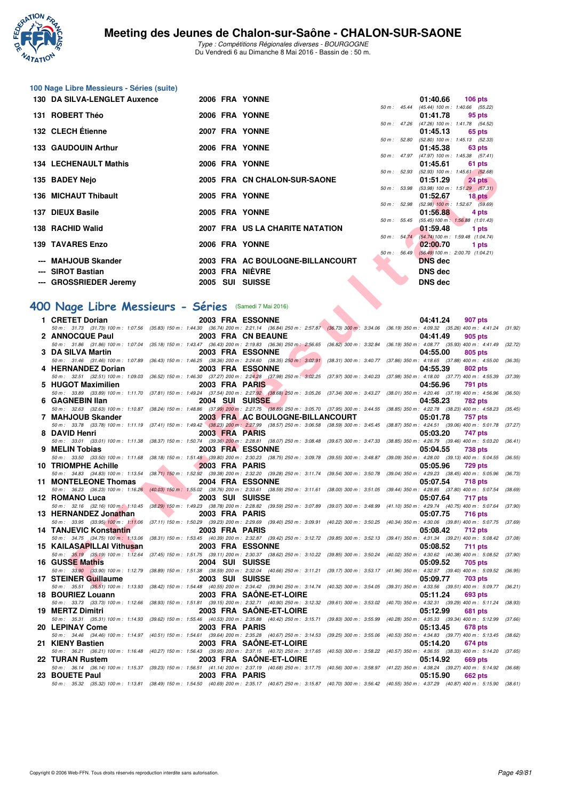

Type : Compétitions Régionales diverses - BOURGOGNE Du Vendredi 6 au Dimanche 8 Mai 2016 - Bassin de : 50 m.

| 100 Nage Libre Messieurs - Séries (suite) |  |
|-------------------------------------------|--|
| 120 BA CILVA LENGLET Auxones              |  |

| 130 DA SILVA-LENGLET Auxence |  | 2006 FRA YONNE                   |                  | 01:40.66<br><b>106 pts</b>                                        |  |
|------------------------------|--|----------------------------------|------------------|-------------------------------------------------------------------|--|
| 131 ROBERT Théo              |  | 2006 FRA YONNE                   | $50 m$ : 45.44   | (45.44) 100 m: 1:40.66 (55.<br>01:41.78<br>95 pts                 |  |
| 132 CLECH Étienne            |  | 2007 FRA YONNE                   | $50 m$ : $47.26$ | $(47.26)$ 100 m : 1:41.78 (54.<br>01:45.13<br>65 pts              |  |
| <b>133 GAUDOUIN Arthur</b>   |  | 2006 FRA YONNE                   | 50 m: 52.80      | $(52.80)$ 100 m : 1:45.13 (52.<br>01:45.38<br>63 pts              |  |
| <b>134 LECHENAULT Mathis</b> |  | 2006 FRA YONNE                   | $50 m$ : 47.97   | (47.97) 100 m : 1:45.38 (57.<br>01:45.61<br>61 pts                |  |
| 135 BADEY Nejo               |  | 2005 FRA CN CHALON-SUR-SAONE     | 50 m: 52.93      | $(52.93)$ 100 m : 1:45.61 (52.<br>01:51.29<br>24 pts              |  |
| 136 MICHAUT Thibault         |  | 2005 FRA YONNE                   | 50 m: 53.98      | $(53.98)$ 100 m : 1:51.29 (57.<br>01:52.67<br>18 pts              |  |
| 137 DIEUX Basile             |  | 2005 FRA YONNE                   | 50 m: 52.98      | (52.98) 100 m : 1:52.67 (59.<br>01:56.88<br>4 pts                 |  |
| 138 RACHID Walid             |  | 2007 FRA US LA CHARITE NATATION  | 50 m: 55.45      | $(55.45) 100 \text{ m}$ : 1:56.88 $(1.01)$ .<br>01:59.48<br>1 pts |  |
| <b>139 TAVARES Enzo</b>      |  | 2006 FRA YONNE                   |                  | 50 m: 54.74 (54.74) 100 m: 1:59.48 (1:04.<br>02:00.70<br>1 pts    |  |
| --- MAHJOUB Skander          |  | 2003 FRA AC BOULOGNE-BILLANCOURT | $50 m$ : 56.49   | (56.49) 100 m : 2:00.70 (1:04.<br><b>DNS</b> dec                  |  |
| --- SIROT Bastian            |  | 2003 FRA NIÈVRE                  |                  | DNS dec                                                           |  |
| --- GROSSRIEDER Jeremy       |  | 2005 SUI SUISSE                  |                  | <b>DNS dec</b>                                                    |  |

|                  |                        |                | 01:40.66 106 pts                           |
|------------------|------------------------|----------------|--------------------------------------------|
| $50 m$ : 45.44   |                        |                | (45.44) 100 m: 1:40.66 (55.22)             |
|                  |                        | 01:41.78       | 95 pts                                     |
|                  | $50 \text{ m}$ : 47.26 |                | (47.26) 100 m: 1:41.78 (54.52)             |
|                  |                        | 01:45.13       | 65 pts                                     |
|                  | 50 m : 52.80           |                | (52.80) 100 m: 1:45.13 (52.33)             |
|                  |                        | 01:45.38       | 63 pts                                     |
|                  |                        |                | 50 m: 47.97 (47.97) 100 m: 1:45.38 (57.41) |
|                  |                        | 01:45.61       | 61 pts                                     |
|                  |                        |                | 50 m: 52.93 (52.93) 100 m: 1:45.61 (52.68) |
|                  |                        | 01:51.29       | 24 pts                                     |
|                  | 50 m : 53.98           |                | $(53.98)$ 100 m : 1:51.29 $(57.31)$        |
|                  |                        | 01:52.67       | 18 pts                                     |
|                  | 50 m: 52.98            |                | $(52.98)$ 100 m : 1:52.67 $(59.69)$        |
|                  |                        | 01:56.88       | 4 pts                                      |
| $50 m$ : $55.45$ |                        |                | (55.45) 100 m: 1:56.88 (1:01.43)           |
|                  |                        | 01:59.48       | 1 pts                                      |
| 50 m: 54.74      |                        |                | (54.74) 100 m: 1:59.48 (1:04.74)           |
|                  |                        | 02:00.70       | 1 pts                                      |
| $50 m$ : $56.49$ |                        |                | (56.49) 100 m : 2:00.70 (1:04.21)          |
|                  |                        | <b>DNS</b> dec |                                            |
|                  |                        | DNS dec        |                                            |
|                  |                        | DNS dec        |                                            |

#### **[400 Nage Libre Messieurs - Séries](http://www.ffnatation.fr/webffn/resultats.php?idact=nat&go=epr&idcpt=38881&idepr=54)** (Samedi 7 Mai 2016)

| 50 m : 52.93 (52.93) 100 m : 1:45.61 (52.68)<br>2005 FRA CN CHALON-SUR-SAONE<br>35 BADEY Nejo<br>01:51.29<br>24 pts<br>50 m : 53.98 (53.98) 100 m : 1:51.29 (57.31)<br>36 MICHAUT Thibault<br>2005 FRA YONNE<br>01:52.67<br>$18$ pts<br>50 m : 52.98 (52.98) 100 m : 1:52.67 (59.69)<br>2005 FRA YONNE<br>37 DIEUX Basile<br>01:56.88<br>4 pts<br>$(55.45) 100 \text{ m}$ : $1:56.88$ $(1:01.43)$<br>50 m: 55.45<br>2007 FRA US LA CHARITE NATATION<br>38   RACHID Walid<br>01:59.48<br>1 pts<br>50 m: 54.74 (54.74) 100 m: 1:59.48 (1:04.74)<br><b>39 TAVARES Enzo</b><br>2006 FRA YONNE<br>02:00.70<br>1 pts<br>50 m : 56.49 (56.49) 100 m : 2:00.70 (1:04.21)<br>2003 FRA AC BOULOGNE-BILLANCOURT<br>--- MAHJOUB Skander<br><b>DNS</b> dec<br>2003 FRA NIEVRE<br>--- SIROT Bastian<br><b>DNS dec</b><br>--- GROSSRIEDER Jeremy<br>2005 SUI SUISSE<br><b>DNS dec</b><br>00 Nage Libre Messieurs - Séries (Samedi 7 Mai 2016)<br>1 CRETET Dorian<br>2003 FRA ESSONNE<br>04:41.24<br>907 pts<br>50 m : 31.73 (31.73) 100 m : 1:07.56 (35.83) 150 m : 1:44.30 (36.74) 200 m : 2:21.14 (36.84) 250 m : 2:57.87 (36.73) 300 m : 3:34.06 (36.19) 350 m : 4:09.32 (35.26) 400 m : 4:41.24 (31.92)<br>2 ANNOCQUE Paul<br>2003 FRA CN BEAUNE<br>04:41.49<br>905 pts<br>50 m: 31.86 (31.86) 100 m: 1:07.04 (35.18) 150 m: 1:43.47 (36.43) 200 m: 2:19.83 (36.36) 250 m: 2:56.65 (36.82) 300 m: 3:32.84 (36.19) 350 m: 4:08.77 (35.93) 400 m: 4:41.49 (32.72)<br>3 DA SILVA Martin<br>2003 FRA ESSONNE<br>04:55.00<br>805 pts<br>50 m : 31.46 (31.46) 100 m : 1:07.89 (36.43) 150 m : 1:46.25 (38.36) 200 m : 2:24.60 (38.35) 250 m : 3:02.91 (38.31) 300 m : 3:40.77 (37.86) 350 m : 4:18.65 (37.88) 400 m : 4:55.00<br>(36.35)<br>4 HERNANDEZ Dorian<br>2003 FRA ESSONNE<br>04:55.39<br>802 pts<br>50 m: 32.51 (32.51) 100 m: 1:09.03 (36.52) 150 m: 1:46.30 (37.27) 200 m: 2:24.28 (37.98) 250 m: 3:02.25 (37.97) 300 m: 3:40.23 (37.98) 350 m: 4:18.00 (37.77) 400 m: 4:55.39<br>(37.39)<br>5 HUGOT Maximilien<br>2003 FRA PARIS<br>04:56.96<br>791 pts<br>50 m: 33.89 (33.89) 100 m: 1:11.70 (37.81) 150 m: 1:49.24 (37.54) 200 m: 2:27.92 (38.68) 250 m: 3:05.26 (37.34) 300 m: 3:43.27 (38.01) 350 m: 4:20.46 (37.19) 400 m: 4:56.96<br>(36.50)<br>6 GAGNEBIN Ilan<br>2004 SUI SUISSE<br>04:58.23<br><b>782 pts</b><br>50 m: 32.63 (32.63) 100 m: 1:10.87 (38.24) 150 m: 1:48.86 (37.99) 200 m: 2:27.75 (38.89) 250 m: 3:05.70 (37.95) 300 m: 3:44.55 (38.85) 350 m: 4:22.78 (38.23) 400 m: 4:58.23<br>(35.45)<br>7 MAHJOUB Skander<br>2003 FRA AC BOULOGNE-BILLANCOURT<br>05:01.78<br><b>757 pts</b><br>50 m: 33.78 (33.78) 100 m: 1:11.19 (37.41) 150 m: 1:49.42 (38.23) 200 m: 2:27.99 (38.57) 250 m: 3:06.58 (38.59) 300 m: 3:45.45 (38.87) 350 m: 4:24.51 (39.06) 400 m: 5:01.78<br>(37.27)<br>8 DAVID Henri<br>2003 FRA PARIS<br>05:03.20<br>747 pts<br>50 m: 33.01 (33.01) 100 m: 1:11.38 (38.37) 150 m: 1:50.74 (39.36) 200 m: 2:28.81 (38.07) 250 m: 3:08.48 (39.67) 300 m: 3:47.33 (38.85) 350 m: 4:26.79 (39.46) 400 m: 5:03.20<br>(36.41)<br>9 MELIN Tobias<br>2003 FRA ESSONNE<br>05:04.55<br>738 pts<br>50 m: 33.50 (33.50) 100 m: 1:11.68 (38.18) 150 m: 1:51.48 (39.80) 200 m: 2:30.23 (38.75) 250 m: 3:09.78 (39.55) 300 m: 3:48.87 (39.09) 350 m: 4:28.00 (39.13) 400 m: 5:04.55 (36.55)<br>10 TRIOMPHE Achille <b>Achille</b><br>2003 FRA PARIS<br>05:05.96<br><b>729 pts</b><br>50 m: 34.83 (34.83) 100 m: 1:13.54 (38.71) 150 m: 1:52.92 (39.38) 200 m: 2:32.20 (39.28) 250 m: 3:11.74 (39.54) 300 m: 3:50.78 (39.04) 350 m: 4:29.23 (38.45) 400 m: 5:05.96<br>(36.73)<br><b>The Second Service</b><br>11 MONTELEONE Thomas<br>2004 FRA ESSONNE<br>05:07.54<br><b>718 pts</b><br>50 m: 36.23 (36.23) 100 m: 1:16.26 (40.03) 150 m: 1:55.02 (38.76) 200 m: 2:33.61 (38.59) 250 m: 3:11.61 (38.00) 300 m: 3:51.05 (39.44) 350 m: 4:28.85 (37.80) 400 m: 5:07.54 (38.69)<br>12 ROMANO Luca<br>2003 SUI SUISSE<br>05:07.64<br>717 pts<br>50 m: 32.16 (32.16) 100 m: 1:10.45 (38.29) 150 m: 1:49.23 (38.78) 200 m: 2:28.82 (39.59) 250 m: 3:07.89 (39.07) 300 m: 3:48.99 (41.10) 350 m: 4:29.74 (40.75) 400 m: 5:07.64<br>(37.90)<br>13 HERNANDEZ Jonathan<br>2003 FRA PARIS<br>05:07.75<br><b>716 pts</b><br>50 m: 33.95 (33.95) 100 m: 1:11,06 (37.11) 150 m: 1:50.29 (39.23) 200 m: 2:29.69 (39.40) 250 m: 3:09.91 (40.22) 300 m: 3:50.25 (40.34) 350 m: 4:30.06 (39.81) 400 m: 5:07.75 (37.69)<br>14 TANJEVIC Konstantin<br>2003 FRA PARIS<br>05:08.42<br>712 pts<br>50 m: 34.75 (34.75) 100 m: 1:13.06 (38.31) 150 m: 1:53.45 (40.39) 200 m: 2:32.87 (39.42) 250 m: 3:12.72 (39.85) 300 m: 3:52.13 (39.41) 350 m: 4:31.34 (39.21) 400 m: 5:08.42 (37.08)<br>15 KAILASAPILLAI Vithusan<br>2003 FRA ESSONNE<br>05:08.52<br><b>711 pts</b><br>50 m: 35.19 (35.19) 100 m: 1:12.64 (37.45) 150 m: 1:51.75 (39.11) 200 m: 2:30.37 (38.62) 250 m: 3:10.22 (39.85) 300 m: 3:50.24 (40.02) 350 m: 4:30.62 (40.38) 400 m: 5:08.52 (37.90)<br><b>16 GUSSE Mathis</b><br>2004 SUI SUISSE<br>05:09.52<br>705 pts<br>50 m: 33.90 (33.90) 100 m: 1:12.79 (38.89) 150 m: 1:51.38 (38.59) 200 m: 2:32.04 (40.66) 250 m: 3:11.21 (39.17) 300 m: 3:53.17 (41.96) 350 m: 4:32.57 (39.40) 400 m: 5:09.52 (36.95)<br>17 STEINER Guillaume<br>2003 SUI SUISSE<br>05:09.77<br>703 pts<br>50 m: 35.51 (35.51) 100 m: 1:13.93 (38.42) 150 m: 1:54.48 (40.55) 200 m: 2:34.42 (39.94) 250 m: 3:14.74 (40.32) 300 m: 3:54.05 (39.31) 350 m: 4:33.56 (39.51) 400 m: 5:09.77 (36.21)<br>2003 FRA SAONE-ET-LOIRE<br>18 BOURIEZ Louann<br>05:11.24<br>693 pts<br>50 m: 33.73 (33.73) 100 m: 1:12.66 (38.93) 150 m: 1:51.81 (39.15) 200 m: 2:32.71 (40.90) 250 m: 3:12.32 (39.61) 300 m: 3:53.02 (40.70) 350 m: 4:32.31 (39.29) 400 m: 5:11.24<br>(38.93)<br>19 MERTZ Dimitri<br>2003 FRA SAONE-ET-LOIRE<br>05:12.99<br>681 pts<br>50 m: 35.31 (35.31) 100 m: 1:14.93 (39.62) 150 m: 1:55.46 (40.53) 200 m: 2:35.88 (40.42) 250 m: 3:15.71<br>(40.28) 350 m : 4:35.33 (39.34) 400 m : 5:12.99<br>$(39.83)$ 300 m : 3:55.99<br>(37.66)<br>20 LEPINAY Come<br>2003 FRA PARIS<br>05:13.45<br>678 pts<br>50 m: 34.46 (34.46) 100 m: 1:14.97 (40.51) 150 m: 1:54.61 (39.64) 200 m: 2:35.28 (40.67) 250 m: 3:14.53<br>(40.53) 350 m: 4:34.83 (39.77) 400 m: 5:13.45<br>$(39.25)$ 300 m : 3:55.06<br>(38.62)<br>2003 FRA SAONE-ET-LOIRE<br>21 KIENY Bastien<br>05:14.20<br>674 pts<br>50 m: 36.21 (36.21) 100 m: 1:16.48 (40.27) 150 m: 1:56.43 (39.95) 200 m: 2:37.15 (40.72) 250 m: 3:17.65 (40.50) 300 m: 3:58.22 (40.57) 350 m: 4:36.55 (38.33) 400 m: 5:14.20 (37.65)<br>2003 FRA SAONE-ET-LOIRE<br>22 TURAN Rustem<br>05:14.92<br><b>669 pts</b><br>50 m: 36.14 (36.14) 100 m: 1:15.37 (39.23) 150 m: 1:56.51 (41.14) 200 m: 2:37.19 (40.68) 250 m: 3:17.75 (40.56) 300 m: 3:58.97 (41.22) 350 m: 4:38.24 (39.27) 400 m: 5:14.92 (36.68)<br>23 BOUETE Paul<br>2003 FRA PARIS<br>05:15.90<br><b>662 pts</b><br>50 m : 35.32 (35.32) 100 m : 1:13.81 (38.49) 150 m : 1:54.50 (40.69) 200 m : 2:35.17 (40.67) 250 m : 3:15.87 (40.70) 300 m : 3:56.42 (40.55) 350 m : 4:37.29 (40.87) 400 m : 5:15.90 (38.61) | 34 LECHENAULI MAUIS |  | ZUUU FRA IUNNE |  | <b>UI. 40.01</b><br><b>UI PIS</b> |  |
|--------------------------------------------------------------------------------------------------------------------------------------------------------------------------------------------------------------------------------------------------------------------------------------------------------------------------------------------------------------------------------------------------------------------------------------------------------------------------------------------------------------------------------------------------------------------------------------------------------------------------------------------------------------------------------------------------------------------------------------------------------------------------------------------------------------------------------------------------------------------------------------------------------------------------------------------------------------------------------------------------------------------------------------------------------------------------------------------------------------------------------------------------------------------------------------------------------------------------------------------------------------------------------------------------------------------------------------------------------------------------------------------------------------------------------------------------------------------------------------------------------------------------------------------------------------------------------------------------------------------------------------------------------------------------------------------------------------------------------------------------------------------------------------------------------------------------------------------------------------------------------------------------------------------------------------------------------------------------------------------------------------------------------------------------------------------------------------------------------------------------------------------------------------------------------------------------------------------------------------------------------------------------------------------------------------------------------------------------------------------------------------------------------------------------------------------------------------------------------------------------------------------------------------------------------------------------------------------------------------------------------------------------------------------------------------------------------------------------------------------------------------------------------------------------------------------------------------------------------------------------------------------------------------------------------------------------------------------------------------------------------------------------------------------------------------------------------------------------------------------------------------------------------------------------------------------------------------------------------------------------------------------------------------------------------------------------------------------------------------------------------------------------------------------------------------------------------------------------------------------------------------------------------------------------------------------------------------------------------------------------------------------------------------------------------------------------------------------------------------------------------------------------------------------------------------------------------------------------------------------------------------------------------------------------------------------------------------------------------------------------------------------------------------------------------------------------------------------------------------------------------------------------------------------------------------------------------------------------------------------------------------------------------------------------------------------------------------------------------------------------------------------------------------------------------------------------------------------------------------------------------------------------------------------------------------------------------------------------------------------------------------------------------------------------------------------------------------------------------------------------------------------------------------------------------------------------------------------------------------------------------------------------------------------------------------------------------------------------------------------------------------------------------------------------------------------------------------------------------------------------------------------------------------------------------------------------------------------------------------------------------------------------------------------------------------------------------------------------------------------------------------------------------------------------------------------------------------------------------------------------------------------------------------------------------------------------------------------------------------------------------------------------------------------------------------------------------------------------------------------------------------------------------------------------------------------------------------------------------------------------------------------------------------------------------------------------------------------------------------------------------------------------------------------------------------------------------------------------------------------------------------------------------------------------------------------------------------------------------------------------------------------------------------------------------------------------------------------------------------------------------------------------------------------------------------------------------------------------------------------------------------------------------------------------------------------------------------------------------------------------------------------------------------------------------------------------------------------------------------------------------------------------------------------------------------------------------------------------------------------------------------------------------------------------------------------------------------------------------------------------------------------------------------------------------------------------------------------|---------------------|--|----------------|--|-----------------------------------|--|
|                                                                                                                                                                                                                                                                                                                                                                                                                                                                                                                                                                                                                                                                                                                                                                                                                                                                                                                                                                                                                                                                                                                                                                                                                                                                                                                                                                                                                                                                                                                                                                                                                                                                                                                                                                                                                                                                                                                                                                                                                                                                                                                                                                                                                                                                                                                                                                                                                                                                                                                                                                                                                                                                                                                                                                                                                                                                                                                                                                                                                                                                                                                                                                                                                                                                                                                                                                                                                                                                                                                                                                                                                                                                                                                                                                                                                                                                                                                                                                                                                                                                                                                                                                                                                                                                                                                                                                                                                                                                                                                                                                                                                                                                                                                                                                                                                                                                                                                                                                                                                                                                                                                                                                                                                                                                                                                                                                                                                                                                                                                                                                                                                                                                                                                                                                                                                                                                                                                                                                                                                                                                                                                                                                                                                                                                                                                                                                                                                                                                                                                                                                                                                                                                                                                                                                                                                                                                                                                                                                                                                                                                                            |                     |  |                |  |                                   |  |
|                                                                                                                                                                                                                                                                                                                                                                                                                                                                                                                                                                                                                                                                                                                                                                                                                                                                                                                                                                                                                                                                                                                                                                                                                                                                                                                                                                                                                                                                                                                                                                                                                                                                                                                                                                                                                                                                                                                                                                                                                                                                                                                                                                                                                                                                                                                                                                                                                                                                                                                                                                                                                                                                                                                                                                                                                                                                                                                                                                                                                                                                                                                                                                                                                                                                                                                                                                                                                                                                                                                                                                                                                                                                                                                                                                                                                                                                                                                                                                                                                                                                                                                                                                                                                                                                                                                                                                                                                                                                                                                                                                                                                                                                                                                                                                                                                                                                                                                                                                                                                                                                                                                                                                                                                                                                                                                                                                                                                                                                                                                                                                                                                                                                                                                                                                                                                                                                                                                                                                                                                                                                                                                                                                                                                                                                                                                                                                                                                                                                                                                                                                                                                                                                                                                                                                                                                                                                                                                                                                                                                                                                                            |                     |  |                |  |                                   |  |
|                                                                                                                                                                                                                                                                                                                                                                                                                                                                                                                                                                                                                                                                                                                                                                                                                                                                                                                                                                                                                                                                                                                                                                                                                                                                                                                                                                                                                                                                                                                                                                                                                                                                                                                                                                                                                                                                                                                                                                                                                                                                                                                                                                                                                                                                                                                                                                                                                                                                                                                                                                                                                                                                                                                                                                                                                                                                                                                                                                                                                                                                                                                                                                                                                                                                                                                                                                                                                                                                                                                                                                                                                                                                                                                                                                                                                                                                                                                                                                                                                                                                                                                                                                                                                                                                                                                                                                                                                                                                                                                                                                                                                                                                                                                                                                                                                                                                                                                                                                                                                                                                                                                                                                                                                                                                                                                                                                                                                                                                                                                                                                                                                                                                                                                                                                                                                                                                                                                                                                                                                                                                                                                                                                                                                                                                                                                                                                                                                                                                                                                                                                                                                                                                                                                                                                                                                                                                                                                                                                                                                                                                                            |                     |  |                |  |                                   |  |
|                                                                                                                                                                                                                                                                                                                                                                                                                                                                                                                                                                                                                                                                                                                                                                                                                                                                                                                                                                                                                                                                                                                                                                                                                                                                                                                                                                                                                                                                                                                                                                                                                                                                                                                                                                                                                                                                                                                                                                                                                                                                                                                                                                                                                                                                                                                                                                                                                                                                                                                                                                                                                                                                                                                                                                                                                                                                                                                                                                                                                                                                                                                                                                                                                                                                                                                                                                                                                                                                                                                                                                                                                                                                                                                                                                                                                                                                                                                                                                                                                                                                                                                                                                                                                                                                                                                                                                                                                                                                                                                                                                                                                                                                                                                                                                                                                                                                                                                                                                                                                                                                                                                                                                                                                                                                                                                                                                                                                                                                                                                                                                                                                                                                                                                                                                                                                                                                                                                                                                                                                                                                                                                                                                                                                                                                                                                                                                                                                                                                                                                                                                                                                                                                                                                                                                                                                                                                                                                                                                                                                                                                                            |                     |  |                |  |                                   |  |
|                                                                                                                                                                                                                                                                                                                                                                                                                                                                                                                                                                                                                                                                                                                                                                                                                                                                                                                                                                                                                                                                                                                                                                                                                                                                                                                                                                                                                                                                                                                                                                                                                                                                                                                                                                                                                                                                                                                                                                                                                                                                                                                                                                                                                                                                                                                                                                                                                                                                                                                                                                                                                                                                                                                                                                                                                                                                                                                                                                                                                                                                                                                                                                                                                                                                                                                                                                                                                                                                                                                                                                                                                                                                                                                                                                                                                                                                                                                                                                                                                                                                                                                                                                                                                                                                                                                                                                                                                                                                                                                                                                                                                                                                                                                                                                                                                                                                                                                                                                                                                                                                                                                                                                                                                                                                                                                                                                                                                                                                                                                                                                                                                                                                                                                                                                                                                                                                                                                                                                                                                                                                                                                                                                                                                                                                                                                                                                                                                                                                                                                                                                                                                                                                                                                                                                                                                                                                                                                                                                                                                                                                                            |                     |  |                |  |                                   |  |
|                                                                                                                                                                                                                                                                                                                                                                                                                                                                                                                                                                                                                                                                                                                                                                                                                                                                                                                                                                                                                                                                                                                                                                                                                                                                                                                                                                                                                                                                                                                                                                                                                                                                                                                                                                                                                                                                                                                                                                                                                                                                                                                                                                                                                                                                                                                                                                                                                                                                                                                                                                                                                                                                                                                                                                                                                                                                                                                                                                                                                                                                                                                                                                                                                                                                                                                                                                                                                                                                                                                                                                                                                                                                                                                                                                                                                                                                                                                                                                                                                                                                                                                                                                                                                                                                                                                                                                                                                                                                                                                                                                                                                                                                                                                                                                                                                                                                                                                                                                                                                                                                                                                                                                                                                                                                                                                                                                                                                                                                                                                                                                                                                                                                                                                                                                                                                                                                                                                                                                                                                                                                                                                                                                                                                                                                                                                                                                                                                                                                                                                                                                                                                                                                                                                                                                                                                                                                                                                                                                                                                                                                                            |                     |  |                |  |                                   |  |
|                                                                                                                                                                                                                                                                                                                                                                                                                                                                                                                                                                                                                                                                                                                                                                                                                                                                                                                                                                                                                                                                                                                                                                                                                                                                                                                                                                                                                                                                                                                                                                                                                                                                                                                                                                                                                                                                                                                                                                                                                                                                                                                                                                                                                                                                                                                                                                                                                                                                                                                                                                                                                                                                                                                                                                                                                                                                                                                                                                                                                                                                                                                                                                                                                                                                                                                                                                                                                                                                                                                                                                                                                                                                                                                                                                                                                                                                                                                                                                                                                                                                                                                                                                                                                                                                                                                                                                                                                                                                                                                                                                                                                                                                                                                                                                                                                                                                                                                                                                                                                                                                                                                                                                                                                                                                                                                                                                                                                                                                                                                                                                                                                                                                                                                                                                                                                                                                                                                                                                                                                                                                                                                                                                                                                                                                                                                                                                                                                                                                                                                                                                                                                                                                                                                                                                                                                                                                                                                                                                                                                                                                                            |                     |  |                |  |                                   |  |
|                                                                                                                                                                                                                                                                                                                                                                                                                                                                                                                                                                                                                                                                                                                                                                                                                                                                                                                                                                                                                                                                                                                                                                                                                                                                                                                                                                                                                                                                                                                                                                                                                                                                                                                                                                                                                                                                                                                                                                                                                                                                                                                                                                                                                                                                                                                                                                                                                                                                                                                                                                                                                                                                                                                                                                                                                                                                                                                                                                                                                                                                                                                                                                                                                                                                                                                                                                                                                                                                                                                                                                                                                                                                                                                                                                                                                                                                                                                                                                                                                                                                                                                                                                                                                                                                                                                                                                                                                                                                                                                                                                                                                                                                                                                                                                                                                                                                                                                                                                                                                                                                                                                                                                                                                                                                                                                                                                                                                                                                                                                                                                                                                                                                                                                                                                                                                                                                                                                                                                                                                                                                                                                                                                                                                                                                                                                                                                                                                                                                                                                                                                                                                                                                                                                                                                                                                                                                                                                                                                                                                                                                                            |                     |  |                |  |                                   |  |
|                                                                                                                                                                                                                                                                                                                                                                                                                                                                                                                                                                                                                                                                                                                                                                                                                                                                                                                                                                                                                                                                                                                                                                                                                                                                                                                                                                                                                                                                                                                                                                                                                                                                                                                                                                                                                                                                                                                                                                                                                                                                                                                                                                                                                                                                                                                                                                                                                                                                                                                                                                                                                                                                                                                                                                                                                                                                                                                                                                                                                                                                                                                                                                                                                                                                                                                                                                                                                                                                                                                                                                                                                                                                                                                                                                                                                                                                                                                                                                                                                                                                                                                                                                                                                                                                                                                                                                                                                                                                                                                                                                                                                                                                                                                                                                                                                                                                                                                                                                                                                                                                                                                                                                                                                                                                                                                                                                                                                                                                                                                                                                                                                                                                                                                                                                                                                                                                                                                                                                                                                                                                                                                                                                                                                                                                                                                                                                                                                                                                                                                                                                                                                                                                                                                                                                                                                                                                                                                                                                                                                                                                                            |                     |  |                |  |                                   |  |
|                                                                                                                                                                                                                                                                                                                                                                                                                                                                                                                                                                                                                                                                                                                                                                                                                                                                                                                                                                                                                                                                                                                                                                                                                                                                                                                                                                                                                                                                                                                                                                                                                                                                                                                                                                                                                                                                                                                                                                                                                                                                                                                                                                                                                                                                                                                                                                                                                                                                                                                                                                                                                                                                                                                                                                                                                                                                                                                                                                                                                                                                                                                                                                                                                                                                                                                                                                                                                                                                                                                                                                                                                                                                                                                                                                                                                                                                                                                                                                                                                                                                                                                                                                                                                                                                                                                                                                                                                                                                                                                                                                                                                                                                                                                                                                                                                                                                                                                                                                                                                                                                                                                                                                                                                                                                                                                                                                                                                                                                                                                                                                                                                                                                                                                                                                                                                                                                                                                                                                                                                                                                                                                                                                                                                                                                                                                                                                                                                                                                                                                                                                                                                                                                                                                                                                                                                                                                                                                                                                                                                                                                                            |                     |  |                |  |                                   |  |
|                                                                                                                                                                                                                                                                                                                                                                                                                                                                                                                                                                                                                                                                                                                                                                                                                                                                                                                                                                                                                                                                                                                                                                                                                                                                                                                                                                                                                                                                                                                                                                                                                                                                                                                                                                                                                                                                                                                                                                                                                                                                                                                                                                                                                                                                                                                                                                                                                                                                                                                                                                                                                                                                                                                                                                                                                                                                                                                                                                                                                                                                                                                                                                                                                                                                                                                                                                                                                                                                                                                                                                                                                                                                                                                                                                                                                                                                                                                                                                                                                                                                                                                                                                                                                                                                                                                                                                                                                                                                                                                                                                                                                                                                                                                                                                                                                                                                                                                                                                                                                                                                                                                                                                                                                                                                                                                                                                                                                                                                                                                                                                                                                                                                                                                                                                                                                                                                                                                                                                                                                                                                                                                                                                                                                                                                                                                                                                                                                                                                                                                                                                                                                                                                                                                                                                                                                                                                                                                                                                                                                                                                                            |                     |  |                |  |                                   |  |
|                                                                                                                                                                                                                                                                                                                                                                                                                                                                                                                                                                                                                                                                                                                                                                                                                                                                                                                                                                                                                                                                                                                                                                                                                                                                                                                                                                                                                                                                                                                                                                                                                                                                                                                                                                                                                                                                                                                                                                                                                                                                                                                                                                                                                                                                                                                                                                                                                                                                                                                                                                                                                                                                                                                                                                                                                                                                                                                                                                                                                                                                                                                                                                                                                                                                                                                                                                                                                                                                                                                                                                                                                                                                                                                                                                                                                                                                                                                                                                                                                                                                                                                                                                                                                                                                                                                                                                                                                                                                                                                                                                                                                                                                                                                                                                                                                                                                                                                                                                                                                                                                                                                                                                                                                                                                                                                                                                                                                                                                                                                                                                                                                                                                                                                                                                                                                                                                                                                                                                                                                                                                                                                                                                                                                                                                                                                                                                                                                                                                                                                                                                                                                                                                                                                                                                                                                                                                                                                                                                                                                                                                                            |                     |  |                |  |                                   |  |
|                                                                                                                                                                                                                                                                                                                                                                                                                                                                                                                                                                                                                                                                                                                                                                                                                                                                                                                                                                                                                                                                                                                                                                                                                                                                                                                                                                                                                                                                                                                                                                                                                                                                                                                                                                                                                                                                                                                                                                                                                                                                                                                                                                                                                                                                                                                                                                                                                                                                                                                                                                                                                                                                                                                                                                                                                                                                                                                                                                                                                                                                                                                                                                                                                                                                                                                                                                                                                                                                                                                                                                                                                                                                                                                                                                                                                                                                                                                                                                                                                                                                                                                                                                                                                                                                                                                                                                                                                                                                                                                                                                                                                                                                                                                                                                                                                                                                                                                                                                                                                                                                                                                                                                                                                                                                                                                                                                                                                                                                                                                                                                                                                                                                                                                                                                                                                                                                                                                                                                                                                                                                                                                                                                                                                                                                                                                                                                                                                                                                                                                                                                                                                                                                                                                                                                                                                                                                                                                                                                                                                                                                                            |                     |  |                |  |                                   |  |
|                                                                                                                                                                                                                                                                                                                                                                                                                                                                                                                                                                                                                                                                                                                                                                                                                                                                                                                                                                                                                                                                                                                                                                                                                                                                                                                                                                                                                                                                                                                                                                                                                                                                                                                                                                                                                                                                                                                                                                                                                                                                                                                                                                                                                                                                                                                                                                                                                                                                                                                                                                                                                                                                                                                                                                                                                                                                                                                                                                                                                                                                                                                                                                                                                                                                                                                                                                                                                                                                                                                                                                                                                                                                                                                                                                                                                                                                                                                                                                                                                                                                                                                                                                                                                                                                                                                                                                                                                                                                                                                                                                                                                                                                                                                                                                                                                                                                                                                                                                                                                                                                                                                                                                                                                                                                                                                                                                                                                                                                                                                                                                                                                                                                                                                                                                                                                                                                                                                                                                                                                                                                                                                                                                                                                                                                                                                                                                                                                                                                                                                                                                                                                                                                                                                                                                                                                                                                                                                                                                                                                                                                                            |                     |  |                |  |                                   |  |
|                                                                                                                                                                                                                                                                                                                                                                                                                                                                                                                                                                                                                                                                                                                                                                                                                                                                                                                                                                                                                                                                                                                                                                                                                                                                                                                                                                                                                                                                                                                                                                                                                                                                                                                                                                                                                                                                                                                                                                                                                                                                                                                                                                                                                                                                                                                                                                                                                                                                                                                                                                                                                                                                                                                                                                                                                                                                                                                                                                                                                                                                                                                                                                                                                                                                                                                                                                                                                                                                                                                                                                                                                                                                                                                                                                                                                                                                                                                                                                                                                                                                                                                                                                                                                                                                                                                                                                                                                                                                                                                                                                                                                                                                                                                                                                                                                                                                                                                                                                                                                                                                                                                                                                                                                                                                                                                                                                                                                                                                                                                                                                                                                                                                                                                                                                                                                                                                                                                                                                                                                                                                                                                                                                                                                                                                                                                                                                                                                                                                                                                                                                                                                                                                                                                                                                                                                                                                                                                                                                                                                                                                                            |                     |  |                |  |                                   |  |
|                                                                                                                                                                                                                                                                                                                                                                                                                                                                                                                                                                                                                                                                                                                                                                                                                                                                                                                                                                                                                                                                                                                                                                                                                                                                                                                                                                                                                                                                                                                                                                                                                                                                                                                                                                                                                                                                                                                                                                                                                                                                                                                                                                                                                                                                                                                                                                                                                                                                                                                                                                                                                                                                                                                                                                                                                                                                                                                                                                                                                                                                                                                                                                                                                                                                                                                                                                                                                                                                                                                                                                                                                                                                                                                                                                                                                                                                                                                                                                                                                                                                                                                                                                                                                                                                                                                                                                                                                                                                                                                                                                                                                                                                                                                                                                                                                                                                                                                                                                                                                                                                                                                                                                                                                                                                                                                                                                                                                                                                                                                                                                                                                                                                                                                                                                                                                                                                                                                                                                                                                                                                                                                                                                                                                                                                                                                                                                                                                                                                                                                                                                                                                                                                                                                                                                                                                                                                                                                                                                                                                                                                                            |                     |  |                |  |                                   |  |
|                                                                                                                                                                                                                                                                                                                                                                                                                                                                                                                                                                                                                                                                                                                                                                                                                                                                                                                                                                                                                                                                                                                                                                                                                                                                                                                                                                                                                                                                                                                                                                                                                                                                                                                                                                                                                                                                                                                                                                                                                                                                                                                                                                                                                                                                                                                                                                                                                                                                                                                                                                                                                                                                                                                                                                                                                                                                                                                                                                                                                                                                                                                                                                                                                                                                                                                                                                                                                                                                                                                                                                                                                                                                                                                                                                                                                                                                                                                                                                                                                                                                                                                                                                                                                                                                                                                                                                                                                                                                                                                                                                                                                                                                                                                                                                                                                                                                                                                                                                                                                                                                                                                                                                                                                                                                                                                                                                                                                                                                                                                                                                                                                                                                                                                                                                                                                                                                                                                                                                                                                                                                                                                                                                                                                                                                                                                                                                                                                                                                                                                                                                                                                                                                                                                                                                                                                                                                                                                                                                                                                                                                                            |                     |  |                |  |                                   |  |
|                                                                                                                                                                                                                                                                                                                                                                                                                                                                                                                                                                                                                                                                                                                                                                                                                                                                                                                                                                                                                                                                                                                                                                                                                                                                                                                                                                                                                                                                                                                                                                                                                                                                                                                                                                                                                                                                                                                                                                                                                                                                                                                                                                                                                                                                                                                                                                                                                                                                                                                                                                                                                                                                                                                                                                                                                                                                                                                                                                                                                                                                                                                                                                                                                                                                                                                                                                                                                                                                                                                                                                                                                                                                                                                                                                                                                                                                                                                                                                                                                                                                                                                                                                                                                                                                                                                                                                                                                                                                                                                                                                                                                                                                                                                                                                                                                                                                                                                                                                                                                                                                                                                                                                                                                                                                                                                                                                                                                                                                                                                                                                                                                                                                                                                                                                                                                                                                                                                                                                                                                                                                                                                                                                                                                                                                                                                                                                                                                                                                                                                                                                                                                                                                                                                                                                                                                                                                                                                                                                                                                                                                                            |                     |  |                |  |                                   |  |
|                                                                                                                                                                                                                                                                                                                                                                                                                                                                                                                                                                                                                                                                                                                                                                                                                                                                                                                                                                                                                                                                                                                                                                                                                                                                                                                                                                                                                                                                                                                                                                                                                                                                                                                                                                                                                                                                                                                                                                                                                                                                                                                                                                                                                                                                                                                                                                                                                                                                                                                                                                                                                                                                                                                                                                                                                                                                                                                                                                                                                                                                                                                                                                                                                                                                                                                                                                                                                                                                                                                                                                                                                                                                                                                                                                                                                                                                                                                                                                                                                                                                                                                                                                                                                                                                                                                                                                                                                                                                                                                                                                                                                                                                                                                                                                                                                                                                                                                                                                                                                                                                                                                                                                                                                                                                                                                                                                                                                                                                                                                                                                                                                                                                                                                                                                                                                                                                                                                                                                                                                                                                                                                                                                                                                                                                                                                                                                                                                                                                                                                                                                                                                                                                                                                                                                                                                                                                                                                                                                                                                                                                                            |                     |  |                |  |                                   |  |
|                                                                                                                                                                                                                                                                                                                                                                                                                                                                                                                                                                                                                                                                                                                                                                                                                                                                                                                                                                                                                                                                                                                                                                                                                                                                                                                                                                                                                                                                                                                                                                                                                                                                                                                                                                                                                                                                                                                                                                                                                                                                                                                                                                                                                                                                                                                                                                                                                                                                                                                                                                                                                                                                                                                                                                                                                                                                                                                                                                                                                                                                                                                                                                                                                                                                                                                                                                                                                                                                                                                                                                                                                                                                                                                                                                                                                                                                                                                                                                                                                                                                                                                                                                                                                                                                                                                                                                                                                                                                                                                                                                                                                                                                                                                                                                                                                                                                                                                                                                                                                                                                                                                                                                                                                                                                                                                                                                                                                                                                                                                                                                                                                                                                                                                                                                                                                                                                                                                                                                                                                                                                                                                                                                                                                                                                                                                                                                                                                                                                                                                                                                                                                                                                                                                                                                                                                                                                                                                                                                                                                                                                                            |                     |  |                |  |                                   |  |
|                                                                                                                                                                                                                                                                                                                                                                                                                                                                                                                                                                                                                                                                                                                                                                                                                                                                                                                                                                                                                                                                                                                                                                                                                                                                                                                                                                                                                                                                                                                                                                                                                                                                                                                                                                                                                                                                                                                                                                                                                                                                                                                                                                                                                                                                                                                                                                                                                                                                                                                                                                                                                                                                                                                                                                                                                                                                                                                                                                                                                                                                                                                                                                                                                                                                                                                                                                                                                                                                                                                                                                                                                                                                                                                                                                                                                                                                                                                                                                                                                                                                                                                                                                                                                                                                                                                                                                                                                                                                                                                                                                                                                                                                                                                                                                                                                                                                                                                                                                                                                                                                                                                                                                                                                                                                                                                                                                                                                                                                                                                                                                                                                                                                                                                                                                                                                                                                                                                                                                                                                                                                                                                                                                                                                                                                                                                                                                                                                                                                                                                                                                                                                                                                                                                                                                                                                                                                                                                                                                                                                                                                                            |                     |  |                |  |                                   |  |
|                                                                                                                                                                                                                                                                                                                                                                                                                                                                                                                                                                                                                                                                                                                                                                                                                                                                                                                                                                                                                                                                                                                                                                                                                                                                                                                                                                                                                                                                                                                                                                                                                                                                                                                                                                                                                                                                                                                                                                                                                                                                                                                                                                                                                                                                                                                                                                                                                                                                                                                                                                                                                                                                                                                                                                                                                                                                                                                                                                                                                                                                                                                                                                                                                                                                                                                                                                                                                                                                                                                                                                                                                                                                                                                                                                                                                                                                                                                                                                                                                                                                                                                                                                                                                                                                                                                                                                                                                                                                                                                                                                                                                                                                                                                                                                                                                                                                                                                                                                                                                                                                                                                                                                                                                                                                                                                                                                                                                                                                                                                                                                                                                                                                                                                                                                                                                                                                                                                                                                                                                                                                                                                                                                                                                                                                                                                                                                                                                                                                                                                                                                                                                                                                                                                                                                                                                                                                                                                                                                                                                                                                                            |                     |  |                |  |                                   |  |
|                                                                                                                                                                                                                                                                                                                                                                                                                                                                                                                                                                                                                                                                                                                                                                                                                                                                                                                                                                                                                                                                                                                                                                                                                                                                                                                                                                                                                                                                                                                                                                                                                                                                                                                                                                                                                                                                                                                                                                                                                                                                                                                                                                                                                                                                                                                                                                                                                                                                                                                                                                                                                                                                                                                                                                                                                                                                                                                                                                                                                                                                                                                                                                                                                                                                                                                                                                                                                                                                                                                                                                                                                                                                                                                                                                                                                                                                                                                                                                                                                                                                                                                                                                                                                                                                                                                                                                                                                                                                                                                                                                                                                                                                                                                                                                                                                                                                                                                                                                                                                                                                                                                                                                                                                                                                                                                                                                                                                                                                                                                                                                                                                                                                                                                                                                                                                                                                                                                                                                                                                                                                                                                                                                                                                                                                                                                                                                                                                                                                                                                                                                                                                                                                                                                                                                                                                                                                                                                                                                                                                                                                                            |                     |  |                |  |                                   |  |
|                                                                                                                                                                                                                                                                                                                                                                                                                                                                                                                                                                                                                                                                                                                                                                                                                                                                                                                                                                                                                                                                                                                                                                                                                                                                                                                                                                                                                                                                                                                                                                                                                                                                                                                                                                                                                                                                                                                                                                                                                                                                                                                                                                                                                                                                                                                                                                                                                                                                                                                                                                                                                                                                                                                                                                                                                                                                                                                                                                                                                                                                                                                                                                                                                                                                                                                                                                                                                                                                                                                                                                                                                                                                                                                                                                                                                                                                                                                                                                                                                                                                                                                                                                                                                                                                                                                                                                                                                                                                                                                                                                                                                                                                                                                                                                                                                                                                                                                                                                                                                                                                                                                                                                                                                                                                                                                                                                                                                                                                                                                                                                                                                                                                                                                                                                                                                                                                                                                                                                                                                                                                                                                                                                                                                                                                                                                                                                                                                                                                                                                                                                                                                                                                                                                                                                                                                                                                                                                                                                                                                                                                                            |                     |  |                |  |                                   |  |
|                                                                                                                                                                                                                                                                                                                                                                                                                                                                                                                                                                                                                                                                                                                                                                                                                                                                                                                                                                                                                                                                                                                                                                                                                                                                                                                                                                                                                                                                                                                                                                                                                                                                                                                                                                                                                                                                                                                                                                                                                                                                                                                                                                                                                                                                                                                                                                                                                                                                                                                                                                                                                                                                                                                                                                                                                                                                                                                                                                                                                                                                                                                                                                                                                                                                                                                                                                                                                                                                                                                                                                                                                                                                                                                                                                                                                                                                                                                                                                                                                                                                                                                                                                                                                                                                                                                                                                                                                                                                                                                                                                                                                                                                                                                                                                                                                                                                                                                                                                                                                                                                                                                                                                                                                                                                                                                                                                                                                                                                                                                                                                                                                                                                                                                                                                                                                                                                                                                                                                                                                                                                                                                                                                                                                                                                                                                                                                                                                                                                                                                                                                                                                                                                                                                                                                                                                                                                                                                                                                                                                                                                                            |                     |  |                |  |                                   |  |
|                                                                                                                                                                                                                                                                                                                                                                                                                                                                                                                                                                                                                                                                                                                                                                                                                                                                                                                                                                                                                                                                                                                                                                                                                                                                                                                                                                                                                                                                                                                                                                                                                                                                                                                                                                                                                                                                                                                                                                                                                                                                                                                                                                                                                                                                                                                                                                                                                                                                                                                                                                                                                                                                                                                                                                                                                                                                                                                                                                                                                                                                                                                                                                                                                                                                                                                                                                                                                                                                                                                                                                                                                                                                                                                                                                                                                                                                                                                                                                                                                                                                                                                                                                                                                                                                                                                                                                                                                                                                                                                                                                                                                                                                                                                                                                                                                                                                                                                                                                                                                                                                                                                                                                                                                                                                                                                                                                                                                                                                                                                                                                                                                                                                                                                                                                                                                                                                                                                                                                                                                                                                                                                                                                                                                                                                                                                                                                                                                                                                                                                                                                                                                                                                                                                                                                                                                                                                                                                                                                                                                                                                                            |                     |  |                |  |                                   |  |
|                                                                                                                                                                                                                                                                                                                                                                                                                                                                                                                                                                                                                                                                                                                                                                                                                                                                                                                                                                                                                                                                                                                                                                                                                                                                                                                                                                                                                                                                                                                                                                                                                                                                                                                                                                                                                                                                                                                                                                                                                                                                                                                                                                                                                                                                                                                                                                                                                                                                                                                                                                                                                                                                                                                                                                                                                                                                                                                                                                                                                                                                                                                                                                                                                                                                                                                                                                                                                                                                                                                                                                                                                                                                                                                                                                                                                                                                                                                                                                                                                                                                                                                                                                                                                                                                                                                                                                                                                                                                                                                                                                                                                                                                                                                                                                                                                                                                                                                                                                                                                                                                                                                                                                                                                                                                                                                                                                                                                                                                                                                                                                                                                                                                                                                                                                                                                                                                                                                                                                                                                                                                                                                                                                                                                                                                                                                                                                                                                                                                                                                                                                                                                                                                                                                                                                                                                                                                                                                                                                                                                                                                                            |                     |  |                |  |                                   |  |
|                                                                                                                                                                                                                                                                                                                                                                                                                                                                                                                                                                                                                                                                                                                                                                                                                                                                                                                                                                                                                                                                                                                                                                                                                                                                                                                                                                                                                                                                                                                                                                                                                                                                                                                                                                                                                                                                                                                                                                                                                                                                                                                                                                                                                                                                                                                                                                                                                                                                                                                                                                                                                                                                                                                                                                                                                                                                                                                                                                                                                                                                                                                                                                                                                                                                                                                                                                                                                                                                                                                                                                                                                                                                                                                                                                                                                                                                                                                                                                                                                                                                                                                                                                                                                                                                                                                                                                                                                                                                                                                                                                                                                                                                                                                                                                                                                                                                                                                                                                                                                                                                                                                                                                                                                                                                                                                                                                                                                                                                                                                                                                                                                                                                                                                                                                                                                                                                                                                                                                                                                                                                                                                                                                                                                                                                                                                                                                                                                                                                                                                                                                                                                                                                                                                                                                                                                                                                                                                                                                                                                                                                                            |                     |  |                |  |                                   |  |
|                                                                                                                                                                                                                                                                                                                                                                                                                                                                                                                                                                                                                                                                                                                                                                                                                                                                                                                                                                                                                                                                                                                                                                                                                                                                                                                                                                                                                                                                                                                                                                                                                                                                                                                                                                                                                                                                                                                                                                                                                                                                                                                                                                                                                                                                                                                                                                                                                                                                                                                                                                                                                                                                                                                                                                                                                                                                                                                                                                                                                                                                                                                                                                                                                                                                                                                                                                                                                                                                                                                                                                                                                                                                                                                                                                                                                                                                                                                                                                                                                                                                                                                                                                                                                                                                                                                                                                                                                                                                                                                                                                                                                                                                                                                                                                                                                                                                                                                                                                                                                                                                                                                                                                                                                                                                                                                                                                                                                                                                                                                                                                                                                                                                                                                                                                                                                                                                                                                                                                                                                                                                                                                                                                                                                                                                                                                                                                                                                                                                                                                                                                                                                                                                                                                                                                                                                                                                                                                                                                                                                                                                                            |                     |  |                |  |                                   |  |
|                                                                                                                                                                                                                                                                                                                                                                                                                                                                                                                                                                                                                                                                                                                                                                                                                                                                                                                                                                                                                                                                                                                                                                                                                                                                                                                                                                                                                                                                                                                                                                                                                                                                                                                                                                                                                                                                                                                                                                                                                                                                                                                                                                                                                                                                                                                                                                                                                                                                                                                                                                                                                                                                                                                                                                                                                                                                                                                                                                                                                                                                                                                                                                                                                                                                                                                                                                                                                                                                                                                                                                                                                                                                                                                                                                                                                                                                                                                                                                                                                                                                                                                                                                                                                                                                                                                                                                                                                                                                                                                                                                                                                                                                                                                                                                                                                                                                                                                                                                                                                                                                                                                                                                                                                                                                                                                                                                                                                                                                                                                                                                                                                                                                                                                                                                                                                                                                                                                                                                                                                                                                                                                                                                                                                                                                                                                                                                                                                                                                                                                                                                                                                                                                                                                                                                                                                                                                                                                                                                                                                                                                                            |                     |  |                |  |                                   |  |
|                                                                                                                                                                                                                                                                                                                                                                                                                                                                                                                                                                                                                                                                                                                                                                                                                                                                                                                                                                                                                                                                                                                                                                                                                                                                                                                                                                                                                                                                                                                                                                                                                                                                                                                                                                                                                                                                                                                                                                                                                                                                                                                                                                                                                                                                                                                                                                                                                                                                                                                                                                                                                                                                                                                                                                                                                                                                                                                                                                                                                                                                                                                                                                                                                                                                                                                                                                                                                                                                                                                                                                                                                                                                                                                                                                                                                                                                                                                                                                                                                                                                                                                                                                                                                                                                                                                                                                                                                                                                                                                                                                                                                                                                                                                                                                                                                                                                                                                                                                                                                                                                                                                                                                                                                                                                                                                                                                                                                                                                                                                                                                                                                                                                                                                                                                                                                                                                                                                                                                                                                                                                                                                                                                                                                                                                                                                                                                                                                                                                                                                                                                                                                                                                                                                                                                                                                                                                                                                                                                                                                                                                                            |                     |  |                |  |                                   |  |
|                                                                                                                                                                                                                                                                                                                                                                                                                                                                                                                                                                                                                                                                                                                                                                                                                                                                                                                                                                                                                                                                                                                                                                                                                                                                                                                                                                                                                                                                                                                                                                                                                                                                                                                                                                                                                                                                                                                                                                                                                                                                                                                                                                                                                                                                                                                                                                                                                                                                                                                                                                                                                                                                                                                                                                                                                                                                                                                                                                                                                                                                                                                                                                                                                                                                                                                                                                                                                                                                                                                                                                                                                                                                                                                                                                                                                                                                                                                                                                                                                                                                                                                                                                                                                                                                                                                                                                                                                                                                                                                                                                                                                                                                                                                                                                                                                                                                                                                                                                                                                                                                                                                                                                                                                                                                                                                                                                                                                                                                                                                                                                                                                                                                                                                                                                                                                                                                                                                                                                                                                                                                                                                                                                                                                                                                                                                                                                                                                                                                                                                                                                                                                                                                                                                                                                                                                                                                                                                                                                                                                                                                                            |                     |  |                |  |                                   |  |
|                                                                                                                                                                                                                                                                                                                                                                                                                                                                                                                                                                                                                                                                                                                                                                                                                                                                                                                                                                                                                                                                                                                                                                                                                                                                                                                                                                                                                                                                                                                                                                                                                                                                                                                                                                                                                                                                                                                                                                                                                                                                                                                                                                                                                                                                                                                                                                                                                                                                                                                                                                                                                                                                                                                                                                                                                                                                                                                                                                                                                                                                                                                                                                                                                                                                                                                                                                                                                                                                                                                                                                                                                                                                                                                                                                                                                                                                                                                                                                                                                                                                                                                                                                                                                                                                                                                                                                                                                                                                                                                                                                                                                                                                                                                                                                                                                                                                                                                                                                                                                                                                                                                                                                                                                                                                                                                                                                                                                                                                                                                                                                                                                                                                                                                                                                                                                                                                                                                                                                                                                                                                                                                                                                                                                                                                                                                                                                                                                                                                                                                                                                                                                                                                                                                                                                                                                                                                                                                                                                                                                                                                                            |                     |  |                |  |                                   |  |
|                                                                                                                                                                                                                                                                                                                                                                                                                                                                                                                                                                                                                                                                                                                                                                                                                                                                                                                                                                                                                                                                                                                                                                                                                                                                                                                                                                                                                                                                                                                                                                                                                                                                                                                                                                                                                                                                                                                                                                                                                                                                                                                                                                                                                                                                                                                                                                                                                                                                                                                                                                                                                                                                                                                                                                                                                                                                                                                                                                                                                                                                                                                                                                                                                                                                                                                                                                                                                                                                                                                                                                                                                                                                                                                                                                                                                                                                                                                                                                                                                                                                                                                                                                                                                                                                                                                                                                                                                                                                                                                                                                                                                                                                                                                                                                                                                                                                                                                                                                                                                                                                                                                                                                                                                                                                                                                                                                                                                                                                                                                                                                                                                                                                                                                                                                                                                                                                                                                                                                                                                                                                                                                                                                                                                                                                                                                                                                                                                                                                                                                                                                                                                                                                                                                                                                                                                                                                                                                                                                                                                                                                                            |                     |  |                |  |                                   |  |
|                                                                                                                                                                                                                                                                                                                                                                                                                                                                                                                                                                                                                                                                                                                                                                                                                                                                                                                                                                                                                                                                                                                                                                                                                                                                                                                                                                                                                                                                                                                                                                                                                                                                                                                                                                                                                                                                                                                                                                                                                                                                                                                                                                                                                                                                                                                                                                                                                                                                                                                                                                                                                                                                                                                                                                                                                                                                                                                                                                                                                                                                                                                                                                                                                                                                                                                                                                                                                                                                                                                                                                                                                                                                                                                                                                                                                                                                                                                                                                                                                                                                                                                                                                                                                                                                                                                                                                                                                                                                                                                                                                                                                                                                                                                                                                                                                                                                                                                                                                                                                                                                                                                                                                                                                                                                                                                                                                                                                                                                                                                                                                                                                                                                                                                                                                                                                                                                                                                                                                                                                                                                                                                                                                                                                                                                                                                                                                                                                                                                                                                                                                                                                                                                                                                                                                                                                                                                                                                                                                                                                                                                                            |                     |  |                |  |                                   |  |
|                                                                                                                                                                                                                                                                                                                                                                                                                                                                                                                                                                                                                                                                                                                                                                                                                                                                                                                                                                                                                                                                                                                                                                                                                                                                                                                                                                                                                                                                                                                                                                                                                                                                                                                                                                                                                                                                                                                                                                                                                                                                                                                                                                                                                                                                                                                                                                                                                                                                                                                                                                                                                                                                                                                                                                                                                                                                                                                                                                                                                                                                                                                                                                                                                                                                                                                                                                                                                                                                                                                                                                                                                                                                                                                                                                                                                                                                                                                                                                                                                                                                                                                                                                                                                                                                                                                                                                                                                                                                                                                                                                                                                                                                                                                                                                                                                                                                                                                                                                                                                                                                                                                                                                                                                                                                                                                                                                                                                                                                                                                                                                                                                                                                                                                                                                                                                                                                                                                                                                                                                                                                                                                                                                                                                                                                                                                                                                                                                                                                                                                                                                                                                                                                                                                                                                                                                                                                                                                                                                                                                                                                                            |                     |  |                |  |                                   |  |
|                                                                                                                                                                                                                                                                                                                                                                                                                                                                                                                                                                                                                                                                                                                                                                                                                                                                                                                                                                                                                                                                                                                                                                                                                                                                                                                                                                                                                                                                                                                                                                                                                                                                                                                                                                                                                                                                                                                                                                                                                                                                                                                                                                                                                                                                                                                                                                                                                                                                                                                                                                                                                                                                                                                                                                                                                                                                                                                                                                                                                                                                                                                                                                                                                                                                                                                                                                                                                                                                                                                                                                                                                                                                                                                                                                                                                                                                                                                                                                                                                                                                                                                                                                                                                                                                                                                                                                                                                                                                                                                                                                                                                                                                                                                                                                                                                                                                                                                                                                                                                                                                                                                                                                                                                                                                                                                                                                                                                                                                                                                                                                                                                                                                                                                                                                                                                                                                                                                                                                                                                                                                                                                                                                                                                                                                                                                                                                                                                                                                                                                                                                                                                                                                                                                                                                                                                                                                                                                                                                                                                                                                                            |                     |  |                |  |                                   |  |
|                                                                                                                                                                                                                                                                                                                                                                                                                                                                                                                                                                                                                                                                                                                                                                                                                                                                                                                                                                                                                                                                                                                                                                                                                                                                                                                                                                                                                                                                                                                                                                                                                                                                                                                                                                                                                                                                                                                                                                                                                                                                                                                                                                                                                                                                                                                                                                                                                                                                                                                                                                                                                                                                                                                                                                                                                                                                                                                                                                                                                                                                                                                                                                                                                                                                                                                                                                                                                                                                                                                                                                                                                                                                                                                                                                                                                                                                                                                                                                                                                                                                                                                                                                                                                                                                                                                                                                                                                                                                                                                                                                                                                                                                                                                                                                                                                                                                                                                                                                                                                                                                                                                                                                                                                                                                                                                                                                                                                                                                                                                                                                                                                                                                                                                                                                                                                                                                                                                                                                                                                                                                                                                                                                                                                                                                                                                                                                                                                                                                                                                                                                                                                                                                                                                                                                                                                                                                                                                                                                                                                                                                                            |                     |  |                |  |                                   |  |
|                                                                                                                                                                                                                                                                                                                                                                                                                                                                                                                                                                                                                                                                                                                                                                                                                                                                                                                                                                                                                                                                                                                                                                                                                                                                                                                                                                                                                                                                                                                                                                                                                                                                                                                                                                                                                                                                                                                                                                                                                                                                                                                                                                                                                                                                                                                                                                                                                                                                                                                                                                                                                                                                                                                                                                                                                                                                                                                                                                                                                                                                                                                                                                                                                                                                                                                                                                                                                                                                                                                                                                                                                                                                                                                                                                                                                                                                                                                                                                                                                                                                                                                                                                                                                                                                                                                                                                                                                                                                                                                                                                                                                                                                                                                                                                                                                                                                                                                                                                                                                                                                                                                                                                                                                                                                                                                                                                                                                                                                                                                                                                                                                                                                                                                                                                                                                                                                                                                                                                                                                                                                                                                                                                                                                                                                                                                                                                                                                                                                                                                                                                                                                                                                                                                                                                                                                                                                                                                                                                                                                                                                                            |                     |  |                |  |                                   |  |
|                                                                                                                                                                                                                                                                                                                                                                                                                                                                                                                                                                                                                                                                                                                                                                                                                                                                                                                                                                                                                                                                                                                                                                                                                                                                                                                                                                                                                                                                                                                                                                                                                                                                                                                                                                                                                                                                                                                                                                                                                                                                                                                                                                                                                                                                                                                                                                                                                                                                                                                                                                                                                                                                                                                                                                                                                                                                                                                                                                                                                                                                                                                                                                                                                                                                                                                                                                                                                                                                                                                                                                                                                                                                                                                                                                                                                                                                                                                                                                                                                                                                                                                                                                                                                                                                                                                                                                                                                                                                                                                                                                                                                                                                                                                                                                                                                                                                                                                                                                                                                                                                                                                                                                                                                                                                                                                                                                                                                                                                                                                                                                                                                                                                                                                                                                                                                                                                                                                                                                                                                                                                                                                                                                                                                                                                                                                                                                                                                                                                                                                                                                                                                                                                                                                                                                                                                                                                                                                                                                                                                                                                                            |                     |  |                |  |                                   |  |
|                                                                                                                                                                                                                                                                                                                                                                                                                                                                                                                                                                                                                                                                                                                                                                                                                                                                                                                                                                                                                                                                                                                                                                                                                                                                                                                                                                                                                                                                                                                                                                                                                                                                                                                                                                                                                                                                                                                                                                                                                                                                                                                                                                                                                                                                                                                                                                                                                                                                                                                                                                                                                                                                                                                                                                                                                                                                                                                                                                                                                                                                                                                                                                                                                                                                                                                                                                                                                                                                                                                                                                                                                                                                                                                                                                                                                                                                                                                                                                                                                                                                                                                                                                                                                                                                                                                                                                                                                                                                                                                                                                                                                                                                                                                                                                                                                                                                                                                                                                                                                                                                                                                                                                                                                                                                                                                                                                                                                                                                                                                                                                                                                                                                                                                                                                                                                                                                                                                                                                                                                                                                                                                                                                                                                                                                                                                                                                                                                                                                                                                                                                                                                                                                                                                                                                                                                                                                                                                                                                                                                                                                                            |                     |  |                |  |                                   |  |
|                                                                                                                                                                                                                                                                                                                                                                                                                                                                                                                                                                                                                                                                                                                                                                                                                                                                                                                                                                                                                                                                                                                                                                                                                                                                                                                                                                                                                                                                                                                                                                                                                                                                                                                                                                                                                                                                                                                                                                                                                                                                                                                                                                                                                                                                                                                                                                                                                                                                                                                                                                                                                                                                                                                                                                                                                                                                                                                                                                                                                                                                                                                                                                                                                                                                                                                                                                                                                                                                                                                                                                                                                                                                                                                                                                                                                                                                                                                                                                                                                                                                                                                                                                                                                                                                                                                                                                                                                                                                                                                                                                                                                                                                                                                                                                                                                                                                                                                                                                                                                                                                                                                                                                                                                                                                                                                                                                                                                                                                                                                                                                                                                                                                                                                                                                                                                                                                                                                                                                                                                                                                                                                                                                                                                                                                                                                                                                                                                                                                                                                                                                                                                                                                                                                                                                                                                                                                                                                                                                                                                                                                                            |                     |  |                |  |                                   |  |
|                                                                                                                                                                                                                                                                                                                                                                                                                                                                                                                                                                                                                                                                                                                                                                                                                                                                                                                                                                                                                                                                                                                                                                                                                                                                                                                                                                                                                                                                                                                                                                                                                                                                                                                                                                                                                                                                                                                                                                                                                                                                                                                                                                                                                                                                                                                                                                                                                                                                                                                                                                                                                                                                                                                                                                                                                                                                                                                                                                                                                                                                                                                                                                                                                                                                                                                                                                                                                                                                                                                                                                                                                                                                                                                                                                                                                                                                                                                                                                                                                                                                                                                                                                                                                                                                                                                                                                                                                                                                                                                                                                                                                                                                                                                                                                                                                                                                                                                                                                                                                                                                                                                                                                                                                                                                                                                                                                                                                                                                                                                                                                                                                                                                                                                                                                                                                                                                                                                                                                                                                                                                                                                                                                                                                                                                                                                                                                                                                                                                                                                                                                                                                                                                                                                                                                                                                                                                                                                                                                                                                                                                                            |                     |  |                |  |                                   |  |
|                                                                                                                                                                                                                                                                                                                                                                                                                                                                                                                                                                                                                                                                                                                                                                                                                                                                                                                                                                                                                                                                                                                                                                                                                                                                                                                                                                                                                                                                                                                                                                                                                                                                                                                                                                                                                                                                                                                                                                                                                                                                                                                                                                                                                                                                                                                                                                                                                                                                                                                                                                                                                                                                                                                                                                                                                                                                                                                                                                                                                                                                                                                                                                                                                                                                                                                                                                                                                                                                                                                                                                                                                                                                                                                                                                                                                                                                                                                                                                                                                                                                                                                                                                                                                                                                                                                                                                                                                                                                                                                                                                                                                                                                                                                                                                                                                                                                                                                                                                                                                                                                                                                                                                                                                                                                                                                                                                                                                                                                                                                                                                                                                                                                                                                                                                                                                                                                                                                                                                                                                                                                                                                                                                                                                                                                                                                                                                                                                                                                                                                                                                                                                                                                                                                                                                                                                                                                                                                                                                                                                                                                                            |                     |  |                |  |                                   |  |
|                                                                                                                                                                                                                                                                                                                                                                                                                                                                                                                                                                                                                                                                                                                                                                                                                                                                                                                                                                                                                                                                                                                                                                                                                                                                                                                                                                                                                                                                                                                                                                                                                                                                                                                                                                                                                                                                                                                                                                                                                                                                                                                                                                                                                                                                                                                                                                                                                                                                                                                                                                                                                                                                                                                                                                                                                                                                                                                                                                                                                                                                                                                                                                                                                                                                                                                                                                                                                                                                                                                                                                                                                                                                                                                                                                                                                                                                                                                                                                                                                                                                                                                                                                                                                                                                                                                                                                                                                                                                                                                                                                                                                                                                                                                                                                                                                                                                                                                                                                                                                                                                                                                                                                                                                                                                                                                                                                                                                                                                                                                                                                                                                                                                                                                                                                                                                                                                                                                                                                                                                                                                                                                                                                                                                                                                                                                                                                                                                                                                                                                                                                                                                                                                                                                                                                                                                                                                                                                                                                                                                                                                                            |                     |  |                |  |                                   |  |
|                                                                                                                                                                                                                                                                                                                                                                                                                                                                                                                                                                                                                                                                                                                                                                                                                                                                                                                                                                                                                                                                                                                                                                                                                                                                                                                                                                                                                                                                                                                                                                                                                                                                                                                                                                                                                                                                                                                                                                                                                                                                                                                                                                                                                                                                                                                                                                                                                                                                                                                                                                                                                                                                                                                                                                                                                                                                                                                                                                                                                                                                                                                                                                                                                                                                                                                                                                                                                                                                                                                                                                                                                                                                                                                                                                                                                                                                                                                                                                                                                                                                                                                                                                                                                                                                                                                                                                                                                                                                                                                                                                                                                                                                                                                                                                                                                                                                                                                                                                                                                                                                                                                                                                                                                                                                                                                                                                                                                                                                                                                                                                                                                                                                                                                                                                                                                                                                                                                                                                                                                                                                                                                                                                                                                                                                                                                                                                                                                                                                                                                                                                                                                                                                                                                                                                                                                                                                                                                                                                                                                                                                                            |                     |  |                |  |                                   |  |
|                                                                                                                                                                                                                                                                                                                                                                                                                                                                                                                                                                                                                                                                                                                                                                                                                                                                                                                                                                                                                                                                                                                                                                                                                                                                                                                                                                                                                                                                                                                                                                                                                                                                                                                                                                                                                                                                                                                                                                                                                                                                                                                                                                                                                                                                                                                                                                                                                                                                                                                                                                                                                                                                                                                                                                                                                                                                                                                                                                                                                                                                                                                                                                                                                                                                                                                                                                                                                                                                                                                                                                                                                                                                                                                                                                                                                                                                                                                                                                                                                                                                                                                                                                                                                                                                                                                                                                                                                                                                                                                                                                                                                                                                                                                                                                                                                                                                                                                                                                                                                                                                                                                                                                                                                                                                                                                                                                                                                                                                                                                                                                                                                                                                                                                                                                                                                                                                                                                                                                                                                                                                                                                                                                                                                                                                                                                                                                                                                                                                                                                                                                                                                                                                                                                                                                                                                                                                                                                                                                                                                                                                                            |                     |  |                |  |                                   |  |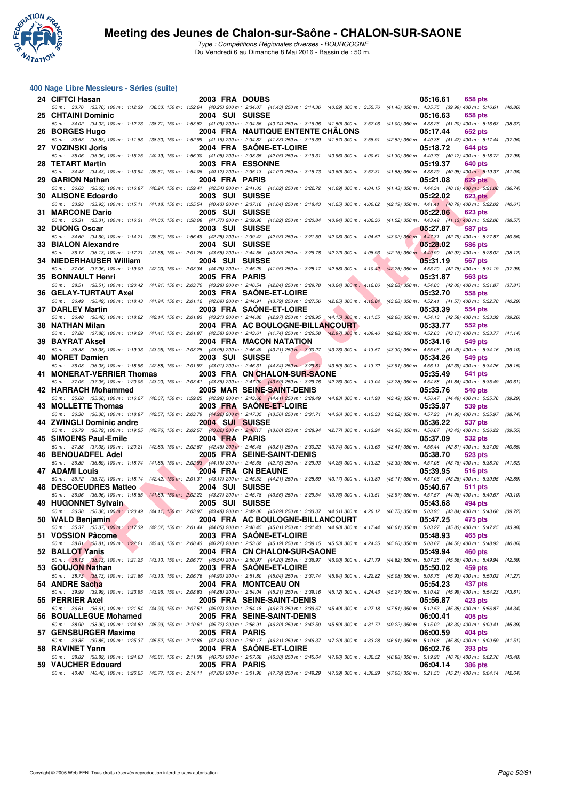

Type : Compétitions Régionales diverses - BOURGOGNE Du Vendredi 6 au Dimanche 8 Mai 2016 - Bassin de : 50 m.

#### **400 Nage Libre Messieurs - Séries (suite)**

| 24 CIFTCI Hasan                                                | 2003 FRA DOUBS  |                                                                                                                                                                                                                                           | 05:16.61<br>658 pts        |         |
|----------------------------------------------------------------|-----------------|-------------------------------------------------------------------------------------------------------------------------------------------------------------------------------------------------------------------------------------------|----------------------------|---------|
| 25 CHTAINI Dominic                                             | 2004 SUI SUISSE | 50 m: 33.76 (33.76) 100 m: 1:12.39 (38.63) 150 m: 1:52.64 (40.25) 200 m: 2:34.07 (41.43) 250 m: 3:14.36 (40.29) 300 m: 3:55.76 (41.40) 350 m: 4:35.75 (39.99) 400 m: 5:16.61 (40.86)                                                      | 05:16.63<br>658 pts        |         |
|                                                                |                 | 50 m: 34.02 (34.02) 100 m: 1:12.73 (38.71) 150 m: 1:53.82 (41.09) 200 m: 2:34.56 (40.74) 250 m: 3:16.06 (41.50) 300 m: 3:57.06 (41.00) 350 m: 4:38.26 (41.20) 400 m: 5:16.63 (38.37)                                                      |                            |         |
| 26 BORGES Hugo                                                 |                 | 2004 FRA NAUTIQUE ENTENTE CHÂLONS<br>50 m: 33.53 (33.53) 100 m: 1:11.83 (38.30) 150 m: 1:52.99 (41.16) 200 m: 2:34.82 (41.83) 250 m: 3:16.39 (41.57) 300 m: 3:58.91 (42.52) 350 m: 4:40.38 (41.47) 400 m: 5:17.44                         | 05:17.44<br>652 pts        | (37.06) |
| 27 VOZINSKI Joris                                              |                 | 2004 FRA SAONE-ET-LOIRE                                                                                                                                                                                                                   | 05:18.72<br><b>644 pts</b> |         |
| 28 TETART Martin                                               |                 | 50 m : 35.06 (35.06) 100 m : 1:15.25 (40.19) 150 m : 1:56.30 (41.05) 200 m : 2:38.35 (42.05) 250 m : 3:19.31 (40.96) 300 m : 4:00.61 (41.30) 350 m : 4:40.73 (40.12) 400 m : 5:18.72 (37.99)<br><b>2003 FRA ESSONNE</b>                   | 05:19.37<br>640 pts        |         |
|                                                                | 2004 FRA PARIS  | 50 m: 34.43 (34.43) 100 m: 1:13.94 (39.51) 150 m: 1:54.06 (40.12) 200 m: 2:35.13 (41.07) 250 m: 3:15.73 (40.60) 300 m: 3:57.31 (41.58) 350 m: 4:38.29 (40.98) 400 m: 5:19.37 (41.08)                                                      |                            |         |
| 29 GARION Nathan                                               |                 | 50 m : 36.63 (36.63) 100 m : 1:16.87 (40.24) 150 m : 1:59.41 (42.54) 200 m : 2:41.03 (41.62) 250 m : 3:22.72 (41.69) 300 m : 4:04.15 (41.43) 350 m : 4:44.34 (40.19) 400 m : 5:21.08                                                      | 05:21.08<br>629 pts        | (36.74) |
| 30 ALISONE Edoardo                                             | 2003 SUI SUISSE | 50 m: 33.93 (33.93) 100 m: 1:15.11 (41.18) 150 m: 1:55.54 (40.43) 200 m: 2:37.18 (41.64) 250 m: 3:18.43 (41.25) 300 m: 4:00.62 (42.19) 350 m: 4:41.41 (40.79) 400 m: 5:22.02 (40.61)                                                      | 05:22.02<br><b>623 pts</b> |         |
| 31 MARCONE Dario                                               | 2005 SUI SUISSE |                                                                                                                                                                                                                                           | 05:22.06<br><b>623 pts</b> |         |
| 32 DUONG Oscar                                                 | 2003 SUI SUISSE | 50 m: 35.31 (35.31) 100 m: 1:16.31 (41.00) 150 m: 1:58.08 (41.77) 200 m: 2:39.90 (41.82) 250 m: 3:20.84 (40.94) 300 m: 4:02.36 (41.52) 350 m: 4:43.49 (41.13) 400 m: 5:22.06                                                              | 05:27.87<br><b>587 pts</b> | (38.57) |
|                                                                |                 | 50 m : 34.60 (34.60) 100 m : 1:14.21 (39.61) 150 m : 1:56.49 (42.28) 200 m : 2:39.42 (42.93) 250 m : 3:21.50 (42.08) 300 m : 4:04.52 (43.02) 350 m : 4:47.31 (42.79) 400 m : 5:27.87 (40.56)                                              |                            |         |
| 33 BIALON Alexandre                                            | 2004 SUI SUISSE | 50 m: 36.13 (36.13) 100 m: 1:17.71 (41.58) 150 m: 2:01.26 (43.55) 200 m: 2:44.56 (43.30) 250 m: 3:26.78 (42.22) 300 m: 4:08.93 (42.15) 350 m: 4:49.90 (40.97) 400 m: 5:28.02                                                              | 05:28.02<br><b>586 pts</b> | (38.12) |
| 34 NIEDERHAUSER William                                        | 2004 SUI SUISSE |                                                                                                                                                                                                                                           | 05:31.19<br>567 pts        |         |
| 35 BONNAULT Henri                                              | 2005 FRA PARIS  | 50 m: 37.06 (37.06) 100 m: 1:19.09 (42.03) 150 m: 2:03.34 (44.25) 200 m: 2:45.29 (41.95) 250 m: 3:28.17 (42.88) 300 m: 4:10.42 (42.25) 350 m: 4:53.20 (42.78) 400 m: 5:31.19                                                              | 05:31.87<br>563 pts        | (37.99) |
|                                                                |                 | 50 m: 38.51 (38.51) 100 m: 1:20.42 (41.91) 150 m: 2:03.70 (43.28) 200 m: 2:46.54 (42.84) 250 m: 3:29.78 (43.24) 300 m: 4:12.06 (42.28) 350 m: 4:54.06 (42.00) 400 m: 5:31.87 (37.81)                                                      |                            |         |
| 36 GELAY-TURTAUT Axel                                          |                 | 2003 FRA SAONE-ET-LOIRE<br>50 m: 36.49 (36.49) 100 m: 1:18.43 (41.94) 150 m: 2:01.12 (42.69) 200 m: 2:44.91 (43.79) 250 m: 3:27.56 (42.65) 300 m: 4:10.84 (43.28) 350 m: 4:52.41 (41.57) 400 m: 5:32.70 (40.29)                           | 05:32.70<br>558 pts        |         |
| 37 DARLEY Martin                                               |                 | 2003 FRA SAONE-ET-LOIRE                                                                                                                                                                                                                   | 05:33.39<br>554 pts        |         |
| 38 NATHAN Milan                                                |                 | 50 m: 36.48 (36.48) 100 m: 1:18.62 (42.14) 150 m: 2:01.83 (43.21) 200 m: 2:44.80 (42.97) 250 m: 3:28.95 (44.15) 300 m: 4:11.55 (42.60) 350 m: 4:54.13 (42.58) 400 m: 5:33.39 (39.26)<br>2004 FRA AC BOULOGNE-BILLANCOURT                  | 05:33.77<br><b>552 pts</b> |         |
|                                                                |                 | 50 m: 37.88 (37.88) 100 m: 1:19.29 (41.41) 150 m: 2:01.87 (42.58) 200 m: 2:43.61 (41.74) 250 m: 3:26.58 (42.97) 300 m: 4:09.46 (42.88) 350 m: 4:52.63 (43.17) 400 m: 5:33.77 (41.14)                                                      |                            |         |
| <b>39 BAYRAT Aksel</b>                                         |                 | 2004 FRA MACON NATATION<br>50 m : 35.38 (35.38) 100 m : 1:19.33 (43.95) 150 m : 2:03.28 (43.95) 200 m : 2:46.49 (43.21) 250 m : 3:30.27 (43.78) 300 m : 4:13.57 (43.30) 350 m : 4:55.06 (41.49) 400 m : 5:34.16 (39.10)                   | 05:34.16<br>549 pts        |         |
| 40 MORET Damien                                                | 2003 SUI SUISSE | 50 m: 36.08 (36.08) 100 m: 1:18.96 (42.88) 150 m: 2:01.97 (43.01) 200 m: 2:46.31 (44.34) 250 m: 3:29.81 (43.50) 300 m: 4:13.72 (43.91) 350 m: 4:56.11 (42.39) 400 m: 5:34.26 (38.15)                                                      | 05:34.26<br>549 pts        |         |
| 41 MONERAT-VERRIER Thomas                                      |                 | 2003 FRA CN CHALON-SUR-SAONE                                                                                                                                                                                                              | 05:35.49<br>541 pts        |         |
| 42 HARRACH Mohammed                                            |                 | 50 m : 37.05 (37.05) 100 m : 1:20.05 (43.00) 150 m : 2:03.41 (43.36) 200 m : 2:47.00 (43.59) 250 m : 3:29.76 (42.76) 300 m : 4:13.04 (43.28) 350 m : 4:54.88 (41.84) 400 m : 5:35.49 (40.61)<br>2005 MAR SEINE-SAINT-DENIS                | 05:35.76<br>540 pts        |         |
|                                                                |                 |                                                                                                                                                                                                                                           |                            |         |
|                                                                |                 | 50 m: 35.60 (35.60) 100 m: 1:16.27 (40.67) 150 m: 1:59.25 (42.98) 200 m: 2:43.66 (44.41) 250 m: 3:28.49 (44.83) 300 m: 4:11.98 (43.49) 350 m: 4:56.47 (44.49) 400 m: 5:35.76 (39.29)                                                      |                            |         |
| 43 MOLLETTE Thomas                                             |                 | 2003 FRA SAONE-ET-LOIRE                                                                                                                                                                                                                   | 05:35.97<br>539 pts        |         |
| 44 ZWINGLI Dominic andre                                       | 2004 SUI SUISSE | 50 m: 36.30 (36.30) 100 m: 1:18.87 (42.57) 150 m: 2:03.79 (44.92) 200 m: 2:47.35 (43.56) 250 m: 3:31.71 (44.36) 300 m: 4:15.33 (43.62) 350 m: 4:57.23 (41.90) 400 m: 5:35.97                                                              | 05:36.22<br>537 pts        | (38.74) |
| 45 SIMOENS Paul-Emile                                          | 2004 FRA PARIS  | 50 m: 36.79 (36.79) 100 m: 1:19.55 (42.76) 150 m: 2:02.57 (43.02) 200 m: 2:46.17 (43.60) 250 m: 3:28.94 (42.77) 300 m: 4:13.24 (44.30) 350 m: 4:56.67 (43.43) 400 m: 5:36.22 (39.55)                                                      | <b>532 pts</b>             |         |
|                                                                |                 | 50 m: 37.38 (37.38) 100 m: 1:20.21 (42.83) 150 m: 2:02.67 (42.46) 200 m: 2:46.48 (43.81) 250 m: 3:30.22 (43.74) 300 m: 4:13.63 (43.41) 350 m: 4:56.44 (42.81) 400 m: 5:37.09                                                              | 05:37.09                   | (40.65) |
| 46 BENOUADFEL Adel                                             |                 | 2005 FRA SEINE-SAINT-DENIS<br>50 m : 36.89 (36.89) 100 m : 1:18.74 (41.85) 150 m : 2:02. <mark>93 (</mark> 44.19) 200 m : 2:45.68 (42.75) 250 m : 3:29.93 (44.25) 300 m : 4:13.32 (43.39) 350 m : 4:57.08 (43.76) 400 m : 5:38.70 (41.62) | 05:38.70<br>523 pts        |         |
| <b>47 ADAMI Louis</b>                                          |                 | 2004 FRA CN BEAUNE                                                                                                                                                                                                                        | 05:39.95<br>516 pts        |         |
| 48 DESCOEUDRES Matteo                                          | 2004 SUI SUISSE | 50 m: 35.72 (35.72) 100 m: 1:18.14 (42.42) 150 m: 2:01.31 (43.17) 200 m: 2:45.52 (44.21) 250 m: 3:28.69 (43.17) 300 m: 4:13.80 (45.11) 350 m: 4:57.06 (43.26) 400 m: 5:39.95 (42.89)                                                      | 05:40.67<br><b>511 pts</b> |         |
|                                                                |                 | 50 m: 36.96 (36.96) 100 m: 1:18.85 (41.89) 150 m: 2:02.22 (43.37) 200 m: 2:45.78 (43.56) 250 m: 3:29.54 (43.76) 300 m: 4:13.51 (43.97) 350 m: 4:57.57 (44.06) 400 m: 5:40.67 (43.10)                                                      |                            |         |
| 49 HUGONNET Sylvain                                            | 2005 SUI SUISSE | 50 m: 36.38 (36.38) 100 m: 1:20.49 (44.11) 150 m: 2:03.97 (43.48) 200 m: 2:49.06 (45.09) 250 m: 3:33.37 (44.31) 300 m: 4:20.12 (46.75) 350 m: 5:03.96 (43.84) 400 m: 5:43.68 (39.72)                                                      | 05:43.68<br>494 pts        |         |
| 50 WALD Benjamin<br><b>Contract Contract Contract Contract</b> |                 | 2004 FRA AC BOULOGNE-BILLANCOURT                                                                                                                                                                                                          | 05:47.25<br>475 pts        |         |
| 51 VOSSION Pâcome                                              |                 | 50 m: 35.37 (35.37) 100 m: 1:17.39 (42.02) 150 m: 2:01.44 (44.05) 200 m: 2:46.45 (45.01) 250 m: 3:31.43 (44.98) 300 m: 4:17.44 (46.01) 350 m: 5:03.27 (45.83) 400 m: 5:47.25 (43.98)<br>2003 FRA SAONE-ET-LOIRE                           | 05:48.93<br>465 pts        |         |
|                                                                |                 | 50 m: 38.81 (38.81) 100 m: 1:22.21 (43.40) 150 m: 2:08.43 (46.22) 200 m: 2:53.62 (45.19) 250 m: 3:39.15 (45.53) 300 m: 4:24.35 (45.20) 350 m: 5:08.87 (44.52) 400 m: 5:48.93 (40.06)                                                      |                            |         |
| 52 BALLOT Yanis                                                |                 | 2004 FRA CN CHALON-SUR-SAONE<br>50 m: 38.13 (38.13) 100 m: 1:21.23 (43.10) 150 m: 2:06.77 (45.54) 200 m: 2:50.97 (44.20) 250 m: 3:36.97 (46.00) 300 m: 4:21.79 (44.82) 350 m: 5:07.35 (45.56) 400 m: 5:49.94 (42.59)                      | 05:49.94<br>460 pts        |         |
| 53 GOUJON Nathan                                               |                 | 2003 FRA SAONE-ET-LOIRE<br>50 m: 38.73 (38.73) 100 m: 1:21.86 (43.13) 150 m: 2:06.76 (44.90) 200 m: 2:51.80 (45.04) 250 m: 3:37.74 (45.94) 300 m: 4:22.82 (45.08) 350 m: 5:08.75 (45.93) 400 m: 5:50.02 (41.27)                           | 05:50.02<br>459 pts        |         |
| 54 ANDRE Sacha                                                 |                 | 2004 FRA MONTCEAU ON                                                                                                                                                                                                                      | 05:54.23<br>437 pts        |         |
| 55 PERRIER Axel                                                |                 | 50 m: 39.99 (39.99) 100 m: 1:23.95 (43.96) 150 m: 2:08.83 (44.88) 200 m: 2:54.04 (45.21) 250 m: 3:39.16 (45.12) 300 m: 4:24.43 (45.27) 350 m: 5:10.42 (45.99) 400 m: 5:54.23 (43.81)<br>2005 FRA SEINE-SAINT-DENIS                        | 05:56.87<br>423 pts        |         |
|                                                                |                 | 50 m: 36.61 (36.61) 100 m: 1:21.54 (44.93) 150 m: 2:07.51 (45.97) 200 m: 2:54.18 (46.67) 250 m: 3:39.67 (45.49) 300 m: 4:27.18 (47.51) 350 m: 5:12.53 (45.35) 400 m: 5:56.87 (44.34)                                                      |                            |         |
| 56 BOUALLEGUE Mohamed                                          |                 | 2005 FRA SEINE-SAINT-DENIS<br>50 m : 38.90 (38.90) 100 m : 1:24.89 (45.99) 150 m : 2:10.61 (45.72) 200 m : 2:56.91 (46.30) 250 m : 3:42.50 (45.59) 300 m : 4:31.72 (49.22) 350 m : 5:15.02 (43.30) 400 m : 6:00.41 (45.39)                | 06:00.41<br>405 pts        |         |
| 57 GENSBURGER Maxime                                           | 2005 FRA PARIS  |                                                                                                                                                                                                                                           | 06:00.59<br>404 pts        |         |
| 58 RAVINET Yann                                                |                 | 50 m: 39.85 (39.85) 100 m: 1:25.37 (45.52) 150 m: 2:12.86 (47.49) 200 m: 2:59.17 (46.31) 250 m: 3:46.37 (47.20) 300 m: 4:33.28 (46.91) 350 m: 5:19.08 (45.80) 400 m: 6:00.59<br>2004 FRA SAONE-ET-LOIRE                                   | 06:02.76<br>393 pts        | (41.51) |
| 59 VAUCHER Edouard                                             | 2005 FRA PARIS  | 50 m : 38.82 (38.82) 100 m : 1:24.63 (45.81) 150 m : 2:11.38 (46.75) 200 m : 2:57.68 (46.30) 250 m : 3:45.64 (47.96) 300 m : 4:32.52 (46.88) 350 m : 5:19.28 (46.76) 400 m : 6:02.76 (43.48)                                              | 06:04.14<br><b>386 pts</b> |         |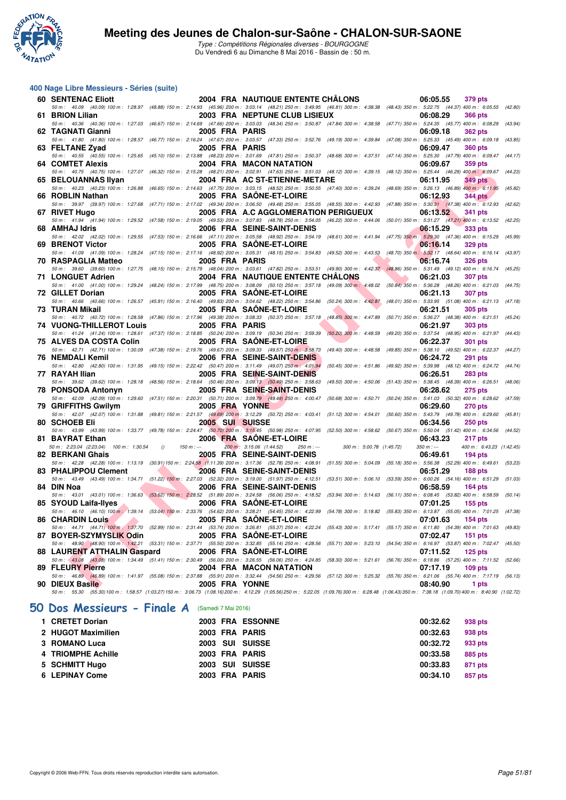

| 400 Nage Libre Messieurs - Séries (suite)                                                                                                                                                                       |                |                 |                                          |                                                                              |             |                          |         |
|-----------------------------------------------------------------------------------------------------------------------------------------------------------------------------------------------------------------|----------------|-----------------|------------------------------------------|------------------------------------------------------------------------------|-------------|--------------------------|---------|
| <b>60 SENTENAC Eliott</b>                                                                                                                                                                                       |                |                 | 2004 FRA NAUTIQUE ENTENTE CHÂLONS        |                                                                              | 06:05.55    | 379 pts                  |         |
| 50 m: 40.09 (40.09) 100 m: 1:28.97 (48.88) 150 m: 2:14.93 (45.96) 200 m: 3:03.14 (48.21) 250 m: 3:49.95 (46.81) 300 m: 4:38.38 (48.43) 350 m: 5:22.75 (44.37) 400 m: 6:05.55 (42.80)<br>61 BRION Lilian         |                |                 | 2003 FRA NEPTUNE CLUB LISIEUX            |                                                                              | 06:08.29    | <b>366 pts</b>           |         |
| 50 m: 40.36 (40.36) 100 m: 1:27.03 (46.67) 150 m: 2:14.69 (47.66) 200 m: 3:03.03 (48.34) 250 m: 3:50.87 (47.84) 300 m: 4:38.58 (47.71) 350 m: 5:24.35 (45.77) 400 m: 6:08.29 (43.94)                            |                |                 |                                          |                                                                              |             |                          |         |
| 62 TAGNATI Gianni                                                                                                                                                                                               |                | 2005 FRA PARIS  |                                          |                                                                              | 06:09.18    | <b>362 pts</b>           |         |
| 50 m: 41.80 (41.80) 100 m: 1:28.57 (46.77) 150 m: 2:16.24 (47.67) 200 m: 3:03.57 (47.33) 250 m: 3:52.76 (49.19) 300 m: 4:39.84 (47.08) 350 m: 5:25.33 (45.49) 400 m: 6:09.18                                    |                |                 |                                          |                                                                              |             |                          | (43.85) |
| 63 FELTANE Zyad                                                                                                                                                                                                 |                | 2005 FRA PARIS  |                                          |                                                                              | 06:09.47    | <b>360 pts</b>           |         |
| 50 m: 40.55 (40.55) 100 m: 1:25.65 (45.10) 150 m: 2:13.88 (48.23) 200 m: 3:01.69 (47.81) 250 m: 3:50.37 (48.68) 300 m: 4:37.51 (47.14) 350 m: 5:25.30 (47.79) 400 m: 6:09.47<br><b>64 COMTET Alexis</b>         |                |                 | 2004 FRA MACON NATATION                  |                                                                              | 06:09.67    | 359 pts                  | (44.17) |
| 50 m: 40.75 (40.75) 100 m: 1:27.07 (46.32) 150 m: 2:15.28 (48.21) 200 m: 3:02.91 (47.63) 250 m: 3:51.03 (48.12) 300 m: 4:39.15 (48.12) 350 m: 5:25.44 (46.29) 400 m: 6:09.67 (44.23)                            |                |                 |                                          |                                                                              |             |                          |         |
| 65 BELOUANNAS IIvan                                                                                                                                                                                             |                |                 | 2004 FRA AC ST-ETIENNE-METARE            |                                                                              | 06:11.95    | <b>349 pts</b>           |         |
| 50 m : 40.23 (40.23) 100 m : 1:26.88 (46.65) 150 m : 2:14.63 (47.75) 200 m : 3:03.15 (48.52) 250 m : 3:50.55 (47.40) 300 m : 4:39.24 (48.69) 350 m : 5:26.13 (46.89) 400 m : 6:11.95                            |                |                 |                                          |                                                                              |             |                          | (45.82) |
| 66 ROBLIN Nathan                                                                                                                                                                                                |                |                 | 2005 FRA SAONE-ET-LOIRE                  |                                                                              | 06:12.93    | <b>344 pts</b>           |         |
| 50 m : 39.97 (39.97) 100 m : 1:27.68 (47.71) 150 m : 2:17.02 (49.34) 200 m : 3:06.50 (49.48) 250 m : 3:55.05 (48.55) 300 m : 4:42.93 (47.88) 350 m : 5:30.31 (47.38) 400 m : 6:12.93 (42.62)<br>67 RIVET Hugo   |                |                 | 2005 FRA A.C AGGLOMERATION PERIGUEUX     |                                                                              | 06:13.52    | <b>341 pts</b>           |         |
| 50 m: 41.94 (41.94) 100 m: 1:29.52 (47.58) 150 m: 2:19.05 (49.53) 200 m: 3:07.83 (48.78) 250 m: 3:54.05 (46.22) 300 m: 4:44.06 (50.01) 350 m: 5:31.27 (47.21) 400 m: 6:13.52                                    |                |                 |                                          |                                                                              |             |                          | (42.25) |
| 68 AMHAJ Idris                                                                                                                                                                                                  |                |                 | 2006 FRA SEINE-SAINT-DENIS               |                                                                              | 06:15.29    | 333 pts                  |         |
| 50 m: 42.02 (42.02) 100 m: 1:29.55 (47.53) 150 m: 2:16.66 (47.11) 200 m: 3:05.58 (48.92) 250 m: 3:54.19 (48.61) 300 m: 4:41.94 (47.75) 350 m: 5:29.30 (47.36) 400 m: 6:15.29                                    |                |                 |                                          |                                                                              |             |                          | (45.99) |
| 69 BRENOT Victor<br>50 m: 41.09 (41.09) 100 m: 1:28.24 (47.15) 150 m: 2:17.16 (48.92) 200 m: 3:05.31 (48.15) 250 m: 3:54.83 (49.52) 300 m: 4:43.53 (48.70) 350 m: 5:32.17 (48.64) 400 m: 6:16.14 (43.97)        |                |                 | 2005 FRA SAONE-ET-LOIRE                  |                                                                              | 06:16.14    | <b>329 pts</b>           |         |
| 70 RASPAGLIA Matteo                                                                                                                                                                                             |                | 2005 FRA PARIS  |                                          |                                                                              | 06:16.74    | <b>326 pts</b>           |         |
| 50 m : 39.60 (39.60) 100 m : 1:27.75 (48.15) 150 m : 2:15.79 (48.04) 200 m : 3:03.61 (47.82) 250 m : 3:53.51 (49.90) 300 m : 4:42.37 (48.86) 350 m : 5:31.49 (49.12) 400 m : 6:16.74 (45.25)                    |                |                 |                                          |                                                                              |             |                          |         |
| 71 LONGUET Adrien                                                                                                                                                                                               |                |                 | <b>2004 FRA NAUTIQUE ENTENTE CHALONS</b> |                                                                              | 06:21.03    | <b>307 pts</b>           |         |
| 50 m: 41.00 (41.00) 100 m: 1:29.24 (48.24) 150 m: 2:17.99 (48.75) 200 m: 3:08.09 (50.10) 250 m: 3:57.18 (49.09) 300 m: 4:48.02 (50.84) 350 m: 5:36.28 (48.26) 400 m: 6:21.03 (44.75)                            |                |                 |                                          |                                                                              |             |                          |         |
| 72 GILLET Dorian<br>50 m: 40.66 (40.66) 100 m: 1:26.57 (45.91) 150 m: 2:16.40 (49.83) 200 m: 3:04.62 (48.22) 250 m: 3:54.86 (50.24) 300 m: 4:42.87 (48.01) 350 m: 5:33.95 (51.08) 400 m: 6:21.13 (47.18)        |                |                 | 2005 FRA SAONE-ET-LOIRE                  |                                                                              | 06:21.13    | <b>307 pts</b>           |         |
| 73 TURAN Mikail                                                                                                                                                                                                 |                |                 | 2005 FRA SAONE-ET-LOIRE                  |                                                                              | 06:21.51    | <b>305 pts</b>           |         |
| 50 m: 40.72 (40.72) 100 m: 1:28.58 (47.86) 150 m: 2:17.96 (49.38) 200 m: 3:08.33 (50.37) 250 m: 3:57.18 (48.85) 300 m: 4:47.89 (50.71) 350 m: 5:36.27 (48.38) 400 m: 6:21.51 (45.24)                            |                |                 |                                          |                                                                              |             |                          |         |
| <b>74 VUONG-THILLEROT Louis</b>                                                                                                                                                                                 |                | 2005 FRA PARIS  |                                          |                                                                              | 06:21.97    | <b>303 pts</b>           |         |
| 50 m: 41.24 (41.24) 100 m: 1:28.61 (47.37) 150 m: 2:18.85 (50.24) 200 m: 3:09.19 (50.34) 250 m: 3:59.39 (50.20) 300 m: 4:48.59 (49.20) 350 m: 5:37.54 (48.95) 400 m: 6:21.97                                    |                |                 |                                          |                                                                              |             |                          | (44.43) |
| 75 ALVES DA COSTA Colin<br>50 m: 42.71 (42.71) 100 m: 1:30.09 (47.38) 150 m: 2:19.76 (49.67) 200 m: 3:09.33 (49.57) 250 m: 3:58.73 (49.40) 300 m: 4:48.58 (49.85) 350 m: 5:38.10 (49.52) 400 m: 6:22.37 (44.27) |                |                 | 2005 FRA SAONE-ET-LOIRE                  |                                                                              | 06:22.37    | <b>301 pts</b>           |         |
| 76 NEMDALI Kemil                                                                                                                                                                                                |                |                 | 2006 FRA SEINE-SAINT-DENIS               |                                                                              | 06:24.72    | <b>291 pts</b>           |         |
| 50 m: 42.80 (42.80) 100 m: 1:31.95 (49.15) 150 m: 2:22.42 (50.47) 200 m: 3:11.49 (49.07) 250 m: 4:01.94                                                                                                         |                |                 |                                          | (50.45) 300 m: 4:51.86 (49.92) 350 m: 5:39.98 (48.12) 400 m: 6:24.72 (44.74) |             |                          |         |
| 77 RAYAH Ilian                                                                                                                                                                                                  |                |                 | 2005 FRA SEINE-SAINT-DENIS               |                                                                              | 06:26.51    | <b>283 pts</b>           |         |
| 50 m: 39.62 (39.62) 100 m: 1:28.18 (48.56) 150 m: 2:18.64 (50.46) 200 m: 3:09.13 (50.49) 250 m: 3:58.63 (49.50) 300 m: 4:50.06 (51.43) 350 m: 5:38.45 (48.39) 400 m: 6:26.51<br>78 PONSODA Antonyn              |                |                 | 2005 FRA SEINE-SAINT-DENIS               |                                                                              | 06:28.62    | <b>275 pts</b>           | (48.06) |
| 50 m: 42.09 (42.09) 100 m: 1:29.60 (47.51) 150 m: 2:20.31 (50.71) 200 m: 3:09.79 (49.48) 250 m: 4:00.47 (50.68) 300 m: 4:50.71 (50.24) 350 m: 5:41.03 (50.32) 400 m: 6:28.62 (47.59)                            |                |                 |                                          |                                                                              |             |                          |         |
| 79 GRIFFITHS Gwilym                                                                                                                                                                                             |                | 2005 FRA YONNE  |                                          |                                                                              | 06:29.60    | <b>270 pts</b>           |         |
| 50 m: 42.07 (42.07) 100 m: 1:31.88 (49.81) 150 m: 2:21.57 (49.69) 200 m: 3:12.29 (50.72) 250 m: 4:03.41 (51.12) 300 m: 4:54.01 (50.60) 350 m: 5:43.79 (49.78) 400 m: 6:29.60                                    |                |                 |                                          |                                                                              |             |                          | (45.81) |
| 80 SCHOEB Eli                                                                                                                                                                                                   |                | 2005 SUI SUISSE |                                          |                                                                              | 06:34.56    | <b>250 pts</b>           |         |
| 50 m: 43.99 (43.99) 100 m: 1:33.77 (49.78) 150 m: 2:24.47 (50.70) 200 m: 3:15.45 (50.98) 250 m: 4:07.95 (52.50) 300 m: 4:58.62 (50.67) 350 m: 5:50.04 (51.42) 400 m: 6:34.56 (44.52)<br>81 BAYRAT Ethan         |                |                 | 2006 FRA SAONE-ET-LOIRE                  |                                                                              | 06:43.23    | 217 pts                  |         |
| 50 m : 2:23.04 (2:23.04) 100 m : 1:30.54 ()                                                                                                                                                                     | $150 m : -$    |                 | 200 m: 3:15.06 (1:44.52)                 | 250 m :--- 300 m : 5:00.78 (1:45.72)                                         | $350 m : -$ | 400 m: 6:43.23 (1:42.45) |         |
| 82 BERKANI Ghais                                                                                                                                                                                                |                |                 | 2005 FRA SEINE-SAINT-DENIS               |                                                                              | 06:49.61    | $194$ pts                |         |
| 50 m: 42.28 (42.28) 100 m: 1:13.19 (30.91) 150 m: 2:24.58 (1:11.39) 200 m: 3:17.36 (52.78) 250 m: 4:08.91 (51.55) 300 m: 5:04.09 (55.18) 350 m: 5:56.38 (52.29) 400 m: 6:49.61 (53.23)                          |                |                 |                                          |                                                                              |             |                          |         |
| 83 PHALIPPOU Clement<br>50 m: 43.49 (43.49) 100 m: 1:34.71 (51.22) 150 m: 2:27.03 (52.32) 200 m: 3:19.00 (51.97) 250 m: 4:12.51 (53.51) 300 m: 5:06.10 (53.59) 350 m: 6:00.26 (54.16) 400 m: 6:51.29 (51.03)    | $\blacksquare$ |                 | 2006 FRA SEINE-SAINT-DENIS               |                                                                              | 06:51.29    | 188 pts                  |         |
| 84 DIN Noa                                                                                                                                                                                                      |                |                 | 2006 FRA SEINE-SAINT-DENIS               |                                                                              | 06:58.59    | $164$ pts                |         |
| 50 m: 43.01 (43.01) 100 m: 1:36.63 (53.62) 150 m: 2:28.52 (51.89) 200 m: 3:24.58 (56.06) 250 m: 4:18.52 (53.94) 300 m: 5:14.63 (56.11) 350 m: 6:08.45 (53.82) 400 m: 6:58.59 (50.14)                            |                |                 |                                          |                                                                              |             |                          |         |
| 85 SYOUD Laifa-Ilyes                                                                                                                                                                                            |                |                 | 2006 FRA SAONE-ET-LOIRE                  |                                                                              | 07:01.25    | $155$ pts                |         |
| 50 m : 46.10 (46.10) 100 m : 1:39.14 (53.04) 150 m : 2:33.76 (54.62) 200 m : 3:28.21 (54.45) 250 m : 4:22.99 (54.78) 300 m : 5:18.82 (55.83) 350 m : 6:13.87 (55.05) 400 m : 7:01.25                            |                |                 |                                          |                                                                              |             |                          | (47.38) |
| <b>86 CHARDIN Louis</b><br>50 m: 44.71 (44.71) 100 m: 1:37.70 (52.99) 150 m: 2:31.44 (53.74) 200 m: 3:26.81 (55.37) 250 m: 4:22.24 (55.43) 300 m: 5:17.41 (55.17) 350 m: 6:11.80 (54.39) 400 m: 7:01.63 (49.83) |                |                 | 2005 FRA SAONE-ET-LOIRE                  |                                                                              | 07:01.63    | $154$ pts                |         |
| 87 BOYER-SZYMYSLIK Odin                                                                                                                                                                                         |                |                 | 2005 FRA SAONE-ET-LOIRE                  |                                                                              | 07:02.47    | $151$ pts                |         |
| 50 m: 48.90 (48.90) 100 m: 1:42.21 (53.31) 150 m: 2:37.71 (55.50) 200 m: 3:32.85 (55.14) 250 m: 4:28.56 (55.71) 300 m: 5:23.10 (54.54) 350 m: 6:16.97 (53.87) 400 m: 7:02.47 (45.50)                            |                |                 |                                          |                                                                              |             |                          |         |
| <b>88 LAURENT ATTHALIN Gaspard</b>                                                                                                                                                                              |                |                 | 2006 FRA SAONE-ET-LOIRE                  |                                                                              | 07:11.52    | $125$ pts                |         |
| 50 m: 43.08 (43.08) 100 m: 1:34.49 (51.41) 150 m: 2:30.49 (56.00) 200 m: 3:26.55 (56.06) 250 m: 4:24.85 (58.30) 300 m: 5:21.61 (56.76) 350 m: 6:18.86 (57.25) 400 m: 7:11.52 (52.66)<br>89 FLEURY Pierre        |                |                 | 2004 FRA MACON NATATION                  |                                                                              |             |                          |         |
| 50 m: 46.89 (46.89) 100 m: 1:41.97 (55.08) 150 m: 2:37.88 (55.91) 200 m: 3:32.44 (54.56) 250 m: 4:29.56 (57.12) 300 m: 5:25.32 (55.76) 350 m: 6:21.06 (55.74) 400 m: 7:17.19 (56.13)                            |                |                 |                                          |                                                                              | 07:17.19    | $109$ pts                |         |
| 90 DIEUX Basile                                                                                                                                                                                                 |                | 2005 FRA YONNE  |                                          |                                                                              | 08:40.90    | 1 pts                    |         |
| 50 m: 55.30 (55.30) 100 m: 1:58.57 (1:03.27) 150 m: 3:06.73 (1:08.16) 200 m: 4:12.29 (1:05.56) 250 m: 5:22.05 (1:09.76) 300 m: 6:28.48 (1:06.43) 350 m: 7:38.18 (1:09.70) 400 m: 8:40.90 (1:02.72)              |                |                 |                                          |                                                                              |             |                          |         |
|                                                                                                                                                                                                                 |                |                 |                                          |                                                                              |             |                          |         |

#### **50 Dos Messieurs - Finale A** (Samedi 7 Mai 2016)

| 1 CRETET Dorian    |  | 2003 FRA ESSONNE | 00:32.62 | 938 pts |
|--------------------|--|------------------|----------|---------|
| 2 HUGOT Maximilien |  | 2003 FRA PARIS   | 00:32.63 | 938 pts |
| 3 ROMANO Luca      |  | 2003 SUI SUISSE  | 00:32.72 | 933 pts |
| 4 TRIOMPHE Achille |  | 2003 FRA PARIS   | 00:33.58 | 885 pts |
| 5 SCHMITT Hugo     |  | 2003 SUI SUISSE  | 00:33.83 | 871 pts |
| 6 LEPINAY Come     |  | 2003 FRA PARIS   | 00:34.10 | 857 pts |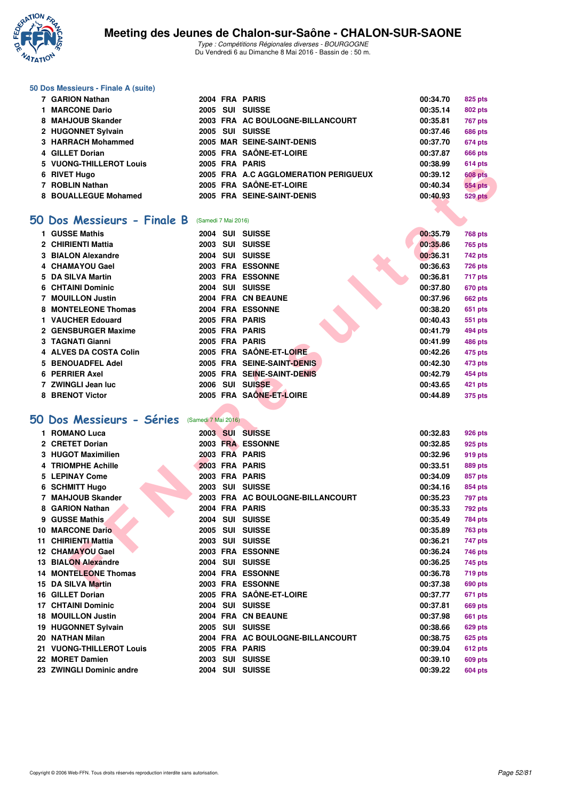

Type : Compétitions Régionales diverses - BOURGOGNE Du Vendredi 6 au Dimanche 8 Mai 2016 - Bassin de : 50 m.

#### **50 Dos Messieurs - Finale A (suite)**

| 7 GARION Nathan         |  | 2004 FRA PARIS                       | 00:34.70 | 825 pts        |
|-------------------------|--|--------------------------------------|----------|----------------|
| 1 MARCONE Dario         |  | 2005 SUI SUISSE                      | 00:35.14 | <b>802 pts</b> |
| 8 MAHJOUB Skander       |  | 2003 FRA AC BOULOGNE-BILLANCOURT     | 00:35.81 | <b>767 pts</b> |
| 2 HUGONNET Sylvain      |  | 2005 SUI SUISSE                      | 00:37.46 | <b>686 pts</b> |
| 3 HARRACH Mohammed      |  | 2005 MAR SEINE-SAINT-DENIS           | 00:37.70 | <b>674 pts</b> |
| 4 GILLET Dorian         |  | 2005 FRA SAÔNE-ET-LOIRE              | 00:37.87 | <b>666 pts</b> |
| 5 VUONG-THILLEROT Louis |  | 2005 FRA PARIS                       | 00:38.99 | 614 pts        |
| 6 RIVET Hugo            |  | 2005 FRA A.C AGGLOMERATION PERIGUEUX | 00:39.12 | <b>608 pts</b> |
| 7 ROBLIN Nathan         |  | 2005 FRA SAÔNE-ET-LOIRE              | 00:40.34 | <b>554 pts</b> |
| 8 BOUALLEGUE Mohamed    |  | 2005 FRA SEINE-SAINT-DENIS           | 00:40.93 | <b>529 pts</b> |

#### **[50 Dos Messieurs - Finale B](http://www.ffnatation.fr/webffn/resultats.php?idact=nat&go=epr&idcpt=38881&idepr=61)** (Samedi 7 Mai 2016)

| VUUNG-IIIILLENUI LUUIS      |                     |                                      | UU.JO.JJ | טויד ויט       |
|-----------------------------|---------------------|--------------------------------------|----------|----------------|
| 6 RIVET Hugo                |                     | 2005 FRA A.C AGGLOMERATION PERIGUEUX | 00:39.12 | <b>608 pts</b> |
| 7 ROBLIN Nathan             |                     | 2005 FRA SAÔNE-ET-LOIRE              | 00:40.34 | <b>554 pts</b> |
| 8 BOUALLEGUE Mohamed        |                     | 2005 FRA SEINE-SAINT-DENIS           | 00:40.93 | 529 pts        |
|                             |                     |                                      |          |                |
| 50 Dos Messieurs - Finale B | (Samedi 7 Mai 2016) |                                      |          |                |
| 1 GUSSE Mathis              |                     | 2004 SUI SUISSE                      | 00:35.79 | 768 pts        |
| 2 CHIRIENTI Mattia          |                     | 2003 SUI SUISSE                      | 00:35.86 | 765 pts        |
| 3 BIALON Alexandre          |                     | 2004 SUI SUISSE                      | 00:36.31 | 742 pts        |
| 4 CHAMAYOU Gael             |                     | 2003 FRA ESSONNE                     | 00:36.63 | 726 pts        |
| 5 DA SILVA Martin           |                     | 2003 FRA ESSONNE                     | 00:36.81 | 717 pts        |
| 6 CHTAINI Dominic           |                     | 2004 SUI SUISSE                      | 00:37.80 | 670 pts        |
| 7 MOUILLON Justin           |                     | 2004 FRA CN BEAUNE                   | 00:37.96 | 662 pts        |
| 8 MONTELEONE Thomas         |                     | 2004 FRA ESSONNE                     | 00:38.20 | 651 pts        |
| 1 VAUCHER Edouard           |                     | 2005 FRA PARIS                       | 00:40.43 | 551 pts        |
| 2 GENSBURGER Maxime         |                     | 2005 FRA PARIS                       | 00:41.79 | 494 pts        |
| 3 TAGNATI Gianni            |                     | 2005 FRA PARIS                       | 00:41.99 | 486 pts        |
| 4 ALVES DA COSTA Colin      |                     | 2005 FRA SAÔNE-ET-LOIRE              | 00:42.26 | 475 pts        |
| 5 BENOUADFEL Adel           |                     | 2005 FRA SEINE-SAINT-DENIS           | 00:42.30 | 473 pts        |
| 6 PERRIER Axel              |                     | 2005 FRA SEINE-SAINT-DENIS           | 00:42.79 | 454 pts        |
| 7 ZWINGLI Jean luc          |                     | 2006 SUI SUISSE                      | 00:43.65 | 421 pts        |
| 8 BRENOT Victor             |                     | 2005 FRA SAÔNE-ET-LOIRE              | 00:44.89 | 375 pts        |
|                             |                     |                                      |          |                |
| 50 Dos Messieurs - Séries   | (Samedi 7 Mai 2016) |                                      |          |                |
| 1 ROMANO Luca               |                     | 2003 SUI SUISSE                      | 00:32.83 | 926 pts        |
| 2 CRETET Dorian             |                     | 2003 FRA ESSONNE                     | 00:32.85 | 925 pts        |
| 3 HUGOT Maximilien          |                     | 2003 FRA PARIS                       | 00:32.96 | 919 pts        |
| <b>4 TRIOMPHE Achille</b>   |                     | 2003 FRA PARIS                       | 00:33.51 | 889 pts        |
| <b>5 LEPINAY Come</b>       |                     | 2003 FRA PARIS                       | 00:34.09 | 857 pts        |
| 6 SCHMITT Hugo              |                     | 2003 SUI SUISSE                      | 00:34.16 | 854 pts        |
| 7 MAHJOUB Skander           |                     | 2003 FRA AC BOULOGNE-BILLANCOURT     | 00:35.23 | 797 pts        |
| 8 GARION Nathan             |                     | 2004 FRA PARIS                       | 00:35.33 | 792 pts        |
| 9 GUSSE Mathis              |                     | 2004 SUI SUISSE                      | 00:35.49 | 784 pts        |
| 10 MARCONE Dario            |                     | 2005 SUI SUISSE                      | 00:35.89 | <b>763 pts</b> |
| 11 CHIRIENTI Mattia         |                     | 2003 SUI SUISSE                      | 00:36.21 | 747 pts        |
| 12 CHAMAYOU Gael            |                     | 2003 FRA ESSONNE                     | 00:36.24 | 746 pts        |
| <b>13 BIALON Alexandre</b>  |                     | 2004 SUI SUISSE                      | 00:36.25 | 745 pts        |
| <b>14 MONTELEONE Thomas</b> |                     | 2004 FRA ESSONNE                     | 00:36.78 | <b>719 pts</b> |
| 15 DA SILVA Martin          |                     | 2003 FRA ESSONNE                     | 00:37.38 | 690 pts        |

#### **[50 Dos Messieurs - Séries](http://www.ffnatation.fr/webffn/resultats.php?idact=nat&go=epr&idcpt=38881&idepr=61)** (Samedi 7 Mai 2016)

|    | <b>ROMANO Luca</b>         |      |     | 2003 SUI SUISSE                  | 00:32.83 | <b>926 pts</b> |
|----|----------------------------|------|-----|----------------------------------|----------|----------------|
|    | 2 CRETET Dorian            |      |     | 2003 FRA ESSONNE                 | 00:32.85 | <b>925 pts</b> |
|    | 3 HUGOT Maximilien         |      |     | 2003 FRA PARIS                   | 00:32.96 | 919 pts        |
|    | 4 TRIOMPHE Achille         |      |     | 2003 FRA PARIS                   | 00:33.51 | <b>889 pts</b> |
|    | 5 LEPINAY Come             | 2003 |     | <b>FRA PARIS</b>                 | 00:34.09 | 857 pts        |
|    | 6 SCHMITT Hugo             | 2003 |     | SUI SUISSE                       | 00:34.16 | 854 pts        |
|    | <b>MAHJOUB Skander</b>     |      |     | 2003 FRA AC BOULOGNE-BILLANCOURT | 00:35.23 | <b>797 pts</b> |
| 8. | <b>GARION Nathan</b>       |      |     | 2004 FRA PARIS                   | 00:35.33 | <b>792 pts</b> |
|    | 9 GUSSE Mathis             | 2004 |     | <b>SUI SUISSE</b>                | 00:35.49 | <b>784 pts</b> |
| 10 | <b>MARCONE Dario</b>       | 2005 | SUI | <b>SUISSE</b>                    | 00:35.89 | <b>763 pts</b> |
|    | 11 CHIRIENTI Mattia        | 2003 |     | SUI SUISSE                       | 00:36.21 | <b>747 pts</b> |
|    | 12 CHAMAYOU Gael           |      |     | 2003 FRA ESSONNE                 | 00:36.24 | <b>746 pts</b> |
|    | <b>13 BIALON Alexandre</b> | 2004 |     | SUI SUISSE                       | 00:36.25 | <b>745 pts</b> |
|    | 14 MONTELEONE Thomas       |      |     | 2004 FRA ESSONNE                 | 00:36.78 | <b>719 pts</b> |
|    | 15 DA SILVA Martin         |      |     | 2003 FRA ESSONNE                 | 00:37.38 | <b>690 pts</b> |
|    | 16 GILLET Dorian           |      |     | 2005 FRA SAÔNE-ET-LOIRE          | 00:37.77 | 671 pts        |
|    | <b>17 CHTAINI Dominic</b>  |      |     | 2004 SUI SUISSE                  | 00:37.81 | <b>669 pts</b> |
|    | <b>18 MOUILLON Justin</b>  |      |     | 2004 FRA CN BEAUNE               | 00:37.98 | <b>661 pts</b> |
|    | 19 HUGONNET Sylvain        | 2005 |     | SUI SUISSE                       | 00:38.66 | <b>629 pts</b> |
|    | 20 NATHAN Milan            |      |     | 2004 FRA AC BOULOGNE-BILLANCOURT | 00:38.75 | <b>625 pts</b> |
|    | 21 VUONG-THILLEROT Louis   |      |     | 2005 FRA PARIS                   | 00:39.04 | 612 pts        |
|    | 22 MORET Damien            |      |     | 2003 SUI SUISSE                  | 00:39.10 | <b>609 pts</b> |
|    | 23 ZWINGLI Dominic andre   |      |     | 2004 SUI SUISSE                  | 00:39.22 | <b>604 pts</b> |
|    |                            |      |     |                                  |          |                |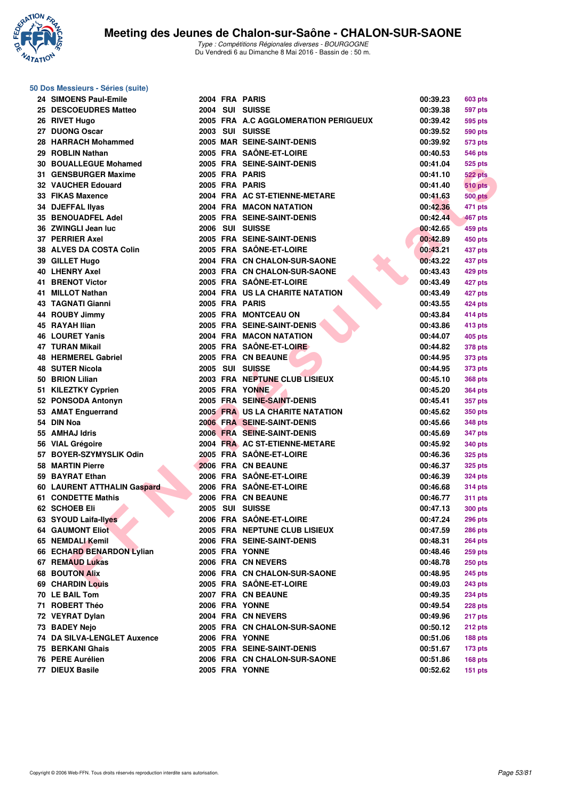

#### **50 Dos Messieurs - Séries (suite)**

| 24 SIMOENS Paul-Emile              |  | 2004 FRA PARIS                       | 00:39.23 | 603 pts        |
|------------------------------------|--|--------------------------------------|----------|----------------|
| 25 DESCOEUDRES Matteo              |  | 2004 SUI SUISSE                      | 00:39.38 | 597 pts        |
| 26 RIVET Hugo                      |  | 2005 FRA A.C AGGLOMERATION PERIGUEUX | 00:39.42 | 595 pts        |
| 27 DUONG Oscar                     |  | 2003 SUI SUISSE                      | 00:39.52 | 590 pts        |
| 28 HARRACH Mohammed                |  | 2005 MAR SEINE-SAINT-DENIS           | 00:39.92 | 573 pts        |
| 29 ROBLIN Nathan                   |  | 2005 FRA SAÔNE-ET-LOIRE              | 00:40.53 | 546 pts        |
| <b>30 BOUALLEGUE Mohamed</b>       |  | 2005 FRA SEINE-SAINT-DENIS           | 00:41.04 | 525 pts        |
| 31 GENSBURGER Maxime               |  | 2005 FRA PARIS                       | 00:41.10 | 522 pts        |
| <b>32 VAUCHER Edouard</b>          |  | 2005 FRA PARIS                       | 00:41.40 | <b>510 pts</b> |
| 33 FIKAS Maxence                   |  | 2004 FRA AC ST-ETIENNE-METARE        | 00:41.63 | <b>500 pts</b> |
| 34 DJEFFAL IIvas                   |  | 2004 FRA MACON NATATION              | 00:42.36 | 471 pts        |
| <b>35 BENOUADFEL Adel</b>          |  | 2005 FRA SEINE-SAINT-DENIS           | 00:42.44 | 467 pts        |
| 36 ZWINGLI Jean luc                |  | 2006 SUI SUISSE                      | 00:42.65 | 459 pts        |
| 37 PERRIER Axel                    |  | 2005 FRA SEINE-SAINT-DENIS           | 00:42.89 | 450 pts        |
| 38 ALVES DA COSTA Colin            |  | 2005 FRA SAÖNE-ET-LOIRE              | 00:43.21 | 437 pts        |
| 39 GILLET Hugo                     |  | 2004 FRA CN CHALON-SUR-SAONE         | 00:43.22 | 437 pts        |
| <b>40 LHENRY Axel</b>              |  | 2003 FRA CN CHALON-SUR-SAONE         | 00:43.43 | 429 pts        |
| <b>41 BRENOT Victor</b>            |  | 2005 FRA SAÔNE-ET-LOIRE              | 00:43.49 | 427 pts        |
| 41 MILLOT Nathan                   |  | 2004 FRA US LA CHARITE NATATION      | 00:43.49 | 427 pts        |
| <b>43 TAGNATI Gianni</b>           |  | 2005 FRA PARIS                       | 00:43.55 | 424 pts        |
| 44 ROUBY Jimmy                     |  | 2005 FRA MONTCEAU ON                 | 00:43.84 | 414 pts        |
| 45 RAYAH Ilian                     |  | 2005 FRA SEINE-SAINT-DENIS           | 00:43.86 | 413 pts        |
| 46 LOURET Yanis                    |  | 2004 FRA MACON NATATION              | 00:44.07 | 405 pts        |
| <b>47 TURAN Mikail</b>             |  | 2005 FRA SAÔNE-ET-LOIRE              | 00:44.82 | 378 pts        |
| 48 HERMEREL Gabriel                |  | 2005 FRA CN BEAUNE                   | 00:44.95 | 373 pts        |
| <b>48 SUTER Nicola</b>             |  | 2005 SUI SUISSE                      | 00:44.95 | 373 pts        |
| 50 BRION Lilian                    |  | 2003 FRA NEPTUNE CLUB LISIEUX        | 00:45.10 | 368 pts        |
| 51 KILEZTKY Cyprien                |  | 2005 FRA YONNE                       | 00:45.20 | <b>364 pts</b> |
| 52 PONSODA Antonyn                 |  | 2005 FRA SEINE-SAINT-DENIS           | 00:45.41 | 357 pts        |
| 53 AMAT Enguerrand                 |  | 2005 FRA US LA CHARITE NATATION      | 00:45.62 | 350 pts        |
| 54 DIN Noa                         |  | 2006 FRA SEINE-SAINT-DENIS           | 00:45.66 | 348 pts        |
| 55 AMHAJ Idris                     |  | 2006 FRA SEINE-SAINT-DENIS           | 00:45.69 | 347 pts        |
| 56 VIAL Grégoire                   |  | 2004 FRA AC ST-ETIENNE-METARE        | 00:45.92 | 340 pts        |
| 57 BOYER-SZYMYSLIK Odin            |  | 2005 FRĀ SAÖNE-ET-LOIRE              | 00:46.36 | 325 pts        |
| <b>58 MARTIN Pierre</b>            |  | 2006 FRA CN BEAUNE                   | 00:46.37 | 325 pts        |
| 59 BAYRAT Ethan                    |  | 2006 FRA SAÔNE-ET-LOIRE              | 00:46.39 | 324 pts        |
| 60 LAURENT ATTHALIN Gaspard        |  | 2006 FRA SAÔNE-ET-LOIRE              | 00:46.68 | <b>314 pts</b> |
| 61 CONDETTE Mathis                 |  | 2006 FRA CN BEAUNE                   | 00:46.77 | <b>311 pts</b> |
| 62 SCHOEB Eli                      |  | <b>2005 SUI SUISSE</b>               | 00:47.13 | <b>300 pts</b> |
| 63 SYOUD Laifa-Ilyes               |  | 2006 FRA SAÔNE-ET-LOIRE              | 00:47.24 | 296 pts        |
| <b>64 GAUMONT Eliot</b>            |  | 2005 FRA NEPTUNE CLUB LISIEUX        | 00:47.59 | <b>286 pts</b> |
| 65 NEMDALI Kemil                   |  | 2006 FRA SEINE-SAINT-DENIS           | 00:48.31 | <b>264 pts</b> |
| 66 ECHARD BENARDON Lylian          |  | 2005 FRA YONNE                       | 00:48.46 | <b>259 pts</b> |
| 67 REMAUD Lukas                    |  | 2006 FRA CN NEVERS                   | 00:48.78 | <b>250 pts</b> |
| <b>68 BOUTON Alix</b>              |  | 2006 FRA CN CHALON-SUR-SAONE         | 00:48.95 | <b>245 pts</b> |
| 69 CHARDIN Louis                   |  | 2005 FRA SAÖNE-ET-LOIRE              | 00:49.03 | 243 pts        |
| 70 LE BAIL Tom                     |  | 2007 FRA CN BEAUNE                   | 00:49.35 | <b>234 pts</b> |
| 71 ROBERT Théo                     |  | 2006 FRA YONNE                       | 00:49.54 | 228 pts        |
| 72 VEYRAT Dylan                    |  | 2004 FRA CN NEVERS                   | 00:49.96 | 217 pts        |
| 73 BADEY Nejo                      |  | 2005 FRA CN CHALON-SUR-SAONE         | 00:50.12 | 212 pts        |
| <b>74 DA SILVA-LENGLET Auxence</b> |  | 2006 FRA YONNE                       | 00:51.06 | 188 pts        |
| 75 BERKANI Ghais                   |  | 2005 FRA SEINE-SAINT-DENIS           | 00:51.67 | $173$ pts      |
| 76 PERE Aurélien                   |  | 2006 FRA CN CHALON-SUR-SAONE         | 00:51.86 | 168 pts        |
| 77 DIEUX Basile                    |  | 2005 FRA YONNE                       | 00:52.62 | $151$ pts      |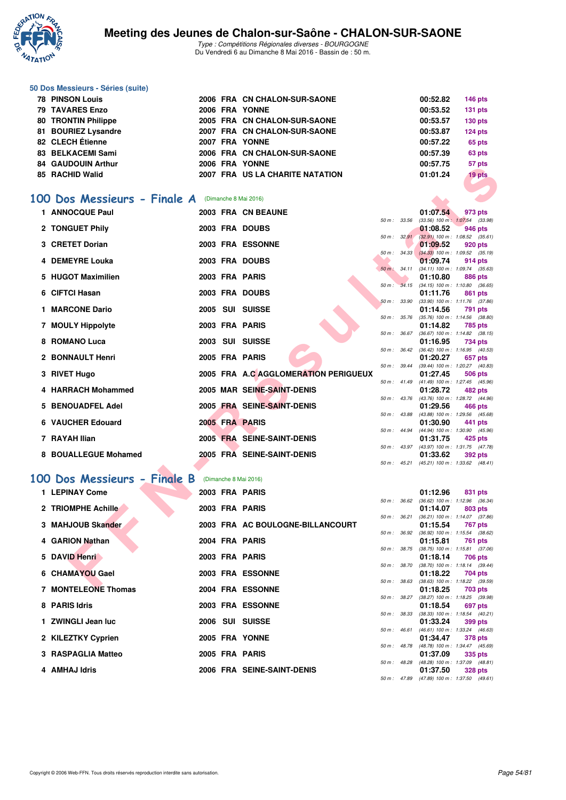

#### **50 Dos Messieurs - Séries (suite)**

| <b>78 PINSON Louis</b> |  | 2006 FRA CN CHALON-SUR-SAONE    | 00:52.82 | $146$ pts |
|------------------------|--|---------------------------------|----------|-----------|
| <b>79 TAVARES Enzo</b> |  | 2006 FRA YONNE                  | 00:53.52 | $131$ pts |
| 80 TRONTIN Philippe    |  | 2005 FRA CN CHALON-SUR-SAONE    | 00:53.57 | $130$ pts |
| 81 BOURIEZ Lysandre    |  | 2007 FRA CN CHALON-SUR-SAONE    | 00:53.87 | $124$ pts |
| 82 CLECH Étienne       |  | 2007 FRA YONNE                  | 00:57.22 | 65 pts    |
| 83 BELKACEMI Sami      |  | 2006 FRA CN CHALON-SUR-SAONE    | 00:57.39 | 63 pts    |
| 84 GAUDOUIN Arthur     |  | 2006 FRA YONNE                  | 00:57.75 | 57 pts    |
| 85 RACHID Walid        |  | 2007 FRA US LA CHARITE NATATION | 01:01.24 | 19 pts    |
|                        |  |                                 |          |           |

#### **[100 Dos Messieurs - Finale A](http://www.ffnatation.fr/webffn/resultats.php?idact=nat&go=epr&idcpt=38881&idepr=62)** (Dimanche 8 Mai 2016)

|                                                   |  | IVINE                                |              |                          | UU.JI.IJ                                               |            | <i>ບ ເ</i> µເວ |
|---------------------------------------------------|--|--------------------------------------|--------------|--------------------------|--------------------------------------------------------|------------|----------------|
| 85   RACHID Walid                                 |  | 2007 FRA US LA CHARITE NATATION      |              |                          | 01:01.24                                               |            | 19 pts         |
|                                                   |  |                                      |              |                          |                                                        |            |                |
| OO Dos Messieurs - Finale A (Dimanche 8 Mai 2016) |  |                                      |              |                          |                                                        |            |                |
| 1 ANNOCQUE Paul                                   |  | 2003 FRA CN BEAUNE                   |              |                          | 01:07.54                                               |            | 973 pts        |
|                                                   |  |                                      | 50 m: 33.56  |                          | $(33.56)$ 100 m : 1:07.54 $(33.98)$                    |            |                |
| 2 TONGUET Phily                                   |  | 2003 FRA DOUBS                       |              | $50 \text{ m}$ : $32.91$ | 01:08.52<br>$(32.91)$ 100 m : 1:08.52 $(35.61)$        |            | 946 pts        |
| 3 CRETET Dorian                                   |  | 2003 FRA ESSONNE                     |              |                          | 01:09.52                                               |            | 920 pts        |
|                                                   |  |                                      |              | 50 m: 34.33              | $(34.33)$ 100 m : 1:09.52 $(35.19)$                    |            |                |
| 4 DEMEYRE Louka                                   |  | 2003 FRA DOUBS                       |              |                          | 01:09.74                                               |            | 914 pts        |
| 5 HUGOT Maximilien                                |  | 2003 FRA PARIS                       |              | 50 m : 34.11             | $(34.11)$ 100 m : 1:09.74 $(35.63)$<br>01:10.80        |            | 886 pts        |
|                                                   |  |                                      |              |                          | 50 m: 34.15 (34.15) 100 m: 1:10.80 (36.65)             |            |                |
| 6 CIFTCI Hasan                                    |  | 2003 FRA DOUBS                       |              |                          | 01:11.76                                               |            | 861 pts        |
| 1 MARCONE Dario                                   |  | 2005 SUI SUISSE                      | 50 m: 33.90  |                          | $(33.90)$ 100 m : 1:11.76 $(37.86)$<br>01:14.56        |            | 791 pts        |
|                                                   |  |                                      |              | 50 m : 35.76             | $(35.76)$ 100 m : 1:14.56 $(38.80)$                    |            |                |
| 7 MOULY Hippolyte                                 |  | 2003 FRA PARIS                       |              |                          | 01:14.82                                               |            | <b>785 pts</b> |
|                                                   |  |                                      | 50 m: 36.67  |                          | $(36.67)$ 100 m : 1:14.82 $(38.15)$                    |            |                |
| 8 ROMANO Luca                                     |  | 2003 SUI SUISSE                      |              | 50 m : 36.42             | 01:16.95<br>$(36.42)$ 100 m : 1:16.95 $(40.53)$        |            | 734 pts        |
| 2 BONNAULT Henri                                  |  | 2005 FRA PARIS                       |              |                          | 01:20.27                                               |            | 657 pts        |
|                                                   |  |                                      |              | 50 m : 39.44             | (39.44) 100 m: 1:20.27 (40.83)                         |            |                |
| 3 RIVET Hugo                                      |  | 2005 FRA A.C AGGLOMERATION PERIGUEUX |              |                          | 01:27.45                                               |            | 506 pts        |
| 4 HARRACH Mohammed                                |  | 2005 MAR SEINE-SAINT-DENIS           |              |                          | 50 m: 41.49 (41.49) 100 m: 1:27.45 (45.96)<br>01:28.72 |            | 482 pts        |
|                                                   |  |                                      |              |                          | 50 m: 43.76 (43.76) 100 m: 1:28.72 (44.96)             |            |                |
| 5 BENOUADFEL Adel                                 |  | 2005 FRA SEINE-SAINT-DENIS           |              |                          | 01:29.56                                               |            | 466 pts        |
|                                                   |  |                                      | 50 m: 43.88  |                          | (43.88) 100 m: 1:29.56 (45.68)                         |            |                |
| 6 VAUCHER Edouard                                 |  | 2005 FRA PARIS                       |              | 50 m : 44.94             | 01:30.90<br>(44.94) 100 m : 1:30.90 (45.96)            |            | 441 pts        |
| 7 RAYAH Ilian                                     |  | 2005 FRA SEINE-SAINT-DENIS           |              |                          | 01:31.75                                               |            | 425 pts        |
|                                                   |  |                                      |              | $50 m$ : $43.97$         | (43.97) 100 m: 1:31.75 (47.78)                         |            |                |
| 8 BOUALLEGUE Mohamed                              |  | 2005 FRA SEINE-SAINT-DENIS           |              |                          | 01:33.62                                               |            | 392 pts        |
|                                                   |  |                                      |              | 50 m: 45.21              | $(45.21)$ 100 m : 1:33.62 $(48.41)$                    |            |                |
| 00 Dos Messieurs - Finale B                       |  | (Dimanche 8 Mai 2016)                |              |                          |                                                        |            |                |
| 1 LEPINAY Come                                    |  | 2003 FRA PARIS                       |              |                          | 01:12.96                                               |            | 831 pts        |
|                                                   |  |                                      |              | 50 m : 36.62             | $(36.62)$ 100 m : 1:12.96 $(36.34)$                    |            |                |
| 2 TRIOMPHE Achille                                |  | 2003 FRA PARIS                       |              |                          | 01:14.07                                               |            | 803 pts        |
|                                                   |  |                                      |              | 50 m : 36.21             | $(36.21)$ 100 m : 1:14.07 $(37.86)$                    |            |                |
| 3 MAHJOUB Skander                                 |  | 2003 FRA AC BOULOGNE-BILLANCOURT     |              | 50 m : 36.92             | 01:15.54<br>$(36.92)$ 100 m : 1:15.54 $(38.62)$        |            | <b>767 pts</b> |
| 4 GARION Nathan                                   |  | 2004 FRA PARIS                       |              |                          | 01:15.81                                               |            | 761 pts        |
|                                                   |  |                                      | 50 m : 38.75 |                          | $(38.75)$ 100 m : 1:15.81 $(37.06)$                    |            |                |
| 5 DAVID Henri                                     |  | 2003 FRA PARIS                       |              |                          | 01:18.14                                               |            | 706 pts        |
| 6 CHAMAYOU Gael                                   |  | 2003 FRA ESSONNE                     |              | 50 m : 38.70             | $(38.70)$ 100 m : 1:18.14 $(39.44)$<br>01:18.22        |            | 704 pts        |
|                                                   |  |                                      |              | 50 m : 38.63             | $(38.63)$ 100 m : 1:18.22 $(39.59)$                    |            |                |
| <b>7 MONTEL COME Thomag</b>                       |  | <b>OOOL EDA ECCONINE</b>             |              |                          | 04.400                                                 | $702 - 12$ |                |

# **[100 Dos Messieurs - Finale B](http://www.ffnatation.fr/webffn/resultats.php?idact=nat&go=epr&idcpt=38881&idepr=62)** (Dimanche 8 Mai 2016)

| 1 LEPINAY Come      |  | 2003 FRA PARIS                   |                  |                  | 01:12.96                                   | 831 pts        |  |
|---------------------|--|----------------------------------|------------------|------------------|--------------------------------------------|----------------|--|
| 2 TRIOMPHE Achille  |  | 2003 FRA PARIS                   | $50 m$ : $36.62$ |                  | (36.62) 100 m: 1:12.96 (36.<br>01:14.07    | 803 pts        |  |
| 3 MAHJOUB Skander   |  | 2003 FRA AC BOULOGNE-BILLANCOURT |                  | $50 m$ : $36.21$ | $(36.21)$ 100 m : 1:14.07 (37.<br>01:15.54 | 767 pts        |  |
| 4 GARION Nathan     |  | 2004 FRA PARIS                   |                  | 50 m: 36.92      | $(36.92)$ 100 m : 1:15.54 (38.<br>01:15.81 | <b>761 pts</b> |  |
|                     |  |                                  | 50 m: 38.75      |                  | $(38.75)$ 100 m : 1:15.81 (37.             |                |  |
| 5 DAVID Henri       |  | 2003 FRA PARIS                   |                  | 50 m : 38.70     | 01:18.14<br>$(38.70)$ 100 m : 1:18.14 (39. | 706 pts        |  |
| 6 CHAMAYOU Gael     |  | 2003 FRA ESSONNE                 | 50 m: 38.63      |                  | 01:18.22<br>$(38.63)$ 100 m : 1:18.22 (39. | 704 pts        |  |
| 7 MONTELEONE Thomas |  | 2004 FRA ESSONNE                 |                  | $50 m$ : $38.27$ | 01:18.25<br>$(38.27)$ 100 m : 1:18.25 (39. | 703 pts        |  |
| 8 PARIS Idris       |  | 2003 FRA ESSONNE                 | 50 m: 38.33      |                  | 01:18.54<br>$(38.33)$ 100 m : 1:18.54 (40. | 697 pts        |  |
| 1 ZWINGLI Jean luc  |  | 2006 SUI SUISSE                  | 50 m: 46.61      |                  | 01:33.24<br>(46.61) 100 m: 1:33.24 (46.    | 399 pts        |  |
| 2 KILEZTKY Cyprien  |  | 2005 FRA YONNE                   | $50 m$ : 48.78   |                  | 01:34.47                                   | 378 pts        |  |
| 3 RASPAGLIA Matteo  |  | 2005 FRA PARIS                   |                  |                  | (48.78) 100 m : 1:34.47 (45.<br>01:37.09   | 335 pts        |  |
| 4 AMHAJ Idris       |  | 2006 FRA SEINE-SAINT-DENIS       | $50 m$ : 48.28   |                  | (48.28) 100 m: 1:37.09 (48.<br>01:37.50    | <b>328 pts</b> |  |
|                     |  |                                  |                  |                  |                                            |                |  |

|              |              | 01:12.96 831 pts                           |                     |         |
|--------------|--------------|--------------------------------------------|---------------------|---------|
|              | 50 m : 36.62 | $(36.62)$ 100 m : 1:12.96 $(36.34)$        |                     |         |
|              |              | 01:14.07 803 pts                           |                     |         |
|              | 50 m : 36.21 | $(36.21)$ 100 m :                          | $1:14.07$ (37.86)   |         |
|              |              | 01:15.54                                   | 767 pts             |         |
|              | 50 m : 36.92 | $(36.92)$ 100 m :                          | $1:15.54$ (38.62)   |         |
|              |              | 01:15.81                                   | 761 pts             |         |
|              | 50 m : 38.75 | $(38.75)$ 100 m :                          | $1:15.81$ (37.06)   |         |
|              |              | 01:18.14                                   | 706 pts             |         |
|              | 50 m : 38.70 | $(38.70)$ 100 m :                          | $1:18.14$ (39.44)   |         |
|              |              | 01:18.22                                   | 704 pts             |         |
| 50 m : 38.63 |              | $(38.63)$ 100 m : 1:18.22 $(39.59)$        |                     |         |
|              |              | 01:18.25 703 pts                           |                     |         |
|              | 50 m : 38.27 | (38.27) 100 m: 1:18.25 (39.98)             |                     |         |
|              |              | 01:18.54                                   |                     | 697 pts |
|              | 50 m : 38.33 | $(38.33) 100 m$ :                          | $1:18.54$ $(40.21)$ |         |
|              |              | 01:33.24                                   | 399 pts             |         |
|              | 50 m : 46.61 | $(46.61)$ 100 m :                          | 1:33.24 (46.63)     |         |
|              |              | 01:34.47                                   | 378 pts             |         |
|              |              | 50 m : 48.78 (48.78) 100 m :               | 1:34.47 (45.69)     |         |
|              |              | 01:37.09                                   | 335 pts             |         |
|              |              | 50 m: 48.28 (48.28) 100 m: 1:37.09 (48.81) |                     |         |
|              |              | 01:37.50                                   | 328 pts             |         |
| 50 m: 47.89  |              | (47.89) 100 m:                             | 1:37.50 (49.61)     |         |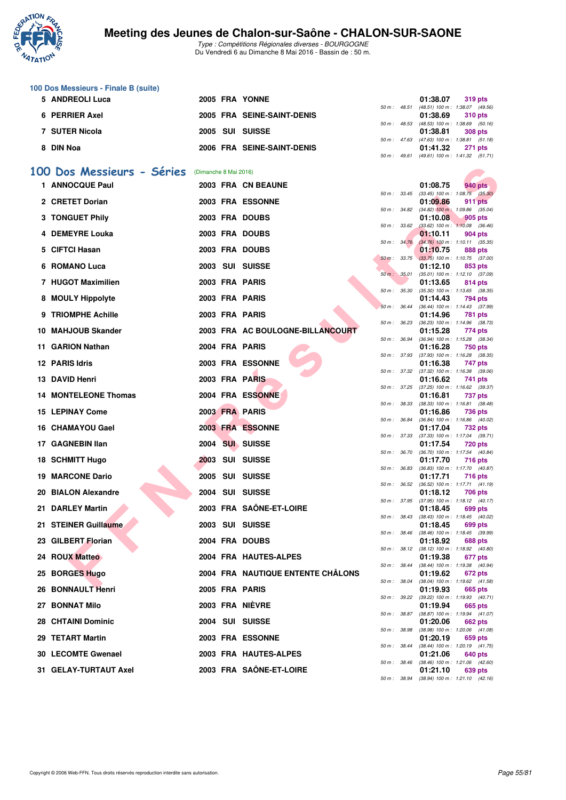

|    | 100 Dos Messieurs - Finale B (suite) |                       |                                   |              |              |                                                                     |
|----|--------------------------------------|-----------------------|-----------------------------------|--------------|--------------|---------------------------------------------------------------------|
|    | 5 ANDREOLI Luca                      |                       | 2005 FRA YONNE                    |              | 50 m : 48.51 | 01:38.07<br>319 pts<br>(48.51) 100 m: 1:38.07 (49.56)               |
|    | 6 PERRIER Axel                       |                       | 2005 FRA SEINE-SAINT-DENIS        | 50 m: 48.53  |              | 01:38.69<br><b>310 pts</b><br>(48.53) 100 m: 1:38.69 (50.16)        |
|    | 7 SUTER Nicola                       |                       | 2005 SUI SUISSE                   |              |              | 01:38.81<br><b>308 pts</b>                                          |
|    | 8 DIN Noa                            |                       | 2006 FRA SEINE-SAINT-DENIS        |              | 50 m : 47.63 | $(47.63)$ 100 m : 1:38.81 $(51.18)$<br>01:41.32<br>271 pts          |
|    |                                      |                       |                                   |              | 50 m : 49.61 | (49.61) 100 m: 1:41.32 (51.71)                                      |
|    | 100 Dos Messieurs - Séries           | (Dimanche 8 Mai 2016) |                                   |              |              |                                                                     |
|    | 1 ANNOCQUE Paul                      |                       | 2003 FRA CN BEAUNE                |              |              | 01:08.75<br>940 pts<br>50 m : 33.45 (33.45) 100 m : 1:08.75 (35.30) |
|    | 2 CRETET Dorian                      |                       | <b>2003 FRA ESSONNE</b>           |              |              | 01:09.86<br><b>911 pts</b>                                          |
|    | 3 TONGUET Phily                      |                       | 2003 FRA DOUBS                    | 50 m : 34.82 |              | $(34.82)$ 100 m : 1:09.86 $(35.04)$<br>01:10.08<br>905 pts          |
|    | 4 DEMEYRE Louka                      |                       | 2003 FRA DOUBS                    | 50 m : 33.62 |              | $(33.62)$ 100 m : 1:10.08 $(36.46)$<br>01:10.11<br>904 pts          |
| 5. | CIFTCI Hasan                         |                       | 2003 FRA DOUBS                    | 50 m : 34.76 |              | $(34.76)$ 100 m : 1:10.11 $(35.35)$<br>01:10.75<br>888 pts          |
| 6  | <b>ROMANO Luca</b>                   |                       | 2003 SUI SUISSE                   | 50 m: 33.75  |              | $(33.75)$ 100 m : 1:10.75 $(37.00)$<br>01:12.10<br>853 pts          |
|    | 7 HUGOT Maximilien                   |                       | 2003 FRA PARIS                    | 50 m: 35.01  |              | $(35.01)$ 100 m : 1:12.10 $(37.09)$<br>01:13.65<br>814 pts          |
|    |                                      |                       |                                   | 50 m: 35.30  |              | $(35.30)$ 100 m : 1:13.65 $(38.35)$                                 |
|    | 8 MOULY Hippolyte                    |                       | 2003 FRA PARIS                    | 50 m: 36.44  |              | 01:14.43<br>794 pts<br>(36.44) 100 m: 1:14.43 (37.99)               |
| 9  | <b>TRIOMPHE Achille</b>              |                       | 2003 FRA PARIS                    | 50 m : 36.23 |              | 01:14.96<br>781 pts<br>$(36.23)$ 100 m : 1:14.96 $(38.73)$          |
|    | 10 MAHJOUB Skander                   |                       | 2003 FRA AC BOULOGNE-BILLANCOURT  |              | 50 m : 36.94 | 01:15.28<br>774 pts<br>(36.94) 100 m: 1:15.28 (38.34)               |
|    | 11 GARION Nathan                     |                       | 2004 FRA PARIS                    |              | 50 m : 37.93 | 01:16.28<br>750 pts<br>$(37.93)$ 100 m : 1:16.28 $(38.35)$          |
|    | 12 PARIS Idris                       |                       | 2003 FRA ESSONNE                  |              |              | 01:16.38<br>747 pts                                                 |
|    | 13 DAVID Henri                       |                       | 2003 FRA PARIS                    | 50 m: 37.32  |              | $(37.32)$ 100 m : 1:16.38 $(39.06)$<br>01:16.62<br>741 pts          |
|    | <b>14 MONTELEONE Thomas</b>          |                       | 2004 FRA ESSONNE                  | 50 m: 37.25  |              | $(37.25)$ 100 m : 1:16.62 $(39.37)$<br>01:16.81<br>737 pts          |
|    | <b>15 LEPINAY Come</b>               |                       | 2003 FRA PARIS                    | 50 m: 38.33  |              | $(38.33)$ 100 m : 1:16.81 $(38.48)$<br>01:16.86<br>736 pts          |
|    | 16 CHAMAYOU Gael                     |                       | 2003 FRA ESSONNE                  | 50 m : 36.84 |              | (36.84) 100 m: 1:16.86 (40.02)<br>01:17.04<br>732 pts               |
|    | 17 GAGNEBIN Ilan                     |                       | 2004 SUI SUISSE                   |              | 50 m : 37.33 | $(37.33)$ 100 m : 1:17.04 $(39.71)$<br>01:17.54<br>720 pts          |
|    |                                      |                       |                                   | 50 m : 36.70 |              | (36.70) 100 m : 1:17.54 (40.84)                                     |
| 18 | <b>SCHMITT Hugo</b>                  |                       | <b>2003 SUI SUISSE</b>            | 50 m : 36.83 |              | 01:17.70<br><b>716 pts</b><br>$(36.83)$ 100 m : 1:17.70 $(40.87)$   |
|    | <b>19 MARCONE Dario</b>              |                       | <b>2005 SUI SUISSE</b>            | 50 m: 36.52  |              | 01:17.71<br>716 pts<br>$(36.52)$ 100 m : 1:17.71 $(41.19)$          |
| 20 | <b>BIALON Alexandre</b>              |                       | 2004 SUI SUISSE                   | 50 m : 37.95 |              | 01:18.12<br>706 pts<br>(37.95) 100 m: 1:18.12 (40.17)               |
|    | 21 DARLEY Martin                     |                       | 2003 FRA SAÔNE-ET-LOIRE           |              | 50 m : 38.43 | 01:18.45<br>699 pts<br>$(38.43)$ 100 m : 1:18.45 $(40.02)$          |
|    | 21 STEINER Guillaume                 |                       | 2003 SUI SUISSE                   |              | 50 m : 38.46 | 01:18.45<br>699 pts<br>$(38.46)$ 100 m : 1:18.45 $(39.99)$          |
|    | 23 GILBERT Florian                   |                       | 2004 FRA DOUBS                    |              |              | 01:18.92<br>688 pts                                                 |
|    | <b>24 ROUX Matteo</b>                |                       | 2004 FRA HAUTES-ALPES             |              | 50 m : 38.12 | $(38.12)$ 100 m : 1:18.92 $(40.80)$<br>01:19.38<br>677 pts          |
|    | 25 BORGES Hugo                       |                       | 2004 FRA NAUTIQUE ENTENTE CHÂLONS |              | 50 m : 38.44 | (38.44) 100 m: 1:19.38 (40.94)<br>01:19.62<br>672 pts               |
|    | 26 BONNAULT Henri                    |                       | 2005 FRA PARIS                    |              | 50 m : 38.04 | (38.04) 100 m: 1:19.62 (41.58)<br>01:19.93<br>665 pts               |
|    | 27 BONNAT Milo                       |                       | 2003 FRA NIÈVRE                   |              | 50 m : 39.22 | (39.22) 100 m: 1:19.93 (40.71)<br>01:19.94<br>665 pts               |
|    | 28 CHTAINI Dominic                   |                       | 2004 SUI SUISSE                   |              | 50 m : 38.87 | (38.87) 100 m: 1:19.94 (41.07)                                      |
|    |                                      |                       |                                   |              | 50 m : 38.98 | 01:20.06<br>662 pts<br>(38.98) 100 m: 1:20.06 (41.08)               |
|    | 29 TETART Martin                     |                       | 2003 FRA ESSONNE                  |              | 50 m : 38.44 | 01:20.19<br>659 pts<br>$(38.44)$ 100 m : 1:20.19 $(41.75)$          |
|    | 30 LECOMTE Gwenael                   |                       | 2003 FRA HAUTES-ALPES             |              |              | 01:21.06<br>640 pts<br>50 m : 38.46 (38.46) 100 m : 1:21.06 (42.60) |
|    | 31 GELAY-TURTAUT Axel                |                       | 2003 FRA SAÔNE-ET-LOIRE           |              |              | 01:21.10<br>639 pts<br>50 m: 38.94 (38.94) 100 m: 1:21.10 (42.16)   |
|    |                                      |                       |                                   |              |              |                                                                     |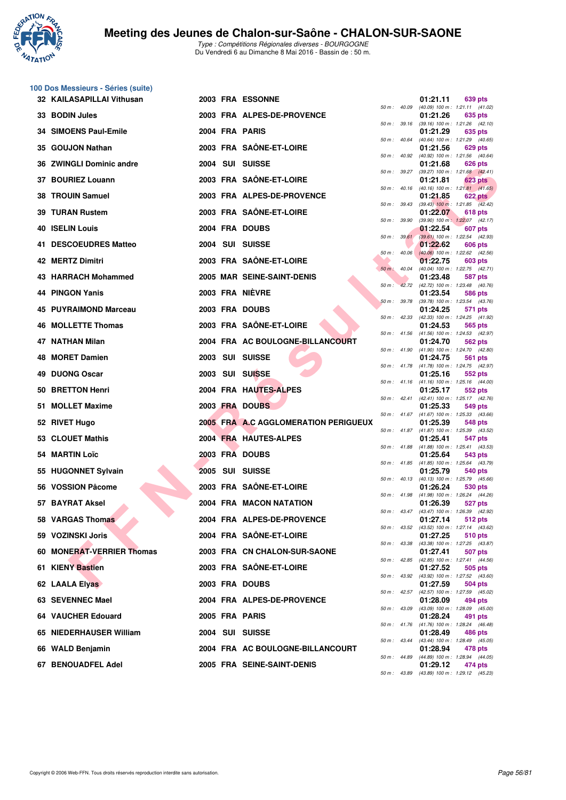

**100 Dos Messieurs - Séries (suite)**

Type : Compétitions Régionales diverses - BOURGOGNE Du Vendredi 6 au Dimanche 8 Mai 2016 - Bassin de : 50 m.

| 32 KAILASAPILLAI Vithusan        |                 | 2003 FRA ESSONNE                     |          |                  | 01:21.11 | 639 pts                                                        |
|----------------------------------|-----------------|--------------------------------------|----------|------------------|----------|----------------------------------------------------------------|
| 33 BODIN Jules                   |                 | 2003 FRA ALPES-DE-PROVENCE           |          | 50 m: 40.09      | 01:21.26 | $(40.09)$ 100 m : 1:21.11 $(41.02)$<br>635 pts                 |
| 34 SIMOENS Paul-Emile            | 2004 FRA PARIS  |                                      |          | 50 m : 39.16     | 01:21.29 | $(39.16)$ 100 m : 1:21.26 $(42.10)$<br>635 pts                 |
| 35 GOUJON Nathan                 |                 | 2003 FRA SAÖNE-ET-LOIRE              |          | 50 m : 40.64     | 01:21.56 | (40.64) 100 m: 1:21.29 (40.65)<br>629 pts                      |
| 36 ZWINGLI Dominic andre         | 2004 SUI SUISSE |                                      |          | 50 m: 40.92      | 01:21.68 | (40.92) 100 m: 1:21.56 (40.64)<br>626 pts                      |
| 37 BOURIEZ Louann                |                 | 2003 FRA SAÔNE-ET-LOIRE              |          | 50 m: 39.27      | 01:21.81 | (39.27) 100 m: 1:21.68 (42.41)<br>623 pts                      |
| <b>TROUIN Samuel</b><br>38       |                 | 2003 FRA ALPES-DE-PROVENCE           |          | 50 m: 40.16      | 01:21.85 | $(40.16)$ 100 m : 1:21.81 $(41.65)$<br>622 pts                 |
| 39 TURAN Rustem                  |                 | 2003 FRA SAÖNE-ET-LOIRE              |          | 50 m : 39.43     | 01:22.07 | $(39.43)$ 100 m : 1:21.85 $(42.42)$<br>618 pts                 |
| <b>ISELIN Louis</b><br>40        | 2004 FRA DOUBS  |                                      |          | 50 m : 39.90     | 01:22.54 | (39.90) 100 m: 1:22.07 (42.17)<br>607 pts                      |
| <b>DESCOEUDRES Matteo</b><br>41. | 2004 SUI SUISSE |                                      |          | 50 m: 39.61      | 01:22.62 | $(39.61)$ 100 m : 1:22.54 $(42.93)$<br>606 pts                 |
| 42 MERTZ Dimitri                 |                 | 2003 FRA SAÖNE-ET-LOIRE              |          | $50 m$ : $40.06$ | 01:22.75 | $(40.06)$ 100 m : 1:22.62 $(42.56)$<br>603 pts                 |
| 43 HARRACH Mohammed              |                 | 2005 MAR SEINE-SAINT-DENIS           |          | $50 m$ : $40.04$ | 01:23.48 | (40.04) 100 m: 1:22.75 (42.71)<br>587 pts                      |
| 44 PINGON Yanis                  | 2003 FRA NIÈVRE |                                      | $50 m$ : | 42.72            |          | (42.72) 100 m : 1:23.48 (40.76)                                |
|                                  |                 |                                      |          | 50 m: 39.78      | 01:23.54 | 586 pts<br>(39.78) 100 m: 1:23.54 (43.76)                      |
| <b>PUYRAIMOND Marceau</b><br>45  | 2003 FRA DOUBS  |                                      |          | 50 m: 42.33      | 01:24.25 | 571 pts<br>(42.33) 100 m: 1:24.25 (41.92)                      |
| 46 MOLLETTE Thomas               |                 | 2003 FRA SAÔNE-ET-LOIRE              |          | 50 m: 41.56      | 01:24.53 | 565 pts<br>(41.56) 100 m: 1:24.53 (42.97)                      |
| 47 NATHAN Milan                  |                 | 2004 FRA AC BOULOGNE-BILLANCOURT     |          | 50 m : 41.90     | 01:24.70 | 562 pts<br>$(41.90)$ 100 m : 1:24.70 $(42.80)$                 |
| 48 MORET Damien                  | 2003 SUI SUISSE |                                      |          | 50 m: 41.78      | 01:24.75 | 561 pts<br>(41.78) 100 m: 1:24.75 (42.97)                      |
| <b>DUONG Oscar</b><br>49         | 2003 SUI SUISSE |                                      |          |                  | 01:25.16 | 552 pts<br>50 m: 41.16 (41.16) 100 m: 1:25.16 (44.00)          |
| <b>BRETTON Henri</b><br>50       |                 | 2004 FRA HAUTES-ALPES                |          | 50 m : 42.41     | 01:25.17 | 552 pts<br>$(42.41)$ 100 m : 1:25.17 $(42.76)$                 |
| <b>MOLLET Maxime</b><br>51       | 2003 FRA DOUBS  |                                      |          |                  | 01:25.33 | 549 pts                                                        |
| <b>RIVET Hugo</b><br>52          |                 | 2005 FRA A.C AGGLOMERATION PERIGUEUX |          |                  | 01:25.39 | 50 m: 41.67 (41.67) 100 m: 1:25.33 (43.66)<br>548 pts          |
| 53 CLOUET Mathis                 |                 | 2004 FRA HAUTES-ALPES                |          |                  | 01:25.41 | 50 m: 41.87 (41.87) 100 m: 1:25.39 (43.52)<br>547 pts          |
| <b>MARTIN Loïc</b><br>54         | 2003 FRA DOUBS  |                                      |          | 50 m : 41.88     | 01:25.64 | $(41.88)$ 100 m : 1:25.41 $(43.53)$<br>543 pts                 |
| 55 HUGONNET Sylvain              | 2005 SUI SUISSE |                                      |          |                  | 01:25.79 | 50 m: 41.85 (41.85) 100 m: 1:25.64 (43.79)<br>540 pts          |
| 56 VOSSION Pâcome                |                 | 2003 FRA SAÔNE-ET-LOIRE              |          | 50 m : 40.13     | 01:26.24 | (40.13) 100 m: 1:25.79 (45.66)<br>530 pts                      |
| 57 BAYRAT Aksel                  |                 | 2004 FRA MACON NATATION              |          | 50 m : 41.98     | 01:26.39 | (41.98) 100 m: 1:26.24 (44.26)<br>527 pts                      |
| 58 VARGAS Thomas                 |                 | 2004 FRA ALPES-DE-PROVENCE           |          |                  |          | 50 m: 43.47 (43.47) 100 m: 1:26.39 (42.92)<br>01:27.14 512 pts |
| 59 VOZINSKI Joris                |                 | 2004 FRA SAÖNE-ET-LOIRE              |          |                  | 01:27.25 | 50 m : 43.52 (43.52) 100 m : 1:27.14 (43.62)<br>510 pts        |
| 60 MONERAT-VERRIER Thomas        |                 | 2003 FRA CN CHALON-SUR-SAONE         |          |                  | 01:27.41 | 50 m: 43.38 (43.38) 100 m: 1:27.25 (43.87)<br>507 pts          |
| 61 KIENY Bastien                 |                 | 2003 FRA SAÔNE-ET-LOIRE              |          |                  | 01:27.52 | 50 m: 42.85 (42.85) 100 m: 1:27.41 (44.56)<br>505 pts          |
| 62 LAALA Elyas                   | 2003 FRA DOUBS  |                                      |          |                  | 01:27.59 | 50 m: 43.92 (43.92) 100 m: 1:27.52 (43.60)<br>504 pts          |
| 63 SEVENNEC Mael                 |                 | 2004 FRA ALPES-DE-PROVENCE           |          | 50 m : 42.57     | 01:28.09 | (42.57) 100 m: 1:27.59 (45.02)<br>494 pts                      |
| 64 VAUCHER Edouard               | 2005 FRA PARIS  |                                      |          |                  | 01:28.24 | 50 m : 43.09 (43.09) 100 m : 1:28.09 (45.00)<br>491 pts        |
|                                  |                 |                                      |          |                  |          | 50 m : 41.76 (41.76) 100 m : 1:28.24 (46.48)                   |
| 65 NIEDERHAUSER William          | 2004 SUI SUISSE |                                      |          |                  | 01:28.49 | 486 pts<br>50 m: 43.44 (43.44) 100 m: 1:28.49 (45.05)          |
| 66 WALD Benjamin                 |                 | 2004 FRA AC BOULOGNE-BILLANCOURT     |          |                  | 01:28.94 | 478 pts<br>50 m: 44.89 (44.89) 100 m: 1:28.94 (44.05)          |
| 67 BENOUADFEL Adel               |                 | 2005 FRA SEINE-SAINT-DENIS           |          |                  | 01:29.12 | 474 pts<br>50 m: 43.89 (43.89) 100 m: 1:29.12 (45.23)          |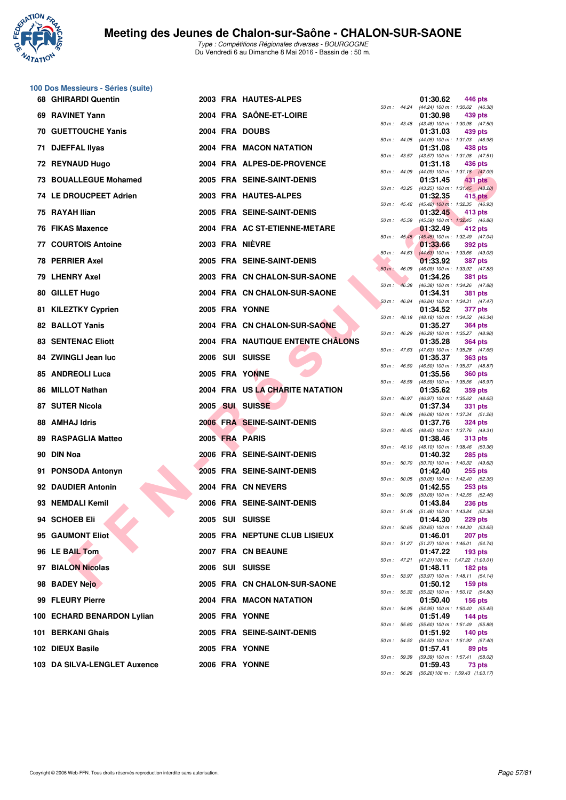

**100 Dos Messieurs - Séries (suite)**

## **Meeting des Jeunes de Chalon-sur-Saône - CHALON-SUR-SAONE**

|     | 68 GHIRARDI Quentin          |  | 2003 FRA HAUTES-ALPES                    |                  |                  | 01:30.62 | 446 pts                                                      |
|-----|------------------------------|--|------------------------------------------|------------------|------------------|----------|--------------------------------------------------------------|
|     | 69 RAVINET Yann              |  | 2004 FRA SAÖNE-ET-LOIRE                  | 50 m: 44.24      |                  | 01:30.98 | (44.24) 100 m : 1:30.62 (46.38)<br>439 pts                   |
|     | <b>70 GUETTOUCHE Yanis</b>   |  | 2004 FRA DOUBS                           | 50 m: 43.48      |                  | 01:31.03 | $(43.48)$ 100 m : 1:30.98 $(47.50)$<br>439 pts               |
| 71. | <b>DJEFFAL Ilyas</b>         |  | 2004 FRA MACON NATATION                  | 50 m: 44.05      |                  | 01:31.08 | (44.05) 100 m: 1:31.03 (46.98)<br>438 pts                    |
|     | 72 REYNAUD Hugo              |  |                                          | $50 m$ : 43.57   |                  |          | $(43.57)$ 100 m : 1:31.08 $(47.51)$                          |
|     |                              |  | 2004 FRA ALPES-DE-PROVENCE               | 50 m: 44.09      |                  | 01:31.18 | 436 pts<br>(44.09) 100 m: 1:31.18 (47.09)                    |
|     | 73 BOUALLEGUE Mohamed        |  | 2005 FRA SEINE-SAINT-DENIS               | 50 m: 43.25      |                  | 01:31.45 | 431 pts<br>$(43.25)$ 100 m : 1:31.45 $(48.20)$               |
|     | 74 LE DROUCPEET Adrien       |  | 2003 FRA HAUTES-ALPES                    |                  |                  | 01:32.35 | 415 pts<br>50 m : 45.42 (45.42) 100 m : 1:32.35 (46.93)      |
|     | 75 RAYAH Ilian               |  | 2005 FRA SEINE-SAINT-DENIS               | 50 m: 45.59      |                  | 01:32.45 | 413 pts<br>(45.59) 100 m: 1:32.45 (46.86)                    |
|     | <b>76 FIKAS Maxence</b>      |  | 2004 FRA AC ST-ETIENNE-METARE            |                  |                  | 01:32.49 | 412 pts                                                      |
|     | <b>77 COURTOIS Antoine</b>   |  | 2003 FRA NIEVRE                          |                  | $50 m$ : $45.45$ | 01:33.66 | (45.45) 100 m: 1:32.49 (47.04)<br>392 pts                    |
|     | 78 PERRIER Axel              |  | 2005 FRA SEINE-SAINT-DENIS               |                  | $50 m$ : 44.63   | 01:33.92 | $(44.63)$ 100 m : 1:33.66 $(49.03)$<br><b>387 pts</b>        |
|     | 79 LHENRY Axel               |  | 2003 FRA CN CHALON-SUR-SAONE             | 50 m : 46.09     |                  | 01:34.26 | (46.09) 100 m: 1:33.92 (47.83)<br><b>381 pts</b>             |
|     | 80 GILLET Hugo               |  | 2004 FRA CN CHALON-SUR-SAONE             | 50 m :           | 46.38            | 01:34.31 | (46.38) 100 m: 1:34.26 (47.88)<br><b>381 pts</b>             |
|     |                              |  |                                          | 50 m: 46.84      |                  |          | (46.84) 100 m: 1:34.31 (47.47)                               |
|     | 81 KILEZTKY Cyprien          |  | 2005 FRA YONNE                           | $50 m$ : 48.18   |                  | 01:34.52 | 377 pts<br>(48.18) 100 m: 1:34.52 (46.34)                    |
|     | 82 BALLOT Yanis              |  | 2004 FRA CN CHALON-SUR-SAONE             | 50 m: 46.29      |                  | 01:35.27 | <b>364 pts</b><br>(46.29) 100 m: 1:35.27 (48.98)             |
|     | <b>83 SENTENAC Eliott</b>    |  | <b>2004 FRA NAUTIQUE ENTENTE CHALONS</b> | 50 m: 47.63      |                  | 01:35.28 | <b>364 pts</b><br>(47.63) 100 m: 1:35.28 (47.65)             |
|     | 84 ZWINGLI Jean luc          |  | 2006 SUI SUISSE                          | 50 m: 46.50      |                  | 01:35.37 | <b>363 pts</b><br>(46.50) 100 m: 1:35.37 (48.87)             |
|     | 85 ANDREOLI Luca             |  | 2005 FRA YONNE                           |                  |                  | 01:35.56 | <b>360 pts</b>                                               |
|     | 86 MILLOT Nathan             |  | 2004 FRA US LA CHARITE NATATION          | 50 m: 48.59      |                  | 01:35.62 | (48.59) 100 m: 1:35.56 (46.97)<br>359 pts                    |
|     | 87 SUTER Nicola              |  | 2005 SUI SUISSE                          |                  | 50 m : 46.97     | 01:37.34 | (46.97) 100 m : 1:35.62 (48.65)<br>331 pts                   |
|     | 88 AMHAJ Idris               |  | 2006 FRA SEINE-SAINT-DENIS               | 50 m: 46.08      |                  | 01:37.76 | (46.08) 100 m: 1:37.34 (51.26)<br><b>324 pts</b>             |
| 89  | <b>RASPAGLIA Matteo</b>      |  | 2005 FRA PARIS                           | $50 m$ : $48.45$ |                  | 01:38.46 | (48.45) 100 m: 1:37.76 (49.31)<br>313 pts                    |
|     | 90 DIN Noa                   |  | 2006 FRA SEINE-SAINT-DENIS               | 50 m: 48.10      |                  | 01:40.32 | (48.10) 100 m: 1:38.46 (50.36)                               |
|     |                              |  |                                          | 50 m: 50.70      |                  |          | <b>285 pts</b><br>(50.70) 100 m: 1:40.32 (49.62)             |
| 91  | <b>PONSODA Antonyn</b>       |  | 2005 FRA SEINE-SAINT-DENIS               |                  | 50 m: 50.05      | 01:42.40 | $255$ pts<br>(50.05) 100 m : 1:42.40 (52.35)                 |
|     | 92 DAUDIER Antonin           |  | 2004 FRA CN NEVERS                       | 50 m: 50.09      |                  | 01:42.55 | $253$ pts<br>$(50.09)$ 100 m : 1:42.55 $(52.46)$             |
|     | 93 NEMDALI Kemil             |  | 2006 FRA SEINE-SAINT-DENIS               | 50 m: 51.48      |                  | 01:43.84 | <b>236 pts</b><br>$(51.48)$ 100 m : 1:43.84 $(52.36)$        |
|     | 94 SCHOEB Eli                |  | 2005 SUI SUISSE                          |                  | 50 m : 50.65     | 01:44.30 | 229 pts<br>$(50.65)$ 100 m : 1:44.30 $(53.65)$               |
|     | 95 GAUMONT Eliot             |  | 2005 FRA NEPTUNE CLUB LISIEUX            |                  |                  | 01:46.01 | 207 pts                                                      |
|     | 96 LE BAIL Tom               |  | 2007 FRA CN BEAUNE                       |                  |                  | 01:47.22 | 50 m: 51.27 (51.27) 100 m: 1:46.01 (54.74)<br><b>193 pts</b> |
|     | 97 BIALON Nicolas            |  | 2006 SUI SUISSE                          |                  |                  | 01:48.11 | 50 m: 47.21 (47.21) 100 m: 1:47.22 (1:00.01)<br>182 pts      |
|     | 98 BADEY Nejo                |  | 2005 FRA CN CHALON-SUR-SAONE             |                  | 50 m : 53.97     | 01:50.12 | $(53.97)$ 100 m : 1:48.11 $(54.14)$<br>$159$ pts             |
|     | 99 FLEURY Pierre             |  | 2004 FRA MACON NATATION                  |                  | 50 m : 55.32     | 01:50.40 | (55.32) 100 m: 1:50.12 (54.80)<br><b>156 pts</b>             |
|     |                              |  |                                          |                  | 50 m : 54.95     |          | (54.95) 100 m: 1:50.40 (55.45)                               |
|     | 100 ECHARD BENARDON Lylian   |  | 2005 FRA YONNE                           |                  | 50 m : 55.60     | 01:51.49 | <b>144 pts</b><br>(55.60) 100 m: 1:51.49 (55.89)             |
|     | 101 BERKANI Ghais            |  | 2005 FRA SEINE-SAINT-DENIS               |                  | 50 m : 54.52     | 01:51.92 | <b>140 pts</b><br>(54.52) 100 m: 1:51.92 (57.40)             |
|     | 102 DIEUX Basile             |  | 2005 FRA YONNE                           |                  | 50 m : 59.39     | 01:57.41 | 89 pts<br>(59.39) 100 m: 1:57.41 (58.02)                     |
|     | 103 DA SILVA-LENGLET Auxence |  | 2006 FRA YONNE                           |                  |                  | 01:59.43 | 73 pts                                                       |

|          |       | 01:30.62                      | 446 pts                              |
|----------|-------|-------------------------------|--------------------------------------|
| $50 m$ : | 44.24 | $(44.24) 100 m$ :<br>01:30.98 | 1:30.62<br>(46.38)<br>439 pts        |
| $50 m$ : | 43.48 | $(43.48) 100 m$ :             | 1:30.98<br>(47.50)                   |
| $50 m$ : | 44.05 | 01:31.03<br>$(44.05) 100 m$ : | 439 pts<br>1:31.03<br>(46.98)        |
|          |       | 01:31.08                      | 438 pts                              |
| $50 m$ : | 43.57 | $(43.57) 100 m$ :             | 1:31.08<br>(47.51)                   |
| $50 m$ : | 44.09 | 01:31.18<br>(44.09) 100 m :   | <b>436 pts</b><br>1:31.18<br>(47.09) |
|          |       | 01:31.45                      | 431<br>pts                           |
| $50 m$ : | 43.25 | $(43.25)$ 100 m :<br>01:32.35 | 1:31.45<br>(48.20)<br>415 pts        |
| $50 m$ : | 45.42 | $(45.42)$ 100 m :             | 1:32.35<br>(46.93)                   |
|          |       | 01:32.45                      | 413 pts                              |
| $50 m$ : | 45.59 | $(45.59) 100 m$ :<br>01:32.49 | 1:32.45<br>(46.86)<br>412 pts        |
| $50 m$ : | 45.45 | $(45.45) 100 m$ :             | 1:32.49<br>(47.04)                   |
| 50 m :   | 44.63 | 01:33.66<br>$(44.63) 100 m$ : | 392 pts<br>1:33.66<br>(49.03)        |
|          |       | 01:33.92                      | <b>387 pts</b>                       |
| $50 m$ : | 46.09 | $(46.09) 100 m$ :<br>01:34.26 | 1:33.92<br>(47.83)                   |
| 50 m :   | 46.38 | $(46.38) 100 m$ :             | <b>381 pts</b><br>1:34.26<br>(47.88) |
|          |       | 01:34.31                      | 381<br>pts                           |
| 50 m :   | 46.84 | $(46.84) 100 m$ :<br>01:34.52 | 1:34.31<br>(47.47)<br>377 pts        |
| $50 m$ : | 48.18 | $(48.18) 100 m$ :             | 1:34.52<br>(46.34)                   |
| $50 m$ : | 46.29 | 01:35.27<br>$(46.29) 100 m$ : | 364 pts<br>1:35.27<br>(48.98)        |
|          |       | 01:35.28                      | <b>364 pts</b>                       |
| $50 m$ : | 47.63 | $(47.63) 100 m$ :             | 1:35.28<br>(47.65)                   |
| $50 m$ : | 46.50 | 01:35.37<br>(46.50) 100 m :   | <b>363 pts</b><br>1:35.37<br>(48.87) |
|          |       | 01:35.56                      | <b>360 pts</b>                       |
| 50 m :   | 48.59 | (48.59) 100 m :<br>01:35.62   | 1:35.56<br>(46.97)<br>359 pts        |
| $50 m$ : | 46.97 | (46.97) 100 m :               | 1:35.62<br>(48.65)                   |
| $50 m$ : | 46.08 | 01:37.34<br>$(46.08) 100 m$ : | 331<br>pts<br>1:37.34<br>(51.26)     |
|          |       | 01:37.76                      | <b>324 pts</b>                       |
| 50 m :   | 48.45 | $(48.45) 100 m$ :<br>01:38.46 | 1:37.76<br>(49.31)<br><b>313 pts</b> |
| $50 m$ : | 48.10 | $(48.10) 100 m$ :             | 1:38.46<br>(50.36)                   |
|          |       | 01:40.32                      | <b>285 pts</b>                       |
| $50 m$ : | 50.70 | $(50.70)$ 100 m :<br>01:42.40 | 1:40.32<br>(49.62)<br>255 pts        |
| 50 m :   | 50.05 | $(50.05)$ 100 m :             | 1:42.40<br>(52.35)                   |
| $50 m$ : | 50.09 | 01:42.55<br>$(50.09)$ 100 m : | <b>253 pts</b><br>1:42.55<br>(52.46) |
|          |       | 01:43.84                      | 236 pts                              |
| $50 m$ : | 51.48 | $(51.48) 100 m$ :<br>01:44.30 | 1:43.84<br>(52.36)<br><b>229 pts</b> |
| 50 m :   | 50.65 | $(50.65)$ 100 m :             | 1:44.30<br>(53.65)                   |
| $50 m$ : | 51.27 | 01:46.01<br>$(51.27) 100 m$ : | 207 pts<br>1:46.01<br>(54.74)        |
|          |       | 01:47.22                      | 193 pts                              |
| $50 m$ : | 47.21 | (47.21) 100 m:                | 1:47.22 (1:00.01)                    |
| $50 m$ : | 53.97 | 01:48.11<br>(53.97) 100 m :   | 182 pts<br>1:48.11<br>(54.14)        |
|          |       | 01:50.12                      | 159 pts                              |
| $50 m$ : | 55.32 | $(55.32) 100 m$ :<br>01:50.40 | 1:50.12<br>(54.80)<br>156 pts        |
| $50 m$ : | 54.95 | (54.95) 100 m :               | 1:50.40<br>(55.45)                   |
| $50 m$ : | 55.60 | 01:51.49<br>$(55.60) 100 m$ : | 144 pts<br>1:51.49<br>(55.89)        |
|          |       | 01:51.92                      | $140$ pts                            |
| $50 m$ : | 54.52 | $(54.52) 100 m$ :             | 1:51.92<br>(57.40)                   |
| $50 m$ : | 59.39 | 01:57.41<br>(59.39) 100 m :   | 89 pts<br>1:57.41<br>(58.02)         |
|          |       | 01:59.43                      | 73 pts                               |
| $50 m$ : | 56.26 | (56.26) 100 m:                | 1:59.43 (1:03.17)                    |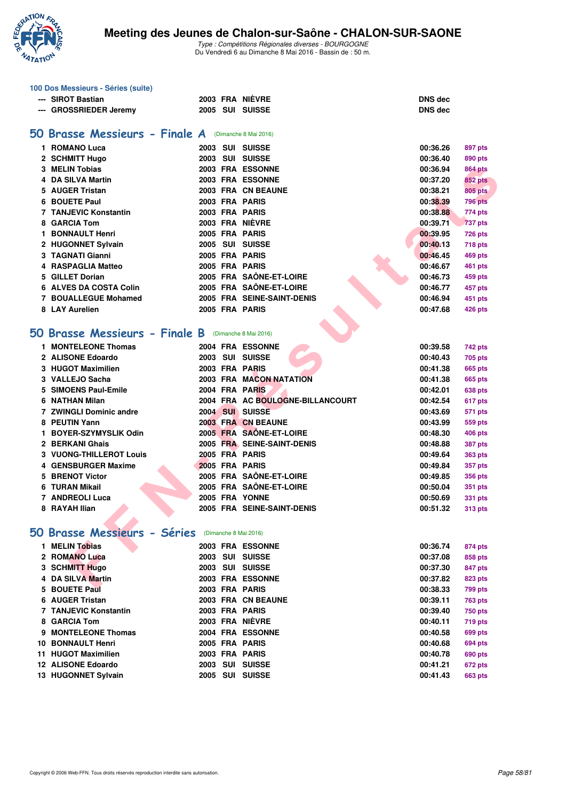

|     | 100 Dos Messieurs - Séries (suite)                   |  |                                  |                |                |
|-----|------------------------------------------------------|--|----------------------------------|----------------|----------------|
|     | --- SIROT Bastian                                    |  | 2003 FRA NIÈVRE                  | <b>DNS dec</b> |                |
|     | --- GROSSRIEDER Jeremy                               |  | 2005 SUI SUISSE                  | <b>DNS dec</b> |                |
|     |                                                      |  |                                  |                |                |
|     | 50 Brasse Messieurs - Finale A                       |  | (Dimanche 8 Mai 2016)            |                |                |
|     | 1 ROMANO Luca                                        |  | 2003 SUI SUISSE                  | 00:36.26       | 897 pts        |
|     | 2 SCHMITT Hugo                                       |  | 2003 SUI SUISSE                  | 00:36.40       | 890 pts        |
|     | 3 MELIN Tobias                                       |  | 2003 FRA ESSONNE                 | 00:36.94       | <b>864 pts</b> |
| 4   | <b>DA SILVA Martin</b>                               |  | 2003 FRA ESSONNE                 | 00:37.20       | <b>852 pts</b> |
| 5.  | <b>AUGER Tristan</b>                                 |  | 2003 FRA CN BEAUNE               | 00:38.21       | <b>805 pts</b> |
| 6   | <b>BOUETE Paul</b>                                   |  | 2003 FRA PARIS                   | 00:38.39       | <b>796 pts</b> |
|     | <b>7 TANJEVIC Konstantin</b>                         |  | 2003 FRA PARIS                   | 00:38.88       | 774 pts        |
|     | 8 GARCIA Tom                                         |  | 2003 FRA NIÈVRE                  | 00:39.71       | <b>737 pts</b> |
| 1.  | <b>BONNAULT Henri</b>                                |  | 2005 FRA PARIS                   | 00:39.95       | <b>726 pts</b> |
|     | 2 HUGONNET Sylvain                                   |  | 2005 SUI SUISSE                  | 00:40.13       | <b>718 pts</b> |
|     | 3 TAGNATI Gianni                                     |  | 2005 FRA PARIS                   | 00:46.45       | 469 pts        |
|     | 4 RASPAGLIA Matteo                                   |  | 2005 FRA PARIS                   | 00:46.67       | 461 pts        |
| 5.  | <b>GILLET Dorian</b>                                 |  | 2005 FRA SAÔNE-ET-LOIRE          | 00:46.73       | 459 pts        |
|     | 6 ALVES DA COSTA Colin                               |  | 2005 FRA SAÔNE-ET-LOIRE          | 00:46.77       | 457 pts        |
|     | <b>7 BOUALLEGUE Mohamed</b>                          |  | 2005 FRA SEINE-SAINT-DENIS       | 00:46.94       | 451 pts        |
|     | 8 LAY Aurelien                                       |  | 2005 FRA PARIS                   | 00:47.68       | <b>426 pts</b> |
|     |                                                      |  |                                  |                |                |
|     | 50 Brasse Messieurs - Finale B (Dimanche 8 Mai 2016) |  |                                  |                |                |
|     | 1 MONTELEONE Thomas                                  |  | 2004 FRA ESSONNE                 | 00:39.58       | 742 pts        |
|     | 2 ALISONE Edoardo                                    |  | 2003 SUI SUISSE                  | 00:40.43       | 705 pts        |
|     | 3 HUGOT Maximilien                                   |  | 2003 FRA PARIS                   | 00:41.38       | <b>665 pts</b> |
|     | 3 VALLEJO Sacha                                      |  | 2003 FRA MACON NATATION          | 00:41.38       | <b>665 pts</b> |
| 5   | <b>SIMOENS Paul-Emile</b>                            |  | 2004 FRA PARIS                   | 00:42.01       | 638 pts        |
|     | 6 NATHAN Milan                                       |  | 2004 FRA AC BOULOGNE-BILLANCOURT | 00:42.54       | 617 pts        |
|     | 7 ZWINGLI Dominic andre                              |  | 2004 SUI SUISSE                  | 00:43.69       | <b>571 pts</b> |
|     | 8 PEUTIN Yann                                        |  | 2003 FRA CN BEAUNE               | 00:43.99       | 559 pts        |
|     | 1 BOYER-SZYMYSLIK Odin                               |  | 2005 FRA SAÔNE-ET-LOIRE          | 00:48.30       | <b>406 pts</b> |
|     | 2 BERKANI Ghais                                      |  | 2005 FRA SEINE-SAINT-DENIS       | 00:48.88       | <b>387 pts</b> |
|     | 3 VUONG-THILLEROT Louis                              |  | 2005 FRA PARIS                   | 00:49.64       | <b>363 pts</b> |
|     | <b>GENSBURGER Maxime</b>                             |  | 2005 FRA PARIS                   | 00:49.84       | 357 pts        |
|     | <b>BRENOT Victor</b>                                 |  | 2005 FRA SAÔNE-ET-LOIRE          | 00:49.85       | <b>356 pts</b> |
| 6   | <b>TURAN Mikail</b>                                  |  | 2005 FRA SAÔNE-ET-LOIRE          | 00:50.04       | <b>351 pts</b> |
|     | 7 ANDREOLI Luca                                      |  | <b>2005 FRA YONNE</b>            | 00:50.69       | <b>331 pts</b> |
|     | 8 RAYAH Ilian                                        |  | 2005 FRA SEINE-SAINT-DENIS       | 00:51.32       | <b>313 pts</b> |
|     |                                                      |  |                                  |                |                |
|     | 50 Brasse Messieurs - Séries (Dimanche 8 Mai 2016)   |  |                                  |                |                |
|     | 1 MELIN Tobias                                       |  | 2003 FRA ESSONNE                 | 00:36.74       | 874 pts        |
|     | 2 ROMANO Luca                                        |  | 2003 SUI SUISSE                  | 00:37.08       | 858 pts        |
|     | 3 SCHMITT Hugo                                       |  | 2003 SUI SUISSE                  | 00:37.30       | 847 pts        |
|     | 4 DA SILVA Martin                                    |  | 2003 FRA ESSONNE                 | 00:37.82       | 823 pts        |
|     | 5 BOUETE Paul                                        |  | 2003 FRA PARIS                   | 00:38.33       | 799 pts        |
|     | 6 AUGER Tristan                                      |  | 2003 FRA CN BEAUNE               | 00:39.11       | <b>763 pts</b> |
|     | <b>7 TANJEVIC Konstantin</b>                         |  | 2003 FRA PARIS                   | 00:39.40       | <b>750 pts</b> |
|     | 8 GARCIA Tom                                         |  | 2003 FRA NIÈVRE                  | 00:40.11       | <b>719 pts</b> |
|     | 9 MONTELEONE Thomas                                  |  | 2004 FRA ESSONNE                 | 00:40.58       | 699 pts        |
| 10. | <b>BONNAULT Henri</b>                                |  | 2005 FRA PARIS                   | 00:40.68       | <b>694 pts</b> |
|     | 11 HUGOT Maximilien                                  |  | 2003 FRA PARIS                   | 00:40.78       | 690 pts        |
|     | 12 ALISONE Edoardo                                   |  | 2003 SUI SUISSE                  | 00:41.21       | 672 pts        |
|     | 13 HUGONNET Sylvain                                  |  | 2005 SUI SUISSE                  | 00:41.43       | 663 pts        |
|     |                                                      |  |                                  |                |                |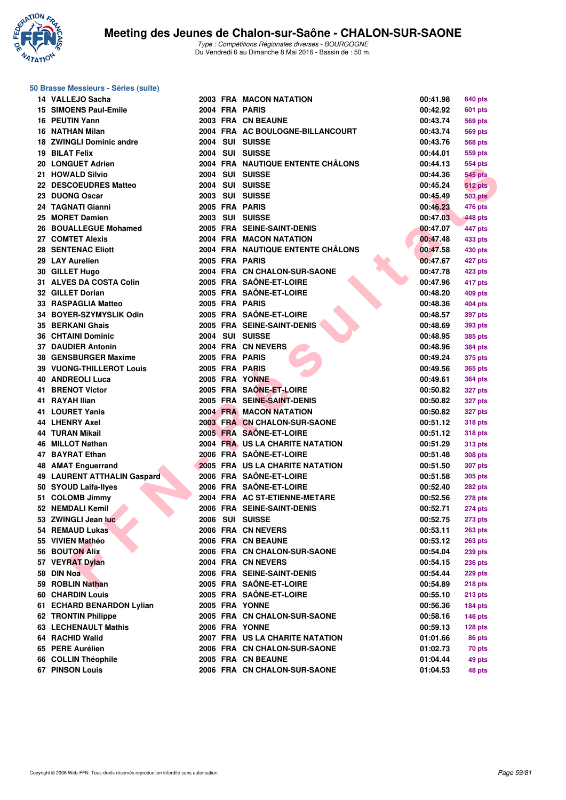

| 50 Brasse Messieurs - Séries (suite) |  |  |
|--------------------------------------|--|--|
|                                      |  |  |

| 14 VALLEJO Sacha                   |  | 2003 FRA MACON NATATION           | 00:41.98 | 640 pts           |
|------------------------------------|--|-----------------------------------|----------|-------------------|
| 15 SIMOENS Paul-Emile              |  | 2004 FRA PARIS                    | 00:42.92 | 601 pts           |
| 16 PEUTIN Yann                     |  | 2003 FRA CN BEAUNE                | 00:43.74 | 569 pts           |
| 16 NATHAN Milan                    |  | 2004 FRA AC BOULOGNE-BILLANCOURT  | 00:43.74 | 569 pts           |
| 18 ZWINGLI Dominic andre           |  | 2004 SUI SUISSE                   | 00:43.76 | <b>568 pts</b>    |
| 19 BILAT Felix                     |  | 2004 SUI SUISSE                   | 00:44.01 | 559 pts           |
| 20 LONGUET Adrien                  |  | 2004 FRA NAUTIQUE ENTENTE CHÂLONS | 00:44.13 | <b>554 pts</b>    |
| 21 HOWALD Silvio                   |  | 2004 SUI SUISSE                   | 00:44.36 | <b>545 pts</b>    |
| 22 DESCOEUDRES Matteo              |  | 2004 SUI SUISSE                   | 00:45.24 | <b>512 pts</b>    |
| 23 DUONG Oscar                     |  | 2003 SUI SUISSE                   | 00:45.49 | <b>503 pts</b>    |
| 24 TAGNATI Gianni                  |  | 2005 FRA PARIS                    | 00:46.23 | <b>476 pts</b>    |
| 25 MORET Damien                    |  | 2003 SUI SUISSE                   | 00:47.03 | 448 pts           |
| 26 BOUALLEGUE Mohamed              |  | 2005 FRA SEINE-SAINT-DENIS        | 00:47.07 | 447 pts           |
| 27 COMTET Alexis                   |  | 2004 FRA MACON NATATION           | 00:47.48 | 433 pts           |
| <b>28 SENTENAC Eliott</b>          |  | 2004 FRA NAUTIQUE ENTENTE CHÂLONS | 00:47.58 | 430 pts           |
| 29 LAY Aurelien                    |  | 2005 FRA PARIS                    | 00:47.67 | 427 pts           |
| 30 GILLET Hugo                     |  | 2004 FRA CN CHALON-SUR-SAONE      | 00:47.78 | 423 pts           |
| 31 ALVES DA COSTA Colin            |  | 2005 FRA SAÔNE-ET-LOIRE           | 00:47.96 | 417 pts           |
| 32 GILLET Dorian                   |  | 2005 FRA SAÔNE-ET-LOIRE           | 00:48.20 | 409 pts           |
| 33 RASPAGLIA Matteo                |  | 2005 FRA PARIS                    | 00:48.36 | 404 pts           |
| 34 BOYER-SZYMYSLIK Odin            |  | 2005 FRA SAÔNE-ET-LOIRE           | 00:48.57 | 397 pts           |
| 35 BERKANI Ghais                   |  | 2005 FRA SEINE-SAINT-DENIS        | 00:48.69 | 393 pts           |
| <b>36 CHTAINI Dominic</b>          |  | 2004 SUI SUISSE                   | 00:48.95 | 385 pts           |
| <b>37 DAUDIER Antonin</b>          |  | 2004 FRA CN NEVERS                | 00:48.96 | 384 pts           |
| 38 GENSBURGER Maxime               |  | 2005 FRA PARIS                    | 00:49.24 | 375 pts           |
| <b>39 VUONG-THILLEROT Louis</b>    |  | 2005 FRA PARIS                    | 00:49.56 | 365 pts           |
| <b>40 ANDREOLI Luca</b>            |  | 2005 FRA YONNE                    | 00:49.61 | 364 pts           |
| 41 BRENOT Victor                   |  | 2005 FRA SAÔNE-ET-LOIRE           | 00:50.82 | 327 pts           |
| 41 RAYAH Ilian                     |  | 2005 FRA SEINE-SAINT-DENIS        | 00:50.82 | 327 pts           |
| 41 LOURET Yanis                    |  | <b>2004 FRA MACON NATATION</b>    | 00:50.82 | 327 pts           |
| <b>44 LHENRY Axel</b>              |  | 2003 FRA CN CHALON-SUR-SAONE      | 00:51.12 | <b>318 pts</b>    |
| <b>44 TURAN Mikail</b>             |  | 2005 FRA SAÔNE-ET-LOIRE           | 00:51.12 | <b>318 pts</b>    |
| 46 MILLOT Nathan                   |  | 2004 FRA US LA CHARITE NATATION   | 00:51.29 | <b>313 pts</b>    |
| 47 BAYRAT Ethan                    |  | 2006 FRA SAÔNE-ET-LOIRE           | 00:51.48 | 308 pts           |
| <b>48 AMAT Enguerrand</b>          |  | 2005 FRA US LA CHARITE NATATION   | 00:51.50 | 307 pts           |
| <b>49 LAURENT ATTHALIN Gaspard</b> |  | 2006 FRA SAÔNE-ET-LOIRE           | 00:51.58 | 305 pts           |
| 50 SYOUD Laifa-Ilyes               |  | 2006 FRA SAÔNE-ET-LOIRE           | 00:52.40 | 282 pts           |
| 51 COLOMB Jimmy                    |  | 2004 FRA AC ST-ETIENNE-METARE     | 00:52.56 | <b>278 pts</b>    |
| 52 NEMDALI Kemil                   |  | 2006 FRA SEINE-SAINT-DENIS        | 00:52.71 | 274 pts           |
| 53 ZWINGLI Jean luc                |  | 2006 SUI SUISSE                   | 00:52.75 | 273 pts           |
| 54 REMAUD Lukas                    |  | 2006 FRA CN NEVERS                | 00:53.11 | <b>263 pts</b>    |
| 55 VIVIEN Mathéo                   |  | 2006 FRA CN BEAUNE                | 00:53.12 | <b>263 pts</b>    |
| <b>56 BOUTON Alix</b>              |  | 2006 FRA CN CHALON-SUR-SAONE      | 00:54.04 | 239 pts           |
| 57 VEYRAT Dylan                    |  | 2004 FRA CN NEVERS                | 00:54.15 | <b>236 pts</b>    |
| 58 DIN Noa                         |  | 2006 FRA SEINE-SAINT-DENIS        | 00:54.44 | <b>229 pts</b>    |
| 59 ROBLIN Nathan                   |  | 2005 FRA SAÔNE-ET-LOIRE           | 00:54.89 | 218 pts           |
| <b>60 CHARDIN Louis</b>            |  | 2005 FRA SAÔNE-ET-LOIRE           | 00:55.10 | <b>213 pts</b>    |
| 61 ECHARD BENARDON Lylian          |  | 2005 FRA YONNE                    | 00:56.36 | 184 pts           |
| 62 TRONTIN Philippe                |  | 2005 FRA CN CHALON-SUR-SAONE      | 00:58.16 | $146$ pts         |
| 63 LECHENAULT Mathis               |  | 2006 FRA YONNE                    | 00:59.13 |                   |
| 64 RACHID Walid                    |  | 2007 FRA US LA CHARITE NATATION   | 01:01.66 | 128 pts<br>86 pts |
| 65 PERE Aurélien                   |  | 2006 FRA CN CHALON-SUR-SAONE      | 01:02.73 | 70 pts            |
| 66 COLLIN Théophile                |  | 2005 FRA CN BEAUNE                | 01:04.44 | 49 pts            |
| <b>67 PINSON Louis</b>             |  | 2006 FRA CN CHALON-SUR-SAONE      | 01:04.53 |                   |
|                                    |  |                                   |          | 48 pts            |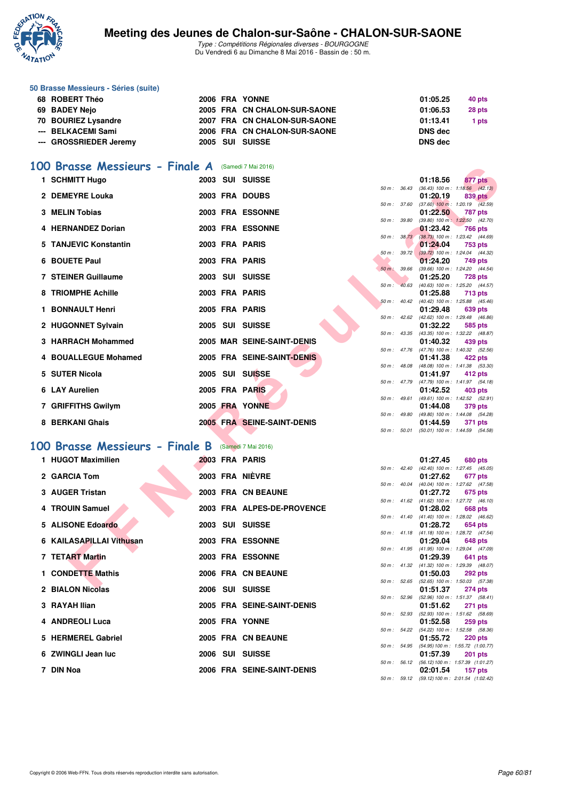

Type : Compétitions Régionales diverses - BOURGOGNE Du Vendredi 6 au Dimanche 8 Mai 2016 - Bassin de : 50 m.

| 50 Brasse Messieurs - Séries (suite) |  |                              |                |        |
|--------------------------------------|--|------------------------------|----------------|--------|
| 68 ROBERT Théo                       |  | 2006 FRA YONNE               | 01:05.25       | 40 pts |
| 69 BADEY Nejo                        |  | 2005 FRA CN CHALON-SUR-SAONE | 01:06.53       | 28 pts |
| 70 BOURIEZ Lysandre                  |  | 2007 FRA CN CHALON-SUR-SAONE | 01:13.41       | 1 pts  |
| --- BELKACEMI Sami                   |  | 2006 FRA CN CHALON-SUR-SAONE | <b>DNS</b> dec |        |
| --- GROSSRIEDER Jeremy               |  | 2005 SUI SUISSE              | <b>DNS</b> dec |        |

## [100 Brasse Messieurs - Finale A](http://www.ffnatation.fr/webffn/resultats.php?idact=nat&go=epr&idcpt=38881&idepr=72) (Samedi 7 Mai 2016)

|      | Brasse Messieurs - Finale A        |  | (Samedi 7 Mai 2016)               |          |                |                                                        |                |  |
|------|------------------------------------|--|-----------------------------------|----------|----------------|--------------------------------------------------------|----------------|--|
|      | 1 SCHMITT Hugo                     |  | 2003 SUI SUISSE                   |          |                | 01:18.56                                               | 877 pts        |  |
|      | 2 DEMEYRE Louka                    |  | 2003 FRA DOUBS                    |          | 50 m: 36.43    | $(36.43)$ 100 m : 1:18.56 $(42.13)$<br>01:20.19        | 839 pts        |  |
|      |                                    |  |                                   |          | 50 m : 37.60   | $(37.60)$ 100 m : 1:20.19 $(42.59)$                    |                |  |
|      | 3 MELIN Tobias                     |  | 2003 FRA ESSONNE                  |          |                | 01:22.50                                               | 787 pts        |  |
|      |                                    |  |                                   |          | 50 m : 39.80   | $(39.80)$ 100 m : 1:22.50 $(42.70)$                    |                |  |
|      | 4 HERNANDEZ Dorian                 |  | 2003 FRA ESSONNE                  |          | 50 m: 38.73    | 01:23.42<br>(38.73) 100 m : 1:23.42 (44.69)            | 766 pts        |  |
| 5    | <b>TANJEVIC Konstantin</b>         |  | 2003 FRA PARIS                    |          |                | 01:24.04                                               | 753 pts        |  |
|      |                                    |  |                                   |          | 50 m: 39.72    | $(39.72)$ 100 m : 1:24.04 $(44.32)$                    |                |  |
|      | 6 BOUETE Paul                      |  | 2003 FRA PARIS                    |          | 50 m: 39.66    | 01:24.20                                               | 749 pts        |  |
|      | <b>7 STEINER Guillaume</b>         |  | 2003 SUI SUISSE                   |          |                | (39.66) 100 m: 1:24.20 (44.54)<br>01:25.20             | <b>728 pts</b> |  |
|      |                                    |  |                                   | $50 m$ : | 40.63          | (40.63) 100 m: 1:25.20 (44.57)                         |                |  |
|      | 8 TRIOMPHE Achille                 |  | 2003 FRA PARIS                    |          |                | 01:25.88                                               | 713 pts        |  |
|      | 1 BONNAULT Henri                   |  | 2005 FRA PARIS                    |          | 50 m: 40.42    | $(40.42)$ 100 m : 1:25.88 $(45.46)$<br>01:29.48        | 639 pts        |  |
|      |                                    |  |                                   |          | $50 m$ : 42.62 | (42.62) 100 m : 1:29.48 (46.86)                        |                |  |
|      | 2 HUGONNET Sylvain                 |  | 2005 SUI SUISSE                   |          |                | 01:32.22                                               | 585 pts        |  |
|      |                                    |  |                                   |          | 50 m: 43.35    | (43.35) 100 m: 1:32.22 (48.87)                         |                |  |
|      | 3 HARRACH Mohammed                 |  | <b>2005 MAR SEINE-SAINT-DENIS</b> |          | 50 m: 47.76    | 01:40.32<br>(47.76) 100 m: 1:40.32 (52.56)             | 439 pts        |  |
|      | 4 BOUALLEGUE Mohamed               |  | 2005 FRA SEINE-SAINT-DENIS        |          |                | 01:41.38                                               | 422 pts        |  |
|      |                                    |  |                                   |          | 50 m: 48.08    | (48.08) 100 m: 1:41.38 (53.30)                         |                |  |
|      | 5 SUTER Nicola                     |  | 2005 SUI SUISSE                   |          |                | 01:41.97                                               | 412 pts        |  |
|      | 6 LAY Aurelien                     |  | 2005 FRA PARIS                    |          | 50 m: 47.79    | (47.79) 100 m: 1:41.97 (54.18)<br>01:42.52             | 403 pts        |  |
|      |                                    |  |                                   |          | 50 m : 49.61   | $(49.61)$ 100 m : 1:42.52 $(52.91)$                    |                |  |
|      | 7 GRIFFITHS Gwilym                 |  | 2005 FRA YONNE                    |          |                | 01:44.08                                               | 379 pts        |  |
|      |                                    |  |                                   |          | 50 m : 49.80   | (49.80) 100 m: 1:44.08 (54.28)                         |                |  |
|      | 8 BERKANI Ghais                    |  | 2005 FRA SEINE-SAINT-DENIS        |          | 50 m : 50.01   | 01:44.59<br>$(50.01)$ 100 m : 1:44.59 $(54.58)$        | 371 pts        |  |
|      |                                    |  |                                   |          |                |                                                        |                |  |
| OO . | <b>Brasse Messieurs - Finale B</b> |  | (Samedi 7 Mai 2016)               |          |                |                                                        |                |  |
|      | 1 HUGOT Maximilien                 |  | 2003 FRA PARIS                    |          |                | 01:27.45                                               | 680 pts        |  |
|      |                                    |  |                                   |          | 50 m : 42.40   | (42.40) 100 m: 1:27.45 (45.05)                         |                |  |
|      | 2 GARCIA Tom                       |  | <b>2003 FRA NIÈVRE</b>            |          |                | 01:27.62                                               | 677 pts        |  |
|      | 3 AUGER Tristan                    |  | 2003 FRA CN BEAUNE                |          | 50 m : 40.04   | (40.04) 100 m: 1:27.62 (47.58)<br>01:27.72             | 675 pts        |  |
|      |                                    |  |                                   |          |                | 50 m: 41.62 (41.62) 100 m: 1:27.72 (46.10)             |                |  |
|      | 4 TROUIN Samuel                    |  | 2003 FRA ALPES-DE-PROVENCE        |          |                | 01:28.02                                               | 668 pts        |  |
|      | 5 ALISONE Edoardo                  |  | 2003 SUI SUISSE                   |          | 50 m: 41.40    | $(41.40)$ 100 m : 1:28.02 $(46.62)$<br>01:28.72        | 654 pts        |  |
|      |                                    |  |                                   |          |                | 50 m: 41.18 (41.18) 100 m: 1:28.72 (47.54)             |                |  |
|      | 6 KAILASAPILLAI Vithusan           |  | <b>2003 FRA ESSONNE</b>           |          |                | 01:29.04                                               | 648 pts        |  |
|      |                                    |  |                                   |          | 50 m: 41.95    | $(41.95)$ 100 m : 1:29.04 $(47.09)$                    |                |  |
|      | 7 TETART Martin                    |  | <b>2003 FRA ESSONNE</b>           |          |                | 01:29.39<br>50 m: 41.32 (41.32) 100 m: 1:29.39 (48.07) | 641 pts        |  |
|      | 1 CONDETTE Mathis                  |  | 2006 FRA CN BEAUNE                |          |                | 01:50.03                                               | 292 pts        |  |
|      |                                    |  |                                   |          |                | 50 m: 52.65 (52.65) 100 m: 1:50.03 (57.38)             |                |  |
|      | <b>O DIALON Mississ</b>            |  | OOOC CUL CURCE                    |          |                | 04.54.07                                               | $074 - 1$      |  |

#### **[100 Brasse Messieurs - Finale B](http://www.ffnatation.fr/webffn/resultats.php?idact=nat&go=epr&idcpt=38881&idepr=72)** (Samedi 7 Mai 2016)

| 1 HUGOT Maximilien       |  | 2003 FRA PARIS             |                  | 01:27.45                                                      | 680 pts        |  |
|--------------------------|--|----------------------------|------------------|---------------------------------------------------------------|----------------|--|
| 2 GARCIA Tom             |  | 2003 FRA NIÈVRE            | $50 m$ : 42.40   | (42.40) 100 m: 1:27.45 (45.<br>01:27.62                       | 677 pts        |  |
| 3 AUGER Tristan          |  | 2003 FRA CN BEAUNE         | $50 m$ : $40.04$ | (40.04) 100 m : 1:27.62 (47.<br>01:27.72                      | 675 pts        |  |
| 4 TROUIN Samuel          |  | 2003 FRA ALPES-DE-PROVENCE |                  | 50 m: 41.62 (41.62) 100 m: 1:27.72 (46.<br>01:28.02           | 668 pts        |  |
| 5 ALISONE Edoardo        |  | 2003 SUI SUISSE            |                  | 50 m: 41.40 (41.40) 100 m: 1:28.02 (46.<br>01:28.72           | 654 pts        |  |
| 6 KAILASAPILLAI Vithusan |  | 2003 FRA ESSONNE           | $50 m$ : 41.18   | $(41.18) 100 \text{ m}$ : 1:28.72 (47.<br>01:29.04            | 648 pts        |  |
| 7 TETART Martin          |  | 2003 FRA ESSONNE           |                  | 50 m: 41.95 (41.95) 100 m: 1:29.04 (47.<br>01:29.39           | 641 pts        |  |
| 1 CONDETTE Mathis        |  | 2006 FRA CN BEAUNE         | $50 m$ : 41.32   | (41.32) 100 m: 1:29.39 (48.<br>01:50.03                       | <b>292 pts</b> |  |
| 2 BIALON Nicolas         |  | 2006 SUI SUISSE            |                  | 50 m : 52.65 (52.65) 100 m : 1:50.03 (57.<br>01:51.37         | 274 pts        |  |
| 3 RAYAH Ilian            |  | 2005 FRA SEINE-SAINT-DENIS | 50 m: 52.96      | (52.96) 100 m : 1:51.37 (58.<br>01:51.62 271 pts              |                |  |
| 4 ANDREOLI Luca          |  | 2005 FRA YONNE             |                  | 50 m: 52.93 (52.93) 100 m: 1:51.62 (58.<br>01:52.58           | <b>259 pts</b> |  |
| 5 HERMEREL Gabriel       |  | 2005 FRA CN BEAUNE         |                  | 50 m: 54.22 (54.22) 100 m: 1:52.58 (58.<br>01:55.72           | <b>220 pts</b> |  |
| 6 ZWINGLI Jean luc       |  | 2006 SUI SUISSE            |                  | 50 m: 54.95 (54.95) 100 m: 1:55.72 (1:00.<br>01:57.39         | <b>201 pts</b> |  |
| 7 DIN Noa                |  | 2006 FRA SEINE-SAINT-DENIS |                  | 50 m: 56.12 (56.12) 100 m: 1:57.39 (1:01.<br>02:01.54 157 pts |                |  |
|                          |  |                            |                  |                                                               |                |  |

|                  |                  | 01:27.45          | 680 pts             |
|------------------|------------------|-------------------|---------------------|
| $50 m$ : 42.40   |                  | $(42.40)$ 100 m : | 1:27.45 (45.05)     |
|                  |                  | 01:27.62          | 677 pts             |
| $50 m$ : $40.04$ |                  | $(40.04)$ 100 m : | 1:27.62 (47.58)     |
|                  |                  | 01:27.72          | <b>675 pts</b>      |
|                  | $50 m$ : $41.62$ | $(41.62) 100 m$ : | 1:27.72 (46.10)     |
|                  |                  | 01:28.02          | <b>668 pts</b>      |
| $50 m$ : $41.40$ |                  | $(41.40) 100 m$ : | 1:28.02 (46.62)     |
|                  |                  | 01:28.72          | 654 pts             |
| 50 m: 41.18      |                  | $(41.18) 100 m$ : | 1:28.72 (47.54)     |
|                  |                  | 01:29.04          | <b>648 pts</b>      |
| $50 m$ : 41.95   |                  | $(41.95) 100 m$ : | 1:29.04 (47.09)     |
|                  |                  | 01:29.39          | 641 pts             |
| 50 m: 41.32      |                  | $(41.32) 100 m$ : | 1:29.39 (48.07)     |
|                  |                  | 01:50.03          | 292 pts             |
| 50 m: 52.65      |                  | $(52.65)$ 100 m : | 1:50.03 (57.38)     |
|                  |                  | 01:51.37          | <b>274 pts</b>      |
| 50 m: 52.96      |                  | $(52.96)$ 100 m : | $1:51.37$ $(58.41)$ |
|                  |                  | 01:51.62          | 271 pts             |
| 50 m: 52.93      |                  | $(52.93)$ 100 m : | 1:51.62 (58.69)     |
|                  |                  | 01:52.58          | <b>259 pts</b>      |
| 50 m : 54.22     |                  | $(54.22)$ 100 m : | 1:52.58 (58.36)     |
|                  |                  | 01:55.72          | <b>220 pts</b>      |
| $50 m$ : $54.95$ |                  | $(54.95) 100 m$ : | 1:55.72 (1:00.77)   |
|                  |                  | 01:57.39          | 201 pts             |
| $50 m$ : 56.12   |                  | (56.12) 100 m :   | 1:57.39 (1:01.27)   |
|                  |                  | 02:01.54          | 157 pts             |
| 50 m: 59.12      |                  | (59.12) 100 m :   | 2:01.54 (1:02.42)   |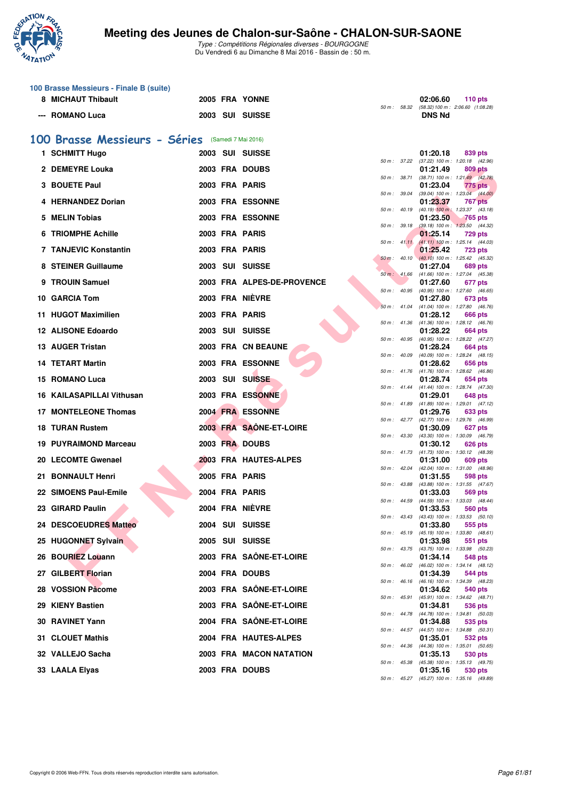

|                                                   | 100 Brasse Messieurs - Finale B (suite) |  |  |                            |              |              |                                                                          |  |  |  |  |  |
|---------------------------------------------------|-----------------------------------------|--|--|----------------------------|--------------|--------------|--------------------------------------------------------------------------|--|--|--|--|--|
|                                                   | 8 MICHAUT Thibault                      |  |  | 2005 FRA YONNE             |              |              | 02:06.60<br>110 $pts$<br>50 m : 58.32 (58.32) 100 m : 2:06.60 (1:08.28)  |  |  |  |  |  |
|                                                   | --- ROMANO Luca                         |  |  | 2003 SUI SUISSE            |              |              | <b>DNS Nd</b>                                                            |  |  |  |  |  |
| 100 Brasse Messieurs - Séries (Samedi 7 Mai 2016) |                                         |  |  |                            |              |              |                                                                          |  |  |  |  |  |
|                                                   | 1 SCHMITT Hugo                          |  |  | 2003 SUI SUISSE            |              |              | 01:20.18<br>839 pts                                                      |  |  |  |  |  |
|                                                   | 2 DEMEYRE Louka                         |  |  | 2003 FRA DOUBS             |              |              | 50 m: 37.22 (37.22) 100 m: 1:20.18 (42.96)<br>01:21.49<br>809 pts        |  |  |  |  |  |
| 3                                                 | <b>BOUETE Paul</b>                      |  |  | 2003 FRA PARIS             |              | 50 m : 38.71 | $(38.71)$ 100 m : 1:21.49 $(42.78)$<br>01:23.04<br>775 pts               |  |  |  |  |  |
|                                                   | 4 HERNANDEZ Dorian                      |  |  | 2003 FRA ESSONNE           | 50 m : 39.04 |              | $(39.04)$ 100 m : 1:23.04 $(44.00)$<br>01:23.37<br>767 pts               |  |  |  |  |  |
| 5                                                 | <b>MELIN Tobias</b>                     |  |  | 2003 FRA ESSONNE           |              |              | 50 m : 40.19 (40.19) 100 m : 1:23.37 (43.18)                             |  |  |  |  |  |
|                                                   |                                         |  |  |                            | 50 m: 39.18  |              | 01:23.50<br><b>765 pts</b><br>(39.18) 100 m: 1:23.50 (44.32)             |  |  |  |  |  |
|                                                   | <b>6 TRIOMPHE Achille</b>               |  |  | 2003 FRA PARIS             |              | 50 m: 41.11  | 01:25.14<br><b>729 pts</b><br>$(41.11)$ 100 m : 1:25.14 $(44.03)$        |  |  |  |  |  |
|                                                   | 7 TANJEVIC Konstantin                   |  |  | 2003 FRA PARIS             |              |              | 01:25.42<br><b>723 pts</b><br>50 m: 40.10 (40.10) 100 m: 1:25.42 (45.32) |  |  |  |  |  |
|                                                   | 8 STEINER Guillaume                     |  |  | 2003 SUI SUISSE            |              | 50 m: 41.66  | 01:27.04<br>689 pts<br>(41.66) 100 m: 1:27.04 (45.38)                    |  |  |  |  |  |
|                                                   | 9 TROUIN Samuel                         |  |  | 2003 FRA ALPES-DE-PROVENCE | 50 m : 40.95 |              | 01:27.60<br>677 pts<br>(40.95) 100 m: 1:27.60 (46.65)                    |  |  |  |  |  |
|                                                   | 10 GARCIA Tom                           |  |  | 2003 FRA NIÈVRE            |              |              | 01:27.80<br>673 pts                                                      |  |  |  |  |  |
|                                                   | 11 HUGOT Maximilien                     |  |  | 2003 FRA PARIS             |              |              | 50 m: 41.04 (41.04) 100 m: 1:27.80 (46.76)<br>01:28.12<br>666 pts        |  |  |  |  |  |
|                                                   | 12 ALISONE Edoardo                      |  |  | 2003 SUI SUISSE            | 50 m: 41.36  |              | $(41.36)$ 100 m : 1:28.12 $(46.76)$<br>01:28.22<br>664 pts               |  |  |  |  |  |
|                                                   | 13 AUGER Tristan                        |  |  | 2003 FRA CN BEAUNE         | 50 m : 40.95 |              | (40.95) 100 m: 1:28.22 (47.27)<br>01:28.24<br>664 pts                    |  |  |  |  |  |
|                                                   | <b>14 TETART Martin</b>                 |  |  | 2003 FRA ESSONNE           | 50 m : 40.09 |              | (40.09) 100 m: 1:28.24 (48.15)<br>01:28.62<br>656 pts                    |  |  |  |  |  |
|                                                   | 15 ROMANO Luca                          |  |  | 2003 SUI SUISSE            |              |              | 50 m: 41.76 (41.76) 100 m: 1:28.62 (46.86)<br>01:28.74<br>654 pts        |  |  |  |  |  |
|                                                   | 16 KAILASAPILLAI Vithusan               |  |  | 2003 FRA ESSONNE           |              |              | 50 m: 41.44 (41.44) 100 m: 1:28.74 (47.30)<br>01:29.01<br>648 pts        |  |  |  |  |  |
|                                                   | <b>17 MONTELEONE Thomas</b>             |  |  | 2004 FRA ESSONNE           |              |              | 50 m: 41.89 (41.89) 100 m: 1:29.01 (47.12)<br>01:29.76<br>633 pts        |  |  |  |  |  |
|                                                   | <b>18 TURAN Rustem</b>                  |  |  | 2003 FRA SAÔNE-ET-LOIRE    |              |              | 50 m: 42.77 (42.77) 100 m: 1:29.76 (46.99)<br>01:30.09<br>627 pts        |  |  |  |  |  |
|                                                   | 19 PUYRAIMOND Marceau                   |  |  | 2003 FRA DOUBS             | 50 m : 43.30 |              | (43.30) 100 m: 1:30.09 (46.79)                                           |  |  |  |  |  |
|                                                   |                                         |  |  |                            |              |              | 01:30.12<br>626 pts<br>50 m: 41.73 (41.73) 100 m: 1:30.12 (48.39)        |  |  |  |  |  |
|                                                   | 20 LECOMTE Gwenael                      |  |  | 2003 FRA HAUTES-ALPES      |              | 50 m: 42.04  | 01:31.00<br><b>609 pts</b><br>(42.04) 100 m: 1:31.00 (48.96)             |  |  |  |  |  |
|                                                   | 21 BONNAULT Henri                       |  |  | 2005 FRA PARIS             |              | 50 m : 43.88 | 01:31.55<br>598 pts<br>(43.88) 100 m: 1:31.55 (47.67)                    |  |  |  |  |  |
|                                                   | 22 SIMOENS Paul-Emile                   |  |  | 2004 FRA PARIS             | 50 m: 44.59  |              | 01:33.03<br>569 pts<br>(44.59) 100 m: 1:33.03 (48.44)                    |  |  |  |  |  |
|                                                   | 23 GIRARD Paulin                        |  |  | 2004 FRA NIÈVRE            |              |              | 01:33.53<br>560 pts<br>50 m : 43.43 (43.43) 100 m : 1:33.53 (50.10)      |  |  |  |  |  |
|                                                   | 24 DESCOEUDRES Matteo                   |  |  | 2004 SUI SUISSE            |              |              | 01:33.80<br>555 pts                                                      |  |  |  |  |  |
|                                                   | 25 HUGONNET Sylvain                     |  |  | 2005 SUI SUISSE            |              |              | 50 m : 45.19 (45.19) 100 m : 1:33.80 (48.61)<br>01:33.98<br>551 pts      |  |  |  |  |  |
|                                                   | 26 BOURIEZ Louann                       |  |  | 2003 FRA SAÔNE-ET-LOIRE    |              |              | 50 m: 43.75 (43.75) 100 m: 1:33.98 (50.23)<br>01:34.14<br>548 pts        |  |  |  |  |  |
|                                                   | 27 GILBERT Florian                      |  |  | 2004 FRA DOUBS             |              |              | 50 m: 46.02 (46.02) 100 m: 1:34.14 (48.12)<br>01:34.39<br><b>544 pts</b> |  |  |  |  |  |
|                                                   | 28 VOSSION Pâcome                       |  |  | 2003 FRA SAÔNE-ET-LOIRE    |              |              | 50 m : 46.16 (46.16) 100 m : 1:34.39 (48.23)<br>01:34.62<br>540 pts      |  |  |  |  |  |
|                                                   | 29 KIENY Bastien                        |  |  | 2003 FRA SAÔNE-ET-LOIRE    |              |              | 50 m: 45.91 (45.91) 100 m: 1:34.62 (48.71)<br>01:34.81<br>536 pts        |  |  |  |  |  |
|                                                   | 30 RAVINET Yann                         |  |  | 2004 FRA SAÔNE-ET-LOIRE    |              |              | 50 m : 44.78 (44.78) 100 m : 1:34.81 (50.03)<br>01:34.88<br>535 pts      |  |  |  |  |  |
|                                                   | 31 CLOUET Mathis                        |  |  | 2004 FRA HAUTES-ALPES      |              |              | 50 m: 44.57 (44.57) 100 m: 1:34.88 (50.31)<br>01:35.01                   |  |  |  |  |  |
|                                                   |                                         |  |  |                            |              |              | 532 pts<br>50 m: 44.36 (44.36) 100 m: 1:35.01 (50.65)                    |  |  |  |  |  |
|                                                   | 32 VALLEJO Sacha                        |  |  | 2003 FRA MACON NATATION    |              |              | 01:35.13<br>530 pts<br>50 m: 45.38 (45.38) 100 m: 1:35.13 (49.75)        |  |  |  |  |  |
|                                                   | 33 LAALA Elyas                          |  |  | 2003 FRA DOUBS             |              |              | 01:35.16<br>530 pts<br>50 m: 45.27 (45.27) 100 m: 1:35.16 (49.89)        |  |  |  |  |  |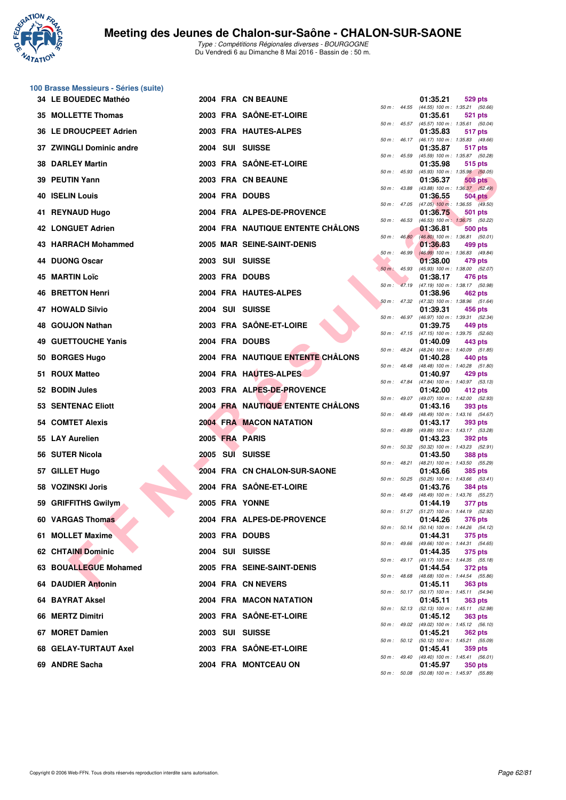

**100 Brasse Messieurs - Séries (suite)**

|     | 34 LE BOUEDEC Mathéo       |  | 2004 FRA CN BEAUNE                |                |                  | 01:35.21                                                 | <b>529 pts</b> |  |
|-----|----------------------------|--|-----------------------------------|----------------|------------------|----------------------------------------------------------|----------------|--|
|     | 35 MOLLETTE Thomas         |  | 2003 FRA SAÖNE-ET-LOIRE           |                |                  | 50 m: 44.55 (44.55) 100 m: 1:35.21 (50.66)<br>01:35.61   | 521 pts        |  |
|     | 36 LE DROUCPEET Adrien     |  | 2003 FRA HAUTES-ALPES             |                | 50 m : 45.57     | $(45.57)$ 100 m : 1:35.61 (50.04)<br>01:35.83            | 517 pts        |  |
|     | 37 ZWINGLI Dominic andre   |  | 2004 SUI SUISSE                   |                | $50 m$ : 46.17   | $(46.17)$ 100 m : 1:35.83 $(49.66)$<br>01:35.87          | 517 pts        |  |
|     | <b>38 DARLEY Martin</b>    |  | 2003 FRA SAÔNE-ET-LOIRE           | 50 m: 45.59    |                  | (45.59) 100 m: 1:35.87 (50.28)<br>01:35.98               | 515 pts        |  |
|     | 39 PEUTIN Yann             |  | 2003 FRA CN BEAUNE                |                | 50 m: 45.93      | $(45.93)$ 100 m : 1:35.98 (50.05)<br>01:36.37            | 508 pts        |  |
|     |                            |  |                                   | 50 m : 43.88   |                  | $(43.88)$ 100 m : 1:36.37 $(52.49)$                      |                |  |
|     | <b>40 ISELIN Louis</b>     |  | 2004 FRA DOUBS                    |                |                  | 01:36.55<br>50 m : 47.05 (47.05) 100 m : 1:36.55 (49.50) | <b>504 pts</b> |  |
| 41. | <b>REYNAUD Hugo</b>        |  | 2004 FRA ALPES-DE-PROVENCE        | 50 m: 46.53    |                  | 01:36.75<br>(46.53) 100 m: 1:36.75 (50.22)               | 501 pts        |  |
|     | <b>42 LONGUET Adrien</b>   |  | 2004 FRA NAUTIQUE ENTENTE CHALONS |                | $50 m$ : $46.80$ | 01:36.81<br>$(46.80)$ 100 m : 1:36.81 (50.01)            | 500 pts        |  |
|     | 43 HARRACH Mohammed        |  | 2005 MAR SEINE-SAINT-DENIS        | 50 m: 46.99    |                  | 01:36.83<br>$(46.99)$ 100 m : 1:36.83 (49.84)            | 499 pts        |  |
|     | 44 DUONG Oscar             |  | 2003 SUI SUISSE                   | $50 m$ : 45.93 |                  | 01:38.00<br>(45.93) 100 m : 1:38.00 (52.07)              | 479 pts        |  |
| 45  | <b>MARTIN Loïc</b>         |  | 2003 FRA DOUBS                    |                |                  | 01:38.17                                                 | 476 pts        |  |
|     | <b>46 BRETTON Henri</b>    |  | 2004 FRA HAUTES-ALPES             |                |                  | 50 m: 47.19 (47.19) 100 m: 1:38.17 (50.98)<br>01:38.96   | 462 pts        |  |
|     | <b>47 HOWALD Silvio</b>    |  | 2004 SUI SUISSE                   |                |                  | 50 m: 47.32 (47.32) 100 m: 1:38.96 (51.64)<br>01:39.31   | 456 pts        |  |
| 48. | <b>GOUJON Nathan</b>       |  | 2003 FRA SAÔNE-ET-LOIRE           |                |                  | 50 m: 46.97 (46.97) 100 m: 1:39.31 (52.34)<br>01:39.75   | 449 pts        |  |
|     | <b>49 GUETTOUCHE Yanis</b> |  | 2004 FRA DOUBS                    | $50 m$ : 47.15 |                  | (47.15) 100 m : 1:39.75 (52.60)<br>01:40.09              | 443 pts        |  |
|     | 50 BORGES Hugo             |  | 2004 FRA NAUTIQUE ENTENTE CHÂLONS | 50 m: 48.24    |                  | (48.24) 100 m: 1:40.09 (51.85)<br>01:40.28               | 440 pts        |  |
|     | 51 ROUX Matteo             |  | 2004 FRA HAUTES-ALPES             | 50 m: 48.48    |                  | $(48.48)$ 100 m : 1:40.28 $(51.80)$                      |                |  |
|     |                            |  |                                   | 50 m : 47.84   |                  | 01:40.97<br>(47.84) 100 m: 1:40.97 (53.13)               | 429 pts        |  |
|     | 52 BODIN Jules             |  | 2003 FRA ALPES-DE-PROVENCE        |                |                  | 01:42.00<br>50 m: 49.07 (49.07) 100 m: 1:42.00 (52.93)   | 412 pts        |  |
|     | <b>53 SENTENAC Eliott</b>  |  | 2004 FRA NAUTIQUE ENTENTE CHÂLONS | 50 m: 48.49    |                  | 01:43.16<br>(48.49) 100 m: 1:43.16 (54.67)               | 393 pts        |  |
|     | 54 COMTET Alexis           |  | <b>2004 FRA MACON NATATION</b>    | 50 m : 49.89   |                  | 01:43.17<br>(49.89) 100 m: 1:43.17 (53.28)               | 393 pts        |  |
|     | 55 LAY Aurelien            |  | 2005 FRA PARIS                    | 50 m: 50.32    |                  | 01:43.23<br>(50.32) 100 m : 1:43.23 (52.91)              | 392 pts        |  |
|     | 56 SUTER Nicola            |  | 2005 SUI SUISSE                   | 50 m : 48.21   |                  | 01:43.50<br>(48.21) 100 m: 1:43.50 (55.29)               | <b>388 pts</b> |  |
|     | 57 GILLET Hugo             |  | 2004 FRA CN CHALON-SUR-SAONE      |                |                  | 01:43.66                                                 | <b>385 pts</b> |  |
|     | 58 VOZINSKI Joris          |  | 2004 FRA SAÔNE-ET-LOIRE           |                | 50 m : 50.25     | $(50.25)$ 100 m : 1:43.66 $(53.41)$<br>01:43.76          | <b>384 pts</b> |  |
|     | 59 GRIFFITHS Gwilym        |  | 2005 FRA YONNE                    | 50 m: 48.49    |                  | (48.49) 100 m: 1:43.76 (55.27)<br>01:44.19               | 377 pts        |  |
|     | 60 VARGAS Thomas           |  | <b>2004 FRA ALPES-DE-PROVENCE</b> |                | 50 m : 51.27     | (51.27) 100 m: 1:44.19 (52.92)<br>01:44.26               | 376 pts        |  |
|     | 61 MOLLET Maxime           |  | 2003 FRA DOUBS                    |                |                  | 50 m: 50.14 (50.14) 100 m: 1:44.26 (54.12)<br>01:44.31   | 375 pts        |  |
|     | <b>62 CHTAINI Dominic</b>  |  | 2004 SUI SUISSE                   |                |                  | 50 m : 49.66 (49.66) 100 m : 1:44.31 (54.65)<br>01:44.35 | <b>375 pts</b> |  |
|     | 63 BOUALLEGUE Mohamed      |  | 2005 FRA SEINE-SAINT-DENIS        |                |                  | 50 m: 49.17 (49.17) 100 m: 1:44.35 (55.18)<br>01:44.54   | <b>372 pts</b> |  |
|     |                            |  |                                   |                |                  | 50 m: 48.68 (48.68) 100 m: 1:44.54 (55.86)               |                |  |
|     | <b>64 DAUDIER Antonin</b>  |  | 2004 FRA CN NEVERS                |                |                  | 01:45.11<br>50 m: 50.17 (50.17) 100 m: 1:45.11 (54.94)   | <b>363 pts</b> |  |
|     | 64 BAYRAT Aksel            |  | 2004 FRA MACON NATATION           |                |                  | 01:45.11<br>50 m: 52.13 (52.13) 100 m: 1:45.11 (52.98)   | <b>363 pts</b> |  |
|     | 66 MERTZ Dimitri           |  | 2003 FRA SAÔNE-ET-LOIRE           |                |                  | 01:45.12<br>50 m : 49.02 (49.02) 100 m : 1:45.12 (56.10) | <b>363 pts</b> |  |
|     | 67 MORET Damien            |  | 2003 SUI SUISSE                   |                |                  | 01:45.21<br>50 m: 50.12 (50.12) 100 m: 1:45.21 (55.09)   | <b>362 pts</b> |  |
|     | 68 GELAY-TURTAUT Axel      |  | 2003 FRA SAÔNE-ET-LOIRE           |                |                  | 01:45.41<br>50 m: 49.40 (49.40) 100 m: 1:45.41 (56.01)   | 359 pts        |  |
|     | 69 ANDRE Sacha             |  | 2004 FRA MONTCEAU ON              |                |                  | 01:45.97                                                 | 350 pts        |  |

|          |       | U I .33.Z I                   | ้ว∠9 pเร                             |
|----------|-------|-------------------------------|--------------------------------------|
| 50 m :   | 44.55 | $(44.55) 100 m$ :             | 1:35.21<br>(50.66)                   |
|          |       | 01:35.61                      | 521<br>pts                           |
| 50 m :   | 45.57 | $(45.57) 100 m$ :             | 1:35.61<br>(50.04)                   |
| $50 m$ : | 46.17 | 01:35.83<br>$(46.17) 100 m$ : | <b>517 pts</b><br>1:35.83<br>(49.66) |
|          |       | 01:35.87                      | 517 pts                              |
| $50 m$ : | 45.59 | $(45.59) 100 m$ :             | 1:35.87<br>(50.28)                   |
|          |       | 01:35.98                      | 515 pts                              |
| $50 m$ : | 45.93 | $(45.93) 100 m$ :             | 1:35.98<br>(50.05)                   |
|          |       | 01:36.37                      | <b>508 pts</b>                       |
| 50 m :   | 43.88 | (43.88) 100 m :               | 1:36.37<br>(52.49)                   |
| $50 m$ : |       | 01:36.55                      | 504 pts                              |
|          | 47.05 | $(47.05)$ 100 m :<br>01:36.75 | 1:36.55<br>(49.50)<br>501 pts        |
| 50 m :   | 46.53 | $(46.53)$ 100 m :             | 1:36.75<br>(50.22)                   |
|          |       | 01:36.81                      | <b>500 pts</b>                       |
| $50 m$ : | 46.80 | $(46.80)$ 100 m :             | 1:36.81<br>(50.01)                   |
|          |       | 01:36.83                      | 499 pts                              |
| $50 m$ : | 46.99 | $(46.99)$ 100 m :             | 1:36.83<br>(49.84)                   |
| $50 m$ : | 45.93 | 01:38.00<br>$(45.93) 100 m$ : | 479 pts<br>1:38.00<br>(52.07)        |
|          |       | 01:38.17                      | 476 pts                              |
| $50 m$ : | 47.19 | $(47.19) 100 m$ :             | 1:38.17<br>(50.98)                   |
|          |       | 01:38.96                      | 462 pts                              |
| 50 m :   | 47.32 | (47.32) 100 m :               | 1:38.96<br>(51.64)                   |
|          |       | 01:39.31                      | 456 pts                              |
| 50 m :   | 46.97 | $(46.97) 100 m$ :             | 1:39.31<br>(52.34)                   |
|          | 47.15 | 01:39.75                      | 449 pts<br>1:39.75<br>(52.60)        |
| $50 m$ : |       | $(47.15) 100 m$ :<br>01:40.09 | 443 pts                              |
| $50 m$ : | 48.24 | (48.24) 100 m :               | 1:40.09<br>(51.85)                   |
|          |       | 01:40.28                      | 440 pts                              |
| $50 m$ : | 48.48 | $(48.48) 100 m$ :             | (51.80)<br>1:40.28                   |
|          |       | 01:40.97                      | 429 pts                              |
| $50 m$ : | 47.84 | (47.84) 100 m :               | 1:40.97<br>(53.13)                   |
| $50 m$ : | 49.07 | 01:42.00<br>(49.07) 100 m :   | 412 pts<br>1:42.00<br>(52.93)        |
|          |       | 01:43.16                      | 393 pts                              |
| $50 m$ : | 48.49 | (48.49) 100 m :               | 1:43.16<br>(54.67)                   |
|          |       | 01:43.17                      | 393 pts                              |
| $50 m$ : | 49.89 | (49.89) 100 m :               | 1:43.17<br>(53.28)                   |
|          |       | 01:43.23                      | 392 pts                              |
| $50 m$ : | 50.32 | $(50.32)$ 100 m :<br>01:43.50 | 1:43.23<br>(52.91)<br><b>388 pts</b> |
| $50 m$ : | 48.21 | $(48.21)$ 100 m :             | 1:43.50<br>(55.29)                   |
|          |       | 01:43.66                      | 385 pts                              |
| 50 m :   | 50.25 | $(50.25)$ 100 m :             | 1:43.66<br>(53.41)                   |
|          |       | 01:43.76                      | 384 pts                              |
| $50 m$ : | 48.49 | $(48.49) 100 m$ :             | 1:43.76<br>(55.27)                   |
| 50 m :   | 51.27 | 01:44.19<br>$(51.27) 100 m$ : | 377 pts<br>1:44.19<br>(52.92)        |
|          |       | 01:44.26                      | <b>376 pts</b>                       |
| $50 m$ : | 50.14 | (50.14) 100 m :               | 1:44.26 (54.12)                      |
|          |       | 01:44.31                      | 375 pts                              |
| $50 m$ : | 49.66 | $(49.66) 100 m$ :             | 1:44.31<br>(54.65)                   |
|          |       | 01:44.35                      | 375 pts                              |
| $50 m$ : | 49.17 | (49.17) 100 m :               | 1:44.35<br>(55.18)                   |
| $50 m$ : | 48.68 | 01:44.54<br>$(48.68) 100 m$ : | 372 pts<br>1:44.54<br>(55.86)        |
|          |       | 01:45.11                      | <b>363 pts</b>                       |
| $50 m$ : | 50.17 | $(50.17) 100 m$ :             | 1:45.11<br>(54.94)                   |
|          |       | 01:45.11                      | <b>363 pts</b>                       |
| $50 m$ : | 52.13 | (52.13) 100 m :               | 1:45.11<br>(52.98)                   |
|          |       | 01:45.12                      | 363 pts                              |
| $50 m$ : | 49.02 | $(49.02) 100 m$ :<br>01:45.21 | 1:45.12<br>(56.10)<br><b>362 pts</b> |
| $50 m$ : | 50.12 | $(50.12) 100 m$ :             | 1:45.21<br>(55.09)                   |
|          |       | 01:45.41                      | 359 pts                              |
| $50 m$ : | 49.40 | $(49.40) 100 m$ :             | 1:45.41<br>(56.01)                   |
|          |       | 01:45.97                      | <b>350 pts</b>                       |
| $50 m$ : | 50.08 |                               | $(50.08)$ 100 m : 1:45.97 $(55.89)$  |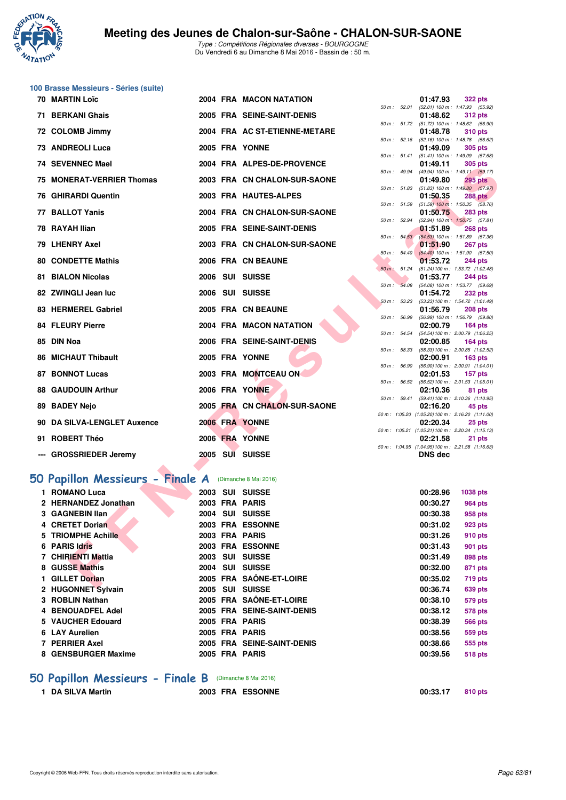

**100 Brasse Messieurs - Séries (suite)**

Type : Compétitions Régionales diverses - BOURGOGNE Du Vendredi 6 au Dimanche 8 Mai 2016 - Bassin de : 50 m.

| <b>70 MARTIN Loïc</b>                                         |  | 2004 FRA MACON NATATION       |              | 01:47.93       | <b>322 pts</b>                                               |
|---------------------------------------------------------------|--|-------------------------------|--------------|----------------|--------------------------------------------------------------|
| 71 BERKANI Ghais                                              |  | 2005 FRA SEINE-SAINT-DENIS    | 50 m: 52.01  | 01:48.62       | (52.01) 100 m: 1:47.93 (55.92)<br><b>312 pts</b>             |
| 72 COLOMB Jimmy                                               |  | 2004 FRA AC ST-ETIENNE-METARE |              | 01:48.78       | 50 m: 51.72 (51.72) 100 m: 1:48.62 (56.90)<br><b>310 pts</b> |
| 73 ANDREOLI Luca                                              |  | 2005 FRA YONNE                |              | 01:49.09       | 50 m: 52.16 (52.16) 100 m: 1:48.78 (56.62)<br><b>305 pts</b> |
| 74 SEVENNEC Mael                                              |  | 2004 FRA ALPES-DE-PROVENCE    | 50 m: 51.41  | 01:49.11       | $(51.41)$ 100 m : 1:49.09 $(57.68)$<br><b>305 pts</b>        |
|                                                               |  |                               | 50 m: 49.94  |                | (49.94) 100 m: 1:49.11 (59.17)                               |
| 75 MONERAT-VERRIER Thomas                                     |  | 2003 FRA CN CHALON-SUR-SAONE  | 50 m: 51.83  | 01:49.80       | <b>295 pts</b><br>$(51.83)$ 100 m : 1:49.80 $(57.97)$        |
| <b>76 GHIRARDI Quentin</b>                                    |  | 2003 FRA HAUTES-ALPES         |              | 01:50.35       | <b>288 pts</b>                                               |
| 77 BALLOT Yanis                                               |  | 2004 FRA CN CHALON-SUR-SAONE  | 50 m: 51.59  | 01:50.75       | $(51.59)$ 100 m : 1:50.35 $(58.76)$<br><b>283 pts</b>        |
| 78 RAYAH Ilian                                                |  | 2005 FRA SEINE-SAINT-DENIS    |              | 01:51.89       | 50 m: 52.94 (52.94) 100 m: 1:50.75 (57.81)<br><b>268 pts</b> |
|                                                               |  |                               |              |                | 50 m : 54.53 (54.53) 100 m : 1:51.89 (57.36)                 |
| 79 LHENRY Axel                                                |  | 2003 FRA CN CHALON-SUR-SAONE  |              | 01:51.90       | 267 pts<br>50 m: 54.40 (54.40) 100 m: 1:51.90 (57.50)        |
| <b>80 CONDETTE Mathis</b>                                     |  | 2006 FRA CN BEAUNE            |              | 01:53.72       | <b>244 pts</b>                                               |
| <b>81 BIALON Nicolas</b>                                      |  | 2006 SUI SUISSE               | 50 m: 51.24  | 01:53.77       | (51.24) 100 m: 1:53.72 (1:02.48)<br><b>244 pts</b>           |
|                                                               |  |                               | 50 m: 54.08  |                | (54.08) 100 m : 1:53.77 (59.69)                              |
| 82 ZWINGLI Jean luc                                           |  | 2006 SUI SUISSE               |              | 01:54.72       | <b>232 pts</b>                                               |
| 83 HERMEREL Gabriel                                           |  | 2005 FRA CN BEAUNE            | 50 m: 53.23  | 01:56.79       | (53.23) 100 m: 1:54.72 (1:01.49)<br><b>208 pts</b>           |
| <b>84 FLEURY Pierre</b>                                       |  | 2004 FRA MACON NATATION       | 50 m: 56.99  | 02:00.79       | (56.99) 100 m : 1:56.79 (59.80)<br>$164$ pts                 |
|                                                               |  |                               | 50 m : 54.54 |                | (54.54) 100 m: 2:00.79 (1:06.25)                             |
| 85 DIN Noa                                                    |  | 2006 FRA SEINE-SAINT-DENIS    | 50 m: 58.33  | 02:00.85       | $164$ pts<br>$(58.33) 100 \text{ m}$ : 2:00.85 $(1:02.52)$   |
| <b>86 MICHAUT Thibault</b>                                    |  | 2005 FRA YONNE                |              | 02:00.91       | <b>163 pts</b>                                               |
|                                                               |  |                               | 50 m : 56.90 |                | (56.90) 100 m : 2:00.91 (1:04.01)                            |
| <b>87 BONNOT Lucas</b>                                        |  | 2003 FRA MONTCEAU ON          | 50 m: 56.52  | 02:01.53       | $157$ pts<br>(56.52) 100 m : 2:01.53 (1:05.01)               |
| <b>88 GAUDOUIN Arthur</b>                                     |  | 2006 FRA YONNE                |              | 02:10.36       | 81 pts                                                       |
| 89 BADEY Nejo                                                 |  | 2005 FRA CN CHALON-SUR-SAONE  | 50 m: 59.41  | 02:16.20       | (59.41) 100 m : 2:10.36 (1:10.95)<br>45 pts                  |
|                                                               |  |                               |              |                | 50 m: 1:05.20 (1:05.20) 100 m: 2:16.20 (1:11.00)             |
| 90 DA SILVA-LENGLET Auxence                                   |  | 2006 FRA YONNE                |              | 02:20.34       | 25 pts                                                       |
| 91 ROBERT Théo                                                |  | 2006 FRA YONNE                |              | 02:21.58       | 50 m: 1:05.21 (1:05.21) 100 m: 2:20.34 (1:15.13)<br>21 pts   |
|                                                               |  |                               |              |                | 50 m: 1:04.95 (1:04.95) 100 m: 2:21.58 (1:16.63)             |
| --- GROSSRIEDER Jeremy                                        |  | 2005 SUI SUISSE               |              | <b>DNS dec</b> |                                                              |
| <b>iO Papillon Messieurs - Finale A</b> (Dimanche 8 Mai 2016) |  |                               |              |                |                                                              |
| 1 ROMANO Luca                                                 |  | 2003 SUI SUISSE               |              | 00:28.96       | 1038 pts                                                     |
| 2 HERNANDEZ Jonathan                                          |  | 2003 FRA PARIS                |              | 00:30.27       | <b>964 pts</b>                                               |
| 3 GAGNEBIN Ilan                                               |  | 2004 SUI SUISSE               |              | 00:30.38       | 958 pts                                                      |
| 4 CRETET Dorian                                               |  | 2003 FRA ESSONNE              |              | 00:31.02       | 923 pts                                                      |
| 5 TRIOMPHE Achille                                            |  | 2003 FRA PARIS                |              | 00:31.26       | 910 pts                                                      |
| 6 PARIS Idris                                                 |  | 2003 FRA ESSONNE              |              | 00:31.43       | <b>901 pts</b>                                               |
| 7 CHIRIENTI Mattia                                            |  | 2003 SUI SUISSE               |              | 00:31.49       | 898 pts                                                      |
| 8 GUSSE Mathis                                                |  | 2004 SUI SUISSE               |              | 00:32.00       | 871 pts                                                      |
| 1 GILLET Dorian                                               |  | 2005 FRA SAÖNE-ET-LOIRE       |              | 00:35.02       | <b>719 pts</b>                                               |
| <b>ILLOOMBET OUTLAND</b>                                      |  | $0.005$ $0.01$ $0.0000$       |              | 00.0074        | $000 - 1$                                                    |

# **[50 Papillon Messieurs - Finale A](http://www.ffnatation.fr/webffn/resultats.php?idact=nat&go=epr&idcpt=38881&idepr=81)** (Dimanche 8 Mai 2016)

| 1 ROMANO Luca        |  | 2003 SUI SUISSE            | 00:28.96 | 1038 pts       |
|----------------------|--|----------------------------|----------|----------------|
| 2 HERNANDEZ Jonathan |  | 2003 FRA PARIS             | 00:30.27 | 964 pts        |
| 3 GAGNEBIN IIan      |  | 2004 SUI SUISSE            | 00:30.38 | 958 pts        |
| 4 CRETET Dorian      |  | 2003 FRA ESSONNE           | 00:31.02 | 923 pts        |
| 5 TRIOMPHE Achille   |  | 2003 FRA PARIS             | 00:31.26 | 910 pts        |
| 6 PARIS Idris        |  | 2003 FRA ESSONNE           | 00:31.43 | 901 pts        |
| 7 CHIRIENTI Mattia   |  | 2003 SUI SUISSE            | 00:31.49 | 898 pts        |
| 8 GUSSE Mathis       |  | 2004 SUI SUISSE            | 00:32.00 | 871 pts        |
| 1 GILLET Dorian      |  | 2005 FRA SAÔNE-ET-LOIRE    | 00:35.02 | <b>719 pts</b> |
| 2 HUGONNET Sylvain   |  | 2005 SUI SUISSE            | 00:36.74 | 639 pts        |
| 3 ROBLIN Nathan      |  | 2005 FRA SAÔNE-ET-LOIRE    | 00:38.10 | 579 pts        |
| 4 BENOUADFEL Adel    |  | 2005 FRA SEINE-SAINT-DENIS | 00:38.12 | 578 pts        |
| 5 VAUCHER Edouard    |  | 2005 FRA PARIS             | 00:38.39 | <b>566 pts</b> |
| 6 LAY Aurelien       |  | 2005 FRA PARIS             | 00:38.56 | 559 pts        |
| 7 PERRIER Axel       |  | 2005 FRA SEINE-SAINT-DENIS | 00:38.66 | 555 pts        |
| 8 GENSBURGER Maxime  |  | 2005 FRA PARIS             | 00:39.56 | <b>518 pts</b> |
|                      |  |                            |          |                |

#### **[50 Papillon Messieurs - Finale B](http://www.ffnatation.fr/webffn/resultats.php?idact=nat&go=epr&idcpt=38881&idepr=81)** (Dimanche 8 Mai 2016)

- 
- **1 DA SILVA Martin 2003 FRA ESSONNE 00:33.17 810 pts**

| 0:33.17 | 810 <sub>1</sub> |
|---------|------------------|
|         |                  |
|         |                  |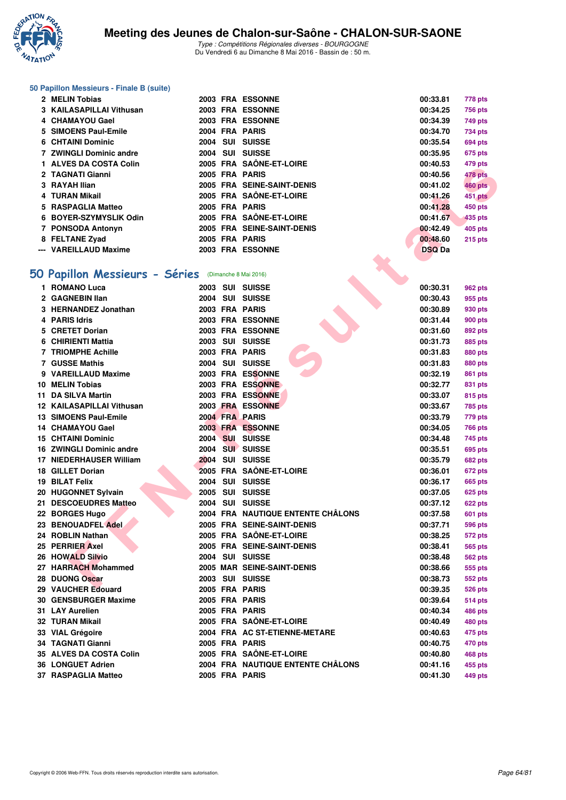

#### **50 Papillon Messieurs - Finale B (suite)**

| 2 MELIN Tobias           |  | 2003 FRA ESSONNE           | 00:33.81      | 778 pts        |
|--------------------------|--|----------------------------|---------------|----------------|
| 3 KAILASAPILLAI Vithusan |  | 2003 FRA ESSONNE           | 00:34.25      | <b>756 pts</b> |
| 4 CHAMAYOU Gael          |  | 2003 FRA ESSONNE           | 00:34.39      | 749 pts        |
| 5 SIMOENS Paul-Emile     |  | 2004 FRA PARIS             | 00:34.70      | 734 pts        |
| 6 CHTAINI Dominic        |  | 2004 SUI SUISSE            | 00:35.54      | 694 pts        |
| 7 ZWINGLI Dominic andre  |  | 2004 SUI SUISSE            | 00:35.95      | 675 pts        |
| 1 ALVES DA COSTA Colin   |  | 2005 FRA SAÔNE-ET-LOIRE    | 00:40.53      | 479 pts        |
| 2 TAGNATI Gianni         |  | 2005 FRA PARIS             | 00:40.56      | 478 pts        |
| 3 RAYAH Ilian            |  | 2005 FRA SEINE-SAINT-DENIS | 00:41.02      | <b>460 pts</b> |
| 4 TURAN Mikail           |  | 2005 FRA SAÔNE-ET-LOIRE    | 00:41.26      | 451 pts        |
| 5 RASPAGLIA Matteo       |  | 2005 FRA PARIS             | 00:41.28      | 450 pts        |
| 6 BOYER-SZYMYSLIK Odin   |  | 2005 FRA SAÔNE-ET-LOIRE    | 00:41.67      | 435 pts        |
| 7 PONSODA Antonyn        |  | 2005 FRA SEINE-SAINT-DENIS | 00:42.49      | 405 pts        |
| 8 FELTANE Zyad           |  | 2005 FRA PARIS             | 00:48.60      | <b>215 pts</b> |
| --- VAREILLAUD Maxime    |  | 2003 FRA ESSONNE           | <b>DSQ Da</b> |                |

## **[50 Papillon Messieurs - Séries](http://www.ffnatation.fr/webffn/resultats.php?idact=nat&go=epr&idcpt=38881&idepr=81)** (Dimanche 8 Mai 2016)

| ALVEJ DA UUJIA UUIII                                |  | <b>JAVINE-ET-LUINE</b>            | 00.40.JJ      | + <i>r ວ</i> ຸµເວ |
|-----------------------------------------------------|--|-----------------------------------|---------------|-------------------|
| 2 TAGNATI Gianni                                    |  | 2005 FRA PARIS                    | 00:40.56      | 478 pts           |
| 3 RAYAH Ilian                                       |  | 2005 FRA SEINE-SAINT-DENIS        | 00:41.02      | <b>460 pts</b>    |
| 4 TURAN Mikail                                      |  | 2005 FRA SAÔNE-ET-LOIRE           | 00:41.26      | 451 pts           |
| 5 RASPAGLIA Matteo                                  |  | 2005 FRA PARIS                    | 00:41.28      | 450 pts           |
| 6 BOYER-SZYMYSLIK Odin                              |  | 2005 FRA SAÖNE-ET-LOIRE           | 00:41.67      | 435 pts           |
| 7 PONSODA Antonyn                                   |  | 2005 FRA SEINE-SAINT-DENIS        | 00:42.49      | 405 pts           |
| 8 FELTANE Zyad                                      |  | 2005 FRA PARIS                    | 00:48.60      | <b>215 pts</b>    |
| --- VAREILLAUD Maxime                               |  | 2003 FRA ESSONNE                  | <b>DSQ Da</b> |                   |
|                                                     |  |                                   |               |                   |
| O Papillon Messieurs - Séries (Dimanche 8 Mai 2016) |  |                                   |               |                   |
| 1 ROMANO Luca                                       |  | 2003 SUI SUISSE                   | 00:30.31      | 962 pts           |
| 2 GAGNEBIN Ilan                                     |  | 2004 SUI SUISSE                   | 00:30.43      | 955 pts           |
| 3 HERNANDEZ Jonathan                                |  | 2003 FRA PARIS                    | 00:30.89      | 930 pts           |
| 4 PARIS Idris                                       |  | 2003 FRA ESSONNE                  | 00:31.44      | <b>900 pts</b>    |
| 5 CRETET Dorian                                     |  | 2003 FRA ESSONNE                  | 00:31.60      | 892 pts           |
| 6 CHIRIENTI Mattia                                  |  | 2003 SUI SUISSE                   | 00:31.73      | 885 pts           |
| <b>7 TRIOMPHE Achille</b>                           |  | 2003 FRA PARIS                    | 00:31.83      | 880 pts           |
| <b>7 GUSSE Mathis</b>                               |  | 2004 SUI SUISSE                   | 00:31.83      | 880 pts           |
| 9 VAREILLAUD Maxime                                 |  | 2003 FRA ESSONNE                  | 00:32.19      | 861 pts           |
| 10 MELIN Tobias                                     |  | 2003 FRA ESSONNE                  | 00:32.77      | 831 pts           |
| 11 DA SILVA Martin                                  |  | 2003 FRA ESSONNE                  | 00:33.07      | 815 pts           |
| 12 KAILASAPILLAI Vithusan                           |  | 2003 FRA ESSONNE                  | 00:33.67      | 785 pts           |
| 13 SIMOENS Paul-Emile                               |  | 2004 FRA PARIS                    | 00:33.79      | 779 pts           |
| 14 CHAMAYOU Gael                                    |  | 2003 FRA ESSONNE                  | 00:34.05      | 766 pts           |
| <b>15 CHTAINI Dominic</b>                           |  | 2004 SUI SUISSE                   | 00:34.48      | 745 pts           |
| 16 ZWINGLI Dominic andre                            |  | 2004 SUI SUISSE                   | 00:35.51      | 695 pts           |
| 17 NIEDERHAUSER William                             |  | 2004 SUI SUISSE                   | 00:35.79      | 682 pts           |
| 18 GILLET Dorian                                    |  | 2005 FRA SAÔNE-ET-LOIRE           | 00:36.01      | <b>672 pts</b>    |
| 19 BILAT Felix                                      |  | 2004 SUI SUISSE                   | 00:36.17      | 665 pts           |
| 20 HUGONNET Sylvain                                 |  | 2005 SUI SUISSE                   | 00:37.05      | 625 pts           |
| 21 DESCOEUDRES Matteo                               |  | 2004 SUI SUISSE                   | 00:37.12      | 622 pts           |
| 22 BORGES Hugo                                      |  | 2004 FRA NAUTIQUE ENTENTE CHÂLONS | 00:37.58      | <b>601 pts</b>    |
| 23 BENOUADFEL Adel                                  |  | 2005 FRA SEINE-SAINT-DENIS        | 00:37.71      | 596 pts           |
| 24 ROBLIN Nathan                                    |  | 2005 FRA SAÔNE-ET-LOIRE           | 00:38.25      | 572 pts           |
| 25 PERRIER Axel                                     |  | 2005 FRA SEINE-SAINT-DENIS        | 00:38.41      | 565 pts           |
| 26 HOWALD Silvio                                    |  | 2004 SUI SUISSE                   | 00:38.48      | 562 pts           |
| 27 HARRACH Mohammed                                 |  | <b>2005 MAR SEINE-SAINT-DENIS</b> | 00:38.66      | 555 pts           |
| 28 DUONG Oscar                                      |  | 2003 SUI SUISSE                   | 00:38.73      | 552 pts           |
| 29 VAUCHER Edouard                                  |  | <b>2005 FRA PARIS</b>             | 00:39.35      | <b>526 pts</b>    |
| 30 GENSBURGER Maxime                                |  | 2005 FRA PARIS                    | 00:39.64      | <b>514 pts</b>    |
| 31 LAY Aurelien                                     |  | 2005 FRA PARIS                    | 00:40.34      | 486 pts           |
| 32   TURAN Mikail                                   |  | 2005 FRA SAÔNE-ET-LOIRE           | 00:40.49      | 480 pts           |
| 33 VIAL Grégoire                                    |  | 2004 FRA AC ST-ETIENNE-METARE     | 00:40.63      | 475 pts           |
| 34 TAGNATI Gianni                                   |  | 2005 FRA PARIS                    | 00:40.75      | 470 pts           |
| 35 ALVES DA COSTA Colin                             |  | 2005 FRA SAÔNE-ET-LOIRE           | 00:40.80      | 468 pts           |
| 36 LONGUET Adrien                                   |  | 2004 FRA NAUTIQUE ENTENTE CHÂLONS | 00:41.16      | 455 pts           |
| 37 RASPAGLIA Matteo                                 |  | 2005 FRA PARIS                    | 00:41.30      | 449 pts           |
|                                                     |  |                                   |               |                   |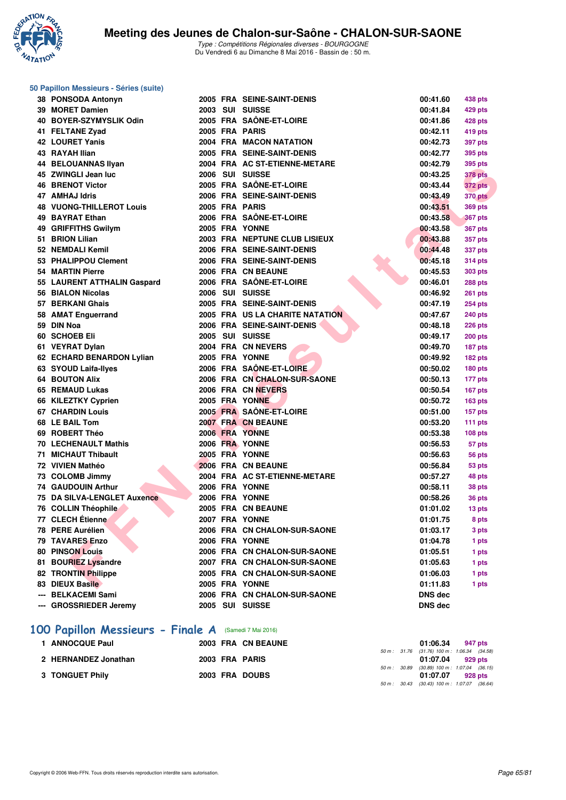

**50 Papillon Messieurs - Séries (suite)**

Type : Compétitions Régionales diverses - BOURGOGNE Du Vendredi 6 au Dimanche 8 Mai 2016 - Bassin de : 50 m.

#### **F F THINE REPAIRING 1999**<br> **F F R F N - R É SOURIGE L'ANNE EN CONTENENT (1990)**<br> **F R F N - R É SOURIGE DE SOURIGE L'ANNE (1990)**<br> **F R F N - R É SOURIGE DE SOURIGE DE SOURIGE DE CONTENENT (1990)**<br> **F R F N - R É SOURIGE 38 PONSODA Antonyn 2005 FRA SEINE-SAINT-DENIS 00:41.60 438 pts 39 MORET Damien 2003 SUI SUISSE 00:41.84 429 pts 40 BOYER-SZYMYSLIK Odin 2005 FRA SAÔNE-ET-LOIRE 00:41.86 428 pts 41 FELTANE Zyad 2005 FRA PARIS 00:42.11 419 pts 42 LOURET Yanis 2004 FRA MACON NATATION 00:42.73 397 pts 43 RAYAH Ilian 2005 FRA SEINE-SAINT-DENIS 00:42.77 395 pts 44 BELOUANNAS Ilyan 2004 FRA AC ST-ETIENNE-METARE 00:42.79 395 pts 45 ZWINGLI Jean luc 2006 SUI SUISSE 00:43.25 378 pts 46 BRENOT Victor 2005 FRA SAÔNE-ET-LOIRE 00:43.44 372 pts 47 AMHAJ Idris 2006 FRA SEINE-SAINT-DENIS 00:43.49 370 pts 48 VUONG-THILLEROT Louis 2005 FRA PARIS 00:43.51 369 pts 49 BAYRAT Ethan 2006 FRA SAÔNE-ET-LOIRE 00:43.58 367 pts 49 GRIFFITHS Gwilym 2005 FRA YONNE 00:43.58 367 pts 51 BRION Lilian 2003 FRA NEPTUNE CLUB LISIEUX 00:43.88 357 pts 52 NEMDALI Kemil 2006 FRA SEINE-SAINT-DENIS 00:44.48 337 pts 53 PHALIPPOU Clement 2006 FRA SEINE-SAINT-DENIS 00:45.18 314 pts 54 MARTIN Pierre 2006 FRA CN BEAUNE 00:45.53 303 pts 55 LAURENT ATTHALIN Gaspard 2006 FRA SAÔNE-ET-LOIRE 00:46.01 288 pts 56 BIALON Nicolas 2006 SUI SUISSE 00:46.92 261 pts 57 BERKANI Ghais 2005 FRA SEINE-SAINT-DENIS 00:47.19 254 pts 58 AMAT Enguerrand 2005 FRA US LA CHARITE NATATION 00:47.67 240 pts 59 DIN Noa 2006 FRA SEINE-SAINT-DENIS 00:48.18 226 pts 60 SCHOEB Eli 2005 SUI SUISSE 00:49.17 200 pts 61 VEYRAT Dylan 2004 FRA CN NEVERS 00:49.70 187 pts 62 ECHARD BENARDON Lylian 2005 FRA YONNE 00:49.92 182 pts 63 SYOUD Laifa-Ilyes 2006 FRA SAÔNE-ET-LOIRE 00:50.02 180 pts 64 BOUTON Alix 2006 FRA CN CHALON-SUR-SAONE 00:50.13 177 pts 65 REMAUD Lukas 2006 FRA CN NEVERS 00:50.54 167 pts 66 KILEZTKY Cyprien 2005 FRA YONNE 00:50.72 163 pts 67 CHARDIN Louis 2005 FRA SAÔNE-ET-LOIRE 00:51.00 157 pts 68 LE BAIL Tom 2007 FRA CN BEAUNE 00:53.20 111 pts 69 ROBERT Théo 2006 FRA YONNE 00:53.38 108 pts 70 LECHENAULT Mathis 2006 FRA YONNE 00:56.53 57 pts 71 MICHAUT Thibault 2005 FRA YONNE 00:56.63 56 pts 72 VIVIEN Mathéo 2006 FRA CN BEAUNE 00:56.84 53 pts 73 COLOMB Jimmy 2004 FRA AC ST-ETIENNE-METARE 00:57.27 48 pts 74 GAUDOUIN Arthur 2006 FRA YONNE 00:58.11 38 pts 75 DA SILVA-LENGLET Auxence 2006 FRA YONNE 00:58.26 36 pts 76 COLLIN Théophile 2005 FRA CN BEAUNE 01:01.02 13 pts 77 CLECH Étienne 2007 FRA YONNE 01:01.75 8 pts 78 PERE Aurélien 2006 FRA CN CHALON-SUR-SAONE 01:03.17 3 pts 79 TAVARES Enzo 2006 FRA YONNE 01:04.78 1 pts 80 PINSON Louis 2006 FRA CN CHALON-SUR-SAONE 01:05.51 1 pts 81 BOURIEZ Lysandre 2007 FRA CN CHALON-SUR-SAONE 01:05.63 1 pts 82 TRONTIN Philippe 2005 FRA CN CHALON-SUR-SAONE 01:06.03 1 pts 83 DIEUX Basile 2005 FRA YONNE 01:11.83 1 pts --- BELKACEMI Sami 2006 FRA CN CHALON-SUR-SAONE DNS dec --- GROSSRIEDER Jeremy 2005 SUI SUISSE DNS dec**

#### **[100 Papillon Messieurs - Finale A](http://www.ffnatation.fr/webffn/resultats.php?idact=nat&go=epr&idcpt=38881&idepr=82)** (Samedi 7 Mai 2016)

| <b>1 ANNOCQUE Paul</b> |  | 2003 FRA CN BEAUNE |  | 01:06.34 947 pts                             |         |  |
|------------------------|--|--------------------|--|----------------------------------------------|---------|--|
|                        |  |                    |  | 50 m: 31.76 (31.76) 100 m: 1.06.34 (34.58)   |         |  |
| 2 HERNANDEZ Jonathan   |  | 2003 FRA PARIS     |  | 01:07.04 929 pts                             |         |  |
|                        |  |                    |  | 50 m : 30.89 (30.89) 100 m : 1:07.04 (36.15) |         |  |
| 3 TONGUET Phily        |  | 2003 FRA DOUBS     |  | 01:07.07                                     | 928 pts |  |
|                        |  |                    |  | 50 m : 30.43 (30.43) 100 m : 1:07.07 (36.64) |         |  |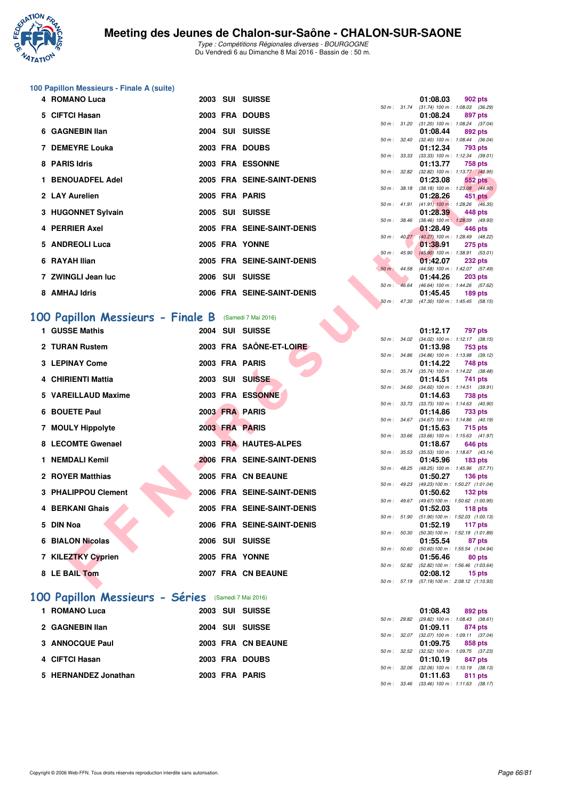

# **100 Papillon Messieurs - Finale A (suite)**

|                   |                                                                                                                                                                          |  |                                                                                                                                                                                                                                                                           | 01:08.03                                                                                                                                                                                                          |                                                                                              |                                                                                                                                                                                                                                                                                                                                                                                                                                                                                                                                                                                                                                                   |
|-------------------|--------------------------------------------------------------------------------------------------------------------------------------------------------------------------|--|---------------------------------------------------------------------------------------------------------------------------------------------------------------------------------------------------------------------------------------------------------------------------|-------------------------------------------------------------------------------------------------------------------------------------------------------------------------------------------------------------------|----------------------------------------------------------------------------------------------|---------------------------------------------------------------------------------------------------------------------------------------------------------------------------------------------------------------------------------------------------------------------------------------------------------------------------------------------------------------------------------------------------------------------------------------------------------------------------------------------------------------------------------------------------------------------------------------------------------------------------------------------------|
|                   |                                                                                                                                                                          |  |                                                                                                                                                                                                                                                                           |                                                                                                                                                                                                                   |                                                                                              |                                                                                                                                                                                                                                                                                                                                                                                                                                                                                                                                                                                                                                                   |
|                   |                                                                                                                                                                          |  |                                                                                                                                                                                                                                                                           |                                                                                                                                                                                                                   |                                                                                              |                                                                                                                                                                                                                                                                                                                                                                                                                                                                                                                                                                                                                                                   |
|                   |                                                                                                                                                                          |  |                                                                                                                                                                                                                                                                           |                                                                                                                                                                                                                   |                                                                                              |                                                                                                                                                                                                                                                                                                                                                                                                                                                                                                                                                                                                                                                   |
|                   |                                                                                                                                                                          |  |                                                                                                                                                                                                                                                                           |                                                                                                                                                                                                                   |                                                                                              |                                                                                                                                                                                                                                                                                                                                                                                                                                                                                                                                                                                                                                                   |
|                   |                                                                                                                                                                          |  |                                                                                                                                                                                                                                                                           |                                                                                                                                                                                                                   |                                                                                              |                                                                                                                                                                                                                                                                                                                                                                                                                                                                                                                                                                                                                                                   |
|                   |                                                                                                                                                                          |  |                                                                                                                                                                                                                                                                           |                                                                                                                                                                                                                   |                                                                                              |                                                                                                                                                                                                                                                                                                                                                                                                                                                                                                                                                                                                                                                   |
| 8 PARIS Idris     |                                                                                                                                                                          |  |                                                                                                                                                                                                                                                                           | 01:13.77                                                                                                                                                                                                          |                                                                                              |                                                                                                                                                                                                                                                                                                                                                                                                                                                                                                                                                                                                                                                   |
|                   |                                                                                                                                                                          |  |                                                                                                                                                                                                                                                                           |                                                                                                                                                                                                                   |                                                                                              |                                                                                                                                                                                                                                                                                                                                                                                                                                                                                                                                                                                                                                                   |
| 1 BENOUADFEL Adel |                                                                                                                                                                          |  |                                                                                                                                                                                                                                                                           | 01:23.08                                                                                                                                                                                                          |                                                                                              |                                                                                                                                                                                                                                                                                                                                                                                                                                                                                                                                                                                                                                                   |
|                   |                                                                                                                                                                          |  |                                                                                                                                                                                                                                                                           |                                                                                                                                                                                                                   |                                                                                              |                                                                                                                                                                                                                                                                                                                                                                                                                                                                                                                                                                                                                                                   |
|                   |                                                                                                                                                                          |  |                                                                                                                                                                                                                                                                           |                                                                                                                                                                                                                   |                                                                                              |                                                                                                                                                                                                                                                                                                                                                                                                                                                                                                                                                                                                                                                   |
|                   |                                                                                                                                                                          |  |                                                                                                                                                                                                                                                                           |                                                                                                                                                                                                                   |                                                                                              |                                                                                                                                                                                                                                                                                                                                                                                                                                                                                                                                                                                                                                                   |
|                   |                                                                                                                                                                          |  |                                                                                                                                                                                                                                                                           |                                                                                                                                                                                                                   |                                                                                              |                                                                                                                                                                                                                                                                                                                                                                                                                                                                                                                                                                                                                                                   |
|                   |                                                                                                                                                                          |  |                                                                                                                                                                                                                                                                           |                                                                                                                                                                                                                   |                                                                                              |                                                                                                                                                                                                                                                                                                                                                                                                                                                                                                                                                                                                                                                   |
|                   |                                                                                                                                                                          |  |                                                                                                                                                                                                                                                                           |                                                                                                                                                                                                                   |                                                                                              |                                                                                                                                                                                                                                                                                                                                                                                                                                                                                                                                                                                                                                                   |
|                   |                                                                                                                                                                          |  |                                                                                                                                                                                                                                                                           |                                                                                                                                                                                                                   |                                                                                              |                                                                                                                                                                                                                                                                                                                                                                                                                                                                                                                                                                                                                                                   |
|                   |                                                                                                                                                                          |  |                                                                                                                                                                                                                                                                           |                                                                                                                                                                                                                   |                                                                                              |                                                                                                                                                                                                                                                                                                                                                                                                                                                                                                                                                                                                                                                   |
| 6 RAYAH Ilian     |                                                                                                                                                                          |  |                                                                                                                                                                                                                                                                           | 01:42.07                                                                                                                                                                                                          |                                                                                              |                                                                                                                                                                                                                                                                                                                                                                                                                                                                                                                                                                                                                                                   |
|                   |                                                                                                                                                                          |  |                                                                                                                                                                                                                                                                           |                                                                                                                                                                                                                   |                                                                                              |                                                                                                                                                                                                                                                                                                                                                                                                                                                                                                                                                                                                                                                   |
|                   |                                                                                                                                                                          |  |                                                                                                                                                                                                                                                                           | 01:44.26                                                                                                                                                                                                          |                                                                                              |                                                                                                                                                                                                                                                                                                                                                                                                                                                                                                                                                                                                                                                   |
|                   |                                                                                                                                                                          |  |                                                                                                                                                                                                                                                                           |                                                                                                                                                                                                                   |                                                                                              |                                                                                                                                                                                                                                                                                                                                                                                                                                                                                                                                                                                                                                                   |
|                   |                                                                                                                                                                          |  |                                                                                                                                                                                                                                                                           |                                                                                                                                                                                                                   |                                                                                              |                                                                                                                                                                                                                                                                                                                                                                                                                                                                                                                                                                                                                                                   |
|                   | 5 CIFTCI Hasan<br>6 GAGNEBIN IIan<br>7 DEMEYRE Louka<br>2 LAY Aurelien<br>3 HUGONNET Sylvain<br>4 PERRIER Axel<br>5 ANDREOLI Luca<br>7 ZWINGLI Jean luc<br>8 AMHAJ Idris |  | 2003 FRA DOUBS<br>2004 SUI SUISSE<br>2003 FRA DOUBS<br>2003 FRA ESSONNE<br>2005 FRA SEINE-SAINT-DENIS<br>2005 FRA PARIS<br>2005 SUI SUISSE<br>2005 FRA SEINE-SAINT-DENIS<br>2005 FRA YONNE<br>2005 FRA SEINE-SAINT-DENIS<br>2006 SUI SUISSE<br>2006 FRA SEINE-SAINT-DENIS | $50 \text{ m}$ : $31.74$<br>$50 \text{ m}$ : 31.20<br>50 m: 32.40<br>50 m: 33.33<br>50 m: 32.82<br>50 m: 38.18<br>$50 m$ : 41.91<br>$50 m$ : $38.46$<br>$50 m$ : $45.90$<br>$50 \text{ m}$ : 44.58<br>50 m: 46.64 | 4 ROMANO Luca<br>2003 SUI SUISSE<br>01:08.24<br>01:08.44<br>01:12.34<br>01:28.26<br>01:45.45 | 902 pts<br>$(31.74)$ 100 m : 1:08.03 (36.<br>897 pts<br>$(31.20)$ 100 m : 1:08.24 (37.<br>892 pts<br>$(32.40)$ 100 m : 1:08.44 (36.<br>793 pts<br>$(33.33)$ 100 m : 1:12.34 (39.<br>758 pts<br>$(32.82)$ 100 m : 1:13.77 (40.<br><b>552 pts</b><br>$(38.18) 100 \text{ m}$ : 1:23.08 $(44.$<br>451 pts<br>$(41.91)$ 100 m : 1:28.26 $(46)$<br>01:28.39 448 pts<br>$(38.46)$ 100 m : 1:28.39 (49.<br>01:28.49<br>446 pts<br>50 m : 40.27 (40.27) 100 m : 1:28.49 (48.<br>01:38.91<br><b>275 pts</b><br>$(45.90)$ 100 m : 1:38.91 (53.<br><b>232 pts</b><br>(44.58) 100 m: 1:42.07 (57.<br><b>203 pts</b><br>(46.64) 100 m: 1:44.26 (57.<br>189 pts |

# **[100 Papillon Messieurs - Finale B](http://www.ffnatation.fr/webffn/resultats.php?idact=nat&go=epr&idcpt=38881&idepr=82)** (Samedi 7 Mai 2016)

| ranio iuris                      |  | ZUUJ FRA EJJUINNE          |                  |                          | v <i></i>                                                | <b>TUD DIS</b>     |  |
|----------------------------------|--|----------------------------|------------------|--------------------------|----------------------------------------------------------|--------------------|--|
| 1 BENOUADFEL Adel                |  | 2005 FRA SEINE-SAINT-DENIS |                  |                          | 50 m: 32.82 (32.82) 100 m: 1:13.77 (40.95)<br>01:23.08   | <b>552 pts</b>     |  |
|                                  |  |                            |                  | 50 m : 38.18             | $(38.18)$ 100 m : 1:23.08 $(44.90)$                      |                    |  |
| 2 LAY Aurelien                   |  | 2005 FRA PARIS             |                  | 50 m : 41.91             | 01:28.26<br>$(41.91)$ 100 m : 1:28.26 $(46.35)$          | 451 pts            |  |
| 3 HUGONNET Sylvain               |  | 2005 SUI SUISSE            |                  |                          | 01:28.39                                                 | 448 pts            |  |
|                                  |  |                            | 50 m : 38.46     |                          | $(38.46)$ 100 m : 1:28.39 $(49.93)$                      |                    |  |
| 4 PERRIER Axel                   |  | 2005 FRA SEINE-SAINT-DENIS |                  |                          | 01:28.49                                                 | 446 pts            |  |
| 5 ANDREOLI Luca                  |  | 2005 FRA YONNE             |                  | $50 \text{ m}$ : $40.27$ | (40.27) 100 m : 1:28.49 (48.22)<br>01:38.91              | <b>275 pts</b>     |  |
|                                  |  |                            |                  | 50 m: 45.90              | $(45.90)$ 100 m : 1:38.91 (53.01)                        |                    |  |
| 6 RAYAH Ilian                    |  | 2005 FRA SEINE-SAINT-DENIS |                  |                          | 01:42.07                                                 | <b>232 pts</b>     |  |
|                                  |  |                            | $50 m$ : $44.58$ |                          | $(44.58)$ 100 m : 1:42.07 $(57.49)$                      |                    |  |
| 7 ZWINGLI Jean luc               |  | 2006 SUI SUISSE            | $50 m$ :         | 46.64                    | 01:44.26<br>(46.64) 100 m: 1:44.26 (57.62)               | <b>203 pts</b>     |  |
| 8 AMHAJ Idris                    |  | 2006 FRA SEINE-SAINT-DENIS |                  |                          | 01:45.45                                                 | $189$ pts          |  |
|                                  |  |                            | 50 m: 47.30      |                          | (47.30) 100 m: 1:45.45 (58.15)                           |                    |  |
|                                  |  |                            |                  |                          |                                                          |                    |  |
| 00 Papillon Messieurs - Finale B |  | (Samedi 7 Mai 2016)        |                  |                          |                                                          |                    |  |
| 1 GUSSE Mathis                   |  | 2004 SUI SUISSE            |                  |                          | 01:12.17                                                 | 797 pts            |  |
| 2 TURAN Rustem                   |  | 2003 FRA SAÔNE-ET-LOIRE    |                  |                          | 50 m: 34.02 (34.02) 100 m: 1:12.17 (38.15)               |                    |  |
|                                  |  |                            | 50 m : 34.86     |                          | 01:13.98<br>$(34.86)$ 100 m : 1:13.98 $(39.12)$          | 753 pts            |  |
| <b>3 LEPINAY Come</b>            |  | 2003 FRA PARIS             |                  |                          | 01:14.22                                                 | 748 pts            |  |
|                                  |  |                            | 50 m : 35.74     |                          | $(35.74)$ 100 m : 1:14.22 $(38.48)$                      |                    |  |
| 4 CHIRIENTI Mattia               |  | 2003 SUI SUISSE            |                  |                          | 01:14.51                                                 | 741 pts            |  |
| 5 VAREILLAUD Maxime              |  | 2003 FRA ESSONNE           |                  | 50 m : 34.60             | $(34.60)$ 100 m : 1:14.51 $(39.91)$<br>01:14.63          | <b>738 pts</b>     |  |
|                                  |  |                            |                  |                          | 50 m: 33.73 (33.73) 100 m: 1:14.63 (40.90)               |                    |  |
| 6 BOUETE Paul                    |  | 2003 FRA PARIS             |                  |                          | 01:14.86                                                 | 733 pts            |  |
|                                  |  |                            |                  |                          | 50 m: 34.67 (34.67) 100 m: 1:14.86 (40.19)               |                    |  |
| 7 MOULY Hippolyte                |  | 2003 FRA PARIS             | 50 m: 33.66      |                          | 01:15.63<br>$(33.66)$ 100 m : 1:15.63 $(41.97)$          | 715 pts            |  |
| 8 LECOMTE Gwenael                |  | 2003 FRA HAUTES-ALPES      |                  |                          | 01:18.67                                                 | 646 pts            |  |
|                                  |  |                            | 50 m: 35.53      |                          | $(35.53)$ 100 m : 1:18.67 $(43.14)$                      |                    |  |
| 1 NEMDALI Kemil                  |  | 2006 FRA SEINE-SAINT-DENIS |                  | 50 m: 48.25              | 01:45.96                                                 | 183 <sub>pts</sub> |  |
| 2 ROYER Matthias                 |  | 2005 FRA CN BEAUNE         |                  |                          | (48.25) 100 m: 1:45.96 (57.71)<br>01:50.27               | <b>136 pts</b>     |  |
|                                  |  |                            |                  | 50 m : 49.23             | (49.23) 100 m: 1:50.27 (1:01.04)                         |                    |  |
| 3 PHALIPPOU Clement              |  | 2006 FRA SEINE-SAINT-DENIS |                  |                          | 01:50.62                                                 | $132$ pts          |  |
| 4 BERKANI Ghais                  |  | 2005 FRA SEINE-SAINT-DENIS |                  |                          | 50 m: 49.67 (49.67) 100 m: 1:50.62 (1:00.95)<br>01:52.03 | $118$ pts          |  |
|                                  |  |                            |                  |                          | 50 m: 51.90 (51.90) 100 m: 1:52.03 (1:00.13)             |                    |  |
| 5 DIN Noa                        |  | 2006 FRA SEINE-SAINT-DENIS |                  |                          | 01:52.19                                                 | 117 pts            |  |
|                                  |  |                            | 50 m : 50.30     |                          | $(50.30)$ 100 m : 1:52.19 $(1:01.89)$                    |                    |  |
| <b>6 BIALON Nicolas</b>          |  | 2006 SUI SUISSE            | 50 m: 50.60      |                          | 01:55.54<br>(50.60) 100 m: 1:55.54 (1:04.94)             | 87 pts             |  |
| 7 KILEZTKY Cyprien               |  | 2005 FRA YONNE             |                  |                          | 01:56.46                                                 | 80 pts             |  |
|                                  |  |                            |                  |                          | 50 m: 52.82 (52.82) 100 m: 1:56.46 (1:03.64)             |                    |  |
| 8 LE BAIL Tom                    |  | 2007 FRA CN BEAUNE         |                  |                          | 02:08.12                                                 | 15 pts             |  |
|                                  |  |                            |                  |                          | 50 m: 57.19 (57.19) 100 m: 2:08.12 (1:10.93)             |                    |  |

## **[100 Papillon Messieurs - Séries](http://www.ffnatation.fr/webffn/resultats.php?idact=nat&go=epr&idcpt=38881&idepr=82)** (Samedi 7 Mai 2016)

| 1 ROMANO Luca        | 2003 SUI SUISSE    | 01:08.43<br>892 pts                                            |
|----------------------|--------------------|----------------------------------------------------------------|
| 2 GAGNEBIN Ilan      | 2004 SUI SUISSE    | 50 m: 29.82 (29.82) 100 m: 1:08.43 (38.<br>01:09.11<br>874 pts |
| 3 ANNOCQUE Paul      | 2003 FRA CN BEAUNE | 50 m: 32.07 (32.07) 100 m: 1:09.11 (37.<br>01:09.75<br>858 pts |
| 4 CIFTCI Hasan       | 2003 FRA DOUBS     | 50 m: 32.52 (32.52) 100 m: 1:09.75 (37.<br>01:10.19<br>847 pts |
| 5 HERNANDEZ Jonathan | 2003 FRA PARIS     | 50 m: 32.06 (32.06) 100 m: 1:10.19 (38.<br>01:11.63<br>811 pts |

|                  |       | 01:08.03          | <b>902 pts</b>      |
|------------------|-------|-------------------|---------------------|
| 50 m: 31.74      |       | $(31.74) 100 m$ : | 1:08.03 (36.29)     |
|                  |       | 01:08.24          | 897 pts             |
| $50 m$ : $31.20$ |       | $(31.20)$ 100 m : | 1:08.24 (37.04)     |
|                  |       | 01:08.44          | 892 pts             |
| 50 m: 32.40      |       | $(32.40)$ 100 m : | 1:08.44 (36.04)     |
|                  |       | 01:12.34          | 793 pts             |
| $50 m$ : 33.33   |       | $(33.33)$ 100 m : | $1:12.34$ (39.01)   |
|                  |       | 01:13.77          | 758 pts             |
| 50 m: 32.82      |       | $(32.82)$ 100 m : | $1:13.77$ $(40.95)$ |
|                  |       | 01:23.08          | <b>552 pts</b>      |
| $50 m$ : $38.18$ |       | $(38.18) 100 m$ : | 1:23.08 (44.90)     |
|                  |       | 01:28.26          | 451 pts             |
| $50 m$ : $41.91$ |       | $(41.91)$ 100 m : | 1:28.26 (46.35)     |
|                  |       | 01:28.39          | 448 pts             |
| $50 m$ : $38.46$ |       | $(38.46) 100 m$ : | 1:28.39 (49.93)     |
|                  |       | 01:28.49          | $-446$ pts          |
| $50 m$ : $40.27$ |       | $(40.27)$ 100 m : | 1:28.49 (48.22)     |
|                  |       | 01:38.91          | 275 pts             |
| 50 m :           | 45.90 | $(45.90)$ 100 m : | 1:38.91 (53.01)     |
|                  |       | 01:42.07          | <b>232 pts</b>      |
| 50 m : 44.58     |       | $(44.58) 100 m$ : | 1:42.07 (57.49)     |
|                  |       | 01:44.26          | <b>203 pts</b>      |
| $50 m$ : 46.64   |       | $(46.64) 100 m$ : | 1:44.26 (57.62)     |
|                  |       | 01:45.45          | 189 pts             |
| 50 m: 47.30      |       | $(47.30)$ 100 m : | $1:45.45$ $(58.15)$ |

|                  |       | 01:12.17          | 797 pts             |
|------------------|-------|-------------------|---------------------|
| $50 m$ : $34.02$ |       | $(34.02)$ 100 m : | $1:12.17$ (38.15)   |
|                  |       | 01:13.98          | 753 pts             |
| 50 m :           | 34.86 | $(34.86)$ 100 m : | 1:13.98 (39.12)     |
|                  |       | 01:14.22          | 748 pts             |
| 50 m :           | 35.74 | $(35.74) 100 m$ : | $1:14.22$ $(38.48)$ |
|                  |       | 01:14.51          | 741 pts             |
| $50 m$ :         | 34.60 | $(34.60)$ 100 m : | $1:14.51$ (39.91)   |
|                  |       | 01:14.63          | <b>738 pts</b>      |
| 50 m :           | 33.73 | $(33.73) 100 m$ : | $1:14.63$ (40.90)   |
|                  |       | 01:14.86          | 733 pts             |
| $50 m$ : 34.67   |       | $(34.67)$ 100 m : | $1:14.86$ $(40.19)$ |
|                  |       | 01:15.63          | 715 pts             |
| $50 m$ :         | 33.66 | $(33.66) 100 m$ : | $1:15.63$ $(41.97)$ |
|                  |       | 01:18.67          | 646 pts             |
| $50 m$ :         | 35.53 | $(35.53) 100 m$ : | $1:18.67$ $(43.14)$ |
|                  |       | 01:45.96          | <b>183 pts</b>      |
| 50 m :           | 48.25 | $(48.25)$ 100 m : | $1:45.96$ $(57.71)$ |
|                  |       | 01:50.27          | $136$ pts           |
| 50 m : 49.23     |       | (49.23) 100 m :   | 1:50.27 (1:01.04)   |
|                  |       | 01:50.62          | 132 pts             |
| $50 m$ :         | 49.67 | (49.67) 100 m :   | 1:50.62 (1:00.95)   |
|                  |       | 01:52.03          | $118$ pts           |
| 50 m :           | 51.90 | $(51.90) 100 m$ : | 1:52.03 (1:00.13)   |
|                  |       | 01:52.19          | 117 pts             |
| 50 m: 50.30      |       | (50.30) 100 m :   | 1:52.19 (1:01.89)   |
|                  |       | 01:55.54          | 87 pts              |
| 50 m :           | 50.60 | $(50.60)$ 100 m : | 1:55.54 (1:04.94)   |
|                  |       | 01:56.46          | 80 pts              |
| $50 m$ :         | 52.82 | (52.82) 100 m :   | 1:56.46 (1:03.64)   |
|                  |       | 02:08.12          | 15 pts              |
| 50 m: 57.19      |       | (57.19) 100 m :   | 2:08.12 (1:10.93)   |
|                  |       |                   |                     |

|  | 01:08.43 892 pts                           |
|--|--------------------------------------------|
|  | 50 m: 29.82 (29.82) 100 m: 1:08.43 (38.61) |
|  | 01:09.11 874 pts                           |
|  | 50 m: 32.07 (32.07) 100 m: 1:09.11 (37.04) |
|  | 01:09.75 858 pts                           |
|  | 50 m: 32.52 (32.52) 100 m: 1:09.75 (37.23) |
|  | $01:10.19$ 847 pts                         |
|  | 50 m: 32.06 (32.06) 100 m: 1:10.19 (38.13) |
|  | 01:11.63 811 pts                           |
|  | 50 m: 33.46 (33.46) 100 m: 1:11.63 (38.17) |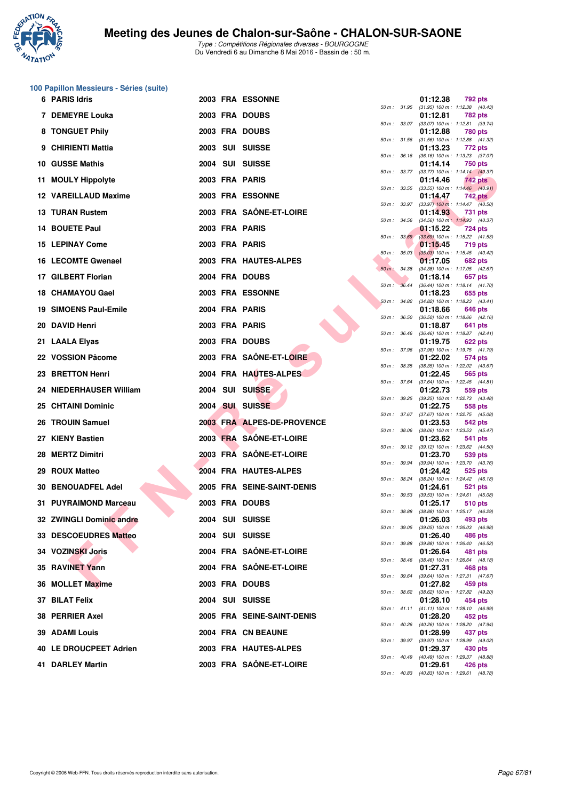

# **100 Papillon Messieurs - Séries (suite)**

|     | 6 PARIS Idris             |  | <b>2003 FRA ESSONNE</b>    |              |                  | 01:12.38 | 792 pts                                                 |  |
|-----|---------------------------|--|----------------------------|--------------|------------------|----------|---------------------------------------------------------|--|
|     | 7 DEMEYRE Louka           |  | 2003 FRA DOUBS             |              |                  | 01:12.81 | 50 m: 31.95 (31.95) 100 m: 1:12.38 (40.43)<br>782 pts   |  |
|     | 8 TONGUET Phily           |  | 2003 FRA DOUBS             |              | 50 m: 33.07      | 01:12.88 | $(33.07)$ 100 m : 1:12.81 $(39.74)$<br>780 pts          |  |
|     | 9 CHIRIENTI Mattia        |  | 2003 SUI SUISSE            |              | 50 m : 31.56     | 01:13.23 | $(31.56)$ 100 m : 1:12.88 $(41.32)$<br>772 pts          |  |
|     | 10 GUSSE Mathis           |  | 2004 SUI SUISSE            |              | 50 m : 36.16     | 01:14.14 | $(36.16)$ 100 m : 1:13.23 $(37.07)$<br>750 pts          |  |
| 11. | <b>MOULY Hippolyte</b>    |  | 2003 FRA PARIS             |              | 50 m : 33.77     | 01:14.46 | $(33.77)$ 100 m : 1:14.14 $(40.37)$<br>742 pts          |  |
|     | 12 VAREILLAUD Maxime      |  | 2003 FRA ESSONNE           |              | 50 m : 33.55     |          | $(33.55)$ 100 m : 1:14.46 $(40.91)$                     |  |
|     |                           |  |                            |              | 50 m : 33.97     | 01:14.47 | <b>742 pts</b><br>$(33.97)$ 100 m : 1:14.47 $(40.50)$   |  |
|     | <b>13 TURAN Rustem</b>    |  | 2003 FRA SAÔNE-ET-LOIRE    | 50 m: 34.56  |                  | 01:14.93 | 731 pts<br>(34.56) 100 m: 1:14.93 (40.37)               |  |
|     | 14 BOUETE Paul            |  | 2003 FRA PARIS             |              | 50 m: 33.69      | 01:15.22 | 724 pts<br>(33.69) 100 m: 1:15.22 (41.53)               |  |
|     | <b>15 LEPINAY Come</b>    |  | 2003 FRA PARIS             |              | 50 m: 35.03      | 01:15.45 | 719 pts<br>$(35.03)$ 100 m : 1:15.45 $(40.42)$          |  |
|     | 16 LECOMTE Gwenael        |  | 2003 FRA HAUTES-ALPES      |              | 50 m : 34.38     | 01:17.05 | 682 pts<br>(34.38) 100 m: 1:17.05 (42.67)               |  |
|     | 17 GILBERT Florian        |  | 2004 FRA DOUBS             |              | 50 m: 36.44      | 01:18.14 | 657 pts<br>(36.44) 100 m: 1:18.14 (41.70)               |  |
|     | 18 CHAMAYOU Gael          |  | 2003 FRA ESSONNE           |              | 50 m: 34.82      | 01:18.23 | 655 pts<br>$(34.82)$ 100 m : 1:18.23 $(43.41)$          |  |
|     | 19 SIMOENS Paul-Emile     |  | 2004 FRA PARIS             |              |                  | 01:18.66 | 646 pts                                                 |  |
| 20  | <b>DAVID Henri</b>        |  | 2003 FRA PARIS             |              | 50 m : 36.50     | 01:18.87 | $(36.50)$ 100 m : 1:18.66 $(42.16)$<br>641 pts          |  |
|     | 21 LAALA Elyas            |  | 2003 FRA DOUBS             | 50 m : 36.46 |                  | 01:19.75 | $(36.46)$ 100 m : 1:18.87 $(42.41)$<br>622 pts          |  |
|     | 22 VOSSION Pâcome         |  | 2003 FRA SAÔNE-ET-LOIRE    |              | 50 m : 37.96     | 01:22.02 | (37.96) 100 m: 1:19.75 (41.79)<br>574 pts               |  |
|     | 23 BRETTON Henri          |  | 2004 FRA HAUTES-ALPES      |              | 50 m: 38.35      | 01:22.45 | $(38.35)$ 100 m : 1:22.02 $(43.67)$<br>565 pts          |  |
|     | 24 NIEDERHAUSER William   |  | 2004 SUI SUISSE            |              | 50 m : 37.64     | 01:22.73 | $(37.64)$ 100 m : 1:22.45 $(44.81)$<br>559 pts          |  |
|     | 25 CHTAINI Dominic        |  | 2004 SUI SUISSE            |              | 50 m : 39.25     | 01:22.75 | (39.25) 100 m : 1:22.73 (43.48)<br>558 pts              |  |
|     | 26 TROUIN Samuel          |  | 2003 FRA ALPES-DE-PROVENCE |              | 50 m : 37.67     | 01:23.53 | $(37.67)$ 100 m : 1:22.75 $(45.08)$<br>542 pts          |  |
|     | 27 KIENY Bastien          |  | 2003 FRA SAONE-ET-LOIRE    | 50 m: 38.06  |                  | 01:23.62 | (38.06) 100 m: 1:23.53 (45.47)<br>541 pts               |  |
|     | 28 MERTZ Dimitri          |  | 2003 FRA SAÔNE-ET-LOIRE    |              |                  | 01:23.70 | 50 m : 39.12 (39.12) 100 m : 1:23.62 (44.50)<br>539 pts |  |
|     | 29 ROUX Matteo            |  | 2004 FRA HAUTES-ALPES      |              | 50 m : 39.94     | 01:24.42 | (39.94) 100 m: 1:23.70 (43.76)<br>525 pts               |  |
|     | <b>30 BENOUADFEL Adel</b> |  | 2005 FRA SEINE-SAINT-DENIS |              | $50 m$ : $38.24$ | 01:24.61 | (38.24) 100 m: 1:24.42 (46.18)<br>521 pts               |  |
|     | 31 PUYRAIMOND Marceau     |  | <b>2003 FRA DOUBS</b>      | 50 m: 39.53  |                  | 01:25.17 | $(39.53)$ 100 m : 1:24.61 $(45.08)$<br>510 pts          |  |
|     | 32 ZWINGLI Dominic andre  |  | 2004 SUI SUISSE            |              | 50 m : 38.88     | 01:26.03 | (38.88) 100 m : 1:25.17 (46.29)<br>493 pts              |  |
|     | 33 DESCOEUDRES Matteo     |  | 2004 SUI SUISSE            |              | 50 m : 39.05     | 01:26.40 | (39.05) 100 m : 1:26.03 (46.98)<br>486 pts              |  |
|     | 34 VOZINSKI Joris         |  | 2004 FRA SAÔNE-ET-LOIRE    |              | 50 m : 39.88     | 01:26.64 | $(39.88)$ 100 m : 1:26.40 $(46.52)$<br>481 pts          |  |
|     | 35 RAVINET Yann           |  | 2004 FRA SAÔNE-ET-LOIRE    |              | 50 m : 38.46     | 01:27.31 | $(38.46)$ 100 m : 1:26.64 $(48.18)$<br>468 pts          |  |
|     | 36 MOLLET Maxime          |  | 2003 FRA DOUBS             |              | 50 m : 39.64     | 01:27.82 | (39.64) 100 m: 1:27.31 (47.67)<br>459 pts               |  |
|     | 37 BILAT Felix            |  | 2004 SUI SUISSE            |              | 50 m : 38.62     | 01:28.10 | (38.62) 100 m : 1:27.82 (49.20)<br>454 pts              |  |
|     | 38 PERRIER Axel           |  | 2005 FRA SEINE-SAINT-DENIS |              | 50 m : 41.11     | 01:28.20 | $(41.11)$ 100 m : 1:28.10 $(46.99)$<br>452 pts          |  |
|     | <b>39 ADAMI Louis</b>     |  | 2004 FRA CN BEAUNE         |              | 50 m : 40.26     | 01:28.99 | (40.26) 100 m: 1:28.20 (47.94)<br>437 pts               |  |
|     | 40 LE DROUCPEET Adrien    |  | 2003 FRA HAUTES-ALPES      |              | 50 m : 39.97     | 01:29.37 | (39.97) 100 m : 1:28.99 (49.02)<br>430 pts              |  |
|     | 41 DARLEY Martin          |  | 2003 FRA SAÔNE-ET-LOIRE    |              | 50 m : 40.49     | 01:29.61 | (40.49) 100 m: 1:29.37 (48.88)<br>426 pts               |  |
|     |                           |  |                            |              |                  |          |                                                         |  |

| $50 m$ : | 31.56 | - 11<br>$(31.56) 100 m$ :     | <b>TUU PLS</b><br>1:12.88<br>(41.32) |
|----------|-------|-------------------------------|--------------------------------------|
|          |       | 01:13.23                      | 772 pts                              |
| $50 m$ : | 36.16 | $(36.16) 100 m$ :             | 1:13.23<br>(37.07)                   |
|          |       | 01:14.14                      | <b>750 pts</b>                       |
| $50 m$ : | 33.77 | (33.77) 100 m :               | 1:14.14<br>(40.37)                   |
|          |       | 01:14.46                      | 742 pts                              |
| $50 m$ : | 33.55 | $(33.55)$ 100 m :             | 1:14.46<br>(40.91)                   |
|          |       | 01:14.47                      | <b>742 pts</b>                       |
| $50 m$ : | 33.97 | $(33.97)$ 100 m :             | 1:14.47<br>(40.50)                   |
|          |       | 01:14.93                      | 731<br>pts                           |
| $50 m$ : | 34.56 | $(34.56)$ 100 m :             | 1:14.93<br>(40.37)                   |
|          |       | 01:15.22                      | 724 pts                              |
| $50 m$ : | 33.69 | $(33.69)$ 100 m :             | 1:15.22<br>(41.53)                   |
|          |       | 01:15.45                      | 719 pts                              |
| $50 m$ : | 35.03 | $(35.03)$ 100 m :             | (40.42)<br>1:15.45                   |
|          |       | 01:17.05                      | <b>682 pts</b>                       |
| $50 m$ : | 34.38 | $(34.38) 100 m$ :             | 1:17.05<br>(42.67)                   |
|          |       | 01:18.14                      | 657<br>pts                           |
| $50 m$ : | 36.44 | $(36.44) 100 m$ :             | (41.70)<br>1:18.14                   |
|          |       | 01:18.23                      | 655 pts                              |
| $50 m$ : | 34.82 | $(34.82)$ 100 m :             | 1:18.23<br>(43.41)                   |
| $50 m$ : |       | 01:18.66                      | <b>646 pts</b>                       |
|          | 36.50 | $(36.50)$ 100 m :             | 1:18.66<br>(42.16)<br>641            |
|          | 36.46 | 01:18.87                      | pts                                  |
| $50 m$ : |       | $(36.46) 100 m$ :<br>01:19.75 | (42.41)<br>1:18.87                   |
| $50 m$ : | 37.96 | (37.96) 100 m :               | 622 pts<br>1:19.75                   |
|          |       | 01:22.02                      | (41.79)<br>574 pts                   |
| $50 m$ : | 38.35 | $(38.35) 100 m$ :             | 1:22.02<br>(43.67)                   |
|          |       | 01:22.45                      | <b>565 pts</b>                       |
| $50 m$ : | 37.64 | $(37.64) 100 m$ :             | 1:22.45<br>(44.81)                   |
|          |       | 01:22.73                      | 559 pts                              |
| $50 m$ : | 39.25 | $(39.25)$ 100 m :             | 1:22.73<br>(43.48)                   |
|          |       | 01:22.75                      | <b>558 pts</b>                       |
| $50 m$ : | 37.67 | $(37.67) 100 m$ :             | 1:22.75<br>(45.08)                   |
|          |       | 01:23.53                      | 542 pts                              |
| $50 m$ : | 38.06 | $(38.06) 100 m$ :             | (45.47)<br>1:23.53                   |
|          |       | 01:23.62                      | 541<br>pts                           |
| $50 m$ : | 39.12 | $(39.12) 100 m$ :             | 1:23.62<br>(44.50)                   |
|          |       | 01:23.70                      | <b>539 pts</b>                       |
| $50 m$ : | 39.94 | (39.94) 100 m :               | 1:23.70<br>(43.76)                   |
|          |       | 01:24.42                      | 525<br>pts                           |
| $50 m$ : | 38.24 | $(38.24) 100 m$ :             | (46.18)<br>1:24.42                   |
|          |       | 01:24.61                      | 521<br>pts                           |
| 50 m :   | 39.53 | $(39.53) 100 m$ :             | 1:24.61<br>(45.08)                   |
|          |       | 01:25.17                      | 510 pts                              |
| $50 m$ : | 38.88 | $(38.88) 100 m$ :             | 1:25.17<br>(46.29)                   |
|          |       | 01:26.03                      | 493 pts                              |
| $50 m$ : | 39.05 | $(39.05)$ 100 m :             | (46.98)<br>1:26.03                   |
|          |       | 01:26.40                      | 486 pts                              |
| $50 m$ : | 39.88 | $(39.88) 100 m$ :             | 1:26.40<br>(46.52)                   |
|          |       | 01:26.64                      | <b>481 pts</b>                       |
| 50 m :   | 38.46 | (38.46) 100 m :               | 1:26.64<br>(48.18)                   |
|          |       | 01:27.31                      | 468 pts                              |
| $50 m$ : | 39.64 | $(39.64) 100 m$ :             | 1:27.31<br>(47.67)                   |
|          |       | 01:27.82                      | 459 pts                              |
| $50 m$ : | 38.62 | $(38.62) 100 m$ :             | 1:27.82<br>(49.20)                   |
|          |       | 01:28.10                      | 454 pts                              |
| $50 m$ : | 41.11 | $(41.11) 100 m$ :             | 1:28.10<br>(46.99)                   |
|          |       | 01:28.20                      | 452 pts                              |
| $50 m$ : | 40.26 | (40.26) 100 m :               | 1:28.20<br>(47.94)                   |
|          |       | 01:28.99                      | <b>437 pts</b>                       |
| $50 m$ : | 39.97 | $(39.97) 100 m$ :             | 1:28.99<br>(49.02)                   |
|          |       | 01:29.37                      | <b>430 pts</b>                       |
| $50 m$ : | 40.49 | $(40.49) 100 m$ :             | 1:29.37<br>(48.88)                   |
|          |       | 01:29.61                      | 426 pts                              |
| $50 m$ : | 40.83 | $(40.83) 100 m$ :             | (48.78)<br>1:29.61                   |
|          |       |                               |                                      |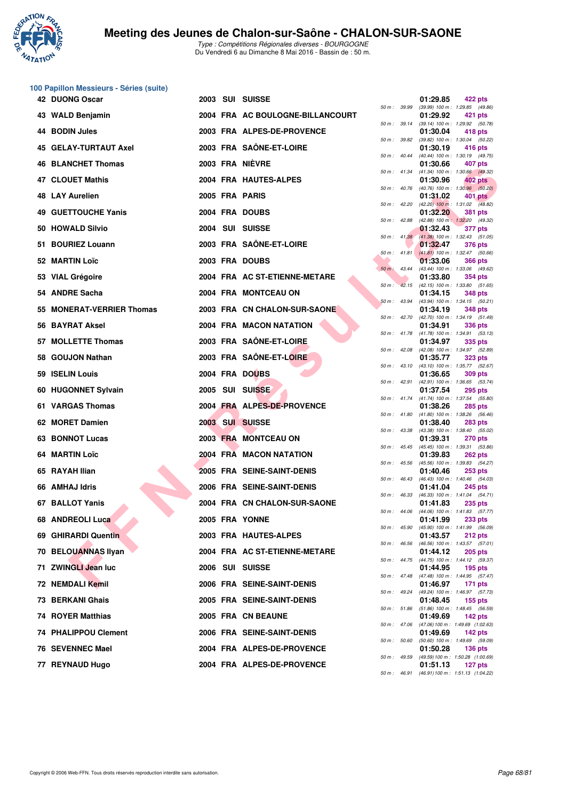

|     | 100 Papillon Messieurs - Séries (suite) |  |                                  |                  |                |          |                                                                |
|-----|-----------------------------------------|--|----------------------------------|------------------|----------------|----------|----------------------------------------------------------------|
|     | 42 DUONG Oscar                          |  | 2003 SUI SUISSE                  | 50 m : 39.99     |                | 01:29.85 | 422 pts<br>(39.99) 100 m: 1:29.85 (49.86)                      |
|     | 43 WALD Benjamin                        |  | 2004 FRA AC BOULOGNE-BILLANCOURT |                  | 50 m : 39.14   | 01:29.92 | 421 pts<br>(39.14) 100 m: 1:29.92 (50.78)                      |
|     | 44 BODIN Jules                          |  | 2003 FRA ALPES-DE-PROVENCE       | 50 m : 39.82     |                | 01:30.04 | 418 pts<br>(39.82) 100 m: 1:30.04 (50.22)                      |
|     | <b>45 GELAY-TURTAUT Axel</b>            |  | 2003 FRA SAÖNE-ET-LOIRE          |                  |                | 01:30.19 | 416 pts                                                        |
|     | <b>46 BLANCHET Thomas</b>               |  | 2003 FRA NIÈVRE                  | 50 m: 40.44      |                | 01:30.66 | (40.44) 100 m: 1:30.19 (49.75)<br>407 pts                      |
|     | <b>47 CLOUET Mathis</b>                 |  | 2004 FRA HAUTES-ALPES            | 50 m : 41.34     |                | 01:30.96 | (41.34) 100 m: 1:30.66 (49.32)<br>402 pts                      |
|     | <b>48 LAY Aurelien</b>                  |  | 2005 FRA PARIS                   | 50 m : 40.76     |                | 01:31.02 | (40.76) 100 m : 1:30.96 (50.20)<br>401 pts                     |
|     | <b>49 GUETTOUCHE Yanis</b>              |  | 2004 FRA DOUBS                   |                  | 50 m : 42.20   | 01:32.20 | $(42.20)$ 100 m : 1:31.02 $(48.82)$<br><b>381 pts</b>          |
|     | 50 HOWALD Silvio                        |  | 2004 SUI SUISSE                  | 50 m: 42.88      |                | 01:32.43 | (42.88) 100 m: 1:32.20 (49.32)<br><b>377 pts</b>               |
|     | 51 BOURIEZ Louann                       |  | 2003 FRA SAÔNE-ET-LOIRE          |                  | 50 m: 41.38    | 01:32.47 | (41.38) 100 m: 1:32.43 (51.05)<br><b>376 pts</b>               |
|     | 52 MARTIN Loïc                          |  | 2003 FRA DOUBS                   | $50 m$ : 41.81   |                | 01:33.06 | $(41.81)$ 100 m : 1:32.47 (50.66)<br><b>366 pts</b>            |
|     | 53 VIAL Grégoire                        |  | 2004 FRA AC ST-ETIENNE-METARE    | 50 m: 43.44      |                | 01:33.80 | (43.44) 100 m: 1:33.06 (49.62)<br><b>354 pts</b>               |
|     | 54 ANDRE Sacha                          |  | 2004 FRA MONTCEAU ON             |                  |                | 01:34.15 | 50 m: 42.15 (42.15) 100 m: 1:33.80 (51.65)<br><b>348 pts</b>   |
|     | 55 MONERAT-VERRIER Thomas               |  | 2003 FRA CN CHALON-SUR-SAONE     |                  | $50 m$ : 43.94 | 01:34.19 | (43.94) 100 m: 1:34.15 (50.21)<br><b>348 pts</b>               |
|     | 56 BAYRAT Aksel                         |  | 2004 FRA MACON NATATION          |                  |                | 01:34.91 | 50 m: 42.70 (42.70) 100 m: 1:34.19 (51.49)<br><b>336 pts</b>   |
|     | 57 MOLLETTE Thomas                      |  | 2003 FRA SAÔNE-ET-LOIRE          |                  | 50 m : 41.78   | 01:34.97 | $(41.78)$ 100 m : 1:34.91 $(53.13)$<br>335 pts                 |
|     | 58 GOUJON Nathan                        |  | 2003 FRA SAÔNE-ET-LOIRE          | 50 m : 42.08     |                | 01:35.77 | (42.08) 100 m: 1:34.97 (52.89)<br><b>323 pts</b>               |
|     | 59 ISELIN Louis                         |  | 2004 FRA DOUBS                   |                  | 50 m: 43.10    | 01:36.65 | (43.10) 100 m : 1:35.77 (52.67)<br><b>309 pts</b>              |
|     | 60 HUGONNET Sylvain                     |  | 2005 SUI SUISSE                  |                  | 50 m: 42.91    | 01:37.54 | (42.91) 100 m: 1:36.65 (53.74)<br><b>295 pts</b>               |
|     | 61 VARGAS Thomas                        |  | 2004 FRA ALPES-DE-PROVENCE       |                  |                | 01:38.26 | 50 m: 41.74 (41.74) 100 m: 1:37.54 (55.80)<br><b>285 pts</b>   |
|     | 62 MORET Damien                         |  | 2003 SUI SUISSE                  |                  | 50 m : 41.80   | 01:38.40 | $(41.80)$ 100 m : 1:38.26 (56.46)<br><b>283 pts</b>            |
| 63. | <b>BONNOT Lucas</b>                     |  | 2003 FRA MONTCEAU ON             |                  | 50 m : 43.38   | 01:39.31 | (43.38) 100 m: 1:38.40 (55.02)<br><b>270 pts</b>               |
|     | 64 MARTIN Loïc                          |  | 2004 FRA MACON NATATION          | $50 m$ : $45.45$ |                |          | (45.45) 100 m: 1:39.31 (53.86)                                 |
|     |                                         |  |                                  | 50 m: 45.56      |                | 01:39.83 | <b>262 pts</b><br>(45.56) 100 m: 1:39.83 (54.27)               |
|     | 65 RAYAH Ilian                          |  | 2005 FRA SEINE-SAINT-DENIS       |                  | 50 m : 46.43   | 01:40.46 | $253$ pts<br>(46.43) 100 m: 1:40.46 (54.03)                    |
|     | 66 AMHAJ Idris                          |  | 2006 FRA SEINE-SAINT-DENIS       | 50 m: 46.33      |                | 01:41.04 | <b>245 pts</b><br>$(46.33)$ 100 m : 1:41.04 $(54.71)$          |
|     | 67 BALLOT Yanis                         |  | 2004 FRA CN CHALON-SUR-SAONE     |                  |                | 01:41.83 | <b>235 pts</b><br>50 m : 44.06 (44.06) 100 m : 1:41.83 (57.77) |
|     | 68 ANDREOLI Luca                        |  | 2005 FRA YONNE                   |                  | 50 m : 45.90   | 01:41.99 | <b>233 pts</b><br>(45.90) 100 m: 1:41.99 (56.09)               |
|     | 69 GHIRARDI Quentin                     |  | 2003 FRA HAUTES-ALPES            | 50 m : 46.56     |                | 01:43.57 | 212 pts<br>(46.56) 100 m: 1:43.57 (57.01)                      |
|     | 70 BELOUANNAS Ilyan                     |  | 2004 FRA AC ST-ETIENNE-METARE    |                  |                | 01:44.12 | <b>205 pts</b><br>50 m: 44.75 (44.75) 100 m: 1:44.12 (59.37)   |
|     | 71 ZWINGLI Jean luc                     |  | 2006 SUI SUISSE                  |                  |                | 01:44.95 | $195$ pts<br>50 m: 47.48 (47.48) 100 m: 1:44.95 (57.47)        |
|     | 72 NEMDALI Kemil                        |  | 2006 FRA SEINE-SAINT-DENIS       |                  | 50 m : 49.24   | 01:46.97 | <b>171 pts</b><br>(49.24) 100 m: 1:46.97 (57.73)               |
|     | 73 BERKANI Ghais                        |  | 2005 FRA SEINE-SAINT-DENIS       |                  |                | 01:48.45 | $155$ pts<br>50 m: 51.86 (51.86) 100 m: 1:48.45 (56.59)        |
|     | 74 ROYER Matthias                       |  | 2005 FRA CN BEAUNE               |                  | 50 m: 47.06    | 01:49.69 | $142$ pts<br>(47.06) 100 m: 1:49.69 (1:02.63)                  |
|     | <b>74 PHALIPPOU Clement</b>             |  | 2006 FRA SEINE-SAINT-DENIS       | 50 m : 50.60     |                | 01:49.69 | 142 $pts$<br>(50.60) 100 m: 1:49.69 (59.09)                    |
|     | 76 SEVENNEC Mael                        |  | 2004 FRA ALPES-DE-PROVENCE       |                  |                | 01:50.28 | <b>136 pts</b>                                                 |
|     | 77 REYNAUD Hugo                         |  | 2004 FRA ALPES-DE-PROVENCE       | 50 m : 49.59     |                | 01:51.13 | (49.59) 100 m: 1:50.28 (1:00.69)<br><b>127 pts</b>             |

| 50 m :   | 39.99 | 01:29.85<br>(39.99) 100 m :   | 422 pts<br>1:29.85<br>(49.86)        |
|----------|-------|-------------------------------|--------------------------------------|
|          |       | 01:29.92                      | <b>421 pts</b>                       |
| $50 m$ : | 39.14 | $(39.14) 100 m$ :             | 1:29.92<br>(50.78)                   |
| $50 m$ : | 39.82 | 01:30.04<br>(39.82) 100 m :   | <b>418 pts</b><br>1:30.04<br>(50.22) |
|          |       | 01:30.19                      | <b>416 pts</b>                       |
| $50 m$ : | 40.44 | $(40.44) 100 m$ :<br>01:30.66 | 1:30.19<br>(49.75)<br>407 pts        |
| $50 m$ : | 41.34 | $(41.34) 100 m$ :             | 1:30.66<br>(49.32)                   |
| $50 m$ : | 40.76 | 01:30.96<br>(40.76) 100 m :   | 402 pts<br>1:30.96<br>(50.20)        |
|          |       | 01:31.02                      | <b>401 pts</b>                       |
| $50 m$ : | 42.20 | $(42.20)$ 100 m :<br>01:32.20 | 1:31.02<br>(48.82)<br><b>381 pts</b> |
| $50 m$ : | 42.88 | $(42.88) 100 m$ :             | 1:32.20<br>(49.32)                   |
| $50 m$ : | 41.38 | 01:32.43<br>$(41.38) 100 m$ : | 377 pts<br>1:32.43<br>(51.05)        |
|          |       | 01:32.47                      | <b>376 pts</b>                       |
| 50 m :   | 41.81 | $(41.81) 100 m$ :<br>01:33.06 | 1:32.47<br>(50.66)<br><b>366 pts</b> |
| $50 m$ : | 43.44 | (43.44) 100 m :               | 1:33.06<br>(49.62)                   |
|          | 42.15 | 01:33.80<br>$(42.15)$ 100 m : | 354 pts<br>1:33.80                   |
| 50 m :   |       | 01:34.15                      | (51.65)<br><b>348 pts</b>            |
| $50 m$ : | 43.94 | $(43.94) 100 m$ :             | 1:34.15<br>(50.21)                   |
| $50 m$ : | 42.70 | 01:34.19<br>(42.70) 100 m :   | <b>348 pts</b><br>1:34.19<br>(51.49) |
|          |       | 01:34.91                      | 336 pts                              |
| $50 m$ : | 41.78 | $(41.78) 100 m$ :<br>01:34.97 | 1:34.91<br>(53.13)<br>335 pts        |
| $50 m$ : | 42.08 | $(42.08)$ 100 m :             | 1:34.97<br>(52.89)                   |
| $50 m$ : | 43.10 | 01:35.77<br>(43.10) 100 m :   | 323 pts<br>1:35.77<br>(52.67)        |
|          |       | 01:36.65                      | <b>309 pts</b>                       |
| $50 m$ : | 42.91 | $(42.91)$ 100 m :<br>01:37.54 | 1:36.65<br>(53.74)<br>295 pts        |
| 50 m :   | 41.74 | $(41.74) 100 m$ :             | 1:37.54<br>(55.80)                   |
| $50 m$ : | 41.80 | 01:38.26<br>$(41.80) 100 m$ : | 285 pts<br>1:38.26<br>(56.46)        |
|          |       | 01:38.40                      | <b>283 pts</b>                       |
| 50 m :   | 43.38 | (43.38) 100 m :<br>01:39.31   | (55.02)<br>1:38.40<br>270 pts        |
| 50 m :   | 45.45 | $(45.45) 100 m$ :             | 1:39.31<br>(53.86)                   |
| $50 m$ : | 45.56 | 01:39.83<br>$(45.56) 100 m$ : | 262 pts<br>1:39.83<br>(54.27)        |
|          |       | 01:40.46                      | <b>253 pts</b>                       |
| $50 m$ : | 46.43 | $(46.43) 100 m$ :<br>01:41.04 | 1:40.46<br>(54.03)<br><b>245 pts</b> |
| 50 m :   | 46.33 | (46.33) 100 m :               | 1:41.04<br>(54.71)                   |
| 50 m :   | 44.06 | 01:41.83<br>$(44.06) 100 m$ : | <b>235 pts</b><br>1:41.83 (57.77)    |
|          |       | 01:41.99                      | 233 pts                              |
| 50 m :   | 45.90 | $(45.90) 100 m$ :<br>01:43.57 | 1:41.99<br>(56.09)<br>212 pts        |
| $50 m$ : | 46.56 | $(46.56)$ 100 m :             | 1:43.57<br>(57.01)                   |
| $50 m$ : | 44.75 | 01:44.12<br>(44.75) 100 m :   | <b>205 pts</b><br>1:44.12<br>(59.37) |
|          |       | 01:44.95                      | 195 pts                              |
| $50 m$ : | 47.48 | $(47.48) 100 m$ :<br>01:46.97 | 1:44.95<br>(57.47)<br>171<br>pts     |
| $50 m$ : | 49.24 | (49.24) 100 m :               | 1:46.97<br>(57.73)                   |
| $50 m$ : | 51.86 | 01:48.45<br>$(51.86) 100 m$ : | 155 pts<br>1:48.45<br>(56.59)        |
|          |       | 01:49.69                      | 142 pts                              |
| $50 m$ : | 47.06 | $(47.06) 100 m$ :<br>01:49.69 | 1:49.69 (1:02.63)<br>142 pts         |
| $50 m$ : | 50.60 | $(50.60)$ 100 m :             | 1:49.69<br>(59.09)                   |
| $50 m$ : | 49.59 | 01:50.28<br>(49.59) 100 m :   | <b>136 pts</b><br>1:50.28 (1:00.69)  |
|          |       | 01:51.13                      | 127 pts                              |
| $50 m$ : | 46.91 | $(46.91) 100 m$ :             | 1:51.13 (1:04.22)                    |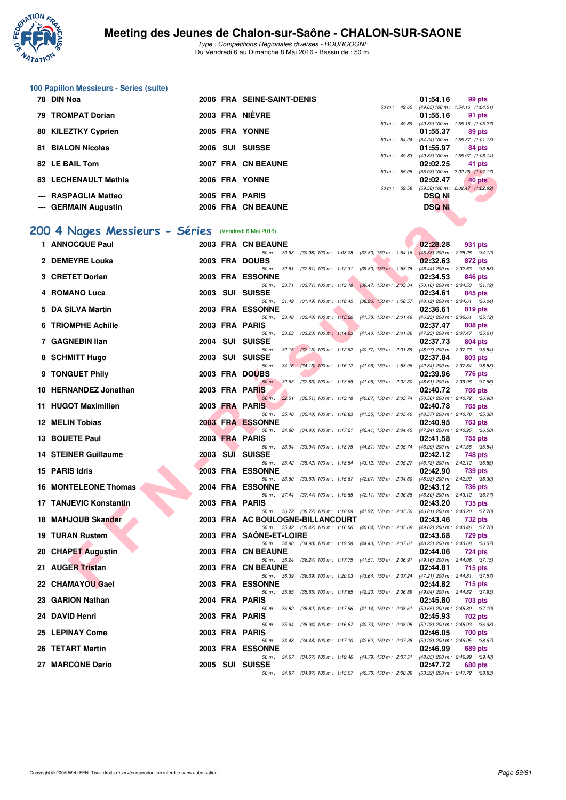

Type : Compétitions Régionales diverses - BOURGOGNE Du Vendredi 6 au Dimanche 8 Mai 2016 - Bassin de : 50 m.

#### **100 Papillon Messieurs - Séries (suite)**

| 78 DIN Noa                  |  | 2006 FRA SEINE-SAINT-DENIS |                        | 01:54.16      | 99 pts                                        |
|-----------------------------|--|----------------------------|------------------------|---------------|-----------------------------------------------|
|                             |  |                            | $50 m$ : 49.65         |               | $(49.65) 100 \text{ m}$ : 1:54.16 $(1.04.51)$ |
| 79 TROMPAT Dorian           |  | 2003 FRA NIÈVRE            |                        | 01:55.16      | 91 pts                                        |
|                             |  |                            | $50 m$ : 49.89         |               | (49.89) 100 m : 1:55.16 (1:05.27)             |
| 80 KILEZTKY Cyprien         |  | 2005 FRA YONNE             |                        | 01:55.37      | 89 pts                                        |
|                             |  |                            | $50 \text{ m}$ : 54.24 |               | $(54.24)$ 100 m : 1:55.37 $(1:01.13)$         |
| <b>81 BIALON Nicolas</b>    |  | 2006 SUI SUISSE            |                        | 01:55.97      | 84 pts                                        |
|                             |  |                            | $50 m$ : 49.83         |               | $(49.83) 100 \text{ m}$ : 1:55.97 $(1.06.14)$ |
| 82 LE BAIL Tom              |  | 2007 FRA CN BEAUNE         |                        | 02:02.25      | 41 pts                                        |
|                             |  |                            | 50 m: 55.08            |               | $(55.08) 100 \text{ m}$ : 2:02.25 $(1:07.17)$ |
| <b>83 LECHENAULT Mathis</b> |  | 2006 FRA YONNE             |                        | 02:02.47      | 40 pts                                        |
|                             |  |                            | 50 m: 59.58            |               | $(59.58) 100 \text{ m}$ : 2:02.47 $(1:02.89)$ |
| --- RASPAGLIA Matteo        |  | 2005 FRA PARIS             |                        | <b>DSQ Ni</b> |                                               |
| --- GERMAIN Augustin        |  | 2006 FRA CN BEAUNE         |                        | <b>DSQ Ni</b> |                                               |
|                             |  |                            |                        |               |                                               |

# **[200 4 Nages Messieurs - Séries](http://www.ffnatation.fr/webffn/resultats.php?idact=nat&go=epr&idcpt=38881&idepr=91)** (Vendredi 6 Mai 2016)

| LE DAIL TUIT                  |      | <b>FRA VN DEAUNE</b>                   |                                      |                                                                                          | UZ.UZ.ZJ      | כוע ו ד                                           |
|-------------------------------|------|----------------------------------------|--------------------------------------|------------------------------------------------------------------------------------------|---------------|---------------------------------------------------|
| <b>83 LECHENAULT Mathis</b>   |      | 2006 FRA YONNE                         |                                      | 50 m : 55.08                                                                             | 02:02.47      | (55.08) 100 m : 2:02.25 (1:07.17)<br>40 pts       |
| <b>RASPAGLIA Matteo</b>       |      | 2005 FRA PARIS                         |                                      |                                                                                          | DSQ Ni        | 50 m: 59.58 (59.58) 100 m: 2:02.47 (1:02.89)      |
| --- GERMAIN Augustin          |      | 2006 FRA CN BEAUNE                     |                                      |                                                                                          | <b>DSQ Ni</b> |                                                   |
|                               |      |                                        |                                      |                                                                                          |               |                                                   |
| 00 4 Nages Messieurs - Séries |      | (Vendredi 6 Mai 2016)                  |                                      |                                                                                          |               |                                                   |
| 1 ANNOCQUE Paul               |      | 2003 FRA CN BEAUNE                     |                                      |                                                                                          | 02:28.28      | 931 pts                                           |
| 2 DEMEYRE Louka               |      | 2003 FRA DOUBS                         |                                      | 50 m: 30.98 (30.98) 100 m: 1:08.78 (37.80) 150 m: 1:54.16                                | 02:32.63      | $(45.38)$ 200 m : 2:28.28 $(34.12)$<br>872 pts    |
| 3 CRETET Dorian               |      | 2003 FRA ESSONNE                       |                                      | 50 m: 32.51 (32.51) 100 m: 1:12.31 (39.80) 150 m: 1:58.75                                | 02:34.53      | (46.44) 200 m : 2:32.63 (33.88)<br>846 pts        |
| 4 ROMANO Luca                 | 2003 | SUI SUISSE                             |                                      | 50 m: 33.71 (33.71) 100 m: 1:13.18 (39.47) 150 m: 2:03.34                                | 02:34.61      | $(50.16)$ 200 m : 2:34.53 $(31.19)$<br>845 pts    |
| 5 DA SILVA Martin             |      | <b>2003 FRA ESSONNE</b>                |                                      | 50 m: 31.49 (31.49) 100 m: 1:10.45 (38.96) 150 m: 1:58.57                                | 02:36.61      | $(48.12)$ 200 m : 2:34.61 $(36.04)$<br>819 pts    |
| <b>6 TRIOMPHE Achille</b>     |      | 50 m : 33.48<br>2003 FRA PARIS         | $(33.48)$ 100 m : 1:15.26            | (41.78) 150 m : 2:01.49                                                                  | 02:37.47      | (46.23) 200 m : 2:36.61 (35.12)                   |
|                               |      | 50 m: 33.23                            | $(33.23)$ 100 m : 1:14.63            | $(41.40)$ 150 m : 2:01.86                                                                |               | 808 pts<br>$(47.23)$ 200 m : 2:37.47 $(35.61)$    |
| 7 GAGNEBIN Ilan               |      | 2004 SUI SUISSE                        |                                      |                                                                                          | 02:37.73      | 804 pts                                           |
| 8 SCHMITT Hugo                | 2003 | SUI SUISSE                             |                                      | 50 m: 32.15 (32.15) 100 m: 1:12.92 (40.77) 150 m: 2:01.89 (48.97) 200 m: 2:37.73 (35.84) | 02:37.84      | 803 pts                                           |
| 9 TONGUET Phily               |      | 2003 FRA DOUBS                         |                                      | 50 m : 34.16 (34.16) 100 m : 1:16.12 (41.96) 150 m : 1:58.96                             | 02:39.96      | (42.84) 200 m : 2:37.84 (38.88)<br>776 pts        |
|                               |      | 50 m: 32.63                            |                                      | (32.63) 100 m : 1:13.69 (41.06) 150 m : 2:02.30                                          |               | $(48.61)$ 200 m : 2:39.96 $(37.66)$               |
| 10 HERNANDEZ Jonathan         |      | 2003 FRA PARIS                         |                                      | 50 m: 32.51 (32.51) 100 m: 1:13.18 (40.67) 150 m: 2:03.74                                | 02:40.72      | <b>766 pts</b><br>(50.56) 200 m : 2:40.72 (36.98) |
| 11 HUGOT Maximilien           |      | 2003 FRA PARIS                         |                                      |                                                                                          | 02:40.78      | 765 pts                                           |
| 12 MELIN Tobias               |      | 50 m: 35.48<br><b>2003 FRA ESSONNE</b> | $(35.48)$ 100 m : 1:16.83            | (41.35) 150 m : 2:05.40                                                                  | 02:40.95      | (48.57) 200 m : 2:40.78 (35.38)<br>763 pts        |
|                               |      | 50 m: 34.80                            |                                      | $(34.80)$ 100 m : 1:17.21 $(42.41)$ 150 m : 2:04.45                                      |               | (47.24) 200 m : 2:40.95 (36.50)                   |
| 13 BOUETE Paul                |      | 2003 FRA PARIS                         |                                      | 50 m: 33.94 (33.94) 100 m: 1:18.75 (44.81) 150 m: 2:05.74                                | 02:41.58      | 755 pts<br>(46.99) 200 m : 2:41.58 (35.84)        |
| <b>14 STEINER Guillaume</b>   | 2003 | SUI SUISSE                             |                                      |                                                                                          | 02:42.12      | 748 pts                                           |
| 15 PARIS Idris                |      | 2003 FRA ESSONNE                       |                                      | 50 m : 35.42 (35.42) 100 m : 1:18.54 (43.12) 150 m : 2:05.27                             | 02:42.90      | (46.73) 200 m : 2:42.12 (36.85)<br>739 pts        |
| <b>16 MONTELEONE Thomas</b>   |      | <b>2004 FRA ESSONNE</b>                |                                      | 50 m : 33.60 (33.60) 100 m : 1:15.67 (42.07) 150 m : 2:04.60                             | 02:43.12      | (48.93) 200 m : 2:42.90 (38.30)<br><b>736 pts</b> |
| 17 TANJEVIC Konstantin        |      | 2003 FRA PARIS                         |                                      | 50 m: 37.44 (37.44) 100 m: 1:19.55 (42.11) 150 m: 2:06.35 (46.80) 200 m: 2:43.12 (36.77) | 02:43.20      |                                                   |
|                               |      |                                        |                                      | 50 m : 36.72 (36.72) 100 m : 1:18.69 (41.97) 150 m : 2:05.50                             |               | 735 pts<br>$(46.81)$ 200 m : 2:43.20 $(37.70)$    |
| 18 MAHJOUB Skander            |      |                                        | 2003 FRA AC BOULOGNE-BILLANCOURT     | 50 m : 35.42 (35.42) 100 m : 1:16.06 (40.64) 150 m : 2:05.68                             | 02:43.46      | 732 pts<br>(49.62) 200 m : 2:43.46 (37.78)        |
| <b>19 TURAN Rustem</b>        |      | 2003 FRA SAONE-ET-LOIRE                |                                      |                                                                                          | 02:43.68      | 729 pts                                           |
| 20 CHAPET Augustin            |      | 2003 FRA CN BEAUNE                     |                                      | 50 m: 34.98 (34.98) 100 m: 1:19.38 (44.40) 150 m: 2:07.61 (48.23) 200 m: 2:43.68 (36.07) | 02:44.06      | 724 pts                                           |
|                               |      |                                        |                                      | 50 m: 36.24 (36.24) 100 m: 1:17.75 (41.51) 150 m: 2:06.91                                |               | $(49.16)$ 200 m : 2:44.06 $(37.15)$               |
| 21 AUGER Tristan              |      | 2003 FRA CN BEAUNE                     |                                      | 50 m: 36.39 (36.39) 100 m: 1:20.03 (43.64) 150 m: 2:07.24 (47.21) 200 m: 2:44.81 (37.57) | 02:44.81      | 715 pts                                           |
| 22 CHAMAYOU Gael              |      | <b>2003 FRA ESSONNE</b>                |                                      |                                                                                          | 02:44.82      | <b>715 pts</b>                                    |
| 23 GARION Nathan              |      | 50 m: 35.65<br>2004 FRA PARIS          | $(35.65)$ 100 m : 1:17.85            | (42.20) 150 m : 2:06.89                                                                  | 02:45.80      | $(49.04)$ 200 m : 2:44.82 $(37.93)$<br>703 pts    |
| 24 DAVID Henri                |      | 2003 FRA PARIS                         |                                      | 50 m : 36.82 (36.82) 100 m : 1:17.96 (41.14) 150 m : 2:08.61                             | 02:45.93      | $(50.65)$ 200 m : 2:45.80 $(37.19)$<br>702 pts    |
|                               |      | 50 m : 35.94                           |                                      | (35.94) 100 m: 1:16.67 (40.73) 150 m: 2:08.95                                            |               | (52.28) 200 m : 2:45.93 (36.98)                   |
| 25 LEPINAY Come               |      | 2003 FRA PARIS                         | 50 m : 34.48 (34.48) 100 m : 1:17.10 | $(42.62)$ 150 m : 2:07.38                                                                | 02:46.05      | 700 pts<br>(50.28) 200 m : 2:46.05 (38.67)        |
| 26 TETART Martin              |      | <b>2003 FRA ESSONNE</b>                | 50 m: 34.67 (34.67) 100 m: 1:19.46   |                                                                                          | 02:46.99      | 689 pts                                           |
| 27 MARCONE Dario              |      | 2005 SUI SUISSE                        |                                      | (44.79) 150 m : 2:07.51                                                                  | 02:47.72      | (48.05) 200 m : 2:46.99 (39.48)<br>680 pts        |
|                               |      |                                        |                                      | 50 m: 34.87 (34.87) 100 m: 1:15.57 (40.70) 150 m: 2:08.89                                |               | (53.32) 200 m : 2:47.72 (38.83)                   |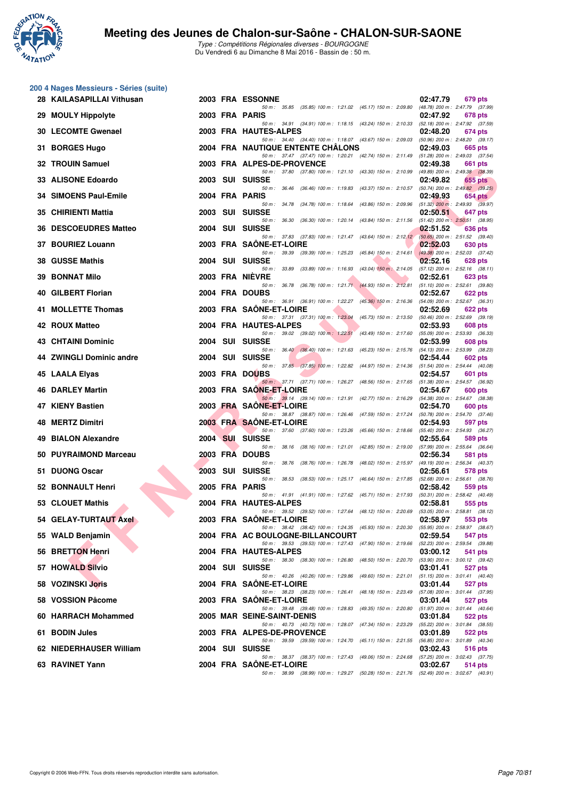

|    | 200 4 Nages Messieurs - Séries (suite) |      |                                                                                                                              |                                                                   |
|----|----------------------------------------|------|------------------------------------------------------------------------------------------------------------------------------|-------------------------------------------------------------------|
|    | 28 KAILASAPILLAI Vithusan              |      | 2003 FRA ESSONNE<br>50 m: 35.85 (35.85) 100 m: 1:21.02 (45.17) 150 m: 2:09.80                                                | 02:47.79<br>679 pts<br>(48.78) 200 m : 2:47.79 (37.99)            |
| 29 | <b>MOULY Hippolyte</b>                 |      | 2003 FRA PARIS                                                                                                               | 02:47.92<br>678 pts                                               |
| 30 | <b>LECOMTE Gwenael</b>                 |      | 50 m: 34.91 (34.91) 100 m: 1:18.15 (43.24) 150 m: 2:10.33 (52.18) 200 m: 2:47.92 (37.59)<br>2003 FRA HAUTES-ALPES            | 02:48.20<br>674 pts                                               |
| 31 | <b>BORGES Hugo</b>                     |      | 50 m: 34.40 (34.40) 100 m: 1:18.07 (43.67) 150 m: 2:09.03<br><b>2004 FRA NAUTIQUE ENTENTE CHALONS</b>                        | (50.96) 200 m : 2:48.20 (39.17)<br>02:49.03<br>665 pts            |
|    | 32 TROUIN Samuel                       |      | 50 m: 37.47 (37.47) 100 m: 1:20.21 (42.74) 150 m: 2:11.49<br>2003 FRA ALPES-DE-PROVENCE                                      | $(51.28)$ 200 m : 2:49.03 $(37.54)$<br>02:49.38<br>661 pts        |
|    | 33 ALISONE Edoardo                     |      | 50 m: 37.80 (37.80) 100 m: 1:21.10 (43.30) 150 m: 2:10.99<br>2003 SUI SUISSE                                                 | (49.89) 200 m : 2:49.38 (38.39)<br>02:49.82<br>655 pts            |
| 34 | <b>SIMOENS Paul-Emile</b>              |      | 50 m: 36.46<br>(36.46) 100 m: 1:19.83 (43.37) 150 m: 2:10.57<br>2004 FRA PARIS                                               | $(50.74)$ 200 m : 2:49.82 $(39.25)$<br>02:49.93<br><b>654 pts</b> |
|    | 35 CHIRIENTI Mattia                    | 2003 | 50 m: 34.78 (34.78) 100 m: 1:18.64 (43.86) 150 m: 2:09.96<br>SUI SUISSE                                                      | $(51.32)$ 200 m : 2:49.93 $(39.97)$<br>02:50.51<br>647 pts        |
| 36 | <b>DESCOEUDRES Matteo</b>              |      | 50 m: 36.30 (36.30) 100 m: 1:20.14 (43.84) 150 m: 2:11.56<br>2004 SUI SUISSE                                                 | $(51.42)$ 200 m : 2:50.51 (38.95)<br>02:51.52<br>636 pts          |
| 37 | <b>BOURIEZ Louann</b>                  |      | 50 m: 37.83 (37.83) 100 m: 1:21.47 (43.64) 150 m: 2:12.12<br>2003 FRA SAONE-ET-LOIRE                                         | $(50.65)$ 200 m : 2:51.52 $(39.40)$<br>02:52.03<br>630 pts        |
|    | 38 GUSSE Mathis                        |      | 50 m: 39.39 (39.39) 100 m: 1:25.23<br>$(45.84)$ 150 m : 2:14.61<br>2004 SUI SUISSE                                           | $(49.38)$ 200 m : 2:52.03 $(37.42)$<br>02:52.16<br>628 pts        |
| 39 | <b>BONNAT Milo</b>                     |      | 50 m: 33.89<br>$(33.89)$ 100 m : 1:16.93 $(43.04)$ 150 m : 2:14.05<br>2003 FRA NIÈVRE                                        | $(57.12)$ 200 m : 2:52.16 $(38.11)$<br>02:52.61<br>623 pts        |
| 40 | <b>GILBERT Florian</b>                 |      | (36.78) 100 m : 1:21.71 (44.93) 150 m : 2:12.81<br>50 m : 36.78<br>2004 FRA DOUBS                                            | $(51.10)$ 200 m : 2:52.61 $(39.80)$<br>02:52.67<br>622 pts        |
| 41 | <b>MOLLETTE Thomas</b>                 |      | 50 m: 36.91 (36.91) 100 m: 1:22.27 (45.36) 150 m: 2:16.36<br>2003 FRA SAONE-ET-LOIRE                                         | (54.09) 200 m : 2:52.67 (36.31)<br>02:52.69<br>622 pts            |
| 42 | <b>ROUX Matteo</b>                     |      | 50 m: 37.31 (37.31) 100 m: 1:23.04 (45.73) 150 m: 2:13.50<br>2004 FRA HAUTES-ALPES                                           | (50.46) 200 m : 2:52.69 (39.19)<br>02:53.93<br>608 pts            |
|    | <b>43 CHTAINI Dominic</b>              |      | 50 m: 39.02 (39.02) 100 m: 1:22.51<br>$(43.49)$ 150 m : 2:17.60<br>2004 SUI SUISSE                                           | (55.09) 200 m : 2:53.93 (36.33)<br>02:53.99<br>608 pts            |
|    | <b>ZWINGLI Dominic andre</b>           | 2004 | 50 m: 36.40 (36.40) 100 m: 1:21.63 (45.23) 150 m: 2:15.76<br><b>SUI SUISSE</b>                                               | (54.13) 200 m : 2:53.99 (38.23)<br>02:54.44                       |
|    |                                        |      | 50 m: 37.85 (37.85) 100 m: 1:22.82 (44.97) 150 m: 2:14.36                                                                    | 602 pts<br>$(51.54)$ 200 m : 2:54.44 $(40.08)$                    |
|    | 45 LAALA Elyas                         |      | 2003 FRA DOUBS<br>50 m: 37.71 (37.71) 100 m: 1:26.27 (48.56) 150 m: 2:17.65                                                  | 02:54.57<br>601 pts<br>(51.38) 200 m : 2:54.57 (36.92)            |
| 46 | <b>DARLEY Martin</b>                   |      | 2003 FRA SAONE-ET-LOIRE<br>50 m: 39.14 (39.14) 100 m: 1:21.91 (42.77) 150 m: 2:16.29                                         | 02:54.67<br>600 pts<br>(54.38) 200 m : 2:54.67 (38.38)            |
| 47 | <b>KIENY Bastien</b>                   |      | 2003 FRA SAONE-ET-LOIRE<br>50 m: 38.87 (38.87) 100 m: 1:26.46 (47.59) 150 m: 2:17.24                                         | 02:54.70<br>600 pts<br>(50.78) 200 m : 2:54.70 (37.46)            |
| 48 | <b>MERTZ Dimitri</b>                   |      | 2003 FRA SAONE-ET-LOIRE<br>50 m: 37.60 (37.60) 100 m: 1:23.26 (45.66) 150 m: 2:18.66                                         | 02:54.93<br>597 pts                                               |
| 49 | <b>BIALON Alexandre</b>                |      | 2004 SUI SUISSE                                                                                                              | (55.40) 200 m : 2:54.93 (36.27)<br>02:55.64<br>589 pts            |
|    | 50 PUYRAIMOND Marceau                  |      | 50 m: 38.16<br>(38.16) 100 m: 1:21.01 (42.85) 150 m: 2:19.00<br>2003 FRA DOUBS                                               | (57.99) 200 m : 2:55.64 (36.64)<br>02:56.34<br>581 pts            |
| 51 | <b>DUONG Oscar</b>                     | 2003 | 50 m: 38.76<br>$(38.76)$ 100 m : 1:26.78<br>(48.02) 150 m : 2:15.97<br>SUI SUISSE                                            | (49.19) 200 m : 2:56.34 (40.37)<br>02:56.61<br>578 pts            |
|    | 52 BONNAULT Henri                      |      | 50 m: 38.53<br>(38.53) 100 m: 1:25.17 (46.64) 150 m: 2:17.85<br>2005 FRA PARIS                                               | (52.68) 200 m : 2:56.61 (38.76)<br>02:58.42<br>559 pts            |
|    | 53 CLOUET Mathis                       |      | 50 m: 41.91 (41.91) 100 m: 1:27.62 (45.71) 150 m: 2:17.93<br>2004 FRA HAUTES-ALPES                                           | (50.31) 200 m : 2:58.42 (40.49)<br>02:58.81<br>555 pts            |
|    | 54 GELAY-TURTAUT Axel                  |      | 50 m: 39.52 (39.52) 100 m: 1:27.64 (48.12) 150 m: 2:20.69 (53.05) 200 m: 2:58.81 (38.12)<br>2003 FRA SAONE-ET-LOIRE          | 02:58.97<br>553 pts                                               |
|    | 55 WALD Benjamin                       |      | 50 m: 38.42 (38.42) 100 m: 1:24.35 (45.93) 150 m: 2:20.30 (55.95) 200 m: 2:58.97 (38.67)<br>2004 FRA AC BOULOGNE-BILLANCOURT | 02:59.54<br>547 pts                                               |
|    | 56 BRETTON Henri                       |      | 50 m: 39.53 (39.53) 100 m: 1:27.43 (47.90) 150 m: 2:19.66 (52.23) 200 m: 2:59.54 (39.88)<br>2004 FRA HAUTES-ALPES            | 03:00.12<br>541 pts                                               |
|    | 57 HOWALD Silvio                       |      | 50 m: 38.30 (38.30) 100 m: 1:26.80 (48.50) 150 m: 2:20.70<br>2004 SUI SUISSE                                                 | (53.90) 200 m : 3:00.12 (39.42)<br>03:01.41<br>527 pts            |
|    | 58 VOZINSKI Joris                      |      | 50 m : 40.26 (40.26) 100 m : 1:29.86 (49.60) 150 m : 2:21.01<br>2004 FRA SAONE-ET-LOIRE                                      | $(51.15)$ 200 m : 3:01.41 $(40.40)$<br>03:01.44<br>527 pts        |
|    | 58 VOSSION Pâcome                      |      | 50 m: 38.23 (38.23) 100 m: 1:26.41 (48.18) 150 m: 2:23.49<br>2003 FRA SAONE-ET-LOIRE                                         | (57.08) 200 m : 3:01.44 (37.95)<br>03:01.44<br>527 pts            |
|    | 60 HARRACH Mohammed                    |      | 50 m : 39.48 (39.48) 100 m : 1:28.83 (49.35) 150 m : 2:20.80<br>2005 MAR SEINE-SAINT-DENIS                                   | $(51.97)$ 200 m : 3:01.44 $(40.64)$<br>03:01.84<br>522 pts        |
|    |                                        |      | 50 m: 40.73 (40.73) 100 m: 1:28.07 (47.34) 150 m: 2:23.29 (55.22) 200 m: 3:01.84 (38.55)                                     |                                                                   |
|    | 61 BODIN Jules                         |      | 2003 FRA ALPES-DE-PROVENCE<br>50 m : 39.59 (39.59) 100 m : 1:24.70 (45.11) 150 m : 2:21.55 (56.85) 200 m : 3:01.89 (40.34)   | 03:01.89<br><b>522 pts</b>                                        |
|    | 62 NIEDERHAUSER William                |      | 2004 SUI SUISSE<br>50 m: 38.37 (38.37) 100 m: 1:27.43 (49.06) 150 m: 2:24.68                                                 | 03:02.43<br>516 pts<br>$(57.25)$ 200 m : 3:02.43 $(37.75)$        |
|    | 63 RAVINET Yann                        |      | 2004 FRA SAONE-ET-LOIRE<br>50 m: 38.99 (38.99) 100 m: 1:29.27 (50.28) 150 m: 2:21.76 (52.49) 200 m: 3:02.67 (40.91)          | 03:02.67<br>514 pts                                               |
|    |                                        |      |                                                                                                                              |                                                                   |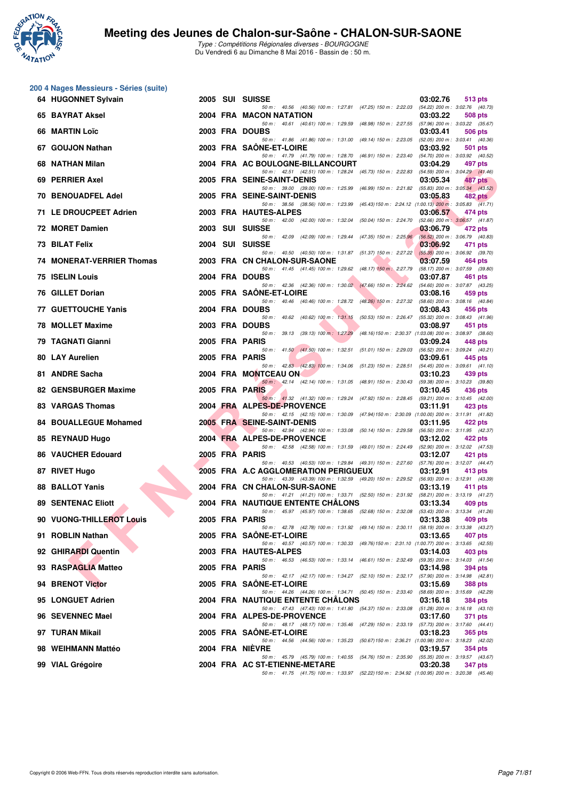

|     | 200 4 Nages Messieurs - Séries (suite) |      |                                                                                                                               |          |                                                   |
|-----|----------------------------------------|------|-------------------------------------------------------------------------------------------------------------------------------|----------|---------------------------------------------------|
|     | 64 HUGONNET Sylvain                    |      | 2005 SUI SUISSE<br>50 m : 40.56 (40.56) 100 m : 1:27.81 (47.25) 150 m : 2:22.03                                               | 03:02.76 | 513 pts<br>(54.22) 200 m : 3:02.76 (40.73)        |
|     | 65 BAYRAT Aksel                        |      | 2004 FRA MACON NATATION                                                                                                       | 03:03.22 | 508 pts                                           |
|     | 66 MARTIN Loïc                         |      | 50 m: 40.61 (40.61) 100 m: 1:29.59 (48.98) 150 m: 2:27.55<br>2003 FRA DOUBS                                                   | 03:03.41 | (57.96) 200 m : 3:03.22 (35.67)<br>506 pts        |
|     | 67 GOUJON Nathan                       |      | 50 m: 41.86 (41.86) 100 m: 1:31.00 (49.14) 150 m: 2:23.05<br>2003 FRA SAONE-ET-LOIRE                                          | 03:03.92 | $(52.05)$ 200 m : 3:03.41 $(40.36)$<br>501 pts    |
| 68. | NATHAN Milan                           |      | 50 m: 41.79 (41.79) 100 m: 1:28.70 (46.91) 150 m: 2:23.40<br>2004 FRA AC BOULOGNE-BILLANCOURT                                 | 03:04.29 | (54.70) 200 m : 3:03.92 (40.52)<br>497 pts        |
|     | 69 PERRIER Axel                        |      | 50 m: 42.51 (42.51) 100 m: 1:28.24 (45.73) 150 m: 2:22.83<br>2005 FRA SEINE-SAINT-DENIS                                       | 03:05.34 | (54.59) 200 m : 3:04.29 (41.46)<br>487 pts        |
|     | <b>70 BENOUADFEL Adel</b>              |      | 50 m : 39.00 (39.00) 100 m : 1:25.99 (46.99) 150 m : 2:21.82<br>2005 FRA SEINE-SAINT-DENIS                                    | 03:05.83 | $(55.83)$ 200 m : 3:05.34 $(43.52)$               |
|     |                                        |      | 50 m: 38.56 (38.56) 100 m: 1:23.99 (45.43) 150 m: 2:24.12 (1:00.13) 200 m: 3:05.83 (41.71)                                    |          | 482 pts                                           |
|     | 71 LE DROUCPEET Adrien                 |      | 2003 FRA HAUTES-ALPES<br>50 m: 42.00 (42.00) 100 m: 1:32.04 (50.04) 150 m: 2:24.70                                            | 03:06.57 | 474 pts<br>(52.66) 200 m: 3:06.57 (41.87)         |
|     | 72 MORET Damien                        |      | 2003 SUI SUISSE<br>50 m: 42.09 (42.09) 100 m: 1:29.44 (47.35) 150 m: 2:25.96                                                  | 03:06.79 | 472 pts<br>(56.52) 200 m : 3:06.79 (40.83)        |
|     | 73 BILAT Felix                         | 2004 | SUI SUISSE<br>50 m: 40.50 (40.50) 100 m: 1:31.87 (51.37) 150 m: 2:27.22                                                       | 03:06.92 | 471 pts<br>$(55.35)$ 200 m : 3:06.92 (39.70)      |
|     | 74 MONERAT-VERRIER Thomas              |      | 2003 FRA CN CHALON-SUR-SAONE<br>50 m: 41.45 (41.45) 100 m: 1:29.62 (48.17) 150 m: 2:27.79                                     | 03:07.59 | 464 pts                                           |
| 75  | <b>ISELIN Louis</b>                    |      | 2004 FRA DOUBS                                                                                                                | 03:07.87 | (58.17) 200 m : 3:07.59 (39.80)<br>461 pts        |
|     | 76 GILLET Dorian                       |      | 50 m : 42.36 (42.36) 100 m : 1:30.02 (47.66) 150 m : 2:24.62<br>2005 FRA SAONE-ET-LOIRE                                       | 03:08.16 | (54.60) 200 m : 3:07.87 (43.25)<br>459 pts        |
|     | <b>77 GUETTOUCHE Yanis</b>             |      | 50 m: 40.46 (40.46) 100 m: 1:28.72 (48.26) 150 m: 2:27.32<br>2004 FRA DOUBS                                                   | 03:08.43 | (58.60) 200 m : 3:08.16 (40.84)<br>456 pts        |
|     | 78 MOLLET Maxime                       |      | 50 m: 40.62 (40.62) 100 m: 1:31.15 (50.53) 150 m: 2:26.47<br>2003 FRA DOUBS                                                   | 03:08.97 | (55.32) 200 m : 3:08.43 (41.96)<br>451 pts        |
|     | 79 TAGNATI Gianni                      |      | 50 m: 39.13 (39.13) 100 m: 1:27.29<br>(48.16) 150 m : 2:30.37 (1:03.08) 200 m : 3:08.97 (38.60)<br>2005 FRA PARIS             | 03:09.24 | 448 pts                                           |
|     |                                        |      | 50 m: 41.50 (41.50) 100 m: 1:32.51 (51.01) 150 m: 2:29.03                                                                     |          | (56.52) 200 m : 3:09.24 (40.21)                   |
|     | <b>80 LAY Aurelien</b>                 |      | 2005 FRA PARIS<br>50 m: 42.83 (42.83) 100 m: 1:34.06 (51.23) 150 m: 2:28.51                                                   | 03:09.61 | 445 pts<br>$(54.45)$ 200 m : 3:09.61 $(41.10)$    |
|     | 81 ANDRE Sacha                         |      | 2004 FRA MONTCEAU ON<br>50 m: 42.14 (42.14) 100 m: 1:31.05 (48.91) 150 m: 2:30.43                                             | 03:10.23 | 439 pts<br>(59.38) 200 m : 3:10.23 (39.80)        |
|     | 82 GENSBURGER Maxime                   |      | 2005 FRA PARIS<br>50 m : 41.32 (41.32) 100 m : 1:29.24 (47.92) 150 m : 2:28.45                                                | 03:10.45 | 436 pts<br>(59.21) 200 m : 3:10.45 (42.00)        |
|     | 83 VARGAS Thomas                       |      | 2004 FRA ALPES-DE-PROVENCE<br>50 m: 42.15 (42.15) 100 m: 1:30.09 (47.94) 150 m: 2:30.09 (1:00.00) 200 m: 3:11.91 (41.82)      | 03:11.91 | 423 pts                                           |
| 84. | <b>BOUALLEGUE Mohamed</b>              |      | 2005 FRA SEINE-SAINT-DENIS                                                                                                    | 03:11.95 | 422 pts                                           |
|     | 85 REYNAUD Hugo                        |      | 50 m: 42.94 (42.94) 100 m: 1:33.08 (50.14) 150 m: 2:29.58<br>2004 FRA ALPES-DE-PROVENCE                                       | 03:12.02 | (56.50) 200 m : 3:11.95 (42.37)<br>422 pts        |
|     | <b>86 VAUCHER Edouard</b>              |      | 50 m: 42.58 (42.58) 100 m: 1:31.59 (49.01) 150 m: 2:24.49<br>2005 FRA PARIS                                                   | 03:12.07 | (52.90) 200 m : 3:12.02 (47.53)<br>421 pts        |
|     | 87 RIVET Hugo                          |      | 50 m: 40.53 (40.53) 100 m: 1:29.84 (49.31) 150 m: 2:27.60<br>2005 FRA A.C AGGLOMERATION PERIGUEUX                             | 03:12.91 | (57.76) 200 m : 3:12.07 (44.47)<br>413 pts        |
| 88  | <b>BALLOT Yanis</b>                    |      | 50 m: 43.39 (43.39) 100 m: 1:32.59 (49.20) 150 m: 2:29.52 (56.93) 200 m: 3:12.91 (43.39)<br>2004 FRA CN CHALON-SUR-SAONE      | 03:13.19 | 411 pts                                           |
|     | <b>89 SENTENAC Eliott</b>              |      | 50 m: 41.21 (41.21) 100 m: 1:33.71 (52.50) 150 m: 2:31.92 (58.21) 200 m: 3:13.19 (41.27)<br>2004 FRA NAUTIQUE ENTENTE CHALONS |          |                                                   |
|     |                                        |      | 50 m: 45.97 (45.97) 100 m: 1:38.65 (52.68) 150 m: 2:32.08                                                                     | 03:13.34 | 409 pts<br>(53.43) 200 m : 3:13.34 (41.26)        |
|     | 90 VUONG-THILLEROT Louis               |      | 2005 FRA PARIS<br>50 m: 42.78 (42.78) 100 m: 1:31.92 (49.14) 150 m: 2:30.11                                                   | 03:13.38 | 409 pts<br>(58.19) 200 m : 3:13.38 (43.27)        |
|     | 91 ROBLIN Nathan                       |      | 2005 FRA SAONE-ET-LOIRE<br>50 m: 40.57 (40.57) 100 m: 1:30.33 (49.76) 150 m: 2:31.10 (1:00.77) 200 m: 3:13.65 (42.55)         | 03:13.65 | 407 pts                                           |
|     | 92 GHIRARDI Quentin                    |      | 2003 FRA HAUTES-ALPES<br>50 m: 46.53 (46.53) 100 m: 1:33.14 (46.61) 150 m: 2:32.49                                            | 03:14.03 | 403 pts<br>(59.35) 200 m : 3:14.03 (41.54)        |
|     | 93 RASPAGLIA Matteo                    |      | 2005 FRA PARIS<br>50 m: 42.17 (42.17) 100 m: 1:34.27 (52.10) 150 m: 2:32.17 (57.90) 200 m: 3:14.98 (42.81)                    | 03:14.98 | 394 pts                                           |
|     | 94 BRENOT Victor                       |      | 2005 FRA SAONE-ET-LOIRE                                                                                                       | 03:15.69 | <b>388 pts</b>                                    |
|     | 95 LONGUET Adrien                      |      | 50 m : 44.26 (44.26) 100 m : 1:34.71 (50.45) 150 m : 2:33.40<br><b>2004 FRA NAUTIQUE ENTENTE CHALONS</b>                      | 03:16.18 | (58.69) 200 m : 3:15.69 (42.29)<br><b>384 pts</b> |
|     | 96 SEVENNEC Mael                       |      | 50 m: 47.43 (47.43) 100 m: 1.41.80 (54.37) 150 m: 2.33.08 (51.28) 200 m: 3:16.18 (43.10)<br>2004 FRA ALPES-DE-PROVENCE        | 03:17.60 | 371 pts                                           |
|     | 97 TURAN Mikail                        |      | 50 m: 48.17 (48.17) 100 m: 1:35.46 (47.29) 150 m: 2:33.19 (57.73) 200 m: 3:17.60 (44.41)<br>2005 FRA SAONE-ET-LOIRE           | 03:18.23 | 365 pts                                           |
|     |                                        |      | 50 m: 44.56 (44.56) 100 m: 1:35.23 (50.67) 150 m: 2:36.21 (1:00.98) 200 m: 3:18.23 (42.02)                                    |          |                                                   |
|     | 98 WEIHMANN Mattéo                     |      | 2004 FRA NIEVRE<br>50 m: 45.79 (45.79) 100 m: 1:40.55 (54.76) 150 m: 2:35.90 (55.35) 200 m: 3:19.57 (43.67)                   | 03:19.57 | <b>354 pts</b>                                    |
|     | 99 VIAL Grégoire                       |      | 2004 FRA AC ST-ETIENNE-METARE<br>50 m: 41.75 (41.75) 100 m: 1:33.97 (52.22) 150 m: 2:34.92 (1:00.95) 200 m: 3:20.38 (45.46)   | 03:20.38 | <b>347 pts</b>                                    |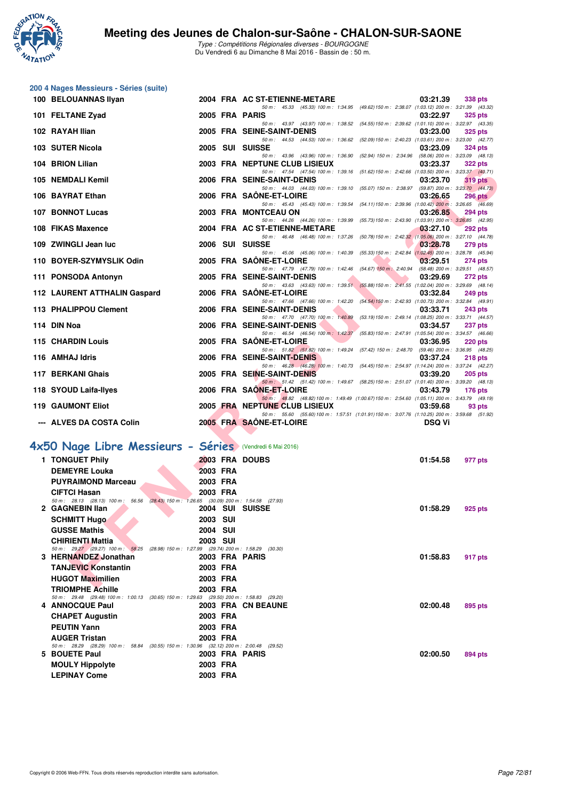

|                                                          | 200 4 Nages Messieurs - Séries (suite)                                                                         |          |          |                                                                                                                                           |                |
|----------------------------------------------------------|----------------------------------------------------------------------------------------------------------------|----------|----------|-------------------------------------------------------------------------------------------------------------------------------------------|----------------|
|                                                          | 100 BELOUANNAS Ilyan                                                                                           |          |          | 2004 FRA AC ST-ETIENNE-METARE<br>03:21.39                                                                                                 | 338 pts        |
|                                                          | 101 FELTANE Zyad                                                                                               |          |          | 50 m: 45.33 (45.33) 100 m: 1:34.95 (49.62) 150 m: 2:38.07 (1:03.12) 200 m: 3:21.39 (43.32)<br>2005 FRA PARIS<br>03:22.97                  | <b>325 pts</b> |
|                                                          | 102 RAYAH Ilian                                                                                                |          |          | 50 m: 43.97 (43.97) 100 m: 1:38.52 (54.55) 150 m: 2:39.62 (1:01.10) 200 m: 3:22.97 (43.35)<br>2005 FRA SEINE-SAINT-DENIS<br>03:23.00      | <b>325 pts</b> |
|                                                          | 103 SUTER Nicola                                                                                               |          |          | 50 m: 44.53 (44.53) 100 m: 1:36.62 (52.09) 150 m: 2:40.23 (1:03.61) 200 m: 3:23.00 (42.77)<br>2005 SUI SUISSE<br>03:23.09                 | <b>324 pts</b> |
|                                                          | 104 BRION Lilian                                                                                               |          |          | 50 m: 43.96 (43.96) 100 m: 1:36.90 (52.94) 150 m: 2:34.96 (58.06) 200 m: 3:23.09 (48.13)<br>2003 FRA NEPTUNE CLUB LISIEUX<br>03:23.37     | <b>322 pts</b> |
|                                                          | 105 NEMDALI Kemil                                                                                              |          |          | 50 m: 47.54 (47.54) 100 m: 1:39.16 (51.62) 150 m: 2:42.66 (1:03.50) 200 m: 3:23.37 (40.71)<br>2006 FRA SEINE-SAINT-DENIS<br>03:23.70      | 319 pts        |
|                                                          | 106 BAYRAT Ethan                                                                                               |          |          | 50 m: 44.03 (44.03) 100 m: 1:39.10 (55.07) 150 m: 2:38.97 (59.87) 200 m: 3:23.70 (44.73)<br>2006 FRA SAONE-ET-LOIRE<br>03:26.65           | <b>296 pts</b> |
|                                                          | 107 BONNOT Lucas                                                                                               |          |          | 50 m: 45.43 (45.43) 100 m: 1:39.54 (54.11) 150 m: 2:39.96 (1:00.42) 200 m: 3:26.65 (46.69)<br>2003 FRA MONTCEAU ON<br>03:26.85            | <b>294 pts</b> |
|                                                          | 108 FIKAS Maxence                                                                                              |          |          | 50 m: 44.26 (44.26) 100 m: 1:39.99 (55.73) 150 m: 2:43.90 (1:03.91) 200 m: 3:26.85 (42.95)<br>2004 FRA AC ST-ETIENNE-METARE<br>03:27.10   | <b>292 pts</b> |
|                                                          | 109 ZWINGLI Jean luc                                                                                           |          |          | 50 m: 46.48 (46.48) 100 m: 1:37.26 (50.78) 150 m: 2:42.32 (1:05.06) 200 m: 3:27.10 (44.78)<br>2006 SUI SUISSE<br>03:28.78                 | <b>279 pts</b> |
|                                                          | 110 BOYER-SZYMYSLIK Odin                                                                                       |          |          | 50 m: 45.06 (45.06) 100 m: 1:40.39 (55.33) 150 m: 2:42.84 (1:02.45) 200 m: 3:28.78 (45.94)<br>2005 FRA SAONE-ET-LOIRE<br>03:29.51         | 274 pts        |
|                                                          | 111 PONSODA Antonyn                                                                                            |          |          | 50 m: 47.79 (47.79) 100 m: 1:42.46 (54.67) 150 m: 2:40.94 (58.48) 200 m: 3:29.51 (48.57)<br>2005 FRA SEINE-SAINT-DENIS<br>03:29.69        | 272 pts        |
|                                                          | 112 LAURENT ATTHALIN Gaspard                                                                                   |          |          | 50 m: 43.63 (43.63) 100 m: 1:39.51 (55.88) 150 m: 2:41.55 (1:02.04) 200 m: 3:29.69 (48.14)<br>2006 FRA SAONE-ET-LOIRE<br>03:32.84         | <b>249 pts</b> |
|                                                          | 113 PHALIPPOU Clement                                                                                          |          |          | 50 m: 47.66 (47.66) 100 m: 1:42.20 (54.54) 150 m: 2:42.93 (1:00.73) 200 m: 3:32.84 (49.91)<br>2006 FRA SEINE-SAINT-DENIS<br>03:33.71      | 243 pts        |
|                                                          | 114 DIN Noa                                                                                                    |          |          | 50 m: 47.70 (47.70) 100 m: 1:40.89 (53.19) 150 m: 2:49.14 (1:08.25) 200 m: 3:33.71 (44.57)<br>2006 FRA SEINE-SAINT-DENIS<br>03:34.57      | 237 pts        |
|                                                          | 115 CHARDIN Louis                                                                                              |          |          | 50 m: 46.54 (46.54) 100 m: 1.42.37 (55.83) 150 m: 2.47.91 (1.05.54) 200 m: 3.34.57 (46.66)<br>2005 FRA SAONE-ET-LOIRE<br>03:36.95         | <b>220 pts</b> |
|                                                          | 116 AMHAJ Idris                                                                                                |          |          | 50 m: 51.82 (51.82) 100 m: 1.49.24 (57.42) 150 m: 2.48.70 (59.46) 200 m: 3.36.95 (48.25)<br>2006 FRA SEINE-SAINT-DENIS<br>03:37.24        | 218 pts        |
|                                                          | 117 BERKANI Ghais                                                                                              |          |          | 50 m: 46.28 (46.28) 100 m: 1:40.73 (54.45) 150 m: 2:54.97 (1:14.24) 200 m: 3:37.24 (42.27)<br>2005 FRA SEINE-SAINT-DENIS<br>03:39.20      | <b>205 pts</b> |
|                                                          | 118 SYOUD Laifa-Ilyes                                                                                          |          |          | 50 m: 51.42 (51.42) 100 m: 1:49.67 (58.25) 150 m: 2:51.07 (1:01.40) 200 m: 3:39.20 (48.13)<br>2006 FRA SAONE-ET-LOIRE<br>03:43.79         | 176 $pts$      |
|                                                          | <b>119 GAUMONT Eliot</b>                                                                                       |          |          | 50 m: 48.82 (48.82) 100 m: 1:49.49 (1:00.67) 150 m: 2:54.60 (1:05.11) 200 m: 3:43.79 (49.19)<br>2005 FRA NEPTUNE CLUB LISIEUX<br>03:59.68 | 93 pts         |
|                                                          | --- ALVES DA COSTA Colin                                                                                       |          |          | 50 m: 55.60 (55.60) 100 m: 1:57.51 (1:01.91) 150 m: 3:07.76 (1:10.25) 200 m: 3:59.68 (51.92)<br>2005 FRA SAONE-ET-LOIRE<br><b>DSQ Vi</b>  |                |
|                                                          |                                                                                                                |          |          |                                                                                                                                           |                |
| 4x50 Nage Libre Messieurs - Séries (Vendredi 6 Mai 2016) |                                                                                                                |          |          |                                                                                                                                           |                |
|                                                          | 1 TONGUET Phily                                                                                                |          |          | 2003 FRA DOUBS<br>01:54.58                                                                                                                | 977 pts        |
|                                                          | <b>DEMEYRE Louka</b>                                                                                           | 2003 FRA |          |                                                                                                                                           |                |
|                                                          | <b>PUYRAIMOND Marceau</b>                                                                                      | 2003 FRA |          |                                                                                                                                           |                |
|                                                          | <b>CIFTCI Hasan</b><br>50 m: 28.13 (28.13) 100 m: 56.56 (28.43) 150 m: 1:26.65 (30.09) 200 m: 1:54.58 (27.93)  | 2003 FRA |          |                                                                                                                                           |                |
|                                                          | 2 GAGNEBIN Ilan                                                                                                |          |          | 2004 SUI SUISSE<br>01:58.29                                                                                                               | 925 pts        |
|                                                          | <b>SCHMITT Hugo</b>                                                                                            | 2003 SUI |          |                                                                                                                                           |                |
|                                                          | <b>GUSSE Mathis</b>                                                                                            | 2004 SUI |          |                                                                                                                                           |                |
|                                                          | <b>CHIRIENTI Mattia</b>                                                                                        | 2003 SUI |          |                                                                                                                                           |                |
|                                                          | 50 m: 29.27 (29.27) 100 m: 58.25 (28.98) 150 m: 1:27.99 (29.74) 200 m: 1:58.29 (30.30)                         |          |          |                                                                                                                                           |                |
|                                                          | 3 HERNANDEZ Jonathan                                                                                           |          |          | 2003 FRA PARIS<br>01:58.83                                                                                                                | 917 pts        |
|                                                          | <b>TANJEVIC Konstantin</b>                                                                                     | 2003 FRA |          |                                                                                                                                           |                |
|                                                          | <b>HUGOT Maximilien</b>                                                                                        | 2003 FRA |          |                                                                                                                                           |                |
|                                                          | <b>TRIOMPHE Achille</b>                                                                                        |          | 2003 FRA |                                                                                                                                           |                |
|                                                          | 50 m: 29.48 (29.48) 100 m: 1:00.13 (30.65) 150 m: 1:29.63 (29.50) 200 m: 1:58.83 (29.20)<br>4 ANNOCQUE Paul    |          |          | 2003 FRA CN BEAUNE<br>02:00.48                                                                                                            | 895 pts        |
|                                                          | <b>CHAPET Augustin</b>                                                                                         | 2003 FRA |          |                                                                                                                                           |                |
|                                                          | <b>PEUTIN Yann</b>                                                                                             | 2003 FRA |          |                                                                                                                                           |                |
|                                                          |                                                                                                                |          |          |                                                                                                                                           |                |
|                                                          | <b>AUGER Tristan</b><br>50 m: 28.29 (28.29) 100 m: 58.84 (30.55) 150 m: 1:30.96 (32.12) 200 m: 2:00.48 (29.52) | 2003 FRA |          |                                                                                                                                           |                |
|                                                          | 5 BOUETE Paul                                                                                                  |          |          | 2003 FRA PARIS<br>02:00.50                                                                                                                | 894 pts        |
|                                                          | <b>MOULY Hippolyte</b>                                                                                         | 2003 FRA |          |                                                                                                                                           |                |
|                                                          | <b>LEPINAY Come</b>                                                                                            | 2003 FRA |          |                                                                                                                                           |                |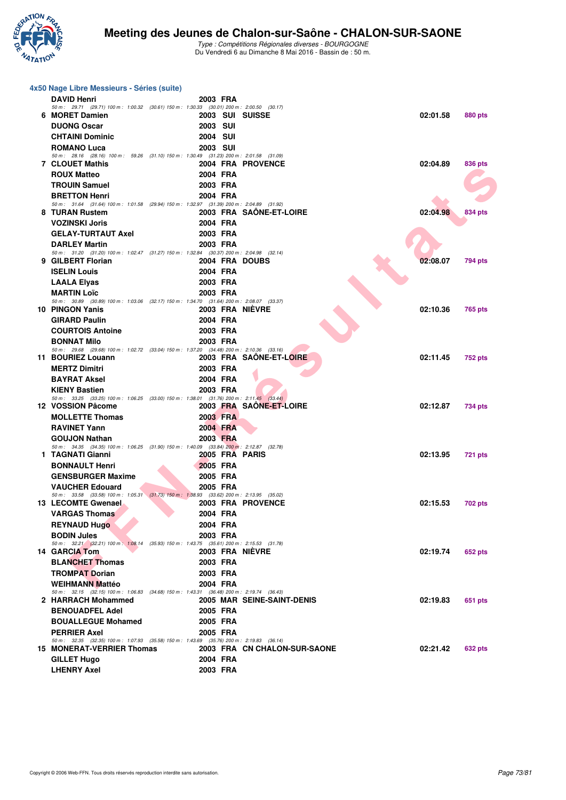

| 4x50 Nage Libre Messieurs - Séries (suite)                                                                         |                 |                              |          |                |  |
|--------------------------------------------------------------------------------------------------------------------|-----------------|------------------------------|----------|----------------|--|
| <b>DAVID Henri</b>                                                                                                 | 2003 FRA        |                              |          |                |  |
| 50 m: 29.71 (29.71) 100 m: 1:00.32 (30.61) 150 m: 1:30.33 (30.01) 200 m: 2:00.50 (30.17)                           |                 |                              |          |                |  |
| 6 MORET Damien                                                                                                     | 2003 SUI SUISSE |                              | 02:01.58 | <b>880 pts</b> |  |
| <b>DUONG Oscar</b>                                                                                                 | <b>2003 SUI</b> |                              |          |                |  |
| <b>CHTAINI Dominic</b>                                                                                             | <b>2004 SUI</b> |                              |          |                |  |
| <b>ROMANO Luca</b><br>50 m: 28.16 (28.16) 100 m: 59.26 (31.10) 150 m: 1:30.49 (31.23) 200 m: 2:01.58 (31.09)       | <b>2003 SUI</b> |                              |          |                |  |
| <b>7 CLOUET Mathis</b>                                                                                             |                 | 2004 FRA PROVENCE            | 02:04.89 | 836 pts        |  |
| <b>ROUX Matteo</b>                                                                                                 | 2004 FRA        |                              |          |                |  |
| <b>TROUIN Samuel</b>                                                                                               | 2003 FRA        |                              |          |                |  |
| <b>BRETTON Henri</b>                                                                                               | 2004 FRA        |                              |          |                |  |
| 50 m: 31.64 (31.64) 100 m: 1.01.58 (29.94) 150 m: 1.32.97 (31.39) 200 m: 2.04.89 (31.92)                           |                 |                              |          |                |  |
| 8 TURAN Rustem                                                                                                     |                 | 2003 FRA SAÔNE-ET-LOIRE      | 02:04.98 | 834 pts        |  |
| <b>VOZINSKI Joris</b>                                                                                              | 2004 FRA        |                              |          |                |  |
| <b>GELAY-TURTAUT Axel</b>                                                                                          | 2003 FRA        |                              |          |                |  |
| <b>DARLEY Martin</b>                                                                                               | 2003 FRA        |                              |          |                |  |
| 50 m: 31.20 (31.20) 100 m: 1:02.47 (31.27) 150 m: 1:32.84 (30.37) 200 m: 2:04.98 (32.14)<br>9 GILBERT Florian      | 2004 FRA DOUBS  |                              | 02:08.07 | 794 pts        |  |
| <b>ISELIN Louis</b>                                                                                                | 2004 FRA        |                              |          |                |  |
| <b>LAALA Elyas</b>                                                                                                 | 2003 FRA        |                              |          |                |  |
| <b>MARTIN Loïc</b>                                                                                                 | 2003 FRA        |                              |          |                |  |
| 50 m: 30.89 (30.89) 100 m: 1:03.06 (32.17) 150 m: 1:34.70 (31.64) 200 m: 2:08.07 (33.37)                           |                 |                              |          |                |  |
| 10 PINGON Yanis                                                                                                    | 2003 FRA NIEVRE |                              | 02:10.36 | 765 pts        |  |
| <b>GIRARD Paulin</b>                                                                                               | 2004 FRA        |                              |          |                |  |
| <b>COURTOIS Antoine</b>                                                                                            | 2003 FRA        |                              |          |                |  |
| <b>BONNAT Milo</b>                                                                                                 | 2003 FRA        |                              |          |                |  |
| 50 m: 29.68 (29.68) 100 m: 1:02.72 (33.04) 150 m: 1:37.20 (34.48) 200 m: 2:10.36 (33.16)<br>11 BOURIEZ Louann      |                 | 2003 FRA SAONE-ET-LOIRE      | 02:11.45 | <b>752 pts</b> |  |
| <b>MERTZ Dimitri</b>                                                                                               | 2003 FRA        |                              |          |                |  |
| <b>BAYRAT Aksel</b>                                                                                                | 2004 FRA        |                              |          |                |  |
| <b>KIENY Bastien</b>                                                                                               | 2003 FRA        |                              |          |                |  |
| 50 m: 33.25 (33.25) 100 m: 1:06.25 (33.00) 150 m: 1:38.01 (31.76) 200 m: 2:11.45 (33.44)                           |                 |                              |          |                |  |
| 12 VOSSION Pâcome                                                                                                  |                 | 2003 FRA SAÖNE-ET-LOIRE      | 02:12.87 | 734 pts        |  |
| <b>MOLLETTE Thomas</b>                                                                                             | 2003 FRA        |                              |          |                |  |
| <b>RAVINET Yann</b>                                                                                                | 2004 FRA        |                              |          |                |  |
| <b>GOUJON Nathan</b>                                                                                               | 2003 FRA        |                              |          |                |  |
| 50 m: 34.35 (34.35) 100 m: 1:06.25 (31.90) 150 m: 1:40.09 (33.84) 200 m: 2:12.87 (32.78)<br>1 TAGNATI Gianni       | 2005 FRA PARIS  |                              | 02:13.95 |                |  |
|                                                                                                                    |                 |                              |          | 721 pts        |  |
| <b>BONNAULT Henri</b>                                                                                              | 2005 FRA        |                              |          |                |  |
| <b>GENSBURGER Maxime</b>                                                                                           | 2005 FRA        |                              |          |                |  |
| <b>VAUCHER Edouard</b><br>50 m: 33.58 (33.58) 100 m: 1:05.31 (31.73) 150 m: 1:38.93 (33.62) 200 m: 2:13.95 (35.02) | 2005 FRA        |                              |          |                |  |
| 13 LECOMTE Gwenael                                                                                                 |                 | 2003 FRA PROVENCE            | 02:15.53 | 702 pts        |  |
| <b>VARGAS Thomas</b>                                                                                               | 2004 FRA        |                              |          |                |  |
| <b>REYNAUD Hugo</b>                                                                                                | 2004 FRA        |                              |          |                |  |
| <b>BODIN Jules</b>                                                                                                 | 2003 FRA        |                              |          |                |  |
| 50 m: 32.21 (32.21) 100 m: 1:08.14 (35.93) 150 m: 1:43.75 (35.61) 200 m: 2:15.53 (31.78)                           |                 |                              |          |                |  |
| 14 GARCIA Tom                                                                                                      | 2003 FRA NIÈVRE |                              | 02:19.74 | 652 pts        |  |
| <b>BLANCHET Thomas</b>                                                                                             | 2003 FRA        |                              |          |                |  |
| <b>TROMPAT Dorian</b>                                                                                              | 2003 FRA        |                              |          |                |  |
| <b>WEIHMANN Mattéo</b><br>50 m: 32.15 (32.15) 100 m: 1:06.83 (34.68) 150 m: 1:43.31 (36.48) 200 m: 2:19.74 (36.43) | 2004 FRA        |                              |          |                |  |
| 2 HARRACH Mohammed                                                                                                 |                 | 2005 MAR SEINE-SAINT-DENIS   | 02:19.83 | 651 pts        |  |
| <b>BENOUADFEL Adel</b>                                                                                             | 2005 FRA        |                              |          |                |  |
| <b>BOUALLEGUE Mohamed</b>                                                                                          | 2005 FRA        |                              |          |                |  |
| <b>PERRIER Axel</b>                                                                                                | 2005 FRA        |                              |          |                |  |
| 50 m: 32.35 (32.35) 100 m: 1:07.93 (35.58) 150 m: 1:43.69 (35.76) 200 m: 2:19.83 (36.14)                           |                 |                              |          |                |  |
| <b>15 MONERAT-VERRIER Thomas</b>                                                                                   |                 | 2003 FRA CN CHALON-SUR-SAONE | 02:21.42 | 632 pts        |  |
| <b>GILLET Hugo</b>                                                                                                 | 2004 FRA        |                              |          |                |  |
| <b>LHENRY Axel</b>                                                                                                 | 2003 FRA        |                              |          |                |  |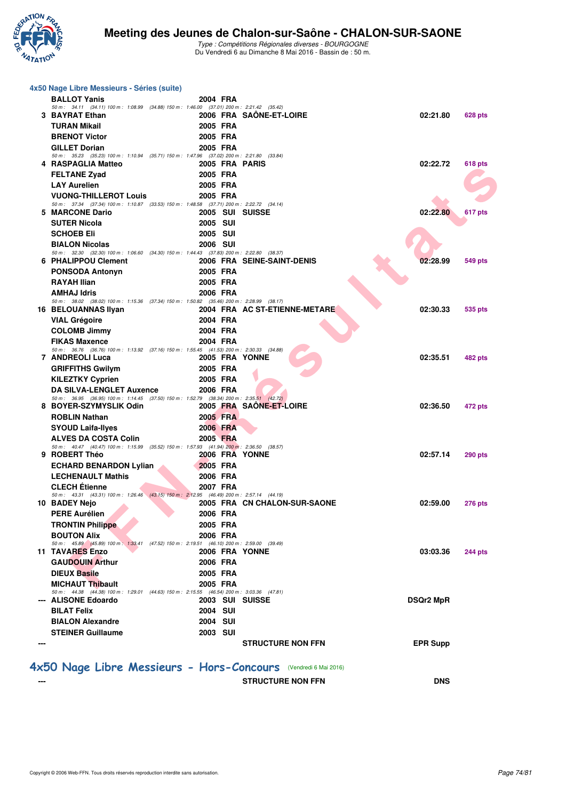

| 4x50 Nage Libre Messieurs - Séries (suite)                                                                               |                 |                                                                 |                  |                |
|--------------------------------------------------------------------------------------------------------------------------|-----------------|-----------------------------------------------------------------|------------------|----------------|
| <b>BALLOT Yanis</b>                                                                                                      | 2004 FRA        |                                                                 |                  |                |
| 50 m: 34.11 (34.11) 100 m: 1:08.99 (34.88) 150 m: 1:46.00 (37.01) 200 m: 2:21.42 (35.42)<br>3 BAYRAT Ethan               |                 | 2006 FRA SAONE-ET-LOIRE                                         | 02:21.80         | 628 pts        |
| <b>TURAN Mikail</b>                                                                                                      | 2005 FRA        |                                                                 |                  |                |
| <b>BRENOT Victor</b>                                                                                                     | 2005 FRA        |                                                                 |                  |                |
| <b>GILLET Dorian</b>                                                                                                     | 2005 FRA        |                                                                 |                  |                |
| 50 m: 35.23 (35.23) 100 m: 1:10.94 (35.71) 150 m: 1:47.96 (37.02) 200 m: 2:21.80 (33.84)                                 |                 |                                                                 |                  |                |
| 4 RASPAGLIA Matteo                                                                                                       | 2005 FRA PARIS  |                                                                 | 02:22.72         | <b>618 pts</b> |
| <b>FELTANE Zyad</b>                                                                                                      | 2005 FRA        |                                                                 |                  |                |
| <b>LAY Aurelien</b>                                                                                                      | 2005 FRA        |                                                                 |                  |                |
| <b>VUONG-THILLEROT Louis</b><br>50 m: 37.34 (37.34) 100 m: 1:10.87 (33.53) 150 m: 1:48.58 (37.71) 200 m: 2:22.72 (34.14) | 2005 FRA        |                                                                 |                  |                |
| 5 MARCONE Dario                                                                                                          | 2005 SUI SUISSE |                                                                 | 02:22.80         | 617 pts        |
| <b>SUTER Nicola</b>                                                                                                      | <b>2005 SUI</b> |                                                                 |                  |                |
| <b>SCHOEB Eli</b>                                                                                                        | 2005 SUI        |                                                                 |                  |                |
| <b>BIALON Nicolas</b>                                                                                                    | 2006 SUI        |                                                                 |                  |                |
| 50 m: 32.30 (32.30) 100 m: 1.06.60 (34.30) 150 m: 1.44.43 (37.83) 200 m: 2.22.80 (38.37)<br>6 PHALIPPOU Clement          |                 | 2006 FRA SEINE-SAINT-DENIS                                      | 02:28.99         | <b>549 pts</b> |
| <b>PONSODA Antonyn</b>                                                                                                   | 2005 FRA        |                                                                 |                  |                |
| <b>RAYAH Ilian</b>                                                                                                       | 2005 FRA        |                                                                 |                  |                |
| <b>AMHAJ Idris</b>                                                                                                       | 2006 FRA        |                                                                 |                  |                |
| 50 m: 38.02 (38.02) 100 m: 1:15.36 (37.34) 150 m: 1:50.82 (35.46) 200 m: 2:28.99 (38.17)                                 |                 |                                                                 |                  |                |
| 16 BELOUANNAS IIyan                                                                                                      |                 | 2004 FRA AC ST-ETIENNE-METARE                                   | 02:30.33         | 535 pts        |
| <b>VIAL Grégoire</b>                                                                                                     | 2004 FRA        |                                                                 |                  |                |
| <b>COLOMB Jimmy</b>                                                                                                      | 2004 FRA        |                                                                 |                  |                |
| <b>FIKAS Maxence</b><br>50 m: 36.76 (36.76) 100 m: 1:13.92 (37.16) 150 m: 1:55.45 (41.53) 200 m: 2:30.33 (34.88)         | 2004 FRA        |                                                                 |                  |                |
| 7 ANDREOLI Luca                                                                                                          | 2005 FRA YONNE  |                                                                 | 02:35.51         | <b>482 pts</b> |
| <b>GRIFFITHS Gwilym</b>                                                                                                  | 2005 FRA        |                                                                 |                  |                |
| <b>KILEZTKY Cyprien</b>                                                                                                  | 2005 FRA        |                                                                 |                  |                |
| <b>DA SILVA-LENGLET Auxence</b>                                                                                          | 2006 FRA        |                                                                 |                  |                |
| 50 m: 36.95 (36.95) 100 m: 1:14.45 (37.50) 150 m: 1:52.79 (38.34) 200 m: 2:35.51 (42.72)<br>8 BOYER-SZYMYSLIK Odin       |                 | 2005 FRA SAONE-ET-LOIRE                                         | 02:36.50         | 472 pts        |
| <b>ROBLIN Nathan</b>                                                                                                     | 2005 FRA        |                                                                 |                  |                |
| <b>SYOUD Laifa-Ilyes</b>                                                                                                 | 2006 FRA        |                                                                 |                  |                |
| <b>ALVES DA COSTA Colin</b>                                                                                              | 2005 FRA        |                                                                 |                  |                |
| 50 m: 40.47 (40.47) 100 m: 1:15.99 (35.52) 150 m: 1:57.93 (41.94) 200 m: 2:36.50 (38.57)                                 |                 |                                                                 |                  |                |
| 9 ROBERT Théo                                                                                                            | 2006 FRA YONNE  |                                                                 | 02:57.14         | 290 pts        |
| <b>ECHARD BENARDON Lylian</b>                                                                                            | 2005 FRA        |                                                                 |                  |                |
| <b>LECHENAULT Mathis</b>                                                                                                 | 2006 FRA        |                                                                 |                  |                |
| <b>CLECH Étienne</b><br>50 m: 43.31 (43.31) 100 m: 1:26.46 (43.15) 150 m: 2:12.95 (46.49) 200 m: 2:57.14 (44.19)         | 2007 FRA        |                                                                 |                  |                |
| 10 BADEY Nejo                                                                                                            |                 | 2005 FRA CN CHALON-SUR-SAONE                                    | 02:59.00         | <b>276 pts</b> |
| <b>PERE Aurélien</b>                                                                                                     | 2006 FRA        |                                                                 |                  |                |
| <b>TRONTIN Philippe</b>                                                                                                  | 2005 FRA        |                                                                 |                  |                |
| <b>BOUTON Alix</b>                                                                                                       | 2006 FRA        |                                                                 |                  |                |
| 50 m: 45.89 (45.89) 100 m: 1:33.41 (47.52) 150 m: 2:19.51 (46.10) 200 m: 2:59.00 (39.49)<br><b>11 TAVARES Enzo</b>       | 2006 FRA YONNE  |                                                                 | 03:03.36         | <b>244 pts</b> |
| <b>GAUDOUIN Arthur</b>                                                                                                   | 2006 FRA        |                                                                 |                  |                |
| <b>DIEUX Basile</b>                                                                                                      | 2005 FRA        |                                                                 |                  |                |
| <b>MICHAUT Thibault</b>                                                                                                  | 2005 FRA        |                                                                 |                  |                |
| 50 m: 44.38 (44.38) 100 m: 1:29.01 (44.63) 150 m: 2:15.55 (46.54) 200 m: 3:03.36 (47.81)                                 |                 |                                                                 |                  |                |
| --- ALISONE Edoardo                                                                                                      | 2003 SUI SUISSE |                                                                 | <b>DSQr2 MpR</b> |                |
| <b>BILAT Felix</b>                                                                                                       | 2004 SUI        |                                                                 |                  |                |
| <b>BIALON Alexandre</b>                                                                                                  | <b>2004 SUI</b> |                                                                 |                  |                |
| <b>STEINER Guillaume</b>                                                                                                 | 2003 SUI        |                                                                 |                  |                |
|                                                                                                                          |                 | <b>STRUCTURE NON FFN</b>                                        | <b>EPR Supp</b>  |                |
|                                                                                                                          |                 |                                                                 |                  |                |
|                                                                                                                          |                 | 4x50 Nage Libre Messieurs - Hors-Concours (Vendredi 6 Mai 2016) |                  |                |
|                                                                                                                          |                 | <b>STRUCTURE NON FFN</b>                                        | <b>DNS</b>       |                |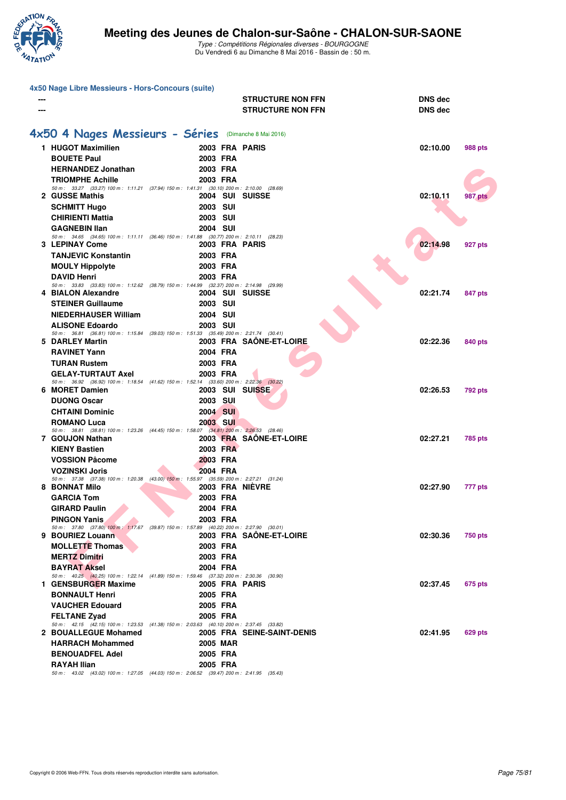

| 4x50 Nage Libre Messieurs - Hors-Concours (suite)                                                               |                 |                            |                |                |
|-----------------------------------------------------------------------------------------------------------------|-----------------|----------------------------|----------------|----------------|
|                                                                                                                 |                 | <b>STRUCTURE NON FFN</b>   | <b>DNS dec</b> |                |
|                                                                                                                 |                 | <b>STRUCTURE NON FFN</b>   | <b>DNS dec</b> |                |
|                                                                                                                 |                 |                            |                |                |
| 4x50 4 Nages Messieurs - Séries (Dimanche 8 Mai 2016)                                                           |                 |                            |                |                |
| 1 HUGOT Maximilien                                                                                              | 2003 FRA PARIS  |                            | 02:10.00       | <b>988 pts</b> |
| <b>BOUETE Paul</b>                                                                                              | 2003 FRA        |                            |                |                |
| <b>HERNANDEZ Jonathan</b>                                                                                       | 2003 FRA        |                            |                |                |
| <b>TRIOMPHE Achille</b>                                                                                         | 2003 FRA        |                            |                |                |
| 50 m: 33.27 (33.27) 100 m: 1:11.21 (37.94) 150 m: 1:41.31 (30.10) 200 m: 2:10.00 (28.69)<br>2 GUSSE Mathis      | 2004 SUI SUISSE |                            | 02:10.11       | 987 pts        |
| <b>SCHMITT Hugo</b>                                                                                             | <b>2003 SUI</b> |                            |                |                |
| <b>CHIRIENTI Mattia</b>                                                                                         | <b>2003 SUI</b> |                            |                |                |
| <b>GAGNEBIN Ilan</b>                                                                                            | <b>2004 SUI</b> |                            |                |                |
| 50 m: 34.65 (34.65) 100 m: 1:11.11 (36.46) 150 m: 1:41.88 (30.77) 200 m: 2:10.11 (28.23)                        |                 |                            |                |                |
| <b>3 LEPINAY Come</b>                                                                                           | 2003 FRA PARIS  |                            | 02:14.98       | 927 pts        |
| <b>TANJEVIC Konstantin</b>                                                                                      | 2003 FRA        |                            |                |                |
| <b>MOULY Hippolyte</b>                                                                                          | 2003 FRA        |                            |                |                |
| <b>DAVID Henri</b><br>50 m: 33.83 (33.83) 100 m: 1:12.62 (38.79) 150 m: 1:44.99 (32.37) 200 m: 2:14.98 (29.99)  | 2003 FRA        |                            |                |                |
| 4 BIALON Alexandre                                                                                              | 2004 SUI SUISSE |                            | 02:21.74       | 847 pts        |
| <b>STEINER Guillaume</b>                                                                                        | <b>2003 SUI</b> |                            |                |                |
| <b>NIEDERHAUSER William</b>                                                                                     | <b>2004 SUI</b> |                            |                |                |
| <b>ALISONE Edoardo</b>                                                                                          | <b>2003 SUI</b> |                            |                |                |
| 50 m: 36.81 (36.81) 100 m: 1:15.84 (39.03) 150 m: 1:51.33 (35.49) 200 m: 2:21.74 (30.41)<br>5 DARLEY Martin     |                 | 2003 FRA SAÖNE-ET-LOIRE    | 02:22.36       | 840 pts        |
| <b>RAVINET Yann</b>                                                                                             | 2004 FRA        |                            |                |                |
| <b>TURAN Rustem</b>                                                                                             | 2003 FRA        |                            |                |                |
| <b>GELAY-TURTAUT Axel</b>                                                                                       | 2003 FRA        |                            |                |                |
| 50 m: 36.92 (36.92) 100 m: 1:18.54 (41.62) 150 m: 1:52.14 (33.60) 200 m: 2:22.36 (30.22)                        |                 |                            |                |                |
| 6 MORET Damien                                                                                                  | 2003 SUI SUISSE |                            | 02:26.53       | 792 pts        |
| <b>DUONG Oscar</b>                                                                                              | <b>2003 SUI</b> |                            |                |                |
| <b>CHTAINI Dominic</b>                                                                                          | 2004 SUI        |                            |                |                |
| <b>ROMANO Luca</b><br>50 m: 38.81 (38.81) 100 m: 1:23.26 (44.45) 150 m: 1:58.07 (34.81) 200 m: 2:26.53 (28.46)  | <b>2003 SUI</b> |                            |                |                |
| 7 GOUJON Nathan                                                                                                 |                 | 2003 FRA SAÔNE-ET-LOIRE    | 02:27.21       | 785 pts        |
| <b>KIENY Bastien</b>                                                                                            | 2003 FRA        |                            |                |                |
| <b>VOSSION Pâcome</b>                                                                                           | 2003 FRA        |                            |                |                |
| <b>VOZINSKI Joris</b>                                                                                           | 2004 FRA        |                            |                |                |
| 50 m: 37.38 (37.38) 100 m: 1:20.38 (43.00) 150 m: 1:55.97 (35.59) 200 m: 2:27.21 (31.24)<br>8 BONNAT Milo       | 2003 FRA NIÈVRE |                            | 02:27.90       | 777 pts        |
| <b>GARCIA Tom</b>                                                                                               | 2003 FRA        |                            |                |                |
| <b>GIRARD Paulin</b>                                                                                            | 2004 FRA        |                            |                |                |
| <b>PINGON Yanis</b>                                                                                             | 2003 FRA        |                            |                |                |
| 50 m: 37.80 (37.80) 100 m: 1:17.67 (39.87) 150 m: 1:57.89 (40.22) 200 m: 2:27.90 (30.01)<br>9 BOURIEZ Louann    |                 | 2003 FRA SAÔNE-ET-LOIRE    | 02:30.36       |                |
| <b>MOLLETTE Thomas</b>                                                                                          | 2003 FRA        |                            |                | <b>750 pts</b> |
| <b>MERTZ Dimitri</b>                                                                                            | 2003 FRA        |                            |                |                |
| <b>BAYRAT Aksel</b>                                                                                             | 2004 FRA        |                            |                |                |
| 50 m: 40.25 (40.25) 100 m: 1:22.14 (41.89) 150 m: 1:59.46 (37.32) 200 m: 2:30.36 (30.90)                        |                 |                            |                |                |
| 1 GENSBURGER Maxime                                                                                             | 2005 FRA PARIS  |                            | 02:37.45       | 675 pts        |
| <b>BONNAULT Henri</b>                                                                                           | 2005 FRA        |                            |                |                |
| <b>VAUCHER Edouard</b>                                                                                          | 2005 FRA        |                            |                |                |
| <b>FELTANE Zyad</b><br>50 m: 42.15 (42.15) 100 m: 1:23.53 (41.38) 150 m: 2:03.63 (40.10) 200 m: 2:37.45 (33.82) | 2005 FRA        |                            |                |                |
| 2 BOUALLEGUE Mohamed                                                                                            |                 | 2005 FRA SEINE-SAINT-DENIS | 02:41.95       | 629 pts        |
| <b>HARRACH Mohammed</b>                                                                                         | <b>2005 MAR</b> |                            |                |                |
| <b>BENOUADFEL Adel</b>                                                                                          | 2005 FRA        |                            |                |                |
| <b>RAYAH Ilian</b>                                                                                              | 2005 FRA        |                            |                |                |
| 50 m: 43.02 (43.02) 100 m: 1:27.05 (44.03) 150 m: 2:06.52 (39.47) 200 m: 2:41.95 (35.43)                        |                 |                            |                |                |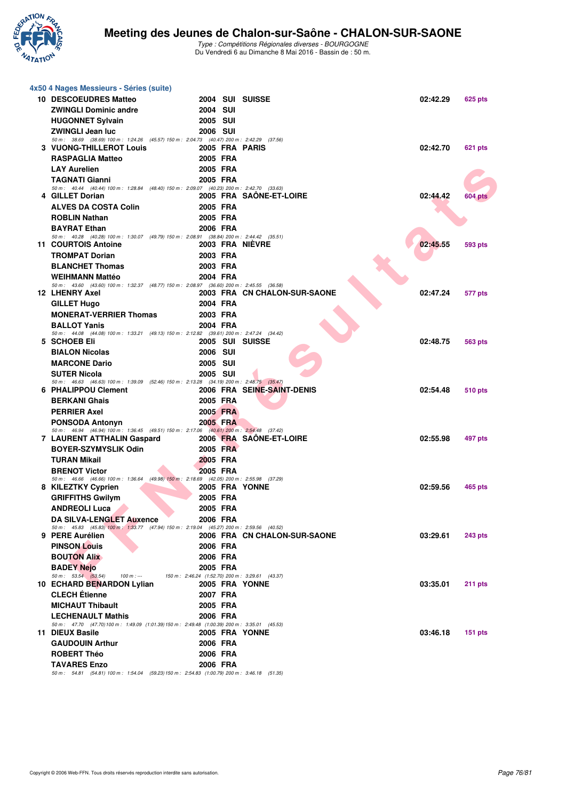

## **Meeting des Jeunes de Chalon-sur-Saône - CHALON-SUR-SAONE**

| 4x50 4 Nages Messieurs - Séries (suite)                                                                           |                                                                   |                              |          |                |
|-------------------------------------------------------------------------------------------------------------------|-------------------------------------------------------------------|------------------------------|----------|----------------|
| 10 DESCOEUDRES Matteo                                                                                             |                                                                   | 2004 SUI SUISSE              | 02:42.29 | 625 pts        |
| <b>ZWINGLI Dominic andre</b>                                                                                      | <b>2004 SUI</b>                                                   |                              |          |                |
| <b>HUGONNET Sylvain</b>                                                                                           | 2005 SUI                                                          |                              |          |                |
| <b>ZWINGLI Jean luc</b>                                                                                           | 2006 SUI                                                          |                              |          |                |
| 50 m: 38.69 (38.69) 100 m: 1:24.26 (45.57) 150 m: 2:04.73 (40.47) 200 m: 2:42.29 (37.56)                          |                                                                   |                              |          |                |
| <b>3 VUONG-THILLEROT Louis</b>                                                                                    | 2005 FRA PARIS                                                    |                              | 02:42.70 | 621 pts        |
| <b>RASPAGLIA Matteo</b>                                                                                           | 2005 FRA                                                          |                              |          |                |
| <b>LAY Aurelien</b>                                                                                               | 2005 FRA                                                          |                              |          |                |
| <b>TAGNATI Gianni</b>                                                                                             | 2005 FRA                                                          |                              |          |                |
| 50 m: 40.44 (40.44) 100 m: 1:28.84 (48.40) 150 m: 2:09.07 (40.23) 200 m: 2:42.70 (33.63)<br>4 GILLET Dorian       |                                                                   | 2005 FRA SAONE-ET-LOIRE      | 02:44.42 | <b>604 pts</b> |
| <b>ALVES DA COSTA Colin</b>                                                                                       | 2005 FRA                                                          |                              |          |                |
| <b>ROBLIN Nathan</b>                                                                                              | 2005 FRA                                                          |                              |          |                |
| <b>BAYRAT Ethan</b>                                                                                               | 2006 FRA                                                          |                              |          |                |
| 50 m: 40.28 (40.28) 100 m: 1:30.07 (49.79) 150 m: 2:08.91 (38.84) 200 m: 2:44.42 (35.51)                          |                                                                   |                              |          |                |
| 11 COURTOIS Antoine                                                                                               |                                                                   | 2003 FRA NIÈVRE              | 02:45.55 | <b>593 pts</b> |
| <b>TROMPAT Dorian</b>                                                                                             | 2003 FRA                                                          |                              |          |                |
| <b>BLANCHET Thomas</b>                                                                                            | 2003 FRA                                                          |                              |          |                |
| <b>WEIHMANN Mattéo</b>                                                                                            | 2004 FRA                                                          |                              |          |                |
| 50 m: 43.60 (43.60) 100 m: 1:32.37 (48.77) 150 m: 2:08.97 (36.60) 200 m: 2:45.55 (36.58)<br><b>12 LHENRY Axel</b> |                                                                   | 2003 FRA CN CHALON-SUR-SAONE | 02:47.24 | 577 pts        |
| <b>GILLET Hugo</b>                                                                                                | 2004 FRA                                                          |                              |          |                |
| <b>MONERAT-VERRIER Thomas</b>                                                                                     | 2003 FRA                                                          |                              |          |                |
| <b>BALLOT Yanis</b>                                                                                               | 2004 FRA                                                          |                              |          |                |
| 50 m: 44.08 (44.08) 100 m: 1:33.21 (49.13) 150 m: 2:12.82 (39.61) 200 m: 2:47.24 (34.42)                          |                                                                   |                              |          |                |
| 5 SCHOEB Eli                                                                                                      |                                                                   | 2005 SUI SUISSE              | 02:48.75 | 563 pts        |
| <b>BIALON Nicolas</b>                                                                                             | <b>2006 SUI</b>                                                   |                              |          |                |
| <b>MARCONE Dario</b>                                                                                              | 2005 SUI                                                          |                              |          |                |
| <b>SUTER Nicola</b>                                                                                               | <b>2005 SUI</b>                                                   |                              |          |                |
| 50 m: 46.63 (46.63) 100 m: 1:39.09 (52.46) 150 m: 2:13.28 (34.19) 200 m: 2:48.75 (35.47)<br>6 PHALIPPOU Clement   |                                                                   | 2006 FRA SEINE-SAINT-DENIS   | 02:54.48 | 510 pts        |
| <b>BERKANI Ghais</b>                                                                                              | 2005 FRA                                                          |                              |          |                |
| <b>PERRIER Axel</b>                                                                                               | 2005 FRA                                                          |                              |          |                |
| <b>PONSODA Antonyn</b>                                                                                            | 2005 FRA                                                          |                              |          |                |
| 50 m: 46.94 (46.94) 100 m: 1:36.45 (49.51) 150 m: 2:17.06 (40.61) 200 m: 2:54.48 (37.42)                          |                                                                   |                              |          |                |
| 7 LAURENT ATTHALIN Gaspard                                                                                        |                                                                   | 2006 FRA SAÔNE-ET-LOIRE      | 02:55.98 | 497 pts        |
| <b>BOYER-SZYMYSLIK Odin</b>                                                                                       | 2005 FRA                                                          |                              |          |                |
| <b>TURAN Mikail</b>                                                                                               | 2005 FRA                                                          |                              |          |                |
| <b>BRENOT Victor</b>                                                                                              | 2005 FRA                                                          |                              |          |                |
| 50 m: 46.66 (46.66) 100 m: 1:36.64 (49.98) 150 m: 2:18.69 (42.05) 200 m: 2:55.98 (37.29)<br>8 KILEZTKY Cyprien    | 2005 FRA YONNE                                                    |                              | 02:59.56 | 465 pts        |
| <b>GRIFFITHS Gwilym</b>                                                                                           | 2005 FRA                                                          |                              |          |                |
| <b>ANDREOLI Luca</b>                                                                                              | 2005 FRA                                                          |                              |          |                |
| <b>DA SILVA-LENGLET Auxence</b>                                                                                   | 2006 FRA                                                          |                              |          |                |
| 50 m: 45.83 (45.83) 100 m: 1:33.77 (47.94) 150 m: 2:19.04 (45.27) 200 m: 2:59.56 (40.52)                          |                                                                   |                              |          |                |
| 9 PERE Aurélien                                                                                                   |                                                                   | 2006 FRA CN CHALON-SUR-SAONE | 03:29.61 | <b>243 pts</b> |
| <b>PINSON Louis</b>                                                                                               | 2006 FRA                                                          |                              |          |                |
| <b>BOUTON Alix</b>                                                                                                | 2006 FRA                                                          |                              |          |                |
| <b>BADEY Nejo</b>                                                                                                 | 2005 FRA                                                          |                              |          |                |
| 50 m: 53.54 (53.54)<br>$100 m: -$<br>10 ECHARD BENARDON Lylian                                                    | 150 m: 2:46.24 (1:52.70) 200 m: 3:29.61 (43.37)<br>2005 FRA YONNE |                              | 03:35.01 | $211$ pts      |
| <b>CLECH Étienne</b>                                                                                              | 2007 FRA                                                          |                              |          |                |
| <b>MICHAUT Thibault</b>                                                                                           | 2005 FRA                                                          |                              |          |                |
| <b>LECHENAULT Mathis</b>                                                                                          | 2006 FRA                                                          |                              |          |                |
| 50 m: 47.70 (47.70) 100 m: 1.49.09 (1.01.39) 150 m: 2.49.48 (1.00.39) 200 m: 3.35.01 (45.53)                      |                                                                   |                              |          |                |
| 11 DIEUX Basile                                                                                                   | 2005 FRA YONNE                                                    |                              | 03:46.18 | $151$ pts      |
| <b>GAUDOUIN Arthur</b>                                                                                            | 2006 FRA                                                          |                              |          |                |
| <b>ROBERT Théo</b>                                                                                                | 2006 FRA                                                          |                              |          |                |
| <b>TAVARES Enzo</b>                                                                                               | 2006 FRA                                                          |                              |          |                |
| 50 m: 54.81 (54.81) 100 m: 1:54.04 (59.23) 150 m: 2:54.83 (1:00.79) 200 m: 3:46.18 (51.35)                        |                                                                   |                              |          |                |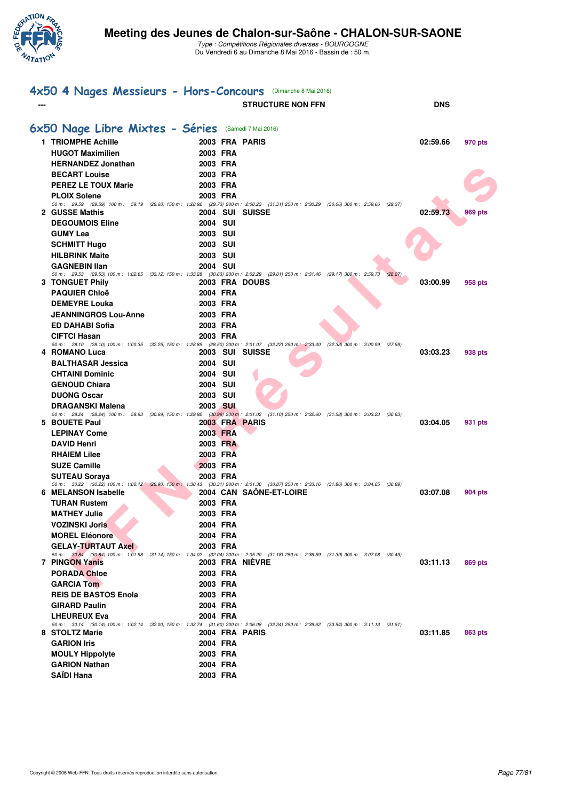

| 4x50 4 Nages Messieurs - Hors-Concours (Dimanche 8 Mai 2016)                                                                                                              |                             |                          |         |            |         |
|---------------------------------------------------------------------------------------------------------------------------------------------------------------------------|-----------------------------|--------------------------|---------|------------|---------|
|                                                                                                                                                                           |                             | <b>STRUCTURE NON FFN</b> |         | <b>DNS</b> |         |
| 6x50 Nage Libre Mixtes - Séries                                                                                                                                           |                             | (Samedi 7 Mai 2016)      |         |            |         |
| 1 TRIOMPHE Achille                                                                                                                                                        |                             | 2003 FRA PARIS           |         | 02:59.66   | 970 pts |
| <b>HUGOT Maximilien</b>                                                                                                                                                   | 2003 FRA                    |                          |         |            |         |
| <b>HERNANDEZ Jonathan</b>                                                                                                                                                 | 2003 FRA                    |                          |         |            |         |
| <b>BECART Louise</b>                                                                                                                                                      | 2003 FRA                    |                          |         |            |         |
| <b>PEREZ LE TOUX Marie</b>                                                                                                                                                | 2003 FRA                    |                          |         |            |         |
| <b>PLOIX Solene</b>                                                                                                                                                       | 2003 FRA                    |                          |         |            |         |
| 50 m : 29.59 (29.59) 100 m : 59.19 (29.60) 150 m : 1:28.92 (29.73) 200 m : 2:00.23 (31.31) 250 m : 2:30.29 (30.06) 300 m : 2:59.66 (29.37)<br>2 GUSSE Mathis              |                             | 2004 SUI SUISSE          |         | 02:59.73   | 969 pts |
| <b>DEGOUMOIS Eline</b>                                                                                                                                                    | 2004 SUI                    |                          |         |            |         |
| <b>GUMY Lea</b>                                                                                                                                                           | 2003 SUI                    |                          |         |            |         |
| <b>SCHMITT Hugo</b>                                                                                                                                                       | <b>2003 SUI</b>             |                          |         |            |         |
| <b>HILBRINK Maite</b>                                                                                                                                                     | 2003 SUI                    |                          |         |            |         |
| <b>GAGNEBIN Ilan</b>                                                                                                                                                      | 2004 SUI                    |                          |         |            |         |
| 50 m : 29.53 (29.53) 100 m : 1:02.65 (33.12) 150 m : 1:33.28 (30.63) 200 m : 2:02.29 (29.01) 250 m : 2:31.46 (29.17) 300 m : 2:59.73 (28.27)<br><b>3 TONGUET Phily</b>    |                             | 2003 FRA DOUBS           |         | 03:00.99   |         |
| <b>PAQUIER Chloë</b>                                                                                                                                                      | 2004 FRA                    |                          |         |            | 958 pts |
| <b>DEMEYRE Louka</b>                                                                                                                                                      | 2003 FRA                    |                          |         |            |         |
| <b>JEANNINGROS Lou-Anne</b>                                                                                                                                               | 2003 FRA                    |                          |         |            |         |
| <b>ED DAHABI Sofia</b>                                                                                                                                                    | 2003 FRA                    |                          |         |            |         |
| <b>CIFTCI Hasan</b>                                                                                                                                                       | 2003 FRA                    |                          |         |            |         |
| 50 m : 28.10 (28.10) 100 m : 1:00.35 (32.25) 150 m : 1:28.85 (28.50) 200 m : 2:01.07 (32.22) 250 m : 2:33.40 (32.33) 300 m : 3:00.99                                      |                             |                          | (27.59) |            |         |
| 4 ROMANO Luca                                                                                                                                                             |                             | 2003 SUI SUISSE          |         | 03:03.23   | 938 pts |
| <b>BALTHASAR Jessica</b>                                                                                                                                                  | <b>2004 SUI</b>             |                          |         |            |         |
| <b>CHTAINI Dominic</b>                                                                                                                                                    | 2004 SUI                    |                          |         |            |         |
| <b>GENOUD Chiara</b><br><b>DUONG Oscar</b>                                                                                                                                | 2004 SUI<br><b>2003 SUI</b> |                          |         |            |         |
| <b>DRAGANSKI Malena</b>                                                                                                                                                   | 2003 SUI                    |                          |         |            |         |
| 50 m : 28.24 (28.24) 100 m : 58.93 (30.69) 150 m : 1:29.92 (30.99) 200 m : 2:01.02 (31.10) 250 m : 2:32.60 (31.58) 300 m : 3:03.23 (30.63)                                |                             |                          |         |            |         |
| 5 BOUETE Paul                                                                                                                                                             |                             | 2003 FRA PARIS           |         | 03:04.05   | 931 pts |
| <b>LEPINAY Come</b>                                                                                                                                                       | 2003 FRA                    |                          |         |            |         |
| <b>DAVID Henri</b>                                                                                                                                                        | 2003 FRA                    |                          |         |            |         |
| <b>RHAIEM Lilee</b>                                                                                                                                                       | 2003 FRA                    |                          |         |            |         |
| <b>SUZE Camille</b>                                                                                                                                                       | 2003 FRA                    |                          |         |            |         |
| <b>SUTEAU Sorava</b><br>50 m : 30.22 (30.22) 100 m : 1:00.12 (29.90) 150 m : 1:30.43 (30.31) 200 m : 2:01.30 (30.87) 250 m : 2:33.16 (31.86) 300 m : 3:04.05 (30.89)      | 2003 FRA                    |                          |         |            |         |
| 6 MELANSON Isabelle                                                                                                                                                       |                             | 2004 CAN SAONE-ET-LOIRE  |         | 03:07.08   | 904 pts |
| <b>TURAN Rustem</b>                                                                                                                                                       | 2003 FRA                    |                          |         |            |         |
| <b>MATHEY Julie</b>                                                                                                                                                       | 2003 FRA                    |                          |         |            |         |
| <b>VOZINSKI Joris</b>                                                                                                                                                     | 2004 FRA                    |                          |         |            |         |
| <b>MOREL Eléonore</b>                                                                                                                                                     | 2004 FRA                    |                          |         |            |         |
| <b>GELAY-TURTAUT Axel</b><br>50 m : 30.84 (30.84) 100 m : 1:01.98 (31.14) 150 m : 1:34.02 (32.04) 200 m : 2:05.20 (31.18) 250 m : 2:36.59 (31.39) 300 m : 3:07.08 (30.49) | 2003 FRA                    |                          |         |            |         |
| 7 PINGON Yanis                                                                                                                                                            |                             | <b>2003 FRA NIEVRE</b>   |         | 03:11.13   | 869 pts |
| <b>PORADA Chloe</b>                                                                                                                                                       | 2003 FRA                    |                          |         |            |         |
| <b>GARCIA Tom</b>                                                                                                                                                         | 2003 FRA                    |                          |         |            |         |
| <b>REIS DE BASTOS Enola</b>                                                                                                                                               | 2003 FRA                    |                          |         |            |         |
| <b>GIRARD Paulin</b>                                                                                                                                                      | 2004 FRA                    |                          |         |            |         |
| <b>LHEUREUX Eva</b>                                                                                                                                                       | 2004 FRA                    |                          |         |            |         |
| 50 m : 30.14 (30.14) 100 m : 1:02.14 (32.00) 150 m : 1:33.74 (31.60) 200 m : 2:06.08 (32.34) 250 m : 2:39.62 (33.54) 300 m : 3:11.13 (31.51)<br>8 STOLTZ Marie            |                             | 2004 FRA PARIS           |         | 03:11.85   | 863 pts |
| <b>GARION Iris</b>                                                                                                                                                        | 2004 FRA                    |                          |         |            |         |
| <b>MOULY Hippolyte</b>                                                                                                                                                    | 2003 FRA                    |                          |         |            |         |
| <b>GARION Nathan</b>                                                                                                                                                      | 2004 FRA                    |                          |         |            |         |
| <b>SAÏDI Hana</b>                                                                                                                                                         | 2003 FRA                    |                          |         |            |         |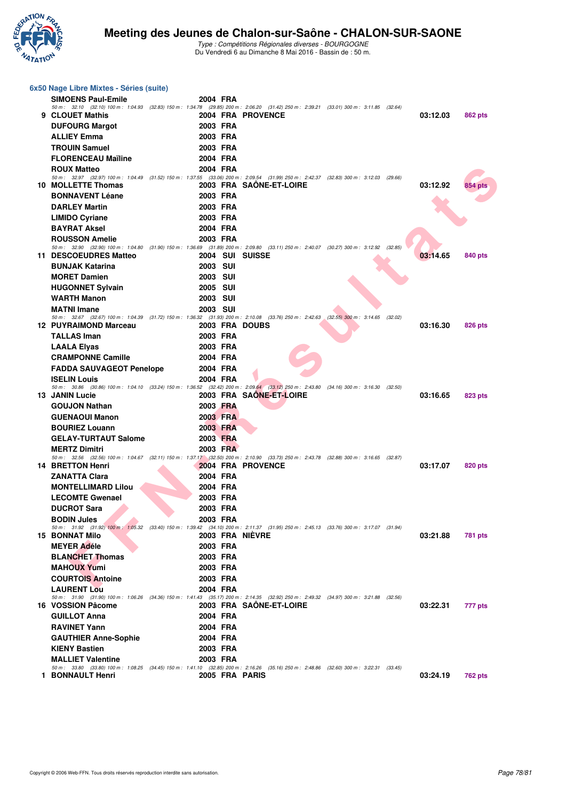

## **Meeting des Jeunes de Chalon-sur-Saône - CHALON-SUR-SAONE**

| 6x50 Nage Libre Mixtes - Séries (suite)                                                                                                                               |                 |                         |         |          |                |
|-----------------------------------------------------------------------------------------------------------------------------------------------------------------------|-----------------|-------------------------|---------|----------|----------------|
| <b>SIMOENS Paul-Emile</b>                                                                                                                                             | 2004 FRA        |                         |         |          |                |
| 50 m : 32.10 (32.10) 100 m : 1:04.93 (32.83) 150 m : 1:34.78 (29.85) 200 m : 2:06.20 (31.42) 250 m : 2:39.21 (33.01) 300 m : 3:11.85 (32.64)<br>9 CLOUET Mathis       |                 |                         |         |          |                |
|                                                                                                                                                                       |                 | 2004 FRA PROVENCE       |         | 03:12.03 | 862 pts        |
| <b>DUFOURG Margot</b>                                                                                                                                                 | 2003 FRA        |                         |         |          |                |
| <b>ALLIEY Emma</b>                                                                                                                                                    | 2003 FRA        |                         |         |          |                |
| <b>TROUIN Samuel</b>                                                                                                                                                  | 2003 FRA        |                         |         |          |                |
| <b>FLORENCEAU Maïline</b>                                                                                                                                             | 2004 FRA        |                         |         |          |                |
| <b>ROUX Matteo</b><br>50 m : 32.97 (32.97) 100 m : 1:04.49 (31.52) 150 m : 1:37.55 (33.06) 200 m : 2:09.54 (31.99) 250 m : 2:42.37 (32.83) 300 m : 3:12.03 (29.66)    | 2004 FRA        |                         |         |          |                |
| 10 MOLLETTE Thomas                                                                                                                                                    |                 | 2003 FRA SAÔNE-ET-LOIRE |         | 03:12.92 | 854 pts        |
| <b>BONNAVENT Léane</b>                                                                                                                                                | 2003 FRA        |                         |         |          |                |
| <b>DARLEY Martin</b>                                                                                                                                                  | 2003 FRA        |                         |         |          |                |
| <b>LIMIDO Cyriane</b>                                                                                                                                                 | 2003 FRA        |                         |         |          |                |
| <b>BAYRAT Aksel</b>                                                                                                                                                   | 2004 FRA        |                         |         |          |                |
| <b>ROUSSON Amelie</b>                                                                                                                                                 | 2003 FRA        |                         |         |          |                |
| 50 m : 32.90 (32.90) 100 m : 1:04.80 (31.90) 150 m : 1:36.69 (31.89) 200 m : 2:09.80 (33.11) 250 m : 2:40.07 (30.27) 300 m : 3:12.92 (32.85)                          |                 |                         |         |          |                |
| 11 DESCOEUDRES Matteo                                                                                                                                                 | 2004 SUI SUISSE |                         |         | 03:14.65 | 840 pts        |
| <b>BUNJAK Katarina</b>                                                                                                                                                | 2003 SUI        |                         |         |          |                |
| <b>MORET Damien</b>                                                                                                                                                   | <b>2003 SUI</b> |                         |         |          |                |
| <b>HUGONNET Sylvain</b>                                                                                                                                               | 2005 SUI        |                         |         |          |                |
| <b>WARTH Manon</b>                                                                                                                                                    | 2003 SUI        |                         |         |          |                |
| <b>MATNI Imane</b>                                                                                                                                                    | 2003 SUI        |                         |         |          |                |
| 50 m : 32.67 (32.67) 100 m : 1:04.39 (31.72) 150 m : 1:36.32 (31.93) 200 m : 2:10.08 (33.76) 250 m : 2:42.63 (32.55) 300 m : 3:14.65                                  |                 |                         | (32.02) |          |                |
| 12 PUYRAIMOND Marceau                                                                                                                                                 | 2003 FRA DOUBS  |                         |         | 03:16.30 | <b>826 pts</b> |
| <b>TALLAS Iman</b>                                                                                                                                                    | 2003 FRA        |                         |         |          |                |
| <b>LAALA Elyas</b>                                                                                                                                                    | 2003 FRA        |                         |         |          |                |
| <b>CRAMPONNE Camille</b>                                                                                                                                              | 2004 FRA        |                         |         |          |                |
| <b>FADDA SAUVAGEOT Penelope</b>                                                                                                                                       | 2004 FRA        |                         |         |          |                |
| <b>ISELIN Louis</b>                                                                                                                                                   | 2004 FRA        |                         |         |          |                |
| 50 m : 30.86 (30.86) 100 m : 1:04.10 (33.24) 150 m : 1:36.52 (32.42) 200 m : 2:09.64 (33.12) 250 m : 2:43.80 (34.16) 300 m : 3:16.30 (32.50)<br><b>13 JANIN Lucie</b> |                 | 2003 FRA SAONE-ET-LOIRE |         | 03:16.65 | <b>823 pts</b> |
| <b>GOUJON Nathan</b>                                                                                                                                                  | 2003 FRA        |                         |         |          |                |
| <b>GUENAOUI Manon</b>                                                                                                                                                 | 2003 FRA        |                         |         |          |                |
| <b>BOURIEZ Louann</b>                                                                                                                                                 | 2003 FRA        |                         |         |          |                |
| <b>GELAY-TURTAUT Salome</b>                                                                                                                                           | 2003 FRA        |                         |         |          |                |
| <b>MERTZ Dimitri</b>                                                                                                                                                  | 2003 FRA        |                         |         |          |                |
| 50 m : 32.56 (32.56) 100 m : 1:04.67 (32.11) 150 m : 1:37.17 (32.50) 200 m : 2:10.90 (33.73) 250 m : 2:43.78 (32.88) 300 m : 3:16.65 (32.87)                          |                 |                         |         |          |                |
| <b>14 BRETTON Henri</b>                                                                                                                                               |                 | 2004 FRA PROVENCE       |         | 03:17.07 | 820 pts        |
| <b>ZANATTA Clara</b>                                                                                                                                                  | 2004 FRA        |                         |         |          |                |
| <b>MONTELLIMARD Lilou</b>                                                                                                                                             | 2004 FRA        |                         |         |          |                |
| <b>LECOMTE Gwenael</b>                                                                                                                                                | 2003 FRA        |                         |         |          |                |
| <b>DUCROT Sara</b>                                                                                                                                                    | 2003 FRA        |                         |         |          |                |
| <b>BODIN Jules</b>                                                                                                                                                    | 2003 FRA        |                         |         |          |                |
| 50 m : 31.92 (31.92) 100 m : 1:05.32 (33.40) 150 m : 1:39.42 (34.10) 200 m : 2:11.37 (31.95) 250 m : 2:45.13 (33.76) 300 m : 3:17.07 (31.94)                          |                 |                         |         |          |                |
| <b>15 BONNAT Milo</b>                                                                                                                                                 | 2003 FRA NIEVRE |                         |         | 03:21.88 | 781 pts        |
| <b>MEYER Adéle</b>                                                                                                                                                    | 2003 FRA        |                         |         |          |                |
| <b>BLANCHET Thomas</b>                                                                                                                                                | 2003 FRA        |                         |         |          |                |
| <b>MAHOUX Yumi</b>                                                                                                                                                    | 2003 FRA        |                         |         |          |                |
| <b>COURTOIS Antoine</b>                                                                                                                                               | 2003 FRA        |                         |         |          |                |
| <b>LAURENT Lou</b><br>50 m : 31.90 (31.90) 100 m : 1:06.26 (34.36) 150 m : 1:41.43 (35.17) 200 m : 2:14.35 (32.92) 250 m : 2:49.32 (34.97) 300 m : 3:21.88 (32.56)    | 2004 FRA        |                         |         |          |                |
| 16 VOSSION Pâcome                                                                                                                                                     |                 | 2003 FRA SAONE-ET-LOIRE |         | 03:22.31 | 777 pts        |
| <b>GUILLOT Anna</b>                                                                                                                                                   | 2004 FRA        |                         |         |          |                |
| <b>RAVINET Yann</b>                                                                                                                                                   | 2004 FRA        |                         |         |          |                |
| <b>GAUTHIER Anne-Sophie</b>                                                                                                                                           | 2004 FRA        |                         |         |          |                |
| <b>KIENY Bastien</b>                                                                                                                                                  | 2003 FRA        |                         |         |          |                |
| <b>MALLIET Valentine</b>                                                                                                                                              | 2003 FRA        |                         |         |          |                |
| 50 m : 33.80 (33.80) 100 m : 1:08.25 (34.45) 150 m : 1:41.10 (32.85) 200 m : 2:16.26 (35.16) 250 m : 2:48.86 (32.60) 300 m : 3:22.31 (33.45)                          |                 |                         |         |          |                |
| 1 BONNAULT Henri                                                                                                                                                      | 2005 FRA PARIS  |                         |         | 03:24.19 | 762 pts        |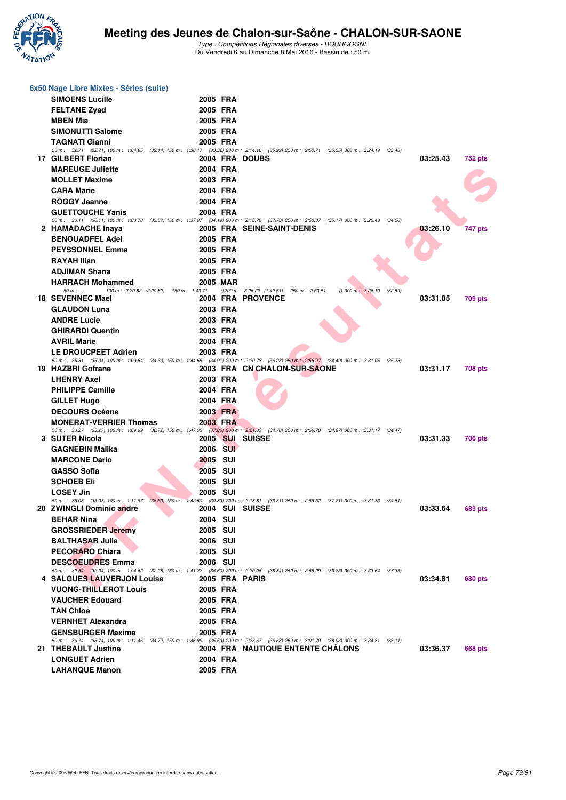

| 6x50 Nage Libre Mixtes - Séries (suite)    |                                         |                                                                                                                                                                            |
|--------------------------------------------|-----------------------------------------|----------------------------------------------------------------------------------------------------------------------------------------------------------------------------|
| <b>SIMOENS Lucille</b>                     | 2005 FRA                                |                                                                                                                                                                            |
| <b>FELTANE Zyad</b>                        | 2005 FRA                                |                                                                                                                                                                            |
| <b>MBEN Mia</b>                            | 2005 FRA                                |                                                                                                                                                                            |
| <b>SIMONUTTI Salome</b>                    | 2005 FRA                                |                                                                                                                                                                            |
| <b>TAGNATI Gianni</b>                      | 2005 FRA                                |                                                                                                                                                                            |
|                                            |                                         | 50 m : 32.71 (32.71) 100 m : 1:04.85 (32.14) 150 m : 1:38.17 (33.32) 200 m : 2:14.16 (35.99) 250 m : 2:50.71 (36.55) 300 m : 3:24.19 (33.48)                               |
| 17 GILBERT Florian                         | 2004 FRA DOUBS                          | 03:25.43<br>752 pts                                                                                                                                                        |
| <b>MAREUGE Juliette</b>                    | 2004 FRA                                |                                                                                                                                                                            |
| <b>MOLLET Maxime</b>                       | 2003 FRA<br>2004 FRA                    |                                                                                                                                                                            |
| <b>CARA Marie</b>                          |                                         |                                                                                                                                                                            |
| <b>ROGGY Jeanne</b>                        | 2004 FRA                                |                                                                                                                                                                            |
| <b>GUETTOUCHE Yanis</b>                    | 2004 FRA                                | 50 m : 30.11 (30.11) 100 m : 1:03.78 (33.67) 150 m : 1:37.97 (34.19) 200 m : 2:15.70 (37.73) 250 m : 2:50.87 (35.17) 300 m : 3:25.43 (34.56)                               |
| 2 HAMADACHE Inaya                          |                                         | 2005 FRA SEINE-SAINT-DENIS<br>03:26.10<br>747 pts                                                                                                                          |
| <b>BENOUADFEL Adel</b>                     | 2005 FRA                                |                                                                                                                                                                            |
| <b>PEYSSONNEL Emma</b>                     | 2005 FRA                                |                                                                                                                                                                            |
| <b>RAYAH Ilian</b>                         | 2005 FRA                                |                                                                                                                                                                            |
| <b>ADJIMAN Shana</b>                       | 2005 FRA                                |                                                                                                                                                                            |
| <b>HARRACH Mohammed</b>                    | <b>2005 MAR</b>                         |                                                                                                                                                                            |
| $50 m: -$                                  | 100 m: 2:20.82 (2:20.82) 150 m: 1:43.71 | $(200 \text{ m}: 3:26.22 (1:42.51)$ 250 m : 2:53.51<br>$()$ 300 m : 3:26.10<br>(32.59)                                                                                     |
| 18 SEVENNEC Mael                           |                                         | 2004 FRA PROVENCE<br>03:31.05<br>709 pts                                                                                                                                   |
| <b>GLAUDON Luna</b>                        | 2003 FRA                                |                                                                                                                                                                            |
| <b>ANDRE Lucie</b>                         | 2003 FRA                                |                                                                                                                                                                            |
| <b>GHIRARDI Quentin</b>                    | 2003 FRA                                |                                                                                                                                                                            |
| <b>AVRIL Marie</b>                         | 2004 FRA                                |                                                                                                                                                                            |
| <b>LE DROUCPEET Adrien</b>                 | 2003 FRA                                | 50 m : 35.31 (35.31) 100 m : 1:09.64 (34.33) 150 m : 1:44.55 (34.91) 200 m : 2:20.78 (36.23) 250 m : 2:55.27 (34.49) 300 m : 3:31.05 (35.78)                               |
| 19 HAZBRI Gofrane                          |                                         | 2003 FRA CN CHALON-SUR-SAONE<br>03:31.17<br><b>708 pts</b>                                                                                                                 |
| <b>LHENRY Axel</b>                         | 2003 FRA                                |                                                                                                                                                                            |
| <b>PHILIPPE Camille</b>                    | 2004 FRA                                |                                                                                                                                                                            |
| <b>GILLET Hugo</b>                         | 2004 FRA                                |                                                                                                                                                                            |
| <b>DECOURS Océane</b>                      | 2003 FRA                                |                                                                                                                                                                            |
| <b>MONERAT-VERRIER Thomas</b>              | 2003 FRA                                |                                                                                                                                                                            |
|                                            |                                         | 50 m : 33.27 (33.27) 100 m : 1:09.99 (36.72) 150 m : 1:47.05 (37.06) 200 m : 2:21.83 (34.78) 250 m : 2:56.70 (34.87) 300 m : 3:31.17 (34.47)                               |
| 3 SUTER Nicola                             | 2005 SUI SUISSE<br>2006 SUI             | 03:31.33<br>706 pts                                                                                                                                                        |
| <b>GAGNEBIN Malika</b>                     | 2005 SUI                                |                                                                                                                                                                            |
| <b>MARCONE Dario</b><br><b>GASSO Sofia</b> | 2005 SUI                                |                                                                                                                                                                            |
| <b>SCHOEB Eli</b>                          | 2005 SUI                                |                                                                                                                                                                            |
| <b>LOSEY Jin</b>                           | 2005 SUI                                |                                                                                                                                                                            |
|                                            |                                         | 50 m : 35.08 (35.08) 100 m : 1:11.67 (36.59) 150 m : 1:42.50 (30.83) 200 m : 2:18.81 (36.31) 250 m : 2:56.52 (37.71) 300 m : 3:31.33 (34.81)                               |
| 20 ZWINGLI Dominic andre                   | 2004 SUI SUISSE                         | 03:33.64<br><b>689 pts</b>                                                                                                                                                 |
| <b>BEHAR Nina</b>                          | 2004 SUI                                |                                                                                                                                                                            |
| <b>GROSSRIEDER Jeremy</b>                  | 2005 SUI                                |                                                                                                                                                                            |
| <b>BALTHASAR Julia</b>                     | <b>2006 SUI</b>                         |                                                                                                                                                                            |
| <b>PECORARO Chiara</b>                     | <b>2005 SUI</b>                         |                                                                                                                                                                            |
| <b>DESCOEUDRES Emma</b>                    | <b>2006 SUI</b>                         |                                                                                                                                                                            |
| 4 SALGUES LAUVERJON Louise                 | 2005 FRA PARIS                          | 50 m : 32.34 (32.34) 100 m : 1:04.62 (32.28) 150 m : 1:41.22 (36.60) 200 m : 2:20.06 (38.84) 250 m : 2:56.29 (36.23) 300 m : 3:33.64 (37.35)<br>03:34.81<br><b>680 pts</b> |
| <b>VUONG-THILLEROT Louis</b>               | 2005 FRA                                |                                                                                                                                                                            |
| <b>VAUCHER Edouard</b>                     | 2005 FRA                                |                                                                                                                                                                            |
| <b>TAN Chloe</b>                           | 2005 FRA                                |                                                                                                                                                                            |
| <b>VERNHET Alexandra</b>                   | 2005 FRA                                |                                                                                                                                                                            |
| <b>GENSBURGER Maxime</b>                   | 2005 FRA                                |                                                                                                                                                                            |
|                                            |                                         | 50 m : 36.74 (36.74) 100 m : 1:11.46 (34.72) 150 m : 1:46.99 (35.53) 200 m : 2:23.67 (36.68) 250 m : 3:01.70 (38.03) 300 m : 3:34.81 (33.11)                               |
| 21 THEBAULT Justine                        |                                         | <b>2004 FRA NAUTIQUE ENTENTE CHALONS</b><br>03:36.37<br>668 pts                                                                                                            |
| <b>LONGUET Adrien</b>                      | 2004 FRA                                |                                                                                                                                                                            |
| <b>LAHANQUE Manon</b>                      | 2005 FRA                                |                                                                                                                                                                            |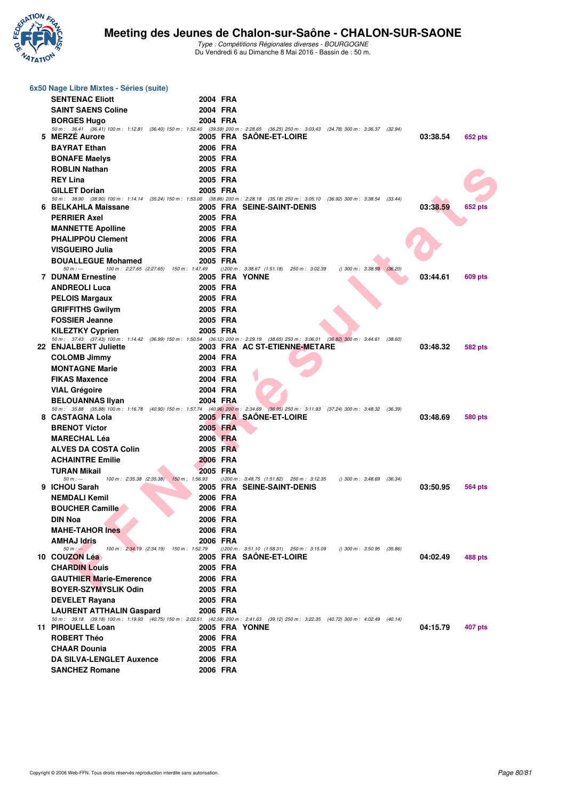

|   | 6x50 Nage Libre Mixtes - Séries (suite)            |                                                     |                                                                                                                                                                                                      |
|---|----------------------------------------------------|-----------------------------------------------------|------------------------------------------------------------------------------------------------------------------------------------------------------------------------------------------------------|
|   | <b>SENTENAC Eliott</b>                             | 2004 FRA                                            |                                                                                                                                                                                                      |
|   | <b>SAINT SAENS Coline</b>                          | 2004 FRA                                            |                                                                                                                                                                                                      |
|   | <b>BORGES Hugo</b>                                 | 2004 FRA                                            |                                                                                                                                                                                                      |
|   | 5 MERZE Aurore                                     |                                                     | 50 m : 36.41 (36.41) 100 m : 1:12.81 (36.40) 150 m : 1:52.40 (39.59) 200 m : 2:28.65 (36.25) 250 m : 3:03.43 (34.78) 300 m : 3:36.37 (32.94)<br>2005 FRA SAONE-ET-LOIRE<br>03:38.54                  |
|   | <b>BAYRAT Ethan</b>                                | 2006 FRA                                            | 652 pts                                                                                                                                                                                              |
|   |                                                    | 2005 FRA                                            |                                                                                                                                                                                                      |
|   | <b>BONAFE Maelys</b><br><b>ROBLIN Nathan</b>       | 2005 FRA                                            |                                                                                                                                                                                                      |
|   | <b>REY Lina</b>                                    | 2005 FRA                                            |                                                                                                                                                                                                      |
|   | <b>GILLET Dorian</b>                               | 2005 FRA                                            |                                                                                                                                                                                                      |
|   |                                                    |                                                     | 50 m : 38.90 (38.90) 100 m : 1:14.14 (35.24) 150 m : 1:53.00 (38.86) 200 m : 2:28.18 (35.18) 250 m : 3:05.10 (36.92) 300 m : 3:38.54 (33.44)                                                         |
|   | 6 BELKAHLA Maissane                                |                                                     | 2005 FRA SEINE-SAINT-DENIS<br>03:38.59<br>652 pts                                                                                                                                                    |
|   | <b>PERRIER Axel</b>                                | 2005 FRA                                            |                                                                                                                                                                                                      |
|   | <b>MANNETTE Apolline</b>                           | 2005 FRA                                            |                                                                                                                                                                                                      |
|   | <b>PHALIPPOU Clement</b>                           | 2006 FRA                                            |                                                                                                                                                                                                      |
|   | VISGUEIRO Julia                                    | 2005 FRA                                            |                                                                                                                                                                                                      |
|   | <b>BOUALLEGUE Mohamed</b><br>$50 m: -$             | 2005 FRA<br>100 m: 2:27.65 (2:27.65) 150 m: 1:47.49 | $(200 \text{ m} : 3:38.67 (1.51.18) 250 \text{ m} : 3:02.39)$<br>$()$ 300 m : 3:38.59 $(36.20)$                                                                                                      |
|   | <b>7 DUNAM Ernestine</b>                           | 2005 FRA YONNE                                      | 03:44.61<br>609 pts                                                                                                                                                                                  |
|   | <b>ANDREOLI Luca</b>                               | 2005 FRA                                            |                                                                                                                                                                                                      |
|   | <b>PELOIS Margaux</b>                              | 2005 FRA                                            |                                                                                                                                                                                                      |
|   | <b>GRIFFITHS Gwilym</b>                            | 2005 FRA                                            |                                                                                                                                                                                                      |
|   | <b>FOSSIER Jeanne</b>                              | 2005 FRA                                            |                                                                                                                                                                                                      |
|   | <b>KILEZTKY Cyprien</b>                            | 2005 FRA                                            |                                                                                                                                                                                                      |
|   | 22 ENJALBERT Juliette                              |                                                     | 50 m : 37.43 (37.43) 100 m : 1:14.42 (36.99) 150 m : 1:50.54 (36.12) 200 m : 2:29.19 (38.65) 250 m : 3:06.01 (36.82) 300 m : 3:44.61 (38.60)<br>2003 FRA AC ST-ETIENNE-METARE<br>03:48.32<br>582 pts |
|   | <b>COLOMB Jimmy</b>                                | 2004 FRA                                            |                                                                                                                                                                                                      |
|   | <b>MONTAGNE Marie</b>                              | 2003 FRA                                            |                                                                                                                                                                                                      |
|   | <b>FIKAS Maxence</b>                               | 2004 FRA                                            |                                                                                                                                                                                                      |
|   | <b>VIAL Grégoire</b>                               | 2004 FRA                                            |                                                                                                                                                                                                      |
|   | <b>BELOUANNAS Ilyan</b>                            | 2004 FRA                                            |                                                                                                                                                                                                      |
|   |                                                    |                                                     | 50 m : 35.88 (35.88) 100 m : 1:16.78 (40.90) 150 m : 1:57.74 (40.96) 200 m : 2:34.69 (36.95) 250 m : 3:11.93 (37.24) 300 m : 3:48.32 (36.39)                                                         |
| 8 | <b>CASTAGNA Lola</b>                               |                                                     | 2005 FRA SAONE-ET-LOIRE<br>03:48.69<br>580 pts                                                                                                                                                       |
|   | <b>BRENOT Victor</b>                               | 2005 FRA                                            |                                                                                                                                                                                                      |
|   | <b>MARECHAL Léa</b><br><b>ALVES DA COSTA Colin</b> | 2006 FRA<br>2005 FRA                                |                                                                                                                                                                                                      |
|   | <b>ACHAINTRE Emilie</b>                            | 2006 FRA                                            |                                                                                                                                                                                                      |
|   | TURAN Mikail                                       | 2005 FRA                                            |                                                                                                                                                                                                      |
|   | $50 m : -$                                         | 100 m : 2:35.38 (2:35.38) 150 m : 1:56.93           | $(200 \text{ m}: 3:48.75 (1:51.82) 250 \text{ m}: 3:12.35)$<br>$()$ 300 m : 3:48.69 $(36.34)$                                                                                                        |
|   | 9 ICHOU Sarah                                      |                                                     | 2005 FRA SEINE-SAINT-DENIS<br>03:50.95<br>564 pts                                                                                                                                                    |
|   | <b>NEMDALI Kemil</b>                               | 2006 FRA                                            |                                                                                                                                                                                                      |
|   | <b>BOUCHER Camille</b>                             | 2006 FRA                                            |                                                                                                                                                                                                      |
|   | DIN Noa                                            | 2006 FRA                                            |                                                                                                                                                                                                      |
|   | <b>MAHE-TAHOR Ines</b>                             | 2006 FRA                                            |                                                                                                                                                                                                      |
|   | AMHAJ Idris<br>$50 m : -$                          | 2006 FRA<br>100 m: 2:34.19 (2:34.19) 150 m: 1:52.79 | $(200 \text{ m}: 3.51.10 (1.58.31) 250 \text{ m}: 3.15.09$<br>$( ) 300 \text{ m} : 3:50.95$ (35.86)                                                                                                  |
|   | 10 COUZON Léa                                      |                                                     | 2005 FRA SAÖNE-ET-LOIRE<br>04:02.49<br>488 pts                                                                                                                                                       |
|   | <b>CHARDIN Louis</b>                               | 2005 FRA                                            |                                                                                                                                                                                                      |
|   | <b>GAUTHIER Marie-Emerence</b>                     | 2006 FRA                                            |                                                                                                                                                                                                      |
|   | <b>BOYER-SZYMYSLIK Odin</b>                        | 2005 FRA                                            |                                                                                                                                                                                                      |
|   | <b>DEVELET Rayana</b>                              | 2005 FRA                                            |                                                                                                                                                                                                      |
|   | <b>LAURENT ATTHALIN Gaspard</b>                    | 2006 FRA                                            |                                                                                                                                                                                                      |
|   | 11 PIROUELLE Loan                                  | 2005 FRA YONNE                                      | 50 m : 39.18 (39.18) 100 m : 1:19.93 (40.75) 150 m : 2:02.51 (42.58) 200 m : 2:41.63 (39.12) 250 m : 3:22.35 (40.72) 300 m : 4:02.49 (40.14)<br>04:15.79<br>407 pts                                  |
|   | <b>ROBERT Théo</b>                                 | 2006 FRA                                            |                                                                                                                                                                                                      |
|   | <b>CHAAR Dounia</b>                                | 2005 FRA                                            |                                                                                                                                                                                                      |
|   | <b>DA SILVA-LENGLET Auxence</b>                    | 2006 FRA                                            |                                                                                                                                                                                                      |
|   | <b>SANCHEZ Romane</b>                              | 2006 FRA                                            |                                                                                                                                                                                                      |